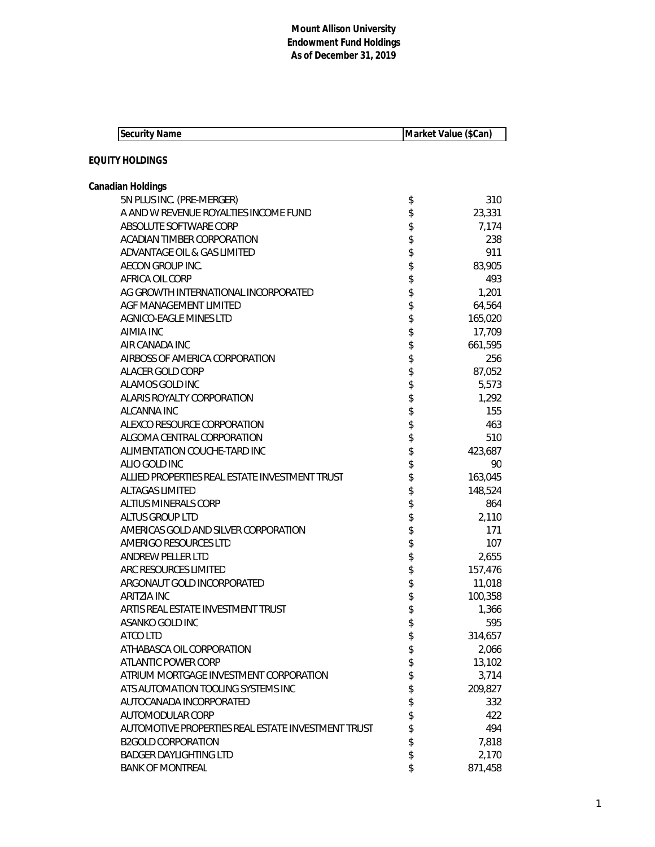| <b>Security Name</b>                               | Market Value (\$Can) |         |
|----------------------------------------------------|----------------------|---------|
| <b>EQUITY HOLDINGS</b>                             |                      |         |
| Canadian Holdings                                  |                      |         |
| 5N PLUS INC. (PRE-MERGER)                          | \$                   | 310     |
| A AND W REVENUE ROYALTIES INCOME FUND              | \$                   | 23,331  |
| ABSOLUTE SOFTWARE CORP                             | \$                   | 7,174   |
| ACADIAN TIMBER CORPORATION                         | \$                   | 238     |
| ADVANTAGE OIL & GAS LIMITED                        | \$                   | 911     |
| AECON GROUP INC.                                   | \$                   | 83,905  |
| AFRICA OIL CORP                                    | \$                   | 493     |
| AG GROWTH INTERNATIONAL INCORPORATED               | \$                   | 1,201   |
| AGF MANAGEMENT LIMITED                             | \$                   | 64,564  |
| AGNICO-EAGLE MINES LTD                             | \$                   | 165,020 |
| <b>AIMIA INC</b>                                   | \$                   | 17,709  |
| AIR CANADA INC                                     | \$                   | 661,595 |
| AIRBOSS OF AMERICA CORPORATION                     | \$                   | 256     |
| ALACER GOLD CORP                                   | \$                   | 87,052  |
| ALAMOS GOLD INC                                    | \$                   | 5,573   |
| <b>ALARIS ROYALTY CORPORATION</b>                  | \$                   | 1,292   |
| ALCANNA INC                                        | \$                   | 155     |
| ALEXCO RESOURCE CORPORATION                        | \$                   | 463     |
| ALGOMA CENTRAL CORPORATION                         | \$                   | 510     |
| ALIMENTATION COUCHE-TARD INC                       | \$                   | 423,687 |
| ALIO GOLD INC                                      | \$                   | 90      |
| ALLIED PROPERTIES REAL ESTATE INVESTMENT TRUST     | \$                   | 163,045 |
| <b>ALTAGAS LIMITED</b>                             | \$                   | 148,524 |
| <b>ALTIUS MINERALS CORP</b>                        | \$                   | 864     |
| <b>ALTUS GROUP LTD</b>                             | \$                   | 2,110   |
| AMERICAS GOLD AND SILVER CORPORATION               | \$                   | 171     |
| AMERIGO RESOURCES LTD                              | \$                   | 107     |
| ANDREW PELLER LTD                                  | \$                   | 2,655   |
| ARC RESOURCES LIMITED                              | \$                   | 157,476 |
| ARGONAUT GOLD INCORPORATED                         | \$                   | 11,018  |
| <b>ARITZIA INC</b>                                 | \$                   | 100,358 |
| ARTIS REAL ESTATE INVESTMENT TRUST                 | \$                   | 1,366   |
| ASANKO GOLD INC                                    | \$                   | 595     |
| ATCO LTD                                           | \$                   | 314,657 |
| ATHABASCA OIL CORPORATION                          | \$                   | 2,066   |
| ATLANTIC POWER CORP                                | \$                   | 13,102  |
| ATRIUM MORTGAGE INVESTMENT CORPORATION             | \$                   | 3,714   |
| ATS AUTOMATION TOOLING SYSTEMS INC                 | \$                   | 209,827 |
| AUTOCANADA INCORPORATED                            | \$                   | 332     |
| AUTOMODULAR CORP                                   | \$                   | 422     |
| AUTOMOTIVE PROPERTIES REAL ESTATE INVESTMENT TRUST | \$                   | 494     |
| <b>B2GOLD CORPORATION</b>                          | \$                   | 7,818   |
| <b>BADGER DAYLIGHTING LTD</b>                      | \$                   | 2,170   |
| <b>BANK OF MONTREAL</b>                            | \$                   | 871,458 |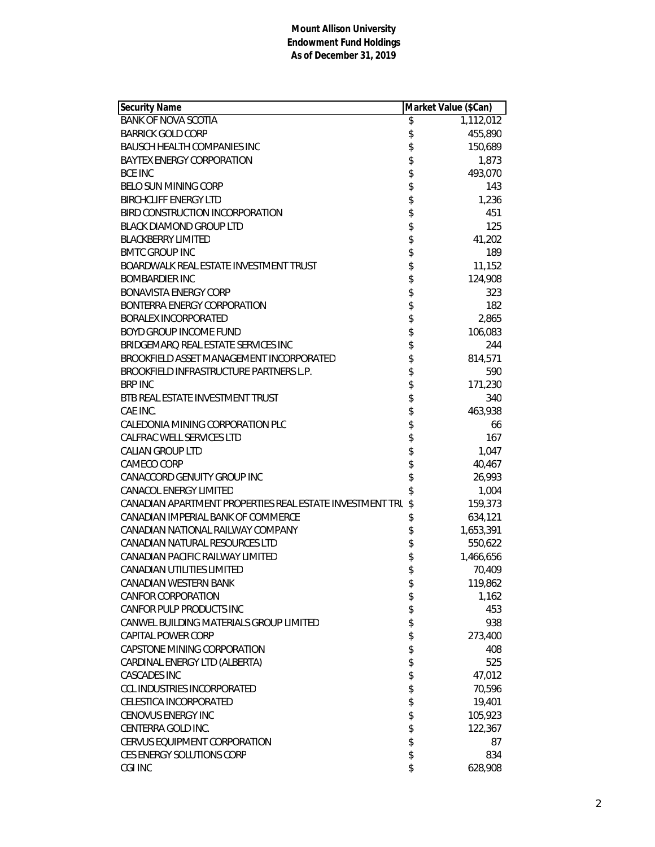| <b>Security Name</b>                                     | Market Value (\$Can)         |
|----------------------------------------------------------|------------------------------|
| <b>BANK OF NOVA SCOTIA</b>                               | \$<br>$\overline{1,112,012}$ |
| <b>BARRICK GOLD CORP</b>                                 | \$<br>455,890                |
| <b>BAUSCH HEALTH COMPANIES INC</b>                       | \$<br>150,689                |
| <b>BAYTEX ENERGY CORPORATION</b>                         | \$<br>1,873                  |
| <b>BCE INC</b>                                           | \$<br>493,070                |
| <b>BELO SUN MINING CORP</b>                              | \$<br>143                    |
| <b>BIRCHCLIFF ENERGY LTD</b>                             | \$<br>1,236                  |
| BIRD CONSTRUCTION INCORPORATION                          | 451                          |
| <b>BLACK DIAMOND GROUP LTD</b>                           | \$<br>125                    |
| <b>BLACKBERRY LIMITED</b>                                | \$<br>41,202                 |
| <b>BMTC GROUP INC</b>                                    | \$<br>189                    |
| BOARDWALK REAL ESTATE INVESTMENT TRUST                   | \$<br>11,152                 |
| <b>BOMBARDIER INC</b>                                    | \$<br>124,908                |
| <b>BONAVISTA ENERGY CORP</b>                             | \$<br>323                    |
| BONTERRA ENERGY CORPORATION                              | \$<br>182                    |
| <b>BORALEX INCORPORATED</b>                              | 2,865                        |
| <b>BOYD GROUP INCOME FUND</b>                            | \$<br>106,083                |
| BRIDGEMARQ REAL ESTATE SERVICES INC                      | \$<br>244                    |
| BROOKFIELD ASSET MANAGEMENT INCORPORATED                 | \$<br>814,571                |
| BROOKFIELD INFRASTRUCTURE PARTNERS L.P.                  | \$<br>590                    |
| <b>BRP INC</b>                                           | \$<br>171,230                |
| BTB REAL ESTATE INVESTMENT TRUST                         | \$<br>340                    |
| CAE INC.                                                 | \$<br>463,938                |
| CALEDONIA MINING CORPORATION PLC                         | \$<br>66                     |
| CALFRAC WELL SERVICES LTD                                | \$<br>167                    |
| <b>CALIAN GROUP LTD</b>                                  | \$<br>1,047                  |
| CAMECO CORP                                              | \$<br>40,467                 |
| CANACCORD GENUITY GROUP INC                              | \$<br>26,993                 |
| <b>CANACOL ENERGY LIMITED</b>                            | \$<br>1,004                  |
| CANADIAN APARTMENT PROPERTIES REAL ESTATE INVESTMENT TRU | \$<br>159,373                |
| CANADIAN IMPERIAL BANK OF COMMERCE                       | \$<br>634,121                |
| CANADIAN NATIONAL RAILWAY COMPANY                        | \$<br>1,653,391              |
| CANADIAN NATURAL RESOURCES LTD                           | \$<br>550,622                |
| CANADIAN PACIFIC RAILWAY LIMITED                         | \$<br>1,466,656              |
| CANADIAN UTILITIES LIMITED                               | \$<br>70,409                 |
| CANADIAN WESTERN BANK                                    | \$<br>119,862                |
| <b>CANFOR CORPORATION</b>                                | \$<br>1,162                  |
| CANFOR PULP PRODUCTS INC                                 | \$<br>453                    |
| CANWEL BUILDING MATERIALS GROUP LIMITED                  | \$<br>938                    |
| CAPITAL POWER CORP                                       | \$<br>273,400                |
| CAPSTONE MINING CORPORATION                              | \$<br>408                    |
| CARDINAL ENERGY LTD (ALBERTA)                            | \$<br>525                    |
| <b>CASCADES INC</b>                                      | \$<br>47,012                 |
| <b>CCL INDUSTRIES INCORPORATED</b>                       | \$<br>70,596                 |
| CELESTICA INCORPORATED                                   | \$<br>19,401                 |
| <b>CENOVUS ENERGY INC</b>                                | \$<br>105,923                |
| CENTERRA GOLD INC.                                       | \$<br>122,367                |
| <b>CERVUS EQUIPMENT CORPORATION</b>                      | \$<br>87                     |
| CES ENERGY SOLUTIONS CORP                                | \$<br>834                    |
| CGI INC                                                  | \$<br>628,908                |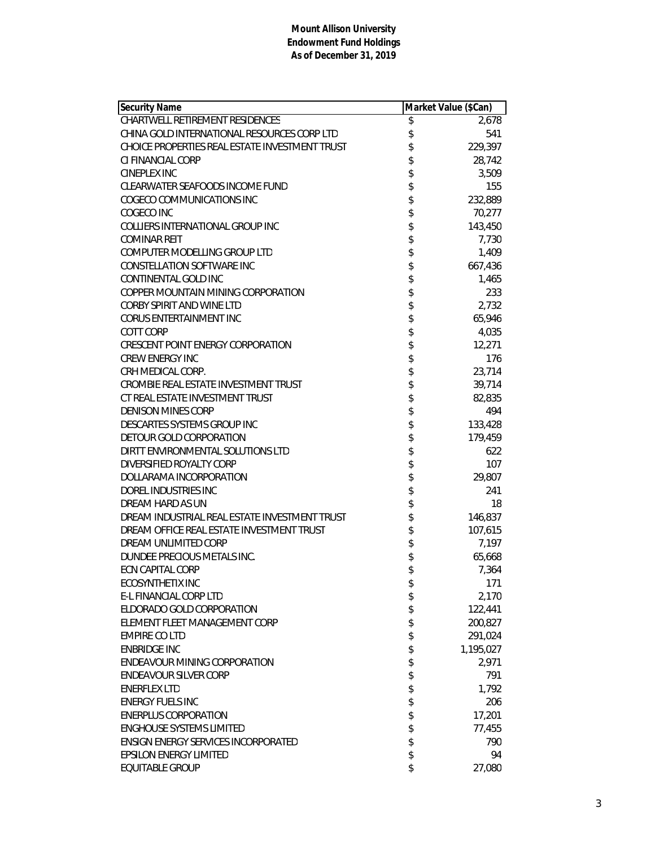| <b>Security Name</b>                           | Market Value (\$Can) |           |
|------------------------------------------------|----------------------|-----------|
| CHARTWELL RETIREMENT RESIDENCES                | \$                   | 2,678     |
| CHINA GOLD INTERNATIONAL RESOURCES CORP LTD    | \$                   | 541       |
| CHOICE PROPERTIES REAL ESTATE INVESTMENT TRUST | \$                   | 229,397   |
| CI FINANCIAL CORP                              | \$                   | 28,742    |
| <b>CINEPLEX INC</b>                            | \$                   | 3,509     |
| CLEARWATER SEAFOODS INCOME FUND                |                      | 155       |
| COGECO COMMUNICATIONS INC                      | \$                   | 232,889   |
| COGECO INC                                     | \$                   | 70,277    |
| COLLIERS INTERNATIONAL GROUP INC               | \$                   | 143,450   |
| <b>COMINAR REIT</b>                            | \$                   | 7,730     |
| COMPUTER MODELLING GROUP LTD                   | \$                   | 1,409     |
| CONSTELLATION SOFTWARE INC                     |                      | 667,436   |
| CONTINENTAL GOLD INC                           | \$\$\$\$             | 1,465     |
| COPPER MOUNTAIN MINING CORPORATION             |                      | 233       |
| CORBY SPIRIT AND WINE LTD                      |                      | 2,732     |
| CORUS ENTERTAINMENT INC                        | \$                   | 65,946    |
| <b>COTT CORP</b>                               | \$                   | 4,035     |
| <b>CRESCENT POINT ENERGY CORPORATION</b>       |                      | 12,271    |
| <b>CREW ENERGY INC</b>                         | \$\$                 | 176       |
| CRH MEDICAL CORP.                              |                      | 23,714    |
| CROMBIE REAL ESTATE INVESTMENT TRUST           | \$\$\$\$             | 39,714    |
| CT REAL ESTATE INVESTMENT TRUST                |                      | 82,835    |
| <b>DENISON MINES CORP</b>                      |                      | 494       |
| DESCARTES SYSTEMS GROUP INC                    | \$                   | 133,428   |
| DETOUR GOLD CORPORATION                        | \$                   | 179,459   |
| DIRTT ENVIRONMENTAL SOLUTIONS LTD              | \$                   | 622       |
| DIVERSIFIED ROYALTY CORP                       |                      | 107       |
| DOLLARAMA INCORPORATION                        | \$                   | 29,807    |
| DOREL INDUSTRIES INC                           |                      | 241       |
| DREAM HARD AS UN                               | \$\$\$\$\$           | 18        |
| DREAM INDUSTRIAL REAL ESTATE INVESTMENT TRUST  |                      | 146,837   |
| DREAM OFFICE REAL ESTATE INVESTMENT TRUST      |                      | 107,615   |
| DREAM UNLIMITED CORP                           |                      | 7,197     |
| DUNDEE PRECIOUS METALS INC.                    | \$                   | 65,668    |
| <b>ECN CAPITAL CORP</b>                        | \$                   | 7,364     |
| <b>ECOSYNTHETIX INC</b>                        | \$                   | 171       |
| <b>E-L FINANCIAL CORP LTD</b>                  | \$                   | 2,170     |
| ELDORADO GOLD CORPORATION                      | \$                   | 122,441   |
| ELEMENT FLEET MANAGEMENT CORP                  | \$                   | 200,827   |
| <b>EMPIRE CO LTD</b>                           | \$                   | 291,024   |
| <b>ENBRIDGE INC</b>                            | \$                   | 1,195,027 |
| <b>ENDEAVOUR MINING CORPORATION</b>            | \$                   | 2,971     |
| <b>ENDEAVOUR SILVER CORP</b>                   | \$                   | 791       |
| <b>ENERFLEX LTD</b>                            | \$                   | 1,792     |
| <b>ENERGY FUELS INC</b>                        |                      | 206       |
| <b>ENERPLUS CORPORATION</b>                    | \$<br>\$             | 17,201    |
| <b>ENGHOUSE SYSTEMS LIMITED</b>                | \$                   | 77,455    |
| <b>ENSIGN ENERGY SERVICES INCORPORATED</b>     | \$                   | 790       |
| <b>EPSILON ENERGY LIMITED</b>                  | \$                   | 94        |
| <b>EQUITABLE GROUP</b>                         | \$                   | 27,080    |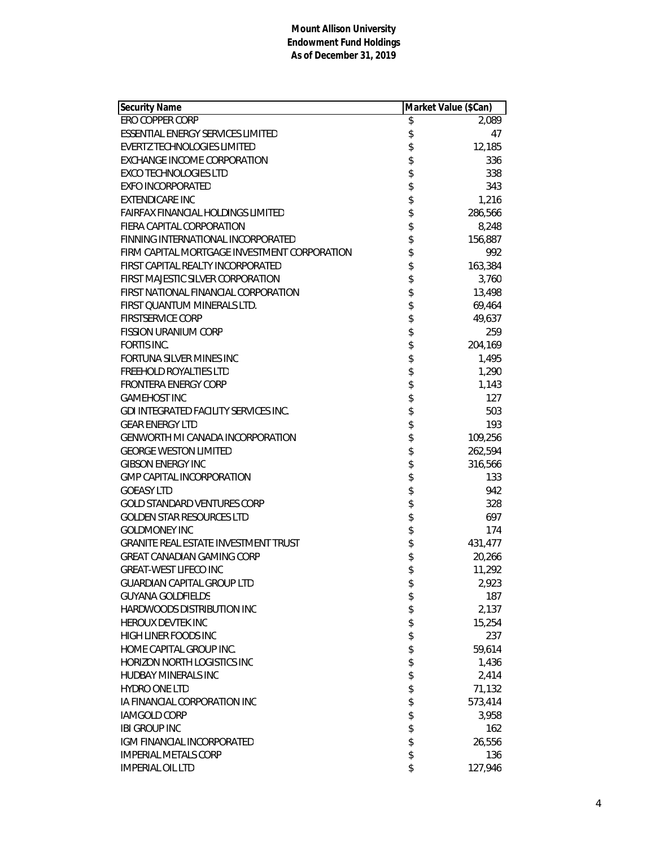| <b>Security Name</b>                         | Market Value (\$Can) |         |
|----------------------------------------------|----------------------|---------|
| ERO COPPER CORP                              | \$                   | 2,089   |
| ESSENTIAL ENERGY SERVICES LIMITED            | \$                   | 47      |
| <b>EVERTZ TECHNOLOGIES LIMITED</b>           | \$                   | 12,185  |
| EXCHANGE INCOME CORPORATION                  |                      | 336     |
| <b>EXCO TECHNOLOGIES LTD</b>                 |                      | 338     |
| <b>EXFO INCORPORATED</b>                     | \$\$\$\$\$\$\$\$     | 343     |
| <b>EXTENDICARE INC</b>                       |                      | 1,216   |
| <b>FAIRFAX FINANCIAL HOLDINGS LIMITED</b>    |                      | 286,566 |
| FIERA CAPITAL CORPORATION                    |                      | 8,248   |
| FINNING INTERNATIONAL INCORPORATED           |                      | 156,887 |
| FIRM CAPITAL MORTGAGE INVESTMENT CORPORATION |                      | 992     |
| FIRST CAPITAL REALTY INCORPORATED            |                      | 163,384 |
| FIRST MAJESTIC SILVER CORPORATION            |                      | 3,760   |
| FIRST NATIONAL FINANCIAL CORPORATION         |                      | 13,498  |
| FIRST QUANTUM MINERALS LTD.                  |                      | 69,464  |
| <b>FIRSTSERVICE CORP</b>                     |                      | 49,637  |
| <b>FISSION URANIUM CORP</b>                  |                      | 259     |
| FORTIS INC.                                  |                      | 204,169 |
| <b>FORTUNA SILVER MINES INC</b>              |                      | 1,495   |
| <b>FREEHOLD ROYALTIES LTD</b>                |                      | 1,290   |
| FRONTERA ENERGY CORP                         |                      | 1,143   |
| <b>GAMEHOST INC</b>                          |                      | 127     |
| GDI INTEGRATED FACILITY SERVICES INC.        |                      | 503     |
| <b>GEAR ENERGY LTD</b>                       |                      | 193     |
| <b>GENWORTH MI CANADA INCORPORATION</b>      |                      | 109,256 |
| <b>GEORGE WESTON LIMITED</b>                 |                      | 262,594 |
| <b>GIBSON ENERGY INC</b>                     |                      | 316,566 |
| <b>GMP CAPITAL INCORPORATION</b>             |                      | 133     |
| <b>GOEASY LTD</b>                            |                      | 942     |
| <b>GOLD STANDARD VENTURES CORP</b>           |                      | 328     |
| <b>GOLDEN STAR RESOURCES LTD</b>             |                      | 697     |
| <b>GOLDMONEY INC</b>                         |                      | 174     |
| <b>GRANITE REAL ESTATE INVESTMENT TRUST</b>  |                      | 431,477 |
| <b>GREAT CANADIAN GAMING CORP</b>            |                      | 20,266  |
| <b>GREAT-WEST LIFECO INC</b>                 | \$                   | 11,292  |
| <b>GUARDIAN CAPITAL GROUP LTD</b>            | \$                   | 2,923   |
| <b>GUYANA GOLDFIELDS</b>                     | \$                   | 187     |
| HARDWOODS DISTRIBUTION INC                   |                      | 2,137   |
| HEROUX DEVTEK INC                            |                      | 15,254  |
| HIGH LINER FOODS INC                         | \$\$                 | 237     |
| HOME CAPITAL GROUP INC.                      | \$                   | 59,614  |
| HORIZON NORTH LOGISTICS INC                  | \$                   | 1,436   |
| HUDBAY MINERALS INC                          | \$                   | 2,414   |
| <b>HYDRO ONE LTD</b>                         | \$                   | 71,132  |
| IA FINANCIAL CORPORATION INC                 |                      | 573,414 |
| <b>IAMGOLD CORP</b>                          |                      | 3,958   |
| <b>IBI GROUP INC</b>                         |                      | 162     |
| IGM FINANCIAL INCORPORATED                   |                      | 26,556  |
| <b>IMPERIAL METALS CORP</b>                  | \$\$\$\$\$           | 136     |
| <b>IMPERIAL OIL LTD</b>                      | \$                   | 127,946 |
|                                              |                      |         |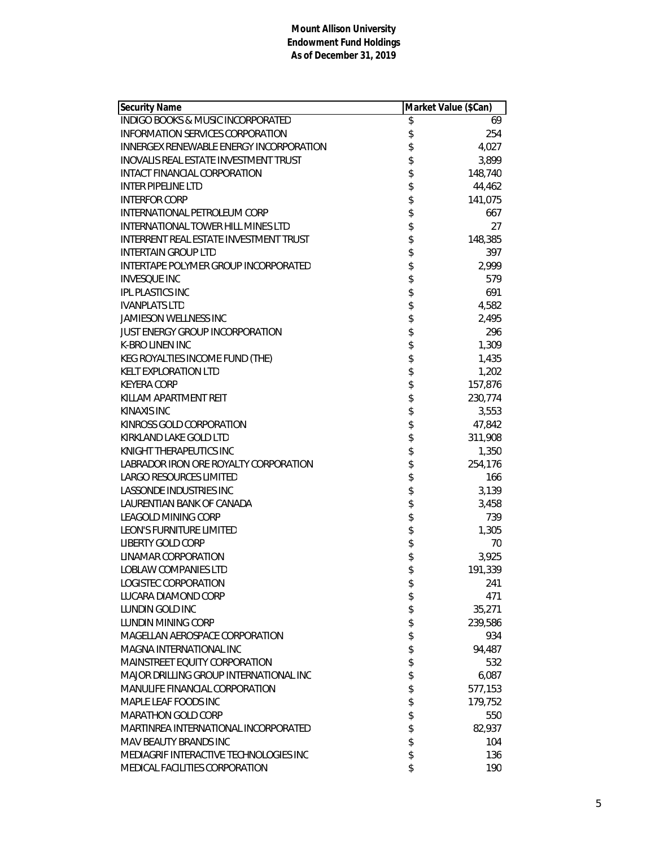| <b>Security Name</b>                           | Market Value (\$Can) |         |
|------------------------------------------------|----------------------|---------|
| <b>INDIGO BOOKS &amp; MUSIC INCORPORATED</b>   | \$                   | 69      |
| <b>INFORMATION SERVICES CORPORATION</b>        | \$                   | 254     |
| <b>INNERGEX RENEWABLE ENERGY INCORPORATION</b> |                      | 4,027   |
| <b>INOVALIS REAL ESTATE INVESTMENT TRUST</b>   | \$                   | 3,899   |
| INTACT FINANCIAL CORPORATION                   | \$                   | 148,740 |
| <b>INTER PIPELINE LTD</b>                      | \$                   | 44,462  |
| <b>INTERFOR CORP</b>                           | \$                   | 141,075 |
| INTERNATIONAL PETROLEUM CORP                   | \$                   | 667     |
| <b>INTERNATIONAL TOWER HILL MINES LTD</b>      | \$                   | 27      |
| INTERRENT REAL ESTATE INVESTMENT TRUST         | \$                   | 148,385 |
| <b>INTERTAIN GROUP LTD</b>                     | \$                   | 397     |
| INTERTAPE POLYMER GROUP INCORPORATED           |                      | 2,999   |
| <b>INVESQUE INC</b>                            | \$<br>\$             | 579     |
| <b>IPL PLASTICS INC</b>                        |                      | 691     |
| <b>IVANPLATS LTD</b>                           |                      | 4,582   |
| <b>JAMIESON WELLNESS INC</b>                   | \$\$                 | 2,495   |
| <b>JUST ENERGY GROUP INCORPORATION</b>         | \$                   | 296     |
| K-BRO LINEN INC                                |                      | 1,309   |
| KEG ROYALTIES INCOME FUND (THE)                |                      | 1,435   |
| <b>KELT EXPLORATION LTD</b>                    | \$<br>\$             | 1,202   |
| <b>KEYERA CORP</b>                             |                      | 157,876 |
| KILLAM APARTMENT REIT                          | \$                   | 230,774 |
| KINAXIS INC                                    | \$                   | 3,553   |
| KINROSS GOLD CORPORATION                       | \$                   | 47,842  |
| KIRKLAND LAKE GOLD LTD                         | \$                   | 311,908 |
| KNIGHT THERAPEUTICS INC                        | \$                   | 1,350   |
| LABRADOR IRON ORE ROYALTY CORPORATION          | \$                   | 254,176 |
| LARGO RESOURCES LIMITED                        | \$                   | 166     |
| LASSONDE INDUSTRIES INC                        | \$                   | 3,139   |
| LAURENTIAN BANK OF CANADA                      |                      | 3,458   |
| <b>LEAGOLD MINING CORP</b>                     | \$\$\$\$             | 739     |
| <b>LEON'S FURNITURE LIMITED</b>                |                      | 1,305   |
| <b>LIBERTY GOLD CORP</b>                       |                      | 70      |
| LINAMAR CORPORATION                            | \$                   | 3,925   |
| <b>LOBLAW COMPANIES LTD</b>                    | \$                   | 191,339 |
| LOGISTEC CORPORATION                           | \$                   | 241     |
| LUCARA DIAMOND CORP                            | \$                   | 471     |
| LUNDIN GOLD INC                                | \$                   | 35,271  |
| LUNDIN MINING CORP                             | \$                   | 239,586 |
| MAGELLAN AEROSPACE CORPORATION                 | \$                   | 934     |
| MAGNA INTERNATIONAL INC                        | \$                   | 94,487  |
| MAINSTREET EQUITY CORPORATION                  | \$                   | 532     |
| MAJOR DRILLING GROUP INTERNATIONAL INC         | \$                   | 6,087   |
| <b>MANULIFE FINANCIAL CORPORATION</b>          | \$                   | 577,153 |
| MAPLE LEAF FOODS INC                           | \$                   | 179,752 |
| <b>MARATHON GOLD CORP</b>                      | \$                   | 550     |
| MARTINREA INTERNATIONAL INCORPORATED           | \$                   | 82,937  |
| MAV BEAUTY BRANDS INC                          | \$                   | 104     |
| MEDIAGRIF INTERACTIVE TECHNOLOGIES INC         | \$                   | 136     |
| MEDICAL FACILITIES CORPORATION                 | \$                   | 190     |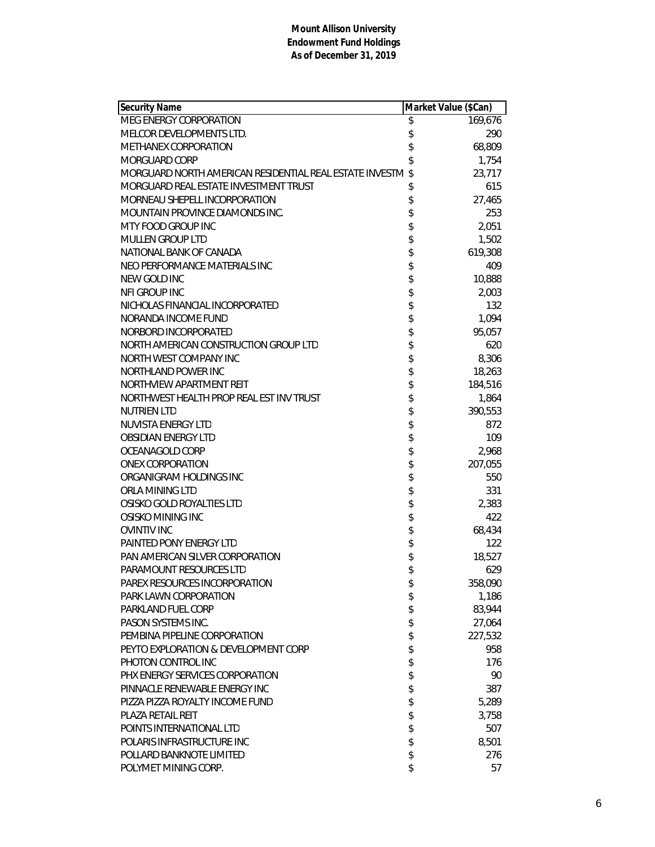| Security Name                                           |                       | Market Value (\$Can) |
|---------------------------------------------------------|-----------------------|----------------------|
| MEG ENERGY CORPORATION                                  | \$                    | 169,676              |
| MELCOR DEVELOPMENTS LTD.                                | \$                    | 290                  |
| <b>METHANEX CORPORATION</b>                             | \$                    | 68,809               |
| <b>MORGUARD CORP</b>                                    | \$                    | 1,754                |
| MORGUARD NORTH AMERICAN RESIDENTIAL REAL ESTATE INVESTM | \$                    | 23,717               |
| MORGUARD REAL ESTATE INVESTMENT TRUST                   | \$                    | 615                  |
| MORNEAU SHEPELL INCORPORATION                           | \$                    | 27,465               |
| MOUNTAIN PROVINCE DIAMONDS INC.                         |                       | 253                  |
| MTY FOOD GROUP INC                                      | \$\$                  | 2,051                |
| <b>MULLEN GROUP LTD</b>                                 |                       | 1,502                |
| NATIONAL BANK OF CANADA                                 | \$                    | 619,308              |
| NEO PERFORMANCE MATERIALS INC                           |                       | 409                  |
| NEW GOLD INC                                            |                       | 10,888               |
| NFI GROUP INC                                           |                       | 2,003                |
| NICHOLAS FINANCIAL INCORPORATED                         |                       | 132                  |
| NORANDA INCOME FUND                                     |                       | 1,094                |
| NORBORD INCORPORATED                                    |                       | 95,057               |
| NORTH AMERICAN CONSTRUCTION GROUP LTD                   |                       | 620                  |
| NORTH WEST COMPANY INC                                  |                       | 8,306                |
| NORTHLAND POWER INC                                     |                       | 18,263               |
| NORTHVIEW APARTMENT REIT                                |                       | 184,516              |
| NORTHWEST HEALTH PROP REAL EST INV TRUST                | おおまままままままままま          | 1,864                |
| <b>NUTRIEN LTD</b>                                      |                       | 390,553              |
| <b>NUVISTA ENERGY LTD</b>                               |                       | 872                  |
| <b>OBSIDIAN ENERGY LTD</b>                              |                       | 109                  |
| OCEANAGOLD CORP                                         |                       | 2,968                |
| <b>ONEX CORPORATION</b>                                 |                       | 207,055              |
| ORGANIGRAM HOLDINGS INC                                 | \$                    | 550                  |
| ORLA MINING LTD                                         |                       | 331                  |
| OSISKO GOLD ROYALTIES LTD                               | <b>\$\$\$\$\$\$\$</b> | 2,383                |
| OSISKO MINING INC                                       |                       | 422                  |
| <b>OVINTIV INC</b>                                      |                       | 68,434               |
| PAINTED PONY ENERGY LTD                                 |                       | 122                  |
| PAN AMERICAN SILVER CORPORATION                         |                       | 18,527               |
| PARAMOUNT RESOURCES LTD                                 | \$                    | 629                  |
| PAREX RESOURCES INCORPORATION                           | \$                    | 358,090              |
| PARK LAWN CORPORATION                                   | \$                    | 1,186                |
| PARKLAND FUEL CORP                                      | \$                    | 83,944               |
| PASON SYSTEMS INC.                                      | \$                    | 27,064               |
| PEMBINA PIPELINE CORPORATION                            | \$                    | 227,532              |
| PEYTO EXPLORATION & DEVELOPMENT CORP                    |                       | 958                  |
| PHOTON CONTROL INC                                      | \$                    | 176                  |
| PHX ENERGY SERVICES CORPORATION                         | \$                    | 90                   |
| PINNACLE RENEWABLE ENERGY INC                           | \$                    | 387                  |
| PIZZA PIZZA ROYALTY INCOME FUND                         | \$                    | 5,289                |
| <b>PLAZA RETAIL REIT</b>                                | \$\$\$                | 3,758                |
| POINTS INTERNATIONAL LTD                                |                       | 507                  |
| POLARIS INFRASTRUCTURE INC                              |                       | 8,501                |
| POLLARD BANKNOTE LIMITED                                |                       | 276                  |
| POLYMET MINING CORP.                                    | \$                    | 57                   |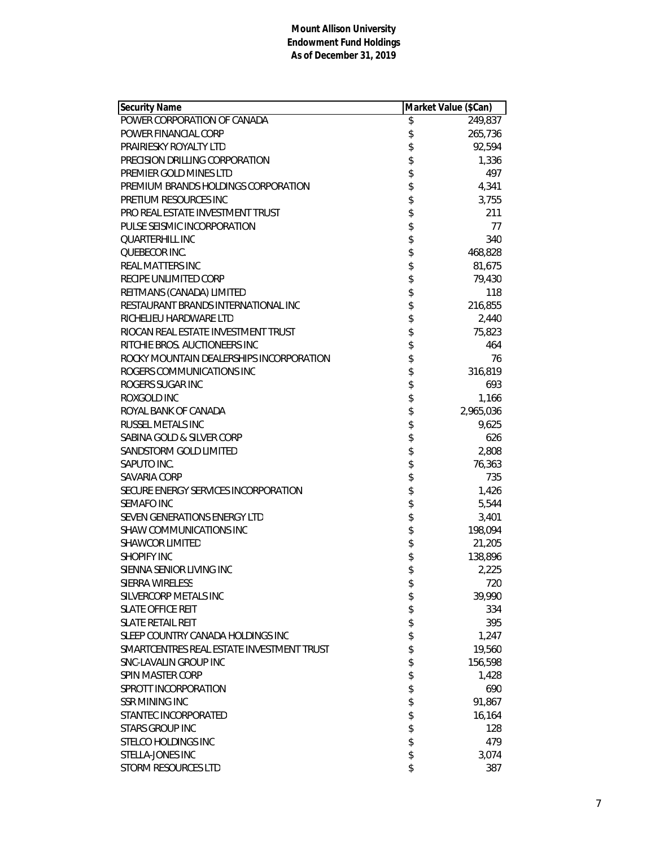| <b>Security Name</b>                      | Market Value (\$Can) |                      |
|-------------------------------------------|----------------------|----------------------|
| POWER CORPORATION OF CANADA               | \$                   | $\overline{249,}837$ |
| POWER FINANCIAL CORP                      | \$                   | 265,736              |
| <b>PRAIRIESKY ROYALTY LTD</b>             | \$                   | 92,594               |
| PRECISION DRILLING CORPORATION            | \$                   | 1,336                |
| PREMIER GOLD MINES LTD                    | \$                   | 497                  |
| PREMIUM BRANDS HOLDINGS CORPORATION       | \$                   | 4,341                |
| PRETIUM RESOURCES INC                     |                      | 3,755                |
| PRO REAL ESTATE INVESTMENT TRUST          | \$                   | 211                  |
| PULSE SEISMIC INCORPORATION               | \$                   | 77                   |
| <b>QUARTERHILL INC</b>                    | \$                   | 340                  |
| QUEBECOR INC.                             | \$\$\$\$\$\$         | 468,828              |
| <b>REAL MATTERS INC</b>                   |                      | 81,675               |
| RECIPE UNLIMITED CORP                     |                      | 79,430               |
| REITMANS (CANADA) LIMITED                 |                      | 118                  |
| RESTAURANT BRANDS INTERNATIONAL INC       |                      | 216,855              |
| RICHELIEU HARDWARE LTD                    |                      | 2,440                |
| RIOCAN REAL ESTATE INVESTMENT TRUST       | \$                   | 75,823               |
| RITCHIE BROS. AUCTIONEERS INC             | \$                   | 464                  |
| ROCKY MOUNTAIN DEALERSHIPS INCORPORATION  |                      | 76                   |
| ROGERS COMMUNICATIONS INC                 | \$                   | 316,819              |
| ROGERS SUGAR INC                          | \$                   | 693                  |
| ROXGOLD INC                               | \$                   | 1,166                |
| ROYAL BANK OF CANADA                      | \$                   | 2,965,036            |
| <b>RUSSEL METALS INC</b>                  | \$                   | 9,625                |
| SABINA GOLD & SILVER CORP                 | \$                   | 626                  |
| SANDSTORM GOLD LIMITED                    | \$                   | 2,808                |
| SAPUTO INC.                               | \$                   | 76,363               |
| SAVARIA CORP                              | \$                   | 735                  |
| SECURE ENERGY SERVICES INCORPORATION      | \$\$\$\$\$           | 1,426                |
| <b>SEMAFO INC</b>                         |                      | 5,544                |
| SEVEN GENERATIONS ENERGY LTD              |                      | 3,401                |
| <b>SHAW COMMUNICATIONS INC</b>            |                      | 198,094              |
| <b>SHAWCOR LIMITED</b>                    |                      | 21,205               |
| <b>SHOPIFY INC</b>                        | \$                   | 138,896              |
| SIENNA SENIOR LIVING INC                  | \$                   | 2,225                |
| <b>SIERRA WIRELESS</b>                    | \$                   | 720                  |
| SILVERCORP METALS INC                     | \$                   | 39,990               |
| <b>SLATE OFFICE REIT</b>                  | \$                   | 334                  |
| <b>SLATE RETAIL REIT</b>                  | \$                   | 395                  |
| SLEEP COUNTRY CANADA HOLDINGS INC         | \$                   | 1,247                |
| SMARTCENTRES REAL ESTATE INVESTMENT TRUST | \$                   | 19,560               |
| SNC-LAVALIN GROUP INC                     | \$                   | 156,598              |
| SPIN MASTER CORP                          | \$                   | 1,428                |
| SPROTT INCORPORATION                      | \$                   | 690                  |
| <b>SSR MINING INC</b>                     | \$                   | 91,867               |
| STANTEC INCORPORATED                      | \$                   | 16,164               |
| <b>STARS GROUP INC</b>                    | \$                   | 128                  |
| <b>STELCO HOLDINGS INC</b>                | \$                   | 479                  |
| STELLA-JONES INC                          | \$                   | 3,074                |
| STORM RESOURCES LTD                       | \$                   | 387                  |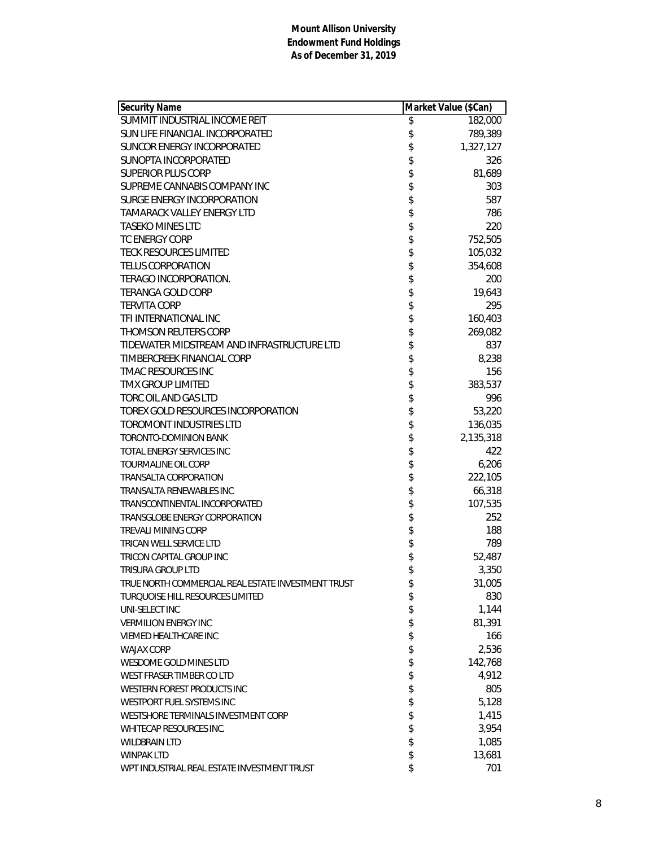| Security Name                                      | Market Value (\$Can) |
|----------------------------------------------------|----------------------|
| SUMMIT INDUSTRIAL INCOME REIT                      | \$<br>182,000        |
| SUN LIFE FINANCIAL INCORPORATED                    | \$<br>789,389        |
| SUNCOR ENERGY INCORPORATED                         | \$<br>1,327,127      |
| SUNOPTA INCORPORATED                               | \$<br>326            |
| <b>SUPERIOR PLUS CORP</b>                          | \$<br>81,689         |
| SUPREME CANNABIS COMPANY INC                       | \$<br>303            |
| SURGE ENERGY INCORPORATION                         | \$<br>587            |
| <b>TAMARACK VALLEY ENERGY LTD</b>                  | \$<br>786            |
| <b>TASEKO MINES LTD</b>                            | \$<br>220            |
| <b>TC ENERGY CORP</b>                              | \$<br>752,505        |
| <b>TECK RESOURCES LIMITED</b>                      | \$<br>105,032        |
| <b>TELUS CORPORATION</b>                           | \$<br>354,608        |
| TERAGO INCORPORATION.                              | \$<br>200            |
| <b>TERANGA GOLD CORP</b>                           | \$<br>19,643         |
| <b>TERVITA CORP</b>                                | \$<br>295            |
| TFI INTERNATIONAL INC                              | \$<br>160,403        |
| <b>THOMSON REUTERS CORP</b>                        | \$<br>269,082        |
| TIDEWATER MIDSTREAM AND INFRASTRUCTURE LTD         | \$<br>837            |
| TIMBERCREEK FINANCIAL CORP                         | \$<br>8,238          |
| <b>TMAC RESOURCES INC</b>                          | \$<br>156            |
| <b>TMX GROUP LIMITED</b>                           | \$<br>383,537        |
| TORC OIL AND GAS LTD                               | \$<br>996            |
| TOREX GOLD RESOURCES INCORPORATION                 | \$<br>53,220         |
| <b>TOROMONT INDUSTRIES LTD</b>                     | \$<br>136,035        |
| <b>TORONTO-DOMINION BANK</b>                       | \$<br>2,135,318      |
| TOTAL ENERGY SERVICES INC                          | \$<br>422            |
| TOURMALINE OIL CORP                                | \$<br>6,206          |
| TRANSALTA CORPORATION                              | \$<br>222,105        |
| TRANSALTA RENEWABLES INC                           | \$<br>66,318         |
| TRANSCONTINENTAL INCORPORATED                      | \$<br>107,535        |
| TRANSGLOBE ENERGY CORPORATION                      | \$<br>252            |
| <b>TREVALI MINING CORP</b>                         | \$<br>188            |
| TRICAN WELL SERVICE LTD                            | \$<br>789            |
| TRICON CAPITAL GROUP INC                           | \$<br>52,487         |
| TRISURA GROUP LTD                                  | \$<br>3,350          |
| TRUE NORTH COMMERCIAL REAL ESTATE INVESTMENT TRUST | \$<br>31,005         |
| TUROUOISE HILL RESOURCES LIMITED                   | \$<br>830            |
| UNI-SELECT INC                                     | \$<br>1,144          |
| <b>VERMILION ENERGY INC</b>                        | \$<br>81,391         |
| <b>VIEMED HEALTHCARE INC</b>                       | \$<br>166            |
| <b>WAJAX CORP</b>                                  | \$<br>2,536          |
| WESDOME GOLD MINES LTD                             | \$<br>142,768        |
| WEST FRASER TIMBER CO LTD                          | \$<br>4,912          |
| WESTERN FOREST PRODUCTS INC                        | \$<br>805            |
| WESTPORT FUEL SYSTEMS INC                          | \$<br>5,128          |
| WESTSHORE TERMINALS INVESTMENT CORP                | \$<br>1,415          |
| WHITECAP RESOURCES INC.                            | \$<br>3,954          |
| <b>WILDBRAIN LTD</b>                               | \$<br>1,085          |
| <b>WINPAK LTD</b>                                  | \$<br>13,681         |
| WPT INDUSTRIAL REAL ESTATE INVESTMENT TRUST        | \$<br>701            |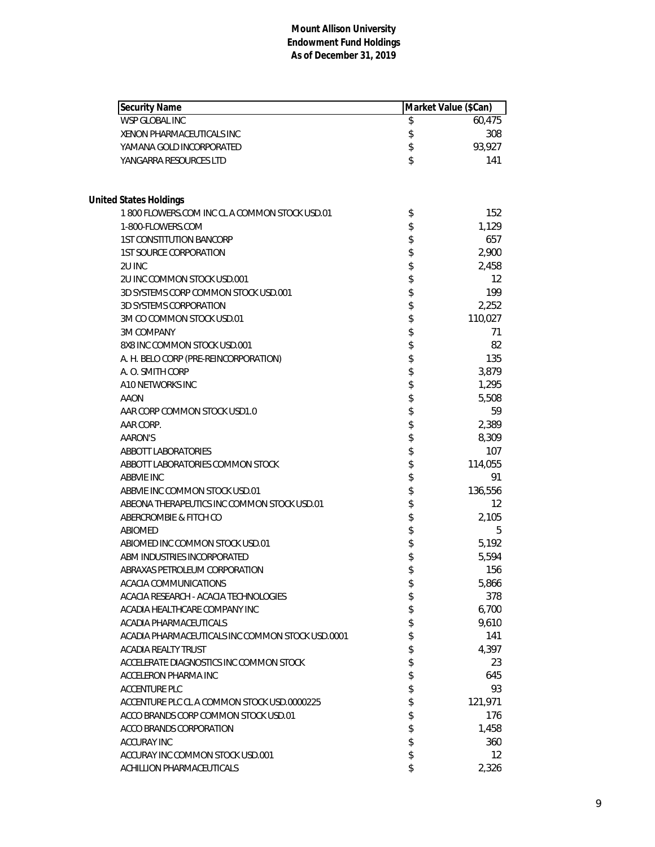| <b>Security Name</b>                             | Market Value (\$Can) |                   |
|--------------------------------------------------|----------------------|-------------------|
| <b>WSP GLOBAL INC</b>                            | \$                   | 60,475            |
| XENON PHARMACEUTICALS INC                        | \$                   | 308               |
| YAMANA GOLD INCORPORATED                         | \$                   | 93,927            |
| YANGARRA RESOURCES LTD                           | \$                   | 141               |
| <b>United States Holdings</b>                    |                      |                   |
| 1800 FLOWERS.COM INC CLA COMMON STOCK USD.01     | \$                   | 152               |
| 1-800-FLOWERS.COM                                | \$                   | 1,129             |
| <b>1ST CONSTITUTION BANCORP</b>                  | \$                   | 657               |
| <b>1ST SOURCE CORPORATION</b>                    | \$                   | 2,900             |
| 2U INC                                           | \$                   | 2,458             |
| 2U INC COMMON STOCK USD.001                      | \$                   | $12 \overline{ }$ |
| 3D SYSTEMS CORP COMMON STOCK USD.001             | \$                   | 199               |
| <b>3D SYSTEMS CORPORATION</b>                    | \$                   | 2,252             |
| 3M CO COMMON STOCK USD.01                        | \$                   | 110,027           |
| <b>3M COMPANY</b>                                | \$                   | 71                |
| 8X8 INC COMMON STOCK USD.001                     | \$                   | 82                |
| A. H. BELO CORP (PRE-REINCORPORATION)            | \$                   | 135               |
| A. O. SMITH CORP                                 | \$                   | 3,879             |
| A10 NETWORKS INC                                 | \$                   | 1,295             |
| AAON                                             | \$                   | 5,508             |
| AAR CORP COMMON STOCK USD1.0                     | \$                   | 59                |
| AAR CORP.                                        | \$                   | 2,389             |
| AARON'S                                          | \$                   | 8,309             |
| <b>ABBOTT LABORATORIES</b>                       | \$                   | 107               |
| ABBOTT LABORATORIES COMMON STOCK                 | \$                   | 114,055           |
| <b>ABBVIE INC</b>                                | \$                   | 91                |
| ABBVIE INC COMMON STOCK USD.01                   | \$                   | 136,556           |
| ABEONA THERAPEUTICS INC COMMON STOCK USD.01      | \$                   | 12                |
| ABERCROMBIE & FITCH CO                           | \$                   | 2,105             |
| ABIOMED                                          | \$                   | 5                 |
| ABIOMED INC COMMON STOCK USD.01                  | \$                   | 5,192             |
| ABM INDUSTRIES INCORPORATED                      | \$                   | 5,594             |
| ABRAXAS PETROLEUM CORPORATION                    | \$                   | 156               |
| <b>ACACIA COMMUNICATIONS</b>                     | \$                   | 5,866             |
| ACACIA RESEARCH - ACACIA TECHNOLOGIES            | \$                   | 378               |
| ACADIA HEALTHCARE COMPANY INC                    | \$                   | 6,700             |
| ACADIA PHARMACEUTICALS                           | \$                   | 9,610             |
| ACADIA PHARMACEUTICALS INC COMMON STOCK USD.0001 | \$                   | 141               |
| ACADIA REALTY TRUST                              | \$                   | 4,397             |
| ACCELERATE DIAGNOSTICS INC COMMON STOCK          | \$                   | 23                |
| ACCELERON PHARMA INC                             | \$                   | 645               |
| <b>ACCENTURE PLC</b>                             | \$                   | 93                |
| ACCENTURE PLC CL A COMMON STOCK USD.0000225      | \$                   | 121,971           |
| ACCO BRANDS CORP COMMON STOCK USD.01             | \$                   | 176               |
| ACCO BRANDS CORPORATION                          | \$                   | 1,458             |
| ACCURAY INC                                      | \$                   | 360               |
| ACCURAY INC COMMON STOCK USD.001                 | \$                   | 12                |
| ACHILLION PHARMACEUTICALS                        | \$                   | 2,326             |
|                                                  |                      |                   |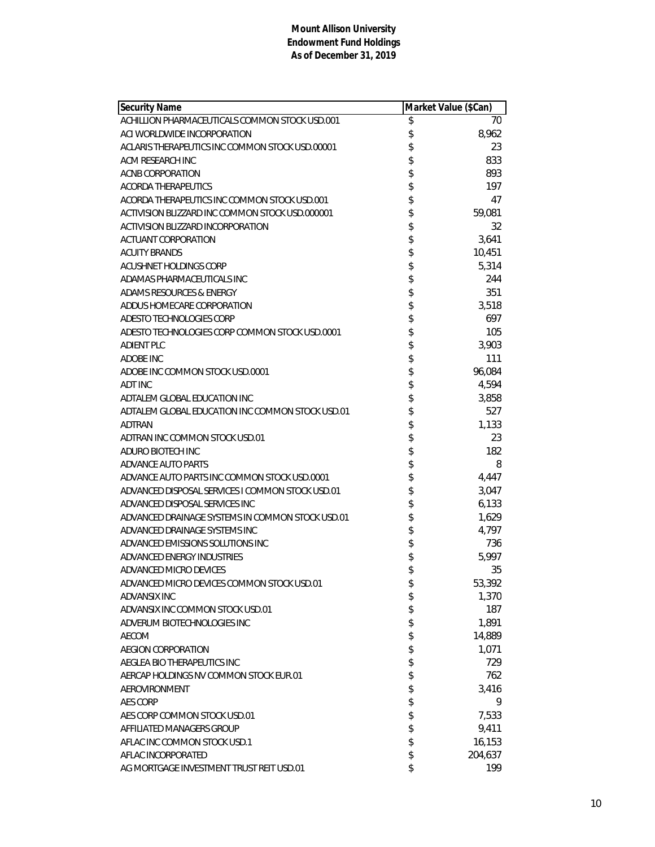| Security Name                                    | Market Value (\$Can) |         |
|--------------------------------------------------|----------------------|---------|
| ACHILLION PHARMACEUTICALS COMMON STOCK USD.001   | \$                   | 70      |
| ACI WORLDWIDE INCORPORATION                      | \$                   | 8,962   |
| ACLARIS THERAPEUTICS INC COMMON STOCK USD.00001  | \$                   | 23      |
| ACM RESEARCH INC                                 | \$                   | 833     |
| ACNB CORPORATION                                 | \$                   | 893     |
| <b>ACORDA THERAPEUTICS</b>                       | \$                   | 197     |
| ACORDA THERAPEUTICS INC COMMON STOCK USD.001     | \$                   | 47      |
| ACTIVISION BLIZZARD INC COMMON STOCK USD.000001  | \$                   | 59,081  |
| ACTIVISION BLIZZARD INCORPORATION                | \$                   | 32      |
| <b>ACTUANT CORPORATION</b>                       | \$                   | 3,641   |
| <b>ACUITY BRANDS</b>                             | \$                   | 10,451  |
| ACUSHNET HOLDINGS CORP                           | \$                   | 5,314   |
| ADAMAS PHARMACEUTICALS INC                       | \$                   | 244     |
| ADAMS RESOURCES & ENERGY                         | \$                   | 351     |
| ADDUS HOMECARE CORPORATION                       | \$                   | 3,518   |
| ADESTO TECHNOLOGIES CORP                         | \$                   | 697     |
| ADESTO TECHNOLOGIES CORP COMMON STOCK USD.0001   | \$                   | 105     |
| <b>ADIENT PLC</b>                                | \$                   | 3,903   |
| <b>ADOBE INC</b>                                 | \$                   | 111     |
| ADOBE INC COMMON STOCK USD.0001                  | \$                   | 96,084  |
| ADT INC                                          | \$                   | 4,594   |
| ADTALEM GLOBAL EDUCATION INC                     | \$                   | 3,858   |
| ADTALEM GLOBAL EDUCATION INC COMMON STOCK USD.01 | \$                   | 527     |
| ADTRAN                                           | \$                   | 1,133   |
| ADTRAN INC COMMON STOCK USD.01                   | \$                   | 23      |
| ADURO BIOTECH INC                                | \$                   | 182     |
| <b>ADVANCE AUTO PARTS</b>                        | \$                   | 8       |
| ADVANCE AUTO PARTS INC COMMON STOCK USD.0001     | \$                   | 4,447   |
| ADVANCED DISPOSAL SERVICES I COMMON STOCK USD.01 | \$                   | 3,047   |
| ADVANCED DISPOSAL SERVICES INC                   | \$                   | 6,133   |
| ADVANCED DRAINAGE SYSTEMS IN COMMON STOCK USD.01 | \$                   | 1,629   |
| ADVANCED DRAINAGE SYSTEMS INC                    | \$                   | 4,797   |
| ADVANCED EMISSIONS SOLUTIONS INC                 | \$                   | 736     |
| ADVANCED ENERGY INDUSTRIES                       | \$                   | 5,997   |
| ADVANCED MICRO DEVICES                           | \$                   | 35      |
| ADVANCED MICRO DEVICES COMMON STOCK USD.01       | \$                   | 53,392  |
| ADVANSIX INC                                     | \$                   | 1,370   |
| ADVANSIX INC COMMON STOCK USD.01                 | \$                   | 187     |
| ADVERUM BIOTECHNOLOGIES INC                      | \$                   | 1,891   |
| AECOM                                            | \$                   | 14,889  |
| AEGION CORPORATION                               | \$                   | 1,071   |
| AEGLEA BIO THERAPEUTICS INC                      | \$                   | 729     |
| AERCAP HOLDINGS NV COMMON STOCK EUR.01           | \$                   | 762     |
| AEROVIRONMENT                                    | \$                   | 3,416   |
| <b>AES CORP</b>                                  | \$                   | 9       |
| AES CORP COMMON STOCK USD.01                     | \$                   | 7,533   |
| AFFILIATED MANAGERS GROUP                        | \$                   | 9,411   |
| AFLAC INC COMMON STOCK USD.1                     | \$                   | 16,153  |
| AFLAC INCORPORATED                               | \$                   | 204,637 |
| AG MORTGAGE INVESTMENT TRUST REIT USD.01         | \$                   | 199     |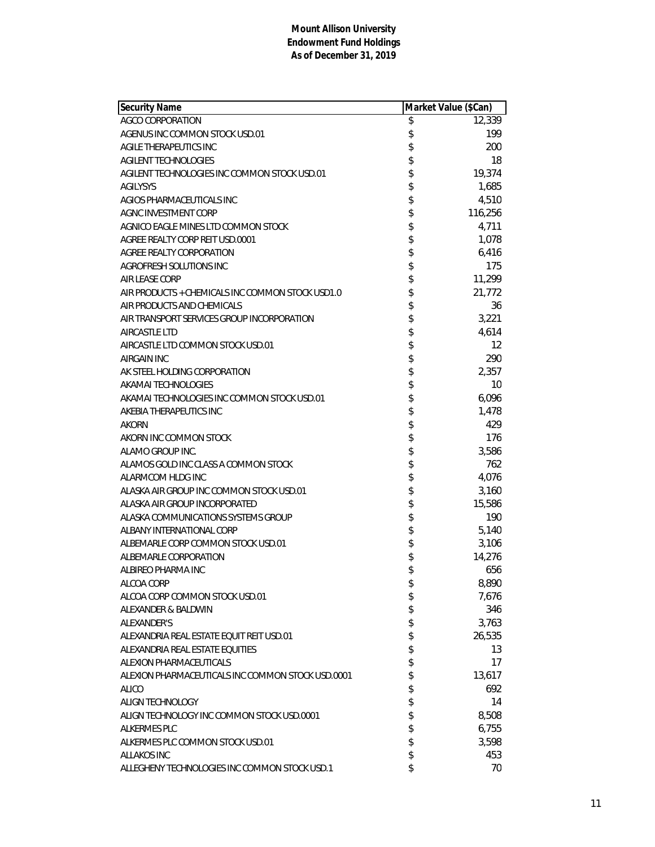| <b>Security Name</b>                              | Market Value (\$Can) |         |
|---------------------------------------------------|----------------------|---------|
| AGCO CORPORATION                                  | \$                   | 12,339  |
| AGENUS INC COMMON STOCK USD.01                    | \$                   | 199     |
| AGILE THERAPEUTICS INC                            | \$                   | 200     |
| AGILENT TECHNOLOGIES                              | \$                   | 18      |
| AGILENT TECHNOLOGIES INC COMMON STOCK USD.01      | \$                   | 19,374  |
| <b>AGILYSYS</b>                                   | \$                   | 1,685   |
| AGIOS PHARMACEUTICALS INC                         | \$                   | 4,510   |
| AGNC INVESTMENT CORP                              | \$                   | 116,256 |
| AGNICO EAGLE MINES LTD COMMON STOCK               | \$                   | 4,711   |
| AGREE REALTY CORP REIT USD.0001                   | \$                   | 1,078   |
| AGREE REALTY CORPORATION                          | \$                   | 6,416   |
| AGROFRESH SOLUTIONS INC                           | \$                   | 175     |
| <b>AIR LEASE CORP</b>                             |                      | 11,299  |
| AIR PRODUCTS + CHEMICALS INC COMMON STOCK USD1.0  | \$<br>\$             | 21,772  |
| AIR PRODUCTS AND CHEMICALS                        |                      | 36      |
| AIR TRANSPORT SERVICES GROUP INCORPORATION        | \$                   | 3,221   |
| <b>AIRCASTLE LTD</b>                              | \$                   | 4,614   |
| AIRCASTLE LTD COMMON STOCK USD.01                 | \$                   | 12      |
| <b>AIRGAIN INC</b>                                | \$                   | 290     |
| AK STEEL HOLDING CORPORATION                      | \$                   | 2,357   |
| AKAMAI TECHNOLOGIES                               |                      | 10      |
| AKAMAI TECHNOLOGIES INC COMMON STOCK USD.01       | \$                   | 6,096   |
| AKEBIA THERAPEUTICS INC                           | \$                   | 1,478   |
| <b>AKORN</b>                                      | \$                   | 429     |
| AKORN INC COMMON STOCK                            | \$                   | 176     |
| ALAMO GROUP INC.                                  | \$                   | 3,586   |
| ALAMOS GOLD INC CLASS A COMMON STOCK              | \$                   | 762     |
| ALARMCOM HLDG INC                                 | \$                   | 4,076   |
| ALASKA AIR GROUP INC COMMON STOCK USD.01          |                      | 3,160   |
| ALASKA AIR GROUP INCORPORATED                     | \$\$\$\$             | 15,586  |
| ALASKA COMMUNICATIONS SYSTEMS GROUP               |                      | 190     |
| ALBANY INTERNATIONAL CORP                         |                      | 5,140   |
| ALBEMARLE CORP COMMON STOCK USD.01                | \$                   | 3,106   |
| ALBEMARLE CORPORATION                             | \$                   | 14,276  |
| ALBIREO PHARMA INC                                | \$                   | 656     |
| ALCOA CORP                                        | \$                   | 8,890   |
| ALCOA CORP COMMON STOCK USD.01                    | \$                   | 7,676   |
| ALEXANDER & BALDWIN                               | \$                   | 346     |
| ALEXANDER'S                                       | \$                   | 3,763   |
| ALEXANDRIA REAL ESTATE EQUIT REIT USD.01          | \$                   | 26,535  |
| ALEXANDRIA REAL ESTATE EQUITIES                   | \$                   | 13      |
| ALEXION PHARMACEUTICALS                           | \$                   | 17      |
| ALEXION PHARMACEUTICALS INC COMMON STOCK USD.0001 | \$                   | 13,617  |
| <b>ALICO</b>                                      | \$                   | 692     |
| ALIGN TECHNOLOGY                                  | \$                   | 14      |
| ALIGN TECHNOLOGY INC COMMON STOCK USD.0001        | \$                   | 8,508   |
| <b>ALKERMES PLC</b>                               | \$                   | 6,755   |
| ALKERMES PLC COMMON STOCK USD.01                  | \$                   | 3,598   |
| <b>ALLAKOS INC</b>                                | \$                   | 453     |
| ALLEGHENY TECHNOLOGIES INC COMMON STOCK USD.1     | \$                   | 70      |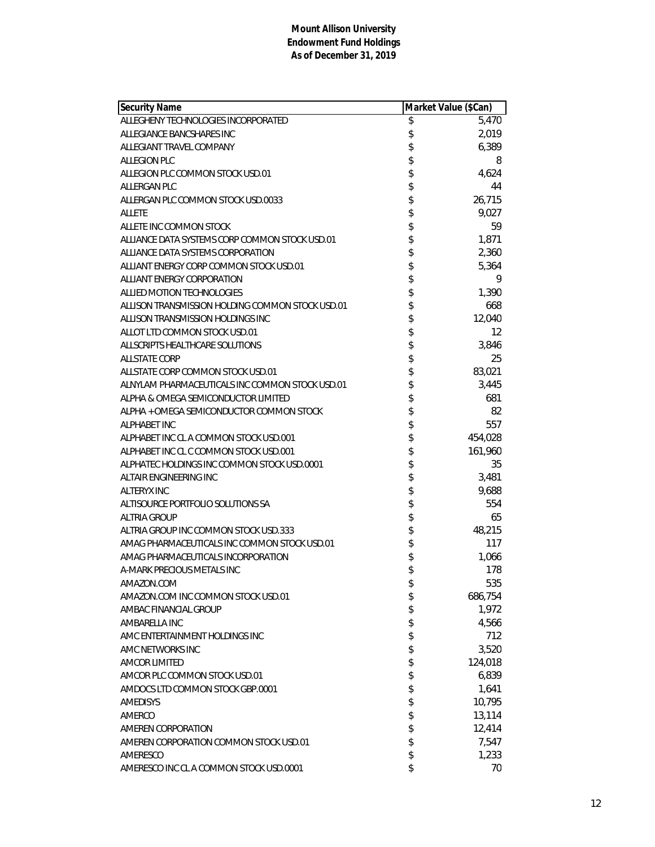| <b>Security Name</b>                             | Market Value (\$Can) |         |
|--------------------------------------------------|----------------------|---------|
| ALLEGHENY TECHNOLOGIES INCORPORATED              | \$                   | 5,470   |
| ALLEGIANCE BANCSHARES INC                        | \$                   | 2,019   |
| ALLEGIANT TRAVEL COMPANY                         | \$                   | 6,389   |
| ALLEGION PLC                                     | \$                   | 8       |
| ALLEGION PLC COMMON STOCK USD.01                 | \$                   | 4,624   |
| ALLERGAN PLC                                     | \$                   | 44      |
| ALLERGAN PLC COMMON STOCK USD.0033               | \$                   | 26,715  |
| <b>ALLETE</b>                                    | \$                   | 9,027   |
| ALLETE INC COMMON STOCK                          | \$                   | 59      |
| ALLIANCE DATA SYSTEMS CORP COMMON STOCK USD.01   | \$                   | 1,871   |
| ALLIANCE DATA SYSTEMS CORPORATION                | \$                   | 2,360   |
| ALLIANT ENERGY CORP COMMON STOCK USD.01          | \$                   | 5,364   |
| ALLIANT ENERGY CORPORATION                       | \$                   | 9       |
| <b>ALLIED MOTION TECHNOLOGIES</b>                | \$                   | 1,390   |
| ALLISON TRANSMISSION HOLDING COMMON STOCK USD.01 | \$                   | 668     |
| ALLISON TRANSMISSION HOLDINGS INC                | \$                   | 12,040  |
| ALLOT LTD COMMON STOCK USD.01                    | \$                   | 12      |
| ALLSCRIPTS HEALTHCARE SOLUTIONS                  | \$                   | 3,846   |
| <b>ALLSTATE CORP</b>                             | \$                   | 25      |
| ALLSTATE CORP COMMON STOCK USD.01                | \$                   | 83,021  |
| ALNYLAM PHARMACEUTICALS INC COMMON STOCK USD.01  | \$                   | 3,445   |
| ALPHA & OMEGA SEMICONDUCTOR LIMITED              | \$                   | 681     |
| ALPHA + OMEGA SEMICONDUCTOR COMMON STOCK         | \$                   | 82      |
| <b>ALPHABET INC</b>                              | \$                   | 557     |
| ALPHABET INC CL A COMMON STOCK USD.001           | \$                   | 454,028 |
| ALPHABET INC CL C COMMON STOCK USD.001           | \$                   | 161,960 |
| ALPHATEC HOLDINGS INC COMMON STOCK USD.0001      | \$                   | 35      |
| ALTAIR ENGINEERING INC                           | \$                   | 3,481   |
| <b>ALTERYX INC</b>                               | \$                   | 9,688   |
| ALTISOURCE PORTFOLIO SOLUTIONS SA                | \$                   | 554     |
| <b>ALTRIA GROUP</b>                              | \$                   | 65      |
| ALTRIA GROUP INC COMMON STOCK USD.333            | \$                   | 48,215  |
| AMAG PHARMACEUTICALS INC COMMON STOCK USD.01     | \$                   | 117     |
| AMAG PHARMACEUTICALS INCORPORATION               |                      | 1,066   |
| A-MARK PRECIOUS METALS INC                       |                      | 178     |
| AMAZON.COM                                       | \$                   | 535     |
| AMAZON.COM INC COMMON STOCK USD.01               | \$                   | 686,754 |
| AMBAC FINANCIAL GROUP                            | \$                   | 1,972   |
| AMBARELLA INC                                    | \$                   | 4,566   |
| AMC ENTERTAINMENT HOLDINGS INC                   | \$                   | 712     |
| AMC NETWORKS INC                                 | \$                   | 3,520   |
| <b>AMCOR LIMITED</b>                             | \$                   | 124,018 |
| AMCOR PLC COMMON STOCK USD.01                    | \$                   | 6,839   |
| AMDOCS LTD COMMON STOCK GBP.0001                 | \$                   | 1,641   |
| <b>AMEDISYS</b>                                  | \$                   | 10,795  |
| AMERCO                                           | \$                   | 13,114  |
| AMEREN CORPORATION                               | \$                   | 12,414  |
| AMEREN CORPORATION COMMON STOCK USD.01           | \$                   | 7,547   |
| AMERESCO                                         | \$                   | 1,233   |
| AMERESCO INC CL A COMMON STOCK USD.0001          | \$                   | 70      |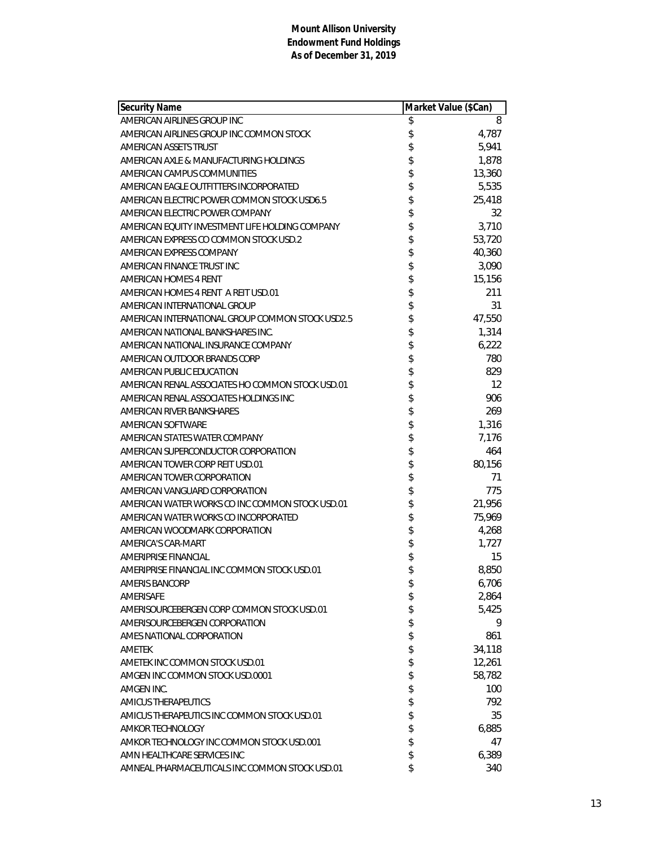| <b>Security Name</b>                             | Market Value (\$Can) |        |
|--------------------------------------------------|----------------------|--------|
| AMERICAN AIRLINES GROUP INC                      | \$                   | 8      |
| AMERICAN AIRLINES GROUP INC COMMON STOCK         | \$                   | 4,787  |
| AMERICAN ASSETS TRUST                            | \$                   | 5,941  |
| AMERICAN AXLE & MANUFACTURING HOLDINGS           | \$                   | 1,878  |
| AMERICAN CAMPUS COMMUNITIES                      | \$                   | 13,360 |
| AMERICAN EAGLE OUTFITTERS INCORPORATED           | \$                   | 5,535  |
| AMERICAN ELECTRIC POWER COMMON STOCK USD6.5      | \$                   | 25,418 |
| AMERICAN ELECTRIC POWER COMPANY                  | \$                   | 32     |
| AMERICAN EQUITY INVESTMENT LIFE HOLDING COMPANY  | \$                   | 3,710  |
| AMERICAN EXPRESS CO COMMON STOCK USD.2           | \$                   | 53,720 |
| AMERICAN EXPRESS COMPANY                         | \$                   | 40,360 |
| AMERICAN FINANCE TRUST INC                       |                      | 3,090  |
| AMERICAN HOMES 4 RENT                            | \$\$\$               | 15,156 |
| AMERICAN HOMES 4 RENT A REIT USD.01              |                      | 211    |
| AMERICAN INTERNATIONAL GROUP                     | \$                   | 31     |
| AMERICAN INTERNATIONAL GROUP COMMON STOCK USD2.5 | \$                   | 47,550 |
| AMERICAN NATIONAL BANKSHARES INC.                | \$                   | 1,314  |
| AMERICAN NATIONAL INSURANCE COMPANY              |                      | 6,222  |
| AMERICAN OUTDOOR BRANDS CORP                     | \$                   | 780    |
| AMERICAN PUBLIC EDUCATION                        |                      | 829    |
| AMERICAN RENAL ASSOCIATES HO COMMON STOCK USD.01 | \$                   | 12     |
| AMERICAN RENAL ASSOCIATES HOLDINGS INC           | \$                   | 906    |
| AMERICAN RIVER BANKSHARES                        | \$                   | 269    |
| AMERICAN SOFTWARE                                | \$                   | 1,316  |
| AMERICAN STATES WATER COMPANY                    | \$                   | 7,176  |
| AMERICAN SUPERCONDUCTOR CORPORATION              | \$                   | 464    |
| AMERICAN TOWER CORP REIT USD.01                  | \$                   | 80,156 |
| AMERICAN TOWER CORPORATION                       | \$                   | 71     |
| AMERICAN VANGUARD CORPORATION                    | \$                   | 775    |
| AMERICAN WATER WORKS CO INC COMMON STOCK USD.01  | \$                   | 21,956 |
| AMERICAN WATER WORKS CO INCORPORATED             | \$                   | 75,969 |
| AMERICAN WOODMARK CORPORATION                    | \$                   | 4,268  |
| AMERICA'S CAR-MART                               | \$                   | 1,727  |
| <b>AMERIPRISE FINANCIAL</b>                      | \$                   | 15     |
| AMERIPRISE FINANCIAL INC COMMON STOCK USD.01     | \$                   | 8,850  |
| <b>AMERIS BANCORP</b>                            | \$                   | 6,706  |
| AMERISAFE                                        | \$                   | 2,864  |
| AMERISOURCEBERGEN CORP COMMON STOCK USD.01       | \$                   | 5,425  |
| AMERISOURCEBERGEN CORPORATION                    | \$                   | 9      |
| AMES NATIONAL CORPORATION                        | \$                   | 861    |
| <b>AMETEK</b>                                    | \$                   | 34,118 |
| AMETEK INC COMMON STOCK USD.01                   | \$                   | 12,261 |
| AMGEN INC COMMON STOCK USD.0001                  | \$                   | 58,782 |
| AMGEN INC.                                       | \$                   | 100    |
| AMICUS THERAPEUTICS                              | \$                   | 792    |
| AMICUS THERAPEUTICS INC COMMON STOCK USD.01      | \$                   | 35     |
| <b>AMKOR TECHNOLOGY</b>                          | \$                   | 6,885  |
| AMKOR TECHNOLOGY INC COMMON STOCK USD.001        | \$                   | 47     |
| AMN HEALTHCARE SERVICES INC                      | \$                   | 6,389  |
| AMNEAL PHARMACEUTICALS INC COMMON STOCK USD.01   | \$                   | 340    |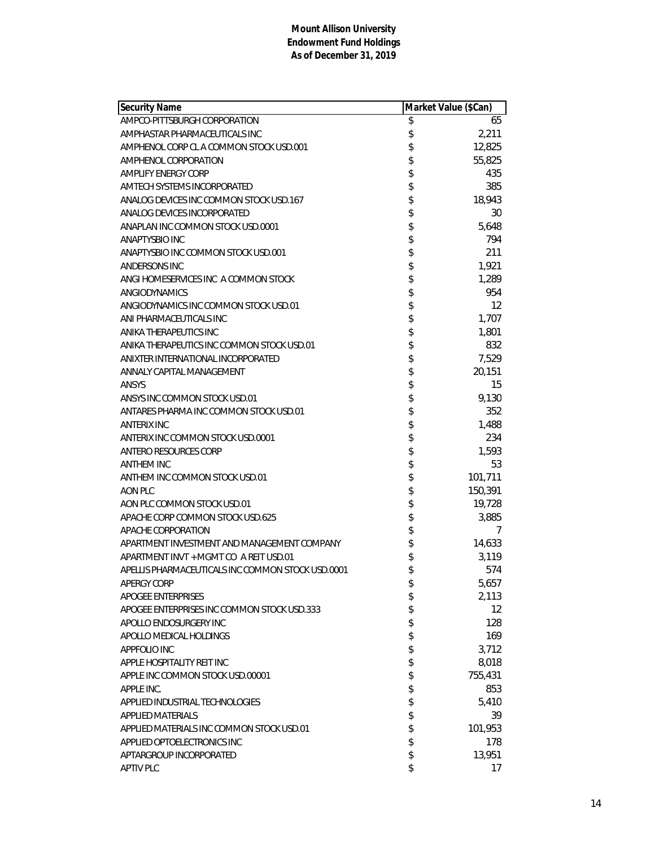| <b>Security Name</b>                              | Market Value (\$Can) |         |
|---------------------------------------------------|----------------------|---------|
| AMPCO-PITTSBURGH CORPORATION                      | \$                   | 65      |
| AMPHASTAR PHARMACEUTICALS INC                     | \$                   | 2,211   |
| AMPHENOL CORP CL A COMMON STOCK USD.001           | \$                   | 12,825  |
| AMPHENOL CORPORATION                              | \$                   | 55,825  |
| AMPLIFY ENERGY CORP                               | \$                   | 435     |
| AMTECH SYSTEMS INCORPORATED                       | \$                   | 385     |
| ANALOG DEVICES INC COMMON STOCK USD.167           | \$                   | 18,943  |
| ANALOG DEVICES INCORPORATED                       | \$                   | 30      |
| ANAPLAN INC COMMON STOCK USD.0001                 | \$                   | 5,648   |
| ANAPTYSBIO INC                                    | \$                   | 794     |
| ANAPTYSBIO INC COMMON STOCK USD.001               | \$                   | 211     |
| ANDERSONS INC                                     | \$\$                 | 1,921   |
| ANGI HOMESERVICES INC A COMMON STOCK              |                      | 1,289   |
| ANGIODYNAMICS                                     |                      | 954     |
| ANGIODYNAMICS INC COMMON STOCK USD.01             | \$                   | 12      |
| ANI PHARMACEUTICALS INC                           | \$                   | 1,707   |
| ANIKA THERAPEUTICS INC                            |                      | 1,801   |
| ANIKA THERAPEUTICS INC COMMON STOCK USD.01        |                      | 832     |
| ANIXTER INTERNATIONAL INCORPORATED                |                      | 7,529   |
| ANNALY CAPITAL MANAGEMENT                         | \$\$\$\$\$           | 20,151  |
| <b>ANSYS</b>                                      |                      | 15      |
| ANSYS INC COMMON STOCK USD.01                     | \$                   | 9,130   |
| ANTARES PHARMA INC COMMON STOCK USD.01            | \$                   | 352     |
| <b>ANTERIX INC</b>                                | \$                   | 1,488   |
| ANTERIX INC COMMON STOCK USD.0001                 | \$                   | 234     |
| ANTERO RESOURCES CORP                             | \$                   | 1,593   |
| <b>ANTHEM INC</b>                                 | \$                   | 53      |
| ANTHEM INC COMMON STOCK USD.01                    |                      | 101,711 |
| AON PLC                                           |                      | 150,391 |
| AON PLC COMMON STOCK USD.01                       | \$\$\$\$\$           | 19,728  |
| APACHE CORP COMMON STOCK USD.625                  |                      | 3,885   |
| APACHE CORPORATION                                |                      | 7       |
| APARTMENT INVESTMENT AND MANAGEMENT COMPANY       | \$                   | 14,633  |
| APARTMENT INVT + MGMT CO A REIT USD.01            | \$                   | 3,119   |
| APELLIS PHARMACEUTICALS INC COMMON STOCK USD.0001 | \$                   | 574     |
| <b>APERGY CORP</b>                                | \$                   | 5,657   |
| <b>APOGEE ENTERPRISES</b>                         | \$                   | 2,113   |
| APOGEE ENTERPRISES INC COMMON STOCK USD.333       | \$                   | 12      |
| APOLLO ENDOSURGERY INC                            | \$                   | 128     |
| APOLLO MEDICAL HOLDINGS                           | \$                   | 169     |
| APPFOLIO INC                                      | \$                   | 3,712   |
| APPLE HOSPITALITY REIT INC                        | \$                   | 8,018   |
| APPLE INC COMMON STOCK USD.00001                  | \$                   | 755,431 |
| APPLE INC.                                        | \$                   | 853     |
| APPLIED INDUSTRIAL TECHNOLOGIES                   | \$                   | 5,410   |
| <b>APPLIED MATERIALS</b>                          | \$                   | 39      |
| APPLIED MATERIALS INC COMMON STOCK USD.01         | \$                   | 101,953 |
| APPLIED OPTOELECTRONICS INC                       | \$                   | 178     |
| APTARGROUP INCORPORATED                           | \$                   | 13,951  |
| <b>APTIV PLC</b>                                  | \$                   | 17      |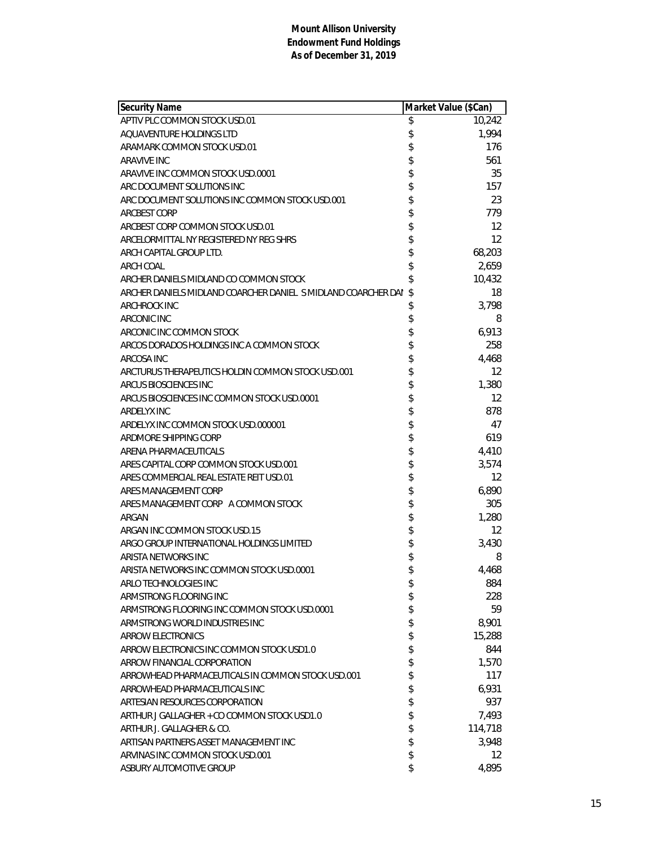| <b>Security Name</b>                                          | Market Value (\$Can) |
|---------------------------------------------------------------|----------------------|
| APTIV PLC COMMON STOCK USD.01                                 | \$<br>10,242         |
| AQUAVENTURE HOLDINGS LTD                                      | \$<br>1,994          |
| ARAMARK COMMON STOCK USD.01                                   | \$<br>176            |
| ARAVIVE INC                                                   | \$<br>561            |
| ARAVIVE INC COMMON STOCK USD.0001                             | \$<br>35             |
| ARC DOCUMENT SOLUTIONS INC                                    | \$<br>157            |
| ARC DOCUMENT SOLUTIONS INC COMMON STOCK USD.001               | \$<br>23             |
| <b>ARCBEST CORP</b>                                           | \$<br>779            |
| ARCBEST CORP COMMON STOCK USD.01                              | \$<br>12             |
| ARCELORMITTAL NY REGISTERED NY REG SHRS                       | \$<br>12             |
| ARCH CAPITAL GROUP LTD.                                       | \$<br>68,203         |
| <b>ARCH COAL</b>                                              | \$<br>2,659          |
| ARCHER DANIELS MIDLAND CO COMMON STOCK                        | \$<br>10,432         |
| ARCHER DANIELS MIDLAND COARCHER DANIEL S MIDLAND COARCHER DAN | \$<br>18             |
| <b>ARCHROCK INC</b>                                           | \$<br>3,798          |
| <b>ARCONIC INC</b>                                            | \$<br>8              |
| ARCONIC INC COMMON STOCK                                      | \$<br>6,913          |
| ARCOS DORADOS HOLDINGS INC A COMMON STOCK                     | \$<br>258            |
| ARCOSA INC                                                    | \$<br>4,468          |
| ARCTURUS THERAPEUTICS HOLDIN COMMON STOCK USD.001             | \$<br>12             |
| ARCUS BIOSCIENCES INC                                         | \$<br>1,380          |
| ARCUS BIOSCIENCES INC COMMON STOCK USD.0001                   | \$<br>12             |
| ARDELYX INC                                                   | \$<br>878            |
| ARDELYX INC COMMON STOCK USD.000001                           | \$<br>47             |
| ARDMORE SHIPPING CORP                                         | \$<br>619            |
| ARENA PHARMACEUTICALS                                         | \$<br>4,410          |
| ARES CAPITAL CORP COMMON STOCK USD.001                        | \$<br>3,574          |
| ARES COMMERCIAL REAL ESTATE REIT USD.01                       | \$<br>12             |
| ARES MANAGEMENT CORP                                          | \$<br>6,890          |
| ARES MANAGEMENT CORP A COMMON STOCK                           | \$<br>305            |
| ARGAN                                                         | \$<br>1,280          |
| ARGAN INC COMMON STOCK USD.15                                 | \$<br>12             |
| ARGO GROUP INTERNATIONAL HOLDINGS LIMITED                     | \$<br>3,430          |
| ARISTA NETWORKS INC                                           | \$<br>8              |
| ARISTA NETWORKS INC COMMON STOCK USD.0001                     | \$<br>4,468          |
| ARLO TECHNOLOGIES INC                                         | \$<br>884            |
| ARMSTRONG FLOORING INC                                        | \$<br>228            |
| ARMSTRONG FLOORING INC COMMON STOCK USD.0001                  | \$<br>59             |
| ARMSTRONG WORLD INDUSTRIES INC                                | \$<br>8,901          |
| <b>ARROW ELECTRONICS</b>                                      | \$<br>15,288         |
| ARROW ELECTRONICS INC COMMON STOCK USD1.0                     | \$<br>844            |
| ARROW FINANCIAL CORPORATION                                   | \$<br>1,570          |
| ARROWHEAD PHARMACEUTICALS IN COMMON STOCK USD.001             | \$<br>117            |
| ARROWHEAD PHARMACEUTICALS INC                                 | \$<br>6,931          |
| ARTESIAN RESOURCES CORPORATION                                | \$<br>937            |
| ARTHUR J GALLAGHER + CO COMMON STOCK USD1.0                   | \$<br>7,493          |
| ARTHUR J. GALLAGHER & CO.                                     | \$<br>114,718        |
| ARTISAN PARTNERS ASSET MANAGEMENT INC                         | \$<br>3,948          |
| ARVINAS INC COMMON STOCK USD.001                              | \$<br>12             |
| ASBURY AUTOMOTIVE GROUP                                       | \$<br>4,895          |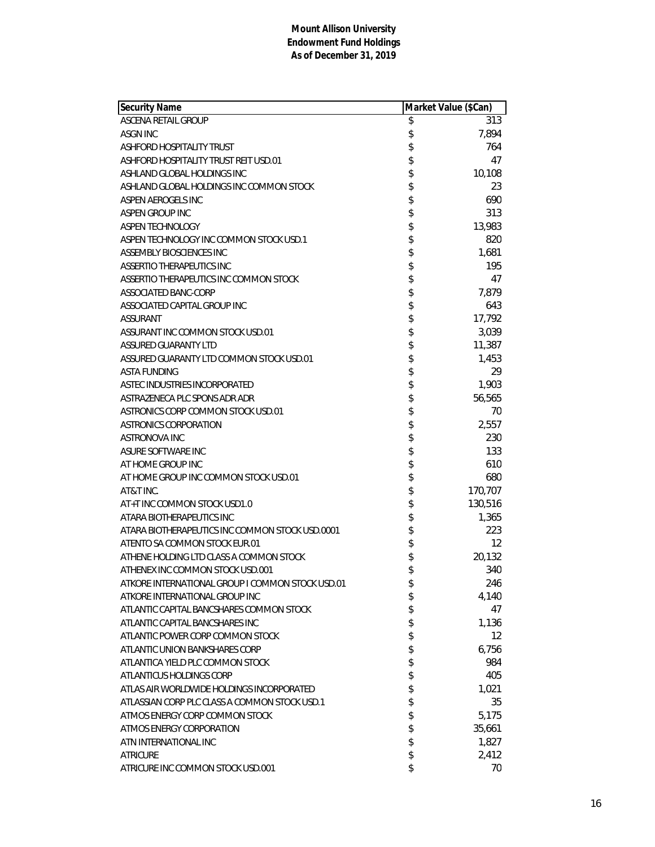| Security Name                                    | Market Value (\$Can) |         |
|--------------------------------------------------|----------------------|---------|
| ASCENA RETAIL GROUP                              | \$                   | 313     |
| <b>ASGN INC</b>                                  | \$                   | 7,894   |
| <b>ASHFORD HOSPITALITY TRUST</b>                 | \$                   | 764     |
| ASHFORD HOSPITALITY TRUST REIT USD.01            |                      | 47      |
| ASHLAND GLOBAL HOLDINGS INC                      |                      | 10,108  |
| ASHLAND GLOBAL HOLDINGS INC COMMON STOCK         | \$\$\$\$\$\$\$       | 23      |
| ASPEN AEROGELS INC                               |                      | 690     |
| ASPEN GROUP INC                                  |                      | 313     |
| ASPEN TECHNOLOGY                                 |                      | 13,983  |
| ASPEN TECHNOLOGY INC COMMON STOCK USD.1          |                      | 820     |
| ASSEMBLY BIOSCIENCES INC                         | \$                   | 1,681   |
| ASSERTIO THERAPEUTICS INC                        | \$                   | 195     |
| ASSERTIO THERAPEUTICS INC COMMON STOCK           |                      | 47      |
| ASSOCIATED BANC-CORP                             |                      | 7,879   |
| ASSOCIATED CAPITAL GROUP INC                     |                      | 643     |
| <b>ASSURANT</b>                                  |                      | 17,792  |
| ASSURANT INC COMMON STOCK USD.01                 | \$\$\$\$\$           | 3,039   |
| <b>ASSURED GUARANTY LTD</b>                      | \$                   | 11,387  |
| ASSURED GUARANTY LTD COMMON STOCK USD.01         |                      | 1,453   |
| <b>ASTA FUNDING</b>                              | \$                   | 29      |
| ASTEC INDUSTRIES INCORPORATED                    |                      | 1,903   |
| ASTRAZENECA PLC SPONS ADR ADR                    |                      | 56,565  |
| ASTRONICS CORP COMMON STOCK USD.01               |                      | 70      |
| <b>ASTRONICS CORPORATION</b>                     |                      | 2,557   |
| ASTRONOVA INC                                    |                      | 230     |
| ASURE SOFTWARE INC                               | \$\$\$\$\$\$\$       | 133     |
| AT HOME GROUP INC                                |                      | 610     |
| AT HOME GROUP INC COMMON STOCK USD.01            | \$                   | 680     |
| AT&T INC.                                        |                      | 170,707 |
| AT+T INC COMMON STOCK USD1.0                     |                      | 130,516 |
| ATARA BIOTHERAPEUTICS INC                        |                      | 1,365   |
| ATARA BIOTHERAPEUTICS INC COMMON STOCK USD.0001  | \$\$\$\$             | 223     |
| ATENTO SA COMMON STOCK EUR.01                    |                      | 12      |
| ATHENE HOLDING LTD CLASS A COMMON STOCK          | \$                   | 20,132  |
| ATHENEX INC COMMON STOCK USD.001                 | \$                   | 340     |
| ATKORE INTERNATIONAL GROUP I COMMON STOCK USD.01 | \$                   | 246     |
| ATKORE INTERNATIONAL GROUP INC                   | \$                   | 4,140   |
| ATLANTIC CAPITAL BANCSHARES COMMON STOCK         | \$                   | 47      |
| ATLANTIC CAPITAL BANCSHARES INC                  | \$                   | 1,136   |
| ATLANTIC POWER CORP COMMON STOCK                 | \$                   | 12      |
| ATLANTIC UNION BANKSHARES CORP                   | \$                   | 6,756   |
| ATLANTICA YIELD PLC COMMON STOCK                 | \$                   | 984     |
| ATLANTICUS HOLDINGS CORP                         | \$                   | 405     |
| ATLAS AIR WORLDWIDE HOLDINGS INCORPORATED        | \$                   | 1,021   |
| ATLASSIAN CORP PLC CLASS A COMMON STOCK USD.1    | \$                   | 35      |
| ATMOS ENERGY CORP COMMON STOCK                   | \$                   | 5,175   |
| ATMOS ENERGY CORPORATION                         | \$                   | 35,661  |
| ATN INTERNATIONAL INC                            | \$                   | 1,827   |
| <b>ATRICURE</b>                                  | \$                   | 2,412   |
| ATRICURE INC COMMON STOCK USD.001                | \$                   | 70      |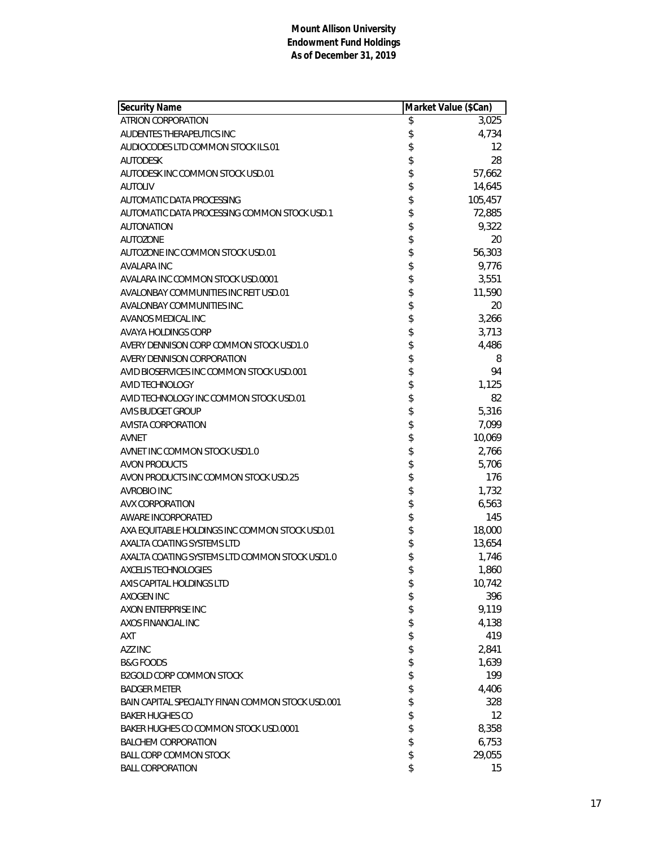| <b>Security Name</b>                              | Market Value (\$Can) |         |
|---------------------------------------------------|----------------------|---------|
| ATRION CORPORATION                                | \$                   | 3,025   |
| AUDENTES THERAPEUTICS INC                         | \$                   | 4,734   |
| AUDIOCODES LTD COMMON STOCK ILS.01                | \$                   | 12      |
| <b>AUTODESK</b>                                   | \$                   | 28      |
| AUTODESK INC COMMON STOCK USD.01                  | \$                   | 57,662  |
| <b>AUTOLIV</b>                                    | \$                   | 14,645  |
| AUTOMATIC DATA PROCESSING                         | \$                   | 105,457 |
| AUTOMATIC DATA PROCESSING COMMON STOCK USD.1      | \$                   | 72,885  |
| <b>AUTONATION</b>                                 | \$                   | 9,322   |
| <b>AUTOZONE</b>                                   | \$                   | 20      |
| AUTOZONE INC COMMON STOCK USD.01                  | \$                   | 56,303  |
| AVALARA INC                                       | \$                   | 9,776   |
| AVALARA INC COMMON STOCK USD.0001                 | \$                   | 3,551   |
| AVALONBAY COMMUNITIES INC REIT USD.01             | \$                   | 11,590  |
| AVALONBAY COMMUNITIES INC.                        | \$                   | 20      |
| <b>AVANOS MEDICAL INC</b>                         | \$                   | 3,266   |
| <b>AVAYA HOLDINGS CORP</b>                        | \$                   | 3,713   |
| AVERY DENNISON CORP COMMON STOCK USD1.0           | \$                   | 4,486   |
| AVERY DENNISON CORPORATION                        | \$                   | 8       |
| AVID BIOSERVICES INC COMMON STOCK USD.001         | \$                   | 94      |
| <b>AVID TECHNOLOGY</b>                            | \$                   | 1,125   |
| AVID TECHNOLOGY INC COMMON STOCK USD.01           | \$                   | 82      |
| <b>AVIS BUDGET GROUP</b>                          | \$                   | 5,316   |
| AVISTA CORPORATION                                | \$                   | 7,099   |
| AVNET                                             | \$                   | 10,069  |
| AVNET INC COMMON STOCK USD1.0                     | \$                   | 2,766   |
| <b>AVON PRODUCTS</b>                              | \$                   | 5,706   |
| AVON PRODUCTS INC COMMON STOCK USD.25             | \$                   | 176     |
| <b>AVROBIO INC</b>                                | \$                   | 1,732   |
| <b>AVX CORPORATION</b>                            | \$                   | 6,563   |
| <b>AWARE INCORPORATED</b>                         | \$                   | 145     |
| AXA EQUITABLE HOLDINGS INC COMMON STOCK USD.01    | \$                   | 18,000  |
| AXALTA COATING SYSTEMS LTD                        | \$                   | 13,654  |
| AXALTA COATING SYSTEMS LTD COMMON STOCK USD1.0    | \$                   | 1,746   |
| <b>AXCELIS TECHNOLOGIES</b>                       | \$                   | 1,860   |
| AXIS CAPITAL HOLDINGS LTD                         | \$                   | 10,742  |
| AXOGEN INC                                        | \$                   | 396     |
| AXON ENTERPRISE INC                               | \$                   | 9,119   |
| AXOS FINANCIAL INC                                | \$                   | 4,138   |
| AXT                                               | \$                   | 419     |
| AZZ INC                                           | \$                   | 2,841   |
| <b>B&amp;G FOODS</b>                              | \$                   | 1,639   |
| <b>B2GOLD CORP COMMON STOCK</b>                   | \$                   | 199     |
| <b>BADGER METER</b>                               | \$                   | 4,406   |
| BAIN CAPITAL SPECIALTY FINAN COMMON STOCK USD.001 | \$                   | 328     |
| <b>BAKER HUGHES CO</b>                            | \$                   | 12      |
| BAKER HUGHES CO COMMON STOCK USD.0001             | \$                   | 8,358   |
| <b>BALCHEM CORPORATION</b>                        | \$                   | 6,753   |
| <b>BALL CORP COMMON STOCK</b>                     | \$                   | 29,055  |
| <b>BALL CORPORATION</b>                           | \$                   | 15      |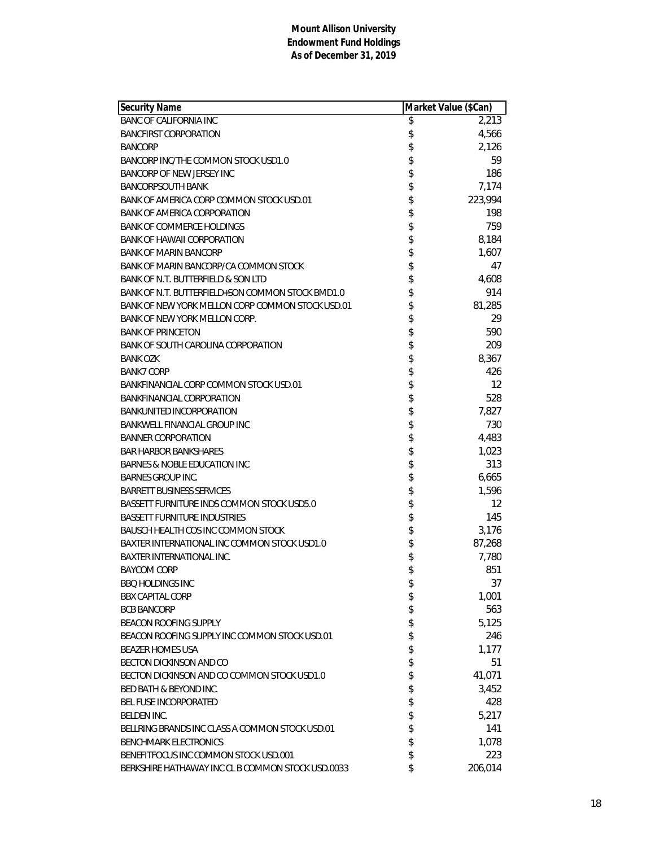| <b>Security Name</b>                              | Market Value (\$Can) |         |
|---------------------------------------------------|----------------------|---------|
| <b>BANC OF CALIFORNIA INC</b>                     | \$                   | 2,213   |
| <b>BANCFIRST CORPORATION</b>                      | \$                   | 4,566   |
| <b>BANCORP</b>                                    | \$                   | 2,126   |
| BANCORP INC/THE COMMON STOCK USD1.0               | \$                   | 59      |
| BANCORP OF NEW JERSEY INC                         | \$                   | 186     |
| <b>BANCORPSOUTH BANK</b>                          | \$                   | 7,174   |
| BANK OF AMERICA CORP COMMON STOCK USD.01          | \$                   | 223,994 |
| <b>BANK OF AMERICA CORPORATION</b>                | \$                   | 198     |
| <b>BANK OF COMMERCE HOLDINGS</b>                  | \$                   | 759     |
| <b>BANK OF HAWAII CORPORATION</b>                 | \$                   | 8,184   |
| <b>BANK OF MARIN BANCORP</b>                      | \$                   | 1,607   |
| BANK OF MARIN BANCORP/CA COMMON STOCK             | \$                   | 47      |
| BANK OF N.T. BUTTERFIELD & SON LTD                | \$                   | 4,608   |
| BANK OF N.T. BUTTERFIELD+SON COMMON STOCK BMD1.0  | \$                   | 914     |
| BANK OF NEW YORK MELLON CORP COMMON STOCK USD.01  | \$                   | 81,285  |
| BANK OF NEW YORK MELLON CORP.                     | \$                   | 29      |
| <b>BANK OF PRINCETON</b>                          | \$                   | 590     |
| <b>BANK OF SOUTH CAROLINA CORPORATION</b>         | \$                   | 209     |
| <b>BANK OZK</b>                                   | \$                   | 8,367   |
| <b>BANK7 CORP</b>                                 | \$                   | 426     |
| BANKFINANCIAL CORP COMMON STOCK USD.01            | \$                   | 12      |
| <b>BANKFINANCIAL CORPORATION</b>                  | \$                   | 528     |
| <b>BANKUNITED INCORPORATION</b>                   | \$                   | 7,827   |
| <b>BANKWELL FINANCIAL GROUP INC</b>               | \$                   | 730     |
| <b>BANNER CORPORATION</b>                         | \$                   | 4,483   |
| <b>BAR HARBOR BANKSHARES</b>                      | \$                   | 1,023   |
| <b>BARNES &amp; NOBLE EDUCATION INC</b>           | \$                   | 313     |
| <b>BARNES GROUP INC.</b>                          | \$                   | 6,665   |
| <b>BARRETT BUSINESS SERVICES</b>                  | \$                   | 1,596   |
| BASSETT FURNITURE INDS COMMON STOCK USD5.0        | \$                   | 12      |
| <b>BASSETT FURNITURE INDUSTRIES</b>               | \$                   | 145     |
| BAUSCH HEALTH COS INC COMMON STOCK                | \$                   | 3,176   |
| BAXTER INTERNATIONAL INC COMMON STOCK USD1.0      | \$                   | 87,268  |
| <b>BAXTER INTERNATIONAL INC.</b>                  | \$                   | 7,780   |
| <b>BAYCOM CORP</b>                                | \$                   | 851     |
| <b>BBQ HOLDINGS INC</b>                           | \$                   | 37      |
| <b>BBX CAPITAL CORP</b>                           | \$                   | 1,001   |
| <b>BCB BANCORP</b>                                | \$                   | 563     |
| <b>BEACON ROOFING SUPPLY</b>                      | \$                   | 5,125   |
| BEACON ROOFING SUPPLY INC COMMON STOCK USD.01     | \$                   | 246     |
| <b>BEAZER HOMES USA</b>                           | \$                   | 1,177   |
| BECTON DICKINSON AND CO                           | \$                   | 51      |
| BECTON DICKINSON AND CO COMMON STOCK USD1.0       | \$                   | 41,071  |
| <b>BED BATH &amp; BEYOND INC.</b>                 | \$                   | 3,452   |
| <b>BEL FUSE INCORPORATED</b>                      | \$                   | 428     |
| <b>BELDEN INC.</b>                                | \$                   | 5,217   |
| BELLRING BRANDS INC CLASS A COMMON STOCK USD.01   | \$                   | 141     |
| <b>BENCHMARK ELECTRONICS</b>                      | \$                   | 1,078   |
| BENEFITFOCUS INC COMMON STOCK USD.001             | \$                   | 223     |
| BERKSHIRE HATHAWAY INC CL B COMMON STOCK USD.0033 | \$                   | 206,014 |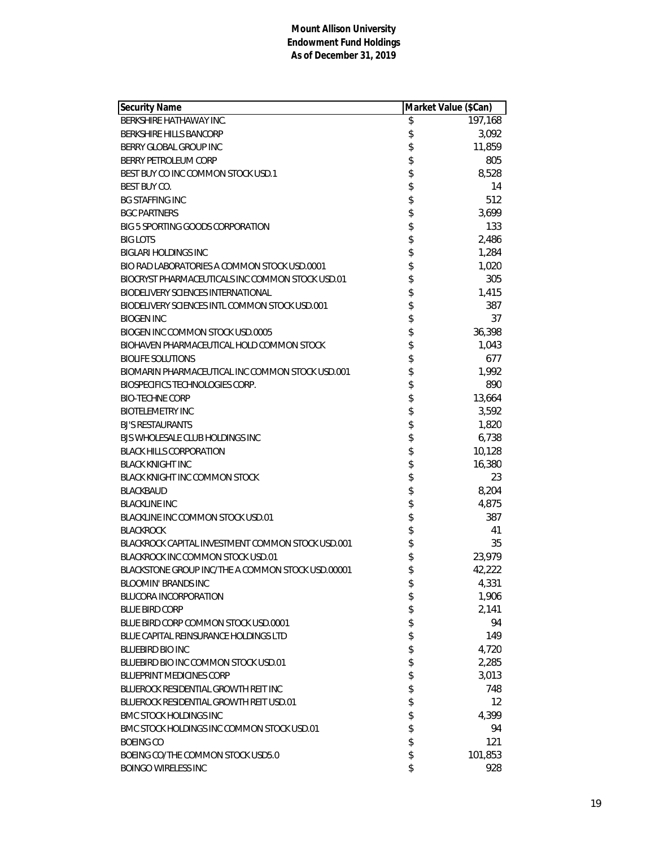| <b>Security Name</b>                              | Market Value (\$Can)    |
|---------------------------------------------------|-------------------------|
| BERKSHIRE HATHAWAY INC.                           | \$<br>197,168           |
| <b>BERKSHIRE HILLS BANCORP</b>                    | \$<br>3,092             |
| BERRY GLOBAL GROUP INC                            | \$<br>11,859            |
| BERRY PETROLEUM CORP                              | \$<br>805               |
| BEST BUY CO INC COMMON STOCK USD.1                | \$<br>8,528             |
| <b>BEST BUY CO.</b>                               | \$<br>14                |
| <b>BG STAFFING INC</b>                            | \$<br>512               |
| <b>BGC PARTNERS</b>                               | \$<br>3,699             |
| BIG 5 SPORTING GOODS CORPORATION                  | \$<br>133               |
| <b>BIG LOTS</b>                                   | \$<br>2,486             |
| <b>BIGLARI HOLDINGS INC</b>                       | \$<br>1,284             |
| BIO RAD LABORATORIES A COMMON STOCK USD.0001      | \$<br>1,020             |
| BIOCRYST PHARMACEUTICALS INC COMMON STOCK USD.01  | \$<br>305               |
| <b>BIODELIVERY SCIENCES INTERNATIONAL</b>         | \$<br>1,415             |
| BIODELIVERY SCIENCES INTL COMMON STOCK USD.001    | \$<br>387               |
| <b>BIOGEN INC</b>                                 | \$<br>37                |
| BIOGEN INC COMMON STOCK USD.0005                  | \$<br>36,398            |
| BIOHAVEN PHARMACEUTICAL HOLD COMMON STOCK         | \$<br>1,043             |
| <b>BIOLIFE SOLUTIONS</b>                          | \$<br>677               |
| BIOMARIN PHARMACEUTICAL INC COMMON STOCK USD.001  | \$<br>1,992             |
| <b>BIOSPECIFICS TECHNOLOGIES CORP.</b>            | \$<br>890               |
| <b>BIO-TECHNE CORP</b>                            | \$<br>13,664            |
| <b>BIOTELEMETRY INC</b>                           | \$<br>3,592             |
| <b>BJ'S RESTAURANTS</b>                           | \$<br>1,820             |
| BJS WHOLESALE CLUB HOLDINGS INC                   | \$<br>6,738             |
| <b>BLACK HILLS CORPORATION</b>                    | \$<br>10,128            |
| <b>BLACK KNIGHT INC</b>                           | \$<br>16,380            |
| <b>BLACK KNIGHT INC COMMON STOCK</b>              | \$<br>23                |
| <b>BLACKBAUD</b>                                  | \$<br>8,204             |
| <b>BLACKLINE INC</b>                              | \$<br>4,875             |
| BLACKLINE INC COMMON STOCK USD.01                 | \$<br>387               |
| <b>BLACKROCK</b>                                  | \$<br>41                |
| BLACKROCK CAPITAL INVESTMENT COMMON STOCK USD.001 | \$<br>35                |
| BLACKROCK INC COMMON STOCK USD.01                 | \$<br>23,979            |
| BLACKSTONE GROUP INC/THE A COMMON STOCK USD.00001 | \$<br>42,222            |
| <b>BLOOMIN' BRANDS INC</b>                        | \$<br>4,331             |
| <b>BLUCORA INCORPORATION</b>                      | \$<br>1,906             |
| <b>BLUE BIRD CORP</b>                             | \$<br>2,141             |
| BLUE BIRD CORP COMMON STOCK USD.0001              | \$<br>94                |
| BLUE CAPITAL REINSURANCE HOLDINGS LTD             | \$<br>149               |
| <b>BLUEBIRD BIO INC</b>                           | \$<br>4,720             |
| BLUEBIRD BIO INC COMMON STOCK USD.01              | \$<br>2,285             |
| <b>BLUEPRINT MEDICINES CORP</b>                   | \$<br>3,013             |
| BLUEROCK RESIDENTIAL GROWTH REIT INC              | \$<br>748               |
| <b>BLUEROCK RESIDENTIAL GROWTH REIT USD.01</b>    | \$<br>$12 \overline{ }$ |
| <b>BMC STOCK HOLDINGS INC</b>                     | \$<br>4,399             |
| BMC STOCK HOLDINGS INC COMMON STOCK USD.01        | \$<br>94                |
| <b>BOEING CO</b>                                  | \$<br>121               |
| BOEING CO/THE COMMON STOCK USD5.0                 | \$<br>101,853           |
| <b>BOINGO WIRELESS INC</b>                        | \$<br>928               |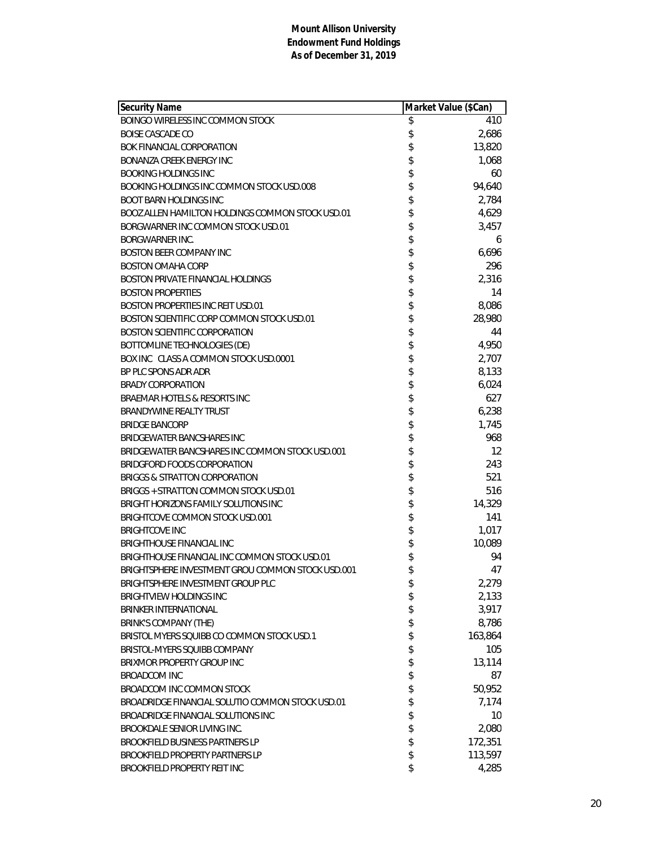| Security Name                                     | Market Value (\$Can) |         |
|---------------------------------------------------|----------------------|---------|
| BOINGO WIRELESS INC COMMON STOCK                  | \$                   | 410     |
| BOISE CASCADE CO                                  | \$                   | 2,686   |
| BOK FINANCIAL CORPORATION                         | \$                   | 13,820  |
| BONANZA CREEK ENERGY INC                          | \$                   | 1,068   |
| <b>BOOKING HOLDINGS INC</b>                       | \$                   | 60      |
| BOOKING HOLDINGS INC COMMON STOCK USD.008         | \$                   | 94,640  |
| <b>BOOT BARN HOLDINGS INC</b>                     | \$                   | 2,784   |
| BOOZ ALLEN HAMILTON HOLDINGS COMMON STOCK USD.01  | \$                   | 4,629   |
| BORGWARNER INC COMMON STOCK USD.01                | \$                   | 3,457   |
| <b>BORGWARNER INC.</b>                            | \$                   | 6       |
| <b>BOSTON BEER COMPANY INC</b>                    | \$                   | 6,696   |
| <b>BOSTON OMAHA CORP</b>                          | \$                   | 296     |
| <b>BOSTON PRIVATE FINANCIAL HOLDINGS</b>          | \$                   | 2,316   |
| <b>BOSTON PROPERTIES</b>                          | \$                   | 14      |
| <b>BOSTON PROPERTIES INC REIT USD.01</b>          | \$                   | 8,086   |
| BOSTON SCIENTIFIC CORP COMMON STOCK USD.01        | \$                   | 28,980  |
| <b>BOSTON SCIENTIFIC CORPORATION</b>              | \$                   | 44      |
| BOTTOMLINE TECHNOLOGIES (DE)                      | \$                   | 4,950   |
| BOX INC CLASS A COMMON STOCK USD.0001             | \$                   | 2,707   |
| BP PLC SPONS ADR ADR                              | \$                   | 8,133   |
| <b>BRADY CORPORATION</b>                          | \$                   | 6,024   |
| BRAEMAR HOTELS & RESORTS INC                      | \$                   | 627     |
| BRANDYWINE REALTY TRUST                           | \$                   | 6,238   |
| <b>BRIDGE BANCORP</b>                             | \$                   | 1,745   |
| BRIDGEWATER BANCSHARES INC                        | \$                   | 968     |
| BRIDGEWATER BANCSHARES INC COMMON STOCK USD.001   | \$                   | 12      |
| BRIDGFORD FOODS CORPORATION                       | \$                   | 243     |
| <b>BRIGGS &amp; STRATTON CORPORATION</b>          | \$                   | 521     |
| BRIGGS + STRATTON COMMON STOCK USD.01             | \$                   | 516     |
| BRIGHT HORIZONS FAMILY SOLUTIONS INC              | \$                   | 14,329  |
| BRIGHTCOVE COMMON STOCK USD.001                   | \$                   | 141     |
| <b>BRIGHTCOVE INC</b>                             | \$                   | 1,017   |
| <b>BRIGHTHOUSE FINANCIAL INC</b>                  | \$                   | 10,089  |
| BRIGHTHOUSE FINANCIAL INC COMMON STOCK USD.01     | \$                   | 94      |
| BRIGHTSPHERE INVESTMENT GROU COMMON STOCK USD.001 | \$                   | 47      |
| BRIGHTSPHERE INVESTMENT GROUP PLC                 | \$                   | 2,279   |
| <b>BRIGHTVIEW HOLDINGS INC</b>                    | \$                   | 2,133   |
| <b>BRINKER INTERNATIONAL</b>                      | \$                   | 3,917   |
| <b>BRINK'S COMPANY (THE)</b>                      | \$                   | 8,786   |
| BRISTOL MYERS SQUIBB CO COMMON STOCK USD.1        | \$                   | 163,864 |
| BRISTOL-MYERS SOUIBB COMPANY                      | \$                   | 105     |
| BRIXMOR PROPERTY GROUP INC                        | \$                   | 13,114  |
| <b>BROADCOM INC</b>                               | \$                   | 87      |
| BROADCOM INC COMMON STOCK                         | \$                   | 50,952  |
| BROADRIDGE FINANCIAL SOLUTIO COMMON STOCK USD.01  | \$                   | 7,174   |
| BROADRIDGE FINANCIAL SOLUTIONS INC                | \$                   | 10      |
| BROOKDALE SENIOR LIVING INC.                      | \$                   | 2,080   |
| <b>BROOKFIELD BUSINESS PARTNERS LP</b>            | \$                   | 172,351 |
| <b>BROOKFIELD PROPERTY PARTNERS LP</b>            | \$                   | 113,597 |
| BROOKFIELD PROPERTY REIT INC                      | \$                   | 4,285   |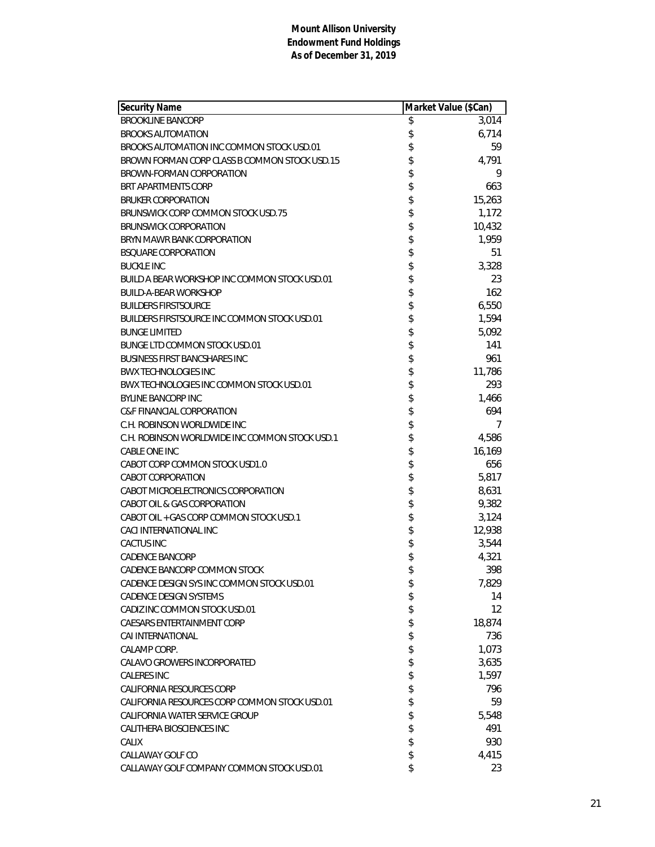| <b>Security Name</b>                           | Market Value (\$Can) |        |
|------------------------------------------------|----------------------|--------|
| <b>BROOKLINE BANCORP</b>                       | \$                   | 3,014  |
| <b>BROOKS AUTOMATION</b>                       | \$                   | 6,714  |
| BROOKS AUTOMATION INC COMMON STOCK USD.01      | \$                   | 59     |
| BROWN FORMAN CORP CLASS B COMMON STOCK USD.15  | \$                   | 4,791  |
| BROWN-FORMAN CORPORATION                       | \$                   | 9      |
| <b>BRT APARTMENTS CORP</b>                     | \$                   | 663    |
| <b>BRUKER CORPORATION</b>                      | \$                   | 15,263 |
| BRUNSWICK CORP COMMON STOCK USD.75             | \$                   | 1,172  |
| <b>BRUNSWICK CORPORATION</b>                   | \$                   | 10,432 |
| BRYN MAWR BANK CORPORATION                     | \$                   | 1,959  |
| <b>BSQUARE CORPORATION</b>                     | \$                   | 51     |
| <b>BUCKLE INC</b>                              | \$                   | 3,328  |
| BUILD A BEAR WORKSHOP INC COMMON STOCK USD.01  |                      | 23     |
| <b>BUILD-A-BEAR WORKSHOP</b>                   |                      | 162    |
| <b>BUILDERS FIRSTSOURCE</b>                    | \$\$                 | 6,550  |
| BUILDERS FIRSTSOURCE INC COMMON STOCK USD.01   | \$                   | 1,594  |
| <b>BUNGE LIMITED</b>                           | \$                   | 5,092  |
| BUNGE LTD COMMON STOCK USD.01                  | \$                   | 141    |
| <b>BUSINESS FIRST BANCSHARES INC</b>           | \$                   | 961    |
| <b>BWX TECHNOLOGIES INC</b>                    | \$                   | 11,786 |
| BWX TECHNOLOGIES INC COMMON STOCK USD.01       | \$                   | 293    |
| <b>BYLINE BANCORP INC</b>                      |                      | 1,466  |
| <b>C&amp;F FINANCIAL CORPORATION</b>           | \$                   | 694    |
| C.H. ROBINSON WORLDWIDE INC                    |                      | 7      |
| C.H. ROBINSON WORLDWIDE INC COMMON STOCK USD.1 | \$<br>\$             | 4,586  |
| CABLE ONE INC                                  |                      | 16,169 |
| CABOT CORP COMMON STOCK USD1.0                 | \$                   | 656    |
| CABOT CORPORATION                              | \$                   | 5,817  |
| CABOT MICROELECTRONICS CORPORATION             | \$\$\$\$             | 8,631  |
| CABOT OIL & GAS CORPORATION                    |                      | 9,382  |
| CABOT OIL + GAS CORP COMMON STOCK USD.1        |                      | 3,124  |
| CACI INTERNATIONAL INC                         |                      | 12,938 |
| <b>CACTUS INC</b>                              | \$                   | 3,544  |
| <b>CADENCE BANCORP</b>                         | \$                   | 4,321  |
| CADENCE BANCORP COMMON STOCK                   | \$                   | 398    |
| CADENCE DESIGN SYS INC COMMON STOCK USD.01     | \$                   | 7,829  |
| <b>CADENCE DESIGN SYSTEMS</b>                  | \$                   | 14     |
| CADIZ INC COMMON STOCK USD.01                  | \$                   | 12     |
| <b>CAESARS ENTERTAINMENT CORP</b>              | \$                   | 18,874 |
| CAI INTERNATIONAL                              | \$                   | 736    |
| CALAMP CORP.                                   | \$                   | 1,073  |
| CALAVO GROWERS INCORPORATED                    | \$                   | 3,635  |
| <b>CALERES INC</b>                             | \$                   | 1,597  |
| CALIFORNIA RESOURCES CORP                      | \$                   | 796    |
| CALIFORNIA RESOURCES CORP COMMON STOCK USD.01  | \$                   | 59     |
| CALIFORNIA WATER SERVICE GROUP                 | \$                   | 5,548  |
| CALITHERA BIOSCIENCES INC                      | \$                   | 491    |
| CALIX                                          | \$                   | 930    |
| CALLAWAY GOLF CO                               | \$                   | 4,415  |
| CALLAWAY GOLF COMPANY COMMON STOCK USD.01      | \$                   | 23     |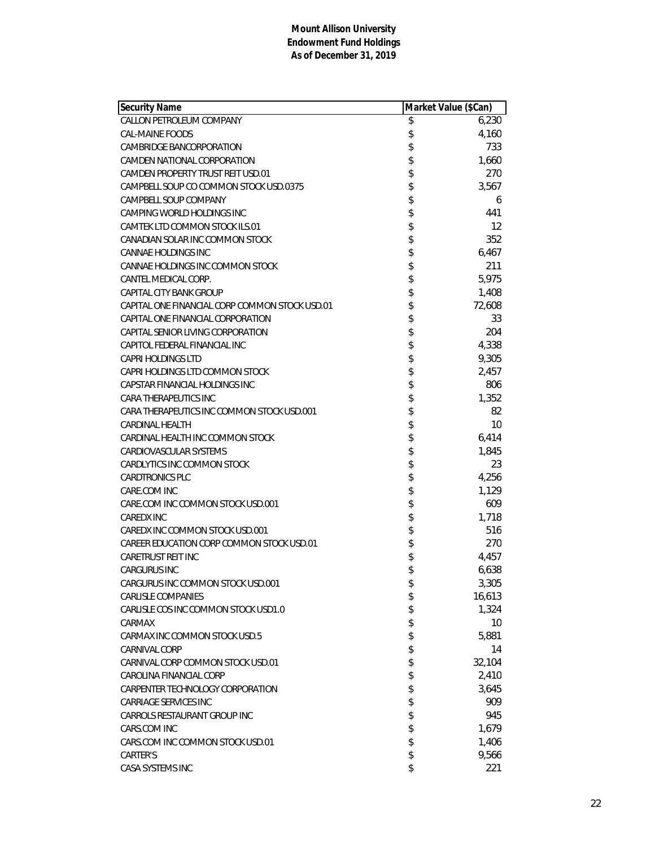| <b>Security Name</b>                           | Market Value (\$Can) |        |
|------------------------------------------------|----------------------|--------|
| CALLON PETROLEUM COMPANY                       | \$                   | 6,230  |
| CAL-MAINE FOODS                                | \$                   | 4,160  |
| CAMBRIDGE BANCORPORATION                       | \$                   | 733    |
| CAMDEN NATIONAL CORPORATION                    | \$                   | 1,660  |
| CAMDEN PROPERTY TRUST REIT USD.01              | \$                   | 270    |
| CAMPBELL SOUP CO COMMON STOCK USD.0375         | \$                   | 3,567  |
| CAMPBELL SOUP COMPANY                          | \$                   | 6      |
| CAMPING WORLD HOLDINGS INC                     | \$                   | 441    |
| CAMTEK LTD COMMON STOCK ILS.01                 | \$                   | 12     |
| CANADIAN SOLAR INC COMMON STOCK                | \$                   | 352    |
| CANNAE HOLDINGS INC                            | \$                   | 6,467  |
| CANNAE HOLDINGS INC COMMON STOCK               | \$                   | 211    |
| CANTEL MEDICAL CORP.                           | \$                   | 5,975  |
| <b>CAPITAL CITY BANK GROUP</b>                 | \$                   | 1,408  |
| CAPITAL ONE FINANCIAL CORP COMMON STOCK USD.01 | \$                   | 72,608 |
| CAPITAL ONE FINANCIAL CORPORATION              | \$                   | 33     |
| CAPITAL SENIOR LIVING CORPORATION              | \$                   | 204    |
| CAPITOL FEDERAL FINANCIAL INC                  | \$                   | 4,338  |
| <b>CAPRI HOLDINGS LTD</b>                      | \$                   | 9,305  |
| CAPRI HOLDINGS LTD COMMON STOCK                | \$                   | 2,457  |
| CAPSTAR FINANCIAL HOLDINGS INC                 | \$                   | 806    |
| CARA THERAPEUTICS INC                          | \$                   | 1,352  |
| CARA THERAPEUTICS INC COMMON STOCK USD.001     | \$                   | 82     |
| CARDINAL HEALTH                                | \$                   | 10     |
| CARDINAL HEALTH INC COMMON STOCK               | \$                   | 6,414  |
| CARDIOVASCULAR SYSTEMS                         | \$                   | 1,845  |
| CARDLYTICS INC COMMON STOCK                    | \$                   | 23     |
| <b>CARDTRONICS PLC</b>                         | \$                   | 4,256  |
| CARE.COM INC                                   | \$                   | 1,129  |
| CARE.COM INC COMMON STOCK USD.001              | \$                   | 609    |
| <b>CAREDX INC</b>                              | \$                   | 1,718  |
| CAREDX INC COMMON STOCK USD.001                | \$                   | 516    |
| CAREER EDUCATION CORP COMMON STOCK USD.01      | \$                   | 270    |
| CARETRUST REIT INC                             | \$                   | 4,457  |
| <b>CARGURUS INC</b>                            | \$                   | 6,638  |
| CARGURUS INC COMMON STOCK USD.001              | \$                   | 3,305  |
| CARLISLE COMPANIES                             | \$                   | 16,613 |
| CARLISLE COS INC COMMON STOCK USD1.0           | \$                   | 1,324  |
| CARMAX                                         | \$                   | 10     |
| CARMAX INC COMMON STOCK USD.5                  | \$                   | 5,881  |
| CARNIVAL CORP                                  | \$                   | 14     |
| CARNIVAL CORP COMMON STOCK USD.01              | \$                   | 32,104 |
| CAROLINA FINANCIAL CORP                        | \$                   | 2,410  |
| CARPENTER TECHNOLOGY CORPORATION               | \$                   | 3,645  |
| CARRIAGE SERVICES INC                          | \$                   | 909    |
| CARROLS RESTAURANT GROUP INC                   | \$                   | 945    |
| CARS.COM INC                                   | \$                   | 1,679  |
| CARS.COM INC COMMON STOCK USD.01               | \$                   | 1,406  |
| CARTER'S                                       | \$                   | 9,566  |
| CASA SYSTEMS INC                               | \$                   | 221    |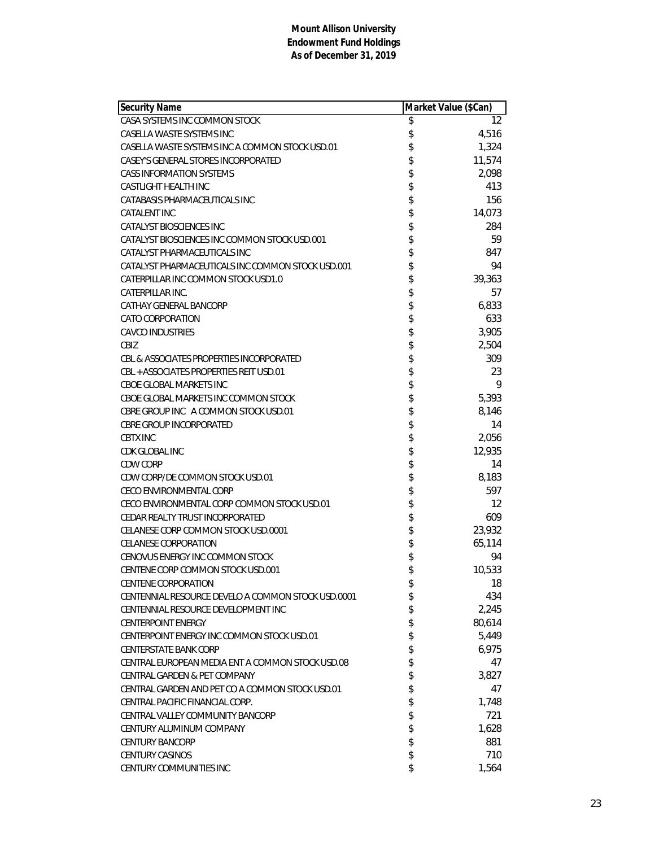| <b>Security Name</b>                               | Market Value (\$Can) |        |
|----------------------------------------------------|----------------------|--------|
| CASA SYSTEMS INC COMMON STOCK                      | \$                   | 12     |
| CASELLA WASTE SYSTEMS INC                          | \$                   | 4,516  |
| CASELLA WASTE SYSTEMS INC A COMMON STOCK USD.01    | \$                   | 1,324  |
| CASEY'S GENERAL STORES INCORPORATED                | \$                   | 11,574 |
| <b>CASS INFORMATION SYSTEMS</b>                    | \$                   | 2,098  |
| CASTLIGHT HEALTH INC                               | \$                   | 413    |
| CATABASIS PHARMACEUTICALS INC                      | \$                   | 156    |
| CATALENT INC                                       | \$                   | 14,073 |
| CATALYST BIOSCIENCES INC                           | \$                   | 284    |
| CATALYST BIOSCIENCES INC COMMON STOCK USD.001      | \$                   | 59     |
| CATALYST PHARMACEUTICALS INC                       | \$                   | 847    |
| CATALYST PHARMACEUTICALS INC COMMON STOCK USD.001  | \$                   | 94     |
| CATERPILLAR INC COMMON STOCK USD1.0                | \$                   | 39,363 |
| CATERPILLAR INC.                                   | \$                   | 57     |
| CATHAY GENERAL BANCORP                             | \$                   | 6,833  |
| <b>CATO CORPORATION</b>                            | \$                   | 633    |
| <b>CAVCO INDUSTRIES</b>                            | \$                   | 3,905  |
| CBIZ                                               | \$                   | 2,504  |
| CBL & ASSOCIATES PROPERTIES INCORPORATED           | \$                   | 309    |
| CBL + ASSOCIATES PROPERTIES REIT USD.01            | \$                   | 23     |
| CBOE GLOBAL MARKETS INC                            | \$                   | 9      |
| CBOE GLOBAL MARKETS INC COMMON STOCK               | \$                   | 5,393  |
| CBRE GROUP INC A COMMON STOCK USD.01               | \$                   | 8,146  |
| <b>CBRE GROUP INCORPORATED</b>                     | \$                   | 14     |
| <b>CBTX INC</b>                                    | \$                   | 2,056  |
| CDK GLOBAL INC                                     | \$                   | 12,935 |
| CDW CORP                                           | \$                   | 14     |
| CDW CORP/DE COMMON STOCK USD.01                    | \$                   | 8,183  |
| <b>CECO ENVIRONMENTAL CORP</b>                     | \$                   | 597    |
| CECO ENVIRONMENTAL CORP COMMON STOCK USD.01        | \$                   | 12     |
| CEDAR REALTY TRUST INCORPORATED                    | \$                   | 609    |
| CELANESE CORP COMMON STOCK USD.0001                | \$                   | 23,932 |
| <b>CELANESE CORPORATION</b>                        | \$                   | 65,114 |
| CENOVUS ENERGY INC COMMON STOCK                    | \$                   | 94     |
| CENTENE CORP COMMON STOCK USD.001                  | \$                   | 10,533 |
| <b>CENTENE CORPORATION</b>                         | \$                   | 18     |
| CENTENNIAL RESOURCE DEVELO A COMMON STOCK USD.0001 | \$                   | 434    |
| CENTENNIAL RESOURCE DEVELOPMENT INC                | \$                   | 2,245  |
| <b>CENTERPOINT ENERGY</b>                          | \$                   | 80,614 |
| CENTERPOINT ENERGY INC COMMON STOCK USD.01         | \$                   | 5,449  |
| <b>CENTERSTATE BANK CORP</b>                       | \$                   | 6,975  |
| CENTRAL EUROPEAN MEDIA ENT A COMMON STOCK USD.08   | \$                   | 47     |
| CENTRAL GARDEN & PET COMPANY                       | \$                   | 3,827  |
| CENTRAL GARDEN AND PET CO A COMMON STOCK USD.01    | \$                   | 47     |
| CENTRAL PACIFIC FINANCIAL CORP.                    | \$                   | 1,748  |
| CENTRAL VALLEY COMMUNITY BANCORP                   | \$                   | 721    |
| CENTURY ALUMINUM COMPANY                           | \$                   | 1,628  |
| <b>CENTURY BANCORP</b>                             | \$                   | 881    |
| <b>CENTURY CASINOS</b>                             | \$                   | 710    |
| CENTURY COMMUNITIES INC                            | \$                   | 1,564  |
|                                                    |                      |        |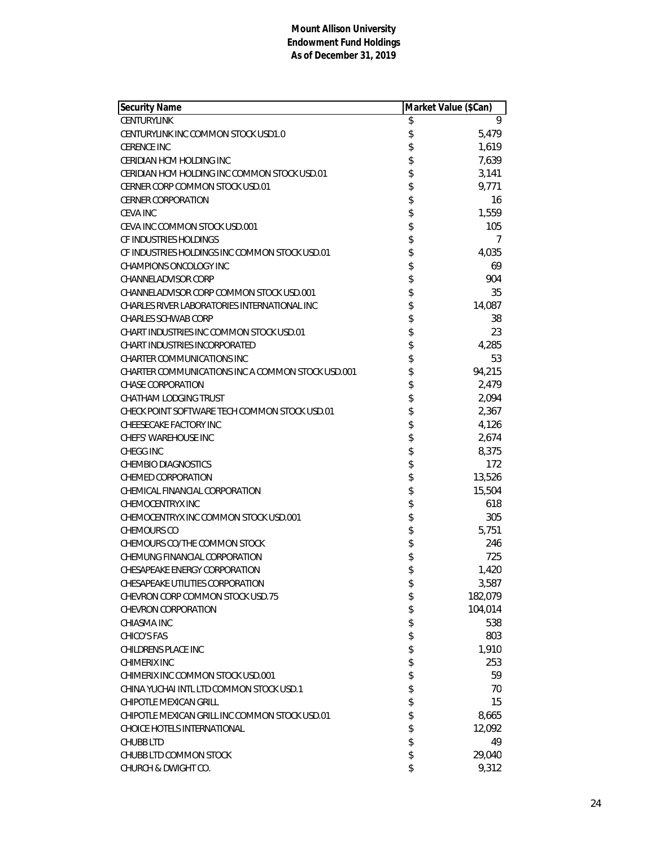| Security Name                                     | Market Value (\$Can) |         |
|---------------------------------------------------|----------------------|---------|
| <b>CENTURYLINK</b>                                | \$                   | 9       |
| CENTURYLINK INC COMMON STOCK USD1.0               | \$                   | 5,479   |
| <b>CERENCE INC</b>                                | \$                   | 1,619   |
| CERIDIAN HCM HOLDING INC                          | \$                   | 7,639   |
| CERIDIAN HCM HOLDING INC COMMON STOCK USD.01      | \$                   | 3,141   |
| CERNER CORP COMMON STOCK USD.01                   | \$                   | 9,771   |
| <b>CERNER CORPORATION</b>                         | \$                   | 16      |
| <b>CEVA INC</b>                                   | \$                   | 1,559   |
| CEVA INC COMMON STOCK USD.001                     | \$                   | 105     |
| CF INDUSTRIES HOLDINGS                            | \$                   | 7       |
| CF INDUSTRIES HOLDINGS INC COMMON STOCK USD.01    | \$                   | 4,035   |
| <b>CHAMPIONS ONCOLOGY INC</b>                     | \$                   | 69      |
| <b>CHANNELADVISOR CORP</b>                        | \$                   | 904     |
| CHANNELADVISOR CORP COMMON STOCK USD.001          | \$                   | 35      |
| CHARLES RIVER LABORATORIES INTERNATIONAL INC      | \$                   | 14,087  |
| <b>CHARLES SCHWAB CORP</b>                        | \$                   | 38      |
| CHART INDUSTRIES INC COMMON STOCK USD.01          | \$                   | 23      |
| CHART INDUSTRIES INCORPORATED                     | \$                   | 4,285   |
| <b>CHARTER COMMUNICATIONS INC</b>                 | \$                   | 53      |
| CHARTER COMMUNICATIONS INC A COMMON STOCK USD.001 | \$                   | 94,215  |
| <b>CHASE CORPORATION</b>                          | \$                   | 2,479   |
| CHATHAM LODGING TRUST                             | \$                   | 2,094   |
| CHECK POINT SOFTWARE TECH COMMON STOCK USD.01     | \$                   | 2,367   |
| CHEESECAKE FACTORY INC                            | \$                   | 4,126   |
| <b>CHEFS' WAREHOUSE INC</b>                       | \$                   | 2,674   |
| <b>CHEGG INC</b>                                  | \$                   | 8,375   |
| <b>CHEMBIO DIAGNOSTICS</b>                        | \$                   | 172     |
| <b>CHEMED CORPORATION</b>                         | \$                   | 13,526  |
| CHEMICAL FINANCIAL CORPORATION                    | \$                   | 15,504  |
| <b>CHEMOCENTRYX INC</b>                           | \$                   | 618     |
| CHEMOCENTRYX INC COMMON STOCK USD.001             | \$                   | 305     |
| CHEMOURS CO                                       | \$                   | 5,751   |
| CHEMOURS CO/THE COMMON STOCK                      | \$                   | 246     |
| CHEMUNG FINANCIAL CORPORATION                     | \$                   | 725     |
| CHESAPEAKE ENERGY CORPORATION                     | \$                   | 1,420   |
| CHESAPEAKE UTILITIES CORPORATION                  | \$                   | 3,587   |
| CHEVRON CORP COMMON STOCK USD.75                  | \$                   | 182,079 |
| CHEVRON CORPORATION                               | \$                   | 104,014 |
| CHIASMA INC                                       | \$                   | 538     |
| CHICO'S FAS                                       | \$                   | 803     |
| CHILDRENS PLACE INC                               | \$                   | 1,910   |
| <b>CHIMERIX INC</b>                               | \$                   | 253     |
| CHIMERIX INC COMMON STOCK USD.001                 | \$                   | 59      |
| CHINA YUCHAI INTL LTD COMMON STOCK USD.1          | \$                   | 70      |
| <b>CHIPOTLE MEXICAN GRILL</b>                     | \$                   | 15      |
| CHIPOTLE MEXICAN GRILL INC COMMON STOCK USD.01    | \$                   | 8,665   |
| CHOICE HOTELS INTERNATIONAL                       | \$                   | 12,092  |
| <b>CHUBB LTD</b>                                  | \$                   | 49      |
| CHUBB LTD COMMON STOCK                            | \$                   | 29,040  |
| CHURCH & DWIGHT CO.                               | \$                   | 9,312   |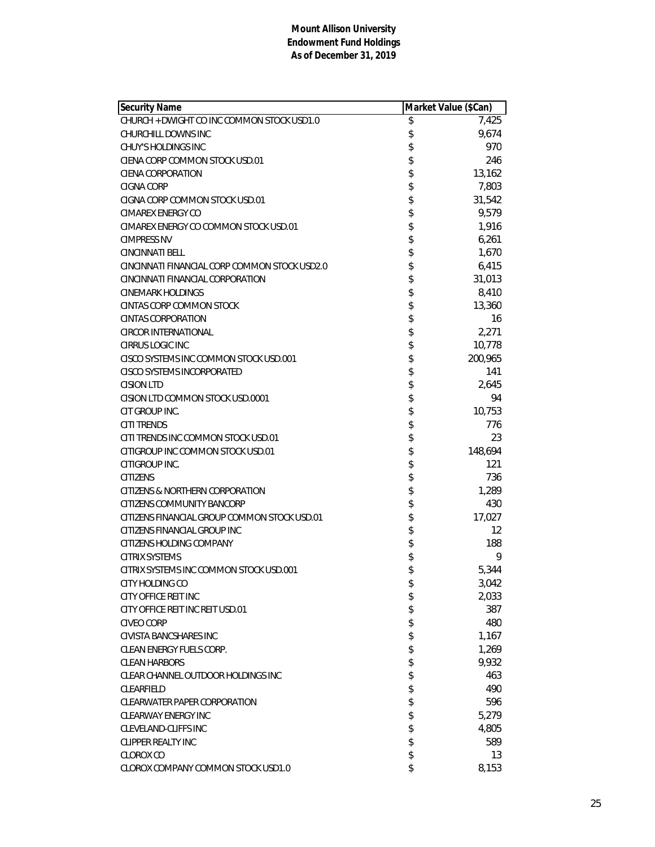| Security Name                                 | Market Value (\$Can) |         |
|-----------------------------------------------|----------------------|---------|
| CHURCH + DWIGHT CO INC COMMON STOCK USD1.0    | \$                   | 7,425   |
| CHURCHILL DOWNS INC                           | \$                   | 9,674   |
| CHUY'S HOLDINGS INC                           | \$                   | 970     |
| CIENA CORP COMMON STOCK USD.01                | \$                   | 246     |
| CIENA CORPORATION                             | \$                   | 13,162  |
| <b>CIGNA CORP</b>                             | \$                   | 7,803   |
| CIGNA CORP COMMON STOCK USD.01                | \$                   | 31,542  |
| CIMAREX ENERGY CO                             | \$                   | 9,579   |
| CIMAREX ENERGY CO COMMON STOCK USD.01         | \$                   | 1,916   |
| <b>CIMPRESS NV</b>                            | \$                   | 6,261   |
| <b>CINCINNATI BELL</b>                        | \$                   | 1,670   |
| CINCINNATI FINANCIAL CORP COMMON STOCK USD2.0 | \$                   | 6,415   |
| CINCINNATI FINANCIAL CORPORATION              | \$                   | 31,013  |
| <b>CINEMARK HOLDINGS</b>                      | \$                   | 8,410   |
| <b>CINTAS CORP COMMON STOCK</b>               | \$                   | 13,360  |
| <b>CINTAS CORPORATION</b>                     | \$                   | 16      |
| <b>CIRCOR INTERNATIONAL</b>                   | \$                   | 2,271   |
| <b>CIRRUS LOGIC INC</b>                       | \$                   | 10,778  |
| CISCO SYSTEMS INC COMMON STOCK USD.001        | \$                   | 200,965 |
| <b>CISCO SYSTEMS INCORPORATED</b>             | \$                   | 141     |
| <b>CISION LTD</b>                             | \$                   | 2,645   |
| CISION LTD COMMON STOCK USD.0001              | \$                   | 94      |
| CIT GROUP INC.                                | \$                   | 10,753  |
| <b>CITI TRENDS</b>                            | \$                   | 776     |
| CITI TRENDS INC COMMON STOCK USD.01           | \$                   | 23      |
| CITIGROUP INC COMMON STOCK USD.01             | \$                   | 148,694 |
| CITIGROUP INC.                                | \$                   | 121     |
| <b>CITIZENS</b>                               | \$                   | 736     |
| CITIZENS & NORTHERN CORPORATION               | \$                   | 1,289   |
| CITIZENS COMMUNITY BANCORP                    | \$                   | 430     |
| CITIZENS FINANCIAL GROUP COMMON STOCK USD.01  | \$                   | 17,027  |
| CITIZENS FINANCIAL GROUP INC                  | \$                   | 12      |
| CITIZENS HOLDING COMPANY                      | \$                   | 188     |
| <b>CITRIX SYSTEMS</b>                         | \$                   | 9       |
| CITRIX SYSTEMS INC COMMON STOCK USD.001       | \$                   | 5,344   |
| CITY HOLDING CO                               | \$                   | 3,042   |
| CITY OFFICE REIT INC                          | \$                   | 2,033   |
| CITY OFFICE REIT INC REIT USD.01              | \$                   | 387     |
| <b>CIVEO CORP</b>                             | \$                   | 480     |
| <b>CIVISTA BANCSHARES INC</b>                 | \$                   | 1,167   |
| <b>CLEAN ENERGY FUELS CORP.</b>               | \$                   | 1,269   |
| <b>CLEAN HARBORS</b>                          | \$                   | 9,932   |
| CLEAR CHANNEL OUTDOOR HOLDINGS INC            | \$                   | 463     |
| CLEARFIELD                                    | \$                   | 490     |
| CLEARWATER PAPER CORPORATION                  | \$                   | 596     |
| <b>CLEARWAY ENERGY INC</b>                    | \$                   | 5,279   |
| <b>CLEVELAND-CLIFFS INC</b>                   | \$                   | 4,805   |
| <b>CLIPPER REALTY INC</b>                     | \$                   | 589     |
| <b>CLOROX CO</b>                              | \$                   | 13      |
| CLOROX COMPANY COMMON STOCK USD1.0            | \$                   | 8,153   |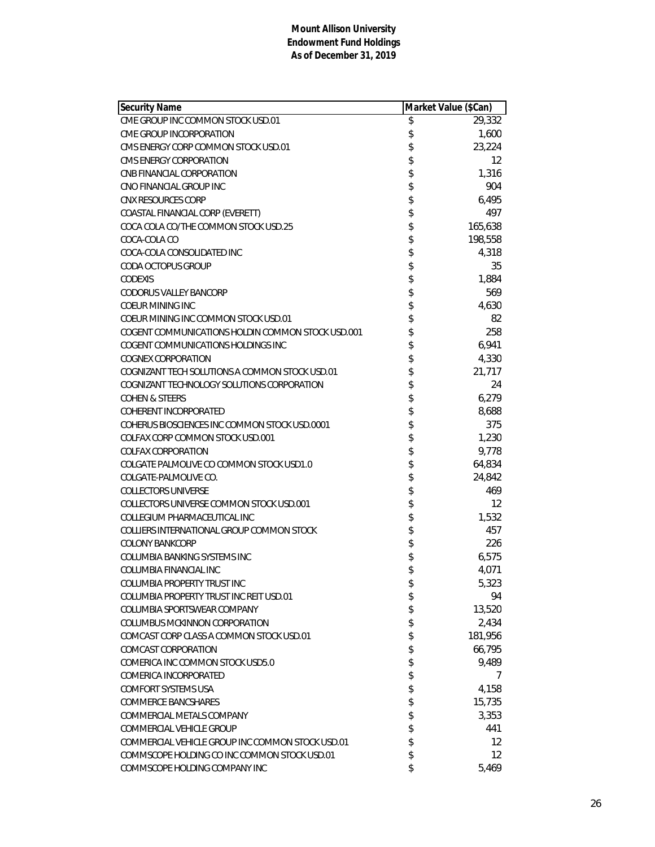| <b>Security Name</b>                              | Market Value (\$Can) |                   |
|---------------------------------------------------|----------------------|-------------------|
| CME GROUP INC COMMON STOCK USD.01                 | \$                   | 29,332            |
| CME GROUP INCORPORATION                           | \$                   | 1,600             |
| CMS ENERGY CORP COMMON STOCK USD.01               | \$                   | 23,224            |
| CMS ENERGY CORPORATION                            | \$                   | 12                |
| CNB FINANCIAL CORPORATION                         |                      | 1,316             |
| CNO FINANCIAL GROUP INC                           | \$<br>\$             | 904               |
| <b>CNX RESOURCES CORP</b>                         |                      | 6,495             |
| COASTAL FINANCIAL CORP (EVERETT)                  | \$                   | 497               |
| COCA COLA CO/THE COMMON STOCK USD.25              | \$                   | 165,638           |
| COCA-COLA CO                                      | \$                   | 198,558           |
| COCA-COLA CONSOLIDATED INC                        | \$                   | 4,318             |
| <b>CODA OCTOPUS GROUP</b>                         | \$                   | 35                |
| <b>CODEXIS</b>                                    |                      | 1,884             |
| <b>CODORUS VALLEY BANCORP</b>                     | \$\$                 | 569               |
| <b>COEUR MINING INC</b>                           |                      | 4,630             |
| COEUR MINING INC COMMON STOCK USD.01              | \$                   | 82                |
| COGENT COMMUNICATIONS HOLDIN COMMON STOCK USD,001 | \$                   | 258               |
| COGENT COMMUNICATIONS HOLDINGS INC                | \$                   | 6,941             |
| <b>COGNEX CORPORATION</b>                         |                      | 4,330             |
| COGNIZANT TECH SOLUTIONS A COMMON STOCK USD.01    |                      | 21,717            |
| COGNIZANT TECHNOLOGY SOLUTIONS CORPORATION        | \$\$\$\$             | 24                |
| <b>COHEN &amp; STEERS</b>                         |                      | 6,279             |
| <b>COHERENT INCORPORATED</b>                      | \$                   | 8,688             |
| COHERUS BIOSCIENCES INC COMMON STOCK USD.0001     | \$                   | 375               |
| COLFAX CORP COMMON STOCK USD.001                  | \$                   | 1,230             |
| <b>COLFAX CORPORATION</b>                         | \$                   | 9,778             |
| COLGATE PALMOLIVE CO COMMON STOCK USD1.0          | \$                   | 64,834            |
| COLGATE-PALMOLIVE CO.                             | \$                   | 24,842            |
| <b>COLLECTORS UNIVERSE</b>                        | \$                   | 469               |
| COLLECTORS UNIVERSE COMMON STOCK USD.001          |                      | 12                |
| COLLEGIUM PHARMACEUTICAL INC                      | \$                   | 1,532             |
| COLLIERS INTERNATIONAL GROUP COMMON STOCK         | \$                   | 457               |
| <b>COLONY BANKCORP</b>                            | \$                   | 226               |
| COLUMBIA BANKING SYSTEMS INC                      | \$                   | 6,575             |
| COLUMBIA FINANCIAL INC                            | \$                   | 4,071             |
| <b>COLUMBIA PROPERTY TRUST INC</b>                | \$                   | 5,323             |
| COLUMBIA PROPERTY TRUST INC REIT USD.01           | \$                   | 94                |
| COLUMBIA SPORTSWEAR COMPANY                       | \$                   | 13,520            |
| COLUMBUS MCKINNON CORPORATION                     | \$                   | 2,434             |
| COMCAST CORP CLASS A COMMON STOCK USD.01          | \$                   | 181,956           |
| COMCAST CORPORATION                               | \$                   | 66,795            |
| COMERICA INC COMMON STOCK USD5.0                  | \$                   | 9,489             |
| COMERICA INCORPORATED                             | \$                   | 7                 |
| <b>COMFORT SYSTEMS USA</b>                        | \$                   | 4,158             |
| <b>COMMERCE BANCSHARES</b>                        | \$                   | 15,735            |
| COMMERCIAL METALS COMPANY                         | \$                   | 3,353             |
| COMMERCIAL VEHICLE GROUP                          | \$                   | 441               |
| COMMERCIAL VEHICLE GROUP INC COMMON STOCK USD.01  | \$                   | $12 \overline{ }$ |
| COMMSCOPE HOLDING CO INC COMMON STOCK USD.01      | \$                   | $12 \overline{ }$ |
| COMMSCOPE HOLDING COMPANY INC                     | \$                   | 5,469             |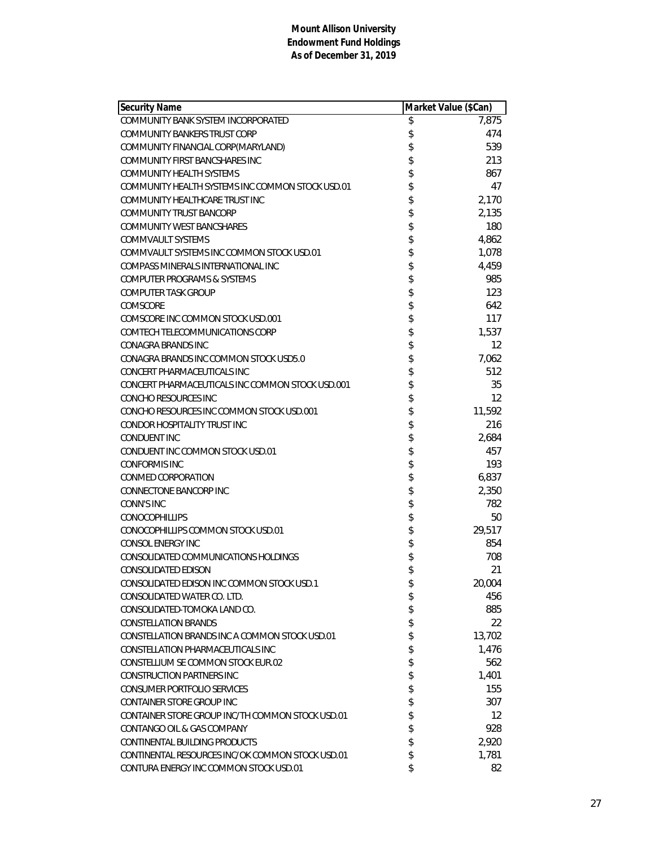| <b>Security Name</b>                             | Market Value (\$Can) |        |
|--------------------------------------------------|----------------------|--------|
| COMMUNITY BANK SYSTEM INCORPORATED               | \$                   | 7,875  |
| <b>COMMUNITY BANKERS TRUST CORP</b>              | \$                   | 474    |
| COMMUNITY FINANCIAL CORP(MARYLAND)               | \$                   | 539    |
| COMMUNITY FIRST BANCSHARES INC                   | \$                   | 213    |
| <b>COMMUNITY HEALTH SYSTEMS</b>                  | \$                   | 867    |
| COMMUNITY HEALTH SYSTEMS INC COMMON STOCK USD.01 | \$                   | 47     |
| COMMUNITY HEALTHCARE TRUST INC                   | \$                   | 2,170  |
| COMMUNITY TRUST BANCORP                          | \$                   | 2,135  |
| <b>COMMUNITY WEST BANCSHARES</b>                 | \$                   | 180    |
| <b>COMMVAULT SYSTEMS</b>                         | \$                   | 4,862  |
| COMMVAULT SYSTEMS INC COMMON STOCK USD.01        | \$                   | 1,078  |
| COMPASS MINERALS INTERNATIONAL INC               | \$                   | 4,459  |
| <b>COMPUTER PROGRAMS &amp; SYSTEMS</b>           | \$                   | 985    |
| <b>COMPUTER TASK GROUP</b>                       | \$                   | 123    |
| COMSCORE                                         | \$                   | 642    |
| COMSCORE INC COMMON STOCK USD.001                | \$                   | 117    |
| COMTECH TELECOMMUNICATIONS CORP                  | \$                   | 1,537  |
| <b>CONAGRA BRANDS INC</b>                        | \$                   | 12     |
| CONAGRA BRANDS INC COMMON STOCK USD5.0           | \$                   | 7,062  |
| CONCERT PHARMACEUTICALS INC                      | \$                   | 512    |
| CONCERT PHARMACEUTICALS INC COMMON STOCK USD.001 | \$                   | 35     |
| CONCHO RESOURCES INC                             | \$                   | 12     |
| CONCHO RESOURCES INC COMMON STOCK USD.001        | \$                   | 11,592 |
| CONDOR HOSPITALITY TRUST INC                     | \$                   | 216    |
| <b>CONDUENT INC</b>                              | \$                   | 2,684  |
| CONDUENT INC COMMON STOCK USD.01                 | \$                   | 457    |
| <b>CONFORMIS INC</b>                             | \$                   | 193    |
| <b>CONMED CORPORATION</b>                        | \$                   | 6,837  |
| CONNECTONE BANCORP INC                           | \$                   | 2,350  |
| <b>CONN'S INC</b>                                | \$                   | 782    |
| <b>CONOCOPHILLIPS</b>                            | \$                   | 50     |
| CONOCOPHILLIPS COMMON STOCK USD.01               | \$                   | 29,517 |
| CONSOL ENERGY INC                                | \$                   | 854    |
| CONSOLIDATED COMMUNICATIONS HOLDINGS             | \$                   | 708    |
| <b>CONSOLIDATED EDISON</b>                       | \$                   | 21     |
| CONSOLIDATED EDISON INC COMMON STOCK USD.1       | \$                   | 20,004 |
| CONSOLIDATED WATER CO. LTD.                      | \$                   | 456    |
| CONSOLIDATED-TOMOKA LAND CO.                     | \$                   | 885    |
| <b>CONSTELLATION BRANDS</b>                      | \$                   | 22     |
| CONSTELLATION BRANDS INC A COMMON STOCK USD.01   | \$                   | 13,702 |
| CONSTELLATION PHARMACEUTICALS INC                | \$                   | 1,476  |
| CONSTELLIUM SE COMMON STOCK EUR.02               | \$                   | 562    |
| <b>CONSTRUCTION PARTNERS INC</b>                 | \$                   | 1,401  |
| <b>CONSUMER PORTFOLIO SERVICES</b>               | \$                   | 155    |
| CONTAINER STORE GROUP INC                        | \$                   | 307    |
| CONTAINER STORE GROUP INC/TH COMMON STOCK USD.01 | \$                   | 12     |
| CONTANGO OIL & GAS COMPANY                       | \$                   | 928    |
| CONTINENTAL BUILDING PRODUCTS                    | \$                   | 2,920  |
| CONTINENTAL RESOURCES INC/OK COMMON STOCK USD.01 | \$                   | 1,781  |
| CONTURA ENERGY INC COMMON STOCK USD.01           | \$                   | 82     |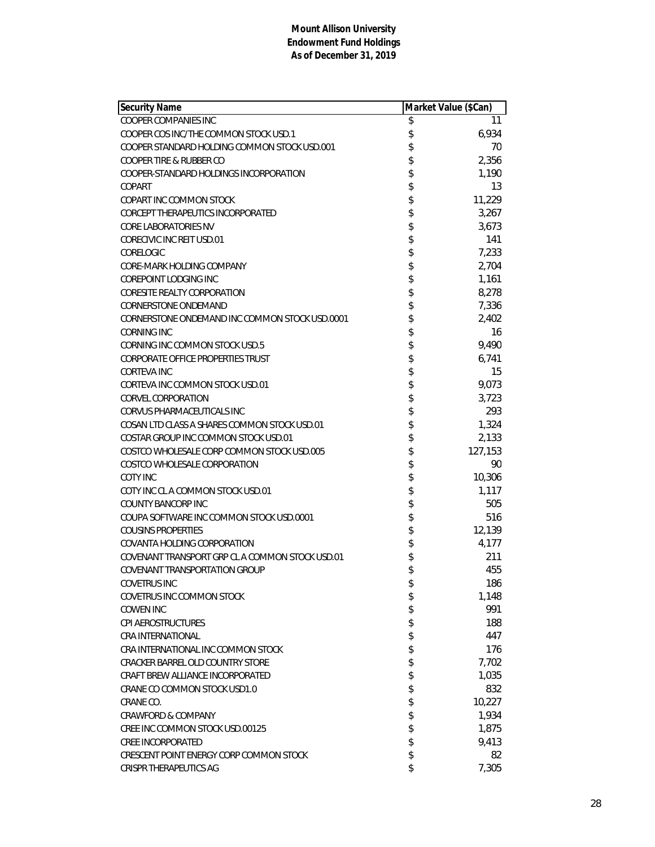| <b>Security Name</b>                            | Market Value (\$Can) |         |
|-------------------------------------------------|----------------------|---------|
| <b>COOPER COMPANIES INC</b>                     | \$                   | 11      |
| COOPER COS INC/THE COMMON STOCK USD.1           | \$                   | 6,934   |
| COOPER STANDARD HOLDING COMMON STOCK USD.001    | \$                   | 70      |
| COOPER TIRE & RUBBER CO                         | \$                   | 2,356   |
| COOPER-STANDARD HOLDINGS INCORPORATION          | \$                   | 1,190   |
| COPART                                          | \$                   | 13      |
| COPART INC COMMON STOCK                         | \$                   | 11,229  |
| CORCEPT THERAPEUTICS INCORPORATED               | \$                   | 3,267   |
| <b>CORE LABORATORIES NV</b>                     | \$                   | 3,673   |
| <b>CORECIVIC INC REIT USD.01</b>                | \$                   | 141     |
| CORELOGIC                                       | \$                   | 7,233   |
| CORE-MARK HOLDING COMPANY                       | \$                   | 2,704   |
| <b>COREPOINT LODGING INC</b>                    | \$                   | 1,161   |
| <b>CORESITE REALTY CORPORATION</b>              | \$                   | 8,278   |
| <b>CORNERSTONE ONDEMAND</b>                     | \$                   | 7,336   |
| CORNERSTONE ONDEMAND INC COMMON STOCK USD.0001  | \$                   | 2,402   |
| <b>CORNING INC</b>                              | \$                   | 16      |
| CORNING INC COMMON STOCK USD.5                  | \$                   | 9,490   |
| CORPORATE OFFICE PROPERTIES TRUST               | \$                   | 6,741   |
| <b>CORTEVA INC</b>                              | \$                   | 15      |
| CORTEVA INC COMMON STOCK USD.01                 | \$                   | 9,073   |
| <b>CORVEL CORPORATION</b>                       | \$                   | 3,723   |
| CORVUS PHARMACEUTICALS INC                      |                      | 293     |
| COSAN LTD CLASS A SHARES COMMON STOCK USD.01    | \$                   | 1,324   |
| COSTAR GROUP INC COMMON STOCK USD.01            | \$                   | 2,133   |
| COSTCO WHOLESALE CORP COMMON STOCK USD.005      | \$                   | 127,153 |
| COSTCO WHOLESALE CORPORATION                    | \$                   | 90      |
| <b>COTY INC</b>                                 | \$                   | 10,306  |
| COTY INC CLA COMMON STOCK USD.01                | \$                   | 1,117   |
| <b>COUNTY BANCORP INC</b>                       | \$                   | 505     |
| COUPA SOFTWARE INC COMMON STOCK USD.0001        |                      | 516     |
| <b>COUSINS PROPERTIES</b>                       | \$                   | 12,139  |
| COVANTA HOLDING CORPORATION                     | \$                   | 4,177   |
| COVENANT TRANSPORT GRP CL A COMMON STOCK USD.01 | \$                   | 211     |
| COVENANT TRANSPORTATION GROUP                   | \$                   | 455     |
| <b>COVETRUS INC</b>                             | \$                   | 186     |
| <b>COVETRUS INC COMMON STOCK</b>                | \$                   | 1,148   |
| <b>COWEN INC</b>                                | \$                   | 991     |
| <b>CPI AEROSTRUCTURES</b>                       | \$                   | 188     |
| <b>CRA INTERNATIONAL</b>                        | \$                   | 447     |
| CRA INTERNATIONAL INC COMMON STOCK              | \$                   | 176     |
| CRACKER BARREL OLD COUNTRY STORE                | \$                   | 7,702   |
| CRAFT BREW ALLIANCE INCORPORATED                | \$                   | 1,035   |
| CRANE CO COMMON STOCK USD1.0                    | \$                   | 832     |
| CRANE CO.                                       | \$                   | 10,227  |
| <b>CRAWFORD &amp; COMPANY</b>                   | \$                   | 1,934   |
| CREE INC COMMON STOCK USD.00125                 | \$                   | 1,875   |
| <b>CREE INCORPORATED</b>                        | \$                   | 9,413   |
| CRESCENT POINT ENERGY CORP COMMON STOCK         | \$                   | 82      |
| CRISPR THERAPEUTICS AG                          | \$                   | 7,305   |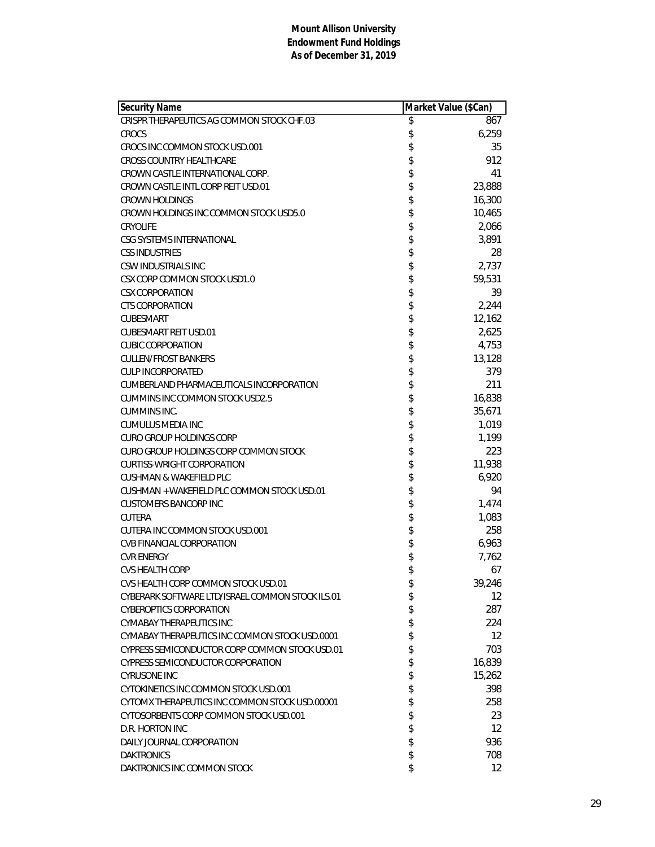| Security Name                                    | Market Value (\$Can) |                   |
|--------------------------------------------------|----------------------|-------------------|
| CRISPR THERAPEUTICS AG COMMON STOCK CHF.03       | \$                   | 867               |
| CROCS                                            | \$                   | 6,259             |
| CROCS INC COMMON STOCK USD.001                   | \$                   | 35                |
| <b>CROSS COUNTRY HEALTHCARE</b>                  | \$                   | 912               |
| CROWN CASTLE INTERNATIONAL CORP.                 | \$                   | 41                |
| CROWN CASTLE INTL CORP REIT USD.01               | \$                   | 23,888            |
| <b>CROWN HOLDINGS</b>                            | \$                   | 16,300            |
| CROWN HOLDINGS INC COMMON STOCK USD5.0           | \$                   | 10,465            |
| <b>CRYOLIFE</b>                                  | \$                   | 2,066             |
| CSG SYSTEMS INTERNATIONAL                        | \$                   | 3,891             |
| <b>CSS INDUSTRIES</b>                            | \$                   | 28                |
| CSW INDUSTRIALS INC                              | \$                   | 2,737             |
| CSX CORP COMMON STOCK USD1.0                     | \$                   | 59,531            |
| <b>CSX CORPORATION</b>                           | \$                   | 39                |
| <b>CTS CORPORATION</b>                           | \$                   | 2,244             |
| <b>CUBESMART</b>                                 | \$                   | 12,162            |
| <b>CUBESMART REIT USD.01</b>                     | \$                   | 2,625             |
| <b>CUBIC CORPORATION</b>                         | \$                   | 4,753             |
| <b>CULLEN/FROST BANKERS</b>                      | \$                   | 13,128            |
| <b>CULP INCORPORATED</b>                         | \$                   | 379               |
| CUMBERLAND PHARMACEUTICALS INCORPORATION         | \$                   | 211               |
| CUMMINS INC COMMON STOCK USD2.5                  | \$                   | 16,838            |
| CUMMINS INC.                                     | \$                   | 35,671            |
| CUMULUS MEDIA INC                                | \$                   | 1,019             |
| CURO GROUP HOLDINGS CORP                         | \$                   | 1,199             |
| CURO GROUP HOLDINGS CORP COMMON STOCK            | \$                   | 223               |
| <b>CURTISS-WRIGHT CORPORATION</b>                | \$                   | 11,938            |
| CUSHMAN & WAKEFIELD PLC                          | \$                   | 6,920             |
| CUSHMAN + WAKEFIELD PLC COMMON STOCK USD.01      | \$                   | 94                |
| <b>CUSTOMERS BANCORP INC</b>                     | \$                   | 1,474             |
| <b>CUTERA</b>                                    | \$                   | 1,083             |
| CUTERA INC COMMON STOCK USD.001                  | \$                   | 258               |
| <b>CVB FINANCIAL CORPORATION</b>                 | \$                   | 6,963             |
| <b>CVR ENERGY</b>                                | \$                   | 7,762             |
| <b>CVS HEALTH CORP</b>                           | \$                   | 67                |
| CVS HEALTH CORP COMMON STOCK USD.01              | \$                   | 39,246            |
| CYBERARK SOFTWARE LTD/ISRAEL COMMON STOCK ILS.01 | \$                   | 12                |
| <b>CYBEROPTICS CORPORATION</b>                   | \$                   | 287               |
| CYMABAY THERAPEUTICS INC                         | \$                   | 224               |
| CYMABAY THERAPEUTICS INC COMMON STOCK USD.0001   | \$                   | $12 \overline{ }$ |
| CYPRESS SEMICONDUCTOR CORP COMMON STOCK USD.01   | \$                   | 703               |
| <b>CYPRESS SEMICONDUCTOR CORPORATION</b>         | \$                   | 16,839            |
| <b>CYRUSONE INC</b>                              | \$                   | 15,262            |
| CYTOKINETICS INC COMMON STOCK USD.001            | \$                   | 398               |
| CYTOMX THERAPEUTICS INC COMMON STOCK USD.00001   | \$                   | 258               |
| CYTOSORBENTS CORP COMMON STOCK USD.001           | \$                   | 23                |
| D.R. HORTON INC                                  | \$                   | 12                |
| DAILY JOURNAL CORPORATION                        | \$                   | 936               |
| <b>DAKTRONICS</b>                                | \$                   |                   |
|                                                  |                      | 708               |
| DAKTRONICS INC COMMON STOCK                      | \$                   | $12 \overline{ }$ |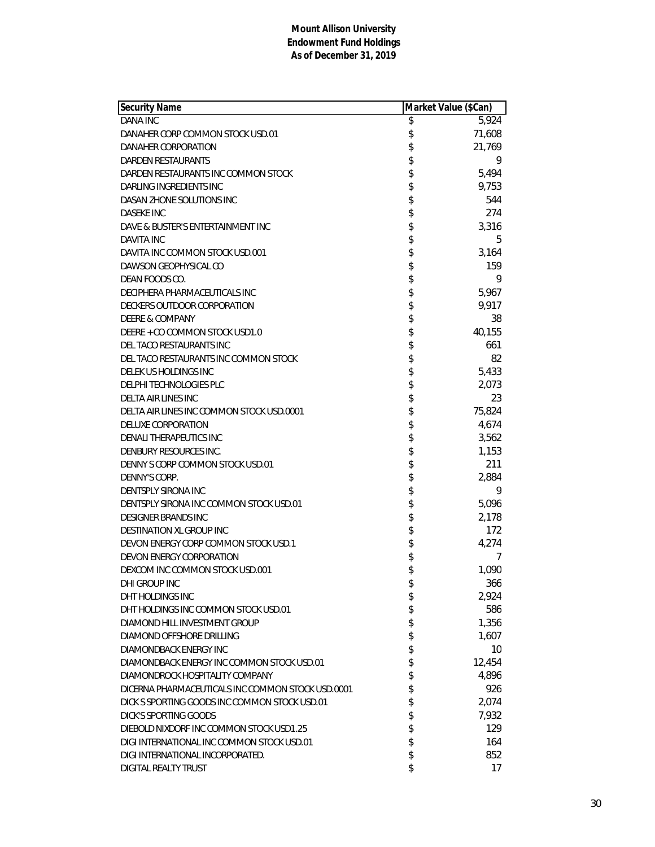| Security Name                                     | Market Value (\$Can) |
|---------------------------------------------------|----------------------|
| <b>DANA INC</b>                                   | \$<br>5,924          |
| DANAHER CORP COMMON STOCK USD.01                  | \$<br>71,608         |
| DANAHER CORPORATION                               | \$<br>21,769         |
| DARDEN RESTAURANTS                                | \$<br>9              |
| DARDEN RESTAURANTS INC COMMON STOCK               | \$<br>5,494          |
| DARLING INGREDIENTS INC                           | \$<br>9,753          |
| DASAN ZHONE SOLUTIONS INC                         | \$<br>544            |
| <b>DASEKE INC</b>                                 | \$<br>274            |
| DAVE & BUSTER'S ENTERTAINMENT INC                 | \$<br>3,316          |
| DAVITA INC                                        | \$<br>5              |
| DAVITA INC COMMON STOCK USD.001                   | \$<br>3,164          |
| DAWSON GEOPHYSICAL CO                             | \$<br>159            |
| DEAN FOODS CO.                                    | \$<br>9              |
| DECIPHERA PHARMACEUTICALS INC                     | \$<br>5,967          |
| DECKERS OUTDOOR CORPORATION                       | \$<br>9,917          |
| <b>DEERE &amp; COMPANY</b>                        | \$<br>38             |
| DEERE + CO COMMON STOCK USD1.0                    | \$<br>40,155         |
| DEL TACO RESTAURANTS INC                          | \$<br>661            |
| DEL TACO RESTAURANTS INC COMMON STOCK             | \$<br>82             |
| DELEK US HOLDINGS INC                             | \$<br>5,433          |
| <b>DELPHI TECHNOLOGIES PLC</b>                    | \$<br>2,073          |
| DELTA AIR LINES INC                               | \$<br>23             |
| DELTA AIR LINES INC COMMON STOCK USD.0001         | \$<br>75,824         |
| <b>DELUXE CORPORATION</b>                         | \$<br>4,674          |
| DENALI THERAPEUTICS INC                           | \$<br>3,562          |
| DENBURY RESOURCES INC.                            | \$<br>1,153          |
| DENNY S CORP COMMON STOCK USD.01                  | \$<br>211            |
| DENNY'S CORP.                                     | \$<br>2,884          |
| DENTSPLY SIRONA INC                               | \$<br>9              |
| DENTSPLY SIRONA INC COMMON STOCK USD.01           | \$<br>5,096          |
| <b>DESIGNER BRANDS INC</b>                        | \$<br>2,178          |
| <b>DESTINATION XL GROUP INC</b>                   | \$<br>172            |
| DEVON ENERGY CORP COMMON STOCK USD.1              | \$<br>4,274          |
| DEVON ENERGY CORPORATION                          | \$<br>7              |
| DEXCOM INC COMMON STOCK USD.001                   | \$<br>1,090          |
| DHI GROUP INC                                     | \$<br>366            |
| DHT HOLDINGS INC                                  | \$<br>2,924          |
| DHT HOLDINGS INC COMMON STOCK USD.01              | \$<br>586            |
| DIAMOND HILL INVESTMENT GROUP                     | \$<br>1,356          |
| DIAMOND OFFSHORE DRILLING                         | \$<br>1,607          |
| DIAMONDBACK ENERGY INC                            | \$<br>10             |
| DIAMONDBACK ENERGY INC COMMON STOCK USD.01        | \$<br>12,454         |
| DIAMONDROCK HOSPITALITY COMPANY                   | \$<br>4,896          |
| DICERNA PHARMACEUTICALS INC COMMON STOCK USD.0001 | \$<br>926            |
| DICK S SPORTING GOODS INC COMMON STOCK USD.01     | \$<br>2,074          |
| <b>DICK'S SPORTING GOODS</b>                      | \$<br>7,932          |
| DIEBOLD NIXDORF INC COMMON STOCK USD1.25          | \$<br>129            |
| DIGI INTERNATIONAL INC COMMON STOCK USD.01        | \$<br>164            |
| DIGI INTERNATIONAL INCORPORATED.                  | \$<br>852            |
| <b>DIGITAL REALTY TRUST</b>                       | \$<br>17             |
|                                                   |                      |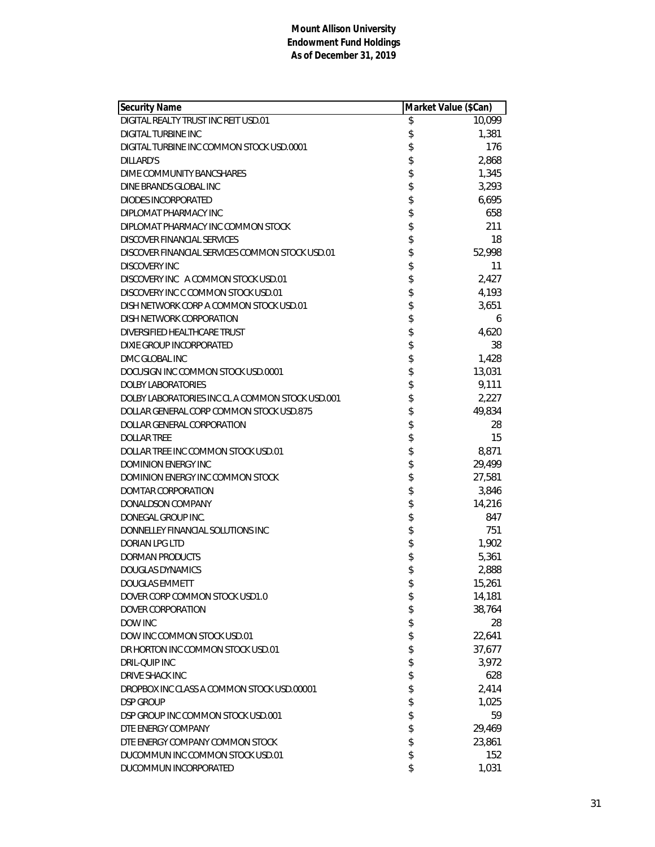| <b>Security Name</b>                             | Market Value (\$Can) |        |
|--------------------------------------------------|----------------------|--------|
| DIGITAL REALTY TRUST INC REIT USD.01             | \$                   | 10,099 |
| DIGITAL TURBINE INC                              | \$                   | 1,381  |
| DIGITAL TURBINE INC COMMON STOCK USD.0001        | \$                   | 176    |
| DILLARD'S                                        | \$                   | 2,868  |
| DIME COMMUNITY BANCSHARES                        | \$                   | 1,345  |
| DINE BRANDS GLOBAL INC                           | \$                   | 3,293  |
| DIODES INCORPORATED                              | \$                   | 6,695  |
| DIPLOMAT PHARMACY INC                            | \$                   | 658    |
| DIPLOMAT PHARMACY INC COMMON STOCK               | \$                   | 211    |
| DISCOVER FINANCIAL SERVICES                      | \$                   | 18     |
| DISCOVER FINANCIAL SERVICES COMMON STOCK USD.01  | \$                   | 52,998 |
| <b>DISCOVERY INC</b>                             | \$                   | 11     |
| DISCOVERY INC A COMMON STOCK USD.01              | \$                   | 2,427  |
| DISCOVERY INC C COMMON STOCK USD.01              | \$                   | 4,193  |
| DISH NETWORK CORP A COMMON STOCK USD.01          | \$                   | 3,651  |
| DISH NETWORK CORPORATION                         | \$                   | 6      |
| DIVERSIFIED HEALTHCARE TRUST                     | \$                   | 4,620  |
| DIXIE GROUP INCORPORATED                         | \$                   | 38     |
| DMC GLOBAL INC                                   | \$                   | 1,428  |
| DOCUSIGN INC COMMON STOCK USD.0001               | \$                   | 13,031 |
| <b>DOLBY LABORATORIES</b>                        | \$                   | 9,111  |
| DOLBY LABORATORIES INC CL A COMMON STOCK USD.001 | \$                   | 2,227  |
| DOLLAR GENERAL CORP COMMON STOCK USD.875         | \$                   | 49,834 |
| DOLLAR GENERAL CORPORATION                       | \$                   | 28     |
| <b>DOLLAR TREE</b>                               | \$                   | 15     |
| DOLLAR TREE INC COMMON STOCK USD.01              | \$                   | 8,871  |
| <b>DOMINION ENERGY INC</b>                       | \$                   | 29,499 |
| DOMINION ENERGY INC COMMON STOCK                 | \$                   | 27,581 |
| DOMTAR CORPORATION                               | \$                   | 3,846  |
| DONALDSON COMPANY                                | \$                   | 14,216 |
| DONEGAL GROUP INC.                               | \$                   | 847    |
| DONNELLEY FINANCIAL SOLUTIONS INC                | \$                   | 751    |
| DORIAN LPG LTD                                   | \$                   | 1,902  |
| DORMAN PRODUCTS                                  | \$                   | 5,361  |
| <b>DOUGLAS DYNAMICS</b>                          | \$                   | 2,888  |
| <b>DOUGLAS EMMETT</b>                            | \$                   | 15,261 |
| DOVER CORP COMMON STOCK USD1.0                   | \$                   | 14,181 |
| DOVER CORPORATION                                | \$                   | 38,764 |
| DOW INC                                          | \$                   | 28     |
| DOW INC COMMON STOCK USD.01                      | \$                   | 22,641 |
| DR HORTON INC COMMON STOCK USD.01                | \$                   | 37,677 |
| <b>DRIL-QUIP INC</b>                             | \$                   | 3,972  |
| <b>DRIVE SHACK INC</b>                           | \$                   | 628    |
| DROPBOX INC CLASS A COMMON STOCK USD.00001       | \$                   | 2,414  |
| <b>DSP GROUP</b>                                 | \$                   | 1,025  |
| DSP GROUP INC COMMON STOCK USD.001               | \$                   | 59     |
| DTE ENERGY COMPANY                               | \$                   | 29,469 |
| DTE ENERGY COMPANY COMMON STOCK                  | \$                   | 23,861 |
| DUCOMMUN INC COMMON STOCK USD.01                 | \$                   | 152    |
| DUCOMMUN INCORPORATED                            | \$                   | 1,031  |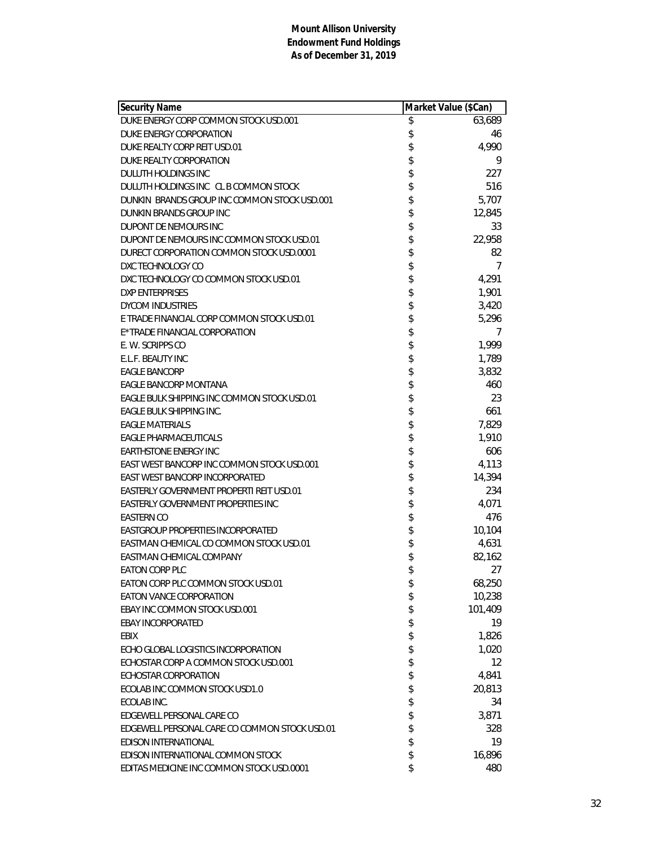| <b>Security Name</b>                          | Market Value (\$Can) |         |
|-----------------------------------------------|----------------------|---------|
| DUKE ENERGY CORP COMMON STOCK USD.001         | \$                   | 63,689  |
| DUKE ENERGY CORPORATION                       | \$                   | 46      |
| DUKE REALTY CORP REIT USD.01                  | \$                   | 4,990   |
| DUKE REALTY CORPORATION                       | \$                   | 9       |
| DULUTH HOLDINGS INC                           | \$                   | 227     |
| DULUTH HOLDINGS INC CL B COMMON STOCK         | \$                   | 516     |
| DUNKIN BRANDS GROUP INC COMMON STOCK USD.001  | \$                   | 5,707   |
| DUNKIN BRANDS GROUP INC                       | \$                   | 12,845  |
| DUPONT DE NEMOURS INC                         | \$                   | 33      |
| DUPONT DE NEMOURS INC COMMON STOCK USD.01     | \$                   | 22,958  |
| DURECT CORPORATION COMMON STOCK USD.0001      | \$                   | 82      |
| DXC TECHNOLOGY CO                             | \$                   | 7       |
| DXC TECHNOLOGY CO COMMON STOCK USD.01         | \$                   | 4,291   |
| <b>DXP ENTERPRISES</b>                        | \$                   | 1,901   |
| <b>DYCOM INDUSTRIES</b>                       | \$                   | 3,420   |
| E TRADE FINANCIAL CORP COMMON STOCK USD.01    | \$                   | 5,296   |
| E*TRADE FINANCIAL CORPORATION                 | \$                   | 7       |
| E. W. SCRIPPS CO                              | \$                   | 1,999   |
| E.L.F. BEAUTY INC                             | \$                   | 1,789   |
| <b>EAGLE BANCORP</b>                          | \$                   | 3,832   |
| EAGLE BANCORP MONTANA                         | \$                   | 460     |
| EAGLE BULK SHIPPING INC COMMON STOCK USD.01   | \$                   | 23      |
| EAGLE BULK SHIPPING INC.                      | \$                   | 661     |
| <b>EAGLE MATERIALS</b>                        | \$                   | 7,829   |
| EAGLE PHARMACEUTICALS                         | \$                   | 1,910   |
| <b>EARTHSTONE ENERGY INC</b>                  | \$                   | 606     |
| EAST WEST BANCORP INC COMMON STOCK USD.001    | \$                   | 4,113   |
| EAST WEST BANCORP INCORPORATED                | \$                   | 14,394  |
| EASTERLY GOVERNMENT PROPERTI REIT USD.01      | \$                   | 234     |
| EASTERLY GOVERNMENT PROPERTIES INC            | \$                   | 4,071   |
| <b>EASTERN CO</b>                             | \$                   | 476     |
| EASTGROUP PROPERTIES INCORPORATED             | \$                   | 10,104  |
| EASTMAN CHEMICAL CO COMMON STOCK USD.01       | \$                   | 4,631   |
| EASTMAN CHEMICAL COMPANY                      | \$                   | 82,162  |
| <b>EATON CORP PLC</b>                         | \$                   | 27      |
| EATON CORP PLC COMMON STOCK USD.01            | \$                   | 68,250  |
| EATON VANCE CORPORATION                       | \$                   | 10,238  |
| EBAY INC COMMON STOCK USD.001                 | \$                   | 101,409 |
| <b>EBAY INCORPORATED</b>                      | \$                   | 19      |
| EBIX                                          | \$                   | 1,826   |
| ECHO GLOBAL LOGISTICS INCORPORATION           | \$                   | 1,020   |
| ECHOSTAR CORP A COMMON STOCK USD.001          | \$                   | 12      |
| ECHOSTAR CORPORATION                          | \$                   | 4,841   |
| ECOLAB INC COMMON STOCK USD1.0                | \$                   | 20,813  |
| ECOLAB INC.                                   | \$                   | 34      |
| EDGEWELL PERSONAL CARE CO                     | \$                   | 3,871   |
| EDGEWELL PERSONAL CARE CO COMMON STOCK USD.01 | \$                   | 328     |
| EDISON INTERNATIONAL                          | \$                   | 19      |
| EDISON INTERNATIONAL COMMON STOCK             | \$                   | 16,896  |
| EDITAS MEDICINE INC COMMON STOCK USD.0001     | \$                   | 480     |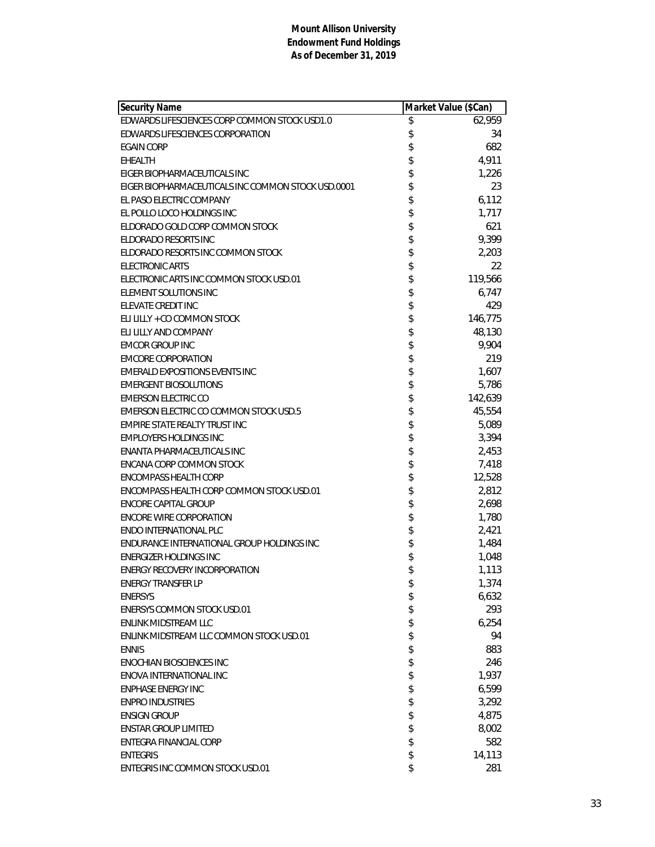| Security Name                                      | Market Value (\$Can) |         |
|----------------------------------------------------|----------------------|---------|
| EDWARDS LIFESCIENCES CORP COMMON STOCK USD1.0      | \$                   | 62,959  |
| EDWARDS LIFESCIENCES CORPORATION                   | \$                   | 34      |
| <b>EGAIN CORP</b>                                  | \$                   | 682     |
| <b>EHEALTH</b>                                     | \$                   | 4,911   |
| EIGER BIOPHARMACEUTICALS INC                       | \$                   | 1,226   |
| EIGER BIOPHARMACEUTICALS INC COMMON STOCK USD.0001 | \$                   | 23      |
| EL PASO ELECTRIC COMPANY                           | \$                   | 6,112   |
| EL POLLO LOCO HOLDINGS INC                         | \$                   | 1,717   |
| ELDORADO GOLD CORP COMMON STOCK                    | \$                   | 621     |
| ELDORADO RESORTS INC                               | \$                   | 9,399   |
| ELDORADO RESORTS INC COMMON STOCK                  | \$                   | 2,203   |
| <b>ELECTRONIC ARTS</b>                             | \$                   | 22      |
| ELECTRONIC ARTS INC COMMON STOCK USD.01            | \$                   | 119,566 |
| ELEMENT SOLUTIONS INC                              | \$                   | 6,747   |
| ELEVATE CREDIT INC                                 | \$                   | 429     |
| ELI LILLY + CO COMMON STOCK                        | \$                   | 146,775 |
| ELI LILLY AND COMPANY                              | \$                   | 48,130  |
| <b>EMCOR GROUP INC</b>                             | \$                   | 9,904   |
| <b>EMCORE CORPORATION</b>                          | \$                   | 219     |
| EMERALD EXPOSITIONS EVENTS INC                     | \$                   | 1,607   |
| <b>EMERGENT BIOSOLUTIONS</b>                       | \$                   | 5,786   |
| <b>EMERSON ELECTRIC CO</b>                         | \$                   | 142,639 |
| EMERSON ELECTRIC CO COMMON STOCK USD.5             | \$                   | 45,554  |
| EMPIRE STATE REALTY TRUST INC                      | \$                   | 5,089   |
| <b>EMPLOYERS HOLDINGS INC</b>                      | \$                   | 3,394   |
| ENANTA PHARMACEUTICALS INC                         | \$                   | 2,453   |
| ENCANA CORP COMMON STOCK                           | \$                   | 7,418   |
| <b>ENCOMPASS HEALTH CORP</b>                       | \$                   | 12,528  |
| ENCOMPASS HEALTH CORP COMMON STOCK USD.01          | \$                   | 2,812   |
| ENCORE CAPITAL GROUP                               | \$                   | 2,698   |
| <b>ENCORE WIRE CORPORATION</b>                     | \$                   | 1,780   |
| <b>ENDO INTERNATIONAL PLC</b>                      | \$                   | 2,421   |
| ENDURANCE INTERNATIONAL GROUP HOLDINGS INC         | \$                   | 1,484   |
| <b>ENERGIZER HOLDINGS INC</b>                      | \$                   | 1,048   |
| <b>ENERGY RECOVERY INCORPORATION</b>               | \$                   | 1,113   |
| <b>ENERGY TRANSFER LP</b>                          | \$                   | 1,374   |
| <b>ENERSYS</b>                                     | \$                   | 6,632   |
| <b>ENERSYS COMMON STOCK USD.01</b>                 | \$                   | 293     |
| <b>ENLINK MIDSTREAM LLC</b>                        | \$                   | 6,254   |
| ENLINK MIDSTREAM LLC COMMON STOCK USD.01           | \$                   | 94      |
| <b>ENNIS</b>                                       | \$                   | 883     |
| <b>ENOCHIAN BIOSCIENCES INC</b>                    | \$                   | 246     |
| ENOVA INTERNATIONAL INC                            | \$                   | 1,937   |
| <b>ENPHASE ENERGY INC</b>                          | \$                   | 6,599   |
| <b>ENPRO INDUSTRIES</b>                            | \$                   | 3,292   |
| <b>ENSIGN GROUP</b>                                | \$                   | 4,875   |
| <b>ENSTAR GROUP LIMITED</b>                        | \$                   | 8,002   |
| ENTEGRA FINANCIAL CORP                             | \$                   | 582     |
| <b>ENTEGRIS</b>                                    | \$                   | 14,113  |
| ENTEGRIS INC COMMON STOCK USD.01                   | \$                   | 281     |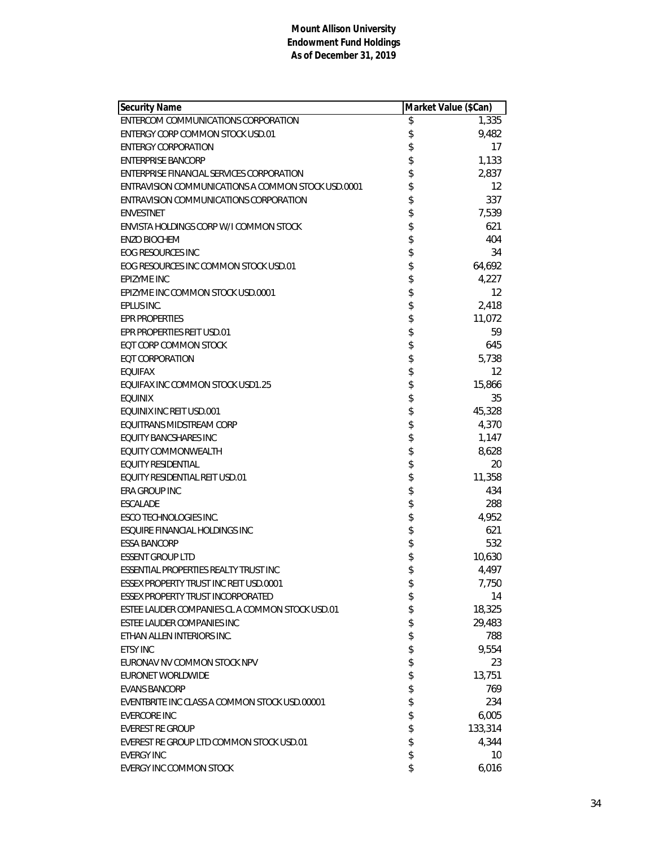| <b>Security Name</b>                               | Market Value (\$Can) |
|----------------------------------------------------|----------------------|
| ENTERCOM COMMUNICATIONS CORPORATION                | \$<br>1,335          |
| <b>ENTERGY CORP COMMON STOCK USD.01</b>            | \$<br>9,482          |
| <b>ENTERGY CORPORATION</b>                         | \$<br>17             |
| <b>ENTERPRISE BANCORP</b>                          | \$<br>1,133          |
| ENTERPRISE FINANCIAL SERVICES CORPORATION          | \$<br>2,837          |
| ENTRAVISION COMMUNICATIONS A COMMON STOCK USD.0001 | \$<br>12             |
| ENTRAVISION COMMUNICATIONS CORPORATION             | \$<br>337            |
| <b>ENVESTNET</b>                                   | \$<br>7,539          |
| ENVISTA HOLDINGS CORP W/I COMMON STOCK             | \$<br>621            |
| <b>ENZO BIOCHEM</b>                                | \$<br>404            |
| EOG RESOURCES INC                                  | \$<br>34             |
| EOG RESOURCES INC COMMON STOCK USD.01              | \$<br>64,692         |
| <b>EPIZYME INC</b>                                 | \$<br>4,227          |
| EPIZYME INC COMMON STOCK USD.0001                  | \$<br>12             |
| EPLUS INC.                                         | \$<br>2,418          |
| <b>FPR PROPERTIES</b>                              | \$<br>11,072         |
| EPR PROPERTIES REIT USD.01                         | \$<br>59             |
| EQT CORP COMMON STOCK                              | \$<br>645            |
| <b>EQT CORPORATION</b>                             | \$<br>5,738          |
| <b>EQUIFAX</b>                                     | \$<br>12             |
| EQUIFAX INC COMMON STOCK USD1.25                   | \$<br>15,866         |
| <b>EQUINIX</b>                                     | \$<br>35             |
| EQUINIX INC REIT USD.001                           | \$<br>45,328         |
| EQUITRANS MIDSTREAM CORP                           | \$<br>4,370          |
| EQUITY BANCSHARES INC                              | \$<br>1,147          |
| EQUITY COMMONWEALTH                                | \$<br>8,628          |
| <b>EQUITY RESIDENTIAL</b>                          | \$<br>20             |
| EQUITY RESIDENTIAL REIT USD.01                     | \$<br>11,358         |
| ERA GROUP INC                                      | \$<br>434            |
| <b>ESCALADE</b>                                    | \$<br>288            |
| <b>ESCO TECHNOLOGIES INC.</b>                      | \$<br>4,952          |
| <b>ESQUIRE FINANCIAL HOLDINGS INC</b>              | \$<br>621            |
| <b>ESSA BANCORP</b>                                | \$<br>532            |
| <b>ESSENT GROUP LTD</b>                            | \$<br>10,630         |
| <b>ESSENTIAL PROPERTIES REALTY TRUST INC</b>       | \$<br>4,497          |
| ESSEX PROPERTY TRUST INC REIT USD.0001             | \$<br>7,750          |
| <b>ESSEX PROPERTY TRUST INCORPORATED</b>           | \$<br>14             |
| ESTEE LAUDER COMPANIES CL A COMMON STOCK USD.01    | \$<br>18,325         |
| ESTEE LAUDER COMPANIES INC                         | \$<br>29,483         |
| ETHAN ALLEN INTERIORS INC.                         | \$<br>788            |
| <b>ETSY INC</b>                                    | \$<br>9,554          |
| EURONAV NV COMMON STOCK NPV                        | \$<br>23             |
| <b>EURONET WORLDWIDE</b>                           | \$<br>13,751         |
| <b>EVANS BANCORP</b>                               | \$<br>769            |
| EVENTBRITE INC CLASS A COMMON STOCK USD.00001      | \$<br>234            |
| <b>EVERCORE INC</b>                                | \$<br>6,005          |
| <b>EVEREST RE GROUP</b>                            | \$<br>133,314        |
| EVEREST RE GROUP LTD COMMON STOCK USD.01           | \$<br>4,344          |
| <b>EVERGY INC</b>                                  | \$<br>10             |
| EVERGY INC COMMON STOCK                            | \$<br>6,016          |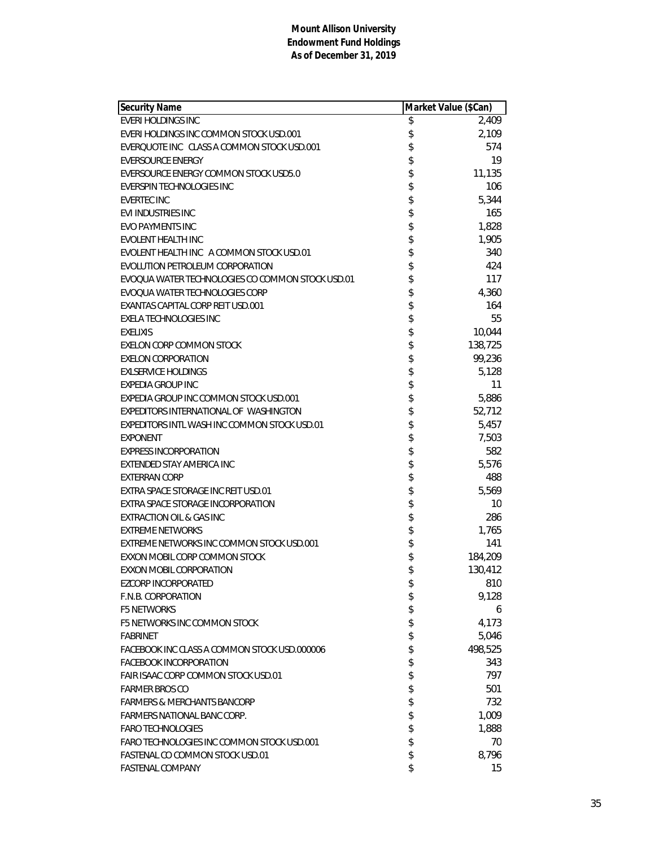| Security Name                                    | Market Value (\$Can) |         |
|--------------------------------------------------|----------------------|---------|
| <b>EVERI HOLDINGS INC</b>                        | \$                   | 2,409   |
| EVERI HOLDINGS INC COMMON STOCK USD.001          | \$                   | 2,109   |
| EVERQUOTE INC CLASS A COMMON STOCK USD.001       | \$                   | 574     |
| <b>EVERSOURCE ENERGY</b>                         | \$                   | 19      |
| EVERSOURCE ENERGY COMMON STOCK USD5.0            | \$                   | 11,135  |
| EVERSPIN TECHNOLOGIES INC                        | \$                   | 106     |
| <b>EVERTEC INC</b>                               | \$                   | 5,344   |
| EVI INDUSTRIES INC                               | \$                   | 165     |
| <b>EVO PAYMENTS INC</b>                          | \$                   | 1,828   |
| EVOLENT HEALTH INC                               | \$                   | 1,905   |
| EVOLENT HEALTH INC A COMMON STOCK USD.01         | \$                   | 340     |
| EVOLUTION PETROLEUM CORPORATION                  | \$                   | 424     |
| EVOQUA WATER TECHNOLOGIES CO COMMON STOCK USD.01 | \$                   | 117     |
| EVOQUA WATER TECHNOLOGIES CORP                   | \$                   | 4,360   |
| EXANTAS CAPITAL CORP REIT USD.001                | \$                   | 164     |
| <b>EXELA TECHNOLOGIES INC</b>                    | \$                   | 55      |
| <b>EXELIXIS</b>                                  | \$                   | 10,044  |
| EXELON CORP COMMON STOCK                         | \$                   | 138,725 |
| <b>EXELON CORPORATION</b>                        | \$                   | 99,236  |
| <b>EXLSERVICE HOLDINGS</b>                       | \$                   | 5,128   |
| <b>EXPEDIA GROUP INC</b>                         | \$                   | 11      |
| EXPEDIA GROUP INC COMMON STOCK USD.001           | \$                   | 5,886   |
| EXPEDITORS INTERNATIONAL OF WASHINGTON           | \$                   | 52,712  |
| EXPEDITORS INTL WASH INC COMMON STOCK USD.01     | \$                   | 5,457   |
| <b>EXPONENT</b>                                  | \$                   | 7,503   |
| <b>EXPRESS INCORPORATION</b>                     | \$                   | 582     |
| EXTENDED STAY AMERICA INC                        | \$                   | 5,576   |
| <b>EXTERRAN CORP</b>                             | \$                   | 488     |
| EXTRA SPACE STORAGE INC REIT USD.01              | \$                   | 5,569   |
| EXTRA SPACE STORAGE INCORPORATION                | \$                   | 10      |
| EXTRACTION OIL & GAS INC                         | \$                   | 286     |
| <b>EXTREME NETWORKS</b>                          | \$                   | 1,765   |
| EXTREME NETWORKS INC COMMON STOCK USD.001        | \$                   | 141     |
| EXXON MOBIL CORP COMMON STOCK                    | \$                   | 184,209 |
| <b>EXXON MOBIL CORPORATION</b>                   | \$                   | 130,412 |
| EZCORP INCORPORATED                              | \$                   | 810     |
| F.N.B. CORPORATION                               | \$                   | 9,128   |
| <b>F5 NETWORKS</b>                               | \$                   | 6       |
| <b>F5 NETWORKS INC COMMON STOCK</b>              | \$                   | 4,173   |
| <b>FABRINET</b>                                  | \$                   | 5,046   |
| FACEBOOK INC CLASS A COMMON STOCK USD.000006     | \$                   | 498,525 |
| <b>FACEBOOK INCORPORATION</b>                    | \$                   | 343     |
| FAIR ISAAC CORP COMMON STOCK USD.01              | \$                   | 797     |
| <b>FARMER BROS CO</b>                            | \$                   | 501     |
| <b>FARMERS &amp; MERCHANTS BANCORP</b>           | \$                   | 732     |
| <b>FARMERS NATIONAL BANC CORP.</b>               | \$                   | 1,009   |
| <b>FARO TECHNOLOGIES</b>                         | \$                   | 1,888   |
| FARO TECHNOLOGIES INC COMMON STOCK USD.001       | \$                   | 70      |
| FASTENAL CO COMMON STOCK USD.01                  | \$                   | 8,796   |
| FASTENAL COMPANY                                 | \$                   | 15      |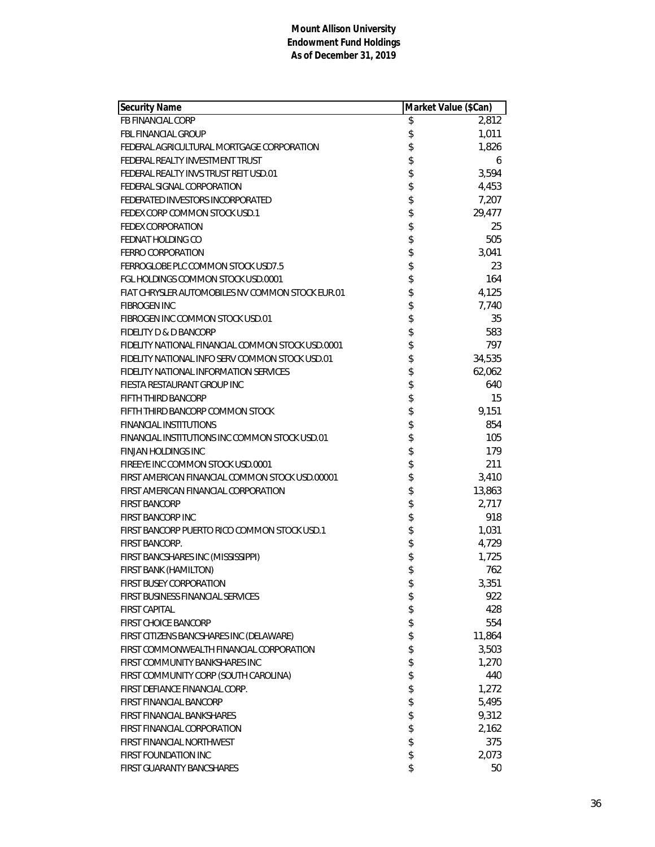| Security Name                                     | Market Value (\$Can) |        |
|---------------------------------------------------|----------------------|--------|
| FB FINANCIAL CORP                                 | \$                   | 2,812  |
| <b>FBL FINANCIAL GROUP</b>                        | \$                   | 1,011  |
| FEDERAL AGRICULTURAL MORTGAGE CORPORATION         | \$                   | 1,826  |
| FEDERAL REALTY INVESTMENT TRUST                   | \$                   | 6      |
| FEDERAL REALTY INVS TRUST REIT USD.01             | \$                   | 3,594  |
| FEDERAL SIGNAL CORPORATION                        |                      | 4,453  |
| FEDERATED INVESTORS INCORPORATED                  |                      | 7,207  |
| FEDEX CORP COMMON STOCK USD.1                     | \$\$                 | 29,477 |
| <b>FEDEX CORPORATION</b>                          | \$                   | 25     |
| FEDNAT HOLDING CO                                 | \$                   | 505    |
| FERRO CORPORATION                                 | \$                   | 3,041  |
| FERROGLOBE PLC COMMON STOCK USD7.5                | \$                   | 23     |
| FGL HOLDINGS COMMON STOCK USD.0001                |                      | 164    |
| FIAT CHRYSLER AUTOMOBILES NV COMMON STOCK EUR.01  |                      | 4,125  |
| <b>FIBROGEN INC</b>                               | \$\$\$               | 7,740  |
| FIBROGEN INC COMMON STOCK USD.01                  | \$                   | 35     |
| <b>FIDELITY D &amp; D BANCORP</b>                 | \$                   | 583    |
| FIDELITY NATIONAL FINANCIAL COMMON STOCK USD.0001 |                      | 797    |
| FIDELITY NATIONAL INFO SERV COMMON STOCK USD.01   |                      | 34,535 |
| FIDELITY NATIONAL INFORMATION SERVICES            | \$\$                 | 62,062 |
| FIESTA RESTAURANT GROUP INC                       |                      | 640    |
| FIFTH THIRD BANCORP                               | \$\$\$\$\$           | 15     |
| FIFTH THIRD BANCORP COMMON STOCK                  |                      | 9,151  |
| <b>FINANCIAL INSTITUTIONS</b>                     |                      | 854    |
| FINANCIAL INSTITUTIONS INC COMMON STOCK USD.01    |                      | 105    |
| <b>FINJAN HOLDINGS INC</b>                        | \$                   | 179    |
| FIREEYE INC COMMON STOCK USD.0001                 | \$                   | 211    |
| FIRST AMERICAN FINANCIAL COMMON STOCK USD.00001   |                      | 3,410  |
| FIRST AMERICAN FINANCIAL CORPORATION              | \$<br>\$             | 13,863 |
| <b>FIRST BANCORP</b>                              |                      | 2,717  |
| FIRST BANCORP INC                                 | \$\$\$\$             | 918    |
| FIRST BANCORP PUERTO RICO COMMON STOCK USD.1      |                      | 1,031  |
| FIRST BANCORP.                                    |                      | 4,729  |
| FIRST BANCSHARES INC (MISSISSIPPI)                | \$                   | 1,725  |
| FIRST BANK (HAMILTON)                             | \$                   | 762    |
| FIRST BUSEY CORPORATION                           | \$                   | 3,351  |
| FIRST BUSINESS FINANCIAL SERVICES                 | \$                   | 922    |
| <b>FIRST CAPITAL</b>                              | \$                   | 428    |
| <b>FIRST CHOICE BANCORP</b>                       | \$                   | 554    |
| FIRST CITIZENS BANCSHARES INC (DELAWARE)          | \$                   | 11,864 |
| FIRST COMMONWEALTH FINANCIAL CORPORATION          | \$                   | 3,503  |
| FIRST COMMUNITY BANKSHARES INC                    | \$                   | 1,270  |
| FIRST COMMUNITY CORP (SOUTH CAROLINA)             | \$                   | 440    |
| FIRST DEFIANCE FINANCIAL CORP.                    | \$                   | 1,272  |
| FIRST FINANCIAL BANCORP                           | \$                   | 5,495  |
| FIRST FINANCIAL BANKSHARES                        | \$                   | 9,312  |
| FIRST FINANCIAL CORPORATION                       | \$                   | 2,162  |
| <b>FIRST FINANCIAL NORTHWEST</b>                  | \$                   | 375    |
| <b>FIRST FOUNDATION INC</b>                       | \$                   | 2,073  |
| FIRST GUARANTY BANCSHARES                         | \$                   | 50     |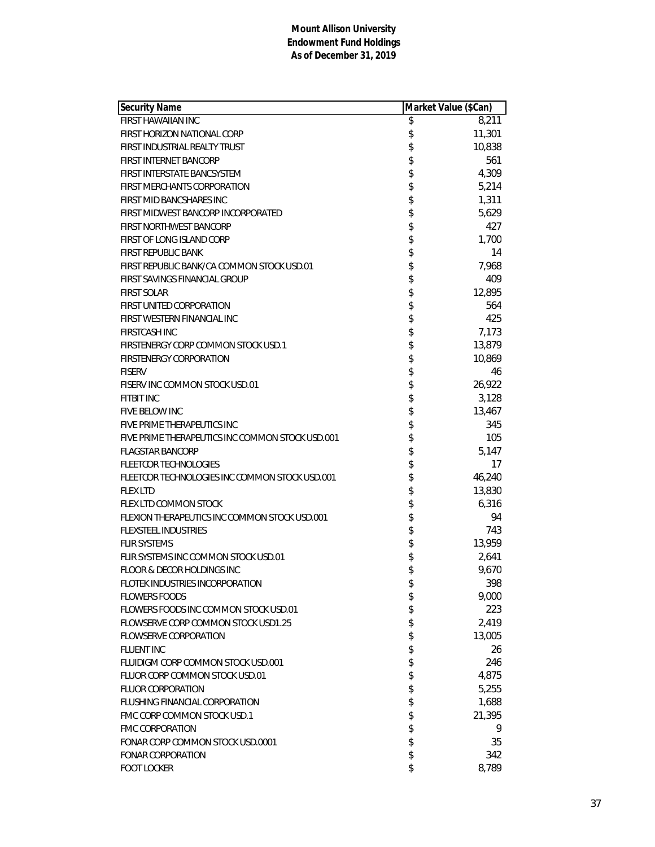| <b>Security Name</b>                             | Market Value (\$Can) |
|--------------------------------------------------|----------------------|
| FIRST HAWAIIAN INC                               | \$<br>8,211          |
| FIRST HORIZON NATIONAL CORP                      | \$<br>11,301         |
| FIRST INDUSTRIAL REALTY TRUST                    | \$<br>10,838         |
| FIRST INTERNET BANCORP                           | \$<br>561            |
| FIRST INTERSTATE BANCSYSTEM                      | \$<br>4,309          |
| <b>FIRST MERCHANTS CORPORATION</b>               | \$<br>5,214          |
| FIRST MID BANCSHARES INC                         | \$<br>1,311          |
| FIRST MIDWEST BANCORP INCORPORATED               | \$<br>5,629          |
| <b>FIRST NORTHWEST BANCORP</b>                   | \$<br>427            |
| FIRST OF LONG ISLAND CORP                        | \$<br>1,700          |
| <b>FIRST REPUBLIC BANK</b>                       | \$<br>14             |
| FIRST REPUBLIC BANK/CA COMMON STOCK USD.01       | \$<br>7,968          |
| FIRST SAVINGS FINANCIAL GROUP                    | \$<br>409            |
| <b>FIRST SOLAR</b>                               | \$<br>12,895         |
| <b>FIRST UNITED CORPORATION</b>                  | \$<br>564            |
| FIRST WESTERN FINANCIAL INC                      | \$<br>425            |
| <b>FIRSTCASH INC</b>                             | \$<br>7,173          |
| FIRSTENERGY CORP COMMON STOCK USD.1              | \$<br>13,879         |
| FIRSTENERGY CORPORATION                          | \$<br>10,869         |
| <b>FISERV</b>                                    | \$<br>46             |
| FISERV INC COMMON STOCK USD.01                   | \$<br>26,922         |
| <b>FITBIT INC</b>                                | \$<br>3,128          |
| FIVE BELOW INC                                   | \$<br>13,467         |
| FIVE PRIME THERAPEUTICS INC                      | \$<br>345            |
| FIVE PRIME THERAPEUTICS INC COMMON STOCK USD.001 | \$<br>105            |
| <b>FLAGSTAR BANCORP</b>                          | \$<br>5,147          |
| <b>FLEETCOR TECHNOLOGIES</b>                     | \$<br>17             |
| FLEETCOR TECHNOLOGIES INC COMMON STOCK USD.001   | \$<br>46,240         |
| <b>FLEX LTD</b>                                  | \$<br>13,830         |
| FLEX LTD COMMON STOCK                            | \$<br>6,316          |
| FLEXION THERAPEUTICS INC COMMON STOCK USD.001    | \$<br>94             |
| <b>FLEXSTEEL INDUSTRIES</b>                      | \$<br>743            |
| <b>FLIR SYSTEMS</b>                              | \$<br>13,959         |
| FLIR SYSTEMS INC COMMON STOCK USD.01             | \$<br>2,641          |
| <b>FLOOR &amp; DECOR HOLDINGS INC</b>            | \$<br>9,670          |
| FLOTEK INDUSTRIES INCORPORATION                  | \$<br>398            |
| <b>FLOWERS FOODS</b>                             | \$<br>9,000          |
| FLOWERS FOODS INC COMMON STOCK USD.01            | \$<br>223            |
| FLOWSERVE CORP COMMON STOCK USD1.25              | \$<br>2,419          |
| <b>FLOWSERVE CORPORATION</b>                     | \$<br>13,005         |
| <b>FLUENT INC</b>                                | \$<br>26             |
| FLUIDIGM CORP COMMON STOCK USD.001               | \$<br>246            |
| FLUOR CORP COMMON STOCK USD.01                   | \$<br>4,875          |
| <b>FLUOR CORPORATION</b>                         | \$<br>5,255          |
| FLUSHING FINANCIAL CORPORATION                   | \$<br>1,688          |
| FMC CORP COMMON STOCK USD.1                      | \$<br>21,395         |
| <b>FMC CORPORATION</b>                           | \$<br>9              |
| FONAR CORP COMMON STOCK USD.0001                 | \$<br>35             |
| <b>FONAR CORPORATION</b>                         | \$<br>342            |
| <b>FOOT LOCKER</b>                               | \$<br>8,789          |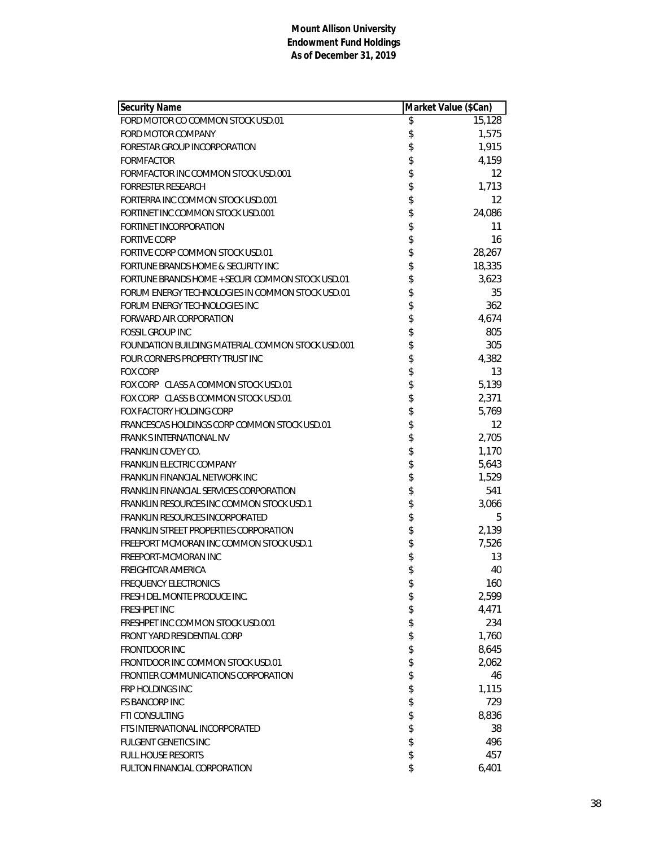| <b>Security Name</b>                              |          | Market Value (\$Can) |
|---------------------------------------------------|----------|----------------------|
| FORD MOTOR CO COMMON STOCK USD.01                 | \$       | 15,128               |
| FORD MOTOR COMPANY                                | \$       | 1,575                |
| FORESTAR GROUP INCORPORATION                      | \$       | 1,915                |
| <b>FORMFACTOR</b>                                 | \$       | 4,159                |
| FORMFACTOR INC COMMON STOCK USD.001               | \$       | 12                   |
| <b>FORRESTER RESEARCH</b>                         | \$       | 1,713                |
| FORTERRA INC COMMON STOCK USD.001                 | \$       | $12 \overline{ }$    |
| FORTINET INC COMMON STOCK USD.001                 | \$       | 24,086               |
| FORTINET INCORPORATION                            | \$       | 11                   |
| <b>FORTIVE CORP</b>                               | \$       | 16                   |
| FORTIVE CORP COMMON STOCK USD.01                  | \$       | 28,267               |
| FORTUNE BRANDS HOME & SECURITY INC                |          | 18,335               |
| FORTUNE BRANDS HOME + SECURI COMMON STOCK USD.01  | \$       | 3,623                |
| FORUM ENERGY TECHNOLOGIES IN COMMON STOCK USD.01  | \$       | 35                   |
| FORUM ENERGY TECHNOLOGIES INC                     | \$       | 362                  |
| <b>FORWARD AIR CORPORATION</b>                    |          | 4,674                |
| <b>FOSSIL GROUP INC</b>                           |          | 805                  |
| FOUNDATION BUILDING MATERIAL COMMON STOCK USD.001 | \$\$\$\$ | 305                  |
| FOUR CORNERS PROPERTY TRUST INC                   |          | 4,382                |
| <b>FOX CORP</b>                                   | \$       | 13                   |
| FOX CORP CLASS A COMMON STOCK USD.01              | \$       | 5,139                |
| FOX CORP CLASS B COMMON STOCK USD.01              | \$       | 2,371                |
| FOX FACTORY HOLDING CORP                          | \$       | 5,769                |
| FRANCESCAS HOLDINGS CORP COMMON STOCK USD.01      | \$       | 12                   |
| <b>FRANK SINTERNATIONAL NV</b>                    | \$       | 2,705                |
| <b>FRANKLIN COVEY CO.</b>                         | \$       | 1,170                |
| FRANKLIN ELECTRIC COMPANY                         | \$       | 5,643                |
| FRANKLIN FINANCIAL NETWORK INC                    | \$\$     | 1,529                |
| FRANKLIN FINANCIAL SERVICES CORPORATION           |          | 541                  |
| FRANKLIN RESOURCES INC COMMON STOCK USD.1         |          | 3,066                |
| FRANKLIN RESOURCES INCORPORATED                   | \$       | 5                    |
| FRANKLIN STREET PROPERTIES CORPORATION            | \$       | 2,139                |
| FREEPORT MCMORAN INC COMMON STOCK USD.1           | \$       | 7,526                |
| FREEPORT-MCMORAN INC                              | \$       | 13                   |
| FREIGHTCAR AMERICA                                | \$       | 40                   |
| <b>FREQUENCY ELECTRONICS</b>                      | \$       | 160                  |
| FRESH DEL MONTE PRODUCE INC.                      | \$       | 2,599                |
| <b>FRESHPET INC</b>                               | \$       | 4,471                |
| FRESHPET INC COMMON STOCK USD.001                 | \$       | 234                  |
| FRONT YARD RESIDENTIAL CORP                       | \$       | 1,760                |
| <b>FRONTDOOR INC</b>                              | \$       | 8,645                |
| FRONTDOOR INC COMMON STOCK USD.01                 | \$       | 2,062                |
| FRONTIER COMMUNICATIONS CORPORATION               | \$       | 46                   |
| FRP HOLDINGS INC                                  | \$       | 1,115                |
| <b>FS BANCORP INC</b>                             | \$       | 729                  |
| <b>FTI CONSULTING</b>                             | \$       | 8,836                |
| FTS INTERNATIONAL INCORPORATED                    | \$       | 38                   |
| <b>FULGENT GENETICS INC</b>                       | \$       | 496                  |
| <b>FULL HOUSE RESORTS</b>                         | \$       | 457                  |
| FULTON FINANCIAL CORPORATION                      | \$       | 6,401                |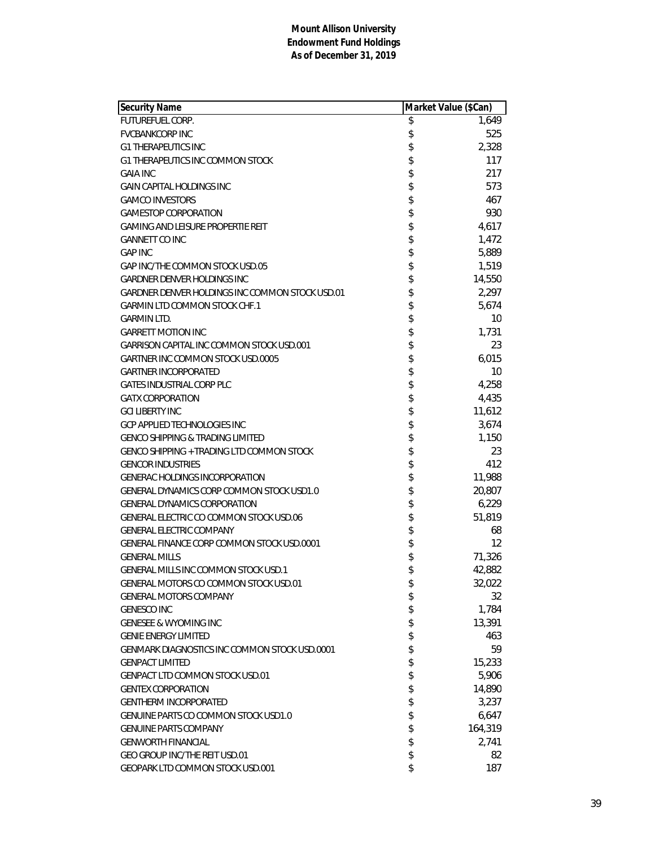| Security Name                                   | Market Value (\$Can) |         |
|-------------------------------------------------|----------------------|---------|
| <b>FUTUREFUEL CORP.</b>                         | \$                   | 1,649   |
| <b>FVCBANKCORP INC</b>                          | \$                   | 525     |
| <b>G1 THERAPEUTICS INC</b>                      | \$                   | 2,328   |
| G1 THERAPEUTICS INC COMMON STOCK                | \$                   | 117     |
| <b>GAIA INC</b>                                 | \$                   | 217     |
| <b>GAIN CAPITAL HOLDINGS INC</b>                | \$                   | 573     |
| <b>GAMCO INVESTORS</b>                          | \$                   | 467     |
| <b>GAMESTOP CORPORATION</b>                     | \$                   | 930     |
| <b>GAMING AND LEISURE PROPERTIE REIT</b>        | \$                   | 4,617   |
| <b>GANNETT CO INC</b>                           | \$                   | 1,472   |
| <b>GAP INC</b>                                  | \$                   | 5,889   |
| GAP INC/THE COMMON STOCK USD.05                 | \$                   | 1,519   |
| <b>GARDNER DENVER HOLDINGS INC</b>              | \$                   | 14,550  |
| GARDNER DENVER HOLDINGS INC COMMON STOCK USD.01 | \$                   | 2,297   |
| <b>GARMIN LTD COMMON STOCK CHF.1</b>            | \$                   | 5,674   |
| <b>GARMIN LTD.</b>                              | \$                   | 10      |
| <b>GARRETT MOTION INC</b>                       | \$                   | 1,731   |
| GARRISON CAPITAL INC COMMON STOCK USD.001       | \$                   | 23      |
| <b>GARTNER INC COMMON STOCK USD.0005</b>        | \$                   | 6,015   |
| <b>GARTNER INCORPORATED</b>                     | \$                   | 10      |
| <b>GATES INDUSTRIAL CORP PLC</b>                | \$                   | 4,258   |
| <b>GATX CORPORATION</b>                         | \$                   | 4,435   |
| <b>GCI LIBERTY INC</b>                          | \$                   | 11,612  |
| <b>GCP APPLIED TECHNOLOGIES INC</b>             | \$                   | 3,674   |
| <b>GENCO SHIPPING &amp; TRADING LIMITED</b>     | \$                   | 1,150   |
| GENCO SHIPPING + TRADING LTD COMMON STOCK       | \$                   | 23      |
| <b>GENCOR INDUSTRIES</b>                        | \$                   | 412     |
| <b>GENERAC HOLDINGS INCORPORATION</b>           | \$                   | 11,988  |
| GENERAL DYNAMICS CORP COMMON STOCK USD1.0       | \$                   | 20,807  |
| <b>GENERAL DYNAMICS CORPORATION</b>             | \$                   | 6,229   |
| GENERAL ELECTRIC CO COMMON STOCK USD.06         | \$                   | 51,819  |
| <b>GENERAL ELECTRIC COMPANY</b>                 | \$                   | 68      |
| GENERAL FINANCE CORP COMMON STOCK USD.0001      | \$                   | 12      |
| <b>GENERAL MILLS</b>                            | \$                   | 71,326  |
| <b>GENERAL MILLS INC COMMON STOCK USD.1</b>     | \$                   | 42,882  |
| <b>GENERAL MOTORS CO COMMON STOCK USD.01</b>    | \$                   | 32,022  |
| <b>GENERAL MOTORS COMPANY</b>                   | \$                   | 32      |
| <b>GENESCO INC</b>                              | \$                   | 1,784   |
| <b>GENESEE &amp; WYOMING INC</b>                | \$                   | 13,391  |
| <b>GENIE ENERGY LIMITED</b>                     | \$                   | 463     |
| GENMARK DIAGNOSTICS INC COMMON STOCK USD.0001   | \$                   | 59      |
| <b>GENPACT LIMITED</b>                          | \$                   | 15,233  |
| <b>GENPACT LTD COMMON STOCK USD.01</b>          | \$                   | 5,906   |
| <b>GENTEX CORPORATION</b>                       | \$                   | 14,890  |
| <b>GENTHERM INCORPORATED</b>                    | \$                   | 3,237   |
| GENUINE PARTS CO COMMON STOCK USD1.0            | \$                   | 6,647   |
| <b>GENUINE PARTS COMPANY</b>                    | \$                   | 164,319 |
| <b>GENWORTH FINANCIAL</b>                       | \$                   | 2,741   |
| GEO GROUP INC/THE REIT USD.01                   | \$                   | 82      |
| GEOPARK LTD COMMON STOCK USD.001                | \$                   | 187     |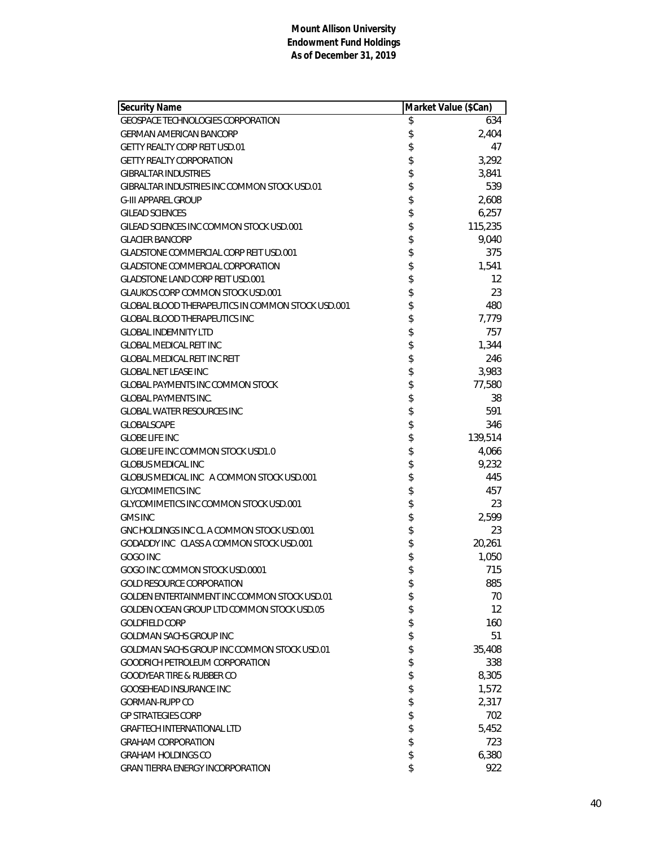| <b>Security Name</b>                              | Market Value (\$Can) |         |
|---------------------------------------------------|----------------------|---------|
| <b>GEOSPACE TECHNOLOGIES CORPORATION</b>          | \$                   | 634     |
| <b>GERMAN AMERICAN BANCORP</b>                    | \$                   | 2,404   |
| <b>GETTY REALTY CORP REIT USD.01</b>              | \$                   | 47      |
| <b>GETTY REALTY CORPORATION</b>                   | \$                   | 3,292   |
| <b>GIBRALTAR INDUSTRIES</b>                       | \$                   | 3,841   |
| GIBRALTAR INDUSTRIES INC COMMON STOCK USD.01      | \$                   | 539     |
| <b>G-III APPAREL GROUP</b>                        | \$                   | 2,608   |
| <b>GILEAD SCIENCES</b>                            | \$                   | 6,257   |
| GILEAD SCIENCES INC COMMON STOCK USD.001          | \$                   | 115,235 |
| <b>GLACIER BANCORP</b>                            | \$                   | 9,040   |
| <b>GLADSTONE COMMERCIAL CORP REIT USD.001</b>     | \$                   | 375     |
| <b>GLADSTONE COMMERCIAL CORPORATION</b>           | \$                   | 1,541   |
| <b>GLADSTONE LAND CORP REIT USD.001</b>           | \$                   | 12      |
| <b>GLAUKOS CORP COMMON STOCK USD.001</b>          | \$                   | 23      |
| GLOBAL BLOOD THERAPEUTICS IN COMMON STOCK USD.001 | \$                   | 480     |
| <b>GLOBAL BLOOD THERAPEUTICS INC</b>              | \$                   | 7,779   |
| <b>GLOBAL INDEMNITY LTD</b>                       | \$                   | 757     |
| <b>GLOBAL MEDICAL REIT INC</b>                    | \$                   | 1,344   |
| <b>GLOBAL MEDICAL REIT INC REIT</b>               | \$                   | 246     |
| <b>GLOBAL NET LEASE INC</b>                       | \$                   | 3,983   |
| <b>GLOBAL PAYMENTS INC COMMON STOCK</b>           | \$                   | 77,580  |
| <b>GLOBAL PAYMENTS INC.</b>                       | \$                   | 38      |
| <b>GLOBAL WATER RESOURCES INC</b>                 | \$                   | 591     |
| <b>GLOBALSCAPE</b>                                | \$                   | 346     |
| <b>GLOBE LIFE INC</b>                             | \$                   | 139,514 |
| GLOBE LIFE INC COMMON STOCK USD1.0                | \$                   | 4,066   |
| <b>GLOBUS MEDICAL INC</b>                         | \$                   | 9,232   |
| GLOBUS MEDICAL INC A COMMON STOCK USD.001         | \$                   | 445     |
| <b>GLYCOMIMETICS INC</b>                          | \$                   | 457     |
| GLYCOMIMETICS INC COMMON STOCK USD.001            | \$                   | 23      |
| <b>GMS INC</b>                                    | \$                   | 2,599   |
| GNC HOLDINGS INC CL A COMMON STOCK USD.001        | \$                   | 23      |
| GODADDY INC CLASS A COMMON STOCK USD.001          | \$                   | 20,261  |
| GOGO INC                                          | \$                   | 1,050   |
| GOGO INC COMMON STOCK USD.0001                    | \$                   | 715     |
| <b>GOLD RESOURCE CORPORATION</b>                  | \$                   | 885     |
| GOLDEN ENTERTAINMENT INC COMMON STOCK USD.01      | \$                   | 70      |
| GOLDEN OCEAN GROUP LTD COMMON STOCK USD.05        | \$                   | 12      |
| <b>GOLDFIELD CORP</b>                             | \$                   | 160     |
| GOLDMAN SACHS GROUP INC                           | \$                   | 51      |
| GOLDMAN SACHS GROUP INC COMMON STOCK USD.01       | \$                   | 35,408  |
| <b>GOODRICH PETROLEUM CORPORATION</b>             | \$                   | 338     |
| <b>GOODYEAR TIRE &amp; RUBBER CO</b>              | \$                   | 8,305   |
| <b>GOOSEHEAD INSURANCE INC</b>                    | \$                   | 1,572   |
| GORMAN-RUPP CO                                    | \$                   | 2,317   |
| <b>GP STRATEGIES CORP</b>                         | \$                   | 702     |
| <b>GRAFTECH INTERNATIONAL LTD</b>                 | \$                   | 5,452   |
| <b>GRAHAM CORPORATION</b>                         | \$                   | 723     |
| <b>GRAHAM HOLDINGS CO</b>                         | \$                   | 6,380   |
| <b>GRAN TIERRA ENERGY INCORPORATION</b>           | \$                   | 922     |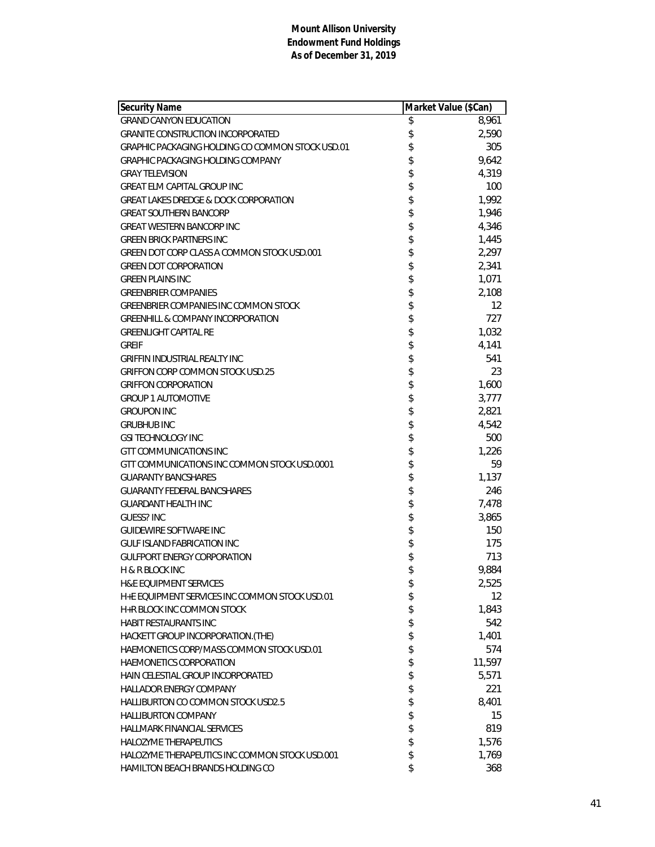| <b>Security Name</b>                             | Market Value (\$Can) |        |
|--------------------------------------------------|----------------------|--------|
| <b>GRAND CANYON EDUCATION</b>                    | \$                   | 8,961  |
| <b>GRANITE CONSTRUCTION INCORPORATED</b>         | \$                   | 2,590  |
| GRAPHIC PACKAGING HOLDING CO COMMON STOCK USD.01 | \$                   | 305    |
| GRAPHIC PACKAGING HOLDING COMPANY                | \$                   | 9,642  |
| <b>GRAY TELEVISION</b>                           | \$                   | 4,319  |
| <b>GREAT ELM CAPITAL GROUP INC</b>               | \$                   | 100    |
| <b>GREAT LAKES DREDGE &amp; DOCK CORPORATION</b> | \$                   | 1,992  |
| <b>GREAT SOUTHERN BANCORP</b>                    | \$                   | 1,946  |
| <b>GREAT WESTERN BANCORP INC</b>                 | \$                   | 4,346  |
| <b>GREEN BRICK PARTNERS INC</b>                  | \$                   | 1,445  |
| GREEN DOT CORP CLASS A COMMON STOCK USD.001      | \$                   | 2,297  |
| <b>GREEN DOT CORPORATION</b>                     | \$                   | 2,341  |
| <b>GREEN PLAINS INC</b>                          | \$                   | 1,071  |
| <b>GREENBRIER COMPANIES</b>                      | \$                   | 2,108  |
| <b>GREENBRIER COMPANIES INC COMMON STOCK</b>     | \$                   | 12     |
| <b>GREENHILL &amp; COMPANY INCORPORATION</b>     | \$                   | 727    |
| <b>GREENLIGHT CAPITAL RE</b>                     | \$                   | 1,032  |
| <b>GREIF</b>                                     | \$                   | 4,141  |
| <b>GRIFFIN INDUSTRIAL REALTY INC</b>             | \$                   | 541    |
| <b>GRIFFON CORP COMMON STOCK USD.25</b>          | \$                   | 23     |
| <b>GRIFFON CORPORATION</b>                       | \$                   | 1,600  |
| <b>GROUP 1 AUTOMOTIVE</b>                        | \$                   | 3,777  |
| <b>GROUPON INC</b>                               | \$                   | 2,821  |
| <b>GRUBHUB INC</b>                               | \$                   | 4,542  |
| <b>GSI TECHNOLOGY INC</b>                        | \$                   | 500    |
| <b>GTT COMMUNICATIONS INC</b>                    | \$                   | 1,226  |
| GTT COMMUNICATIONS INC COMMON STOCK USD.0001     | \$                   | 59     |
| <b>GUARANTY BANCSHARES</b>                       | \$                   | 1,137  |
| <b>GUARANTY FEDERAL BANCSHARES</b>               | \$                   | 246    |
| <b>GUARDANT HEALTH INC</b>                       | \$                   | 7,478  |
| <b>GUESS? INC</b>                                | \$                   | 3,865  |
| <b>GUIDEWIRE SOFTWARE INC</b>                    | \$                   | 150    |
| GULF ISLAND FABRICATION INC                      | \$                   | 175    |
| <b>GULFPORT ENERGY CORPORATION</b>               | \$                   | 713    |
| <b>H &amp; R BLOCK INC</b>                       | \$                   | 9,884  |
| <b>H&amp;E EQUIPMENT SERVICES</b>                | \$                   | 2,525  |
| H+E EQUIPMENT SERVICES INC COMMON STOCK USD.01   | \$                   | 12     |
| H+R BLOCK INC COMMON STOCK                       | \$                   | 1,843  |
| <b>HABIT RESTAURANTS INC</b>                     | \$                   | 542    |
| HACKETT GROUP INCORPORATION. (THE)               | \$                   | 1,401  |
| HAEMONETICS CORP/MASS COMMON STOCK USD.01        | \$                   | 574    |
| <b>HAEMONETICS CORPORATION</b>                   | \$                   | 11,597 |
| HAIN CELESTIAL GROUP INCORPORATED                | \$                   | 5,571  |
| <b>HALLADOR ENERGY COMPANY</b>                   | \$                   | 221    |
| <b>HALLIBURTON CO COMMON STOCK USD2.5</b>        | \$                   | 8,401  |
| <b>HALLIBURTON COMPANY</b>                       | \$                   | 15     |
| <b>HALLMARK FINANCIAL SERVICES</b>               | \$                   | 819    |
| <b>HALOZYME THERAPEUTICS</b>                     | \$                   | 1,576  |
| HALOZYME THERAPEUTICS INC COMMON STOCK USD.001   | \$                   | 1,769  |
| HAMILTON BEACH BRANDS HOLDING CO                 | \$                   | 368    |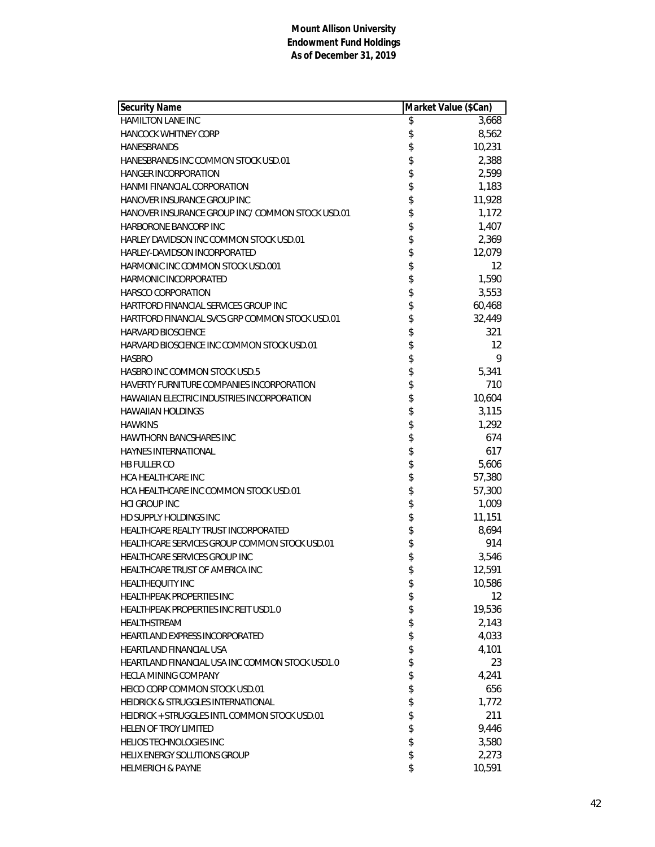| <b>Security Name</b>                             | Market Value (\$Can) |        |
|--------------------------------------------------|----------------------|--------|
| <b>HAMILTON LANE INC</b>                         | \$                   | 3,668  |
| <b>HANCOCK WHITNEY CORP</b>                      | \$                   | 8,562  |
| HANESBRANDS                                      | \$                   | 10,231 |
| HANESBRANDS INC COMMON STOCK USD.01              | \$                   | 2,388  |
| <b>HANGER INCORPORATION</b>                      |                      | 2,599  |
| <b>HANMI FINANCIAL CORPORATION</b>               | \$\$\$\$             | 1,183  |
| HANOVER INSURANCE GROUP INC                      |                      | 11,928 |
| HANOVER INSURANCE GROUP INC/ COMMON STOCK USD.01 |                      | 1,172  |
| HARBORONE BANCORP INC                            | \$                   | 1,407  |
| HARLEY DAVIDSON INC COMMON STOCK USD.01          | \$                   | 2,369  |
| HARLEY-DAVIDSON INCORPORATED                     | \$                   | 12,079 |
| HARMONIC INC COMMON STOCK USD.001                | \$                   | 12     |
| <b>HARMONIC INCORPORATED</b>                     |                      | 1,590  |
| <b>HARSCO CORPORATION</b>                        |                      | 3,553  |
| HARTFORD FINANCIAL SERVICES GROUP INC            | \$\$\$\$\$           | 60,468 |
| HARTFORD FINANCIAL SVCS GRP COMMON STOCK USD.01  |                      | 32,449 |
| <b>HARVARD BIOSCIENCE</b>                        |                      | 321    |
| HARVARD BIOSCIENCE INC COMMON STOCK USD.01       |                      | 12     |
| <b>HASBRO</b>                                    |                      | 9      |
| HASBRO INC COMMON STOCK USD.5                    |                      | 5,341  |
| HAVERTY FURNITURE COMPANIES INCORPORATION        | ままままままま              | 710    |
| HAWAIIAN ELECTRIC INDUSTRIES INCORPORATION       |                      | 10,604 |
| <b>HAWAIIAN HOLDINGS</b>                         |                      | 3,115  |
| <b>HAWKINS</b>                                   |                      | 1,292  |
| <b>HAWTHORN BANCSHARES INC</b>                   |                      | 674    |
| <b>HAYNES INTERNATIONAL</b>                      | \$                   | 617    |
| <b>HB FULLER CO</b>                              | \$                   | 5,606  |
| <b>HCA HEALTHCARE INC</b>                        | \$                   | 57,380 |
| HCA HEALTHCARE INC COMMON STOCK USD.01           |                      | 57,300 |
| <b>HCI GROUP INC</b>                             |                      | 1,009  |
| <b>HD SUPPLY HOLDINGS INC</b>                    |                      | 11,151 |
| HEALTHCARE REALTY TRUST INCORPORATED             | \$\$\$\$\$           | 8,694  |
| HEALTHCARE SERVICES GROUP COMMON STOCK USD.01    |                      | 914    |
| HEALTHCARE SERVICES GROUP INC                    | \$                   | 3,546  |
| HEALTHCARE TRUST OF AMERICA INC                  | \$                   | 12,591 |
| HEALTHEQUITY INC                                 | \$                   | 10,586 |
| HEALTHPEAK PROPERTIES INC                        | \$                   | 12     |
| HEALTHPEAK PROPERTIES INC REIT USD1.0            | \$                   | 19,536 |
| HEALTHSTREAM                                     | \$                   | 2,143  |
| <b>HEARTLAND EXPRESS INCORPORATED</b>            | \$                   | 4,033  |
| <b>HEARTLAND FINANCIAL USA</b>                   | \$                   | 4,101  |
| HEARTLAND FINANCIAL USA INC COMMON STOCK USD1.0  | \$                   | 23     |
| <b>HECLA MINING COMPANY</b>                      | \$                   | 4,241  |
| HEICO CORP COMMON STOCK USD.01                   | \$                   | 656    |
| HEIDRICK & STRUGGLES INTERNATIONAL               | \$                   | 1,772  |
| HEIDRICK + STRUGGLES INTL COMMON STOCK USD.01    |                      | 211    |
| HELEN OF TROY LIMITED                            | \$\$                 | 9,446  |
| <b>HELIOS TECHNOLOGIES INC</b>                   |                      | 3,580  |
| HELIX ENERGY SOLUTIONS GROUP                     | \$                   | 2,273  |
| <b>HELMERICH &amp; PAYNE</b>                     | \$                   | 10,591 |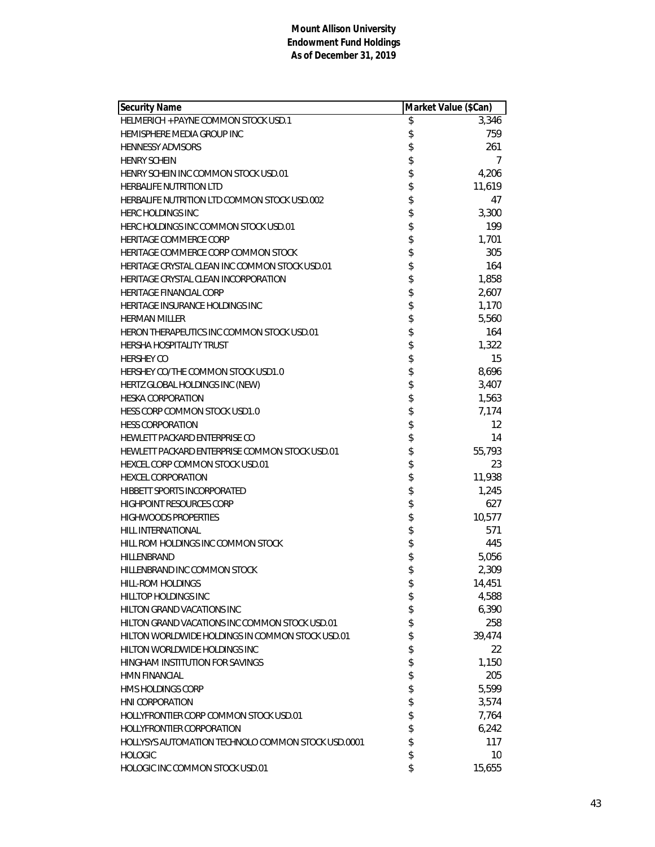| <b>Security Name</b>                               | Market Value (\$Can) |
|----------------------------------------------------|----------------------|
| HELMERICH + PAYNE COMMON STOCK USD.1               | \$<br>3,346          |
| HEMISPHERE MEDIA GROUP INC                         | \$<br>759            |
| <b>HENNESSY ADVISORS</b>                           | \$<br>261            |
| <b>HENRY SCHEIN</b>                                | \$<br>7              |
| HENRY SCHEIN INC COMMON STOCK USD.01               | \$<br>4,206          |
| <b>HERBALIFE NUTRITION LTD</b>                     | \$<br>11,619         |
| HERBALIFE NUTRITION LTD COMMON STOCK USD.002       | \$<br>47             |
| <b>HERC HOLDINGS INC</b>                           | \$<br>3,300          |
| HERC HOLDINGS INC COMMON STOCK USD.01              | \$<br>199            |
| HERITAGE COMMERCE CORP                             | \$<br>1,701          |
| HERITAGE COMMERCE CORP COMMON STOCK                | \$<br>305            |
| HERITAGE CRYSTAL CLEAN INC COMMON STOCK USD.01     | \$<br>164            |
| HERITAGE CRYSTAL CLEAN INCORPORATION               | \$<br>1,858          |
| <b>HERITAGE FINANCIAL CORP</b>                     | \$<br>2,607          |
| HERITAGE INSURANCE HOLDINGS INC                    | \$<br>1,170          |
| <b>HERMAN MILLER</b>                               | \$<br>5,560          |
| HERON THERAPEUTICS INC COMMON STOCK USD.01         | \$<br>164            |
| <b>HERSHA HOSPITALITY TRUST</b>                    | \$<br>1,322          |
| <b>HERSHEY CO</b>                                  | \$<br>15             |
| HERSHEY CO/THE COMMON STOCK USD1.0                 | \$<br>8,696          |
| HERTZ GLOBAL HOLDINGS INC (NEW)                    | \$<br>3,407          |
| <b>HESKA CORPORATION</b>                           | \$<br>1,563          |
| HESS CORP COMMON STOCK USD1.0                      | \$<br>7,174          |
| <b>HESS CORPORATION</b>                            | \$<br>12             |
| HEWLETT PACKARD ENTERPRISE CO                      | \$<br>14             |
| HEWLETT PACKARD ENTERPRISE COMMON STOCK USD.01     | \$<br>55,793         |
| <b>HEXCEL CORP COMMON STOCK USD.01</b>             | \$<br>23             |
| <b>HEXCEL CORPORATION</b>                          | \$<br>11,938         |
| <b>HIBBETT SPORTS INCORPORATED</b>                 | \$<br>1,245          |
| <b>HIGHPOINT RESOURCES CORP</b>                    | \$<br>627            |
| <b>HIGHWOODS PROPERTIES</b>                        | \$<br>10,577         |
| HILL INTERNATIONAL                                 | \$<br>571            |
| HILL ROM HOLDINGS INC COMMON STOCK                 | \$<br>445            |
| HILLENBRAND                                        | \$<br>5,056          |
| HILLENBRAND INC COMMON STOCK                       | \$<br>2,309          |
| HILL-ROM HOLDINGS                                  | \$<br>14,451         |
| <b>HILLTOP HOLDINGS INC</b>                        | \$<br>4,588          |
| <b>HILTON GRAND VACATIONS INC</b>                  | \$<br>6,390          |
| HILTON GRAND VACATIONS INC COMMON STOCK USD.01     | \$<br>258            |
| HILTON WORLDWIDE HOLDINGS IN COMMON STOCK USD.01   | \$<br>39,474         |
| HILTON WORLDWIDE HOLDINGS INC                      | \$<br>22             |
| HINGHAM INSTITUTION FOR SAVINGS                    | \$<br>1,150          |
| <b>HMN FINANCIAL</b>                               | \$<br>205            |
| <b>HMS HOLDINGS CORP</b>                           | \$<br>5,599          |
| HNI CORPORATION                                    | \$<br>3,574          |
| HOLLYFRONTIER CORP COMMON STOCK USD.01             | \$<br>7,764          |
| <b>HOLLYFRONTIER CORPORATION</b>                   | \$<br>6,242          |
| HOLLYSYS AUTOMATION TECHNOLO COMMON STOCK USD.0001 | \$<br>117            |
| <b>HOLOGIC</b>                                     | \$<br>10             |
| HOLOGIC INC COMMON STOCK USD.01                    | \$<br>15,655         |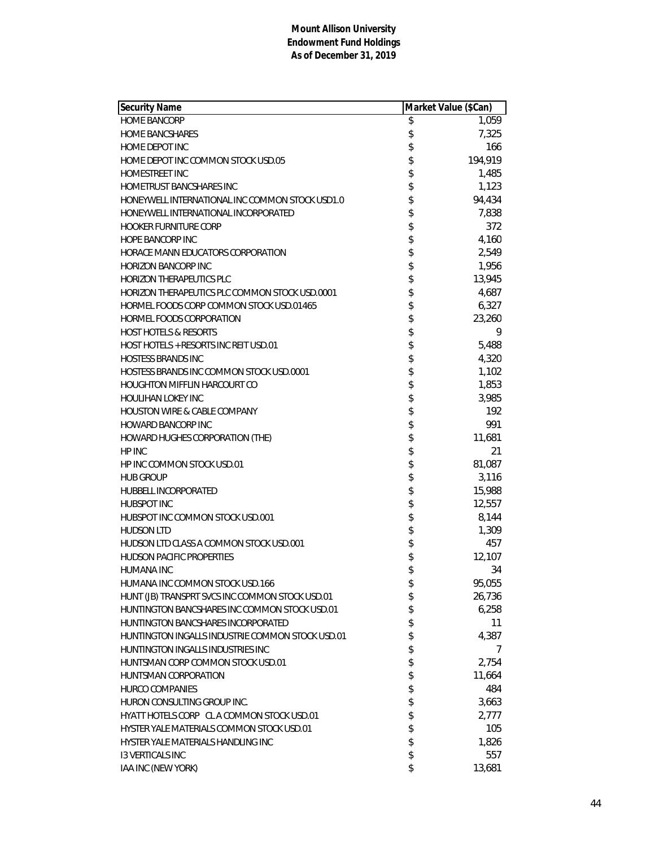| <b>Security Name</b>                             | Market Value (\$Can) |         |
|--------------------------------------------------|----------------------|---------|
| <b>HOME BANCORP</b>                              | \$                   | 1,059   |
| <b>HOME BANCSHARES</b>                           | \$                   | 7,325   |
| HOME DEPOT INC                                   | \$                   | 166     |
| HOME DEPOT INC COMMON STOCK USD.05               | \$                   | 194,919 |
| HOMESTREET INC                                   | \$                   | 1,485   |
| <b>HOMETRUST BANCSHARES INC</b>                  |                      | 1,123   |
| HONEYWELL INTERNATIONAL INC COMMON STOCK USD1.0  | \$\$                 | 94,434  |
| HONEYWELL INTERNATIONAL INCORPORATED             |                      | 7,838   |
| <b>HOOKER FURNITURE CORP</b>                     | \$                   | 372     |
| <b>HOPE BANCORP INC</b>                          | \$                   | 4,160   |
| HORACE MANN EDUCATORS CORPORATION                | \$                   | 2,549   |
| <b>HORIZON BANCORP INC</b>                       | \$                   | 1,956   |
| <b>HORIZON THERAPEUTICS PLC</b>                  |                      | 13,945  |
| HORIZON THERAPEUTICS PLC COMMON STOCK USD.0001   | \$<br>\$             | 4,687   |
| HORMEL FOODS CORP COMMON STOCK USD.01465         |                      | 6,327   |
| HORMEL FOODS CORPORATION                         | \$                   | 23,260  |
| <b>HOST HOTELS &amp; RESORTS</b>                 | \$                   | 9       |
| HOST HOTELS + RESORTS INC REIT USD.01            | \$                   | 5,488   |
| <b>HOSTESS BRANDS INC</b>                        | \$                   | 4,320   |
| HOSTESS BRANDS INC COMMON STOCK USD.0001         | \$                   | 1,102   |
| <b>HOUGHTON MIFFLIN HARCOURT CO</b>              |                      | 1,853   |
| HOULIHAN LOKEY INC                               | \$\$\$\$\$           | 3,985   |
| <b>HOUSTON WIRE &amp; CABLE COMPANY</b>          |                      | 192     |
| HOWARD BANCORP INC                               |                      | 991     |
| HOWARD HUGHES CORPORATION (THE)                  |                      | 11,681  |
| HP INC                                           | \$                   | 21      |
| HP INC COMMON STOCK USD.01                       | \$                   | 81,087  |
| <b>HUB GROUP</b>                                 | \$                   | 3,116   |
| HUBBELL INCORPORATED                             | \$                   | 15,988  |
| <b>HUBSPOT INC</b>                               |                      | 12,557  |
| HUBSPOT INC COMMON STOCK USD.001                 | \$<br>\$             | 8,144   |
| <b>HUDSON LTD</b>                                |                      | 1,309   |
| HUDSON LTD CLASS A COMMON STOCK USD.001          | \$                   | 457     |
| <b>HUDSON PACIFIC PROPERTIES</b>                 | \$                   | 12,107  |
| <b>HUMANA INC</b>                                | \$                   | 34      |
| HUMANA INC COMMON STOCK USD.166                  | \$                   | 95,055  |
| HUNT (JB) TRANSPRT SVCS INC COMMON STOCK USD.01  | \$                   | 26,736  |
| HUNTINGTON BANCSHARES INC COMMON STOCK USD.01    | \$                   | 6,258   |
| HUNTINGTON BANCSHARES INCORPORATED               | \$                   | 11      |
| HUNTINGTON INGALLS INDUSTRIE COMMON STOCK USD.01 | \$                   | 4,387   |
| HUNTINGTON INGALLS INDUSTRIES INC                | \$                   | 7       |
| HUNTSMAN CORP COMMON STOCK USD.01                | \$                   | 2,754   |
| HUNTSMAN CORPORATION                             | \$                   | 11,664  |
| <b>HURCO COMPANIES</b>                           | \$                   | 484     |
| HURON CONSULTING GROUP INC.                      | \$                   | 3,663   |
| HYATT HOTELS CORP CL A COMMON STOCK USD.01       | \$                   | 2,777   |
| HYSTER YALE MATERIALS COMMON STOCK USD.01        | \$<br>\$             | 105     |
| HYSTER YALE MATERIALS HANDLING INC               |                      | 1,826   |
| <b>13 VERTICALS INC</b>                          | \$                   | 557     |
| IAA INC (NEW YORK)                               | \$                   | 13,681  |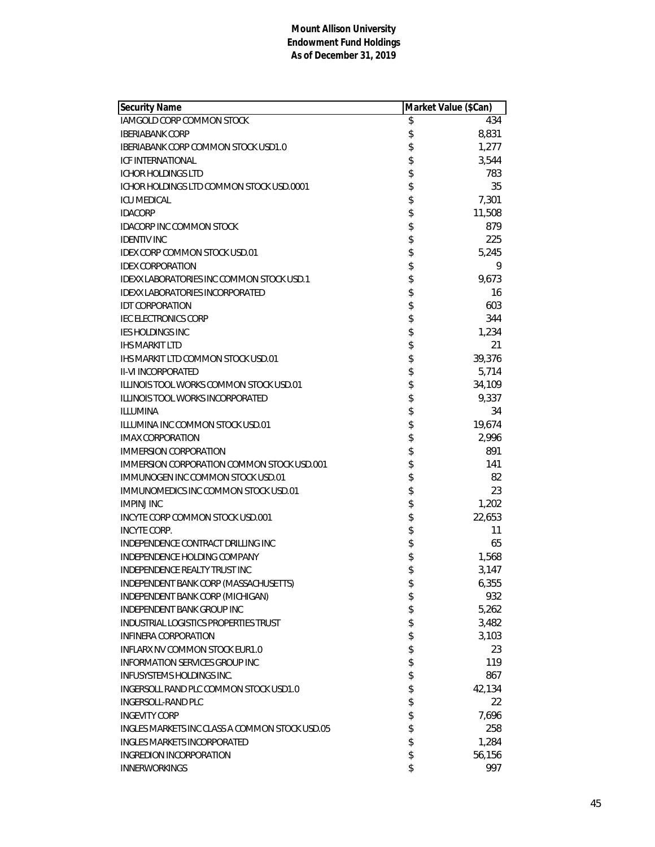| Security Name                                  | Market Value (\$Can) |        |
|------------------------------------------------|----------------------|--------|
| <b>IAMGOLD CORP COMMON STOCK</b>               | \$                   | 434    |
| <b>IBERIABANK CORP</b>                         | \$                   | 8,831  |
| <b>IBERIABANK CORP COMMON STOCK USD1.0</b>     | \$                   | 1,277  |
| <b>ICF INTERNATIONAL</b>                       | \$                   | 3,544  |
| <b>ICHOR HOLDINGS LTD</b>                      | \$                   | 783    |
| ICHOR HOLDINGS LTD COMMON STOCK USD.0001       | \$                   | 35     |
| <b>ICU MEDICAL</b>                             | \$                   | 7,301  |
| <b>IDACORP</b>                                 | \$                   | 11,508 |
| <b>IDACORP INC COMMON STOCK</b>                | \$                   | 879    |
| <b>IDENTIV INC</b>                             | \$                   | 225    |
| <b>IDEX CORP COMMON STOCK USD.01</b>           | \$                   | 5,245  |
| <b>IDEX CORPORATION</b>                        | \$                   | 9      |
| IDEXX LABORATORIES INC COMMON STOCK USD.1      | \$                   | 9,673  |
| <b>IDEXX LABORATORIES INCORPORATED</b>         | \$                   | 16     |
| <b>IDT CORPORATION</b>                         | \$                   | 603    |
| <b>IEC ELECTRONICS CORP</b>                    | \$                   | 344    |
| <b>IES HOLDINGS INC</b>                        | \$                   | 1,234  |
| <b>IHS MARKIT LTD</b>                          | \$                   | 21     |
| <b>IHS MARKIT LTD COMMON STOCK USD.01</b>      | \$                   | 39,376 |
| <b>II-VI INCORPORATED</b>                      | \$                   | 5,714  |
| ILLINOIS TOOL WORKS COMMON STOCK USD.01        | \$                   | 34,109 |
| <b>ILLINOIS TOOL WORKS INCORPORATED</b>        | \$                   | 9,337  |
| <b>ILLUMINA</b>                                | \$                   | 34     |
| ILLUMINA INC COMMON STOCK USD.01               | \$                   | 19,674 |
| <b>IMAX CORPORATION</b>                        | \$                   | 2,996  |
| <b>IMMERSION CORPORATION</b>                   | \$                   | 891    |
| IMMERSION CORPORATION COMMON STOCK USD.001     | \$                   | 141    |
| IMMUNOGEN INC COMMON STOCK USD.01              | \$                   | 82     |
| IMMUNOMEDICS INC COMMON STOCK USD.01           | \$                   | 23     |
| <b>IMPINJ INC</b>                              | \$                   | 1,202  |
| INCYTE CORP COMMON STOCK USD.001               | \$                   | 22,653 |
| <b>INCYTE CORP.</b>                            | \$                   | 11     |
| INDEPENDENCE CONTRACT DRILLING INC             | \$                   | 65     |
| INDEPENDENCE HOLDING COMPANY                   | \$                   | 1,568  |
| INDEPENDENCE REALTY TRUST INC                  | \$                   | 3,147  |
| INDEPENDENT BANK CORP (MASSACHUSETTS)          | \$                   | 6,355  |
| INDEPENDENT BANK CORP (MICHIGAN)               | \$                   | 932    |
| INDEPENDENT BANK GROUP INC                     | \$                   | 5,262  |
| <b>INDUSTRIAL LOGISTICS PROPERTIES TRUST</b>   | \$                   | 3,482  |
| <b>INFINERA CORPORATION</b>                    | \$                   | 3,103  |
| <b>INFLARX NV COMMON STOCK EUR1.0</b>          | \$                   | 23     |
| <b>INFORMATION SERVICES GROUP INC</b>          | \$                   | 119    |
| <b>INFUSYSTEMS HOLDINGS INC.</b>               | \$                   | 867    |
| INGERSOLL RAND PLC COMMON STOCK USD1.0         | \$                   | 42,134 |
| INGERSOLL-RAND PLC                             | \$                   | 22     |
| <b>INGEVITY CORP</b>                           | \$                   | 7,696  |
| INGLES MARKETS INC CLASS A COMMON STOCK USD.05 | \$                   | 258    |
| <b>INGLES MARKETS INCORPORATED</b>             | \$                   | 1,284  |
| <b>INGREDION INCORPORATION</b>                 | \$                   | 56,156 |
| <b>INNERWORKINGS</b>                           | \$                   | 997    |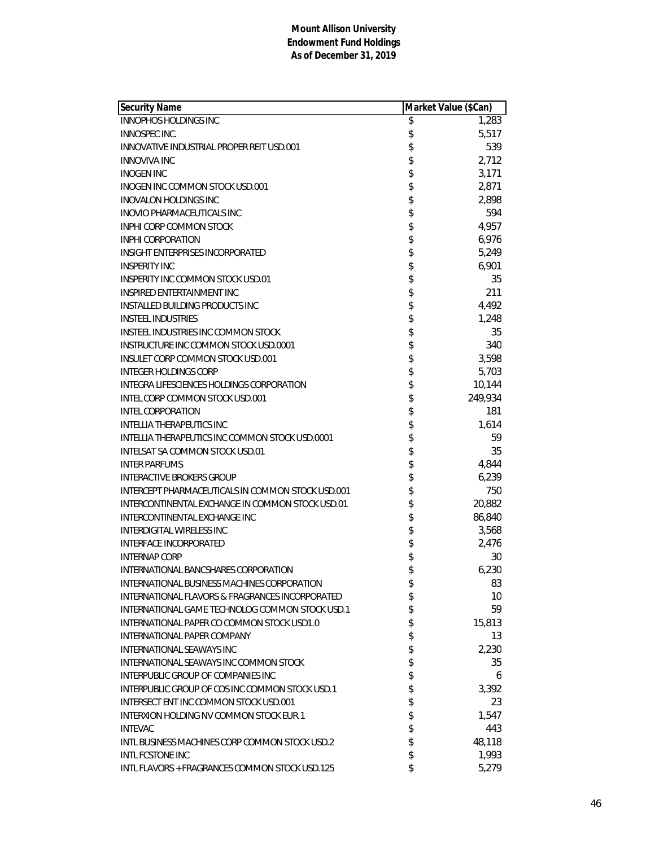| <b>Security Name</b>                              | Market Value (\$Can) |         |
|---------------------------------------------------|----------------------|---------|
| <b>INNOPHOS HOLDINGS INC</b>                      | \$                   | 1,283   |
| INNOSPEC INC.                                     | \$                   | 5,517   |
| INNOVATIVE INDUSTRIAL PROPER REIT USD.001         | \$                   | 539     |
| <b>INNOVIVA INC</b>                               | \$                   | 2,712   |
| <b>INOGEN INC</b>                                 | \$                   | 3,171   |
| INOGEN INC COMMON STOCK USD.001                   | \$                   | 2,871   |
| <b>INOVALON HOLDINGS INC</b>                      | \$                   | 2,898   |
| <b>INOVIO PHARMACEUTICALS INC</b>                 | \$                   | 594     |
| <b>INPHI CORP COMMON STOCK</b>                    | \$                   | 4,957   |
| <b>INPHI CORPORATION</b>                          | \$                   | 6,976   |
| INSIGHT ENTERPRISES INCORPORATED                  | \$                   | 5,249   |
| <b>INSPERITY INC</b>                              | \$                   | 6,901   |
| INSPERITY INC COMMON STOCK USD.01                 | \$                   | 35      |
| <b>INSPIRED ENTERTAINMENT INC</b>                 | \$                   | 211     |
| <b>INSTALLED BUILDING PRODUCTS INC</b>            | \$                   | 4,492   |
| <b>INSTEEL INDUSTRIES</b>                         | \$                   | 1,248   |
| <b>INSTEEL INDUSTRIES INC COMMON STOCK</b>        | \$                   | 35      |
| INSTRUCTURE INC COMMON STOCK USD.0001             | \$                   | 340     |
| INSULET CORP COMMON STOCK USD.001                 | \$                   | 3,598   |
| <b>INTEGER HOLDINGS CORP</b>                      | \$                   | 5,703   |
| INTEGRA LIFESCIENCES HOLDINGS CORPORATION         | \$                   | 10,144  |
| <b>INTEL CORP COMMON STOCK USD.001</b>            | \$                   | 249,934 |
| <b>INTEL CORPORATION</b>                          | \$                   | 181     |
| INTELLIA THERAPEUTICS INC                         | \$                   | 1,614   |
| INTELLIA THERAPEUTICS INC COMMON STOCK USD.0001   | \$                   | 59      |
| INTELSAT SA COMMON STOCK USD.01                   | \$                   | 35      |
| <b>INTER PARFUMS</b>                              | \$                   | 4,844   |
| <b>INTERACTIVE BROKERS GROUP</b>                  | \$                   | 6,239   |
| INTERCEPT PHARMACEUTICALS IN COMMON STOCK USD.001 | \$                   | 750     |
| INTERCONTINENTAL EXCHANGE IN COMMON STOCK USD.01  | \$                   | 20,882  |
| INTERCONTINENTAL EXCHANGE INC                     | \$                   | 86,840  |
| <b>INTERDIGITAL WIRELESS INC</b>                  | \$                   | 3,568   |
| <b>INTERFACE INCORPORATED</b>                     | \$                   | 2,476   |
| <b>INTERNAP CORP</b>                              | \$                   | 30      |
| INTERNATIONAL BANCSHARES CORPORATION              | \$                   | 6,230   |
| INTERNATIONAL BUSINESS MACHINES CORPORATION       | \$                   | 83      |
| INTERNATIONAL FLAVORS & FRAGRANCES INCORPORATED   | \$                   | 10      |
| INTERNATIONAL GAME TECHNOLOG COMMON STOCK USD.1   | \$                   | 59      |
| INTERNATIONAL PAPER CO COMMON STOCK USD1.0        | \$                   | 15,813  |
| INTERNATIONAL PAPER COMPANY                       | \$                   | 13      |
| <b>INTERNATIONAL SEAWAYS INC</b>                  | \$                   | 2,230   |
| INTERNATIONAL SEAWAYS INC COMMON STOCK            | \$                   | 35      |
| INTERPUBLIC GROUP OF COMPANIES INC                | \$                   | 6       |
| INTERPUBLIC GROUP OF COS INC COMMON STOCK USD.1   | \$                   | 3,392   |
| <b>INTERSECT ENT INC COMMON STOCK USD.001</b>     | \$                   | 23      |
| INTERXION HOLDING NV COMMON STOCK EUR.1           | \$                   | 1,547   |
| <b>INTEVAC</b>                                    | \$                   | 443     |
| INTL BUSINESS MACHINES CORP COMMON STOCK USD.2    | \$                   | 48,118  |
| <b>INTL FCSTONE INC</b>                           | \$                   | 1,993   |
| INTL FLAVORS + FRAGRANCES COMMON STOCK USD.125    | \$                   | 5,279   |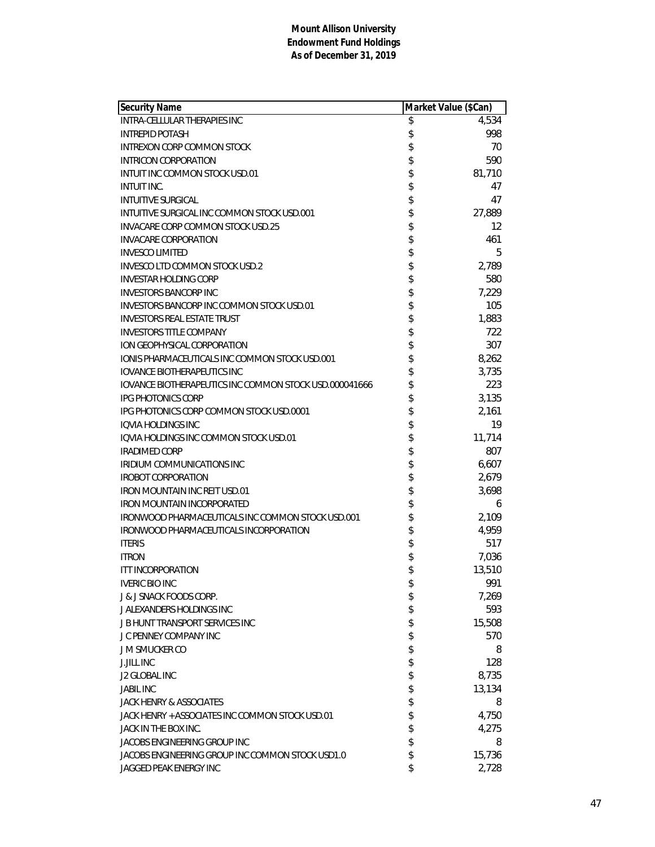| <b>Security Name</b>                                          | Market Value (\$Can) |        |
|---------------------------------------------------------------|----------------------|--------|
| <b>INTRA-CELLULAR THERAPIES INC</b>                           | \$                   | 4,534  |
| <b>INTREPID POTASH</b>                                        | \$                   | 998    |
| <b>INTREXON CORP COMMON STOCK</b>                             | \$                   | 70     |
| INTRICON CORPORATION                                          | \$                   | 590    |
| INTUIT INC COMMON STOCK USD.01                                | \$                   | 81,710 |
| INTUIT INC.                                                   | \$                   | 47     |
| <b>INTUITIVE SURGICAL</b>                                     | \$                   | 47     |
| INTUITIVE SURGICAL INC COMMON STOCK USD.001                   | \$                   | 27,889 |
| INVACARE CORP COMMON STOCK USD.25                             | \$                   | 12     |
| <b>INVACARE CORPORATION</b>                                   | \$                   | 461    |
| <b>INVESCO LIMITED</b>                                        | \$                   | 5      |
| INVESCO LTD COMMON STOCK USD.2                                | \$                   | 2,789  |
| <b>INVESTAR HOLDING CORP</b>                                  | \$                   | 580    |
| <b>INVESTORS BANCORP INC</b>                                  | \$                   | 7,229  |
| <b>INVESTORS BANCORP INC COMMON STOCK USD.01</b>              | \$                   | 105    |
| <b>INVESTORS REAL ESTATE TRUST</b>                            | \$                   | 1,883  |
| <b>INVESTORS TITLE COMPANY</b>                                | \$                   | 722    |
| ION GEOPHYSICAL CORPORATION                                   |                      | 307    |
| <b>IONIS PHARMACEUTICALS INC COMMON STOCK USD.001</b>         |                      | 8,262  |
| <b>IOVANCE BIOTHERAPEUTICS INC</b>                            | \$\$                 | 3,735  |
| <b>IOVANCE BIOTHERAPEUTICS INC COMMON STOCK USD.000041666</b> | \$                   | 223    |
| <b>IPG PHOTONICS CORP</b>                                     | \$                   | 3,135  |
| IPG PHOTONICS CORP COMMON STOCK USD.0001                      | \$                   | 2,161  |
| IQVIA HOLDINGS INC                                            | \$                   | 19     |
| IQVIA HOLDINGS INC COMMON STOCK USD.01                        | \$                   | 11,714 |
| <b>IRADIMED CORP</b>                                          | \$                   | 807    |
| IRIDIUM COMMUNICATIONS INC                                    | \$                   | 6,607  |
| <b>IROBOT CORPORATION</b>                                     | \$                   | 2,679  |
| IRON MOUNTAIN INC REIT USD.01                                 | \$                   | 3,698  |
| IRON MOUNTAIN INCORPORATED                                    | \$                   | 6      |
| IRONWOOD PHARMACEUTICALS INC COMMON STOCK USD.001             |                      | 2,109  |
| IRONWOOD PHARMACEUTICALS INCORPORATION                        | \$                   | 4,959  |
| <b>ITERIS</b>                                                 | \$                   | 517    |
| <b>ITRON</b>                                                  | \$                   | 7,036  |
| <b>ITT INCORPORATION</b>                                      | \$                   | 13,510 |
| <b>IVERIC BIO INC</b>                                         | \$                   | 991    |
| <b>J &amp; J SNACK FOODS CORP.</b>                            | \$                   | 7,269  |
| J ALEXANDERS HOLDINGS INC                                     | \$                   | 593    |
| <b>J B HUNT TRANSPORT SERVICES INC</b>                        | \$                   | 15,508 |
| J C PENNEY COMPANY INC                                        | \$                   | 570    |
| J M SMUCKER CO                                                | \$                   | 8      |
| <b>J.JILL INC</b>                                             | \$                   | 128    |
| J2 GLOBAL INC                                                 | \$                   | 8,735  |
| <b>JABIL INC</b>                                              | \$                   | 13,134 |
| JACK HENRY & ASSOCIATES                                       | \$                   | 8      |
| JACK HENRY + ASSOCIATES INC COMMON STOCK USD.01               | \$                   | 4,750  |
| JACK IN THE BOX INC.                                          | \$                   | 4,275  |
| JACOBS ENGINEERING GROUP INC                                  | \$                   | 8      |
| JACOBS ENGINEERING GROUP INC COMMON STOCK USD1.0              | \$                   | 15,736 |
| JAGGED PEAK ENERGY INC                                        | \$                   | 2,728  |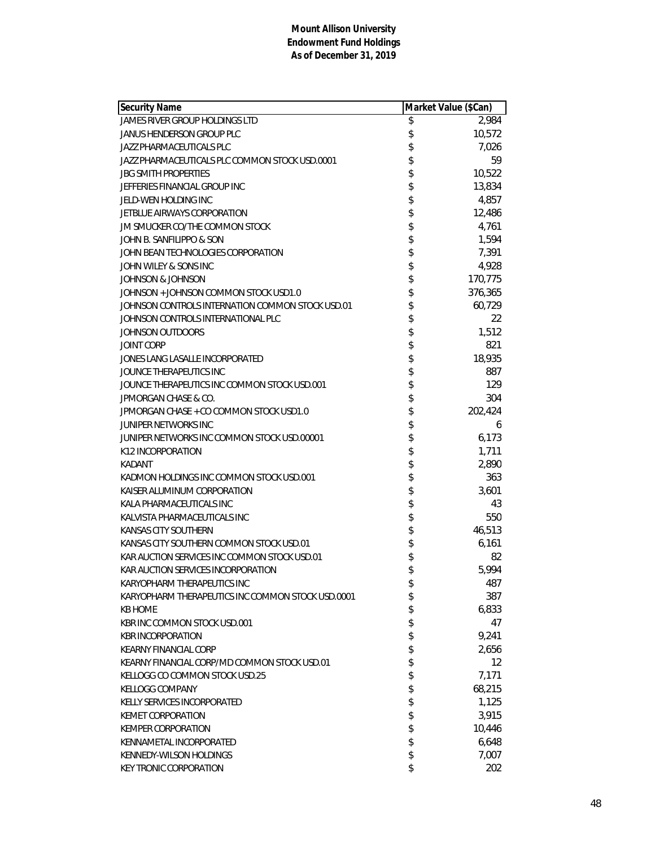| <b>Security Name</b>                              | Market Value (\$Can) |         |
|---------------------------------------------------|----------------------|---------|
| JAMES RIVER GROUP HOLDINGS LTD                    | \$                   | 2,984   |
| JANUS HENDERSON GROUP PLC                         | \$                   | 10,572  |
| JAZZ PHARMACEUTICALS PLC                          | \$                   | 7,026   |
| JAZZ PHARMACEUTICALS PLC COMMON STOCK USD.0001    | \$                   | 59      |
| <b>JBG SMITH PROPERTIES</b>                       | \$                   | 10,522  |
| JEFFERIES FINANCIAL GROUP INC                     | \$                   | 13,834  |
| JELD-WEN HOLDING INC                              | \$                   | 4,857   |
| JETBLUE AIRWAYS CORPORATION                       | \$                   | 12,486  |
| JM SMUCKER CO/THE COMMON STOCK                    | \$                   | 4,761   |
| JOHN B. SANFILIPPO & SON                          | \$                   | 1,594   |
| JOHN BEAN TECHNOLOGIES CORPORATION                | \$                   | 7,391   |
| JOHN WILEY & SONS INC                             | \$                   | 4,928   |
| JOHNSON & JOHNSON                                 | \$                   | 170,775 |
| JOHNSON + JOHNSON COMMON STOCK USD1.0             |                      | 376,365 |
| JOHNSON CONTROLS INTERNATION COMMON STOCK USD.01  | \$                   | 60,729  |
| JOHNSON CONTROLS INTERNATIONAL PLC                | \$                   | 22      |
| JOHNSON OUTDOORS                                  | \$                   | 1,512   |
| <b>JOINT CORP</b>                                 | \$                   | 821     |
| JONES LANG LASALLE INCORPORATED                   | \$                   | 18,935  |
| JOUNCE THERAPEUTICS INC                           | \$                   | 887     |
| JOUNCE THERAPEUTICS INC COMMON STOCK USD.001      | \$                   | 129     |
| JPMORGAN CHASE & CO.                              | \$                   | 304     |
| JPMORGAN CHASE + CO COMMON STOCK USD1.0           | \$                   | 202,424 |
| JUNIPER NETWORKS INC                              | \$                   | 6       |
| JUNIPER NETWORKS INC COMMON STOCK USD.00001       | \$                   | 6,173   |
| K12 INCORPORATION                                 | \$                   | 1,711   |
| KADANT                                            | \$                   | 2,890   |
| KADMON HOLDINGS INC COMMON STOCK USD.001          | \$                   | 363     |
| KAISER ALUMINUM CORPORATION                       | \$                   | 3,601   |
| KALA PHARMACEUTICALS INC                          | \$                   | 43      |
| KALVISTA PHARMACEUTICALS INC                      | \$                   | 550     |
| KANSAS CITY SOUTHERN                              | \$                   | 46,513  |
| KANSAS CITY SOUTHERN COMMON STOCK USD.01          | \$                   | 6,161   |
| KAR AUCTION SERVICES INC COMMON STOCK USD.01      | \$                   | 82      |
| KAR AUCTION SERVICES INCORPORATION                | \$                   | 5,994   |
| KARYOPHARM THERAPEUTICS INC                       | \$                   | 487     |
| KARYOPHARM THERAPEUTICS INC COMMON STOCK USD.0001 | \$                   | 387     |
| <b>KB HOME</b>                                    | \$                   | 6,833   |
| KBR INC COMMON STOCK USD.001                      | \$                   | 47      |
| <b>KBR INCORPORATION</b>                          | \$                   | 9,241   |
| <b>KEARNY FINANCIAL CORP</b>                      | \$                   | 2,656   |
| KEARNY FINANCIAL CORP/MD COMMON STOCK USD.01      | \$                   | 12      |
| KELLOGG CO COMMON STOCK USD.25                    | \$                   | 7,171   |
| <b>KELLOGG COMPANY</b>                            | \$                   | 68,215  |
| KELLY SERVICES INCORPORATED                       | \$                   | 1,125   |
| <b>KEMET CORPORATION</b>                          | \$                   | 3,915   |
| <b>KEMPER CORPORATION</b>                         | \$                   | 10,446  |
| KENNAMETAL INCORPORATED                           | \$                   | 6,648   |
| KENNEDY-WILSON HOLDINGS                           | \$                   | 7,007   |
| KEY TRONIC CORPORATION                            | \$                   | 202     |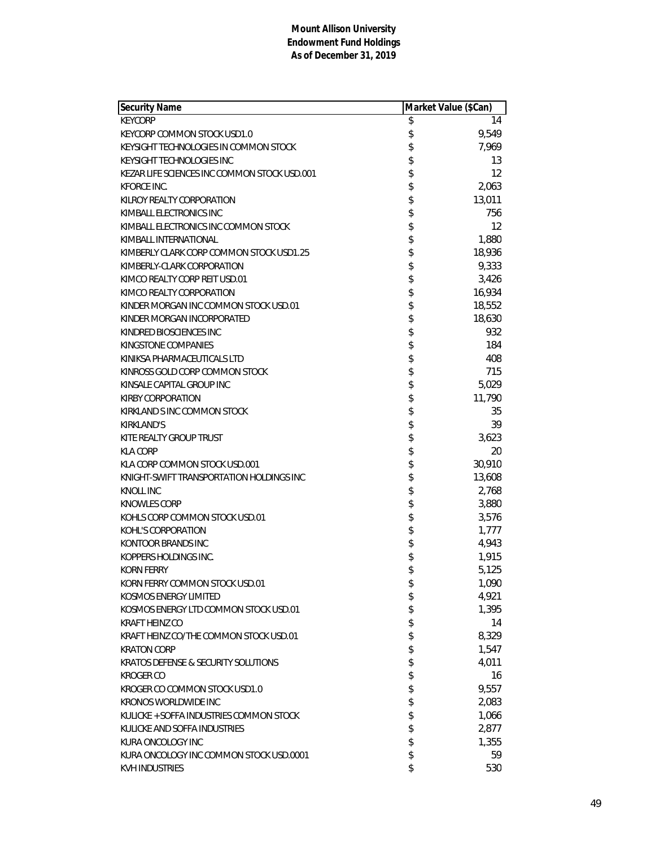| <b>Security Name</b>                         | Market Value (\$Can) |        |
|----------------------------------------------|----------------------|--------|
| <b>KEYCORP</b>                               | \$                   | 14     |
| KEYCORP COMMON STOCK USD1.0                  | \$                   | 9,549  |
| KEYSIGHT TECHNOLOGIES IN COMMON STOCK        | \$                   | 7,969  |
| KEYSIGHT TECHNOLOGIES INC                    | \$                   | 13     |
| KEZAR LIFE SCIENCES INC COMMON STOCK USD.001 | \$                   | 12     |
| KFORCE INC.                                  | \$                   | 2,063  |
| KILROY REALTY CORPORATION                    | \$                   | 13,011 |
| KIMBALL ELECTRONICS INC                      | \$                   | 756    |
| KIMBALL ELECTRONICS INC COMMON STOCK         | \$                   | 12     |
| KIMBALL INTERNATIONAL                        | \$                   | 1,880  |
| KIMBERLY CLARK CORP COMMON STOCK USD1.25     | \$                   | 18,936 |
| KIMBERLY-CLARK CORPORATION                   | \$                   | 9,333  |
| KIMCO REALTY CORP REIT USD.01                | \$                   | 3,426  |
| KIMCO REALTY CORPORATION                     | \$                   | 16,934 |
| KINDER MORGAN INC COMMON STOCK USD.01        | \$                   | 18,552 |
| KINDER MORGAN INCORPORATED                   | \$                   | 18,630 |
| KINDRED BIOSCIENCES INC                      | \$                   | 932    |
| KINGSTONE COMPANIES                          | \$                   | 184    |
| KINIKSA PHARMACEUTICALS LTD                  | \$                   | 408    |
| KINROSS GOLD CORP COMMON STOCK               | \$                   | 715    |
| KINSALE CAPITAL GROUP INC                    | \$                   | 5,029  |
| <b>KIRBY CORPORATION</b>                     | \$                   | 11,790 |
| KIRKLAND S INC COMMON STOCK                  | \$                   | 35     |
| <b>KIRKLAND'S</b>                            | \$                   | 39     |
| KITE REALTY GROUP TRUST                      | \$                   | 3,623  |
| <b>KLA CORP</b>                              | \$                   | 20     |
| KLA CORP COMMON STOCK USD.001                | \$                   | 30,910 |
| KNIGHT-SWIFT TRANSPORTATION HOLDINGS INC     | \$                   | 13,608 |
| <b>KNOLL INC</b>                             | \$                   | 2,768  |
| KNOWLES CORP                                 | \$                   | 3,880  |
| KOHLS CORP COMMON STOCK USD.01               |                      | 3,576  |
| KOHL'S CORPORATION                           | \$                   | 1,777  |
| KONTOOR BRANDS INC                           | \$                   | 4,943  |
| KOPPERS HOLDINGS INC.                        | \$                   | 1,915  |
| <b>KORN FERRY</b>                            | \$                   | 5,125  |
| KORN FERRY COMMON STOCK USD.01               | \$                   | 1,090  |
| KOSMOS ENERGY LIMITED                        | \$                   | 4,921  |
| KOSMOS ENERGY LTD COMMON STOCK USD.01        | \$                   | 1,395  |
| <b>KRAFT HEINZ CO</b>                        | \$                   | 14     |
| KRAFT HEINZ CO/THE COMMON STOCK USD.01       | \$                   | 8,329  |
| <b>KRATON CORP</b>                           | \$                   | 1,547  |
| KRATOS DEFENSE & SECURITY SOLUTIONS          | \$                   | 4,011  |
| <b>KROGER CO</b>                             | \$                   | 16     |
| KROGER CO COMMON STOCK USD1.0                | \$                   | 9,557  |
| <b>KRONOS WORLDWIDE INC</b>                  | \$                   | 2,083  |
| KULICKE + SOFFA INDUSTRIES COMMON STOCK      | \$                   | 1,066  |
| KULICKE AND SOFFA INDUSTRIES                 | \$                   | 2,877  |
| KURA ONCOLOGY INC                            | \$                   | 1,355  |
| KURA ONCOLOGY INC COMMON STOCK USD.0001      | \$                   | 59     |
| KVH INDUSTRIES                               | \$                   | 530    |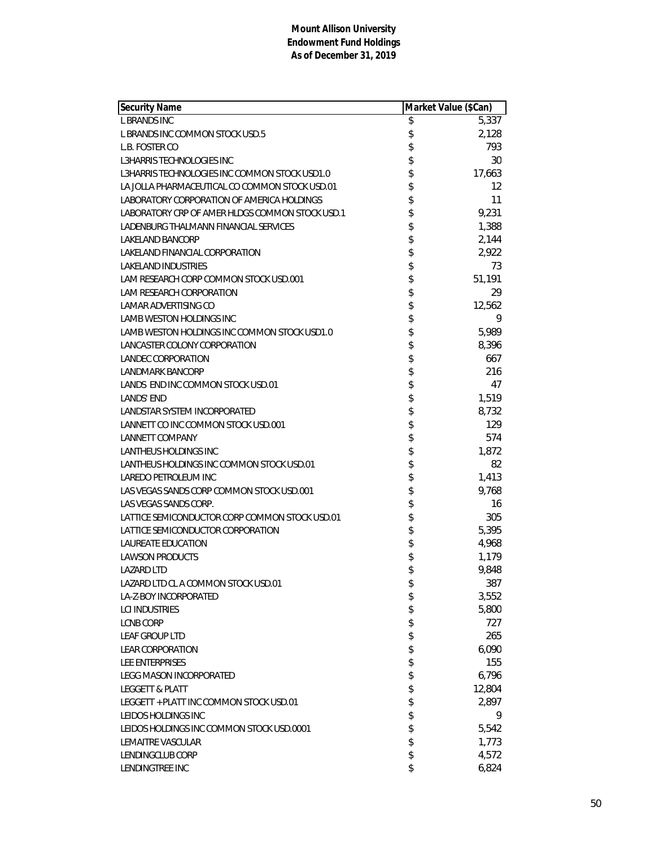| <b>Security Name</b>                            | Market Value (\$Can) |        |
|-------------------------------------------------|----------------------|--------|
| <b>L BRANDS INC</b>                             | \$                   | 5,337  |
| L BRANDS INC COMMON STOCK USD.5                 | \$                   | 2,128  |
| L.B. FOSTER CO                                  | \$                   | 793    |
| <b>L3HARRIS TECHNOLOGIES INC</b>                | \$                   | 30     |
| L3HARRIS TECHNOLOGIES INC COMMON STOCK USD1.0   | \$                   | 17,663 |
| LA JOLLA PHARMACEUTICAL CO COMMON STOCK USD.01  | \$                   | 12     |
| LABORATORY CORPORATION OF AMERICA HOLDINGS      | \$                   | 11     |
| LABORATORY CRP OF AMER HLDGS COMMON STOCK USD.1 | \$                   | 9,231  |
| LADENBURG THALMANN FINANCIAL SERVICES           | \$                   | 1,388  |
| <b>LAKELAND BANCORP</b>                         | \$                   | 2,144  |
| LAKELAND FINANCIAL CORPORATION                  | \$                   | 2,922  |
| <b>LAKELAND INDUSTRIES</b>                      | \$                   | 73     |
| LAM RESEARCH CORP COMMON STOCK USD.001          | \$                   | 51,191 |
| LAM RESEARCH CORPORATION                        | \$                   | 29     |
| <b>LAMAR ADVERTISING CO</b>                     | \$                   | 12,562 |
| <b>LAMB WESTON HOLDINGS INC</b>                 | \$                   | 9      |
| LAMB WESTON HOLDINGS INC COMMON STOCK USD1.0    | \$                   | 5,989  |
| LANCASTER COLONY CORPORATION                    | \$                   | 8,396  |
| LANDEC CORPORATION                              | \$                   | 667    |
| <b>LANDMARK BANCORP</b>                         | \$                   | 216    |
| LANDS END INC COMMON STOCK USD.01               |                      | 47     |
| <b>LANDS' END</b>                               | \$\$\$\$             | 1,519  |
| LANDSTAR SYSTEM INCORPORATED                    |                      | 8,732  |
| LANNETT CO INC COMMON STOCK USD.001             |                      | 129    |
| <b>LANNETT COMPANY</b>                          | \$                   | 574    |
| LANTHEUS HOLDINGS INC                           | \$                   | 1,872  |
| LANTHEUS HOLDINGS INC COMMON STOCK USD.01       | \$                   | 82     |
| LAREDO PETROLEUM INC                            | \$                   | 1,413  |
| LAS VEGAS SANDS CORP COMMON STOCK USD.001       | \$                   | 9,768  |
| LAS VEGAS SANDS CORP.                           | \$                   | 16     |
| LATTICE SEMICONDUCTOR CORP COMMON STOCK USD.01  | \$\$                 | 305    |
| LATTICE SEMICONDUCTOR CORPORATION               |                      | 5,395  |
| <b>LAUREATE EDUCATION</b>                       |                      | 4,968  |
| <b>LAWSON PRODUCTS</b>                          | \$                   | 1,179  |
| <b>LAZARD LTD</b>                               | \$                   | 9,848  |
| LAZARD LTD CL A COMMON STOCK USD.01             | \$                   | 387    |
| LA-Z-BOY INCORPORATED                           | \$                   | 3,552  |
| <b>LCI INDUSTRIES</b>                           | \$                   | 5,800  |
| <b>LCNB CORP</b>                                | \$                   | 727    |
| LEAF GROUP LTD                                  | \$                   | 265    |
| <b>LEAR CORPORATION</b>                         | \$                   | 6,090  |
| LEE ENTERPRISES                                 | \$                   | 155    |
| <b>LEGG MASON INCORPORATED</b>                  | \$                   | 6,796  |
| <b>LEGGETT &amp; PLATT</b>                      | \$                   | 12,804 |
| LEGGETT + PLATT INC COMMON STOCK USD.01         | \$                   | 2,897  |
| LEIDOS HOLDINGS INC                             | \$                   | 9      |
| LEIDOS HOLDINGS INC COMMON STOCK USD.0001       | \$                   | 5,542  |
| <b>LEMAITRE VASCULAR</b>                        | \$                   | 1,773  |
| LENDINGCLUB CORP                                | \$                   | 4,572  |
| LENDINGTREE INC                                 | \$                   | 6,824  |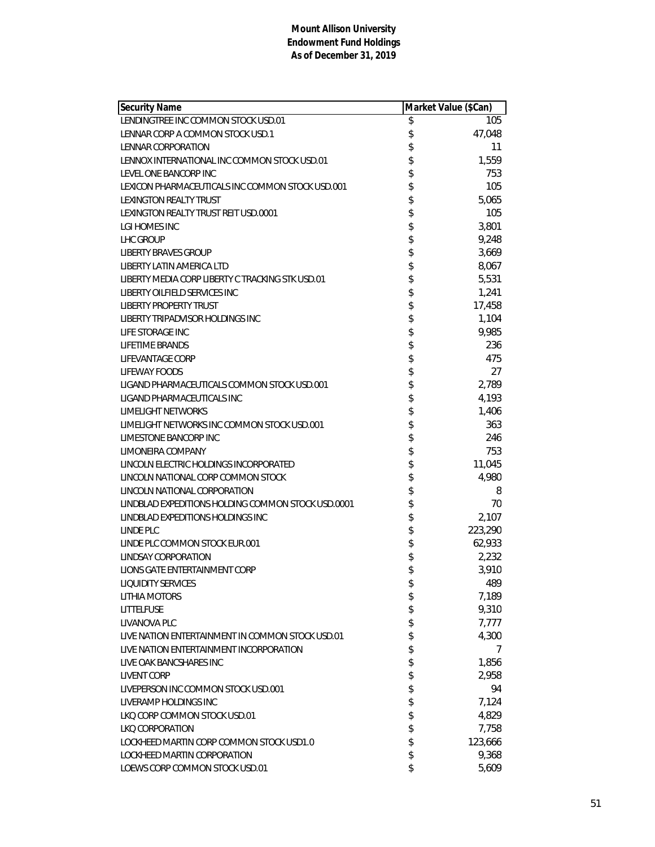| <b>Security Name</b>                               | Market Value (\$Can) |         |
|----------------------------------------------------|----------------------|---------|
| LENDINGTREE INC COMMON STOCK USD.01                | \$                   | 105     |
| LENNAR CORP A COMMON STOCK USD.1                   | \$                   | 47,048  |
| LENNAR CORPORATION                                 | \$                   | 11      |
| LENNOX INTERNATIONAL INC COMMON STOCK USD.01       | \$                   | 1,559   |
| LEVEL ONE BANCORP INC                              | \$                   | 753     |
| LEXICON PHARMACEUTICALS INC COMMON STOCK USD.001   | \$                   | 105     |
| LEXINGTON REALTY TRUST                             | \$                   | 5,065   |
| LEXINGTON REALTY TRUST REIT USD.0001               | \$                   | 105     |
| LGI HOMES INC                                      | \$                   | 3,801   |
| LHC GROUP                                          | \$                   | 9,248   |
| <b>LIBERTY BRAVES GROUP</b>                        |                      | 3,669   |
| LIBERTY LATIN AMERICA LTD                          | \$<br>\$             | 8,067   |
| LIBERTY MEDIA CORP LIBERTY C TRACKING STK USD.01   | \$                   | 5,531   |
| LIBERTY OILFIELD SERVICES INC                      | \$                   | 1,241   |
| <b>LIBERTY PROPERTY TRUST</b>                      | \$                   | 17,458  |
| LIBERTY TRIPADVISOR HOLDINGS INC                   | \$                   | 1,104   |
| LIFE STORAGE INC                                   | \$                   | 9,985   |
| LIFETIME BRANDS                                    | \$                   | 236     |
| LIFEVANTAGE CORP                                   | \$                   | 475     |
| <b>LIFEWAY FOODS</b>                               |                      | 27      |
| LIGAND PHARMACEUTICALS COMMON STOCK USD.001        | \$<br>\$             | 2,789   |
| LIGAND PHARMACEUTICALS INC                         |                      | 4,193   |
| LIMELIGHT NETWORKS                                 | \$                   | 1,406   |
| LIMELIGHT NETWORKS INC COMMON STOCK USD.001        | \$                   | 363     |
| LIMESTONE BANCORP INC                              | \$                   | 246     |
| LIMONEIRA COMPANY                                  | \$                   | 753     |
| LINCOLN ELECTRIC HOLDINGS INCORPORATED             | \$                   | 11,045  |
| LINCOLN NATIONAL CORP COMMON STOCK                 | \$                   | 4,980   |
| LINCOLN NATIONAL CORPORATION                       | \$                   | 8       |
| LINDBLAD EXPEDITIONS HOLDING COMMON STOCK USD.0001 | \$                   | 70      |
| LINDBLAD EXPEDITIONS HOLDINGS INC                  | \$                   | 2,107   |
| LINDE PLC                                          | \$                   | 223,290 |
| LINDE PLC COMMON STOCK EUR.001                     | \$                   | 62,933  |
| LINDSAY CORPORATION                                | \$                   | 2,232   |
| LIONS GATE ENTERTAINMENT CORP                      | \$                   | 3,910   |
| <b>LIQUIDITY SERVICES</b>                          | \$                   | 489     |
| <b>LITHIA MOTORS</b>                               | \$                   | 7,189   |
| LITTELFUSE                                         | \$                   | 9,310   |
| LIVANOVA PLC                                       | \$                   | 7,777   |
| LIVE NATION ENTERTAINMENT IN COMMON STOCK USD.01   | \$                   | 4,300   |
| LIVE NATION ENTERTAINMENT INCORPORATION            | \$                   | 7       |
| LIVE OAK BANCSHARES INC                            | \$                   | 1,856   |
| <b>LIVENT CORP</b>                                 | \$                   | 2,958   |
| LIVEPERSON INC COMMON STOCK USD.001                | \$                   | 94      |
| LIVERAMP HOLDINGS INC                              | \$                   | 7,124   |
| LKQ CORP COMMON STOCK USD.01                       | \$                   | 4,829   |
| LKO CORPORATION                                    | \$                   | 7,758   |
| LOCKHEED MARTIN CORP COMMON STOCK USD1.0           | \$                   | 123,666 |
| LOCKHEED MARTIN CORPORATION                        | \$                   | 9,368   |
| LOEWS CORP COMMON STOCK USD.01                     | \$                   | 5,609   |
|                                                    |                      |         |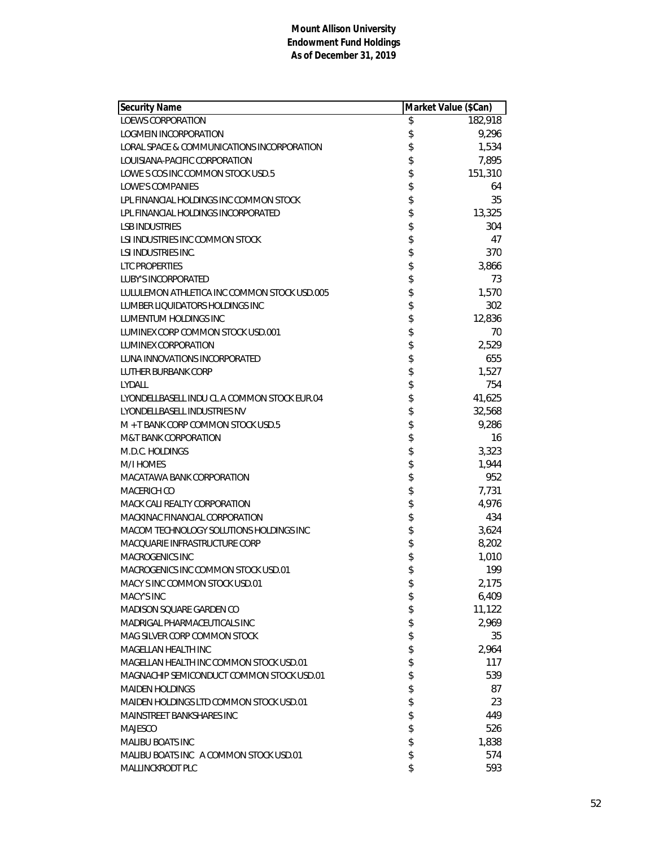| <b>Security Name</b>                         | Market Value (\$Can) |         |
|----------------------------------------------|----------------------|---------|
| <b>LOEWS CORPORATION</b>                     | \$                   | 182,918 |
| LOGMEIN INCORPORATION                        | \$                   | 9,296   |
| LORAL SPACE & COMMUNICATIONS INCORPORATION   | \$                   | 1,534   |
| LOUISIANA-PACIFIC CORPORATION                | \$                   | 7,895   |
| LOWE S COS INC COMMON STOCK USD.5            | \$                   | 151,310 |
| LOWE'S COMPANIES                             | \$                   | 64      |
| LPL FINANCIAL HOLDINGS INC COMMON STOCK      | \$                   | 35      |
| LPL FINANCIAL HOLDINGS INCORPORATED          | \$                   | 13,325  |
| <b>LSB INDUSTRIES</b>                        | \$                   | 304     |
| LSI INDUSTRIES INC COMMON STOCK              | \$                   | 47      |
| <b>LSI INDUSTRIES INC.</b>                   | \$                   | 370     |
| <b>LTC PROPERTIES</b>                        | \$                   | 3,866   |
| <b>LUBY'S INCORPORATED</b>                   | \$                   | 73      |
| LULULEMON ATHLETICA INC COMMON STOCK USD.005 | \$                   | 1,570   |
| LUMBER LIQUIDATORS HOLDINGS INC              | \$                   | 302     |
| LUMENTUM HOLDINGS INC                        | \$                   | 12,836  |
| LUMINEX CORP COMMON STOCK USD.001            | \$                   | 70      |
| <b>LUMINEX CORPORATION</b>                   | \$                   | 2,529   |
| LUNA INNOVATIONS INCORPORATED                | \$                   | 655     |
| LUTHER BURBANK CORP                          | \$                   | 1,527   |
| LYDALL                                       | \$                   | 754     |
| LYONDELLBASELL INDU CL A COMMON STOCK EUR.04 | \$                   | 41,625  |
| LYONDELLBASELL INDUSTRIES NV                 | \$                   | 32,568  |
| M + T BANK CORP COMMON STOCK USD.5           | \$                   | 9,286   |
| <b>M&amp;T BANK CORPORATION</b>              | \$                   | 16      |
| M.D.C. HOLDINGS                              | \$                   | 3,323   |
| M/I HOMES                                    | \$                   | 1,944   |
| MACATAWA BANK CORPORATION                    | \$                   | 952     |
| MACERICH CO                                  |                      | 7,731   |
| MACK CALI REALTY CORPORATION                 | \$\$\$\$             | 4,976   |
| MACKINAC FINANCIAL CORPORATION               |                      | 434     |
| MACOM TECHNOLOGY SOLUTIONS HOLDINGS INC      |                      | 3,624   |
| MACQUARIE INFRASTRUCTURE CORP                | \$                   | 8,202   |
| <b>MACROGENICS INC</b>                       | \$                   | 1,010   |
| MACROGENICS INC COMMON STOCK USD.01          | \$                   | 199     |
| MACY SINC COMMON STOCK USD.01                | \$                   | 2,175   |
| MACY'S INC                                   | \$                   | 6,409   |
| MADISON SQUARE GARDEN CO                     | \$                   | 11,122  |
| MADRIGAL PHARMACEUTICALS INC                 | \$                   | 2,969   |
| MAG SILVER CORP COMMON STOCK                 | \$                   | 35      |
| MAGELLAN HEALTH INC                          | \$                   | 2,964   |
| MAGELLAN HEALTH INC COMMON STOCK USD.01      | \$                   | 117     |
| MAGNACHIP SEMICONDUCT COMMON STOCK USD.01    | \$                   | 539     |
| <b>MAIDEN HOLDINGS</b>                       | \$                   | 87      |
| MAIDEN HOLDINGS LTD COMMON STOCK USD.01      | \$                   | 23      |
| MAINSTREET BANKSHARES INC                    | \$                   | 449     |
| <b>MAJESCO</b>                               | \$                   | 526     |
| <b>MALIBU BOATS INC</b>                      | \$                   | 1,838   |
| MALIBU BOATS INC A COMMON STOCK USD.01       | \$                   | 574     |
| MALLINCKRODT PLC                             | \$                   | 593     |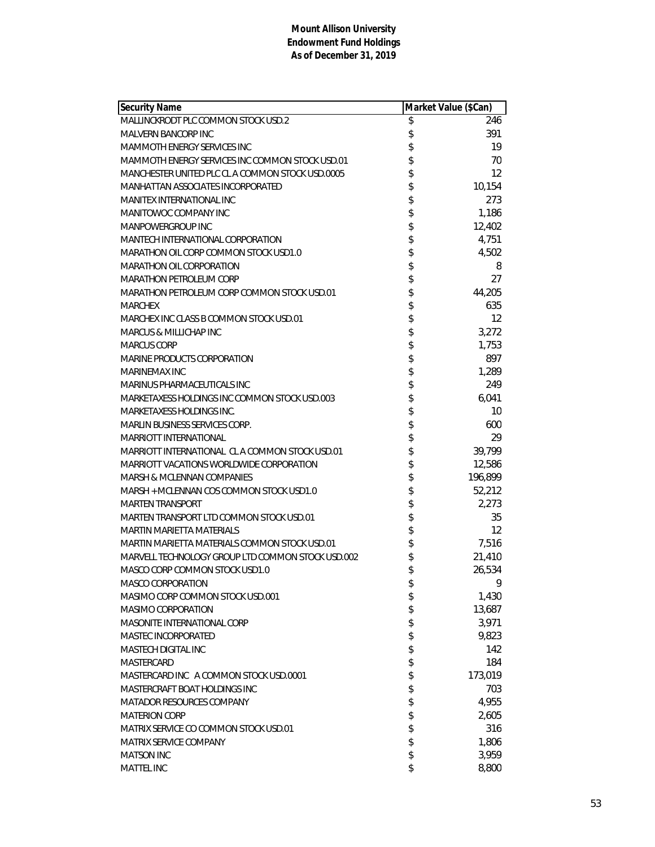| <b>Security Name</b>                              | Market Value (\$Can) |         |
|---------------------------------------------------|----------------------|---------|
| MALLINCKRODT PLC COMMON STOCK USD.2               | \$                   | 246     |
| MALVERN BANCORP INC                               | \$                   | 391     |
| <b>MAMMOTH ENERGY SERVICES INC</b>                | \$                   | 19      |
| MAMMOTH ENERGY SERVICES INC COMMON STOCK USD.01   | \$                   | 70      |
| MANCHESTER UNITED PLC CL A COMMON STOCK USD.0005  | \$                   | 12      |
| MANHATTAN ASSOCIATES INCORPORATED                 | \$                   | 10,154  |
| <b>MANITEX INTERNATIONAL INC</b>                  | \$                   | 273     |
| MANITOWOC COMPANY INC                             | \$                   | 1,186   |
| MANPOWERGROUP INC                                 | \$                   | 12,402  |
| MANTECH INTERNATIONAL CORPORATION                 | \$                   | 4,751   |
| MARATHON OIL CORP COMMON STOCK USD1.0             | \$                   | 4,502   |
| MARATHON OIL CORPORATION                          | \$                   | 8       |
| <b>MARATHON PETROLEUM CORP</b>                    | \$                   | 27      |
| MARATHON PETROLEUM CORP COMMON STOCK USD.01       | \$<br>\$             | 44,205  |
| <b>MARCHEX</b>                                    |                      | 635     |
| MARCHEX INC CLASS B COMMON STOCK USD.01           | \$                   | 12      |
| MARCUS & MILLICHAP INC                            | \$                   | 3,272   |
| <b>MARCUS CORP</b>                                | \$                   | 1,753   |
| MARINE PRODUCTS CORPORATION                       |                      | 897     |
| MARINEMAX INC                                     |                      | 1,289   |
| MARINUS PHARMACEUTICALS INC                       |                      | 249     |
| MARKETAXESS HOLDINGS INC COMMON STOCK USD.003     | \$\$\$\$\$\$         | 6,041   |
| <b>MARKETAXESS HOLDINGS INC.</b>                  |                      | 10      |
| <b>MARLIN BUSINESS SERVICES CORP.</b>             |                      | 600     |
| <b>MARRIOTT INTERNATIONAL</b>                     | \$                   | 29      |
| MARRIOTT INTERNATIONAL CLA COMMON STOCK USD.01    |                      | 39,799  |
| MARRIOTT VACATIONS WORLDWIDE CORPORATION          | \$                   | 12,586  |
| <b>MARSH &amp; MCLENNAN COMPANIES</b>             | \$                   | 196,899 |
| MARSH + MCLENNAN COS COMMON STOCK USD1.0          | \$                   | 52,212  |
| <b>MARTEN TRANSPORT</b>                           | \$                   | 2,273   |
| MARTEN TRANSPORT LTD COMMON STOCK USD.01          | \$\$                 | 35      |
| <b>MARTIN MARIETTA MATERIALS</b>                  |                      | 12      |
| MARTIN MARIETTA MATERIALS COMMON STOCK USD.01     |                      | 7,516   |
| MARVELL TECHNOLOGY GROUP LTD COMMON STOCK USD.002 | \$                   | 21,410  |
| MASCO CORP COMMON STOCK USD1.0                    | \$                   | 26,534  |
| <b>MASCO CORPORATION</b>                          | \$                   | 9       |
| MASIMO CORP COMMON STOCK USD.001                  | \$                   | 1,430   |
| MASIMO CORPORATION                                | \$                   | 13,687  |
| MASONITE INTERNATIONAL CORP                       | \$                   | 3,971   |
| MASTEC INCORPORATED                               | \$                   | 9,823   |
| <b>MASTECH DIGITAL INC</b>                        | \$                   | 142     |
| <b>MASTERCARD</b>                                 | \$                   | 184     |
| MASTERCARD INC A COMMON STOCK USD.0001            | \$                   | 173,019 |
| MASTERCRAFT BOAT HOLDINGS INC                     | \$                   | 703     |
| MATADOR RESOURCES COMPANY                         | \$                   | 4,955   |
| <b>MATERION CORP</b>                              | \$                   | 2,605   |
| MATRIX SERVICE CO COMMON STOCK USD.01             | \$                   | 316     |
| MATRIX SERVICE COMPANY                            | \$                   | 1,806   |
| <b>MATSON INC</b>                                 | \$                   | 3,959   |
| MATTEL INC                                        | \$                   | 8,800   |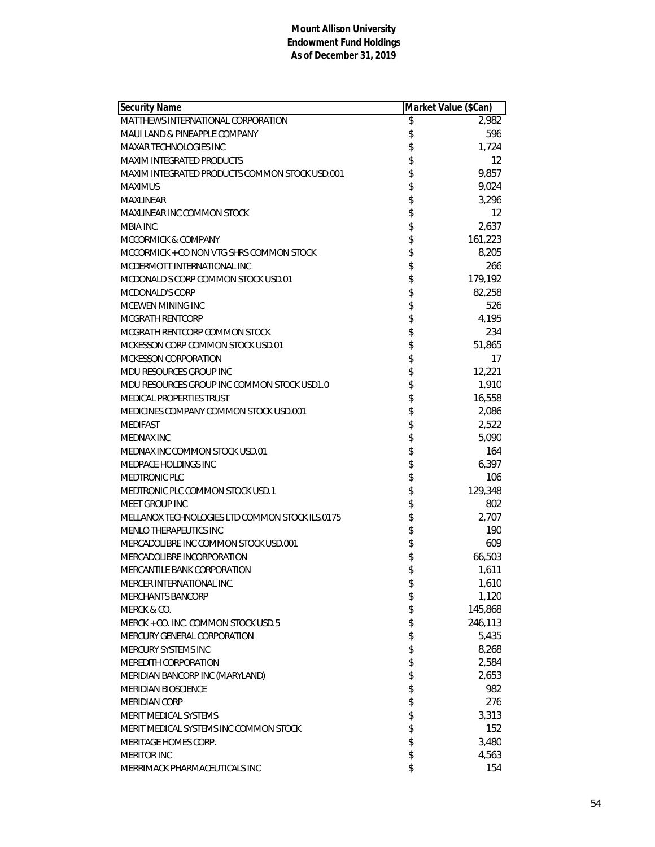| <b>Security Name</b>                            | Market Value (\$Can) |         |
|-------------------------------------------------|----------------------|---------|
| MATTHEWS INTERNATIONAL CORPORATION              | \$                   | 2,982   |
| MAUI LAND & PINEAPPLE COMPANY                   | \$                   | 596     |
| MAXAR TECHNOLOGIES INC                          | \$                   | 1,724   |
| <b>MAXIM INTEGRATED PRODUCTS</b>                | \$                   | 12      |
| MAXIM INTEGRATED PRODUCTS COMMON STOCK USD.001  | \$                   | 9,857   |
| <b>MAXIMUS</b>                                  | \$                   | 9,024   |
| <b>MAXLINEAR</b>                                | \$                   | 3,296   |
| MAXLINEAR INC COMMON STOCK                      | \$                   | 12      |
| MBIA INC.                                       | \$                   | 2,637   |
| MCCORMICK & COMPANY                             | \$                   | 161,223 |
| MCCORMICK + CO NON VTG SHRS COMMON STOCK        | \$                   | 8,205   |
| MCDERMOTT INTERNATIONAL INC                     | \$                   | 266     |
| MCDONALD S CORP COMMON STOCK USD.01             | \$                   | 179,192 |
| <b>MCDONALD'S CORP</b>                          | \$                   | 82,258  |
| MCEWEN MINING INC                               | \$                   | 526     |
| MCGRATH RENTCORP                                | \$                   | 4,195   |
| MCGRATH RENTCORP COMMON STOCK                   | \$                   | 234     |
| MCKESSON CORP COMMON STOCK USD.01               | \$                   | 51,865  |
| MCKESSON CORPORATION                            | \$                   | 17      |
| MDU RESOURCES GROUP INC                         | \$                   | 12,221  |
| MDU RESOURCES GROUP INC COMMON STOCK USD1.0     | \$                   | 1,910   |
| <b>MEDICAL PROPERTIES TRUST</b>                 | \$                   | 16,558  |
| MEDICINES COMPANY COMMON STOCK USD.001          |                      | 2,086   |
| <b>MEDIFAST</b>                                 | \$                   | 2,522   |
| <b>MEDNAX INC</b>                               | \$                   | 5,090   |
| MEDNAX INC COMMON STOCK USD.01                  | \$                   | 164     |
| MEDPACE HOLDINGS INC                            | \$                   | 6,397   |
| <b>MEDTRONIC PLC</b>                            |                      | 106     |
| MEDTRONIC PLC COMMON STOCK USD.1                | \$                   | 129,348 |
| <b>MEET GROUP INC</b>                           |                      | 802     |
| MELLANOX TECHNOLOGIES LTD COMMON STOCK ILS.0175 | \$\$\$\$             | 2,707   |
| <b>MENLO THERAPEUTICS INC</b>                   |                      | 190     |
| MERCADOLIBRE INC COMMON STOCK USD.001           |                      | 609     |
| MERCADOLIBRE INCORPORATION                      | \$                   | 66,503  |
| MERCANTILE BANK CORPORATION                     | \$                   | 1,611   |
| MERCER INTERNATIONAL INC.                       | \$                   | 1,610   |
| MERCHANTS BANCORP                               | \$                   | 1,120   |
| MERCK & CO.                                     | \$                   | 145,868 |
| MERCK + CO. INC. COMMON STOCK USD.5             | \$                   | 246,113 |
| MERCURY GENERAL CORPORATION                     | \$                   | 5,435   |
| MERCURY SYSTEMS INC                             | \$                   | 8,268   |
| MEREDITH CORPORATION                            | \$                   | 2,584   |
| MERIDIAN BANCORP INC (MARYLAND)                 | \$                   | 2,653   |
| MERIDIAN BIOSCIENCE                             | \$                   | 982     |
| <b>MERIDIAN CORP</b>                            | \$                   | 276     |
| <b>MERIT MEDICAL SYSTEMS</b>                    | \$                   | 3,313   |
| MERIT MEDICAL SYSTEMS INC COMMON STOCK          | \$                   | 152     |
| MERITAGE HOMES CORP.                            | \$                   | 3,480   |
| <b>MERITOR INC</b>                              | \$                   | 4,563   |
| MERRIMACK PHARMACEUTICALS INC                   | \$                   | 154     |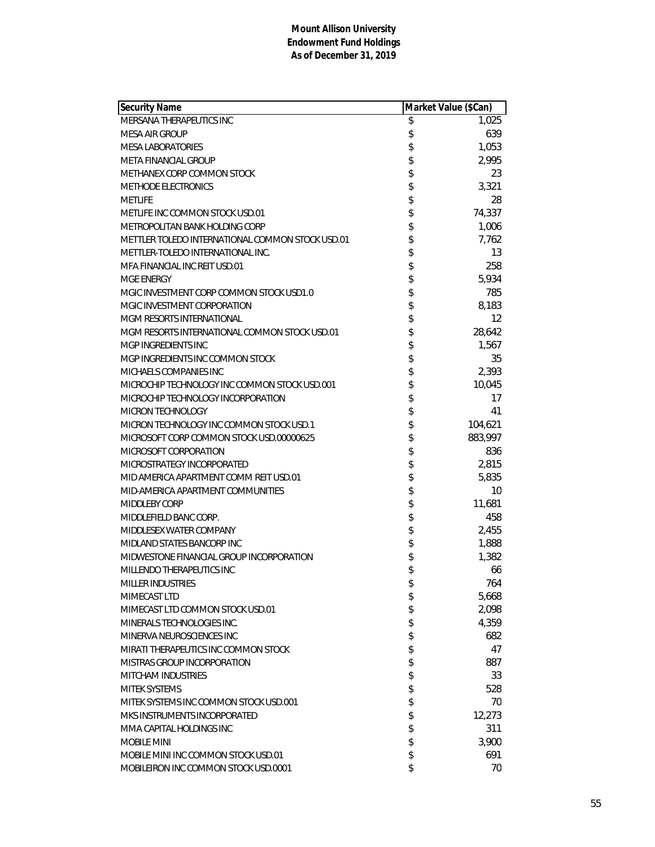| <b>Security Name</b>                             | Market Value (\$Can) |                   |
|--------------------------------------------------|----------------------|-------------------|
| MERSANA THERAPEUTICS INC                         | \$                   | 1,025             |
| <b>MESA AIR GROUP</b>                            | \$                   | 639               |
| <b>MESA LABORATORIES</b>                         | \$                   | 1,053             |
| META FINANCIAL GROUP                             | \$                   | 2,995             |
| METHANEX CORP COMMON STOCK                       | \$                   | 23                |
| <b>METHODE ELECTRONICS</b>                       | \$                   | 3,321             |
| <b>METLIFE</b>                                   | \$                   | 28                |
| METLIFE INC COMMON STOCK USD.01                  | \$                   | 74,337            |
| METROPOLITAN BANK HOLDING CORP                   | \$                   | 1,006             |
| METTLER TOLEDO INTERNATIONAL COMMON STOCK USD.01 | \$                   | 7,762             |
| METTLER-TOLEDO INTERNATIONAL INC.                | \$                   | 13                |
| MFA FINANCIAL INC REIT USD.01                    | \$                   | 258               |
| <b>MGE ENERGY</b>                                | \$                   | 5,934             |
| MGIC INVESTMENT CORP COMMON STOCK USD1.0         | \$                   | 785               |
| MGIC INVESTMENT CORPORATION                      | \$                   | 8,183             |
| <b>MGM RESORTS INTERNATIONAL</b>                 | \$                   | $12 \overline{ }$ |
| MGM RESORTS INTERNATIONAL COMMON STOCK USD.01    | \$                   | 28,642            |
| MGP INGREDIENTS INC                              | \$                   | 1,567             |
| MGP INGREDIENTS INC COMMON STOCK                 | \$                   | 35                |
| MICHAELS COMPANIES INC                           | \$                   | 2,393             |
| MICROCHIP TECHNOLOGY INC COMMON STOCK USD.001    | \$                   | 10,045            |
| MICROCHIP TECHNOLOGY INCORPORATION               | \$                   | 17                |
| MICRON TECHNOLOGY                                | \$                   | 41                |
| MICRON TECHNOLOGY INC COMMON STOCK USD.1         | \$                   | 104,621           |
| MICROSOFT CORP COMMON STOCK USD.00000625         | \$                   | 883,997           |
| MICROSOFT CORPORATION                            | \$                   | 836               |
| MICROSTRATEGY INCORPORATED                       | \$                   | 2,815             |
| MID AMERICA APARTMENT COMM REIT USD.01           | \$                   | 5,835             |
| MID-AMERICA APARTMENT COMMUNITIES                | \$                   | 10                |
| <b>MIDDLEBY CORP</b>                             | \$                   | 11,681            |
| MIDDLEFIELD BANC CORP.                           | \$                   | 458               |
| MIDDLESEX WATER COMPANY                          | \$                   | 2,455             |
| MIDLAND STATES BANCORP INC                       | \$                   | 1,888             |
| MIDWESTONE FINANCIAL GROUP INCORPORATION         | \$                   | 1,382             |
| MILLENDO THERAPEUTICS INC                        | \$                   | 66                |
| <b>MILLER INDUSTRIES</b>                         | \$                   | 764               |
| MIMECAST LTD                                     | \$                   | 5,668             |
| MIMECAST LTD COMMON STOCK USD.01                 | \$                   | 2,098             |
| MINERALS TECHNOLOGIES INC.                       | \$                   | 4,359             |
| MINERVA NEUROSCIENCES INC                        | \$                   | 682               |
| MIRATI THERAPEUTICS INC COMMON STOCK             | \$                   | 47                |
| MISTRAS GROUP INCORPORATION                      | \$                   | 887               |
| <b>MITCHAM INDUSTRIES</b>                        | \$                   | 33                |
| <b>MITEK SYSTEMS</b>                             | \$                   | 528               |
| MITEK SYSTEMS INC COMMON STOCK USD.001           | \$                   | 70                |
| MKS INSTRUMENTS INCORPORATED                     | \$                   | 12,273            |
| MMA CAPITAL HOLDINGS INC                         | \$                   | 311               |
| <b>MOBILE MINI</b>                               | \$                   | 3,900             |
| MOBILE MINI INC COMMON STOCK USD.01              | \$                   | 691               |
| MOBILEIRON INC COMMON STOCK USD.0001             | \$                   | 70                |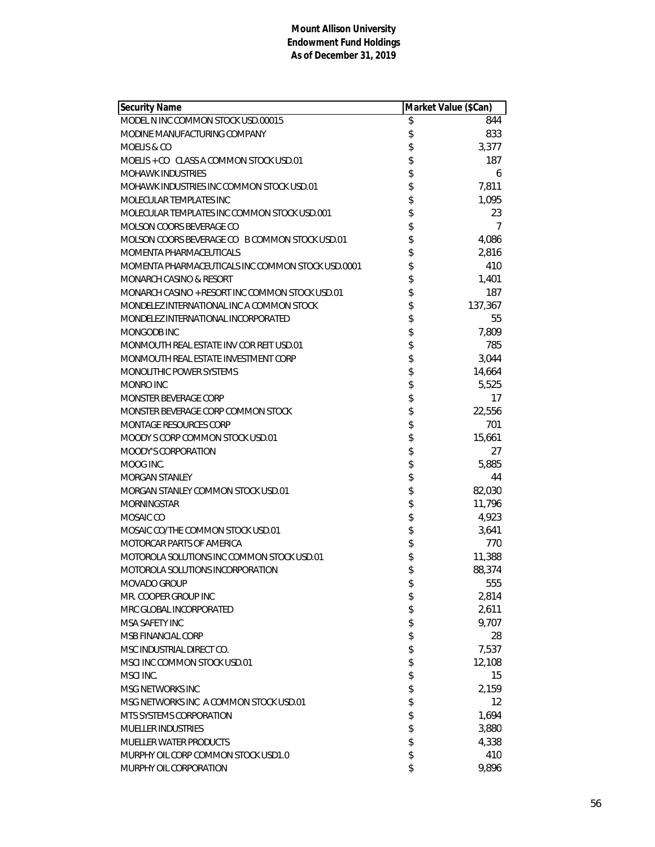| Security Name                                     | Market Value (\$Can) |         |
|---------------------------------------------------|----------------------|---------|
| MODEL N INC COMMON STOCK USD.00015                | \$                   | 844     |
| MODINE MANUFACTURING COMPANY                      | \$                   | 833     |
| MOELIS & CO                                       | \$                   | 3,377   |
| MOELIS + CO CLASS A COMMON STOCK USD.01           | \$                   | 187     |
| <b>MOHAWK INDUSTRIES</b>                          | \$                   | 6       |
| MOHAWK INDUSTRIES INC COMMON STOCK USD.01         | \$                   | 7,811   |
| MOLECULAR TEMPLATES INC                           | \$                   | 1,095   |
| MOLECULAR TEMPLATES INC COMMON STOCK USD.001      | \$                   | 23      |
| MOLSON COORS BEVERAGE CO                          | \$                   | 7       |
| MOLSON COORS BEVERAGE CO B COMMON STOCK USD.01    | \$                   | 4,086   |
| MOMENTA PHARMACEUTICALS                           | \$                   | 2,816   |
| MOMENTA PHARMACEUTICALS INC COMMON STOCK USD.0001 | \$                   | 410     |
| MONARCH CASINO & RESORT                           | \$                   | 1,401   |
| MONARCH CASINO + RESORT INC COMMON STOCK USD.01   | \$                   | 187     |
| MONDELEZ INTERNATIONAL INC A COMMON STOCK         | \$                   | 137,367 |
| MONDELEZ INTERNATIONAL INCORPORATED               | \$                   | 55      |
| MONGODB INC                                       | \$                   | 7,809   |
| MONMOUTH REAL ESTATE INV COR REIT USD.01          | \$                   | 785     |
| MONMOUTH REAL ESTATE INVESTMENT CORP              | \$                   | 3,044   |
| MONOLITHIC POWER SYSTEMS                          | \$                   | 14,664  |
| MONRO INC                                         | \$                   | 5,525   |
| <b>MONSTER BEVERAGE CORP</b>                      | \$                   | 17      |
| MONSTER BEVERAGE CORP COMMON STOCK                | \$                   | 22,556  |
| MONTAGE RESOURCES CORP                            | \$                   | 701     |
| MOODY S CORP COMMON STOCK USD.01                  | \$                   | 15,661  |
| MOODY'S CORPORATION                               | \$                   | 27      |
| MOOG INC.                                         | \$                   | 5,885   |
| <b>MORGAN STANLEY</b>                             | \$                   | 44      |
| MORGAN STANLEY COMMON STOCK USD.01                | \$                   | 82,030  |
| <b>MORNINGSTAR</b>                                | \$                   | 11,796  |
| MOSAIC CO                                         | \$                   | 4,923   |
| MOSAIC CO/THE COMMON STOCK USD.01                 | \$                   | 3,641   |
| MOTORCAR PARTS OF AMERICA                         | \$                   | 770     |
| MOTOROLA SOLUTIONS INC COMMON STOCK USD.01        | \$                   | 11,388  |
| MOTOROLA SOLUTIONS INCORPORATION                  | \$                   | 88,374  |
| MOVADO GROUP                                      | \$                   | 555     |
| MR. COOPER GROUP INC                              | \$                   | 2,814   |
| MRC GLOBAL INCORPORATED                           | \$                   | 2,611   |
| MSA SAFETY INC                                    | \$                   | 9,707   |
| MSB FINANCIAL CORP                                | \$                   | 28      |
| MSC INDUSTRIAL DIRECT CO.                         | \$                   | 7,537   |
| MSCI INC COMMON STOCK USD.01                      | \$                   | 12,108  |
| MSCI INC.                                         | \$                   | 15      |
| MSG NETWORKS INC                                  | \$                   | 2.159   |
| MSG NETWORKS INC A COMMON STOCK USD.01            | \$                   | 12      |
| MTS SYSTEMS CORPORATION                           | \$                   | 1,694   |
| <b>MUELLER INDUSTRIES</b>                         | \$                   | 3,880   |
| <b>MUELLER WATER PRODUCTS</b>                     | \$                   | 4,338   |
| MURPHY OIL CORP COMMON STOCK USD1.0               | \$                   | 410     |
| MURPHY OIL CORPORATION                            | \$                   | 9,896   |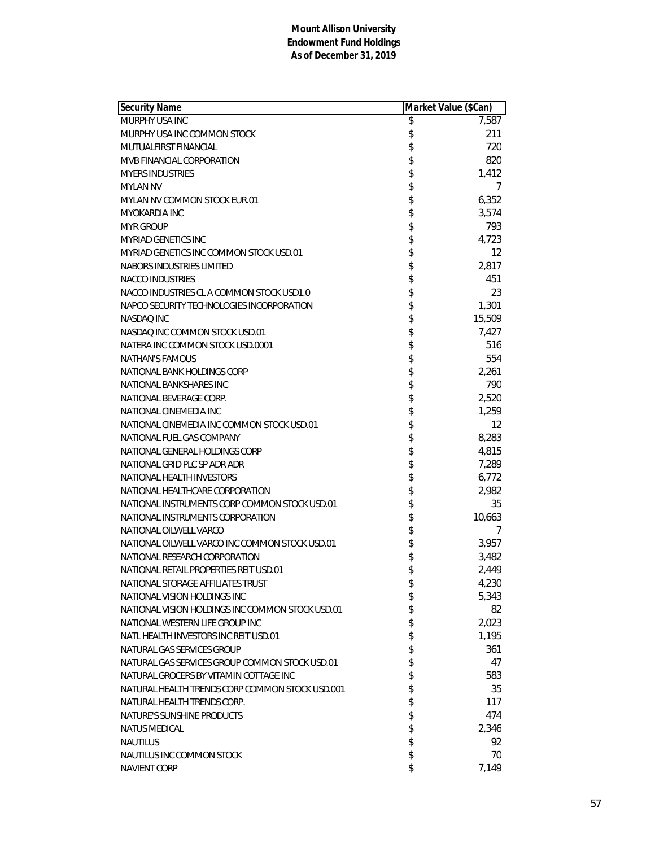| Security Name                                    | Market Value (\$Can) |        |
|--------------------------------------------------|----------------------|--------|
| MURPHY USA INC                                   | \$                   | 7,587  |
| MURPHY USA INC COMMON STOCK                      | \$                   | 211    |
| MUTUALFIRST FINANCIAL                            | \$                   | 720    |
| MVB FINANCIAL CORPORATION                        | \$                   | 820    |
| <b>MYERS INDUSTRIES</b>                          | \$                   | 1,412  |
| <b>MYLAN NV</b>                                  | \$                   | 7      |
| MYLAN NV COMMON STOCK EUR.01                     | \$                   | 6,352  |
| MYOKARDIA INC                                    | \$                   | 3,574  |
| <b>MYR GROUP</b>                                 | \$                   | 793    |
| <b>MYRIAD GENETICS INC</b>                       | \$                   | 4,723  |
| MYRIAD GENETICS INC COMMON STOCK USD.01          | \$                   | 12     |
| NABORS INDUSTRIES LIMITED                        | \$                   | 2,817  |
| <b>NACCO INDUSTRIES</b>                          | \$                   | 451    |
| NACCO INDUSTRIES CL A COMMON STOCK USD1.0        | \$                   | 23     |
| NAPCO SECURITY TECHNOLOGIES INCORPORATION        | \$                   | 1,301  |
| <b>NASDAQ INC</b>                                | \$                   | 15,509 |
| NASDAQ INC COMMON STOCK USD.01                   | \$                   | 7,427  |
| NATERA INC COMMON STOCK USD.0001                 | \$                   | 516    |
| <b>NATHAN'S FAMOUS</b>                           | \$                   | 554    |
| NATIONAL BANK HOLDINGS CORP                      | \$                   | 2,261  |
| NATIONAL BANKSHARES INC                          | \$                   | 790    |
| NATIONAL BEVERAGE CORP.                          | \$                   | 2,520  |
| NATIONAL CINEMEDIA INC                           | \$                   | 1,259  |
| NATIONAL CINEMEDIA INC COMMON STOCK USD.01       | \$                   | 12     |
| NATIONAL FUEL GAS COMPANY                        | \$                   | 8,283  |
| NATIONAL GENERAL HOLDINGS CORP                   | \$                   | 4,815  |
| NATIONAL GRID PLC SP ADR ADR                     | \$                   | 7,289  |
| NATIONAL HEALTH INVESTORS                        | \$                   | 6,772  |
| NATIONAL HEALTHCARE CORPORATION                  | \$                   | 2,982  |
| NATIONAL INSTRUMENTS CORP COMMON STOCK USD.01    | \$                   | 35     |
| NATIONAL INSTRUMENTS CORPORATION                 | \$                   | 10,663 |
| NATIONAL OILWELL VARCO                           | \$                   | 7      |
| NATIONAL OILWELL VARCO INC COMMON STOCK USD.01   | \$                   | 3,957  |
| NATIONAL RESEARCH CORPORATION                    | \$                   | 3,482  |
| NATIONAL RETAIL PROPERTIES REIT USD.01           | \$                   | 2,449  |
| NATIONAL STORAGE AFFILIATES TRUST                | \$                   | 4,230  |
| NATIONAL VISION HOLDINGS INC                     | \$                   | 5,343  |
| NATIONAL VISION HOLDINGS INC COMMON STOCK USD.01 | \$                   | 82     |
| NATIONAL WESTERN LIFE GROUP INC                  | \$                   | 2,023  |
| NATL HEALTH INVESTORS INC REIT USD.01            | \$                   | 1,195  |
| NATURAL GAS SERVICES GROUP                       | \$                   | 361    |
| NATURAL GAS SERVICES GROUP COMMON STOCK USD.01   | \$                   | 47     |
| NATURAL GROCERS BY VITAMIN COTTAGE INC           | \$                   | 583    |
| NATURAL HEALTH TRENDS CORP COMMON STOCK USD.001  | \$                   | 35     |
| NATURAL HEALTH TRENDS CORP.                      | \$                   | 117    |
| NATURE'S SUNSHINE PRODUCTS                       | \$                   | 474    |
| <b>NATUS MEDICAL</b>                             | \$                   | 2,346  |
| <b>NAUTILUS</b>                                  | \$                   | 92     |
| NAUTILUS INC COMMON STOCK                        | \$                   | 70     |
| NAVIENT CORP                                     | \$                   | 7,149  |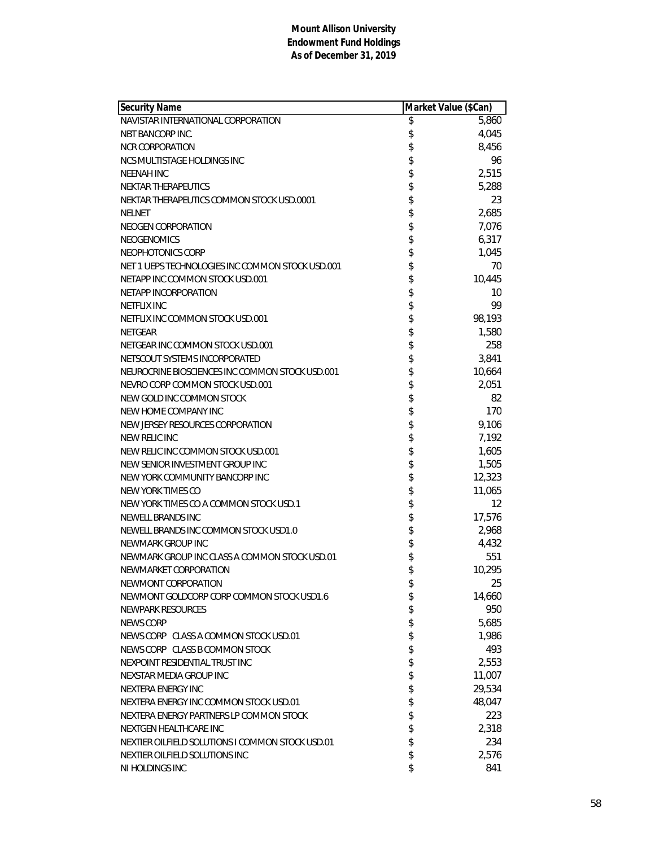| <b>Security Name</b>                             | Market Value (\$Can) |        |
|--------------------------------------------------|----------------------|--------|
| NAVISTAR INTERNATIONAL CORPORATION               | \$                   | 5,860  |
| NBT BANCORP INC.                                 | \$                   | 4,045  |
| <b>NCR CORPORATION</b>                           | \$                   | 8,456  |
| NCS MULTISTAGE HOLDINGS INC                      | \$                   | 96     |
| <b>NEENAH INC</b>                                | \$                   | 2,515  |
| NEKTAR THERAPEUTICS                              | \$                   | 5,288  |
| NEKTAR THERAPEUTICS COMMON STOCK USD.0001        | \$                   | 23     |
| <b>NELNET</b>                                    | \$                   | 2,685  |
| NEOGEN CORPORATION                               | \$                   | 7,076  |
| <b>NEOGENOMICS</b>                               | \$                   | 6,317  |
| NEOPHOTONICS CORP                                | \$                   | 1,045  |
| NET 1 UEPS TECHNOLOGIES INC COMMON STOCK USD.001 | \$                   | 70     |
| NETAPP INC COMMON STOCK USD.001                  | \$                   | 10,445 |
| NETAPP INCORPORATION                             | \$                   | 10     |
| <b>NETFLIX INC</b>                               | \$                   | 99     |
| NETFLIX INC COMMON STOCK USD.001                 | \$                   | 98,193 |
| <b>NETGEAR</b>                                   | \$                   | 1,580  |
| NETGEAR INC COMMON STOCK USD.001                 | \$                   | 258    |
| NETSCOUT SYSTEMS INCORPORATED                    | \$                   | 3,841  |
| NEUROCRINE BIOSCIENCES INC COMMON STOCK USD.001  | \$                   | 10,664 |
| NEVRO CORP COMMON STOCK USD.001                  | \$                   | 2,051  |
| NEW GOLD INC COMMON STOCK                        | \$                   | 82     |
| NEW HOME COMPANY INC                             | \$                   | 170    |
| NEW JERSEY RESOURCES CORPORATION                 | \$                   | 9,106  |
| NEW RELIC INC                                    | \$                   | 7,192  |
| NEW RELIC INC COMMON STOCK USD.001               | \$                   | 1,605  |
| NEW SENIOR INVESTMENT GROUP INC                  | \$                   | 1,505  |
| NEW YORK COMMUNITY BANCORP INC                   | \$                   | 12,323 |
| <b>NEW YORK TIMES CO</b>                         | \$                   | 11,065 |
| NEW YORK TIMES CO A COMMON STOCK USD.1           | \$                   | 12     |
| NEWELL BRANDS INC                                | \$                   | 17,576 |
| NEWELL BRANDS INC COMMON STOCK USD1.0            | \$                   | 2,968  |
| NEWMARK GROUP INC                                | \$                   | 4,432  |
| NEWMARK GROUP INC CLASS A COMMON STOCK USD.01    | \$                   | 551    |
| NEWMARKET CORPORATION                            | \$                   | 10,295 |
| NEWMONT CORPORATION                              | \$                   | 25     |
| NEWMONT GOLDCORP CORP COMMON STOCK USD1.6        | \$                   | 14,660 |
| NEWPARK RESOURCES                                | \$                   | 950    |
| NEWS CORP                                        | \$                   | 5,685  |
| NEWS CORP CLASS A COMMON STOCK USD.01            | \$                   | 1,986  |
| NEWS CORP CLASS B COMMON STOCK                   | \$                   | 493    |
| NEXPOINT RESIDENTIAL TRUST INC                   | \$                   | 2,553  |
| NEXSTAR MEDIA GROUP INC                          | \$                   | 11,007 |
| NEXTERA ENERGY INC                               | \$                   | 29,534 |
| NEXTERA ENERGY INC COMMON STOCK USD.01           | \$                   | 48,047 |
| NEXTERA ENERGY PARTNERS LP COMMON STOCK          | \$                   | 223    |
| NEXTGEN HEALTHCARE INC                           | \$                   | 2,318  |
| NEXTIER OILFIELD SOLUTIONS I COMMON STOCK USD.01 | \$                   | 234    |
| NEXTIER OILFIELD SOLUTIONS INC                   | \$                   | 2,576  |
| NI HOLDINGS INC                                  | \$                   | 841    |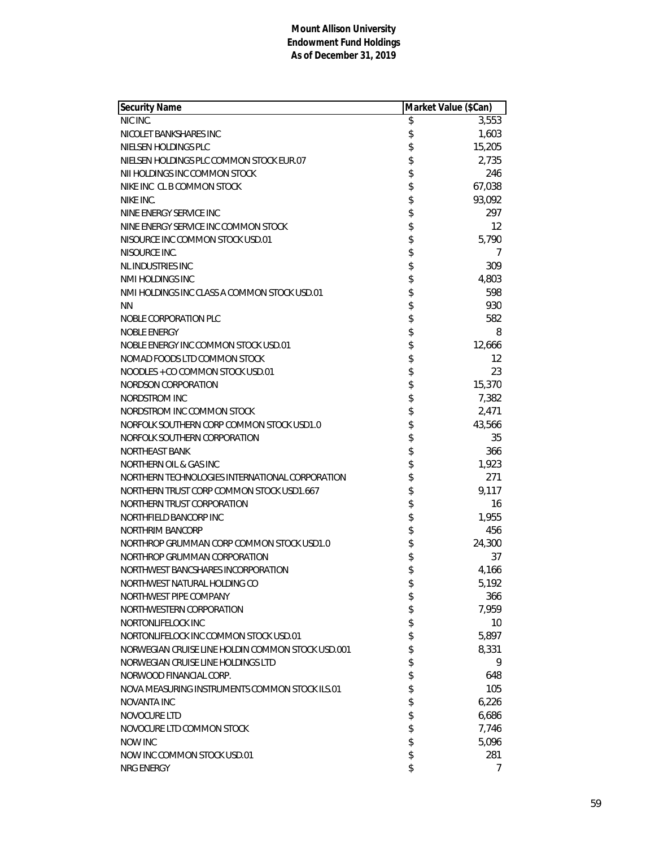| <b>Security Name</b>                              | Market Value (\$Can) |                 |
|---------------------------------------------------|----------------------|-----------------|
| NIC INC.                                          | \$                   | 3,553           |
| NICOLET BANKSHARES INC                            | \$                   | 1,603           |
| NIELSEN HOLDINGS PLC                              | \$                   | 15,205          |
| NIELSEN HOLDINGS PLC COMMON STOCK EUR.07          | \$                   | 2,735           |
| NII HOLDINGS INC COMMON STOCK                     | \$                   | 246             |
| NIKE INC CL B COMMON STOCK                        | \$                   | 67,038          |
| NIKE INC.                                         | \$                   | 93,092          |
| NINE ENERGY SERVICE INC                           | \$                   | 297             |
| NINE ENERGY SERVICE INC COMMON STOCK              | \$                   | 12              |
| NISOURCE INC COMMON STOCK USD.01                  | \$                   | 5,790           |
| NISOURCE INC.                                     | \$                   | 7               |
| <b>NLINDUSTRIES INC</b>                           | \$                   | 309             |
| NMI HOLDINGS INC                                  | \$                   | 4,803           |
| NMI HOLDINGS INC CLASS A COMMON STOCK USD.01      | \$                   | 598             |
| <b>NN</b>                                         | \$                   | 930             |
| NOBLE CORPORATION PLC                             | \$                   | 582             |
| <b>NOBLE ENERGY</b>                               | \$                   | 8               |
| NOBLE ENERGY INC COMMON STOCK USD.01              | \$                   | 12,666          |
| NOMAD FOODS LTD COMMON STOCK                      | \$                   | 12              |
| NOODLES + CO COMMON STOCK USD.01                  |                      | 23              |
| NORDSON CORPORATION                               | \$                   | 15,370          |
| NORDSTROM INC                                     | \$                   | 7,382           |
| NORDSTROM INC COMMON STOCK                        | \$                   | 2,471           |
| NORFOLK SOUTHERN CORP COMMON STOCK USD1.0         | \$                   | 43,566          |
| NORFOLK SOUTHERN CORPORATION                      | \$                   | 35              |
| NORTHEAST BANK                                    | \$                   | 366             |
| NORTHERN OIL & GAS INC                            | \$                   | 1,923           |
| NORTHERN TECHNOLOGIES INTERNATIONAL CORPORATION   | \$                   | 271             |
| NORTHERN TRUST CORP COMMON STOCK USD1.667         | \$                   | 9,117           |
| NORTHERN TRUST CORPORATION                        | \$                   | 16              |
| NORTHFIELD BANCORP INC                            | \$                   | 1,955           |
| NORTHRIM BANCORP                                  | \$                   | 456             |
| NORTHROP GRUMMAN CORP COMMON STOCK USD1.0         | \$                   | 24,300          |
| NORTHROP GRUMMAN CORPORATION                      | \$                   | 37              |
| NORTHWEST BANCSHARES INCORPORATION                | \$                   | 4,166           |
| NORTHWEST NATURAL HOLDING CO                      | \$                   | 5,192           |
| NORTHWEST PIPE COMPANY                            | \$                   | 366             |
| NORTHWESTERN CORPORATION                          | \$                   | 7,959           |
| NORTONLIFELOCK INC                                | \$                   | 10 <sup>°</sup> |
| NORTONLIFELOCK INC COMMON STOCK USD.01            | \$                   | 5,897           |
| NORWEGIAN CRUISE LINE HOLDIN COMMON STOCK USD.001 | \$                   | 8,331           |
| NORWEGIAN CRUISE LINE HOLDINGS LTD                | \$                   | 9               |
| NORWOOD FINANCIAL CORP.                           | \$                   | 648             |
| NOVA MEASURING INSTRUMENTS COMMON STOCK ILS.01    | \$                   | 105             |
| <b>NOVANTA INC</b>                                | \$                   | 6,226           |
| NOVOCURE LTD                                      | \$                   | 6,686           |
| NOVOCURE LTD COMMON STOCK                         | \$                   | 7,746           |
| <b>NOW INC</b>                                    | \$                   | 5,096           |
| NOW INC COMMON STOCK USD.01                       | \$                   | 281             |
| NRG ENERGY                                        | \$                   | 7               |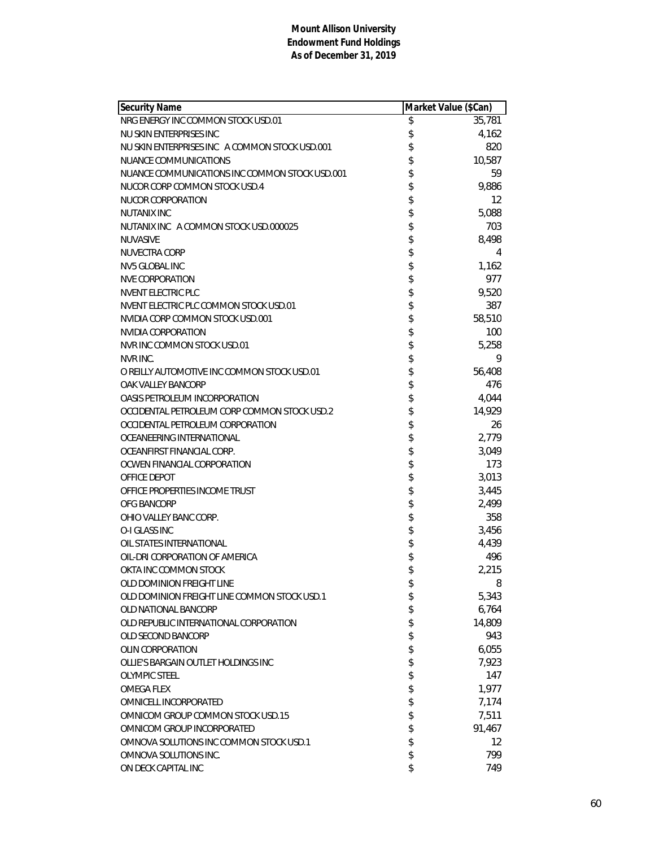| \$<br>NRG ENERGY INC COMMON STOCK USD.01<br>35,781<br>\$<br>4,162<br>NU SKIN ENTERPRISES INC<br>\$<br>820<br>NU SKIN ENTERPRISES INC A COMMON STOCK USD.001<br>\$<br>10,587<br>NUANCE COMMUNICATIONS<br>\$<br>59<br>NUANCE COMMUNICATIONS INC COMMON STOCK USD.001<br>\$<br>9,886<br>NUCOR CORP COMMON STOCK USD.4<br>12<br>NUCOR CORPORATION<br>\$<br>5,088<br><b>NUTANIX INC</b><br>\$<br>703<br>NUTANIX INC A COMMON STOCK USD 000025<br>\$<br>8,498<br>NUVASIVE<br>\$<br>NUVECTRA CORP<br>4<br>\$<br>1,162<br><b>NV5 GLOBAL INC</b><br>\$<br>977<br>NVE CORPORATION<br>\$\$<br><b>NVENT ELECTRIC PLC</b><br>9,520<br>NVENT ELECTRIC PLC COMMON STOCK USD.01<br>387<br>NVIDIA CORP COMMON STOCK USD.001<br>58,510<br>\$<br>NVIDIA CORPORATION<br>100<br>\$<br>NVR INC COMMON STOCK USD.01<br>5,258<br>\$<br>9<br>NVR INC.<br>\$\$\$\$\$\$<br>O REILLY AUTOMOTIVE INC COMMON STOCK USD.01<br>56,408<br>476<br>OAK VALLEY BANCORP<br>4,044<br>OASIS PETROLEUM INCORPORATION<br>14,929<br>OCCIDENTAL PETROLEUM CORP COMMON STOCK USD.2<br>26<br>OCCIDENTAL PETROLEUM CORPORATION<br>2,779<br>OCEANEERING INTERNATIONAL<br>\$<br>3,049<br>OCEANFIRST FINANCIAL CORP.<br>\$<br>173<br>OCWEN FINANCIAL CORPORATION<br>\$<br>3,013<br>OFFICE DEPOT<br>\$<br>3,445<br>OFFICE PROPERTIES INCOME TRUST<br>\$\$\$\$<br>2,499<br>OFG BANCORP<br>358<br>OHIO VALLEY BANC CORP.<br>O-I GLASS INC<br>3,456<br>4,439<br>OIL STATES INTERNATIONAL<br>\$<br>496<br>OIL-DRI CORPORATION OF AMERICA<br>\$<br>2,215<br>OKTA INC COMMON STOCK<br>OLD DOMINION FREIGHT LINE<br>\$<br>8<br>\$<br>OLD DOMINION FREIGHT LINE COMMON STOCK USD.1<br>5,343<br>\$<br>6,764<br>OLD NATIONAL BANCORP<br>\$<br>14,809<br>OLD REPUBLIC INTERNATIONAL CORPORATION<br>\$<br>943<br>OLD SECOND BANCORP<br>\$<br>6,055<br><b>OLIN CORPORATION</b><br>\$<br>7,923<br>OLLIE'S BARGAIN OUTLET HOLDINGS INC<br>\$<br>147<br><b>OLYMPIC STEEL</b><br>\$<br><b>OMEGA FLEX</b><br>1,977<br>\$<br>OMNICELL INCORPORATED<br>7,174<br>\$<br>7,511<br>OMNICOM GROUP COMMON STOCK USD.15<br>\$<br>OMNICOM GROUP INCORPORATED<br>91,467<br>\$<br>OMNOVA SOLUTIONS INC COMMON STOCK USD.1<br>12<br>\$<br>799<br>OMNOVA SOLUTIONS INC.<br>\$<br>ON DECK CAPITAL INC<br>749 | Security Name | Market Value (\$Can) |  |
|---------------------------------------------------------------------------------------------------------------------------------------------------------------------------------------------------------------------------------------------------------------------------------------------------------------------------------------------------------------------------------------------------------------------------------------------------------------------------------------------------------------------------------------------------------------------------------------------------------------------------------------------------------------------------------------------------------------------------------------------------------------------------------------------------------------------------------------------------------------------------------------------------------------------------------------------------------------------------------------------------------------------------------------------------------------------------------------------------------------------------------------------------------------------------------------------------------------------------------------------------------------------------------------------------------------------------------------------------------------------------------------------------------------------------------------------------------------------------------------------------------------------------------------------------------------------------------------------------------------------------------------------------------------------------------------------------------------------------------------------------------------------------------------------------------------------------------------------------------------------------------------------------------------------------------------------------------------------------------------------------------------------------------------------------------------------------------------------------------------------------------------------------------------------------------------------------------------------------|---------------|----------------------|--|
|                                                                                                                                                                                                                                                                                                                                                                                                                                                                                                                                                                                                                                                                                                                                                                                                                                                                                                                                                                                                                                                                                                                                                                                                                                                                                                                                                                                                                                                                                                                                                                                                                                                                                                                                                                                                                                                                                                                                                                                                                                                                                                                                                                                                                           |               |                      |  |
|                                                                                                                                                                                                                                                                                                                                                                                                                                                                                                                                                                                                                                                                                                                                                                                                                                                                                                                                                                                                                                                                                                                                                                                                                                                                                                                                                                                                                                                                                                                                                                                                                                                                                                                                                                                                                                                                                                                                                                                                                                                                                                                                                                                                                           |               |                      |  |
|                                                                                                                                                                                                                                                                                                                                                                                                                                                                                                                                                                                                                                                                                                                                                                                                                                                                                                                                                                                                                                                                                                                                                                                                                                                                                                                                                                                                                                                                                                                                                                                                                                                                                                                                                                                                                                                                                                                                                                                                                                                                                                                                                                                                                           |               |                      |  |
|                                                                                                                                                                                                                                                                                                                                                                                                                                                                                                                                                                                                                                                                                                                                                                                                                                                                                                                                                                                                                                                                                                                                                                                                                                                                                                                                                                                                                                                                                                                                                                                                                                                                                                                                                                                                                                                                                                                                                                                                                                                                                                                                                                                                                           |               |                      |  |
|                                                                                                                                                                                                                                                                                                                                                                                                                                                                                                                                                                                                                                                                                                                                                                                                                                                                                                                                                                                                                                                                                                                                                                                                                                                                                                                                                                                                                                                                                                                                                                                                                                                                                                                                                                                                                                                                                                                                                                                                                                                                                                                                                                                                                           |               |                      |  |
|                                                                                                                                                                                                                                                                                                                                                                                                                                                                                                                                                                                                                                                                                                                                                                                                                                                                                                                                                                                                                                                                                                                                                                                                                                                                                                                                                                                                                                                                                                                                                                                                                                                                                                                                                                                                                                                                                                                                                                                                                                                                                                                                                                                                                           |               |                      |  |
|                                                                                                                                                                                                                                                                                                                                                                                                                                                                                                                                                                                                                                                                                                                                                                                                                                                                                                                                                                                                                                                                                                                                                                                                                                                                                                                                                                                                                                                                                                                                                                                                                                                                                                                                                                                                                                                                                                                                                                                                                                                                                                                                                                                                                           |               |                      |  |
|                                                                                                                                                                                                                                                                                                                                                                                                                                                                                                                                                                                                                                                                                                                                                                                                                                                                                                                                                                                                                                                                                                                                                                                                                                                                                                                                                                                                                                                                                                                                                                                                                                                                                                                                                                                                                                                                                                                                                                                                                                                                                                                                                                                                                           |               |                      |  |
|                                                                                                                                                                                                                                                                                                                                                                                                                                                                                                                                                                                                                                                                                                                                                                                                                                                                                                                                                                                                                                                                                                                                                                                                                                                                                                                                                                                                                                                                                                                                                                                                                                                                                                                                                                                                                                                                                                                                                                                                                                                                                                                                                                                                                           |               |                      |  |
|                                                                                                                                                                                                                                                                                                                                                                                                                                                                                                                                                                                                                                                                                                                                                                                                                                                                                                                                                                                                                                                                                                                                                                                                                                                                                                                                                                                                                                                                                                                                                                                                                                                                                                                                                                                                                                                                                                                                                                                                                                                                                                                                                                                                                           |               |                      |  |
|                                                                                                                                                                                                                                                                                                                                                                                                                                                                                                                                                                                                                                                                                                                                                                                                                                                                                                                                                                                                                                                                                                                                                                                                                                                                                                                                                                                                                                                                                                                                                                                                                                                                                                                                                                                                                                                                                                                                                                                                                                                                                                                                                                                                                           |               |                      |  |
|                                                                                                                                                                                                                                                                                                                                                                                                                                                                                                                                                                                                                                                                                                                                                                                                                                                                                                                                                                                                                                                                                                                                                                                                                                                                                                                                                                                                                                                                                                                                                                                                                                                                                                                                                                                                                                                                                                                                                                                                                                                                                                                                                                                                                           |               |                      |  |
|                                                                                                                                                                                                                                                                                                                                                                                                                                                                                                                                                                                                                                                                                                                                                                                                                                                                                                                                                                                                                                                                                                                                                                                                                                                                                                                                                                                                                                                                                                                                                                                                                                                                                                                                                                                                                                                                                                                                                                                                                                                                                                                                                                                                                           |               |                      |  |
|                                                                                                                                                                                                                                                                                                                                                                                                                                                                                                                                                                                                                                                                                                                                                                                                                                                                                                                                                                                                                                                                                                                                                                                                                                                                                                                                                                                                                                                                                                                                                                                                                                                                                                                                                                                                                                                                                                                                                                                                                                                                                                                                                                                                                           |               |                      |  |
|                                                                                                                                                                                                                                                                                                                                                                                                                                                                                                                                                                                                                                                                                                                                                                                                                                                                                                                                                                                                                                                                                                                                                                                                                                                                                                                                                                                                                                                                                                                                                                                                                                                                                                                                                                                                                                                                                                                                                                                                                                                                                                                                                                                                                           |               |                      |  |
|                                                                                                                                                                                                                                                                                                                                                                                                                                                                                                                                                                                                                                                                                                                                                                                                                                                                                                                                                                                                                                                                                                                                                                                                                                                                                                                                                                                                                                                                                                                                                                                                                                                                                                                                                                                                                                                                                                                                                                                                                                                                                                                                                                                                                           |               |                      |  |
|                                                                                                                                                                                                                                                                                                                                                                                                                                                                                                                                                                                                                                                                                                                                                                                                                                                                                                                                                                                                                                                                                                                                                                                                                                                                                                                                                                                                                                                                                                                                                                                                                                                                                                                                                                                                                                                                                                                                                                                                                                                                                                                                                                                                                           |               |                      |  |
|                                                                                                                                                                                                                                                                                                                                                                                                                                                                                                                                                                                                                                                                                                                                                                                                                                                                                                                                                                                                                                                                                                                                                                                                                                                                                                                                                                                                                                                                                                                                                                                                                                                                                                                                                                                                                                                                                                                                                                                                                                                                                                                                                                                                                           |               |                      |  |
|                                                                                                                                                                                                                                                                                                                                                                                                                                                                                                                                                                                                                                                                                                                                                                                                                                                                                                                                                                                                                                                                                                                                                                                                                                                                                                                                                                                                                                                                                                                                                                                                                                                                                                                                                                                                                                                                                                                                                                                                                                                                                                                                                                                                                           |               |                      |  |
|                                                                                                                                                                                                                                                                                                                                                                                                                                                                                                                                                                                                                                                                                                                                                                                                                                                                                                                                                                                                                                                                                                                                                                                                                                                                                                                                                                                                                                                                                                                                                                                                                                                                                                                                                                                                                                                                                                                                                                                                                                                                                                                                                                                                                           |               |                      |  |
|                                                                                                                                                                                                                                                                                                                                                                                                                                                                                                                                                                                                                                                                                                                                                                                                                                                                                                                                                                                                                                                                                                                                                                                                                                                                                                                                                                                                                                                                                                                                                                                                                                                                                                                                                                                                                                                                                                                                                                                                                                                                                                                                                                                                                           |               |                      |  |
|                                                                                                                                                                                                                                                                                                                                                                                                                                                                                                                                                                                                                                                                                                                                                                                                                                                                                                                                                                                                                                                                                                                                                                                                                                                                                                                                                                                                                                                                                                                                                                                                                                                                                                                                                                                                                                                                                                                                                                                                                                                                                                                                                                                                                           |               |                      |  |
|                                                                                                                                                                                                                                                                                                                                                                                                                                                                                                                                                                                                                                                                                                                                                                                                                                                                                                                                                                                                                                                                                                                                                                                                                                                                                                                                                                                                                                                                                                                                                                                                                                                                                                                                                                                                                                                                                                                                                                                                                                                                                                                                                                                                                           |               |                      |  |
|                                                                                                                                                                                                                                                                                                                                                                                                                                                                                                                                                                                                                                                                                                                                                                                                                                                                                                                                                                                                                                                                                                                                                                                                                                                                                                                                                                                                                                                                                                                                                                                                                                                                                                                                                                                                                                                                                                                                                                                                                                                                                                                                                                                                                           |               |                      |  |
|                                                                                                                                                                                                                                                                                                                                                                                                                                                                                                                                                                                                                                                                                                                                                                                                                                                                                                                                                                                                                                                                                                                                                                                                                                                                                                                                                                                                                                                                                                                                                                                                                                                                                                                                                                                                                                                                                                                                                                                                                                                                                                                                                                                                                           |               |                      |  |
|                                                                                                                                                                                                                                                                                                                                                                                                                                                                                                                                                                                                                                                                                                                                                                                                                                                                                                                                                                                                                                                                                                                                                                                                                                                                                                                                                                                                                                                                                                                                                                                                                                                                                                                                                                                                                                                                                                                                                                                                                                                                                                                                                                                                                           |               |                      |  |
|                                                                                                                                                                                                                                                                                                                                                                                                                                                                                                                                                                                                                                                                                                                                                                                                                                                                                                                                                                                                                                                                                                                                                                                                                                                                                                                                                                                                                                                                                                                                                                                                                                                                                                                                                                                                                                                                                                                                                                                                                                                                                                                                                                                                                           |               |                      |  |
|                                                                                                                                                                                                                                                                                                                                                                                                                                                                                                                                                                                                                                                                                                                                                                                                                                                                                                                                                                                                                                                                                                                                                                                                                                                                                                                                                                                                                                                                                                                                                                                                                                                                                                                                                                                                                                                                                                                                                                                                                                                                                                                                                                                                                           |               |                      |  |
|                                                                                                                                                                                                                                                                                                                                                                                                                                                                                                                                                                                                                                                                                                                                                                                                                                                                                                                                                                                                                                                                                                                                                                                                                                                                                                                                                                                                                                                                                                                                                                                                                                                                                                                                                                                                                                                                                                                                                                                                                                                                                                                                                                                                                           |               |                      |  |
|                                                                                                                                                                                                                                                                                                                                                                                                                                                                                                                                                                                                                                                                                                                                                                                                                                                                                                                                                                                                                                                                                                                                                                                                                                                                                                                                                                                                                                                                                                                                                                                                                                                                                                                                                                                                                                                                                                                                                                                                                                                                                                                                                                                                                           |               |                      |  |
|                                                                                                                                                                                                                                                                                                                                                                                                                                                                                                                                                                                                                                                                                                                                                                                                                                                                                                                                                                                                                                                                                                                                                                                                                                                                                                                                                                                                                                                                                                                                                                                                                                                                                                                                                                                                                                                                                                                                                                                                                                                                                                                                                                                                                           |               |                      |  |
|                                                                                                                                                                                                                                                                                                                                                                                                                                                                                                                                                                                                                                                                                                                                                                                                                                                                                                                                                                                                                                                                                                                                                                                                                                                                                                                                                                                                                                                                                                                                                                                                                                                                                                                                                                                                                                                                                                                                                                                                                                                                                                                                                                                                                           |               |                      |  |
|                                                                                                                                                                                                                                                                                                                                                                                                                                                                                                                                                                                                                                                                                                                                                                                                                                                                                                                                                                                                                                                                                                                                                                                                                                                                                                                                                                                                                                                                                                                                                                                                                                                                                                                                                                                                                                                                                                                                                                                                                                                                                                                                                                                                                           |               |                      |  |
|                                                                                                                                                                                                                                                                                                                                                                                                                                                                                                                                                                                                                                                                                                                                                                                                                                                                                                                                                                                                                                                                                                                                                                                                                                                                                                                                                                                                                                                                                                                                                                                                                                                                                                                                                                                                                                                                                                                                                                                                                                                                                                                                                                                                                           |               |                      |  |
|                                                                                                                                                                                                                                                                                                                                                                                                                                                                                                                                                                                                                                                                                                                                                                                                                                                                                                                                                                                                                                                                                                                                                                                                                                                                                                                                                                                                                                                                                                                                                                                                                                                                                                                                                                                                                                                                                                                                                                                                                                                                                                                                                                                                                           |               |                      |  |
|                                                                                                                                                                                                                                                                                                                                                                                                                                                                                                                                                                                                                                                                                                                                                                                                                                                                                                                                                                                                                                                                                                                                                                                                                                                                                                                                                                                                                                                                                                                                                                                                                                                                                                                                                                                                                                                                                                                                                                                                                                                                                                                                                                                                                           |               |                      |  |
|                                                                                                                                                                                                                                                                                                                                                                                                                                                                                                                                                                                                                                                                                                                                                                                                                                                                                                                                                                                                                                                                                                                                                                                                                                                                                                                                                                                                                                                                                                                                                                                                                                                                                                                                                                                                                                                                                                                                                                                                                                                                                                                                                                                                                           |               |                      |  |
|                                                                                                                                                                                                                                                                                                                                                                                                                                                                                                                                                                                                                                                                                                                                                                                                                                                                                                                                                                                                                                                                                                                                                                                                                                                                                                                                                                                                                                                                                                                                                                                                                                                                                                                                                                                                                                                                                                                                                                                                                                                                                                                                                                                                                           |               |                      |  |
|                                                                                                                                                                                                                                                                                                                                                                                                                                                                                                                                                                                                                                                                                                                                                                                                                                                                                                                                                                                                                                                                                                                                                                                                                                                                                                                                                                                                                                                                                                                                                                                                                                                                                                                                                                                                                                                                                                                                                                                                                                                                                                                                                                                                                           |               |                      |  |
|                                                                                                                                                                                                                                                                                                                                                                                                                                                                                                                                                                                                                                                                                                                                                                                                                                                                                                                                                                                                                                                                                                                                                                                                                                                                                                                                                                                                                                                                                                                                                                                                                                                                                                                                                                                                                                                                                                                                                                                                                                                                                                                                                                                                                           |               |                      |  |
|                                                                                                                                                                                                                                                                                                                                                                                                                                                                                                                                                                                                                                                                                                                                                                                                                                                                                                                                                                                                                                                                                                                                                                                                                                                                                                                                                                                                                                                                                                                                                                                                                                                                                                                                                                                                                                                                                                                                                                                                                                                                                                                                                                                                                           |               |                      |  |
|                                                                                                                                                                                                                                                                                                                                                                                                                                                                                                                                                                                                                                                                                                                                                                                                                                                                                                                                                                                                                                                                                                                                                                                                                                                                                                                                                                                                                                                                                                                                                                                                                                                                                                                                                                                                                                                                                                                                                                                                                                                                                                                                                                                                                           |               |                      |  |
|                                                                                                                                                                                                                                                                                                                                                                                                                                                                                                                                                                                                                                                                                                                                                                                                                                                                                                                                                                                                                                                                                                                                                                                                                                                                                                                                                                                                                                                                                                                                                                                                                                                                                                                                                                                                                                                                                                                                                                                                                                                                                                                                                                                                                           |               |                      |  |
|                                                                                                                                                                                                                                                                                                                                                                                                                                                                                                                                                                                                                                                                                                                                                                                                                                                                                                                                                                                                                                                                                                                                                                                                                                                                                                                                                                                                                                                                                                                                                                                                                                                                                                                                                                                                                                                                                                                                                                                                                                                                                                                                                                                                                           |               |                      |  |
|                                                                                                                                                                                                                                                                                                                                                                                                                                                                                                                                                                                                                                                                                                                                                                                                                                                                                                                                                                                                                                                                                                                                                                                                                                                                                                                                                                                                                                                                                                                                                                                                                                                                                                                                                                                                                                                                                                                                                                                                                                                                                                                                                                                                                           |               |                      |  |
|                                                                                                                                                                                                                                                                                                                                                                                                                                                                                                                                                                                                                                                                                                                                                                                                                                                                                                                                                                                                                                                                                                                                                                                                                                                                                                                                                                                                                                                                                                                                                                                                                                                                                                                                                                                                                                                                                                                                                                                                                                                                                                                                                                                                                           |               |                      |  |
|                                                                                                                                                                                                                                                                                                                                                                                                                                                                                                                                                                                                                                                                                                                                                                                                                                                                                                                                                                                                                                                                                                                                                                                                                                                                                                                                                                                                                                                                                                                                                                                                                                                                                                                                                                                                                                                                                                                                                                                                                                                                                                                                                                                                                           |               |                      |  |
|                                                                                                                                                                                                                                                                                                                                                                                                                                                                                                                                                                                                                                                                                                                                                                                                                                                                                                                                                                                                                                                                                                                                                                                                                                                                                                                                                                                                                                                                                                                                                                                                                                                                                                                                                                                                                                                                                                                                                                                                                                                                                                                                                                                                                           |               |                      |  |
|                                                                                                                                                                                                                                                                                                                                                                                                                                                                                                                                                                                                                                                                                                                                                                                                                                                                                                                                                                                                                                                                                                                                                                                                                                                                                                                                                                                                                                                                                                                                                                                                                                                                                                                                                                                                                                                                                                                                                                                                                                                                                                                                                                                                                           |               |                      |  |
|                                                                                                                                                                                                                                                                                                                                                                                                                                                                                                                                                                                                                                                                                                                                                                                                                                                                                                                                                                                                                                                                                                                                                                                                                                                                                                                                                                                                                                                                                                                                                                                                                                                                                                                                                                                                                                                                                                                                                                                                                                                                                                                                                                                                                           |               |                      |  |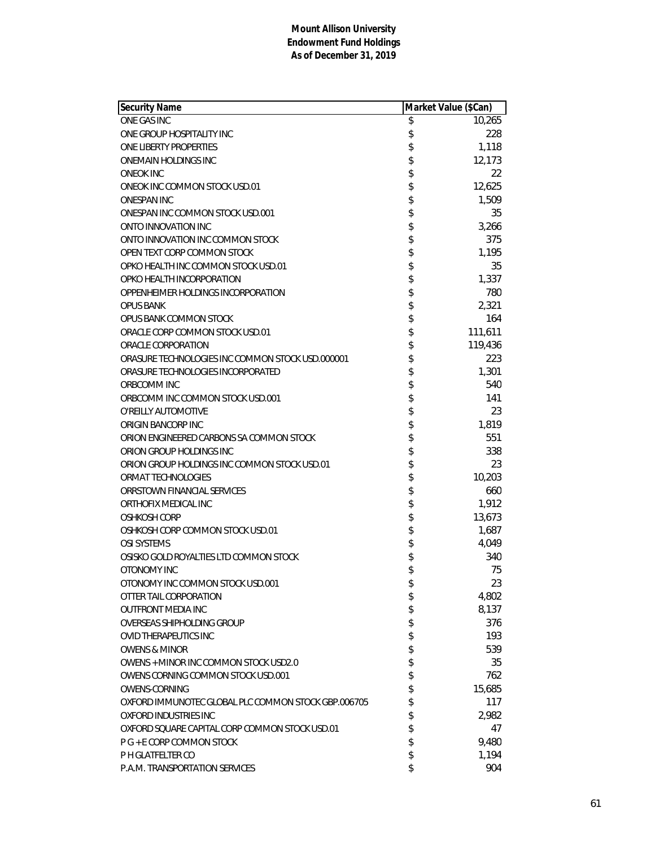| <b>Security Name</b>                                | Market Value (\$Can) |         |
|-----------------------------------------------------|----------------------|---------|
| ONE GAS INC                                         | \$                   | 10,265  |
| ONE GROUP HOSPITALITY INC                           | \$                   | 228     |
| ONE LIBERTY PROPERTIES                              | \$                   | 1,118   |
| <b>ONEMAIN HOLDINGS INC</b>                         | \$                   | 12,173  |
| <b>ONEOK INC</b>                                    | \$                   | 22      |
| ONEOK INC COMMON STOCK USD.01                       | \$                   | 12,625  |
| <b>ONESPAN INC</b>                                  | \$                   | 1,509   |
| ONESPAN INC COMMON STOCK USD.001                    | \$                   | 35      |
| ONTO INNOVATION INC                                 | \$                   | 3,266   |
| ONTO INNOVATION INC COMMON STOCK                    | \$                   | 375     |
| OPEN TEXT CORP COMMON STOCK                         | \$                   | 1,195   |
| OPKO HEALTH INC COMMON STOCK USD.01                 | \$                   | 35      |
| OPKO HEALTH INCORPORATION                           | \$                   | 1,337   |
| OPPENHEIMER HOLDINGS INCORPORATION                  | \$                   | 780     |
| <b>OPUS BANK</b>                                    | \$                   | 2,321   |
| OPUS BANK COMMON STOCK                              | \$                   | 164     |
| ORACLE CORP COMMON STOCK USD.01                     | \$                   | 111,611 |
| ORACLE CORPORATION                                  | \$                   | 119,436 |
| ORASURE TECHNOLOGIES INC COMMON STOCK USD.000001    | \$                   | 223     |
| ORASURE TECHNOLOGIES INCORPORATED                   | \$                   | 1,301   |
| ORBCOMM INC                                         | \$                   | 540     |
| ORBCOMM INC COMMON STOCK USD.001                    | \$                   | 141     |
| O'REILLY AUTOMOTIVE                                 | \$                   | 23      |
| ORIGIN BANCORP INC                                  | \$                   | 1,819   |
| ORION ENGINEERED CARBONS SA COMMON STOCK            | \$                   | 551     |
| ORION GROUP HOLDINGS INC                            | \$                   | 338     |
| ORION GROUP HOLDINGS INC COMMON STOCK USD.01        | \$                   | 23      |
| ORMAT TECHNOLOGIES                                  | \$                   | 10,203  |
| ORRSTOWN FINANCIAL SERVICES                         | \$                   | 660     |
| ORTHOFIX MEDICAL INC                                | \$                   | 1,912   |
| <b>OSHKOSH CORP</b>                                 | \$                   | 13,673  |
| OSHKOSH CORP COMMON STOCK USD.01                    | \$                   | 1,687   |
| <b>OSI SYSTEMS</b>                                  | \$                   | 4,049   |
| OSISKO GOLD ROYALTIES LTD COMMON STOCK              | \$                   | 340     |
| OTONOMY INC                                         | \$                   | 75      |
| OTONOMY INC COMMON STOCK USD.001                    | \$                   | 23      |
| OTTER TAIL CORPORATION                              | \$                   | 4,802   |
| <b>OUTFRONT MEDIA INC</b>                           | \$                   | 8,137   |
| OVERSEAS SHIPHOLDING GROUP                          | \$                   | 376     |
| OVID THERAPEUTICS INC                               | \$                   | 193     |
| <b>OWENS &amp; MINOR</b>                            | \$                   | 539     |
| OWENS + MINOR INC COMMON STOCK USD2.0               | \$                   | 35      |
| OWENS CORNING COMMON STOCK USD.001                  | \$                   | 762     |
| <b>OWENS-CORNING</b>                                | \$                   | 15,685  |
| OXFORD IMMUNOTEC GLOBAL PLC COMMON STOCK GBP.006705 | \$                   | 117     |
| OXFORD INDUSTRIES INC                               | \$                   | 2,982   |
| OXFORD SQUARE CAPITAL CORP COMMON STOCK USD.01      | \$                   | 47      |
| P G + E CORP COMMON STOCK                           | \$                   | 9,480   |
| P H GLATFELTER CO                                   | \$                   | 1,194   |
| P.A.M. TRANSPORTATION SERVICES                      | \$                   | 904     |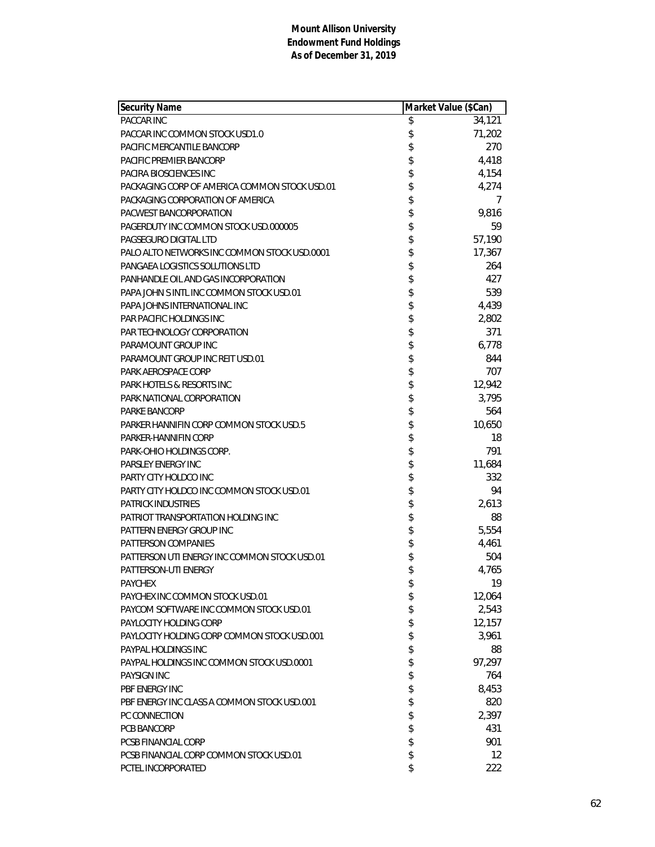| <b>Security Name</b>                          | Market Value (\$Can) |                   |
|-----------------------------------------------|----------------------|-------------------|
| PACCAR INC                                    | \$                   | 34,121            |
| PACCAR INC COMMON STOCK USD1.0                | \$                   | 71,202            |
| PACIFIC MERCANTILE BANCORP                    | \$                   | 270               |
| <b>PACIFIC PREMIER BANCORP</b>                | \$                   | 4,418             |
| PACIRA BIOSCIENCES INC                        | \$                   | 4,154             |
| PACKAGING CORP OF AMERICA COMMON STOCK USD.01 | \$                   | 4,274             |
| PACKAGING CORPORATION OF AMERICA              | \$                   | 7                 |
| PACWEST BANCORPORATION                        | \$                   | 9,816             |
| PAGERDUTY INC COMMON STOCK USD.000005         | \$                   | 59                |
| PAGSEGURO DIGITAL LTD                         | \$                   | 57,190            |
| PALO ALTO NETWORKS INC COMMON STOCK USD.0001  | \$                   | 17,367            |
| PANGAEA LOGISTICS SOLUTIONS LTD               | \$                   | 264               |
| PANHANDLE OIL AND GAS INCORPORATION           | \$                   | 427               |
| PAPA JOHN S INTL INC COMMON STOCK USD.01      | \$                   | 539               |
| PAPA JOHNS INTERNATIONAL INC                  | \$                   | 4,439             |
| PAR PACIFIC HOLDINGS INC                      | \$                   | 2,802             |
| PAR TECHNOLOGY CORPORATION                    | \$                   | 371               |
| PARAMOUNT GROUP INC                           | \$                   | 6,778             |
| PARAMOUNT GROUP INC REIT USD.01               | \$                   | 844               |
| PARK AEROSPACE CORP                           | \$                   | 707               |
| <b>PARK HOTELS &amp; RESORTS INC</b>          | \$                   | 12,942            |
| PARK NATIONAL CORPORATION                     | \$                   | 3,795             |
| <b>PARKE BANCORP</b>                          | \$                   | 564               |
| PARKER HANNIFIN CORP COMMON STOCK USD.5       | \$                   | 10,650            |
| PARKER-HANNIFIN CORP                          | \$                   | 18                |
| PARK-OHIO HOLDINGS CORP.                      | \$                   | 791               |
| <b>PARSLEY ENERGY INC</b>                     | \$                   | 11,684            |
| PARTY CITY HOLDCO INC                         | \$                   | 332               |
| PARTY CITY HOLDCO INC COMMON STOCK USD.01     | \$                   | 94                |
| <b>PATRICK INDUSTRIES</b>                     | \$                   | 2,613             |
| PATRIOT TRANSPORTATION HOLDING INC            | \$                   | 88                |
| PATTERN ENERGY GROUP INC                      | \$                   | 5,554             |
| PATTERSON COMPANIES                           | \$                   | 4,461             |
| PATTERSON UTI ENERGY INC COMMON STOCK USD.01  | \$                   | 504               |
| PATTERSON-UTI ENERGY                          | \$                   | 4,765             |
| <b>PAYCHEX</b>                                | \$                   | 19                |
| PAYCHEX INC COMMON STOCK USD.01               | \$                   | 12,064            |
| PAYCOM SOFTWARE INC COMMON STOCK USD.01       | \$                   | 2,543             |
| PAYLOCITY HOLDING CORP                        | \$                   | 12,157            |
| PAYLOCITY HOLDING CORP COMMON STOCK USD.001   | \$                   | 3,961             |
| PAYPAL HOLDINGS INC                           | \$                   | 88                |
| PAYPAL HOLDINGS INC COMMON STOCK USD.0001     | \$                   | 97,297            |
| <b>PAYSIGN INC</b>                            | \$                   | 764               |
| PBF ENERGY INC                                | \$                   | 8,453             |
| PBF ENERGY INC CLASS A COMMON STOCK USD.001   | \$                   | 820               |
| PC CONNECTION                                 | \$                   | 2,397             |
| PCB BANCORP                                   | \$                   | 431               |
| <b>PCSB FINANCIAL CORP</b>                    | \$                   | 901               |
| PCSB FINANCIAL CORP COMMON STOCK USD.01       | \$                   | $12 \overline{ }$ |
| PCTEL INCORPORATED                            | \$                   | 222               |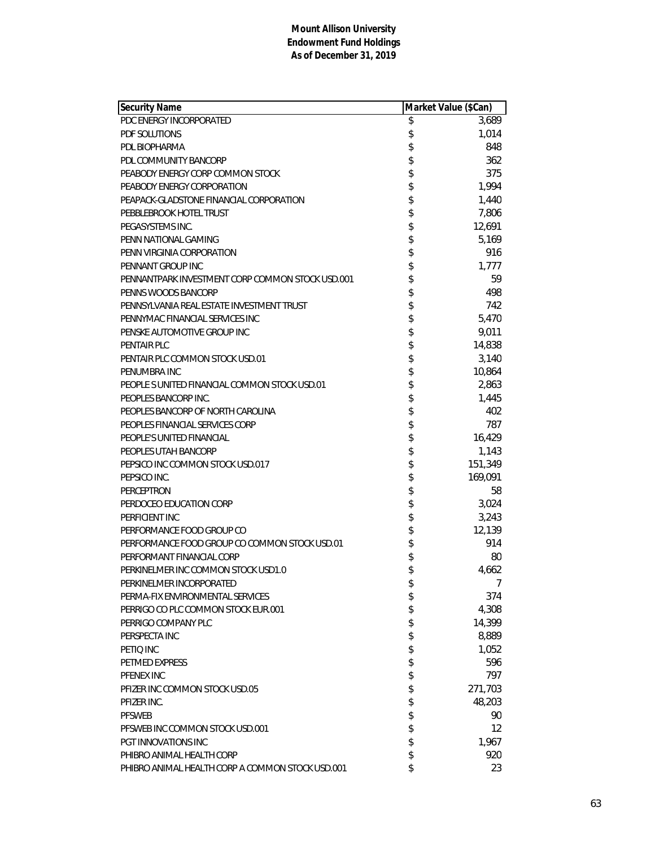| PDC ENERGY INCORPORATED<br>\$<br>3,689<br>\$<br>1,014<br>PDF SOLUTIONS<br>\$<br>PDL BIOPHARMA<br>848<br>\$\$\$\$\$\$<br>362<br>PDL COMMUNITY BANCORP<br>375<br>PEABODY ENERGY CORP COMMON STOCK<br>1,994<br>PEABODY ENERGY CORPORATION<br>1,440<br>PEAPACK-GLADSTONE FINANCIAL CORPORATION<br>7,806<br>PEBBLEBROOK HOTEL TRUST<br>12,691<br>PEGASYSTEMS INC.<br>\$<br>5,169<br>PENN NATIONAL GAMING<br>\$<br>916<br>PENN VIRGINIA CORPORATION<br>\$<br>PENNANT GROUP INC<br>1,777<br>\$\$\$\$\$<br>59<br>PENNANTPARK INVESTMENT CORP COMMON STOCK USD.001<br>498<br>PENNS WOODS BANCORP<br>PENNSYLVANIA REAL ESTATE INVESTMENT TRUST<br>742<br>5,470<br>PENNYMAC FINANCIAL SERVICES INC<br>9,011<br>PENSKE AUTOMOTIVE GROUP INC<br>\$<br>14,838<br>PENTAIR PLC<br>3,140<br>PENTAIR PLC COMMON STOCK USD.01<br>\$\$\$\$\$\$<br>10,864<br>PENUMBRA INC<br>2,863<br>PEOPLE SUNITED FINANCIAL COMMON STOCK USD.01<br>1,445<br>PEOPLES BANCORP INC.<br>PEOPLES BANCORP OF NORTH CAROLINA<br>402<br>787<br>PEOPLES FINANCIAL SERVICES CORP<br>16,429<br>PEOPLE'S UNITED FINANCIAL<br>\$<br>1,143<br>PEOPLES UTAH BANCORP<br>\$<br>151,349<br>PEPSICO INC COMMON STOCK USD.017<br>\$<br>169,091<br>PEPSICO INC.<br>\$\$\$\$\$\$<br>58<br>PERCEPTRON<br>3,024<br>PERDOCEO EDUCATION CORP<br>PERFICIENT INC<br>3,243<br>12,139<br>PERFORMANCE FOOD GROUP CO<br>PERFORMANCE FOOD GROUP CO COMMON STOCK USD.01<br>914<br>PERFORMANT FINANCIAL CORP<br>80<br>\$<br>PERKINELMER INC COMMON STOCK USD1.0<br>4.662<br>PERKINELMER INCORPORATED<br>\$<br>7<br>\$<br>PERMA-FIX ENVIRONMENTAL SERVICES<br>374<br>\$<br>4,308<br>PERRIGO CO PLC COMMON STOCK EUR.001<br>\$<br>14,399<br>PERRIGO COMPANY PLC<br>\$<br>8,889<br>PERSPECTA INC<br>\$<br>1,052<br>PETIO INC<br>\$<br>596<br>PETMED EXPRESS<br>\$<br>797<br>PFENEX INC<br>\$<br>271,703<br>PFIZER INC COMMON STOCK USD.05<br>\$<br>48,203<br>PFIZER INC.<br>\$<br><b>PFSWEB</b><br>90<br>\$<br>$12 \overline{ }$<br>PFSWEB INC COMMON STOCK USD.001<br>PGT INNOVATIONS INC<br>1,967 | Security Name             | Market Value (\$Can) |     |
|-----------------------------------------------------------------------------------------------------------------------------------------------------------------------------------------------------------------------------------------------------------------------------------------------------------------------------------------------------------------------------------------------------------------------------------------------------------------------------------------------------------------------------------------------------------------------------------------------------------------------------------------------------------------------------------------------------------------------------------------------------------------------------------------------------------------------------------------------------------------------------------------------------------------------------------------------------------------------------------------------------------------------------------------------------------------------------------------------------------------------------------------------------------------------------------------------------------------------------------------------------------------------------------------------------------------------------------------------------------------------------------------------------------------------------------------------------------------------------------------------------------------------------------------------------------------------------------------------------------------------------------------------------------------------------------------------------------------------------------------------------------------------------------------------------------------------------------------------------------------------------------------------------------------------------------------------------------------------------------------------------------------------------|---------------------------|----------------------|-----|
|                                                                                                                                                                                                                                                                                                                                                                                                                                                                                                                                                                                                                                                                                                                                                                                                                                                                                                                                                                                                                                                                                                                                                                                                                                                                                                                                                                                                                                                                                                                                                                                                                                                                                                                                                                                                                                                                                                                                                                                                                             |                           |                      |     |
|                                                                                                                                                                                                                                                                                                                                                                                                                                                                                                                                                                                                                                                                                                                                                                                                                                                                                                                                                                                                                                                                                                                                                                                                                                                                                                                                                                                                                                                                                                                                                                                                                                                                                                                                                                                                                                                                                                                                                                                                                             |                           |                      |     |
|                                                                                                                                                                                                                                                                                                                                                                                                                                                                                                                                                                                                                                                                                                                                                                                                                                                                                                                                                                                                                                                                                                                                                                                                                                                                                                                                                                                                                                                                                                                                                                                                                                                                                                                                                                                                                                                                                                                                                                                                                             |                           |                      |     |
|                                                                                                                                                                                                                                                                                                                                                                                                                                                                                                                                                                                                                                                                                                                                                                                                                                                                                                                                                                                                                                                                                                                                                                                                                                                                                                                                                                                                                                                                                                                                                                                                                                                                                                                                                                                                                                                                                                                                                                                                                             |                           |                      |     |
|                                                                                                                                                                                                                                                                                                                                                                                                                                                                                                                                                                                                                                                                                                                                                                                                                                                                                                                                                                                                                                                                                                                                                                                                                                                                                                                                                                                                                                                                                                                                                                                                                                                                                                                                                                                                                                                                                                                                                                                                                             |                           |                      |     |
|                                                                                                                                                                                                                                                                                                                                                                                                                                                                                                                                                                                                                                                                                                                                                                                                                                                                                                                                                                                                                                                                                                                                                                                                                                                                                                                                                                                                                                                                                                                                                                                                                                                                                                                                                                                                                                                                                                                                                                                                                             |                           |                      |     |
|                                                                                                                                                                                                                                                                                                                                                                                                                                                                                                                                                                                                                                                                                                                                                                                                                                                                                                                                                                                                                                                                                                                                                                                                                                                                                                                                                                                                                                                                                                                                                                                                                                                                                                                                                                                                                                                                                                                                                                                                                             |                           |                      |     |
|                                                                                                                                                                                                                                                                                                                                                                                                                                                                                                                                                                                                                                                                                                                                                                                                                                                                                                                                                                                                                                                                                                                                                                                                                                                                                                                                                                                                                                                                                                                                                                                                                                                                                                                                                                                                                                                                                                                                                                                                                             |                           |                      |     |
|                                                                                                                                                                                                                                                                                                                                                                                                                                                                                                                                                                                                                                                                                                                                                                                                                                                                                                                                                                                                                                                                                                                                                                                                                                                                                                                                                                                                                                                                                                                                                                                                                                                                                                                                                                                                                                                                                                                                                                                                                             |                           |                      |     |
|                                                                                                                                                                                                                                                                                                                                                                                                                                                                                                                                                                                                                                                                                                                                                                                                                                                                                                                                                                                                                                                                                                                                                                                                                                                                                                                                                                                                                                                                                                                                                                                                                                                                                                                                                                                                                                                                                                                                                                                                                             |                           |                      |     |
|                                                                                                                                                                                                                                                                                                                                                                                                                                                                                                                                                                                                                                                                                                                                                                                                                                                                                                                                                                                                                                                                                                                                                                                                                                                                                                                                                                                                                                                                                                                                                                                                                                                                                                                                                                                                                                                                                                                                                                                                                             |                           |                      |     |
|                                                                                                                                                                                                                                                                                                                                                                                                                                                                                                                                                                                                                                                                                                                                                                                                                                                                                                                                                                                                                                                                                                                                                                                                                                                                                                                                                                                                                                                                                                                                                                                                                                                                                                                                                                                                                                                                                                                                                                                                                             |                           |                      |     |
|                                                                                                                                                                                                                                                                                                                                                                                                                                                                                                                                                                                                                                                                                                                                                                                                                                                                                                                                                                                                                                                                                                                                                                                                                                                                                                                                                                                                                                                                                                                                                                                                                                                                                                                                                                                                                                                                                                                                                                                                                             |                           |                      |     |
|                                                                                                                                                                                                                                                                                                                                                                                                                                                                                                                                                                                                                                                                                                                                                                                                                                                                                                                                                                                                                                                                                                                                                                                                                                                                                                                                                                                                                                                                                                                                                                                                                                                                                                                                                                                                                                                                                                                                                                                                                             |                           |                      |     |
|                                                                                                                                                                                                                                                                                                                                                                                                                                                                                                                                                                                                                                                                                                                                                                                                                                                                                                                                                                                                                                                                                                                                                                                                                                                                                                                                                                                                                                                                                                                                                                                                                                                                                                                                                                                                                                                                                                                                                                                                                             |                           |                      |     |
|                                                                                                                                                                                                                                                                                                                                                                                                                                                                                                                                                                                                                                                                                                                                                                                                                                                                                                                                                                                                                                                                                                                                                                                                                                                                                                                                                                                                                                                                                                                                                                                                                                                                                                                                                                                                                                                                                                                                                                                                                             |                           |                      |     |
|                                                                                                                                                                                                                                                                                                                                                                                                                                                                                                                                                                                                                                                                                                                                                                                                                                                                                                                                                                                                                                                                                                                                                                                                                                                                                                                                                                                                                                                                                                                                                                                                                                                                                                                                                                                                                                                                                                                                                                                                                             |                           |                      |     |
|                                                                                                                                                                                                                                                                                                                                                                                                                                                                                                                                                                                                                                                                                                                                                                                                                                                                                                                                                                                                                                                                                                                                                                                                                                                                                                                                                                                                                                                                                                                                                                                                                                                                                                                                                                                                                                                                                                                                                                                                                             |                           |                      |     |
|                                                                                                                                                                                                                                                                                                                                                                                                                                                                                                                                                                                                                                                                                                                                                                                                                                                                                                                                                                                                                                                                                                                                                                                                                                                                                                                                                                                                                                                                                                                                                                                                                                                                                                                                                                                                                                                                                                                                                                                                                             |                           |                      |     |
|                                                                                                                                                                                                                                                                                                                                                                                                                                                                                                                                                                                                                                                                                                                                                                                                                                                                                                                                                                                                                                                                                                                                                                                                                                                                                                                                                                                                                                                                                                                                                                                                                                                                                                                                                                                                                                                                                                                                                                                                                             |                           |                      |     |
|                                                                                                                                                                                                                                                                                                                                                                                                                                                                                                                                                                                                                                                                                                                                                                                                                                                                                                                                                                                                                                                                                                                                                                                                                                                                                                                                                                                                                                                                                                                                                                                                                                                                                                                                                                                                                                                                                                                                                                                                                             |                           |                      |     |
|                                                                                                                                                                                                                                                                                                                                                                                                                                                                                                                                                                                                                                                                                                                                                                                                                                                                                                                                                                                                                                                                                                                                                                                                                                                                                                                                                                                                                                                                                                                                                                                                                                                                                                                                                                                                                                                                                                                                                                                                                             |                           |                      |     |
|                                                                                                                                                                                                                                                                                                                                                                                                                                                                                                                                                                                                                                                                                                                                                                                                                                                                                                                                                                                                                                                                                                                                                                                                                                                                                                                                                                                                                                                                                                                                                                                                                                                                                                                                                                                                                                                                                                                                                                                                                             |                           |                      |     |
|                                                                                                                                                                                                                                                                                                                                                                                                                                                                                                                                                                                                                                                                                                                                                                                                                                                                                                                                                                                                                                                                                                                                                                                                                                                                                                                                                                                                                                                                                                                                                                                                                                                                                                                                                                                                                                                                                                                                                                                                                             |                           |                      |     |
|                                                                                                                                                                                                                                                                                                                                                                                                                                                                                                                                                                                                                                                                                                                                                                                                                                                                                                                                                                                                                                                                                                                                                                                                                                                                                                                                                                                                                                                                                                                                                                                                                                                                                                                                                                                                                                                                                                                                                                                                                             |                           |                      |     |
|                                                                                                                                                                                                                                                                                                                                                                                                                                                                                                                                                                                                                                                                                                                                                                                                                                                                                                                                                                                                                                                                                                                                                                                                                                                                                                                                                                                                                                                                                                                                                                                                                                                                                                                                                                                                                                                                                                                                                                                                                             |                           |                      |     |
|                                                                                                                                                                                                                                                                                                                                                                                                                                                                                                                                                                                                                                                                                                                                                                                                                                                                                                                                                                                                                                                                                                                                                                                                                                                                                                                                                                                                                                                                                                                                                                                                                                                                                                                                                                                                                                                                                                                                                                                                                             |                           |                      |     |
|                                                                                                                                                                                                                                                                                                                                                                                                                                                                                                                                                                                                                                                                                                                                                                                                                                                                                                                                                                                                                                                                                                                                                                                                                                                                                                                                                                                                                                                                                                                                                                                                                                                                                                                                                                                                                                                                                                                                                                                                                             |                           |                      |     |
|                                                                                                                                                                                                                                                                                                                                                                                                                                                                                                                                                                                                                                                                                                                                                                                                                                                                                                                                                                                                                                                                                                                                                                                                                                                                                                                                                                                                                                                                                                                                                                                                                                                                                                                                                                                                                                                                                                                                                                                                                             |                           |                      |     |
|                                                                                                                                                                                                                                                                                                                                                                                                                                                                                                                                                                                                                                                                                                                                                                                                                                                                                                                                                                                                                                                                                                                                                                                                                                                                                                                                                                                                                                                                                                                                                                                                                                                                                                                                                                                                                                                                                                                                                                                                                             |                           |                      |     |
|                                                                                                                                                                                                                                                                                                                                                                                                                                                                                                                                                                                                                                                                                                                                                                                                                                                                                                                                                                                                                                                                                                                                                                                                                                                                                                                                                                                                                                                                                                                                                                                                                                                                                                                                                                                                                                                                                                                                                                                                                             |                           |                      |     |
|                                                                                                                                                                                                                                                                                                                                                                                                                                                                                                                                                                                                                                                                                                                                                                                                                                                                                                                                                                                                                                                                                                                                                                                                                                                                                                                                                                                                                                                                                                                                                                                                                                                                                                                                                                                                                                                                                                                                                                                                                             |                           |                      |     |
|                                                                                                                                                                                                                                                                                                                                                                                                                                                                                                                                                                                                                                                                                                                                                                                                                                                                                                                                                                                                                                                                                                                                                                                                                                                                                                                                                                                                                                                                                                                                                                                                                                                                                                                                                                                                                                                                                                                                                                                                                             |                           |                      |     |
|                                                                                                                                                                                                                                                                                                                                                                                                                                                                                                                                                                                                                                                                                                                                                                                                                                                                                                                                                                                                                                                                                                                                                                                                                                                                                                                                                                                                                                                                                                                                                                                                                                                                                                                                                                                                                                                                                                                                                                                                                             |                           |                      |     |
|                                                                                                                                                                                                                                                                                                                                                                                                                                                                                                                                                                                                                                                                                                                                                                                                                                                                                                                                                                                                                                                                                                                                                                                                                                                                                                                                                                                                                                                                                                                                                                                                                                                                                                                                                                                                                                                                                                                                                                                                                             |                           |                      |     |
|                                                                                                                                                                                                                                                                                                                                                                                                                                                                                                                                                                                                                                                                                                                                                                                                                                                                                                                                                                                                                                                                                                                                                                                                                                                                                                                                                                                                                                                                                                                                                                                                                                                                                                                                                                                                                                                                                                                                                                                                                             |                           |                      |     |
|                                                                                                                                                                                                                                                                                                                                                                                                                                                                                                                                                                                                                                                                                                                                                                                                                                                                                                                                                                                                                                                                                                                                                                                                                                                                                                                                                                                                                                                                                                                                                                                                                                                                                                                                                                                                                                                                                                                                                                                                                             |                           |                      |     |
|                                                                                                                                                                                                                                                                                                                                                                                                                                                                                                                                                                                                                                                                                                                                                                                                                                                                                                                                                                                                                                                                                                                                                                                                                                                                                                                                                                                                                                                                                                                                                                                                                                                                                                                                                                                                                                                                                                                                                                                                                             |                           |                      |     |
|                                                                                                                                                                                                                                                                                                                                                                                                                                                                                                                                                                                                                                                                                                                                                                                                                                                                                                                                                                                                                                                                                                                                                                                                                                                                                                                                                                                                                                                                                                                                                                                                                                                                                                                                                                                                                                                                                                                                                                                                                             |                           |                      |     |
|                                                                                                                                                                                                                                                                                                                                                                                                                                                                                                                                                                                                                                                                                                                                                                                                                                                                                                                                                                                                                                                                                                                                                                                                                                                                                                                                                                                                                                                                                                                                                                                                                                                                                                                                                                                                                                                                                                                                                                                                                             |                           |                      |     |
|                                                                                                                                                                                                                                                                                                                                                                                                                                                                                                                                                                                                                                                                                                                                                                                                                                                                                                                                                                                                                                                                                                                                                                                                                                                                                                                                                                                                                                                                                                                                                                                                                                                                                                                                                                                                                                                                                                                                                                                                                             |                           |                      |     |
|                                                                                                                                                                                                                                                                                                                                                                                                                                                                                                                                                                                                                                                                                                                                                                                                                                                                                                                                                                                                                                                                                                                                                                                                                                                                                                                                                                                                                                                                                                                                                                                                                                                                                                                                                                                                                                                                                                                                                                                                                             |                           |                      |     |
|                                                                                                                                                                                                                                                                                                                                                                                                                                                                                                                                                                                                                                                                                                                                                                                                                                                                                                                                                                                                                                                                                                                                                                                                                                                                                                                                                                                                                                                                                                                                                                                                                                                                                                                                                                                                                                                                                                                                                                                                                             |                           |                      |     |
|                                                                                                                                                                                                                                                                                                                                                                                                                                                                                                                                                                                                                                                                                                                                                                                                                                                                                                                                                                                                                                                                                                                                                                                                                                                                                                                                                                                                                                                                                                                                                                                                                                                                                                                                                                                                                                                                                                                                                                                                                             |                           |                      |     |
|                                                                                                                                                                                                                                                                                                                                                                                                                                                                                                                                                                                                                                                                                                                                                                                                                                                                                                                                                                                                                                                                                                                                                                                                                                                                                                                                                                                                                                                                                                                                                                                                                                                                                                                                                                                                                                                                                                                                                                                                                             |                           |                      |     |
|                                                                                                                                                                                                                                                                                                                                                                                                                                                                                                                                                                                                                                                                                                                                                                                                                                                                                                                                                                                                                                                                                                                                                                                                                                                                                                                                                                                                                                                                                                                                                                                                                                                                                                                                                                                                                                                                                                                                                                                                                             |                           |                      |     |
|                                                                                                                                                                                                                                                                                                                                                                                                                                                                                                                                                                                                                                                                                                                                                                                                                                                                                                                                                                                                                                                                                                                                                                                                                                                                                                                                                                                                                                                                                                                                                                                                                                                                                                                                                                                                                                                                                                                                                                                                                             |                           |                      |     |
|                                                                                                                                                                                                                                                                                                                                                                                                                                                                                                                                                                                                                                                                                                                                                                                                                                                                                                                                                                                                                                                                                                                                                                                                                                                                                                                                                                                                                                                                                                                                                                                                                                                                                                                                                                                                                                                                                                                                                                                                                             |                           |                      |     |
|                                                                                                                                                                                                                                                                                                                                                                                                                                                                                                                                                                                                                                                                                                                                                                                                                                                                                                                                                                                                                                                                                                                                                                                                                                                                                                                                                                                                                                                                                                                                                                                                                                                                                                                                                                                                                                                                                                                                                                                                                             | PHIBRO ANIMAL HEALTH CORP | \$                   | 920 |
| \$<br>PHIBRO ANIMAL HEALTH CORP A COMMON STOCK USD.001<br>23                                                                                                                                                                                                                                                                                                                                                                                                                                                                                                                                                                                                                                                                                                                                                                                                                                                                                                                                                                                                                                                                                                                                                                                                                                                                                                                                                                                                                                                                                                                                                                                                                                                                                                                                                                                                                                                                                                                                                                |                           |                      |     |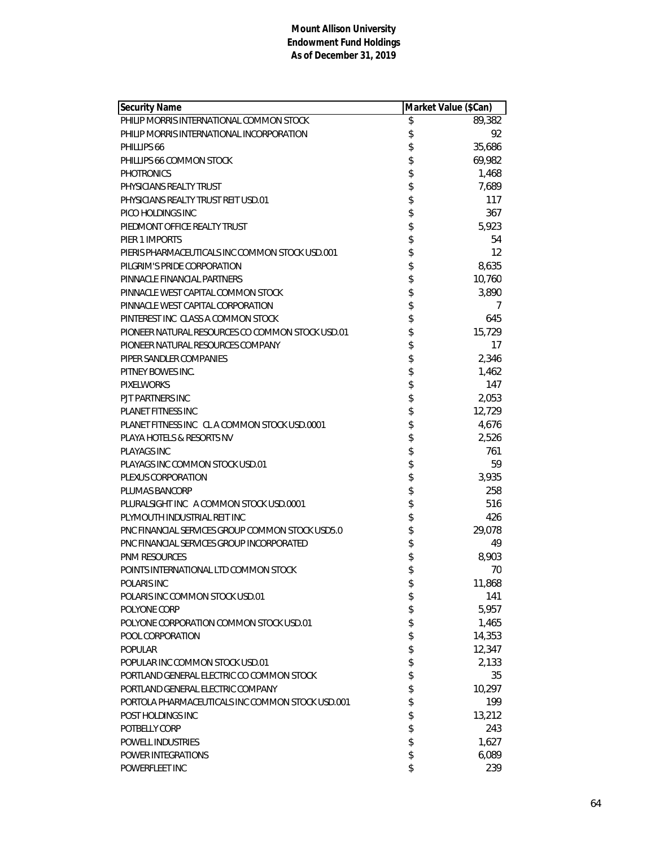| <b>Security Name</b>                             | Market Value (\$Can) |
|--------------------------------------------------|----------------------|
| PHILIP MORRIS INTERNATIONAL COMMON STOCK         | \$<br>89,382         |
| PHILIP MORRIS INTERNATIONAL INCORPORATION        | \$<br>92             |
| PHILLIPS 66                                      | \$<br>35,686         |
| PHILLIPS 66 COMMON STOCK                         | \$<br>69,982         |
| <b>PHOTRONICS</b>                                | \$<br>1,468          |
| PHYSICIANS REALTY TRUST                          | \$<br>7,689          |
| PHYSICIANS REALTY TRUST REIT USD.01              | \$<br>117            |
| PICO HOLDINGS INC                                | \$<br>367            |
| PIEDMONT OFFICE REALTY TRUST                     | \$<br>5,923          |
| PIER 1 IMPORTS                                   | \$<br>54             |
| PIERIS PHARMACEUTICALS INC COMMON STOCK USD.001  | \$<br>12             |
| PILGRIM'S PRIDE CORPORATION                      | \$<br>8,635          |
| PINNACLE FINANCIAL PARTNERS                      | \$<br>10,760         |
| PINNACLE WEST CAPITAL COMMON STOCK               | \$<br>3,890          |
| PINNACLE WEST CAPITAL CORPORATION                | \$<br>7              |
| PINTEREST INC CLASS A COMMON STOCK               | \$<br>645            |
| PIONEER NATURAL RESOURCES CO COMMON STOCK USD.01 | \$<br>15,729         |
| PIONEER NATURAL RESOURCES COMPANY                | \$<br>17             |
| PIPER SANDLER COMPANIES                          | \$<br>2,346          |
| PITNEY BOWES INC.                                | \$<br>1,462          |
| <b>PIXELWORKS</b>                                | \$<br>147            |
| PJT PARTNERS INC                                 | \$<br>2,053          |
| <b>PLANET FITNESS INC</b>                        | \$<br>12,729         |
| PLANET FITNESS INC CLACOMMON STOCK USD.0001      | \$<br>4,676          |
| PLAYA HOTELS & RESORTS NV                        | \$<br>2,526          |
| <b>PLAYAGS INC</b>                               | \$<br>761            |
| PLAYAGS INC COMMON STOCK USD.01                  | \$<br>59             |
| PLEXUS CORPORATION                               | \$<br>3,935          |
| PLUMAS BANCORP                                   | \$<br>258            |
| PLURALSIGHT INC A COMMON STOCK USD.0001          | \$<br>516            |
| PLYMOUTH INDUSTRIAL REIT INC                     | \$<br>426            |
| PNC FINANCIAL SERVICES GROUP COMMON STOCK USD5.0 | \$<br>29,078         |
| PNC FINANCIAL SERVICES GROUP INCORPORATED        | \$<br>49             |
| <b>PNM RESOURCES</b>                             | \$<br>8,903          |
| POINTS INTERNATIONAL LTD COMMON STOCK            | \$<br>70             |
| POLARIS INC                                      | \$<br>11,868         |
| POLARIS INC COMMON STOCK USD.01                  | \$<br>141            |
| POLYONE CORP                                     | \$<br>5,957          |
| POLYONE CORPORATION COMMON STOCK USD.01          | \$<br>1,465          |
| POOL CORPORATION                                 | \$<br>14,353         |
| <b>POPULAR</b>                                   | \$<br>12,347         |
| POPULAR INC COMMON STOCK USD.01                  | \$<br>2,133          |
| PORTLAND GENERAL ELECTRIC CO COMMON STOCK        | \$<br>35             |
| PORTLAND GENERAL ELECTRIC COMPANY                | \$<br>10,297         |
| PORTOLA PHARMACEUTICALS INC COMMON STOCK USD.001 | \$<br>199            |
| POST HOLDINGS INC                                | \$<br>13,212         |
| POTBELLY CORP                                    | \$<br>243            |
| <b>POWELL INDUSTRIES</b>                         | \$<br>1,627          |
| POWER INTEGRATIONS                               | \$<br>6,089          |
| POWERFLEET INC                                   | \$<br>239            |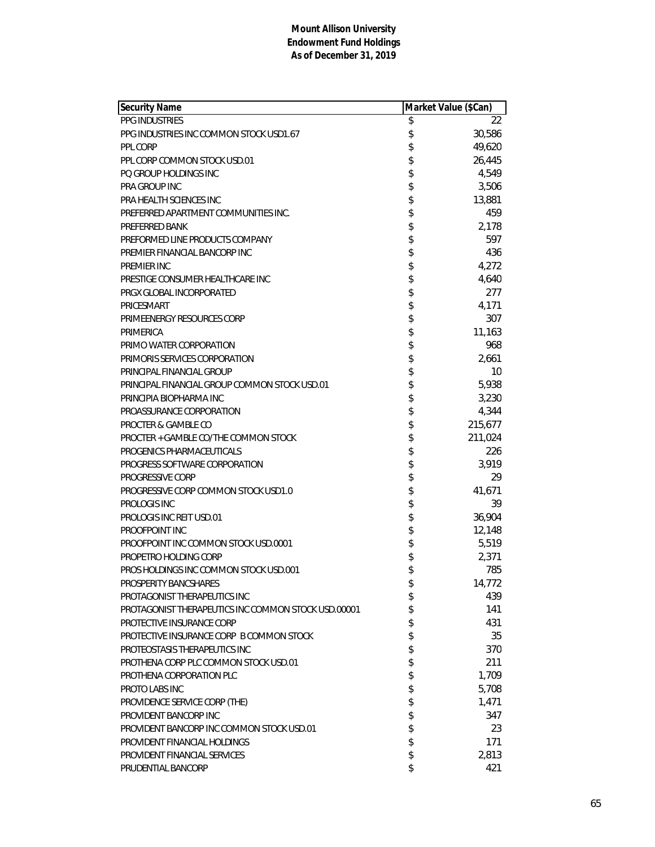| <b>Security Name</b>                                | Market Value (\$Can) |         |
|-----------------------------------------------------|----------------------|---------|
| PPG INDUSTRIES                                      | \$                   | 22      |
| PPG INDUSTRIES INC COMMON STOCK USD1.67             | \$                   | 30,586  |
| <b>PPL CORP</b>                                     | \$                   | 49,620  |
| PPL CORP COMMON STOCK USD.01                        | \$                   | 26,445  |
| PO GROUP HOLDINGS INC                               | \$                   | 4,549   |
| <b>PRA GROUP INC</b>                                | \$                   | 3,506   |
| <b>PRA HEALTH SCIENCES INC</b>                      | \$                   | 13,881  |
| PREFERRED APARTMENT COMMUNITIES INC.                | \$                   | 459     |
| PREFERRED BANK                                      | \$                   | 2,178   |
| PREFORMED LINE PRODUCTS COMPANY                     | \$                   | 597     |
| PREMIER FINANCIAL BANCORP INC                       | \$                   | 436     |
| PREMIER INC                                         | \$                   | 4,272   |
| PRESTIGE CONSUMER HEALTHCARE INC                    | \$                   | 4,640   |
| PRGX GLOBAL INCORPORATED                            | \$                   | 277     |
| PRICESMART                                          | \$                   | 4,171   |
| PRIMEENERGY RESOURCES CORP                          | \$                   | 307     |
| PRIMERICA                                           | \$                   | 11,163  |
| PRIMO WATER CORPORATION                             | \$                   | 968     |
| PRIMORIS SERVICES CORPORATION                       | \$                   | 2,661   |
| PRINCIPAL FINANCIAL GROUP                           | \$                   | 10      |
| PRINCIPAL FINANCIAL GROUP COMMON STOCK USD.01       | \$                   | 5,938   |
| PRINCIPIA BIOPHARMA INC                             | \$                   | 3,230   |
| PROASSURANCE CORPORATION                            | \$                   | 4,344   |
| PROCTER & GAMBLE CO                                 | \$                   | 215,677 |
| PROCTER + GAMBLE CO/THE COMMON STOCK                | \$                   | 211,024 |
| PROGENICS PHARMACEUTICALS                           | \$                   | 226     |
| PROGRESS SOFTWARE CORPORATION                       | \$                   | 3,919   |
| PROGRESSIVE CORP                                    | \$                   | 29      |
| PROGRESSIVE CORP COMMON STOCK USD1.0                | \$                   | 41,671  |
| PROLOGIS INC                                        | \$                   | 39      |
| PROLOGIS INC REIT USD.01                            | \$                   | 36,904  |
| PROOFPOINT INC                                      | \$                   | 12,148  |
| PROOFPOINT INC COMMON STOCK USD.0001                | \$                   | 5,519   |
| PROPETRO HOLDING CORP                               | \$                   | 2,371   |
| PROS HOLDINGS INC COMMON STOCK USD.001              | \$                   | 785     |
| PROSPERITY BANCSHARES                               | \$                   | 14,772  |
| PROTAGONIST THERAPEUTICS INC                        | \$                   | 439     |
| PROTAGONIST THERAPEUTICS INC COMMON STOCK USD.00001 | \$                   | 141     |
| PROTECTIVE INSURANCE CORP                           | \$                   | 431     |
| PROTECTIVE INSURANCE CORP B COMMON STOCK            | \$                   | 35      |
| PROTEOSTASIS THERAPEUTICS INC                       | \$                   | 370     |
| PROTHENA CORP PLC COMMON STOCK USD.01               | \$                   | 211     |
| PROTHENA CORPORATION PLC                            | \$                   | 1,709   |
| PROTO LABS INC                                      | \$                   | 5,708   |
| PROVIDENCE SERVICE CORP (THE)                       | \$                   | 1,471   |
| PROVIDENT BANCORP INC                               | \$                   | 347     |
| PROVIDENT BANCORP INC COMMON STOCK USD.01           | \$                   | 23      |
| PROVIDENT FINANCIAL HOLDINGS                        | \$                   | 171     |
| PROVIDENT FINANCIAL SERVICES                        | \$                   | 2,813   |
| PRUDENTIAL BANCORP                                  | \$                   | 421     |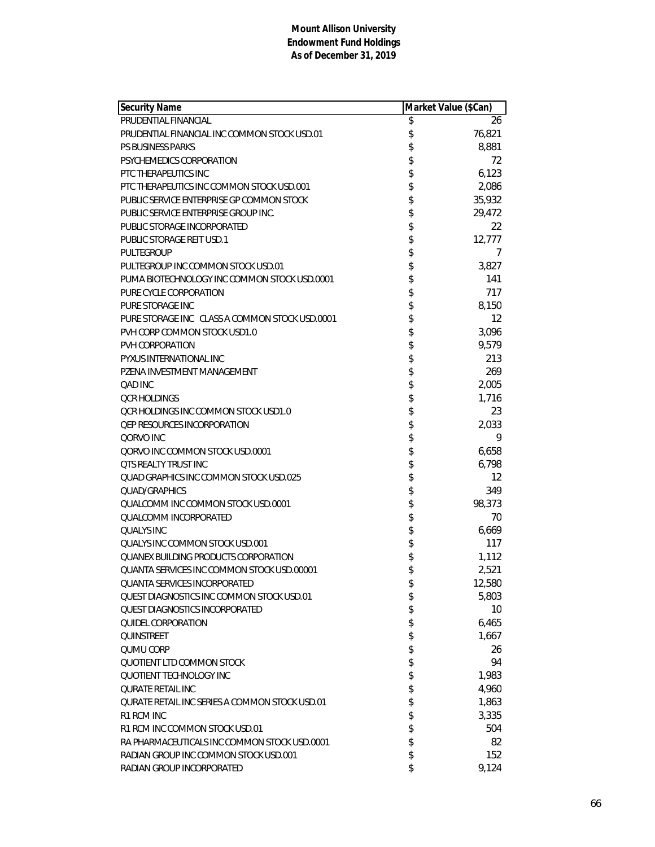| <b>Security Name</b>                           | Market Value (\$Can) |          |
|------------------------------------------------|----------------------|----------|
| PRUDENTIAL FINANCIAL                           | \$                   | 26       |
| PRUDENTIAL FINANCIAL INC COMMON STOCK USD.01   | \$                   | 76,821   |
| <b>PS BUSINESS PARKS</b>                       | \$                   | 8,881    |
| PSYCHEMEDICS CORPORATION                       | \$                   | 72       |
| PTC THERAPEUTICS INC                           | \$                   | 6,123    |
| PTC THERAPEUTICS INC COMMON STOCK USD.001      | \$                   | 2,086    |
| PUBLIC SERVICE ENTERPRISE GP COMMON STOCK      | \$                   | 35,932   |
| PUBLIC SERVICE ENTERPRISE GROUP INC.           | \$                   | 29,472   |
| PUBLIC STORAGE INCORPORATED                    | \$                   | 22       |
| PUBLIC STORAGE REIT USD.1                      | \$                   | 12,777   |
| PULTEGROUP                                     | \$                   | $\prime$ |
| PULTEGROUP INC COMMON STOCK USD.01             | \$                   | 3,827    |
| PUMA BIOTECHNOLOGY INC COMMON STOCK USD.0001   | \$                   | 141      |
| PURE CYCLE CORPORATION                         | \$                   | 717      |
| PURE STORAGE INC                               | \$                   | 8,150    |
| PURE STORAGE INC CLASS A COMMON STOCK USD.0001 | \$                   | 12       |
| PVH CORP COMMON STOCK USD1.0                   | \$                   | 3,096    |
| PVH CORPORATION                                | \$                   | 9,579    |
| PYXUS INTERNATIONAL INC                        | \$                   | 213      |
| PZENA INVESTMENT MANAGEMENT                    | \$                   | 269      |
| QAD INC                                        | \$                   | 2,005    |
| <b>QCR HOLDINGS</b>                            | \$                   | 1,716    |
| OCR HOLDINGS INC COMMON STOCK USD1.0           | \$                   | 23       |
| <b>QEP RESOURCES INCORPORATION</b>             | \$                   | 2,033    |
| QORVO INC                                      | \$                   | 9        |
| QORVO INC COMMON STOCK USD.0001                | \$                   | 6,658    |
| <b>QTS REALTY TRUST INC</b>                    | \$                   | 6,798    |
| QUAD GRAPHICS INC COMMON STOCK USD.025         | \$                   | 12       |
| <b>QUAD/GRAPHICS</b>                           | \$                   | 349      |
| QUALCOMM INC COMMON STOCK USD.0001             | \$                   | 98,373   |
| QUALCOMM INCORPORATED                          | \$                   | 70       |
| <b>QUALYS INC</b>                              | \$                   | 6,669    |
| OUALYS INC COMMON STOCK USD.001                | \$                   | 117      |
| <b>OUANEX BUILDING PRODUCTS CORPORATION</b>    | \$                   | 1,112    |
| QUANTA SERVICES INC COMMON STOCK USD.00001     | \$                   | 2,521    |
| <b>QUANTA SERVICES INCORPORATED</b>            | \$                   | 12,580   |
| QUEST DIAGNOSTICS INC COMMON STOCK USD.01      | \$                   | 5,803    |
| <b>OUEST DIAGNOSTICS INCORPORATED</b>          | \$                   | 10       |
| QUIDEL CORPORATION                             | \$                   | 6,465    |
| <b>OUINSTREET</b>                              | \$                   | 1,667    |
| QUMU CORP                                      | \$                   | 26       |
| QUOTIENT LTD COMMON STOCK                      | \$                   | 94       |
| <b>OUOTIENT TECHNOLOGY INC</b>                 | \$                   | 1,983    |
| <b>QURATE RETAIL INC</b>                       | \$                   | 4,960    |
| QURATE RETAIL INC SERIES A COMMON STOCK USD.01 | \$                   | 1,863    |
| R1 RCM INC                                     | \$                   | 3,335    |
| R1 RCM INC COMMON STOCK USD.01                 | \$                   | 504      |
| RA PHARMACEUTICALS INC COMMON STOCK USD.0001   | \$                   | 82       |
| RADIAN GROUP INC COMMON STOCK USD.001          | \$                   | 152      |
| RADIAN GROUP INCORPORATED                      | \$                   | 9,124    |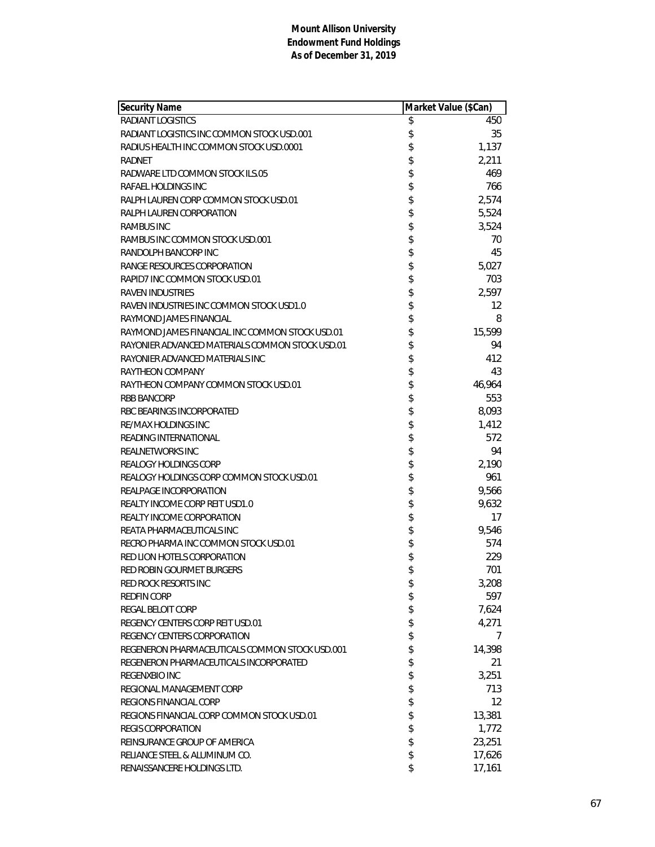| <b>Security Name</b>                            | Market Value (\$Can) |
|-------------------------------------------------|----------------------|
| <b>RADIANT LOGISTICS</b>                        | \$<br>450            |
| RADIANT LOGISTICS INC COMMON STOCK USD.001      | \$<br>35             |
| RADIUS HEALTH INC COMMON STOCK USD.0001         | \$<br>1,137          |
| <b>RADNET</b>                                   | \$<br>2,211          |
| RADWARE LTD COMMON STOCK ILS.05                 | \$<br>469            |
| RAFAEL HOLDINGS INC                             | \$<br>766            |
| RALPH LAUREN CORP COMMON STOCK USD.01           | \$<br>2,574          |
| RALPH LAUREN CORPORATION                        | \$<br>5,524          |
| <b>RAMBUS INC</b>                               | \$<br>3,524          |
| RAMBUS INC COMMON STOCK USD.001                 | \$<br>70             |
| RANDOLPH BANCORP INC                            | \$<br>45             |
| RANGE RESOURCES CORPORATION                     | \$<br>5,027          |
| RAPID7 INC COMMON STOCK USD.01                  | \$<br>703            |
| <b>RAVEN INDUSTRIES</b>                         | \$<br>2,597          |
| RAVEN INDUSTRIES INC COMMON STOCK USD1.0        | \$<br>12             |
| RAYMOND JAMES FINANCIAL                         | \$<br>8              |
| RAYMOND JAMES FINANCIAL INC COMMON STOCK USD.01 | \$<br>15,599         |
| RAYONIER ADVANCED MATERIALS COMMON STOCK USD.01 | \$<br>94             |
| RAYONIER ADVANCED MATERIALS INC                 | \$<br>412            |
| RAYTHEON COMPANY                                | \$<br>43             |
| RAYTHEON COMPANY COMMON STOCK USD.01            | \$<br>46,964         |
| <b>RBB BANCORP</b>                              | \$<br>553            |
| RBC BEARINGS INCORPORATED                       | \$<br>8,093          |
| RE/MAX HOLDINGS INC                             | \$<br>1,412          |
| READING INTERNATIONAL                           | \$<br>572            |
| <b>REALNETWORKS INC</b>                         | \$<br>94             |
| REALOGY HOLDINGS CORP                           | \$<br>2,190          |
| REALOGY HOLDINGS CORP COMMON STOCK USD.01       | \$<br>961            |
| REALPAGE INCORPORATION                          | \$<br>9,566          |
| REALTY INCOME CORP REIT USD1.0                  | \$<br>9,632          |
| REALTY INCOME CORPORATION                       | \$<br>17             |
| REATA PHARMACEUTICALS INC                       | \$<br>9,546          |
| RECRO PHARMA INC COMMON STOCK USD.01            | \$<br>574            |
| RED LION HOTELS CORPORATION                     | \$<br>229            |
| RED ROBIN GOURMET BURGERS                       | \$<br>701            |
| RED ROCK RESORTS INC                            | \$<br>3,208          |
| <b>REDFIN CORP</b>                              | \$<br>597            |
| REGAL BELOIT CORP                               | \$<br>7,624          |
| REGENCY CENTERS CORP REIT USD.01                | \$<br>4,271          |
| REGENCY CENTERS CORPORATION                     | \$<br>7              |
| REGENERON PHARMACEUTICALS COMMON STOCK USD.001  | \$<br>14,398         |
| REGENERON PHARMACEUTICALS INCORPORATED          | \$<br>21             |
| REGENXBIO INC                                   | \$<br>3,251          |
| REGIONAL MANAGEMENT CORP                        | \$<br>713            |
| REGIONS FINANCIAL CORP                          | \$<br>12             |
| REGIONS FINANCIAL CORP COMMON STOCK USD.01      | \$<br>13,381         |
| <b>REGIS CORPORATION</b>                        | \$<br>1,772          |
| REINSURANCE GROUP OF AMERICA                    | \$<br>23,251         |
| RELIANCE STEEL & ALUMINUM CO.                   | \$<br>17,626         |
| RENAISSANCERE HOLDINGS LTD.                     | \$<br>17,161         |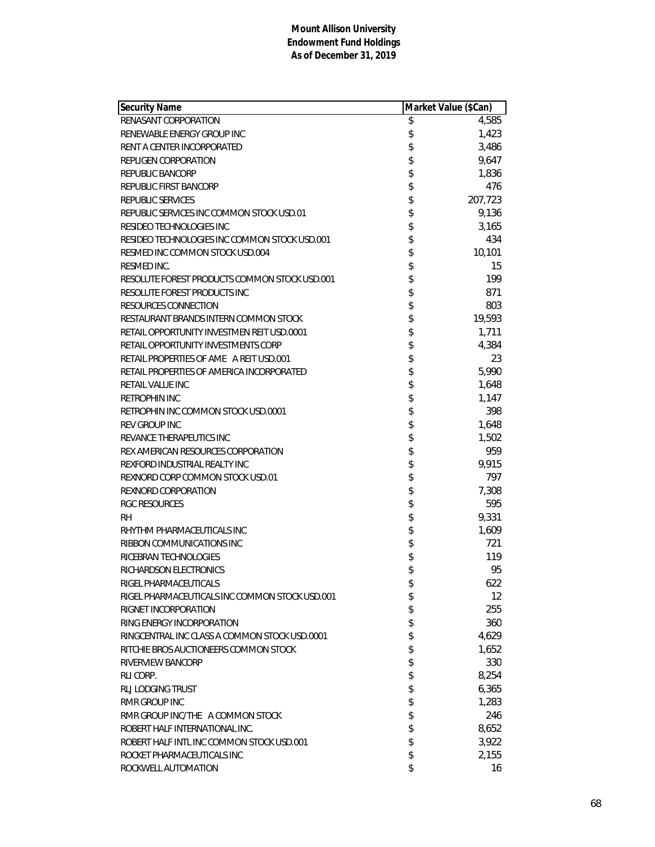| <b>Security Name</b>                           | Market Value (\$Can) |
|------------------------------------------------|----------------------|
| RENASANT CORPORATION                           | \$<br>4,585          |
| RENEWABLE ENERGY GROUP INC                     | \$<br>1,423          |
| RENT A CENTER INCORPORATED                     | \$<br>3,486          |
| REPLIGEN CORPORATION                           | \$<br>9,647          |
| <b>REPUBLIC BANCORP</b>                        | \$<br>1,836          |
| REPUBLIC FIRST BANCORP                         | \$<br>476            |
| REPUBLIC SERVICES                              | \$<br>207,723        |
| REPUBLIC SERVICES INC COMMON STOCK USD.01      | \$<br>9,136          |
| RESIDEO TECHNOLOGIES INC                       | \$<br>3,165          |
| RESIDEO TECHNOLOGIES INC COMMON STOCK USD.001  | \$<br>434            |
| RESMED INC COMMON STOCK USD.004                | \$<br>10,101         |
| RESMED INC.                                    | \$<br>15             |
| RESOLUTE FOREST PRODUCTS COMMON STOCK USD.001  | \$<br>199            |
| RESOLUTE FOREST PRODUCTS INC                   | \$<br>871            |
| <b>RESOURCES CONNECTION</b>                    | \$<br>803            |
| RESTAURANT BRANDS INTERN COMMON STOCK          | \$<br>19,593         |
| RETAIL OPPORTUNITY INVESTMEN REIT USD.0001     | \$<br>1,711          |
| RETAIL OPPORTUNITY INVESTMENTS CORP            | \$<br>4,384          |
| RETAIL PROPERTIES OF AME A REIT USD.001        | \$<br>23             |
| RETAIL PROPERTIES OF AMERICA INCORPORATED      | \$<br>5,990          |
| RETAIL VALUE INC                               | \$<br>1,648          |
| <b>RETROPHIN INC</b>                           | \$<br>1,147          |
| RETROPHIN INC COMMON STOCK USD.0001            | \$<br>398            |
| <b>REV GROUP INC</b>                           | \$<br>1,648          |
| REVANCE THERAPEUTICS INC                       | \$<br>1,502          |
| REX AMERICAN RESOURCES CORPORATION             | \$<br>959            |
| REXFORD INDUSTRIAL REALTY INC                  | \$<br>9,915          |
| REXNORD CORP COMMON STOCK USD.01               | \$<br>797            |
| REXNORD CORPORATION                            | \$<br>7,308          |
| <b>RGC RESOURCES</b>                           | \$<br>595            |
| <b>RH</b>                                      | \$<br>9,331          |
| RHYTHM PHARMACEUTICALS INC                     | \$<br>1,609          |
| RIBBON COMMUNICATIONS INC                      | \$<br>721            |
| RICEBRAN TECHNOLOGIES                          | \$<br>119            |
| RICHARDSON ELECTRONICS                         | \$<br>95             |
| RIGEL PHARMACEUTICALS                          | \$<br>622            |
| RIGEL PHARMACEUTICALS INC COMMON STOCK USD.001 | \$<br>12.            |
| RIGNET INCORPORATION                           | \$<br>255            |
| RING ENERGY INCORPORATION                      | \$<br>360            |
| RINGCENTRAL INC CLASS A COMMON STOCK USD.0001  | \$<br>4,629          |
| RITCHIE BROS AUCTIONEERS COMMON STOCK          | \$<br>1,652          |
| RIVERVIEW BANCORP                              | \$<br>330            |
| RLI CORP.                                      | \$<br>8,254          |
| RLJ LODGING TRUST                              | \$<br>6,365          |
| RMR GROUP INC                                  | \$<br>1,283          |
| RMR GROUP INC/THE A COMMON STOCK               | \$<br>246            |
| ROBERT HALF INTERNATIONAL INC.                 | \$<br>8,652          |
| ROBERT HALF INTL INC COMMON STOCK USD.001      | \$<br>3,922          |
| ROCKET PHARMACEUTICALS INC                     | \$<br>2,155          |
| ROCKWELL AUTOMATION                            | \$<br>16             |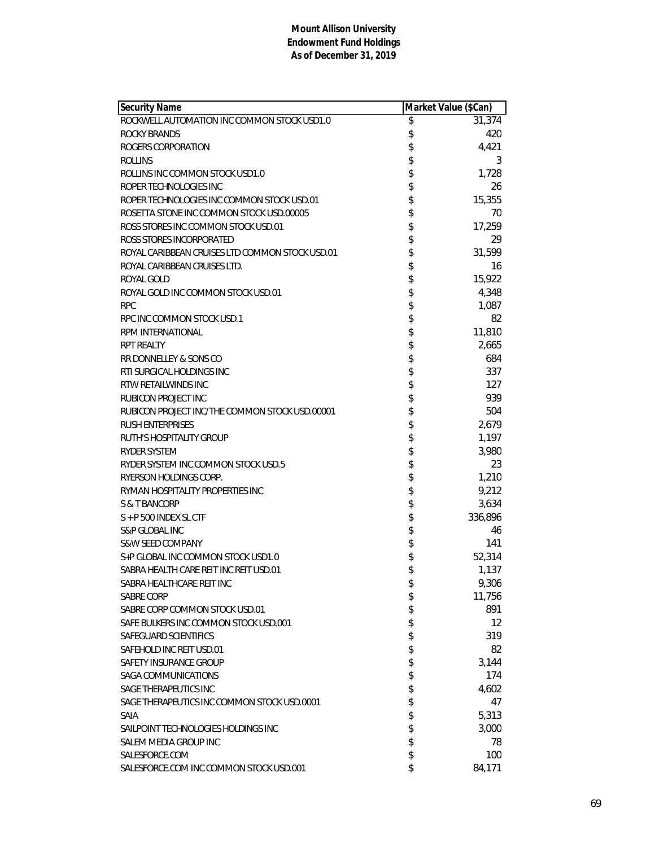| Security Name                                   | Market Value (\$Can) |                   |
|-------------------------------------------------|----------------------|-------------------|
| ROCKWELL AUTOMATION INC COMMON STOCK USD1.0     | \$                   | 31,374            |
| ROCKY BRANDS                                    | \$                   | 420               |
| ROGERS CORPORATION                              | \$                   | 4,421             |
| <b>ROLLINS</b>                                  | \$                   | 3                 |
| ROLLINS INC COMMON STOCK USD1.0                 | \$                   | 1,728             |
| ROPER TECHNOLOGIES INC                          | \$                   | 26                |
| ROPER TECHNOLOGIES INC COMMON STOCK USD.01      | \$                   | 15,355            |
| ROSETTA STONE INC COMMON STOCK USD.00005        | \$                   | 70                |
| ROSS STORES INC COMMON STOCK USD.01             | \$                   | 17,259            |
| ROSS STORES INCORPORATED                        | \$                   | 29                |
| ROYAL CARIBBEAN CRUISES LTD COMMON STOCK USD.01 | \$                   | 31,599            |
| ROYAL CARIBBEAN CRUISES LTD.                    | \$                   | 16                |
| ROYAL GOLD                                      | \$                   | 15,922            |
| ROYAL GOLD INC COMMON STOCK USD.01              | \$                   | 4,348             |
| <b>RPC</b>                                      | \$                   | 1,087             |
| RPC INC COMMON STOCK USD.1                      | \$                   | 82                |
| RPM INTERNATIONAL                               | \$                   | 11,810            |
| <b>RPT REALTY</b>                               | \$                   | 2,665             |
| RR DONNELLEY & SONS CO                          | \$                   | 684               |
| RTI SURGICAL HOLDINGS INC                       | \$                   | 337               |
| RTW RETAILWINDS INC                             | \$                   | 127               |
| RUBICON PROJECT INC                             | \$                   | 939               |
| RUBICON PROJECT INC/THE COMMON STOCK USD.00001  | \$                   | 504               |
| <b>RUSH ENTERPRISES</b>                         | \$                   | 2,679             |
| RUTH'S HOSPITALITY GROUP                        | \$                   | 1,197             |
| <b>RYDER SYSTEM</b>                             | \$                   | 3,980             |
| RYDER SYSTEM INC COMMON STOCK USD.5             | \$                   | 23                |
| RYERSON HOLDINGS CORP.                          | \$                   | 1,210             |
| RYMAN HOSPITALITY PROPERTIES INC                | \$                   | 9,212             |
| S & T BANCORP                                   | \$                   | 3,634             |
| $S + P$ 500 INDEX SL CTF                        | \$                   | 336,896           |
| S&P GLOBAL INC                                  | \$                   | 46                |
| <b>S&amp;W SEED COMPANY</b>                     | \$                   | 141               |
| S+P GLOBAL INC COMMON STOCK USD1.0              | \$                   | 52,314            |
| SABRA HEALTH CARE REIT INC REIT USD.01          | \$                   | 1,137             |
| SABRA HEALTHCARE REIT INC                       | \$                   | 9,306             |
| SABRE CORP                                      | \$                   | 11,756            |
| SABRE CORP COMMON STOCK USD.01                  | \$                   | 891               |
| SAFE BULKERS INC COMMON STOCK USD.001           | \$                   | $12 \overline{ }$ |
| SAFEGUARD SCIENTIFICS                           | \$                   | 319               |
| SAFEHOLD INC REIT USD.01                        | \$                   | 82                |
| SAFETY INSURANCE GROUP                          | \$                   | 3,144             |
| SAGA COMMUNICATIONS                             | \$                   | 174               |
| SAGE THERAPEUTICS INC                           | \$                   | 4,602             |
| SAGE THERAPEUTICS INC COMMON STOCK USD.0001     | \$                   | 47                |
|                                                 |                      |                   |
| <b>SAIA</b>                                     | \$                   | 5,313             |
| SAILPOINT TECHNOLOGIES HOLDINGS INC             | \$<br>\$             | 3,000             |
| SALEM MEDIA GROUP INC<br>SALESFORCE.COM         | \$                   | 78                |
|                                                 |                      | 100               |
| SALESFORCE.COM INC COMMON STOCK USD.001         | \$                   | 84,171            |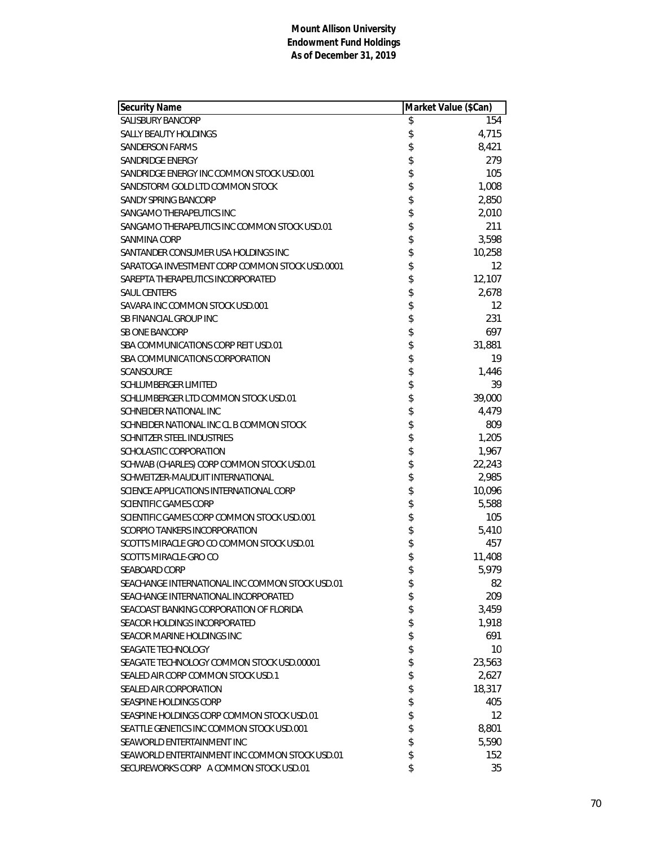| Security Name                                   | Market Value (\$Can) |                   |
|-------------------------------------------------|----------------------|-------------------|
| <b>SALISBURY BANCORP</b>                        | \$                   | 154               |
| <b>SALLY BEAUTY HOLDINGS</b>                    | \$                   | 4,715             |
| <b>SANDERSON FARMS</b>                          | \$                   | 8,421             |
| SANDRIDGE ENERGY                                | \$                   | 279               |
| SANDRIDGE ENERGY INC COMMON STOCK USD.001       | \$                   | 105               |
| SANDSTORM GOLD LTD COMMON STOCK                 | \$                   | 1,008             |
| SANDY SPRING BANCORP                            | \$                   | 2,850             |
| SANGAMO THERAPEUTICS INC                        | \$                   | 2,010             |
| SANGAMO THERAPEUTICS INC COMMON STOCK USD.01    | \$                   | 211               |
| SANMINA CORP                                    | \$                   | 3,598             |
| SANTANDER CONSUMER USA HOLDINGS INC             | \$                   | 10,258            |
| SARATOGA INVESTMENT CORP COMMON STOCK USD.0001  | \$                   | $12 \overline{ }$ |
| SAREPTA THERAPEUTICS INCORPORATED               | \$                   | 12,107            |
| <b>SAUL CENTERS</b>                             | \$                   | 2,678             |
| SAVARA INC COMMON STOCK USD.001                 | \$                   | $12 \overline{ }$ |
| SB FINANCIAL GROUP INC                          | \$                   | 231               |
| <b>SB ONE BANCORP</b>                           | \$                   | 697               |
| SBA COMMUNICATIONS CORP REIT USD.01             | \$                   | 31,881            |
| SBA COMMUNICATIONS CORPORATION                  | \$                   | 19                |
| SCANSOURCE                                      | \$                   | 1,446             |
| <b>SCHLUMBERGER LIMITED</b>                     | \$                   | 39                |
| SCHLUMBERGER LTD COMMON STOCK USD.01            | \$                   | 39,000            |
| SCHNEIDER NATIONAL INC                          | \$                   | 4,479             |
| SCHNEIDER NATIONAL INC CL B COMMON STOCK        | \$                   | 809               |
| <b>SCHNITZER STEEL INDUSTRIES</b>               | \$                   | 1,205             |
| SCHOLASTIC CORPORATION                          | \$                   | 1,967             |
| SCHWAB (CHARLES) CORP COMMON STOCK USD.01       | \$                   | 22,243            |
| SCHWEITZER-MAUDUIT INTERNATIONAL                | \$                   | 2,985             |
| SCIENCE APPLICATIONS INTERNATIONAL CORP         | \$                   | 10,096            |
| SCIENTIFIC GAMES CORP                           | \$                   | 5,588             |
| SCIENTIFIC GAMES CORP COMMON STOCK USD.001      | \$                   | 105               |
| SCORPIO TANKERS INCORPORATION                   | \$                   | 5,410             |
| SCOTTS MIRACLE GRO CO COMMON STOCK USD.01       | \$                   | 457               |
| SCOTTS MIRACLE-GRO CO                           | \$                   | 11,408            |
| <b>SEABOARD CORP</b>                            | \$                   | 5,979             |
| SEACHANGE INTERNATIONAL INC COMMON STOCK USD.01 | \$                   | 82                |
| SEACHANGE INTERNATIONAL INCORPORATED            | \$                   | 209               |
| SEACOAST BANKING CORPORATION OF FLORIDA         | \$                   | 3,459             |
| SEACOR HOLDINGS INCORPORATED                    | \$                   | 1,918             |
| SEACOR MARINE HOLDINGS INC                      | \$                   | 691               |
| SEAGATE TECHNOLOGY                              | \$                   | 10                |
| SEAGATE TECHNOLOGY COMMON STOCK USD.00001       | \$                   | 23,563            |
| SEALED AIR CORP COMMON STOCK USD.1              | \$                   | 2,627             |
| SEALED AIR CORPORATION                          | \$                   | 18,317            |
| SEASPINE HOLDINGS CORP                          | \$                   | 405               |
| SEASPINE HOLDINGS CORP COMMON STOCK USD.01      | \$                   | $12 \overline{ }$ |
| SEATTLE GENETICS INC COMMON STOCK USD.001       | \$                   | 8,801             |
| SEAWORLD ENTERTAINMENT INC                      | \$                   | 5,590             |
| SEAWORLD ENTERTAINMENT INC COMMON STOCK USD.01  | \$                   | 152               |
| SECUREWORKS CORP A COMMON STOCK USD.01          | \$                   | 35                |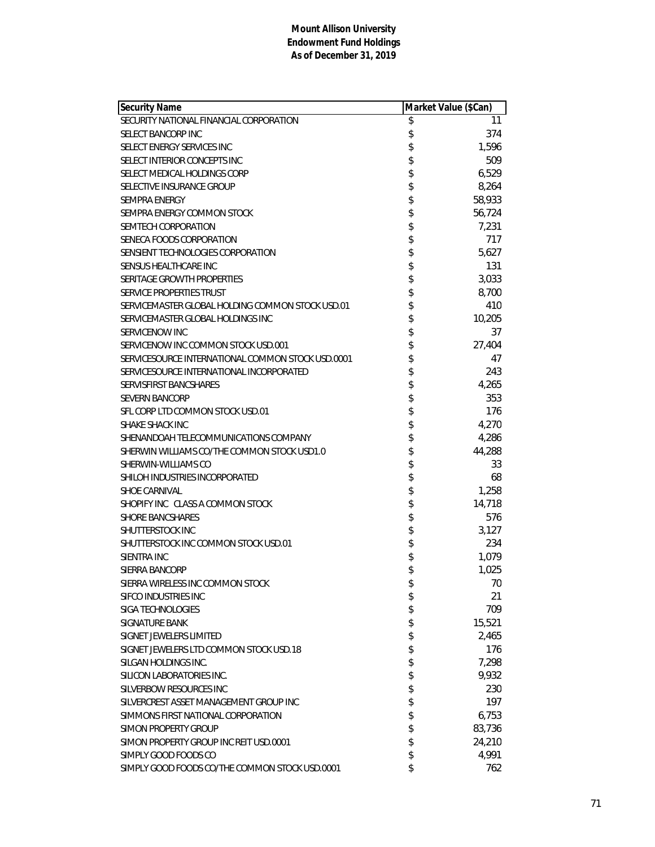| <b>Security Name</b>                              | Market Value (\$Can) |        |
|---------------------------------------------------|----------------------|--------|
| SECURITY NATIONAL FINANCIAL CORPORATION           | \$                   | 11     |
| SELECT BANCORP INC                                | \$                   | 374    |
| SELECT ENERGY SERVICES INC                        | \$                   | 1,596  |
| SELECT INTERIOR CONCEPTS INC                      | \$                   | 509    |
| SELECT MEDICAL HOLDINGS CORP                      |                      | 6,529  |
| SELECTIVE INSURANCE GROUP                         | \$<br>\$             | 8,264  |
| <b>SEMPRA ENERGY</b>                              | \$                   | 58,933 |
| SEMPRA ENERGY COMMON STOCK                        | \$                   | 56,724 |
| SEMTECH CORPORATION                               | \$                   | 7,231  |
| SENECA FOODS CORPORATION                          | \$                   | 717    |
| SENSIENT TECHNOLOGIES CORPORATION                 | \$                   | 5,627  |
| SENSUS HEALTHCARE INC                             | \$                   | 131    |
| SERITAGE GROWTH PROPERTIES                        | \$                   | 3,033  |
| SERVICE PROPERTIES TRUST                          |                      | 8,700  |
| SERVICEMASTER GLOBAL HOLDING COMMON STOCK USD.01  | \$                   | 410    |
| SERVICEMASTER GLOBAL HOLDINGS INC                 | \$                   | 10,205 |
| SERVICENOW INC                                    | \$                   | 37     |
| SERVICENOW INC COMMON STOCK USD.001               | \$                   | 27,404 |
| SERVICESOURCE INTERNATIONAL COMMON STOCK USD.0001 | \$                   | 47     |
| SERVICESOURCE INTERNATIONAL INCORPORATED          | \$                   | 243    |
| SERVISFIRST BANCSHARES                            | \$                   | 4,265  |
| <b>SEVERN BANCORP</b>                             | \$                   | 353    |
| SFL CORP LTD COMMON STOCK USD.01                  | \$                   | 176    |
| SHAKE SHACK INC                                   | \$                   | 4,270  |
| SHENANDOAH TELECOMMUNICATIONS COMPANY             | \$                   | 4,286  |
| SHERWIN WILLIAMS CO/THE COMMON STOCK USD1.0       | \$                   | 44,288 |
| SHERWIN-WILLIAMS CO                               | \$                   | 33     |
| SHILOH INDUSTRIES INCORPORATED                    | \$                   | 68     |
| <b>SHOE CARNIVAL</b>                              | \$                   | 1,258  |
| SHOPIFY INC CLASS A COMMON STOCK                  | \$                   | 14,718 |
| <b>SHORE BANCSHARES</b>                           |                      | 576    |
| SHUTTERSTOCK INC                                  | \$                   | 3,127  |
| SHUTTERSTOCK INC COMMON STOCK USD.01              | \$                   | 234    |
| SIENTRA INC                                       | \$                   | 1,079  |
| SIERRA BANCORP                                    | \$                   | 1,025  |
| SIERRA WIRELESS INC COMMON STOCK                  | \$                   | 70     |
| SIFCO INDUSTRIES INC                              | \$                   | 21     |
| SIGA TECHNOLOGIES                                 | \$                   | 709    |
| <b>SIGNATURE BANK</b>                             | \$                   | 15,521 |
| SIGNET JEWELERS LIMITED                           | \$                   | 2,465  |
| SIGNET JEWELERS LTD COMMON STOCK USD.18           | \$                   | 176    |
| SILGAN HOLDINGS INC.                              | \$                   | 7,298  |
| SILICON LABORATORIES INC.                         | \$                   | 9,932  |
| SILVERBOW RESOURCES INC                           | \$                   | 230    |
| SILVERCREST ASSET MANAGEMENT GROUP INC            | \$                   | 197    |
| SIMMONS FIRST NATIONAL CORPORATION                | \$                   | 6,753  |
| <b>SIMON PROPERTY GROUP</b>                       | \$                   | 83,736 |
| SIMON PROPERTY GROUP INC REIT USD.0001            | \$                   | 24,210 |
| SIMPLY GOOD FOODS CO                              | \$                   | 4,991  |
| SIMPLY GOOD FOODS CO/THE COMMON STOCK USD.0001    | \$                   | 762    |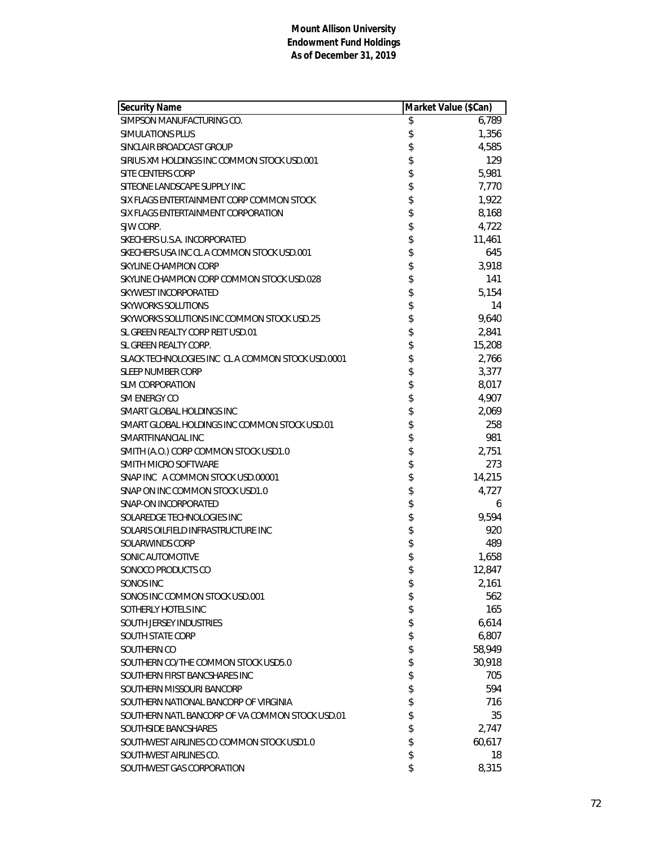| <b>Security Name</b>                              | Market Value (\$Can) |        |
|---------------------------------------------------|----------------------|--------|
| SIMPSON MANUFACTURING CO.                         | \$                   | 6,789  |
| SIMULATIONS PLUS                                  | \$                   | 1,356  |
| SINCLAIR BROADCAST GROUP                          | \$                   | 4,585  |
| SIRIUS XM HOLDINGS INC COMMON STOCK USD.001       |                      | 129    |
| SITE CENTERS CORP                                 | \$                   | 5,981  |
| SITEONE LANDSCAPE SUPPLY INC                      |                      | 7,770  |
| SIX FLAGS ENTERTAINMENT CORP COMMON STOCK         | \$                   | 1,922  |
| SIX FLAGS ENTERTAINMENT CORPORATION               | \$                   | 8,168  |
| SJW CORP.                                         | \$                   | 4,722  |
| SKECHERS U.S.A. INCORPORATED                      | \$                   | 11,461 |
| SKECHERS USA INC CL A COMMON STOCK USD.001        | \$                   | 645    |
| SKYLINE CHAMPION CORP                             | \$                   | 3,918  |
| SKYLINE CHAMPION CORP COMMON STOCK USD.028        |                      | 141    |
| SKYWEST INCORPORATED                              | \$                   | 5,154  |
| <b>SKYWORKS SOLUTIONS</b>                         | \$                   | 14     |
| SKYWORKS SOLUTIONS INC COMMON STOCK USD.25        | \$                   | 9,640  |
| SL GREEN REALTY CORP REIT USD.01                  | \$                   | 2,841  |
| SL GREEN REALTY CORP.                             |                      | 15,208 |
| SLACK TECHNOLOGIES INC CL A COMMON STOCK USD.0001 | \$                   | 2,766  |
| <b>SLEEP NUMBER CORP</b>                          | \$                   | 3,377  |
| <b>SLM CORPORATION</b>                            |                      | 8,017  |
| <b>SM ENERGY CO</b>                               | \$\$                 | 4,907  |
| SMART GLOBAL HOLDINGS INC                         |                      | 2,069  |
| SMART GLOBAL HOLDINGS INC COMMON STOCK USD.01     | \$                   | 258    |
| SMARTFINANCIAL INC                                | \$                   | 981    |
| SMITH (A.O.) CORP COMMON STOCK USD1.0             | \$                   | 2,751  |
| SMITH MICRO SOFTWARE                              | \$                   | 273    |
| SNAP INC A COMMON STOCK USD.00001                 | \$                   | 14,215 |
| SNAP ON INC COMMON STOCK USD1.0                   |                      | 4,727  |
| SNAP-ON INCORPORATED                              |                      | 6      |
| SOLAREDGE TECHNOLOGIES INC                        | \$\$\$\$             | 9,594  |
| SOLARIS OILFIELD INFRASTRUCTURE INC               |                      | 920    |
| SOLARWINDS CORP                                   | \$                   | 489    |
| SONIC AUTOMOTIVE                                  | \$                   | 1,658  |
| SONOCO PRODUCTS CO                                | \$                   | 12,847 |
| SONOS INC                                         | \$                   | 2,161  |
| SONOS INC COMMON STOCK USD.001                    | \$                   | 562    |
| SOTHERLY HOTELS INC                               | \$                   | 165    |
| SOUTH JERSEY INDUSTRIES                           | \$                   | 6,614  |
| <b>SOUTH STATE CORP</b>                           | \$                   | 6,807  |
| SOUTHERN CO                                       | \$                   | 58,949 |
| SOUTHERN CO/THE COMMON STOCK USD5.0               | \$                   | 30,918 |
| SOUTHERN FIRST BANCSHARES INC                     | \$                   | 705    |
| SOUTHERN MISSOURI BANCORP                         | \$                   | 594    |
| SOUTHERN NATIONAL BANCORP OF VIRGINIA             | \$                   | 716    |
| SOUTHERN NATL BANCORP OF VA COMMON STOCK USD.01   | \$                   | 35     |
| SOUTHSIDE BANCSHARES                              | \$                   | 2,747  |
| SOUTHWEST AIRLINES CO COMMON STOCK USD1.0         | \$                   | 60,617 |
| SOUTHWEST AIRLINES CO.                            | \$                   | 18     |
| SOUTHWEST GAS CORPORATION                         | \$                   | 8,315  |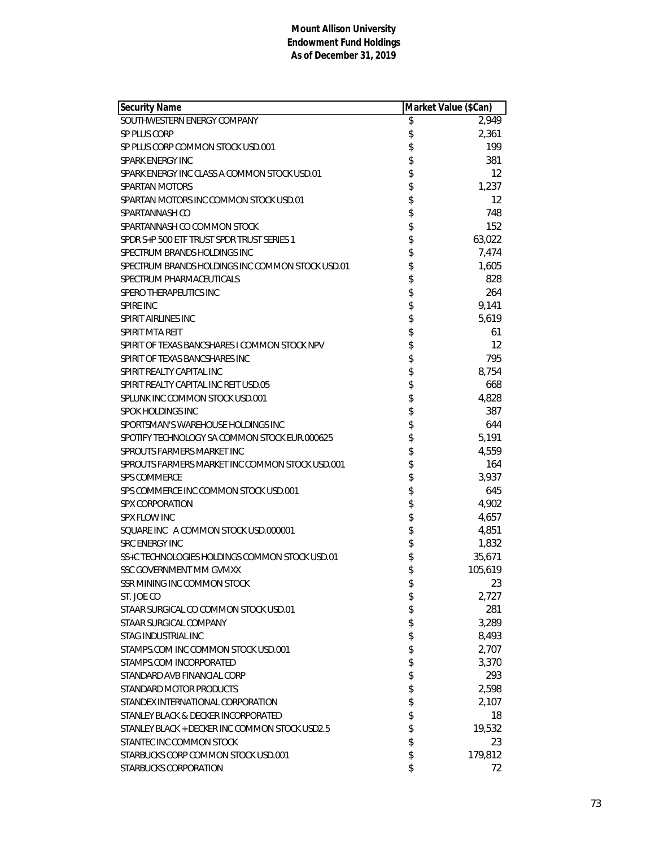| <b>Security Name</b>                                   | Market Value (\$Can) |         |
|--------------------------------------------------------|----------------------|---------|
| SOUTHWESTERN ENERGY COMPANY                            | \$                   | 2,949   |
| SP PLUS CORP                                           | \$                   | 2,361   |
| SP PLUS CORP COMMON STOCK USD.001                      | \$                   | 199     |
| SPARK ENERGY INC                                       | \$                   | 381     |
| SPARK ENERGY INC CLASS A COMMON STOCK USD.01           | \$                   | 12      |
| SPARTAN MOTORS                                         | \$                   | 1,237   |
| SPARTAN MOTORS INC COMMON STOCK USD.01                 | \$                   | 12      |
| SPARTANNASH CO                                         | \$                   | 748     |
| SPARTANNASH CO COMMON STOCK                            | \$                   | 152     |
| SPDR S+P 500 ETF TRUST SPDR TRUST SERIES 1             | \$                   | 63,022  |
| SPECTRUM BRANDS HOLDINGS INC                           | \$                   | 7,474   |
| SPECTRUM BRANDS HOLDINGS INC COMMON STOCK USD.01       | \$                   | 1,605   |
| SPECTRUM PHARMACEUTICALS                               | \$                   | 828     |
| <b>SPERO THERAPEUTICS INC</b>                          | \$                   | 264     |
| <b>SPIRE INC</b>                                       | \$                   | 9,141   |
| SPIRIT AIRLINES INC                                    | \$                   | 5,619   |
| SPIRIT MTA REIT                                        | \$                   | 61      |
| SPIRIT OF TEXAS BANCSHARES I COMMON STOCK NPV          | \$                   | 12      |
| SPIRIT OF TEXAS BANCSHARES INC                         | \$                   | 795     |
| SPIRIT REALTY CAPITAL INC                              | \$                   | 8,754   |
| SPIRIT REALTY CAPITAL INC REIT USD.05                  | \$                   | 668     |
| SPLUNK INC COMMON STOCK USD.001                        |                      | 4,828   |
| <b>SPOK HOLDINGS INC</b>                               | \$                   | 387     |
| SPORTSMAN'S WAREHOUSE HOLDINGS INC                     | \$                   | 644     |
| SPOTIFY TECHNOLOGY SA COMMON STOCK EUR.000625          | \$                   | 5,191   |
| SPROUTS FARMERS MARKET INC                             | \$                   | 4,559   |
| SPROUTS FARMERS MARKET INC COMMON STOCK USD.001        | \$                   | 164     |
| <b>SPS COMMERCE</b>                                    | \$                   | 3,937   |
| SPS COMMERCE INC COMMON STOCK USD.001                  | \$                   | 645     |
| <b>SPX CORPORATION</b>                                 | \$                   | 4,902   |
| SPX FLOW INC                                           | \$\$                 | 4,657   |
| SQUARE INC A COMMON STOCK USD.000001                   |                      | 4,851   |
| <b>SRC ENERGY INC</b>                                  |                      | 1,832   |
| SS+C TECHNOLOGIES HOLDINGS COMMON STOCK USD.01         | \$                   | 35,671  |
| SSC GOVERNMENT MM GVMXX                                | \$                   | 105,619 |
| SSR MINING INC COMMON STOCK                            | \$                   | 23      |
| ST. JOE CO                                             | \$                   | 2,727   |
| STAAR SURGICAL CO COMMON STOCK USD.01                  | \$                   | 281     |
| STAAR SURGICAL COMPANY                                 | \$                   | 3,289   |
| <b>STAG INDUSTRIAL INC</b>                             | \$                   | 8,493   |
| STAMPS.COM INC COMMON STOCK USD.001                    | \$                   | 2,707   |
| STAMPS.COM INCORPORATED                                | \$                   | 3,370   |
| STANDARD AVB FINANCIAL CORP<br>STANDARD MOTOR PRODUCTS | \$                   | 293     |
|                                                        | \$                   | 2,598   |
| STANDEX INTERNATIONAL CORPORATION                      | \$                   | 2,107   |
| STANLEY BLACK & DECKER INCORPORATED                    | \$                   | 18      |
| STANLEY BLACK + DECKER INC COMMON STOCK USD2.5         | \$                   | 19,532  |
| STANTEC INC COMMON STOCK                               | \$                   | 23      |
| STARBUCKS CORP COMMON STOCK USD.001                    | \$                   | 179,812 |
| STARBUCKS CORPORATION                                  | \$                   | 72      |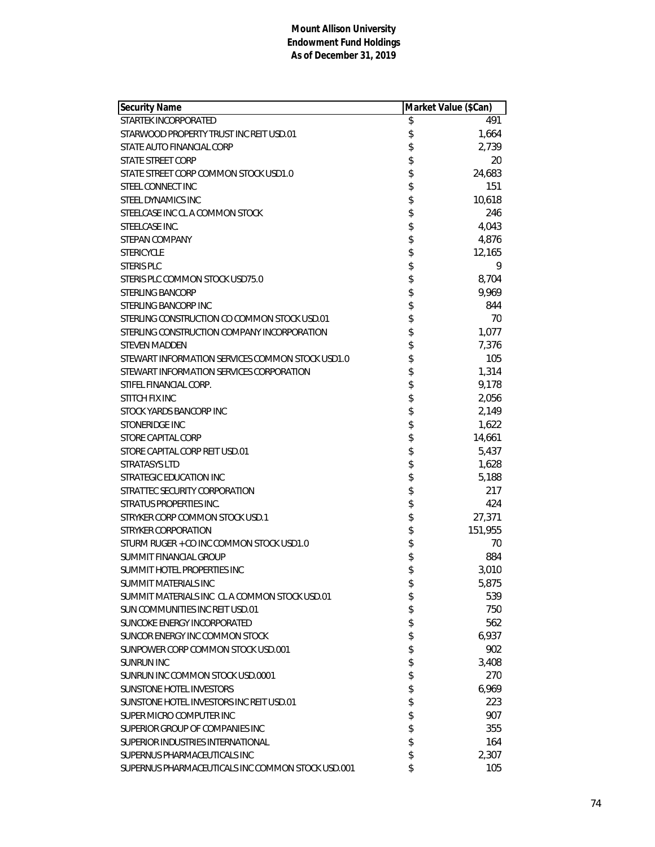| <b>Security Name</b>                              | Market Value (\$Can) |         |
|---------------------------------------------------|----------------------|---------|
| STARTEK INCORPORATED                              | \$                   | 491     |
| STARWOOD PROPERTY TRUST INC REIT USD.01           | \$                   | 1,664   |
| STATE AUTO FINANCIAL CORP                         | \$                   | 2,739   |
| STATE STREET CORP                                 | \$                   | 20      |
| STATE STREET CORP COMMON STOCK USD1.0             | \$                   | 24,683  |
| STEEL CONNECT INC                                 | \$                   | 151     |
| STEEL DYNAMICS INC                                | \$                   | 10,618  |
| STEELCASE INC CL A COMMON STOCK                   | \$                   | 246     |
| STEELCASE INC.                                    | \$                   | 4,043   |
| STEPAN COMPANY                                    | \$                   | 4,876   |
| <b>STERICYCLE</b>                                 | \$                   | 12,165  |
| STERIS PLC                                        | \$                   | 9       |
| STERIS PLC COMMON STOCK USD75.0                   | \$                   | 8,704   |
| <b>STERLING BANCORP</b>                           | \$                   | 9,969   |
| STERLING BANCORP INC                              | \$                   | 844     |
| STERLING CONSTRUCTION CO COMMON STOCK USD.01      | \$                   | 70      |
| STERLING CONSTRUCTION COMPANY INCORPORATION       | \$                   | 1,077   |
| <b>STEVEN MADDEN</b>                              | \$                   | 7,376   |
| STEWART INFORMATION SERVICES COMMON STOCK USD1.0  | \$                   | 105     |
| STEWART INFORMATION SERVICES CORPORATION          | \$                   | 1,314   |
| STIFEL FINANCIAL CORP.                            | \$                   | 9,178   |
| STITCH FIX INC                                    | \$                   | 2,056   |
| STOCK YARDS BANCORP INC                           | \$                   | 2,149   |
| STONERIDGE INC                                    | \$                   | 1,622   |
| STORE CAPITAL CORP                                | \$                   | 14,661  |
| STORE CAPITAL CORP REIT USD.01                    | \$                   | 5,437   |
| <b>STRATASYS LTD</b>                              | \$                   | 1,628   |
| STRATEGIC EDUCATION INC                           | \$                   | 5,188   |
| STRATTEC SECURITY CORPORATION                     | \$                   | 217     |
| <b>STRATUS PROPERTIES INC.</b>                    | \$                   | 424     |
| STRYKER CORP COMMON STOCK USD.1                   | \$                   | 27,371  |
| <b>STRYKER CORPORATION</b>                        | \$                   | 151,955 |
| STURM RUGER + CO INC COMMON STOCK USD1.0          | \$                   | 70      |
| SUMMIT FINANCIAL GROUP                            | \$                   | 884     |
| SUMMIT HOTEL PROPERTIES INC                       | \$                   | 3,010   |
| SUMMIT MATERIALS INC                              | \$                   | 5,875   |
| SUMMIT MATERIALS INC CL A COMMON STOCK USD.01     | \$                   | 539     |
| SUN COMMUNITIES INC REIT USD.01                   | \$                   | 750     |
| SUNCOKE ENERGY INCORPORATED                       | \$                   | 562     |
| SUNCOR ENERGY INC COMMON STOCK                    | \$                   | 6,937   |
| SUNPOWER CORP COMMON STOCK USD.001                | \$                   | 902     |
| <b>SUNRUN INC</b>                                 | \$                   | 3,408   |
| SUNRUN INC COMMON STOCK USD.0001                  | \$                   | 270     |
| <b>SUNSTONE HOTEL INVESTORS</b>                   | \$                   | 6,969   |
| SUNSTONE HOTEL INVESTORS INC REIT USD.01          | \$                   | 223     |
| SUPER MICRO COMPUTER INC                          | \$                   | 907     |
| SUPERIOR GROUP OF COMPANIES INC                   | \$                   | 355     |
| SUPERIOR INDUSTRIES INTERNATIONAL                 | \$                   | 164     |
| SUPERNUS PHARMACEUTICALS INC                      | \$                   | 2,307   |
| SUPERNUS PHARMACEUTICALS INC COMMON STOCK USD.001 | \$                   | 105     |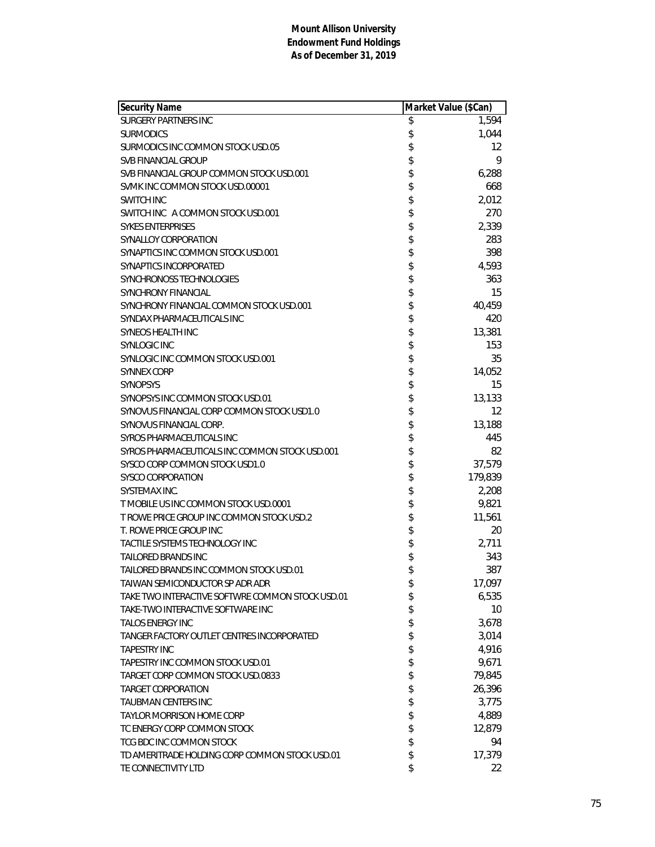| <b>Security Name</b>                             | Market Value (\$Can) |         |
|--------------------------------------------------|----------------------|---------|
| <b>SURGERY PARTNERS INC</b>                      | \$                   | 1,594   |
| <b>SURMODICS</b>                                 | \$                   | 1,044   |
| SURMODICS INC COMMON STOCK USD.05                | \$                   | 12      |
| <b>SVB FINANCIAL GROUP</b>                       | \$                   | 9       |
| SVB FINANCIAL GROUP COMMON STOCK USD.001         | \$                   | 6,288   |
| SVMK INC COMMON STOCK USD.00001                  | \$                   | 668     |
| <b>SWITCH INC</b>                                | \$                   | 2,012   |
| SWITCH INC A COMMON STOCK USD.001                | \$                   | 270     |
| <b>SYKES ENTERPRISES</b>                         | \$                   | 2,339   |
| SYNALLOY CORPORATION                             | \$                   | 283     |
| SYNAPTICS INC COMMON STOCK USD.001               | \$                   | 398     |
| SYNAPTICS INCORPORATED                           | \$                   | 4,593   |
| SYNCHRONOSS TECHNOLOGIES                         | \$                   | 363     |
| <b>SYNCHRONY FINANCIAL</b>                       | \$                   | 15      |
| SYNCHRONY FINANCIAL COMMON STOCK USD.001         | \$                   | 40,459  |
| SYNDAX PHARMACEUTICALS INC                       | \$                   | 420     |
| <b>SYNEOS HEALTH INC</b>                         | \$                   | 13,381  |
| <b>SYNLOGIC INC</b>                              | \$                   | 153     |
| SYNLOGIC INC COMMON STOCK USD.001                | \$                   | 35      |
| <b>SYNNEX CORP</b>                               | \$                   | 14,052  |
| <b>SYNOPSYS</b>                                  | \$                   | 15      |
| SYNOPSYS INC COMMON STOCK USD.01                 | \$                   | 13,133  |
| SYNOVUS FINANCIAL CORP COMMON STOCK USD1.0       |                      | 12      |
| SYNOVUS FINANCIAL CORP.                          | \$                   | 13,188  |
| SYROS PHARMACEUTICALS INC                        | \$                   | 445     |
| SYROS PHARMACEUTICALS INC COMMON STOCK USD.001   | \$                   | 82      |
| SYSCO CORP COMMON STOCK USD1.0                   | \$                   | 37,579  |
| <b>SYSCO CORPORATION</b>                         | \$                   | 179,839 |
| SYSTEMAX INC.                                    | \$                   | 2,208   |
| T MOBILE US INC COMMON STOCK USD.0001            |                      | 9,821   |
| T ROWE PRICE GROUP INC COMMON STOCK USD.2        | \$\$                 | 11,561  |
| T. ROWE PRICE GROUP INC                          |                      | 20      |
| TACTILE SYSTEMS TECHNOLOGY INC                   | \$                   | 2,711   |
| TAILORED BRANDS INC                              | \$                   | 343     |
| TAILORED BRANDS INC COMMON STOCK USD.01          | \$                   | 387     |
| TAIWAN SEMICONDUCTOR SP ADR ADR                  | \$                   | 17,097  |
| TAKE TWO INTERACTIVE SOFTWRE COMMON STOCK USD.01 | \$                   | 6,535   |
| TAKE-TWO INTERACTIVE SOFTWARE INC.               | \$                   | 10      |
| <b>TALOS ENERGY INC</b>                          | \$                   | 3,678   |
| TANGER FACTORY OUTLET CENTRES INCORPORATED       | \$                   | 3,014   |
| <b>TAPESTRY INC</b>                              | \$                   | 4,916   |
| TAPESTRY INC COMMON STOCK USD.01                 | \$                   | 9,671   |
| TARGET CORP COMMON STOCK USD.0833                | \$                   | 79,845  |
| <b>TARGET CORPORATION</b>                        | \$                   | 26,396  |
| <b>TAUBMAN CENTERS INC</b>                       | \$                   | 3,775   |
| TAYLOR MORRISON HOME CORP                        | \$                   | 4,889   |
| TC ENERGY CORP COMMON STOCK                      | \$                   | 12,879  |
| TCG BDC INC COMMON STOCK                         | \$                   | 94      |
| TD AMERITRADE HOLDING CORP COMMON STOCK USD.01   | \$                   | 17,379  |
| TE CONNECTIVITY LTD                              | \$                   | 22      |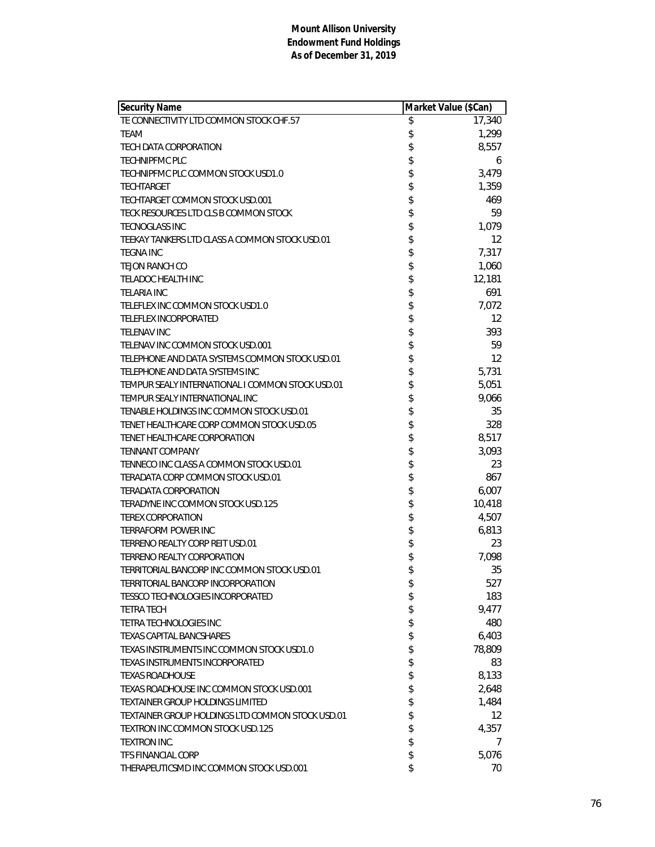| Security Name                                    | Market Value (\$Can) |                   |
|--------------------------------------------------|----------------------|-------------------|
| TE CONNECTIVITY LTD COMMON STOCK CHF.57          | \$                   | 17,340            |
| TEAM                                             | \$                   | 1,299             |
| <b>TECH DATA CORPORATION</b>                     | \$                   | 8,557             |
| <b>TECHNIPFMC PLC</b>                            | \$                   | 6                 |
| TECHNIPFMC PLC COMMON STOCK USD1.0               | \$                   | 3,479             |
| <b>TECHTARGET</b>                                | \$                   | 1,359             |
| TECHTARGET COMMON STOCK USD.001                  | \$                   | 469               |
| TECK RESOURCES LTD CLS B COMMON STOCK            | \$                   | 59                |
| <b>TECNOGLASS INC</b>                            | \$                   | 1,079             |
| TEEKAY TANKERS LTD CLASS A COMMON STOCK USD.01   | \$                   | $12 \overline{ }$ |
| <b>TEGNA INC</b>                                 | \$                   | 7,317             |
| <b>TEJON RANCH CO</b>                            | \$                   | 1,060             |
| <b>TELADOC HEALTH INC</b>                        | \$                   | 12,181            |
| <b>TELARIA INC</b>                               | \$                   | 691               |
| TELEFLEX INC COMMON STOCK USD1.0                 | \$                   | 7,072             |
| <b>TELEFLEX INCORPORATED</b>                     | \$                   | $12 \overline{ }$ |
| TFI FNAV INC                                     | \$                   | 393               |
| TELENAV INC COMMON STOCK USD.001                 | \$                   | 59                |
| TELEPHONE AND DATA SYSTEMS COMMON STOCK USD.01   | \$                   | 12                |
| TELEPHONE AND DATA SYSTEMS INC                   | \$                   | 5,731             |
| TEMPUR SEALY INTERNATIONAL I COMMON STOCK USD.01 | \$                   | 5,051             |
| TEMPUR SEALY INTERNATIONAL INC                   | \$                   | 9,066             |
| TENABLE HOLDINGS INC COMMON STOCK USD.01         | \$                   | 35                |
| TENET HEALTHCARE CORP COMMON STOCK USD.05        | \$                   | 328               |
| TENET HEALTHCARE CORPORATION                     | \$                   | 8,517             |
| <b>TENNANT COMPANY</b>                           | \$                   | 3,093             |
| TENNECO INC CLASS A COMMON STOCK USD.01          | \$                   | 23                |
| TERADATA CORP COMMON STOCK USD.01                | \$                   | 867               |
| <b>TERADATA CORPORATION</b>                      | \$                   | 6,007             |
| TERADYNE INC COMMON STOCK USD.125                | \$                   | 10,418            |
| <b>TEREX CORPORATION</b>                         | \$                   | 4,507             |
| <b>TERRAFORM POWER INC</b>                       | \$                   | 6,813             |
| TERRENO REALTY CORP REIT USD.01                  | \$                   | 23                |
| TERRENO REALTY CORPORATION                       | \$                   | 7,098             |
| TERRITORIAL BANCORP INC COMMON STOCK USD.01      | \$                   | 35                |
| TERRITORIAL BANCORP INCORPORATION                | \$                   | 527               |
| TESSCO TECHNOLOGIES INCORPORATED                 | \$                   | 183               |
| <b>TETRA TECH</b>                                | \$                   | 9,477             |
| TETRA TECHNOLOGIES INC                           | \$                   | 480               |
| TEXAS CAPITAL BANCSHARES                         | \$                   | 6,403             |
| TEXAS INSTRUMENTS INC COMMON STOCK USD1.0        | \$                   | 78,809            |
| TEXAS INSTRUMENTS INCORPORATED                   | \$                   | 83                |
| <b>TEXAS ROADHOUSE</b>                           | \$                   | 8,133             |
| TEXAS ROADHOUSE INC COMMON STOCK USD.001         | \$                   | 2,648             |
| TEXTAINER GROUP HOLDINGS LIMITED                 | \$                   | 1,484             |
| TEXTAINER GROUP HOLDINGS LTD COMMON STOCK USD.01 | \$                   | 12                |
| TEXTRON INC COMMON STOCK USD.125                 | \$                   | 4,357             |
| <b>TEXTRON INC.</b>                              | \$                   | $\prime$          |
| <b>TFS FINANCIAL CORP</b>                        | \$                   | 5,076             |
| THERAPEUTICSMD INC COMMON STOCK USD.001          | \$                   | 70                |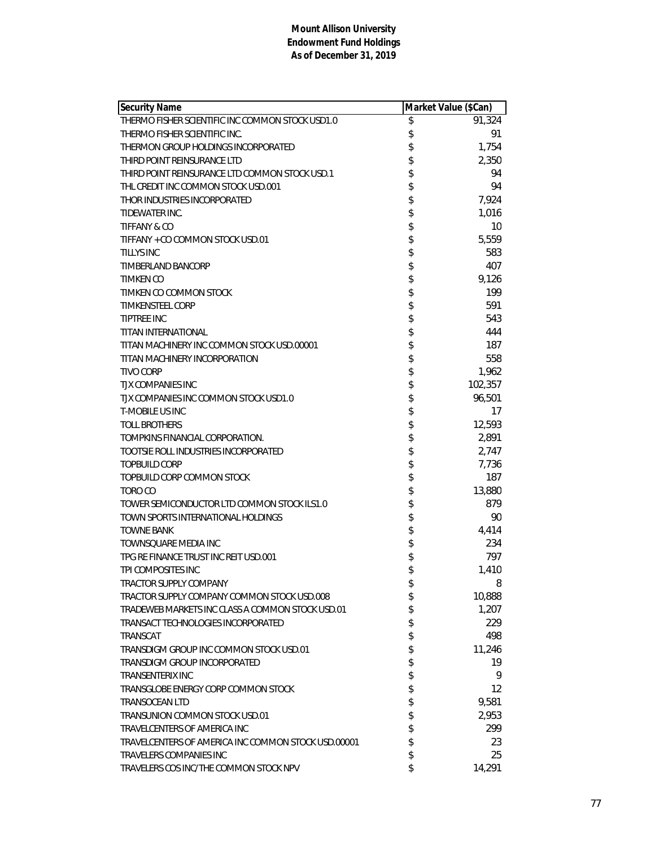| <b>Security Name</b>                                | Market Value (\$Can) |         |
|-----------------------------------------------------|----------------------|---------|
| THERMO FISHER SCIENTIFIC INC COMMON STOCK USD1.0    | \$                   | 91,324  |
| THERMO FISHER SCIENTIFIC INC.                       | \$                   | 91      |
| THERMON GROUP HOLDINGS INCORPORATED                 | \$                   | 1,754   |
| THIRD POINT REINSURANCE LTD                         | \$                   | 2,350   |
| THIRD POINT REINSURANCE LTD COMMON STOCK USD.1      | \$                   | 94      |
| THL CREDIT INC COMMON STOCK USD.001                 | \$                   | 94      |
| THOR INDUSTRIES INCORPORATED                        | \$                   | 7,924   |
| TIDEWATER INC.                                      | \$                   | 1,016   |
| <b>TIFFANY &amp; CO</b>                             | \$                   | 10      |
| TIFFANY + CO COMMON STOCK USD.01                    | \$                   | 5,559   |
| <b>TILLYS INC</b>                                   | \$                   | 583     |
| TIMBERLAND BANCORP                                  | \$                   | 407     |
| <b>TIMKEN CO</b>                                    | \$                   | 9,126   |
| TIMKEN CO COMMON STOCK                              | \$                   | 199     |
| <b>TIMKENSTEEL CORP</b>                             | \$                   | 591     |
| <b>TIPTREE INC</b>                                  | \$                   | 543     |
| TITAN INTERNATIONAL                                 | \$                   | 444     |
| TITAN MACHINERY INC COMMON STOCK USD.00001          | \$                   | 187     |
| TITAN MACHINERY INCORPORATION                       | \$                   | 558     |
| <b>TIVO CORP</b>                                    | \$                   | 1,962   |
| <b>TJX COMPANIES INC</b>                            | \$                   | 102,357 |
| TJX COMPANIES INC COMMON STOCK USD1.0               | \$                   | 96,501  |
| <b>T-MOBILE US INC</b>                              | \$                   | 17      |
| <b>TOLL BROTHERS</b>                                | \$                   | 12,593  |
| TOMPKINS FINANCIAL CORPORATION.                     | \$                   | 2,891   |
| TOOTSIE ROLL INDUSTRIES INCORPORATED                | \$                   | 2,747   |
| <b>TOPBUILD CORP</b>                                | \$                   | 7,736   |
| TOPBUILD CORP COMMON STOCK                          | \$                   | 187     |
| TORO CO                                             | \$                   | 13,880  |
| TOWER SEMICONDUCTOR LTD COMMON STOCK ILS1.0         | \$                   | 879     |
| TOWN SPORTS INTERNATIONAL HOLDINGS                  | \$                   | 90      |
| <b>TOWNE BANK</b>                                   | \$                   | 4,414   |
| TOWNSQUARE MEDIA INC                                | \$                   | 234     |
| TPG RE FINANCE TRUST INC REIT USD.001               | \$                   | 797     |
| TPI COMPOSITES INC                                  | \$                   | 1,410   |
| <b>TRACTOR SUPPLY COMPANY</b>                       | \$                   | 8       |
| TRACTOR SUPPLY COMPANY COMMON STOCK USD.008         | \$                   | 10,888  |
| TRADEWEB MARKETS INC CLASS A COMMON STOCK USD.01    | \$                   | 1,207   |
| TRANSACT TECHNOLOGIES INCORPORATED                  | \$                   | 229     |
| TRANSCAT                                            | \$                   | 498     |
| TRANSDIGM GROUP INC COMMON STOCK USD.01             | \$                   | 11,246  |
| TRANSDIGM GROUP INCORPORATED                        | \$                   | 19      |
| <b>TRANSENTERIX INC</b>                             | \$                   | 9       |
| TRANSGLOBE ENERGY CORP COMMON STOCK                 | \$                   | 12      |
| <b>TRANSOCEAN LTD</b>                               | \$                   | 9,581   |
| TRANSUNION COMMON STOCK USD.01                      | \$                   | 2,953   |
| TRAVELCENTERS OF AMERICA INC                        | \$                   | 299     |
| TRAVELCENTERS OF AMERICA INC COMMON STOCK USD.00001 | \$                   | 23      |
| TRAVELERS COMPANIES INC                             | \$                   | 25      |
| TRAVELERS COS INC/THE COMMON STOCK NPV              | \$                   | 14,291  |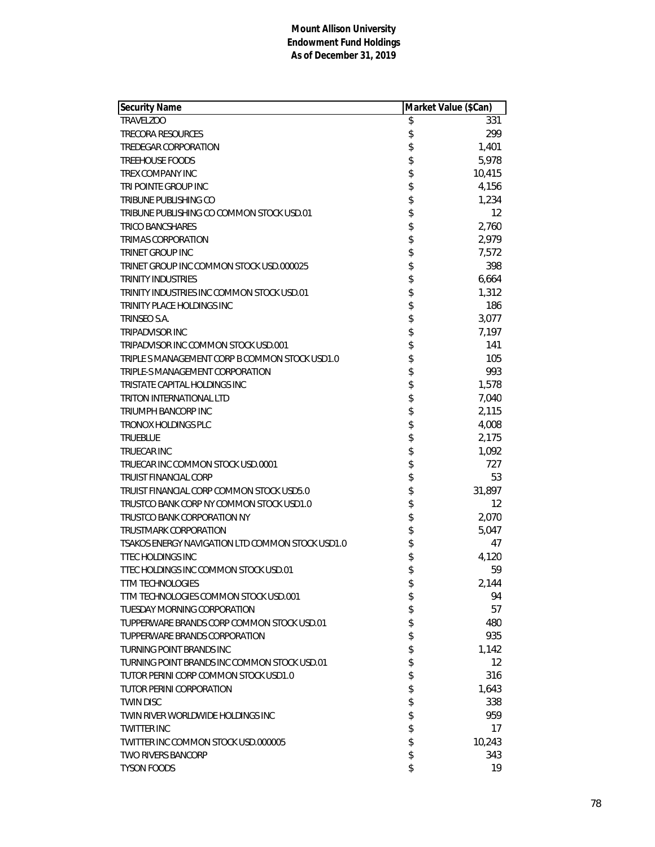| Security Name                                    | Market Value (\$Can) |                   |
|--------------------------------------------------|----------------------|-------------------|
| <b>TRAVELZOO</b>                                 | \$                   | 331               |
| <b>TRECORA RESOURCES</b>                         | \$                   | 299               |
| <b>TREDEGAR CORPORATION</b>                      | \$                   | 1,401             |
| <b>TREEHOUSE FOODS</b>                           | \$                   | 5,978             |
| <b>TREX COMPANY INC</b>                          | \$                   | 10,415            |
| TRI POINTE GROUP INC                             | \$                   | 4,156             |
| TRIBUNE PUBLISHING CO                            | \$                   | 1,234             |
| TRIBUNE PUBLISHING CO COMMON STOCK USD.01        | \$                   | 12                |
| <b>TRICO BANCSHARES</b>                          | \$                   | 2,760             |
| <b>TRIMAS CORPORATION</b>                        | \$                   | 2,979             |
| <b>TRINET GROUP INC</b>                          | \$                   | 7,572             |
| TRINET GROUP INC COMMON STOCK USD.000025         | \$                   | 398               |
| <b>TRINITY INDUSTRIES</b>                        | \$                   | 6,664             |
| TRINITY INDUSTRIES INC COMMON STOCK USD.01       | \$                   | 1,312             |
| TRINITY PLACE HOLDINGS INC                       | \$                   | 186               |
| TRINSEO S.A.                                     | \$                   | 3,077             |
| <b>TRIPADVISOR INC</b>                           | \$                   | 7,197             |
| TRIPADVISOR INC COMMON STOCK USD.001             | \$                   | 141               |
| TRIPLE S MANAGEMENT CORP B COMMON STOCK USD1.0   | \$                   | 105               |
| TRIPLE-S MANAGEMENT CORPORATION                  | \$                   | 993               |
| TRISTATE CAPITAL HOLDINGS INC                    | \$                   | 1,578             |
| TRITON INTERNATIONAL LTD                         | \$                   | 7,040             |
| TRIUMPH BANCORP INC                              | \$                   | 2,115             |
| <b>TRONOX HOLDINGS PLC</b>                       | \$                   | 4,008             |
| <b>TRUEBLUE</b>                                  | \$                   | 2,175             |
| <b>TRUECAR INC</b>                               | \$                   | 1,092             |
| TRUECAR INC COMMON STOCK USD.0001                | \$                   | 727               |
| <b>TRUIST FINANCIAL CORP</b>                     | \$                   | 53                |
| TRUIST FINANCIAL CORP COMMON STOCK USD5.0        | \$                   | 31,897            |
| TRUSTCO BANK CORP NY COMMON STOCK USD1.0         | \$                   | 12                |
| TRUSTCO BANK CORPORATION NY                      | \$                   | 2,070             |
| <b>TRUSTMARK CORPORATION</b>                     | \$                   | 5,047             |
| TSAKOS ENERGY NAVIGATION LTD COMMON STOCK USD1.0 | \$                   | 47                |
| <b>TTEC HOLDINGS INC</b>                         | \$                   | 4,120             |
| TTEC HOLDINGS INC COMMON STOCK USD.01            | \$                   | 59                |
| <b>TTM TECHNOLOGIES</b>                          | \$                   | 2,144             |
| TTM TECHNOLOGIES COMMON STOCK USD.001            | \$                   | 94                |
| <b>TUESDAY MORNING CORPORATION</b>               | \$                   | 57                |
| TUPPERWARE BRANDS CORP COMMON STOCK USD.01       | \$                   | 480               |
| TUPPERWARE BRANDS CORPORATION                    | \$                   | 935               |
| TURNING POINT BRANDS INC                         | \$                   | 1,142             |
| TURNING POINT BRANDS INC COMMON STOCK USD.01     | \$                   | $12 \overline{ }$ |
| TUTOR PERINI CORP COMMON STOCK USD1.0            | \$                   | 316               |
| <b>TUTOR PERINI CORPORATION</b>                  | \$                   | 1,643             |
| <b>TWIN DISC</b>                                 | \$                   | 338               |
| TWIN RIVER WORLDWIDE HOLDINGS INC                | \$                   | 959               |
| <b>TWITTER INC</b>                               | \$                   | 17                |
| TWITTER INC COMMON STOCK USD.000005              | \$                   | 10,243            |
| <b>TWO RIVERS BANCORP</b>                        | \$                   | 343               |
| <b>TYSON FOODS</b>                               | \$                   | 19                |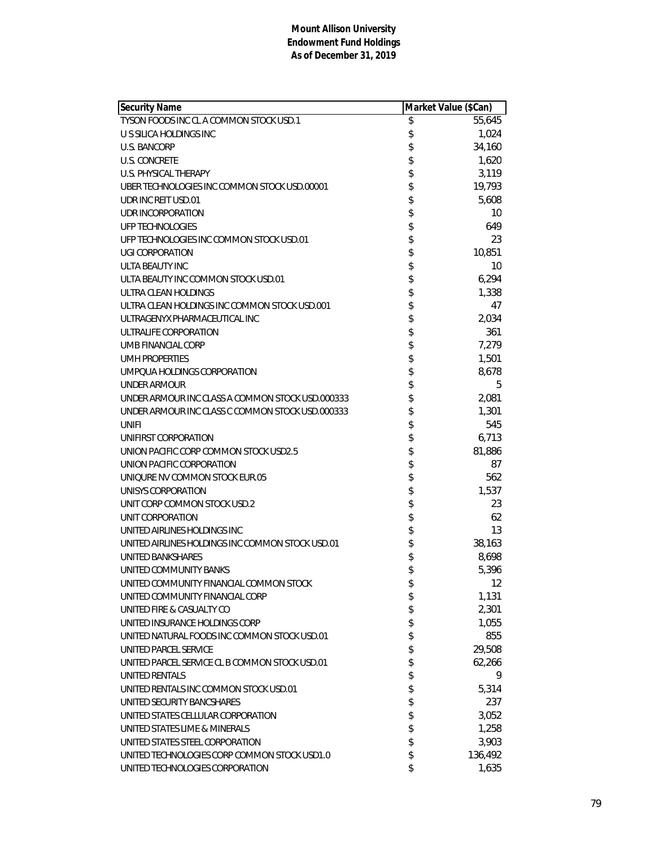| <b>Security Name</b>                             | Market Value (\$Can) |         |
|--------------------------------------------------|----------------------|---------|
| TYSON FOODS INC CL A COMMON STOCK USD.1          | \$                   | 55,645  |
| U S SILICA HOLDINGS INC                          | \$                   | 1,024   |
| <b>U.S. BANCORP</b>                              | \$                   | 34,160  |
| <b>U.S. CONCRETE</b>                             | \$                   | 1,620   |
| U.S. PHYSICAL THERAPY                            | \$                   | 3,119   |
| UBER TECHNOLOGIES INC COMMON STOCK USD.00001     | \$                   | 19,793  |
| UDR INC REIT USD.01                              | \$                   | 5,608   |
| UDR INCORPORATION                                | \$                   | 10      |
| <b>UFP TECHNOLOGIES</b>                          | \$                   | 649     |
| UFP TECHNOLOGIES INC COMMON STOCK USD.01         | \$                   | 23      |
| <b>UGI CORPORATION</b>                           | \$                   | 10,851  |
| ULTA BEAUTY INC                                  | \$                   | 10      |
| ULTA BEAUTY INC COMMON STOCK USD.01              | \$                   | 6,294   |
| ULTRA CLEAN HOLDINGS                             | \$                   | 1,338   |
| ULTRA CLEAN HOLDINGS INC COMMON STOCK USD.001    | \$                   | 47      |
| ULTRAGENYX PHARMACEUTICAL INC                    | \$                   | 2,034   |
| ULTRALIFE CORPORATION                            | \$                   | 361     |
| UMB FINANCIAL CORP                               | \$                   | 7,279   |
| <b>UMH PROPERTIES</b>                            | \$                   | 1,501   |
| UMPOUA HOLDINGS CORPORATION                      | \$                   | 8,678   |
| UNDER ARMOUR                                     | \$                   | 5       |
| UNDER ARMOUR INC CLASS A COMMON STOCK USD.000333 | \$                   | 2,081   |
| UNDER ARMOUR INC CLASS C COMMON STOCK USD.000333 | \$                   | 1,301   |
| UNIFI                                            | \$                   | 545     |
| UNIFIRST CORPORATION                             | \$                   | 6,713   |
| UNION PACIFIC CORP COMMON STOCK USD2.5           | \$                   | 81,886  |
| UNION PACIFIC CORPORATION                        | \$                   | 87      |
| UNIQURE NV COMMON STOCK EUR.05                   | \$                   | 562     |
| UNISYS CORPORATION                               | \$                   | 1,537   |
| UNIT CORP COMMON STOCK USD.2                     | \$                   | 23      |
| UNIT CORPORATION                                 | \$                   | 62      |
| UNITED AIRLINES HOLDINGS INC                     | \$                   | 13      |
| UNITED AIRLINES HOLDINGS INC COMMON STOCK USD.01 | \$                   | 38,163  |
| <b>UNITED BANKSHARES</b>                         | \$                   | 8,698   |
| UNITED COMMUNITY BANKS                           | \$                   | 5,396   |
| UNITED COMMUNITY FINANCIAL COMMON STOCK          | \$                   | 12      |
| UNITED COMMUNITY FINANCIAL CORP                  | \$                   | 1,131   |
| UNITED FIRE & CASUALTY CO                        | \$                   | 2,301   |
| UNITED INSURANCE HOLDINGS CORP                   | \$                   | 1,055   |
| UNITED NATURAL FOODS INC COMMON STOCK USD.01     | \$                   | 855     |
| <b>UNITED PARCEL SERVICE</b>                     | \$                   | 29,508  |
| UNITED PARCEL SERVICE CL B COMMON STOCK USD.01   | \$                   | 62,266  |
| <b>UNITED RENTALS</b>                            | \$                   | 9       |
| UNITED RENTALS INC COMMON STOCK USD.01           | \$                   | 5,314   |
| UNITED SECURITY BANCSHARES                       | \$                   | 237     |
| UNITED STATES CELLULAR CORPORATION               | \$                   | 3,052   |
| UNITED STATES LIME & MINERALS                    | \$                   | 1,258   |
| UNITED STATES STEEL CORPORATION                  | \$                   | 3,903   |
| UNITED TECHNOLOGIES CORP COMMON STOCK USD1.0     | \$                   | 136,492 |
| UNITED TECHNOLOGIES CORPORATION                  | \$                   | 1,635   |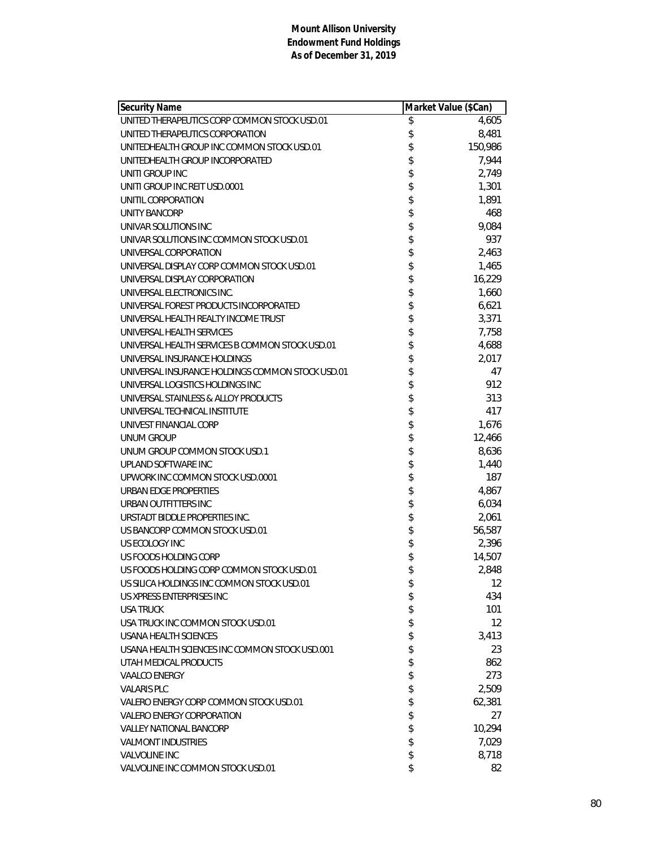| <b>Security Name</b>                             | Market Value (\$Can) |         |
|--------------------------------------------------|----------------------|---------|
| UNITED THERAPEUTICS CORP COMMON STOCK USD.01     | \$                   | 4,605   |
| UNITED THERAPEUTICS CORPORATION                  | \$                   | 8,481   |
| UNITEDHEALTH GROUP INC COMMON STOCK USD.01       | \$                   | 150,986 |
| UNITEDHEALTH GROUP INCORPORATED                  | \$                   | 7,944   |
| UNITI GROUP INC                                  | \$                   | 2,749   |
| UNITI GROUP INC REIT USD.0001                    | \$                   | 1,301   |
| UNITIL CORPORATION                               | \$                   | 1,891   |
| UNITY BANCORP                                    | \$                   | 468     |
| UNIVAR SOLUTIONS INC                             | \$                   | 9,084   |
| UNIVAR SOLUTIONS INC COMMON STOCK USD.01         | \$                   | 937     |
| UNIVERSAL CORPORATION                            | \$                   | 2,463   |
| UNIVERSAL DISPLAY CORP COMMON STOCK USD.01       | \$                   | 1,465   |
| UNIVERSAL DISPLAY CORPORATION                    |                      | 16,229  |
| UNIVERSAL ELECTRONICS INC.                       | \$                   | 1,660   |
| UNIVERSAL FOREST PRODUCTS INCORPORATED           | \$                   | 6,621   |
| UNIVERSAL HEALTH REALTY INCOME TRUST             | \$                   | 3,371   |
| UNIVERSAL HEALTH SERVICES                        |                      | 7,758   |
| UNIVERSAL HEALTH SERVICES B COMMON STOCK USD.01  |                      | 4,688   |
| UNIVERSAL INSURANCE HOLDINGS                     | \$\$\$\$             | 2,017   |
| UNIVERSAL INSURANCE HOLDINGS COMMON STOCK USD.01 |                      | 47      |
| UNIVERSAL LOGISTICS HOLDINGS INC                 | \$                   | 912     |
| UNIVERSAL STAINLESS & ALLOY PRODUCTS             | \$                   | 313     |
| UNIVERSAL TECHNICAL INSTITUTE                    | \$                   | 417     |
| UNIVEST FINANCIAL CORP                           | \$                   | 1,676   |
| UNUM GROUP                                       | \$                   | 12,466  |
| UNUM GROUP COMMON STOCK USD.1                    | \$                   | 8,636   |
| UPLAND SOFTWARE INC                              | \$                   | 1,440   |
| UPWORK INC COMMON STOCK USD.0001                 | \$                   | 187     |
| URBAN EDGE PROPERTIES                            |                      | 4,867   |
| URBAN OUTFITTERS INC                             | \$\$                 | 6,034   |
| URSTADT BIDDLE PROPERTIES INC.                   |                      | 2,061   |
| US BANCORP COMMON STOCK USD.01                   | \$                   | 56,587  |
| US ECOLOGY INC                                   | \$                   | 2,396   |
| US FOODS HOLDING CORP                            | \$                   | 14,507  |
| US FOODS HOLDING CORP COMMON STOCK USD.01        | \$                   | 2,848   |
| US SILICA HOLDINGS INC COMMON STOCK USD.01       | \$                   | 12      |
| US XPRESS ENTERPRISES INC                        | \$                   | 434     |
| <b>USA TRUCK</b>                                 | \$                   | 101     |
| USA TRUCK INC COMMON STOCK USD.01                | \$                   | 12      |
| USANA HEALTH SCIENCES                            | \$                   | 3,413   |
| USANA HEALTH SCIENCES INC COMMON STOCK USD.001   | \$                   | 23      |
| UTAH MEDICAL PRODUCTS                            | \$                   | 862     |
| <b>VAALCO ENERGY</b>                             | \$                   | 273     |
| <b>VALARIS PLC</b>                               | \$                   | 2,509   |
| VALERO ENERGY CORP COMMON STOCK USD.01           | \$                   | 62,381  |
| <b>VALERO ENERGY CORPORATION</b>                 | \$                   | 27      |
| <b>VALLEY NATIONAL BANCORP</b>                   | \$                   | 10,294  |
| <b>VALMONT INDUSTRIES</b>                        | \$                   | 7,029   |
| <b>VALVOLINE INC</b>                             | \$                   | 8,718   |
| VALVOLINE INC COMMON STOCK USD.01                | \$                   | 82      |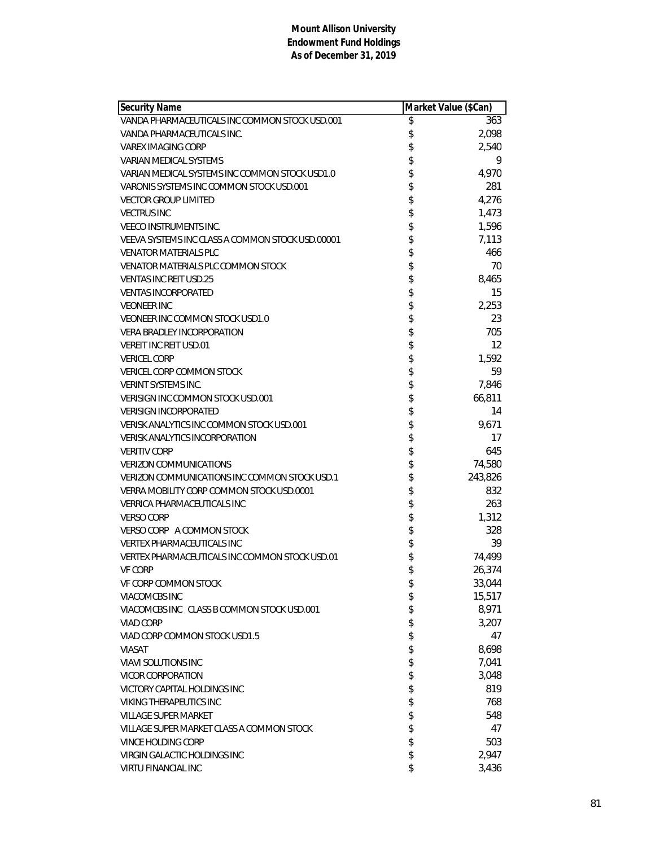| <b>Security Name</b>                             | Market Value (\$Can) |         |
|--------------------------------------------------|----------------------|---------|
| VANDA PHARMACEUTICALS INC COMMON STOCK USD.001   | \$                   | 363     |
| VANDA PHARMACEUTICALS INC.                       | \$                   | 2,098   |
| <b>VAREX IMAGING CORP</b>                        | \$                   | 2,540   |
| <b>VARIAN MEDICAL SYSTEMS</b>                    | \$                   | 9       |
| VARIAN MEDICAL SYSTEMS INC COMMON STOCK USD1.0   | \$                   | 4,970   |
| VARONIS SYSTEMS INC COMMON STOCK USD.001         | \$                   | 281     |
| <b>VECTOR GROUP LIMITED</b>                      | \$                   | 4,276   |
| <b>VECTRUS INC</b>                               | \$                   | 1,473   |
| <b>VEECO INSTRUMENTS INC.</b>                    | \$                   | 1,596   |
| VEEVA SYSTEMS INC CLASS A COMMON STOCK USD.00001 | \$                   | 7,113   |
| <b>VENATOR MATERIALS PLC</b>                     | \$                   | 466     |
| VENATOR MATERIALS PLC COMMON STOCK               | \$                   | 70      |
| <b>VENTAS INC REIT USD.25</b>                    | \$                   | 8,465   |
| <b>VENTAS INCORPORATED</b>                       | \$                   | 15      |
| <b>VEONEER INC</b>                               | \$                   | 2,253   |
| VEONEER INC COMMON STOCK USD1.0                  | \$                   | 23      |
| <b>VERA BRADLEY INCORPORATION</b>                | \$                   | 705     |
| <b>VEREIT INC REIT USD.01</b>                    | \$                   | 12      |
| <b>VERICEL CORP</b>                              | \$                   | 1,592   |
| <b>VERICEL CORP COMMON STOCK</b>                 | \$                   | 59      |
| <b>VERINT SYSTEMS INC.</b>                       | \$                   | 7,846   |
| VERISIGN INC COMMON STOCK USD.001                | \$                   | 66,811  |
| <b>VERISIGN INCORPORATED</b>                     | \$                   | 14      |
| VERISK ANALYTICS INC COMMON STOCK USD.001        | \$                   | 9,671   |
| <b>VERISK ANALYTICS INCORPORATION</b>            | \$                   | 17      |
| <b>VERITIV CORP</b>                              | \$                   | 645     |
| <b>VERIZON COMMUNICATIONS</b>                    | \$                   | 74,580  |
| VERIZON COMMUNICATIONS INC COMMON STOCK USD.1    | \$                   | 243,826 |
| VERRA MOBILITY CORP COMMON STOCK USD.0001        | \$                   | 832     |
| <b>VERRICA PHARMACEUTICALS INC</b>               | \$                   | 263     |
| <b>VERSO CORP</b>                                | \$                   | 1,312   |
| VERSO CORP A COMMON STOCK                        | \$                   | 328     |
| <b>VERTEX PHARMACEUTICALS INC</b>                | \$                   | 39      |
| VERTEX PHARMACEUTICALS INC COMMON STOCK USD.01   | \$                   | 74,499  |
| <b>VF CORP</b>                                   | \$                   | 26,374  |
| VF CORP COMMON STOCK                             | \$                   | 33,044  |
| VIACOMCBS INC                                    | \$                   | 15,517  |
| VIACOMCBS INC CLASS B COMMON STOCK USD.001       | \$                   | 8,971   |
| <b>VIAD CORP</b>                                 | \$                   | 3,207   |
| VIAD CORP COMMON STOCK USD1.5                    | \$                   | 47      |
| <b>VIASAT</b>                                    | \$                   | 8,698   |
| <b>VIAVI SOLUTIONS INC</b>                       | \$                   | 7,041   |
| VICOR CORPORATION                                | \$                   | 3,048   |
| VICTORY CAPITAL HOLDINGS INC                     | \$                   | 819     |
| <b>VIKING THERAPEUTICS INC</b>                   | \$                   | 768     |
| <b>VILLAGE SUPER MARKET</b>                      | \$                   | 548     |
| VILLAGE SUPER MARKET CLASS A COMMON STOCK        | \$                   | 47      |
| <b>VINCE HOLDING CORP</b>                        | \$                   | 503     |
| <b>VIRGIN GALACTIC HOLDINGS INC</b>              | \$                   | 2,947   |
| VIRTU FINANCIAL INC                              | \$                   | 3,436   |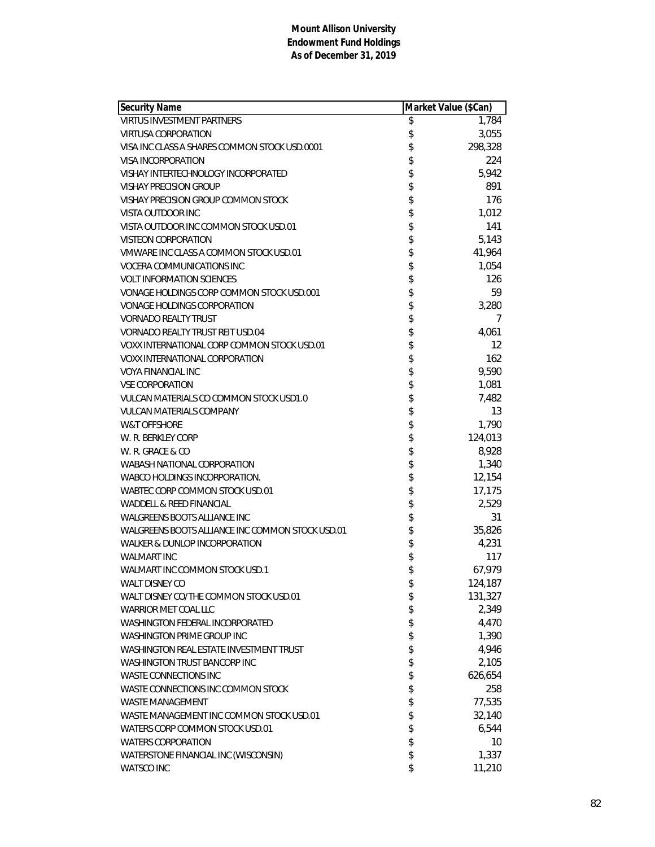| <b>Security Name</b>                             | Market Value (\$Can) |         |
|--------------------------------------------------|----------------------|---------|
| <b>VIRTUS INVESTMENT PARTNERS</b>                | \$                   | 1,784   |
| <b>VIRTUSA CORPORATION</b>                       | \$                   | 3,055   |
| VISA INC CLASS A SHARES COMMON STOCK USD.0001    | \$                   | 298,328 |
| VISA INCORPORATION                               | \$                   | 224     |
| VISHAY INTERTECHNOLOGY INCORPORATED              | \$                   | 5,942   |
| <b>VISHAY PRECISION GROUP</b>                    | \$                   | 891     |
| VISHAY PRECISION GROUP COMMON STOCK              | \$                   | 176     |
| VISTA OUTDOOR INC                                | \$                   | 1,012   |
| VISTA OUTDOOR INC COMMON STOCK USD.01            | \$                   | 141     |
| VISTEON CORPORATION                              | \$                   | 5,143   |
| VMWARE INC CLASS A COMMON STOCK USD.01           | \$                   | 41,964  |
| VOCERA COMMUNICATIONS INC                        | \$                   | 1,054   |
| <b>VOLT INFORMATION SCIENCES</b>                 | \$                   | 126     |
| VONAGE HOLDINGS CORP COMMON STOCK USD.001        | \$                   | 59      |
| <b>VONAGE HOLDINGS CORPORATION</b>               | \$                   | 3,280   |
| <b>VORNADO REALTY TRUST</b>                      | \$                   | 7       |
| VORNADO REALTY TRUST REIT USD.04                 | \$                   | 4,061   |
| VOXX INTERNATIONAL CORP COMMON STOCK USD.01      | \$                   | 12      |
| <b>VOXX INTERNATIONAL CORPORATION</b>            | \$                   | 162     |
| <b>VOYA FINANCIAL INC</b>                        | \$                   | 9,590   |
| <b>VSE CORPORATION</b>                           | \$                   | 1,081   |
| VULCAN MATERIALS CO COMMON STOCK USD1.0          | \$                   | 7,482   |
| <b>VULCAN MATERIALS COMPANY</b>                  | \$                   | 13      |
| <b>W&amp;T OFFSHORE</b>                          | \$                   | 1,790   |
| W. R. BERKLEY CORP                               | \$                   | 124,013 |
| W. R. GRACE & CO                                 | \$                   | 8,928   |
| WABASH NATIONAL CORPORATION                      | \$                   | 1,340   |
| WABCO HOLDINGS INCORPORATION.                    | \$                   | 12,154  |
| WABTEC CORP COMMON STOCK USD.01                  | \$                   | 17,175  |
| WADDELL & REED FINANCIAL                         | \$                   | 2,529   |
| WALGREENS BOOTS ALLIANCE INC                     | \$                   | 31      |
| WALGREENS BOOTS ALLIANCE INC COMMON STOCK USD.01 | \$                   | 35,826  |
| WALKER & DUNLOP INCORPORATION                    | \$                   | 4,231   |
| <b>WALMART INC</b>                               | \$                   | 117     |
| WALMART INC COMMON STOCK USD.1                   | \$                   | 67,979  |
| <b>WALT DISNEY CO</b>                            | \$                   | 124,187 |
| WALT DISNEY CO/THE COMMON STOCK USD.01           | \$                   | 131,327 |
| WARRIOR MET COAL LLC                             | \$                   | 2,349   |
| WASHINGTON FEDERAL INCORPORATED                  | \$                   | 4,470   |
| <b>WASHINGTON PRIME GROUP INC</b>                | \$                   | 1,390   |
| WASHINGTON REAL ESTATE INVESTMENT TRUST          | \$                   | 4,946   |
| <b>WASHINGTON TRUST BANCORP INC</b>              | \$                   | 2,105   |
| <b>WASTE CONNECTIONS INC</b>                     | \$                   | 626,654 |
| WASTE CONNECTIONS INC COMMON STOCK               | \$                   | 258     |
| <b>WASTE MANAGEMENT</b>                          | \$                   | 77,535  |
| WASTE MANAGEMENT INC COMMON STOCK USD.01         | \$                   | 32,140  |
| WATERS CORP COMMON STOCK USD.01                  | \$                   | 6,544   |
| <b>WATERS CORPORATION</b>                        | \$                   | 10      |
| WATERSTONE FINANCIAL INC (WISCONSIN)             | \$                   | 1,337   |
| <b>WATSCO INC</b>                                | \$                   | 11,210  |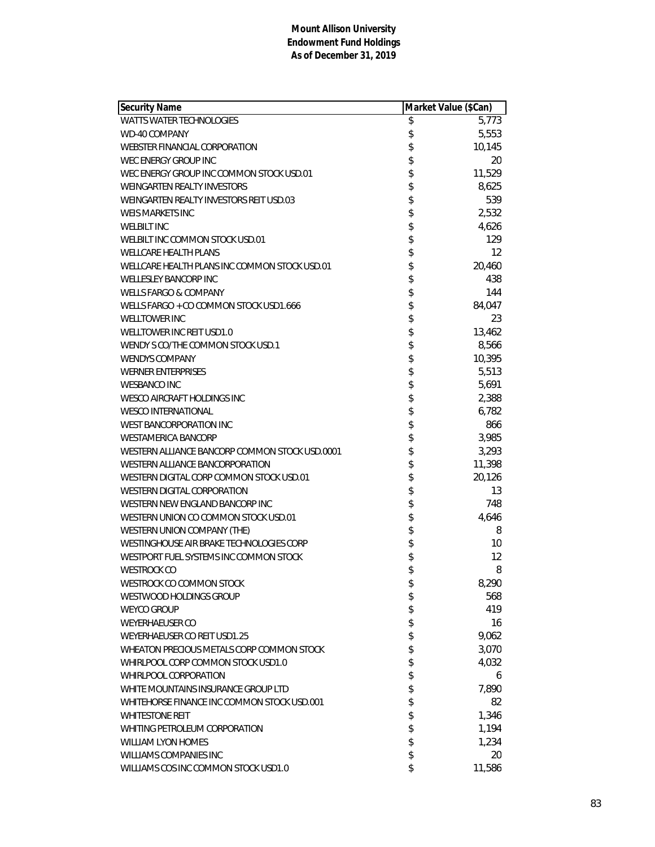| <b>Security Name</b>                           | Market Value (\$Can) |        |
|------------------------------------------------|----------------------|--------|
| WATTS WATER TECHNOLOGIES                       | \$                   | 5,773  |
| <b>WD-40 COMPANY</b>                           | \$                   | 5,553  |
| WEBSTER FINANCIAL CORPORATION                  | \$                   | 10,145 |
| WEC ENERGY GROUP INC                           | \$                   | 20     |
| WEC ENERGY GROUP INC COMMON STOCK USD.01       | \$                   | 11,529 |
| <b>WEINGARTEN REALTY INVESTORS</b>             | \$                   | 8,625  |
| WEINGARTEN REALTY INVESTORS REIT USD.03        | \$                   | 539    |
| <b>WEIS MARKETS INC</b>                        | \$                   | 2,532  |
| <b>WELBILT INC</b>                             | \$                   | 4,626  |
| WELBILT INC COMMON STOCK USD.01                | \$                   | 129    |
| <b>WELLCARE HEALTH PLANS</b>                   | \$                   | 12     |
| WELLCARE HEALTH PLANS INC COMMON STOCK USD.01  | \$                   | 20,460 |
| <b>WELLESLEY BANCORP INC</b>                   | \$                   | 438    |
| <b>WELLS FARGO &amp; COMPANY</b>               | \$                   | 144    |
| WELLS FARGO + CO COMMON STOCK USD1.666         | \$                   | 84,047 |
| <b>WELLTOWER INC</b>                           | \$                   | 23     |
| WELLTOWER INC REIT USD1.0                      | \$                   | 13,462 |
| WENDY S CO/THE COMMON STOCK USD.1              | \$                   | 8,566  |
| <b>WENDYS COMPANY</b>                          | \$                   | 10,395 |
| <b>WERNER ENTERPRISES</b>                      | \$                   | 5,513  |
| <b>WESBANCO INC</b>                            | \$                   | 5,691  |
| WESCO AIRCRAFT HOLDINGS INC                    | \$                   | 2,388  |
| <b>WESCO INTERNATIONAL</b>                     | \$                   | 6,782  |
| <b>WEST BANCORPORATION INC</b>                 | \$                   | 866    |
| <b>WESTAMERICA BANCORP</b>                     | \$                   | 3,985  |
| WESTERN ALLIANCE BANCORP COMMON STOCK USD.0001 | \$                   | 3,293  |
| WESTERN ALLIANCE BANCORPORATION                | \$                   | 11,398 |
| WESTERN DIGITAL CORP COMMON STOCK USD.01       | \$                   | 20,126 |
| WESTERN DIGITAL CORPORATION                    | \$                   | 13     |
| WESTERN NEW ENGLAND BANCORP INC                | \$                   | 748    |
| WESTERN UNION CO COMMON STOCK USD.01           | \$                   | 4,646  |
| WESTERN UNION COMPANY (THE)                    | \$                   | 8      |
| WESTINGHOUSE AIR BRAKE TECHNOLOGIES CORP       | \$                   | 10     |
| WESTPORT FUEL SYSTEMS INC COMMON STOCK         | \$                   | 12     |
| <b>WESTROCK CO</b>                             | \$                   | 8      |
| WESTROCK CO COMMON STOCK                       | \$                   | 8,290  |
| WESTWOOD HOLDINGS GROUP                        | \$                   | 568    |
| <b>WEYCO GROUP</b>                             | \$                   | 419    |
| WEYERHAEUSER CO                                | \$                   | 16     |
| WEYERHAEUSER CO REIT USD1.25                   | \$                   | 9,062  |
| WHEATON PRECIOUS METALS CORP COMMON STOCK      | \$                   | 3,070  |
| WHIRLPOOL CORP COMMON STOCK USD1.0             | \$                   | 4,032  |
| WHIRLPOOL CORPORATION                          | \$                   | 6      |
| WHITE MOUNTAINS INSURANCE GROUP LTD            | \$                   | 7,890  |
| WHITEHORSE FINANCE INC COMMON STOCK USD.001    | \$                   | 82     |
| <b>WHITESTONE REIT</b>                         | \$                   | 1,346  |
| WHITING PETROLEUM CORPORATION                  | \$                   | 1,194  |
| <b>WILLIAM LYON HOMES</b>                      | \$                   | 1,234  |
| <b>WILLIAMS COMPANIES INC</b>                  | \$                   | 20     |
| WILLIAMS COS INC COMMON STOCK USD1.0           | \$                   | 11,586 |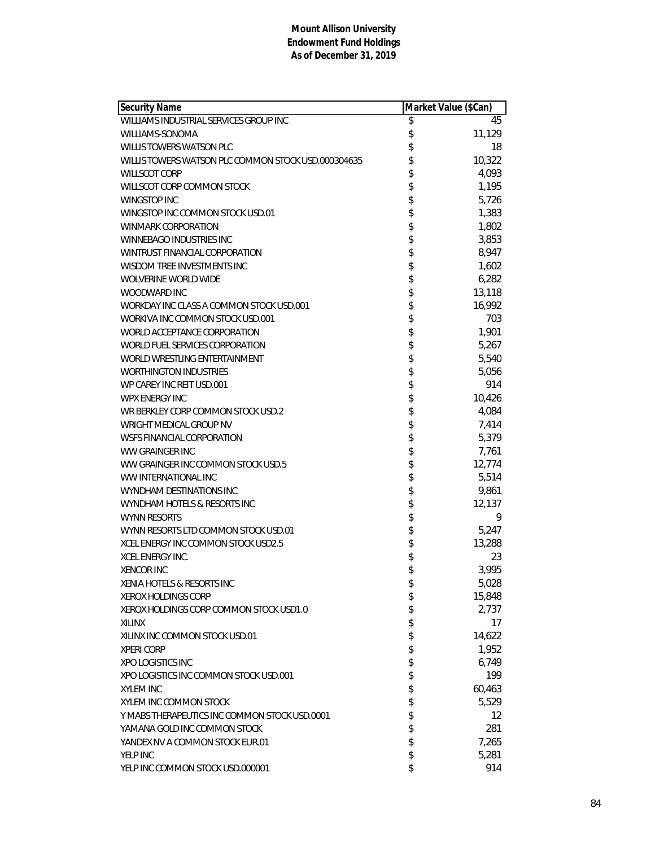| Security Name                                       | Market Value (\$Can) |        |
|-----------------------------------------------------|----------------------|--------|
| WILLIAMS INDUSTRIAL SERVICES GROUP INC              | \$                   | 45     |
| WILLIAMS-SONOMA                                     | \$                   | 11,129 |
| WILLIS TOWERS WATSON PLC                            | \$                   | 18     |
| WILLIS TOWERS WATSON PLC COMMON STOCK USD.000304635 | \$                   | 10,322 |
| <b>WILLSCOT CORP</b>                                | \$                   | 4,093  |
| WILLSCOT CORP COMMON STOCK                          | \$                   | 1,195  |
| WINGSTOP INC                                        | \$                   | 5,726  |
| WINGSTOP INC COMMON STOCK USD.01                    | \$                   | 1,383  |
| WINMARK CORPORATION                                 | \$                   | 1,802  |
| WINNEBAGO INDUSTRIES INC                            | \$                   | 3,853  |
| WINTRUST FINANCIAL CORPORATION                      |                      | 8,947  |
| WISDOM TREE INVESTMENTS INC                         | \$                   | 1,602  |
| <b>WOLVERINE WORLD WIDE</b>                         | \$                   | 6,282  |
| WOODWARD INC                                        | \$                   | 13,118 |
| WORKDAY INC CLASS A COMMON STOCK USD.001            | \$                   | 16,992 |
| WORKIVA INC COMMON STOCK USD.001                    | \$                   | 703    |
| WORLD ACCEPTANCE CORPORATION                        | \$                   | 1,901  |
| WORLD FUEL SERVICES CORPORATION                     | \$                   | 5,267  |
| WORLD WRESTLING ENTERTAINMENT                       | \$                   | 5,540  |
| <b>WORTHINGTON INDUSTRIES</b>                       | \$                   | 5,056  |
| WP CAREY INC REIT USD.001                           | \$                   | 914    |
| <b>WPX ENERGY INC</b>                               | \$                   | 10,426 |
| WR BERKLEY CORP COMMON STOCK USD.2                  | \$                   | 4,084  |
| <b>WRIGHT MEDICAL GROUP NV</b>                      | \$                   | 7,414  |
| WSFS FINANCIAL CORPORATION                          | \$                   | 5,379  |
| <b>WW GRAINGER INC</b>                              | \$                   | 7,761  |
| WW GRAINGER INC COMMON STOCK USD.5                  | \$                   | 12,774 |
| WW INTERNATIONAL INC                                | \$                   | 5,514  |
| WYNDHAM DESTINATIONS INC                            | \$                   | 9,861  |
| WYNDHAM HOTELS & RESORTS INC                        | \$                   | 12,137 |
| <b>WYNN RESORTS</b>                                 | \$                   | 9      |
| WYNN RESORTS LTD COMMON STOCK USD.01                | \$                   | 5,247  |
| XCEL ENERGY INC COMMON STOCK USD2.5                 | \$                   | 13,288 |
| <b>XCEL ENERGY INC.</b>                             | \$                   | 23     |
| <b>XENCOR INC</b>                                   | \$                   | 3,995  |
| XENIA HOTELS & RESORTS INC                          | \$                   | 5,028  |
| <b>XEROX HOLDINGS CORP</b>                          | \$                   | 15,848 |
| XEROX HOLDINGS CORP COMMON STOCK USD1.0             | \$                   | 2,737  |
| <b>XILINX</b>                                       | \$                   | 17     |
| XILINX INC COMMON STOCK USD.01                      | \$                   | 14,622 |
| <b>XPERI CORP</b>                                   | \$                   | 1,952  |
| XPO LOGISTICS INC                                   | \$                   | 6,749  |
| XPO LOGISTICS INC COMMON STOCK USD.001              | \$                   | 199    |
| <b>XYLEM INC</b>                                    | \$                   | 60,463 |
| XYLEM INC COMMON STOCK                              | \$                   | 5,529  |
| Y MABS THERAPEUTICS INC COMMON STOCK USD.0001       | \$                   | 12     |
| YAMANA GOLD INC COMMON STOCK                        | \$                   | 281    |
| YANDEX NV A COMMON STOCK EUR.01                     | \$                   | 7,265  |
| YELP INC                                            | \$                   | 5,281  |
| YELP INC COMMON STOCK USD.000001                    | \$                   | 914    |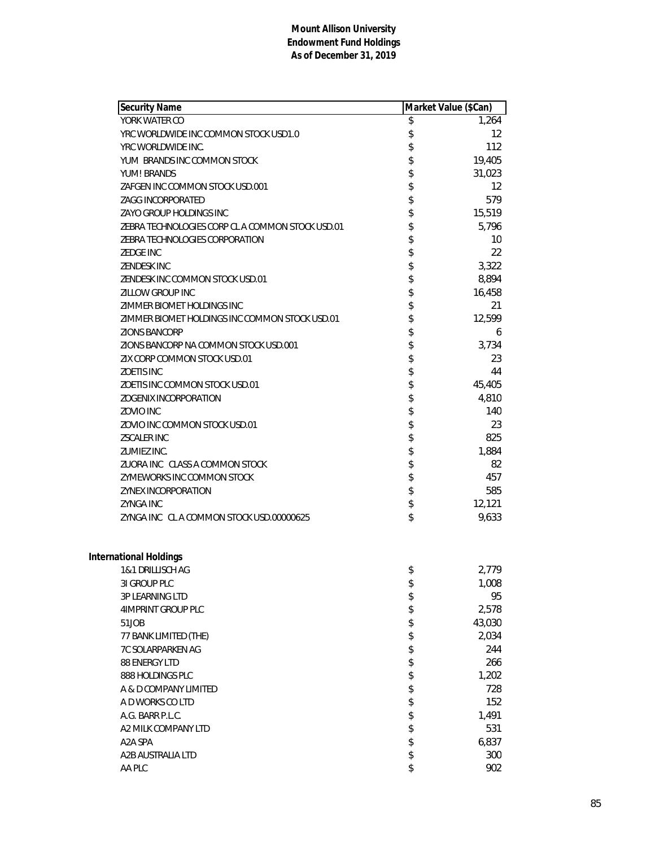| Security Name                                    | Market Value (\$Can) |
|--------------------------------------------------|----------------------|
| YORK WATER CO                                    | \$<br>1,264          |
| YRC WORLDWIDE INC COMMON STOCK USD1.0            | \$<br>12             |
| YRC WORLDWIDE INC.                               | \$<br>112            |
| YUM BRANDS INC COMMON STOCK                      | \$<br>19,405         |
| YUM! BRANDS                                      | \$<br>31,023         |
| ZAFGEN INC COMMON STOCK USD.001                  | \$<br>12             |
| ZAGG INCORPORATED                                | \$<br>579            |
| ZAYO GROUP HOLDINGS INC                          | \$<br>15,519         |
| ZEBRA TECHNOLOGIES CORP CL A COMMON STOCK USD.01 | \$<br>5,796          |
| ZEBRA TECHNOLOGIES CORPORATION                   | \$<br>10             |
| <b>ZEDGE INC</b>                                 | \$<br>22             |
| <b>ZENDESK INC</b>                               | \$<br>3,322          |
| ZENDESK INC COMMON STOCK USD.01                  | \$<br>8,894          |
| <b>ZILLOW GROUP INC</b>                          | \$<br>16,458         |
| ZIMMER BIOMET HOLDINGS INC                       | \$<br>21             |
| ZIMMER BIOMET HOLDINGS INC COMMON STOCK USD.01   | \$<br>12,599         |
| <b>ZIONS BANCORP</b>                             | \$<br>6              |
| ZIONS BANCORP NA COMMON STOCK USD.001            | \$<br>3,734          |
| ZIX CORP COMMON STOCK USD.01                     | \$<br>23             |
| <b>ZOETIS INC</b>                                | \$<br>44             |
| ZOETIS INC COMMON STOCK USD.01                   | \$<br>45,405         |
| <b>ZOGENIX INCORPORATION</b>                     | \$<br>4,810          |
| ZOVIO INC                                        | \$<br>140            |
| ZOVIO INC COMMON STOCK USD.01                    | \$<br>23             |
| <b>ZSCALER INC</b>                               | \$<br>825            |
| ZUMIEZ INC.                                      | \$<br>1,884          |
| ZUORA INC CLASS A COMMON STOCK                   | \$<br>82             |
| ZYMEWORKS INC COMMON STOCK                       | \$<br>457            |
| <b>ZYNEX INCORPORATION</b>                       | \$<br>585            |
| <b>ZYNGA INC</b>                                 | \$<br>12,121         |
| ZYNGA INC CLACOMMON STOCK USD.00000625           | \$<br>9,633          |
|                                                  |                      |
| <b>International Holdings</b>                    |                      |
| 1&1 DRILLISCH AG                                 | \$<br>2,779          |
| 3I GROUP PLC                                     | \$<br>1,008          |
| 3P LEARNING LTD                                  | \$<br>95             |
| 4IMPRINT GROUP PLC                               | \$<br>2,578          |
| 51JOB                                            | \$<br>43,030         |
| 77 BANK LIMITED (THE)                            | \$<br>2,034          |
| <b>7C SOLARPARKEN AG</b>                         | \$<br>244            |
| 88 ENERGY LTD                                    | \$<br>266            |
| 888 HOLDINGS PLC                                 | \$<br>1,202          |
| A & D COMPANY LIMITED                            | \$<br>728            |
| A D WORKS CO LTD                                 | \$<br>152            |
| A.G. BARR P.L.C.                                 | \$<br>1,491          |
| A2 MILK COMPANY LTD                              | \$<br>531            |
| A2A SPA                                          | \$<br>6,837          |
| A2B AUSTRALIA LTD                                | \$<br>300            |
| AA PLC                                           | \$<br>902            |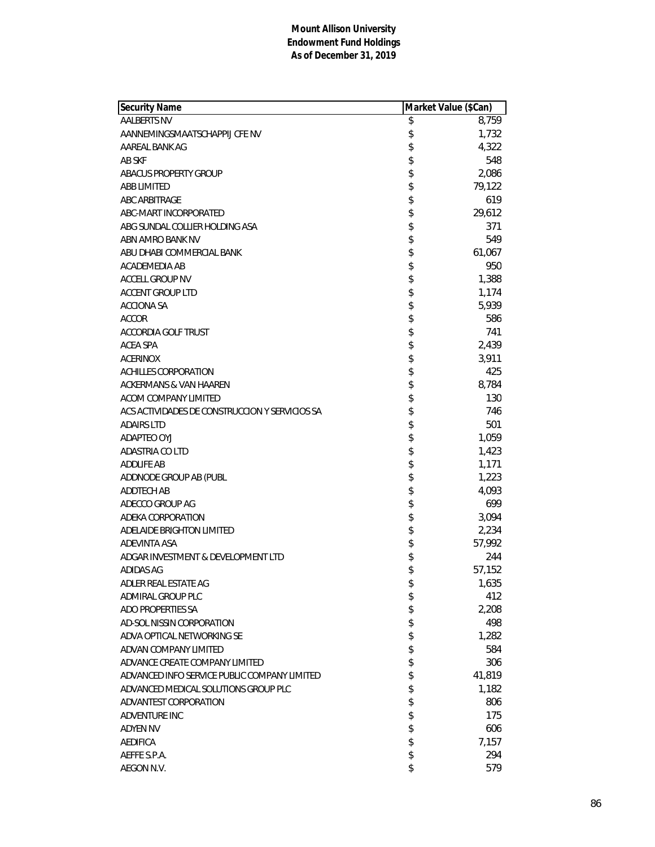| 8,759<br><b>AALBERTS NV</b><br>\$<br>\$<br>1,732<br>AANNEMINGSMAATSCHAPPIJ CFE NV<br>\$<br>4,322<br>AAREAL BANK AG<br>\$<br>548<br>AB SKF<br>\$<br>2,086<br><b>ABACUS PROPERTY GROUP</b><br>\$<br><b>ABB LIMITED</b><br>79,122<br>\$<br>619<br><b>ABC ARBITRAGE</b><br>\$<br>29,612<br>ABC-MART INCORPORATED<br>\$<br>371<br>ABG SUNDAL COLLIER HOLDING ASA<br>\$<br>549<br>ABN AMRO BANK NV<br>\$<br>ABU DHABI COMMERCIAL BANK<br>61,067<br>\$<br>950<br>ACADEMEDIA AB<br>\$<br>1,388<br><b>ACCELL GROUP NV</b><br>\$<br>1,174<br><b>ACCENT GROUP LTD</b><br>\$<br>5,939<br><b>ACCIONA SA</b><br>\$<br>586<br><b>ACCOR</b><br>\$<br>741<br><b>ACCORDIA GOLF TRUST</b><br>\$<br>2,439<br>ACEA SPA<br>\$<br>3,911<br><b>ACERINOX</b><br>\$<br>425<br>ACHILLES CORPORATION<br>\$<br>8,784<br>ACKERMANS & VAN HAAREN<br>\$<br>130<br>ACOM COMPANY LIMITED<br>\$<br>746<br>ACS ACTIVIDADES DE CONSTRUCCION Y SERVICIOS SA<br>\$<br>501<br><b>ADAIRS LTD</b><br>\$<br>1,059<br>ADAPTEO OYJ<br>\$<br>1,423<br>ADASTRIA CO LTD<br>\$<br>1,171<br><b>ADDLIFE AB</b><br>\$<br>1,223<br>ADDNODE GROUP AB (PUBL<br>\$<br><b>ADDTECH AB</b><br>4,093<br>\$<br>699<br>ADECCO GROUP AG<br>\$<br>3,094<br>ADEKA CORPORATION<br>\$<br>ADELAIDE BRIGHTON LIMITED<br>2,234<br>\$<br>ADEVINTA ASA<br>57,992<br>\$<br>ADGAR INVESTMENT & DEVELOPMENT LTD<br>244<br>\$<br>57,152<br>ADIDAS AG<br>ADLER REAL ESTATE AG<br>1,635<br>\$<br>\$<br>412<br>ADMIRAL GROUP PLC<br>\$<br>ADO PROPERTIES SA<br>2,208<br>\$<br>AD-SOL NISSIN CORPORATION<br>498<br>\$<br>ADVA OPTICAL NETWORKING SE<br>1,282<br>\$<br>ADVAN COMPANY LIMITED<br>584<br>\$<br>ADVANCE CREATE COMPANY LIMITED<br>306<br>\$<br>ADVANCED INFO SERVICE PUBLIC COMPANY LIMITED<br>41,819<br>\$<br>ADVANCED MEDICAL SOLUTIONS GROUP PLC<br>1,182<br>\$<br>ADVANTEST CORPORATION<br>806<br>\$<br><b>ADVENTURE INC</b><br>175<br>\$<br>606<br><b>ADYEN NV</b><br>\$<br>7,157<br><b>AEDIFICA</b><br>\$<br>AEFFE S.P.A.<br>294 | Security Name | Market Value (\$Can) |
|--------------------------------------------------------------------------------------------------------------------------------------------------------------------------------------------------------------------------------------------------------------------------------------------------------------------------------------------------------------------------------------------------------------------------------------------------------------------------------------------------------------------------------------------------------------------------------------------------------------------------------------------------------------------------------------------------------------------------------------------------------------------------------------------------------------------------------------------------------------------------------------------------------------------------------------------------------------------------------------------------------------------------------------------------------------------------------------------------------------------------------------------------------------------------------------------------------------------------------------------------------------------------------------------------------------------------------------------------------------------------------------------------------------------------------------------------------------------------------------------------------------------------------------------------------------------------------------------------------------------------------------------------------------------------------------------------------------------------------------------------------------------------------------------------------------------------------------------------------------------------------------------------------------------------------------------------------------------|---------------|----------------------|
|                                                                                                                                                                                                                                                                                                                                                                                                                                                                                                                                                                                                                                                                                                                                                                                                                                                                                                                                                                                                                                                                                                                                                                                                                                                                                                                                                                                                                                                                                                                                                                                                                                                                                                                                                                                                                                                                                                                                                                    |               |                      |
|                                                                                                                                                                                                                                                                                                                                                                                                                                                                                                                                                                                                                                                                                                                                                                                                                                                                                                                                                                                                                                                                                                                                                                                                                                                                                                                                                                                                                                                                                                                                                                                                                                                                                                                                                                                                                                                                                                                                                                    |               |                      |
|                                                                                                                                                                                                                                                                                                                                                                                                                                                                                                                                                                                                                                                                                                                                                                                                                                                                                                                                                                                                                                                                                                                                                                                                                                                                                                                                                                                                                                                                                                                                                                                                                                                                                                                                                                                                                                                                                                                                                                    |               |                      |
|                                                                                                                                                                                                                                                                                                                                                                                                                                                                                                                                                                                                                                                                                                                                                                                                                                                                                                                                                                                                                                                                                                                                                                                                                                                                                                                                                                                                                                                                                                                                                                                                                                                                                                                                                                                                                                                                                                                                                                    |               |                      |
|                                                                                                                                                                                                                                                                                                                                                                                                                                                                                                                                                                                                                                                                                                                                                                                                                                                                                                                                                                                                                                                                                                                                                                                                                                                                                                                                                                                                                                                                                                                                                                                                                                                                                                                                                                                                                                                                                                                                                                    |               |                      |
|                                                                                                                                                                                                                                                                                                                                                                                                                                                                                                                                                                                                                                                                                                                                                                                                                                                                                                                                                                                                                                                                                                                                                                                                                                                                                                                                                                                                                                                                                                                                                                                                                                                                                                                                                                                                                                                                                                                                                                    |               |                      |
|                                                                                                                                                                                                                                                                                                                                                                                                                                                                                                                                                                                                                                                                                                                                                                                                                                                                                                                                                                                                                                                                                                                                                                                                                                                                                                                                                                                                                                                                                                                                                                                                                                                                                                                                                                                                                                                                                                                                                                    |               |                      |
|                                                                                                                                                                                                                                                                                                                                                                                                                                                                                                                                                                                                                                                                                                                                                                                                                                                                                                                                                                                                                                                                                                                                                                                                                                                                                                                                                                                                                                                                                                                                                                                                                                                                                                                                                                                                                                                                                                                                                                    |               |                      |
|                                                                                                                                                                                                                                                                                                                                                                                                                                                                                                                                                                                                                                                                                                                                                                                                                                                                                                                                                                                                                                                                                                                                                                                                                                                                                                                                                                                                                                                                                                                                                                                                                                                                                                                                                                                                                                                                                                                                                                    |               |                      |
|                                                                                                                                                                                                                                                                                                                                                                                                                                                                                                                                                                                                                                                                                                                                                                                                                                                                                                                                                                                                                                                                                                                                                                                                                                                                                                                                                                                                                                                                                                                                                                                                                                                                                                                                                                                                                                                                                                                                                                    |               |                      |
|                                                                                                                                                                                                                                                                                                                                                                                                                                                                                                                                                                                                                                                                                                                                                                                                                                                                                                                                                                                                                                                                                                                                                                                                                                                                                                                                                                                                                                                                                                                                                                                                                                                                                                                                                                                                                                                                                                                                                                    |               |                      |
|                                                                                                                                                                                                                                                                                                                                                                                                                                                                                                                                                                                                                                                                                                                                                                                                                                                                                                                                                                                                                                                                                                                                                                                                                                                                                                                                                                                                                                                                                                                                                                                                                                                                                                                                                                                                                                                                                                                                                                    |               |                      |
|                                                                                                                                                                                                                                                                                                                                                                                                                                                                                                                                                                                                                                                                                                                                                                                                                                                                                                                                                                                                                                                                                                                                                                                                                                                                                                                                                                                                                                                                                                                                                                                                                                                                                                                                                                                                                                                                                                                                                                    |               |                      |
|                                                                                                                                                                                                                                                                                                                                                                                                                                                                                                                                                                                                                                                                                                                                                                                                                                                                                                                                                                                                                                                                                                                                                                                                                                                                                                                                                                                                                                                                                                                                                                                                                                                                                                                                                                                                                                                                                                                                                                    |               |                      |
|                                                                                                                                                                                                                                                                                                                                                                                                                                                                                                                                                                                                                                                                                                                                                                                                                                                                                                                                                                                                                                                                                                                                                                                                                                                                                                                                                                                                                                                                                                                                                                                                                                                                                                                                                                                                                                                                                                                                                                    |               |                      |
|                                                                                                                                                                                                                                                                                                                                                                                                                                                                                                                                                                                                                                                                                                                                                                                                                                                                                                                                                                                                                                                                                                                                                                                                                                                                                                                                                                                                                                                                                                                                                                                                                                                                                                                                                                                                                                                                                                                                                                    |               |                      |
|                                                                                                                                                                                                                                                                                                                                                                                                                                                                                                                                                                                                                                                                                                                                                                                                                                                                                                                                                                                                                                                                                                                                                                                                                                                                                                                                                                                                                                                                                                                                                                                                                                                                                                                                                                                                                                                                                                                                                                    |               |                      |
|                                                                                                                                                                                                                                                                                                                                                                                                                                                                                                                                                                                                                                                                                                                                                                                                                                                                                                                                                                                                                                                                                                                                                                                                                                                                                                                                                                                                                                                                                                                                                                                                                                                                                                                                                                                                                                                                                                                                                                    |               |                      |
|                                                                                                                                                                                                                                                                                                                                                                                                                                                                                                                                                                                                                                                                                                                                                                                                                                                                                                                                                                                                                                                                                                                                                                                                                                                                                                                                                                                                                                                                                                                                                                                                                                                                                                                                                                                                                                                                                                                                                                    |               |                      |
|                                                                                                                                                                                                                                                                                                                                                                                                                                                                                                                                                                                                                                                                                                                                                                                                                                                                                                                                                                                                                                                                                                                                                                                                                                                                                                                                                                                                                                                                                                                                                                                                                                                                                                                                                                                                                                                                                                                                                                    |               |                      |
|                                                                                                                                                                                                                                                                                                                                                                                                                                                                                                                                                                                                                                                                                                                                                                                                                                                                                                                                                                                                                                                                                                                                                                                                                                                                                                                                                                                                                                                                                                                                                                                                                                                                                                                                                                                                                                                                                                                                                                    |               |                      |
|                                                                                                                                                                                                                                                                                                                                                                                                                                                                                                                                                                                                                                                                                                                                                                                                                                                                                                                                                                                                                                                                                                                                                                                                                                                                                                                                                                                                                                                                                                                                                                                                                                                                                                                                                                                                                                                                                                                                                                    |               |                      |
|                                                                                                                                                                                                                                                                                                                                                                                                                                                                                                                                                                                                                                                                                                                                                                                                                                                                                                                                                                                                                                                                                                                                                                                                                                                                                                                                                                                                                                                                                                                                                                                                                                                                                                                                                                                                                                                                                                                                                                    |               |                      |
|                                                                                                                                                                                                                                                                                                                                                                                                                                                                                                                                                                                                                                                                                                                                                                                                                                                                                                                                                                                                                                                                                                                                                                                                                                                                                                                                                                                                                                                                                                                                                                                                                                                                                                                                                                                                                                                                                                                                                                    |               |                      |
|                                                                                                                                                                                                                                                                                                                                                                                                                                                                                                                                                                                                                                                                                                                                                                                                                                                                                                                                                                                                                                                                                                                                                                                                                                                                                                                                                                                                                                                                                                                                                                                                                                                                                                                                                                                                                                                                                                                                                                    |               |                      |
|                                                                                                                                                                                                                                                                                                                                                                                                                                                                                                                                                                                                                                                                                                                                                                                                                                                                                                                                                                                                                                                                                                                                                                                                                                                                                                                                                                                                                                                                                                                                                                                                                                                                                                                                                                                                                                                                                                                                                                    |               |                      |
|                                                                                                                                                                                                                                                                                                                                                                                                                                                                                                                                                                                                                                                                                                                                                                                                                                                                                                                                                                                                                                                                                                                                                                                                                                                                                                                                                                                                                                                                                                                                                                                                                                                                                                                                                                                                                                                                                                                                                                    |               |                      |
|                                                                                                                                                                                                                                                                                                                                                                                                                                                                                                                                                                                                                                                                                                                                                                                                                                                                                                                                                                                                                                                                                                                                                                                                                                                                                                                                                                                                                                                                                                                                                                                                                                                                                                                                                                                                                                                                                                                                                                    |               |                      |
|                                                                                                                                                                                                                                                                                                                                                                                                                                                                                                                                                                                                                                                                                                                                                                                                                                                                                                                                                                                                                                                                                                                                                                                                                                                                                                                                                                                                                                                                                                                                                                                                                                                                                                                                                                                                                                                                                                                                                                    |               |                      |
|                                                                                                                                                                                                                                                                                                                                                                                                                                                                                                                                                                                                                                                                                                                                                                                                                                                                                                                                                                                                                                                                                                                                                                                                                                                                                                                                                                                                                                                                                                                                                                                                                                                                                                                                                                                                                                                                                                                                                                    |               |                      |
|                                                                                                                                                                                                                                                                                                                                                                                                                                                                                                                                                                                                                                                                                                                                                                                                                                                                                                                                                                                                                                                                                                                                                                                                                                                                                                                                                                                                                                                                                                                                                                                                                                                                                                                                                                                                                                                                                                                                                                    |               |                      |
|                                                                                                                                                                                                                                                                                                                                                                                                                                                                                                                                                                                                                                                                                                                                                                                                                                                                                                                                                                                                                                                                                                                                                                                                                                                                                                                                                                                                                                                                                                                                                                                                                                                                                                                                                                                                                                                                                                                                                                    |               |                      |
|                                                                                                                                                                                                                                                                                                                                                                                                                                                                                                                                                                                                                                                                                                                                                                                                                                                                                                                                                                                                                                                                                                                                                                                                                                                                                                                                                                                                                                                                                                                                                                                                                                                                                                                                                                                                                                                                                                                                                                    |               |                      |
|                                                                                                                                                                                                                                                                                                                                                                                                                                                                                                                                                                                                                                                                                                                                                                                                                                                                                                                                                                                                                                                                                                                                                                                                                                                                                                                                                                                                                                                                                                                                                                                                                                                                                                                                                                                                                                                                                                                                                                    |               |                      |
|                                                                                                                                                                                                                                                                                                                                                                                                                                                                                                                                                                                                                                                                                                                                                                                                                                                                                                                                                                                                                                                                                                                                                                                                                                                                                                                                                                                                                                                                                                                                                                                                                                                                                                                                                                                                                                                                                                                                                                    |               |                      |
|                                                                                                                                                                                                                                                                                                                                                                                                                                                                                                                                                                                                                                                                                                                                                                                                                                                                                                                                                                                                                                                                                                                                                                                                                                                                                                                                                                                                                                                                                                                                                                                                                                                                                                                                                                                                                                                                                                                                                                    |               |                      |
|                                                                                                                                                                                                                                                                                                                                                                                                                                                                                                                                                                                                                                                                                                                                                                                                                                                                                                                                                                                                                                                                                                                                                                                                                                                                                                                                                                                                                                                                                                                                                                                                                                                                                                                                                                                                                                                                                                                                                                    |               |                      |
|                                                                                                                                                                                                                                                                                                                                                                                                                                                                                                                                                                                                                                                                                                                                                                                                                                                                                                                                                                                                                                                                                                                                                                                                                                                                                                                                                                                                                                                                                                                                                                                                                                                                                                                                                                                                                                                                                                                                                                    |               |                      |
|                                                                                                                                                                                                                                                                                                                                                                                                                                                                                                                                                                                                                                                                                                                                                                                                                                                                                                                                                                                                                                                                                                                                                                                                                                                                                                                                                                                                                                                                                                                                                                                                                                                                                                                                                                                                                                                                                                                                                                    |               |                      |
|                                                                                                                                                                                                                                                                                                                                                                                                                                                                                                                                                                                                                                                                                                                                                                                                                                                                                                                                                                                                                                                                                                                                                                                                                                                                                                                                                                                                                                                                                                                                                                                                                                                                                                                                                                                                                                                                                                                                                                    |               |                      |
|                                                                                                                                                                                                                                                                                                                                                                                                                                                                                                                                                                                                                                                                                                                                                                                                                                                                                                                                                                                                                                                                                                                                                                                                                                                                                                                                                                                                                                                                                                                                                                                                                                                                                                                                                                                                                                                                                                                                                                    |               |                      |
|                                                                                                                                                                                                                                                                                                                                                                                                                                                                                                                                                                                                                                                                                                                                                                                                                                                                                                                                                                                                                                                                                                                                                                                                                                                                                                                                                                                                                                                                                                                                                                                                                                                                                                                                                                                                                                                                                                                                                                    |               |                      |
|                                                                                                                                                                                                                                                                                                                                                                                                                                                                                                                                                                                                                                                                                                                                                                                                                                                                                                                                                                                                                                                                                                                                                                                                                                                                                                                                                                                                                                                                                                                                                                                                                                                                                                                                                                                                                                                                                                                                                                    |               |                      |
|                                                                                                                                                                                                                                                                                                                                                                                                                                                                                                                                                                                                                                                                                                                                                                                                                                                                                                                                                                                                                                                                                                                                                                                                                                                                                                                                                                                                                                                                                                                                                                                                                                                                                                                                                                                                                                                                                                                                                                    |               |                      |
|                                                                                                                                                                                                                                                                                                                                                                                                                                                                                                                                                                                                                                                                                                                                                                                                                                                                                                                                                                                                                                                                                                                                                                                                                                                                                                                                                                                                                                                                                                                                                                                                                                                                                                                                                                                                                                                                                                                                                                    |               |                      |
|                                                                                                                                                                                                                                                                                                                                                                                                                                                                                                                                                                                                                                                                                                                                                                                                                                                                                                                                                                                                                                                                                                                                                                                                                                                                                                                                                                                                                                                                                                                                                                                                                                                                                                                                                                                                                                                                                                                                                                    |               |                      |
|                                                                                                                                                                                                                                                                                                                                                                                                                                                                                                                                                                                                                                                                                                                                                                                                                                                                                                                                                                                                                                                                                                                                                                                                                                                                                                                                                                                                                                                                                                                                                                                                                                                                                                                                                                                                                                                                                                                                                                    |               |                      |
|                                                                                                                                                                                                                                                                                                                                                                                                                                                                                                                                                                                                                                                                                                                                                                                                                                                                                                                                                                                                                                                                                                                                                                                                                                                                                                                                                                                                                                                                                                                                                                                                                                                                                                                                                                                                                                                                                                                                                                    |               |                      |
|                                                                                                                                                                                                                                                                                                                                                                                                                                                                                                                                                                                                                                                                                                                                                                                                                                                                                                                                                                                                                                                                                                                                                                                                                                                                                                                                                                                                                                                                                                                                                                                                                                                                                                                                                                                                                                                                                                                                                                    |               |                      |
|                                                                                                                                                                                                                                                                                                                                                                                                                                                                                                                                                                                                                                                                                                                                                                                                                                                                                                                                                                                                                                                                                                                                                                                                                                                                                                                                                                                                                                                                                                                                                                                                                                                                                                                                                                                                                                                                                                                                                                    | AEGON N.V.    | \$<br>579            |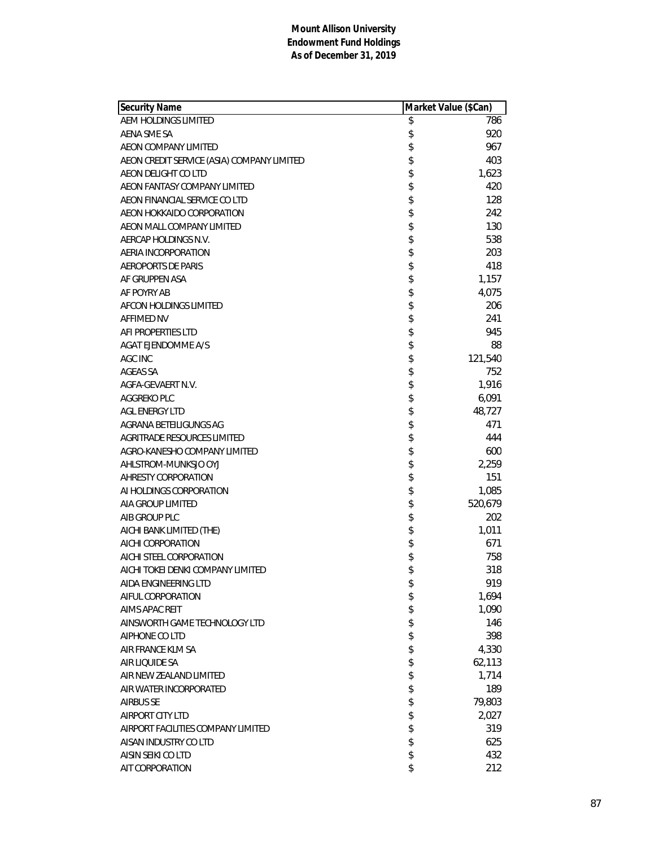| Security Name                              | Market Value (\$Can) |         |
|--------------------------------------------|----------------------|---------|
| AEM HOLDINGS LIMITED                       | \$                   | 786     |
| AENA SME SA                                | \$                   | 920     |
| AEON COMPANY LIMITED                       | \$                   | 967     |
| AEON CREDIT SERVICE (ASIA) COMPANY LIMITED | \$                   | 403     |
| AEON DELIGHT CO LTD                        | \$                   | 1,623   |
| AEON FANTASY COMPANY LIMITED               | \$                   | 420     |
| AEON FINANCIAL SERVICE CO LTD              | \$                   | 128     |
| AEON HOKKAIDO CORPORATION                  | \$                   | 242     |
| AEON MALL COMPANY LIMITED                  | \$                   | 130     |
| AERCAP HOLDINGS N.V.                       | \$                   | 538     |
| AERIA INCORPORATION                        | \$                   | 203     |
| <b>AEROPORTS DE PARIS</b>                  | \$                   | 418     |
| AF GRUPPEN ASA                             | \$                   | 1,157   |
| AF POYRY AB                                | \$                   | 4,075   |
| <b>AFCON HOLDINGS LIMITED</b>              | \$                   | 206     |
| <b>AFFIMED NV</b>                          | \$                   | 241     |
| AFI PROPERTIES LTD                         | \$                   | 945     |
| <b>AGAT EJENDOMME A/S</b>                  | \$                   | 88      |
| AGC INC                                    | \$                   | 121,540 |
| AGEAS SA                                   | \$                   | 752     |
| AGFA-GEVAERT N.V.                          | \$                   | 1,916   |
| AGGREKO PLC                                | \$                   | 6,091   |
| <b>AGL ENERGY LTD</b>                      | \$                   | 48,727  |
| AGRANA BETEILIGUNGS AG                     | \$                   | 471     |
| AGRITRADE RESOURCES LIMITED                | \$                   | 444     |
| AGRO-KANESHO COMPANY LIMITED               | \$                   | 600     |
| AHLSTROM-MUNKSJO OYJ                       | \$                   | 2,259   |
| AHRESTY CORPORATION                        | \$                   | 151     |
| AI HOLDINGS CORPORATION                    | \$                   | 1,085   |
| AIA GROUP LIMITED                          | \$                   | 520,679 |
| AIB GROUP PLC                              | \$                   | 202     |
| AICHI BANK LIMITED (THE)                   | \$                   | 1,011   |
| AICHI CORPORATION                          | \$                   | 671     |
| AICHI STEEL CORPORATION                    | \$                   | 758     |
| AICHI TOKEI DENKI COMPANY LIMITED          | \$                   | 318     |
| AIDA ENGINEERING LTD                       | \$                   | 919     |
| AIFUL CORPORATION                          | \$                   | 1,694   |
| AIMS APAC REIT                             | \$                   | 1,090   |
| AINSWORTH GAME TECHNOLOGY LTD              | \$                   | 146     |
| AIPHONE CO LTD                             | \$                   | 398     |
| AIR FRANCE KLM SA                          | \$                   | 4,330   |
| AIR LIQUIDE SA                             | \$                   | 62,113  |
| AIR NEW ZEALAND LIMITED                    | \$                   | 1,714   |
| AIR WATER INCORPORATED                     | \$                   | 189     |
| <b>AIRBUS SE</b>                           | \$                   | 79,803  |
| AIRPORT CITY LTD                           | \$                   | 2,027   |
| AIRPORT FACILITIES COMPANY LIMITED         | \$                   | 319     |
| AISAN INDUSTRY CO LTD                      | \$                   | 625     |
| AISIN SEIKI CO LTD                         | \$                   | 432     |
| AIT CORPORATION                            | \$                   | 212     |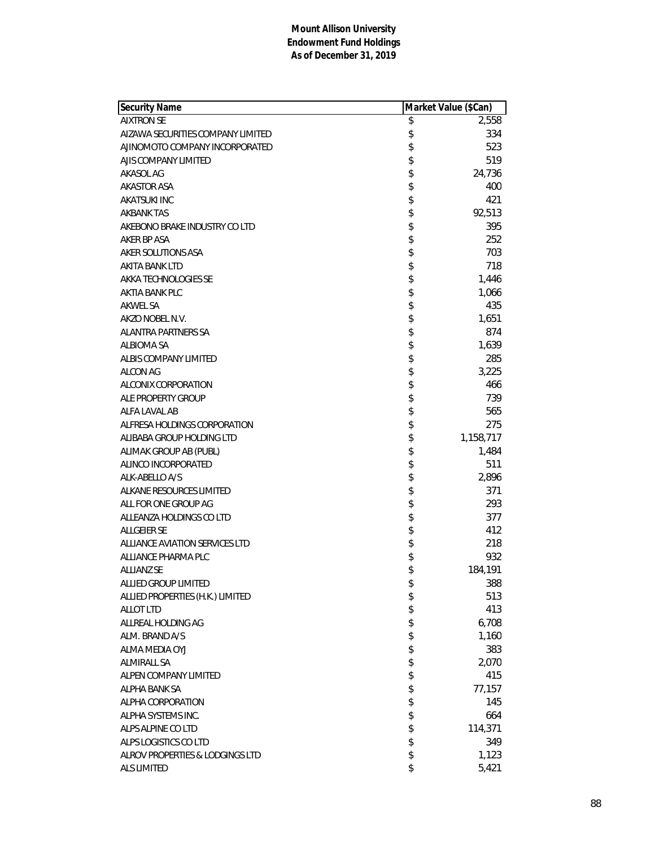| <b>Security Name</b>              | Market Value (\$Can) |
|-----------------------------------|----------------------|
| <b>AIXTRON SE</b>                 | \$<br>2,558          |
| AIZAWA SECURITIES COMPANY LIMITED | \$<br>334            |
| AJINOMOTO COMPANY INCORPORATED    | \$<br>523            |
| AJIS COMPANY LIMITED              | \$<br>519            |
| AKASOL AG                         | \$<br>24,736         |
| AKASTOR ASA                       | \$<br>400            |
| AKATSUKI INC                      | \$<br>421            |
| <b>AKBANK TAS</b>                 | \$<br>92,513         |
| AKEBONO BRAKE INDUSTRY CO LTD     | \$<br>395            |
| AKER BP ASA                       | \$<br>252            |
| AKER SOLUTIONS ASA                | \$<br>703            |
| AKITA BANK LTD                    | \$<br>718            |
| AKKA TECHNOLOGIES SE              | \$<br>1,446          |
| AKTIA BANK PLC                    | \$<br>1,066          |
| <b>AKWEL SA</b>                   | \$<br>435            |
| AKZO NOBEL N.V.                   | \$<br>1,651          |
| <b>ALANTRA PARTNERS SA</b>        | \$<br>874            |
| <b>ALBIOMA SA</b>                 | \$<br>1,639          |
| ALBIS COMPANY LIMITED             | \$<br>285            |
| <b>ALCON AG</b>                   | \$<br>3,225          |
| <b>ALCONIX CORPORATION</b>        | \$<br>466            |
| ALE PROPERTY GROUP                | \$<br>739            |
| ALFA LAVAL AB                     | \$<br>565            |
| ALFRESA HOLDINGS CORPORATION      | \$<br>275            |
| ALIBABA GROUP HOLDING LTD         | \$<br>1,158,717      |
| ALIMAK GROUP AB (PUBL)            | \$<br>1,484          |
| ALINCO INCORPORATED               | \$<br>511            |
| ALK-ABELLO A/S                    | \$<br>2,896          |
| ALKANE RESOURCES LIMITED          | \$<br>371            |
| ALL FOR ONE GROUP AG              | \$<br>293            |
| ALLEANZA HOLDINGS CO LTD          | \$<br>377            |
| <b>ALLGEIER SE</b>                | \$<br>412            |
| ALLIANCE AVIATION SERVICES LTD    | \$<br>218            |
| ALLIANCE PHARMA PLC               | \$<br>932            |
| <b>ALLIANZ SE</b>                 | \$<br>184,191        |
| ALLIED GROUP LIMITED              | \$<br>388            |
| ALLIED PROPERTIES (H.K.) LIMITED  | \$<br>513            |
| <b>ALLOT LTD</b>                  | \$<br>413            |
| ALLREAL HOLDING AG                | \$<br>6,708          |
| ALM. BRAND A/S                    | \$<br>1,160          |
| ALMA MEDIA OYJ                    | \$<br>383            |
| <b>ALMIRALL SA</b>                | \$<br>2,070          |
| ALPEN COMPANY LIMITED             | \$<br>415            |
| <b>ALPHA BANK SA</b>              | \$<br>77,157         |
| ALPHA CORPORATION                 | \$<br>145            |
| ALPHA SYSTEMS INC.                | \$<br>664            |
| ALPS ALPINE CO LTD                | \$<br>114,371        |
| ALPS LOGISTICS CO LTD             | \$<br>349            |
| ALROV PROPERTIES & LODGINGS LTD   | \$<br>1,123          |
| <b>ALS LIMITED</b>                | \$<br>5,421          |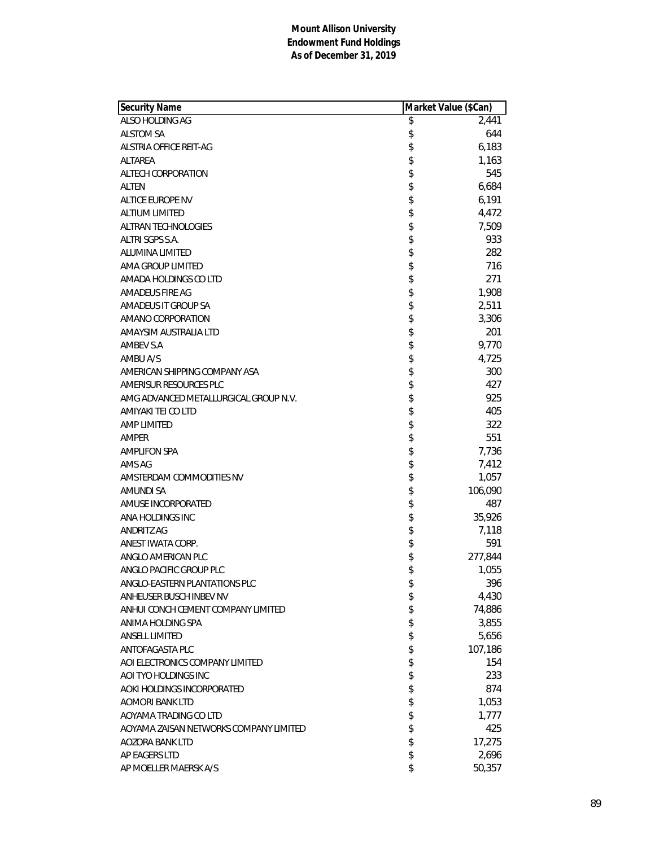| Security Name                          | Market Value (\$Can) |         |
|----------------------------------------|----------------------|---------|
| ALSO HOLDING AG                        | \$                   | 2,441   |
| <b>ALSTOM SA</b>                       | \$                   | 644     |
| ALSTRIA OFFICE REIT-AG                 | \$                   | 6,183   |
| ALTAREA                                | \$                   | 1,163   |
| ALTECH CORPORATION                     | \$                   | 545     |
| ALTEN                                  | \$                   | 6,684   |
| ALTICE EUROPE NV                       | \$                   | 6,191   |
| <b>ALTIUM LIMITED</b>                  | \$                   | 4,472   |
| <b>ALTRAN TECHNOLOGIES</b>             | \$                   | 7,509   |
| ALTRI SGPS S.A.                        | \$                   | 933     |
| ALUMINA LIMITED                        | \$                   | 282     |
| AMA GROUP LIMITED                      | \$                   | 716     |
| AMADA HOLDINGS CO LTD                  | \$                   | 271     |
| AMADEUS FIRE AG                        | \$                   | 1,908   |
| AMADEUS IT GROUP SA                    | \$                   | 2,511   |
| AMANO CORPORATION                      | \$                   | 3,306   |
| AMAYSIM AUSTRALIA LTD                  | \$                   | 201     |
| AMBEV S.A                              | \$                   | 9,770   |
| AMBU A/S                               | \$                   | 4,725   |
| AMERICAN SHIPPING COMPANY ASA          | \$                   | 300     |
| AMERISUR RESOURCES PLC                 | \$                   | 427     |
| AMG ADVANCED METALLURGICAL GROUP N.V.  | \$                   | 925     |
| AMIYAKI TEI CO LTD                     | \$                   | 405     |
| <b>AMP LIMITED</b>                     | \$                   | 322     |
| AMPER                                  | \$                   | 551     |
| <b>AMPLIFON SPA</b>                    | \$                   | 7,736   |
| AMS AG                                 | \$                   | 7,412   |
| AMSTERDAM COMMODITIES NV               | \$                   | 1,057   |
| <b>AMUNDI SA</b>                       | \$                   | 106,090 |
| AMUSE INCORPORATED                     | \$                   | 487     |
| ANA HOLDINGS INC                       | \$                   | 35,926  |
| <b>ANDRITZ AG</b>                      | \$                   | 7,118   |
| ANEST IWATA CORP.                      | \$                   | 591     |
| ANGLO AMERICAN PLC                     | \$                   | 277,844 |
| ANGLO PACIFIC GROUP PLC                | \$                   | 1,055   |
| ANGLO-EASTERN PLANTATIONS PLC          | \$                   | 396     |
| ANHEUSER BUSCH INBEV NV                | \$                   | 4,430   |
| ANHUI CONCH CEMENT COMPANY LIMITED     | \$                   | 74,886  |
| ANIMA HOLDING SPA                      | \$                   | 3,855   |
| <b>ANSELL LIMITED</b>                  | \$                   | 5,656   |
| ANTOFAGASTA PLC                        | \$                   | 107,186 |
| AOI ELECTRONICS COMPANY LIMITED        | \$                   | 154     |
| AOI TYO HOLDINGS INC                   | \$                   | 233     |
| AOKI HOLDINGS INCORPORATED             | \$                   | 874     |
| <b>AOMORI BANK LTD</b>                 | \$                   | 1,053   |
| AOYAMA TRADING CO LTD                  | \$                   | 1,777   |
| AOYAMA ZAISAN NETWORKS COMPANY LIMITED | \$                   | 425     |
| AOZORA BANK LTD                        | \$                   | 17,275  |
| AP EAGERS LTD                          | \$                   | 2,696   |
| AP MOELLER MAERSK A/S                  | \$                   | 50,357  |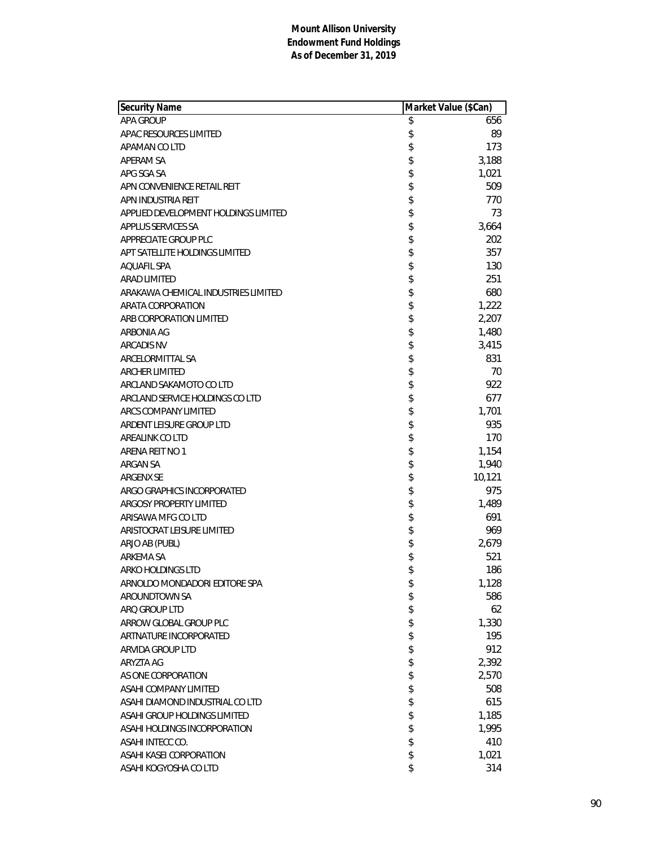| Security Name                        | Market Value (\$Can) |        |
|--------------------------------------|----------------------|--------|
| <b>APA GROUP</b>                     | \$                   | 656    |
| APAC RESOURCES LIMITED               | \$                   | 89     |
| APAMAN CO LTD                        | \$                   | 173    |
| <b>APERAM SA</b>                     | \$                   | 3,188  |
| APG SGA SA                           | \$                   | 1,021  |
| APN CONVENIENCE RETAIL REIT          | \$                   | 509    |
| APN INDUSTRIA REIT                   | \$                   | 770    |
| APPLIED DEVELOPMENT HOLDINGS LIMITED | \$                   | 73     |
| APPLUS SERVICES SA                   | \$                   | 3,664  |
| APPRECIATE GROUP PLC                 | \$                   | 202    |
| APT SATELLITE HOLDINGS LIMITED       | \$                   | 357    |
| <b>AQUAFIL SPA</b>                   | \$                   | 130    |
| <b>ARAD LIMITED</b>                  | \$                   | 251    |
| ARAKAWA CHEMICAL INDUSTRIES LIMITED  | \$                   | 680    |
| ARATA CORPORATION                    | \$                   | 1,222  |
| ARB CORPORATION LIMITED              | \$                   | 2,207  |
| ARBONIA AG                           | \$                   | 1,480  |
| <b>ARCADIS NV</b>                    | \$                   | 3,415  |
| ARCELORMITTAL SA                     | \$                   | 831    |
| <b>ARCHER LIMITED</b>                | \$                   | 70     |
| ARCLAND SAKAMOTO CO LTD              | \$                   | 922    |
| ARCLAND SERVICE HOLDINGS CO LTD      | \$                   | 677    |
| ARCS COMPANY LIMITED                 | \$                   | 1,701  |
| ARDENT LEISURE GROUP LTD             | \$                   | 935    |
| AREALINK CO LTD                      | \$                   | 170    |
| ARENA REIT NO 1                      | \$                   | 1,154  |
| ARGAN SA                             | \$                   | 1,940  |
| ARGENX SE                            | \$                   | 10,121 |
| ARGO GRAPHICS INCORPORATED           | \$                   | 975    |
| ARGOSY PROPERTY LIMITED              | \$                   | 1,489  |
| ARISAWA MFG CO LTD                   | \$                   | 691    |
| ARISTOCRAT LEISURE LIMITED           | \$                   | 969    |
| ARJO AB (PUBL)                       | \$                   | 2,679  |
| ARKEMA SA                            | \$                   | 521    |
| ARKO HOLDINGS LTD                    | \$                   | 186    |
| ARNOLDO MONDADORI EDITORE SPA        | \$                   | 1,128  |
| AROUNDTOWN SA                        | \$                   | 586    |
| ARQ GROUP LTD                        | \$                   | 62     |
| ARROW GLOBAL GROUP PLC               | \$                   | 1,330  |
| ARTNATURE INCORPORATED               | \$                   | 195    |
| ARVIDA GROUP LTD                     | \$                   | 912    |
| ARYZTA AG                            | \$                   | 2,392  |
| AS ONE CORPORATION                   | \$                   | 2,570  |
| ASAHI COMPANY LIMITED                | \$                   | 508    |
| ASAHI DIAMOND INDUSTRIAL CO LTD      | \$                   | 615    |
| ASAHI GROUP HOLDINGS LIMITED         | \$                   | 1,185  |
| ASAHI HOLDINGS INCORPORATION         | \$                   | 1,995  |
| ASAHI INTECC CO.                     | \$                   | 410    |
| ASAHI KASEI CORPORATION              | \$                   | 1,021  |
| ASAHI KOGYOSHA CO LTD                | \$                   | 314    |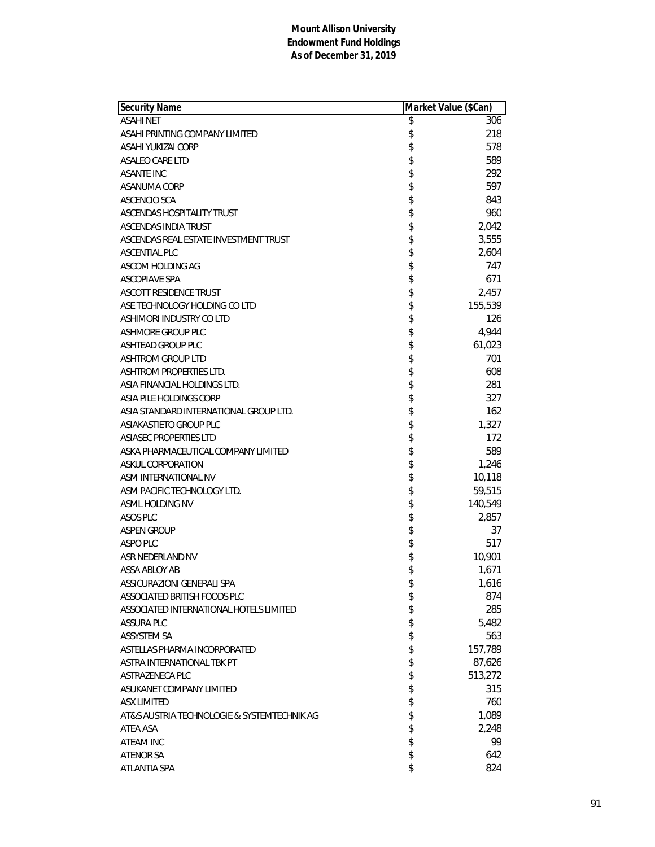| Security Name                               | Market Value (\$Can) |         |
|---------------------------------------------|----------------------|---------|
| <b>ASAHI NET</b>                            | \$                   | 306     |
| ASAHI PRINTING COMPANY LIMITED              | \$                   | 218     |
| ASAHI YUKIZAI CORP                          | \$                   | 578     |
| ASALEO CARE LTD                             | \$                   | 589     |
| <b>ASANTE INC</b>                           | \$                   | 292     |
| ASANUMA CORP                                | \$                   | 597     |
| <b>ASCENCIO SCA</b>                         | \$                   | 843     |
| ASCENDAS HOSPITALITY TRUST                  | \$                   | 960     |
| ASCENDAS INDIA TRUST                        | \$                   | 2,042   |
| ASCENDAS REAL ESTATE INVESTMENT TRUST       | \$                   | 3,555   |
| <b>ASCENTIAL PLC</b>                        | \$                   | 2,604   |
| ASCOM HOLDING AG                            | \$                   | 747     |
| <b>ASCOPIAVE SPA</b>                        | \$                   | 671     |
| <b>ASCOTT RESIDENCE TRUST</b>               | \$                   | 2,457   |
| ASE TECHNOLOGY HOLDING CO LTD               | \$                   | 155,539 |
| ASHIMORI INDUSTRY CO LTD                    | \$                   | 126     |
| ASHMORE GROUP PLC                           | \$                   | 4,944   |
| <b>ASHTEAD GROUP PLC</b>                    | \$                   | 61,023  |
| <b>ASHTROM GROUP LTD</b>                    | \$                   | 701     |
| ASHTROM PROPERTIES LTD.                     | \$                   | 608     |
| ASIA FINANCIAL HOLDINGS LTD.                | \$                   | 281     |
| ASIA PILE HOLDINGS CORP                     | \$                   | 327     |
| ASIA STANDARD INTERNATIONAL GROUP LTD.      | \$                   | 162     |
| ASIAKASTIETO GROUP PLC                      | \$                   | 1,327   |
| <b>ASIASEC PROPERTIES LTD</b>               | \$                   | 172     |
| ASKA PHARMACEUTICAL COMPANY LIMITED         | \$                   | 589     |
| ASKUL CORPORATION                           | \$                   | 1,246   |
| ASM INTERNATIONAL NV                        | \$                   | 10,118  |
| ASM PACIFIC TECHNOLOGY LTD.                 | \$                   | 59,515  |
| ASML HOLDING NV                             | \$                   | 140,549 |
| ASOS PLC                                    | \$                   | 2,857   |
| <b>ASPEN GROUP</b>                          | \$                   | 37      |
| ASPO PLC                                    | \$                   | 517     |
| ASR NEDERLAND NV                            | \$                   | 10,901  |
| ASSA ABLOY AB                               | \$                   | 1,671   |
| ASSICURAZIONI GENERALI SPA                  | \$                   | 1,616   |
| ASSOCIATED BRITISH FOODS PLC                | \$                   | 874     |
| ASSOCIATED INTERNATIONAL HOTELS LIMITED     | \$                   | 285     |
| <b>ASSURA PLC</b>                           | \$                   | 5,482   |
| <b>ASSYSTEM SA</b>                          | \$                   | 563     |
| ASTELLAS PHARMA INCORPORATED                | \$                   | 157,789 |
| ASTRA INTERNATIONAL TBK PT                  | \$                   | 87,626  |
| ASTRAZENECA PLC                             | \$                   | 513,272 |
| ASUKANET COMPANY LIMITED                    | \$                   | 315     |
| <b>ASX LIMITED</b>                          | \$                   | 760     |
| AT&S AUSTRIA TECHNOLOGIE & SYSTEMTECHNIK AG | \$                   | 1,089   |
| ATEA ASA                                    | \$                   | 2,248   |
| ATEAM INC                                   | \$                   | 99      |
| <b>ATENOR SA</b>                            | \$                   | 642     |
| ATLANTIA SPA                                | \$                   | 824     |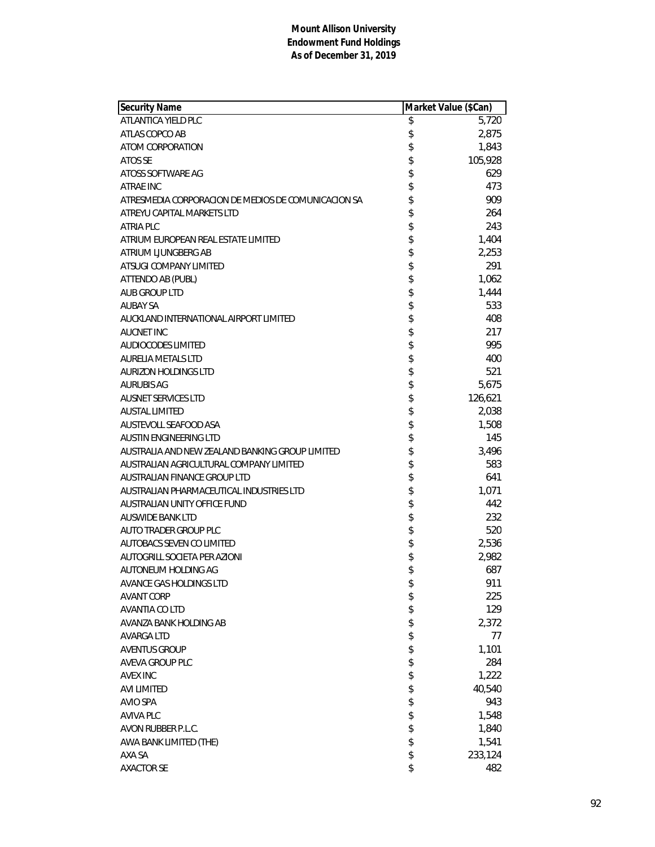| Security Name                                       | Market Value (\$Can) |         |
|-----------------------------------------------------|----------------------|---------|
| ATLANTICA YIELD PLC                                 | \$                   | 5,720   |
| ATLAS COPCO AB                                      | \$                   | 2,875   |
| ATOM CORPORATION                                    | \$                   | 1,843   |
| ATOS SE                                             | \$                   | 105,928 |
| ATOSS SOFTWARE AG                                   | \$                   | 629     |
| ATRAE INC                                           | \$                   | 473     |
| ATRESMEDIA CORPORACION DE MEDIOS DE COMUNICACION SA | \$                   | 909     |
| ATREYU CAPITAL MARKETS LTD                          | \$                   | 264     |
| ATRIA PLC                                           | \$                   | 243     |
| ATRIUM EUROPEAN REAL ESTATE LIMITED                 | \$                   | 1,404   |
| ATRIUM LIUNGBERG AB                                 | \$                   | 2,253   |
| ATSUGI COMPANY LIMITED                              | \$                   | 291     |
| ATTENDO AB (PUBL)                                   | \$                   | 1,062   |
| <b>AUB GROUP LTD</b>                                | \$                   | 1,444   |
| <b>AUBAY SA</b>                                     | \$                   | 533     |
| AUCKLAND INTERNATIONAL AIRPORT LIMITED              | \$                   | 408     |
| <b>AUCNET INC</b>                                   | \$                   | 217     |
| <b>AUDIOCODES LIMITED</b>                           | \$                   | 995     |
| <b>AURELIA METALS LTD</b>                           | \$                   | 400     |
| <b>AURIZON HOLDINGS LTD</b>                         | \$                   | 521     |
| <b>AURUBIS AG</b>                                   | \$                   | 5,675   |
| <b>AUSNET SERVICES LTD</b>                          | \$                   | 126,621 |
| <b>AUSTAL LIMITED</b>                               | \$                   | 2,038   |
| AUSTEVOLL SEAFOOD ASA                               | \$\$                 | 1,508   |
| <b>AUSTIN ENGINEERING LTD</b>                       |                      | 145     |
| AUSTRALIA AND NEW ZEALAND BANKING GROUP LIMITED     |                      | 3,496   |
| AUSTRALIAN AGRICULTURAL COMPANY LIMITED             | \$                   | 583     |
| AUSTRALIAN FINANCE GROUP LTD                        | \$                   | 641     |
| AUSTRALIAN PHARMACEUTICAL INDUSTRIES LTD            | \$                   | 1,071   |
| AUSTRALIAN UNITY OFFICE FUND                        | \$                   | 442     |
| <b>AUSWIDE BANK LTD</b>                             | \$                   | 232     |
| AUTO TRADER GROUP PLC                               | \$                   | 520     |
| <b>AUTOBACS SEVEN CO LIMITED</b>                    | \$                   | 2,536   |
| AUTOGRILL SOCIETA PER AZIONI                        | \$                   | 2,982   |
| AUTONEUM HOLDING AG                                 | \$                   | 687     |
| AVANCE GAS HOLDINGS LTD                             | \$                   | 911     |
| <b>AVANT CORP</b>                                   | \$                   | 225     |
| AVANTIA CO LTD                                      | \$                   | 129     |
| AVANZA BANK HOLDING AB                              | \$                   | 2,372   |
| <b>AVARGA LTD</b>                                   | \$                   | 77      |
| <b>AVENTUS GROUP</b>                                | \$                   | 1,101   |
| AVEVA GROUP PLC                                     | \$                   | 284     |
| <b>AVEX INC</b>                                     | \$                   | 1,222   |
| <b>AVI LIMITED</b>                                  | \$                   | 40,540  |
| <b>AVIO SPA</b>                                     | \$                   | 943     |
| <b>AVIVA PLC</b>                                    | \$                   | 1,548   |
| AVON RUBBER P.L.C.                                  | \$                   | 1,840   |
| AWA BANK LIMITED (THE)                              | \$                   | 1,541   |
| AXA SA                                              | \$                   | 233,124 |
| <b>AXACTOR SE</b>                                   | \$                   | 482     |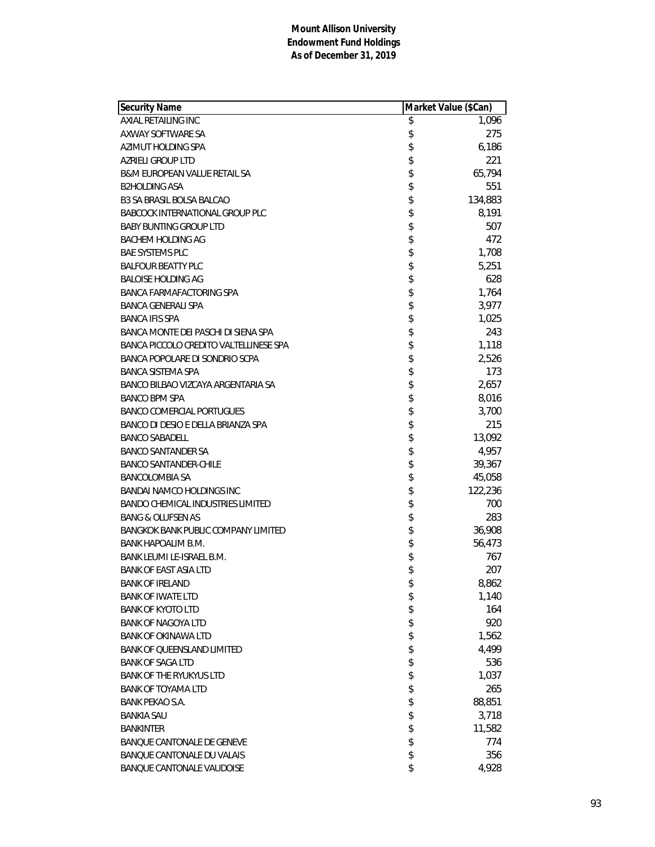| <b>Security Name</b>                       | Market Value (\$Can) |         |
|--------------------------------------------|----------------------|---------|
| AXIAL RETAILING INC                        | \$                   | 1,096   |
| AXWAY SOFTWARE SA                          | \$                   | 275     |
| AZIMUT HOLDING SPA                         | \$                   | 6,186   |
| AZRIELI GROUP LTD                          | \$                   | 221     |
| <b>B&amp;M EUROPEAN VALUE RETAIL SA</b>    | \$                   | 65,794  |
| <b>B2HOLDING ASA</b>                       | \$                   | 551     |
| <b>B3 SA BRASIL BOLSA BALCAO</b>           | \$                   | 134,883 |
| <b>BABCOCK INTERNATIONAL GROUP PLC</b>     | \$                   | 8,191   |
| <b>BABY BUNTING GROUP LTD</b>              | \$                   | 507     |
| <b>BACHEM HOLDING AG</b>                   | \$                   | 472     |
| <b>BAE SYSTEMS PLC</b>                     | \$                   | 1,708   |
| <b>BALFOUR BEATTY PLC</b>                  | \$                   | 5,251   |
| <b>BALOISE HOLDING AG</b>                  | \$                   | 628     |
| BANCA FARMAFACTORING SPA                   | \$                   | 1,764   |
| <b>BANCA GENERALI SPA</b>                  | \$                   | 3,977   |
| <b>BANCA IFIS SPA</b>                      | \$                   | 1,025   |
| BANCA MONTE DEI PASCHI DI SIENA SPA        | \$                   | 243     |
| BANCA PICCOLO CREDITO VALTELLINESE SPA     | \$                   | 1,118   |
| BANCA POPOLARE DI SONDRIO SCPA             | \$                   | 2,526   |
| <b>BANCA SISTEMA SPA</b>                   | \$                   | 173     |
| BANCO BILBAO VIZCAYA ARGENTARIA SA         | \$                   | 2,657   |
| <b>BANCO BPM SPA</b>                       | \$                   | 8,016   |
| <b>BANCO COMERCIAL PORTUGUES</b>           | \$                   | 3,700   |
| BANCO DI DESIO E DELLA BRIANZA SPA         | \$                   | 215     |
| <b>BANCO SABADELL</b>                      | \$                   | 13,092  |
| <b>BANCO SANTANDER SA</b>                  | \$                   | 4,957   |
| <b>BANCO SANTANDER-CHILE</b>               | \$                   | 39,367  |
| <b>BANCOLOMBIA SA</b>                      | \$                   | 45,058  |
| <b>BANDAI NAMCO HOLDINGS INC</b>           | \$                   | 122,236 |
| <b>BANDO CHEMICAL INDUSTRIES LIMITED</b>   | \$                   | 700     |
| <b>BANG &amp; OLUFSEN AS</b>               | \$                   | 283     |
| <b>BANGKOK BANK PUBLIC COMPANY LIMITED</b> | \$                   | 36,908  |
| BANK HAPOALIM B.M.                         | \$                   | 56,473  |
| BANK LEUMI LE-ISRAEL B.M.                  | \$                   | 767     |
| <b>BANK OF EAST ASIA LTD</b>               | \$                   | 207     |
| <b>BANK OF IRELAND</b>                     | \$                   | 8,862   |
| <b>BANK OF IWATE LTD</b>                   | \$                   | 1,140   |
| <b>BANK OF KYOTO LTD</b>                   | \$                   | 164     |
| <b>BANK OF NAGOYA LTD</b>                  | \$                   | 920     |
| <b>BANK OF OKINAWA LTD</b>                 | \$                   | 1,562   |
| <b>BANK OF QUEENSLAND LIMITED</b>          | \$                   | 4,499   |
| <b>BANK OF SAGA LTD</b>                    | \$                   | 536     |
| <b>BANK OF THE RYUKYUS LTD</b>             | \$                   | 1,037   |
| <b>BANK OF TOYAMA LTD</b>                  | \$                   | 265     |
| <b>BANK PEKAO S.A.</b>                     | \$                   | 88,851  |
| <b>BANKIA SAU</b>                          | \$                   | 3,718   |
| <b>BANKINTER</b>                           | \$                   | 11,582  |
| <b>BANQUE CANTONALE DE GENEVE</b>          | \$                   | 774     |
| <b>BANQUE CANTONALE DU VALAIS</b>          | \$                   | 356     |
| BANQUE CANTONALE VAUDOISE                  | \$                   | 4,928   |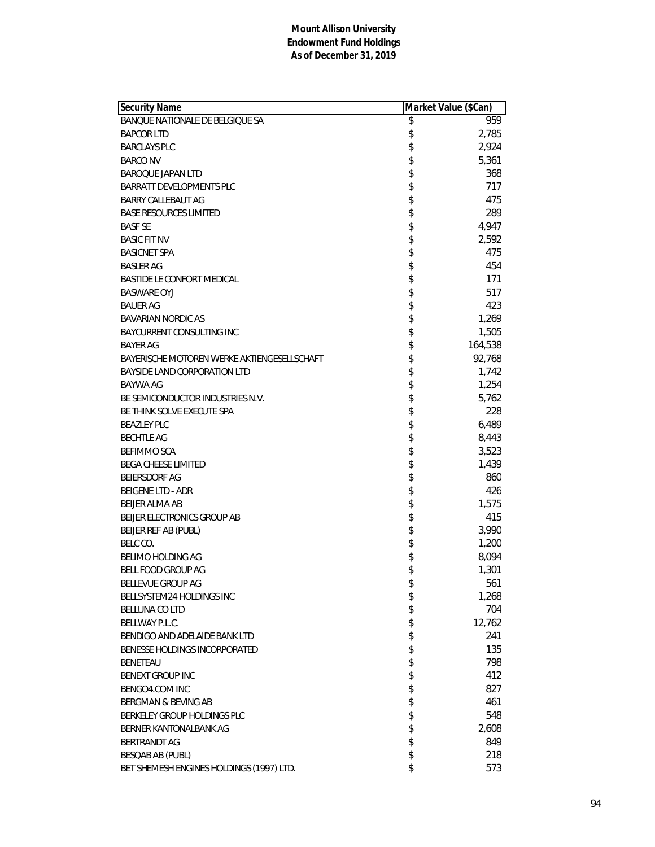| Security Name                               | Market Value (\$Can) |         |
|---------------------------------------------|----------------------|---------|
| BANQUE NATIONALE DE BELGIQUE SA             | \$                   | 959     |
| <b>BAPCOR LTD</b>                           | \$                   | 2,785   |
| <b>BARCLAYS PLC</b>                         | \$                   | 2,924   |
| <b>BARCO NV</b>                             | \$                   | 5,361   |
| <b>BAROQUE JAPAN LTD</b>                    | \$                   | 368     |
| BARRATT DEVELOPMENTS PLC                    | \$                   | 717     |
| BARRY CALLEBAUT AG                          | \$                   | 475     |
| <b>BASE RESOURCES LIMITED</b>               | \$                   | 289     |
| <b>BASF SE</b>                              |                      | 4,947   |
| <b>BASIC FIT NV</b>                         | \$                   | 2,592   |
| <b>BASICNET SPA</b>                         | \$                   | 475     |
| <b>BASLER AG</b>                            | \$                   | 454     |
| BASTIDE LE CONFORT MEDICAL                  | \$                   | 171     |
| <b>BASWARE OYJ</b>                          | \$                   | 517     |
| <b>BAUER AG</b>                             | \$                   | 423     |
| <b>BAVARIAN NORDIC AS</b>                   | \$                   | 1,269   |
| BAYCURRENT CONSULTING INC                   |                      | 1,505   |
| <b>BAYER AG</b>                             | \$                   | 164,538 |
| BAYERISCHE MOTOREN WERKE AKTIENGESELLSCHAFT | \$                   | 92,768  |
| BAYSIDE LAND CORPORATION LTD                | \$                   | 1,742   |
| <b>BAYWA AG</b>                             | \$                   | 1,254   |
| BE SEMICONDUCTOR INDUSTRIES N.V.            | \$                   | 5,762   |
| BE THINK SOLVE EXECUTE SPA                  | \$                   | 228     |
| <b>BEAZLEY PLC</b>                          | \$\$                 | 6,489   |
| <b>BECHTLE AG</b>                           |                      | 8,443   |
| <b>BEFIMMO SCA</b>                          |                      | 3,523   |
| <b>BEGA CHEESE LIMITED</b>                  | \$                   | 1,439   |
| <b>BEIERSDORF AG</b>                        | \$                   | 860     |
| <b>BEIGENE LTD - ADR</b>                    | \$                   | 426     |
| BEIJER ALMA AB                              | \$                   | 1,575   |
| BEIJER ELECTRONICS GROUP AB                 | \$                   | 415     |
| BEIJER REF AB (PUBL)                        | \$                   | 3,990   |
| BELC CO.                                    | \$                   | 1,200   |
| <b>BELIMO HOLDING AG</b>                    | \$                   | 8,094   |
| BELL FOOD GROUP AG                          | \$                   | 1,301   |
| <b>BELLEVUE GROUP AG</b>                    | \$                   | 561     |
| BELLSYSTEM24 HOLDINGS INC                   | \$                   | 1,268   |
| BELLUNA CO LTD                              | \$                   | 704     |
| BELLWAY P.L.C.                              | \$                   | 12,762  |
| BENDIGO AND ADELAIDE BANK LTD               | \$                   | 241     |
| BENESSE HOLDINGS INCORPORATED               | \$                   | 135     |
| <b>BENETEAU</b>                             |                      | 798     |
| <b>BENEXT GROUP INC</b>                     | \$                   | 412     |
| BENGO4.COM INC                              | \$                   | 827     |
| BERGMAN & BEVING AB                         | \$                   | 461     |
| BERKELEY GROUP HOLDINGS PLC                 | \$                   | 548     |
| BERNER KANTONALBANK AG                      | \$                   | 2,608   |
| <b>BERTRANDT AG</b>                         | \$                   | 849     |
| <b>BESQAB AB (PUBL)</b>                     | \$                   | 218     |
| BET SHEMESH ENGINES HOLDINGS (1997) LTD.    | \$                   | 573     |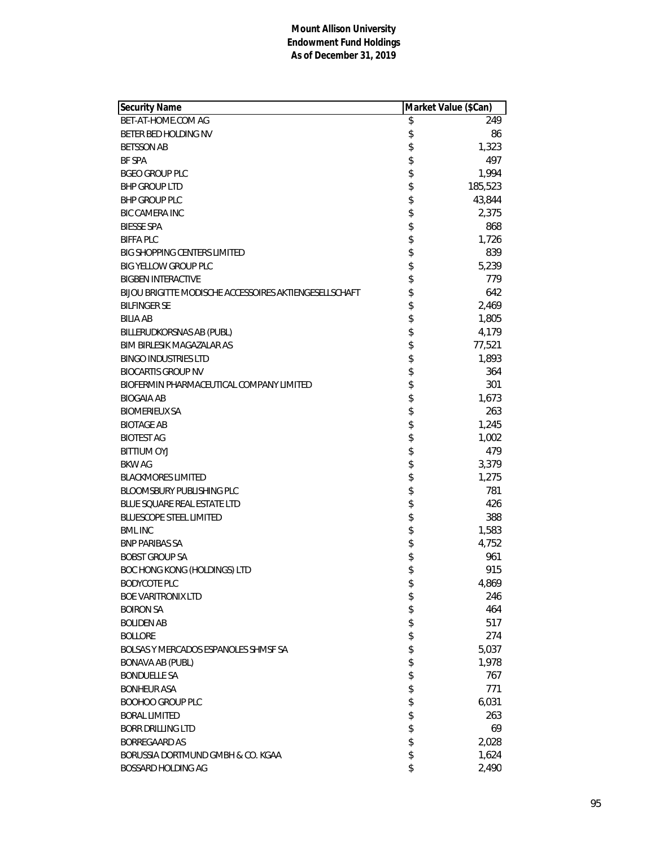| Security Name                                          | Market Value (\$Can) |         |
|--------------------------------------------------------|----------------------|---------|
| BET-AT-HOME.COM AG                                     | \$                   | 249     |
| BETER BED HOLDING NV                                   | \$                   | 86      |
| <b>BETSSON AB</b>                                      | \$                   | 1,323   |
| <b>BF SPA</b>                                          | \$                   | 497     |
| <b>BGEO GROUP PLC</b>                                  | \$                   | 1,994   |
| <b>BHP GROUP LTD</b>                                   | \$                   | 185,523 |
| <b>BHP GROUP PLC</b>                                   | \$                   | 43,844  |
| <b>BIC CAMERA INC</b>                                  | \$                   | 2,375   |
| <b>BIESSE SPA</b>                                      |                      | 868     |
| <b>BIFFA PLC</b>                                       | \$\$                 | 1,726   |
| <b>BIG SHOPPING CENTERS LIMITED</b>                    |                      | 839     |
| <b>BIG YELLOW GROUP PLC</b>                            | \$                   | 5,239   |
| <b>BIGBEN INTERACTIVE</b>                              | \$                   | 779     |
| BIJOU BRIGITTE MODISCHE ACCESSOIRES AKTIENGESELLSCHAFT | \$                   | 642     |
| <b>BILFINGER SE</b>                                    | \$                   | 2,469   |
| <b>BILIA AB</b>                                        | \$                   | 1,805   |
| BILLERUDKORSNAS AB (PUBL)                              | \$                   | 4,179   |
| <b>BIM BIRLESIK MAGAZALAR AS</b>                       |                      | 77,521  |
| <b>BINGO INDUSTRIES LTD</b>                            | \$                   | 1,893   |
| <b>BIOCARTIS GROUP NV</b>                              | \$                   | 364     |
| BIOFERMIN PHARMACEUTICAL COMPANY LIMITED               | \$                   | 301     |
| <b>BIOGAIA AB</b>                                      | \$                   | 1,673   |
| <b>BIOMERIEUX SA</b>                                   | \$                   | 263     |
| <b>BIOTAGE AB</b>                                      |                      | 1,245   |
| <b>BIOTEST AG</b>                                      | \$<br>\$             | 1,002   |
| <b>BITTIUM OYJ</b>                                     | \$                   | 479     |
| <b>BKW AG</b>                                          |                      | 3,379   |
| <b>BLACKMORES LIMITED</b>                              | \$                   | 1,275   |
| BLOOMSBURY PUBLISHING PLC                              | \$                   | 781     |
| <b>BLUE SQUARE REAL ESTATE LTD</b>                     | \$                   | 426     |
| <b>BLUESCOPE STEEL LIMITED</b>                         | \$                   | 388     |
| <b>BML INC</b>                                         | \$                   | 1,583   |
| <b>BNP PARIBAS SA</b>                                  | \$                   | 4,752   |
| <b>BOBST GROUP SA</b>                                  | \$                   | 961     |
| BOC HONG KONG (HOLDINGS) LTD                           | \$                   | 915     |
| <b>BODYCOTE PLC</b>                                    | \$                   | 4,869   |
| <b>BOE VARITRONIX LTD</b>                              | \$                   | 246     |
| <b>BOIRON SA</b>                                       | \$                   | 464     |
| <b>BOLIDEN AB</b>                                      | \$                   | 517     |
| <b>BOLLORE</b>                                         | \$                   | 274     |
| BOLSAS Y MERCADOS ESPANOLES SHMSF SA                   | \$                   | 5,037   |
| <b>BONAVA AB (PUBL)</b>                                | \$                   | 1,978   |
| <b>BONDUELLE SA</b>                                    | \$                   | 767     |
| <b>BONHEUR ASA</b>                                     | \$                   | 771     |
| <b>BOOHOO GROUP PLC</b>                                | \$                   | 6,031   |
| <b>BORAL LIMITED</b>                                   | \$                   | 263     |
| <b>BORR DRILLING LTD</b>                               | \$                   | 69      |
| <b>BORREGAARD AS</b>                                   | \$                   | 2,028   |
| BORUSSIA DORTMUND GMBH & CO. KGAA                      | \$                   | 1,624   |
| BOSSARD HOLDING AG                                     | \$                   | 2,490   |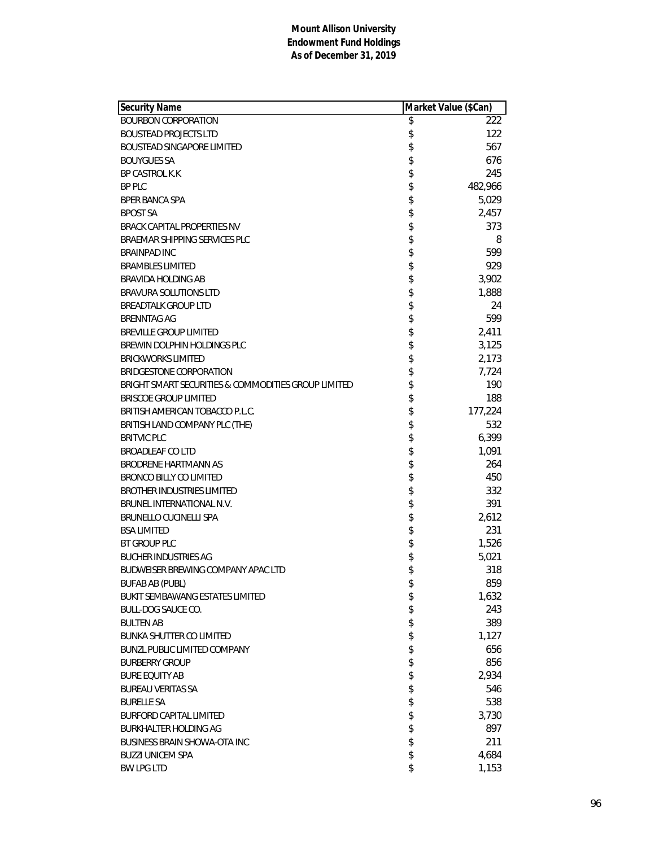| Security Name                                       | Market Value (\$Can) |
|-----------------------------------------------------|----------------------|
| <b>BOURBON CORPORATION</b>                          | \$<br>222            |
| <b>BOUSTEAD PROJECTS LTD</b>                        | \$<br>122            |
| <b>BOUSTEAD SINGAPORE LIMITED</b>                   | \$<br>567            |
| <b>BOUYGUES SA</b>                                  | \$<br>676            |
| <b>BP CASTROL K.K</b>                               | \$<br>245            |
| <b>BP PLC</b>                                       | \$<br>482,966        |
| <b>BPER BANCA SPA</b>                               | \$<br>5,029          |
| <b>BPOST SA</b>                                     | \$<br>2,457          |
| <b>BRACK CAPITAL PROPERTIES NV</b>                  | \$<br>373            |
| BRAEMAR SHIPPING SERVICES PLC                       | \$<br>8              |
| <b>BRAINPAD INC</b>                                 | \$<br>599            |
| <b>BRAMBLES LIMITED</b>                             | \$<br>929            |
| BRAVIDA HOLDING AB                                  | \$<br>3,902          |
| <b>BRAVURA SOLUTIONS LTD</b>                        | \$<br>1,888          |
| <b>BREADTALK GROUP LTD</b>                          | \$<br>24             |
| <b>BRENNTAG AG</b>                                  | \$<br>599            |
| <b>BREVILLE GROUP LIMITED</b>                       | \$<br>2,411          |
| BREWIN DOLPHIN HOLDINGS PLC                         | \$<br>3,125          |
| <b>BRICKWORKS LIMITED</b>                           | \$<br>2,173          |
| BRIDGESTONE CORPORATION                             | \$<br>7,724          |
| BRIGHT SMART SECURITIES & COMMODITIES GROUP LIMITED | \$<br>190            |
| <b>BRISCOE GROUP LIMITED</b>                        | \$<br>188            |
| BRITISH AMERICAN TOBACCO P.L.C.                     | \$<br>177,224        |
| BRITISH LAND COMPANY PLC (THE)                      | \$<br>532            |
| <b>BRITVIC PLC</b>                                  | \$<br>6,399          |
| <b>BROADLEAF CO LTD</b>                             | \$<br>1,091          |
| BRODRENE HARTMANN AS                                | \$<br>264            |
| <b>BRONCO BILLY CO LIMITED</b>                      | \$<br>450            |
| <b>BROTHER INDUSTRIES LIMITED</b>                   | \$<br>332            |
| BRUNEL INTERNATIONAL N.V.                           | \$<br>391            |
| <b>BRUNELLO CUCINELLI SPA</b>                       | \$<br>2,612          |
| <b>BSA LIMITED</b>                                  | \$<br>231            |
| BT GROUP PLC                                        | \$<br>1,526          |
| <b>BUCHER INDUSTRIES AG</b>                         | \$<br>5,021          |
| <b>BUDWEISER BREWING COMPANY APAC LTD</b>           | \$<br>318            |
| <b>BUFAB AB (PUBL)</b>                              | \$<br>859            |
| BUKIT SEMBAWANG ESTATES LIMITED                     | \$<br>1,632          |
| <b>BULL-DOG SAUCE CO.</b>                           | \$<br>243            |
| <b>BULTEN AB</b>                                    | \$<br>389            |
| <b>BUNKA SHUTTER CO LIMITED</b>                     | \$<br>1,127          |
| <b>BUNZL PUBLIC LIMITED COMPANY</b>                 | \$<br>656            |
| <b>BURBERRY GROUP</b>                               | \$<br>856            |
| <b>BURE EQUITY AB</b>                               | \$<br>2,934          |
| <b>BUREAU VERITAS SA</b>                            | \$<br>546            |
| <b>BURELLE SA</b>                                   | \$<br>538            |
| <b>BURFORD CAPITAL LIMITED</b>                      | \$<br>3,730          |
| <b>BURKHALTER HOLDING AG</b>                        | \$<br>897            |
| <b>BUSINESS BRAIN SHOWA-OTA INC</b>                 | \$<br>211            |
| <b>BUZZI UNICEM SPA</b>                             | \$<br>4,684          |
| <b>BW LPG LTD</b>                                   | \$<br>1,153          |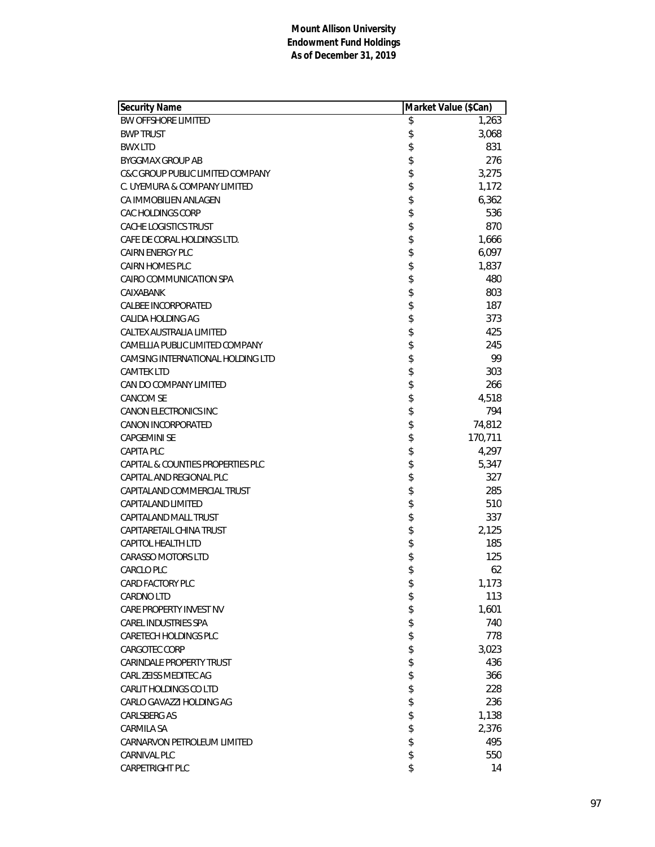| Security Name                     | Market Value (\$Can) |         |
|-----------------------------------|----------------------|---------|
| <b>BW OFFSHORE LIMITED</b>        | \$                   | 1,263   |
| <b>BWP TRUST</b>                  | \$                   | 3,068   |
| <b>BWX LTD</b>                    | \$                   | 831     |
| <b>BYGGMAX GROUP AB</b>           | \$                   | 276     |
| C&C GROUP PUBLIC LIMITED COMPANY  | \$                   | 3,275   |
| C. UYEMURA & COMPANY LIMITED      | \$                   | 1,172   |
| CA IMMOBILIEN ANLAGEN             | \$                   | 6,362   |
| CAC HOLDINGS CORP                 | \$                   | 536     |
| CACHE LOGISTICS TRUST             |                      | 870     |
| CAFE DE CORAL HOLDINGS LTD.       | \$                   | 1,666   |
| <b>CAIRN ENERGY PLC</b>           | \$                   | 6,097   |
| <b>CAIRN HOMES PLC</b>            | \$                   | 1,837   |
| CAIRO COMMUNICATION SPA           | \$                   | 480     |
| CAIXABANK                         | \$                   | 803     |
| <b>CALBEE INCORPORATED</b>        | \$                   | 187     |
| CALIDA HOLDING AG                 |                      | 373     |
| CALTEX AUSTRALIA LIMITED          | \$                   | 425     |
| CAMELLIA PUBLIC LIMITED COMPANY   | \$                   | 245     |
| CAMSING INTERNATIONAL HOLDING LTD | \$                   | 99      |
| <b>CAMTEK LTD</b>                 | \$                   | 303     |
| CAN DO COMPANY LIMITED            | \$                   | 266     |
| <b>CANCOM SE</b>                  | \$                   | 4,518   |
| <b>CANON ELECTRONICS INC</b>      | \$                   | 794     |
| <b>CANON INCORPORATED</b>         |                      | 74,812  |
| <b>CAPGEMINI SE</b>               | \$                   | 170,711 |
| <b>CAPITA PLC</b>                 | \$                   | 4,297   |
| CAPITAL & COUNTIES PROPERTIES PLC | \$                   | 5,347   |
| CAPITAL AND REGIONAL PLC          | \$                   | 327     |
| CAPITALAND COMMERCIAL TRUST       | \$                   | 285     |
| CAPITALAND LIMITED                | \$                   | 510     |
| CAPITALAND MALL TRUST             | \$                   | 337     |
| CAPITARETAIL CHINA TRUST          |                      | 2,125   |
| CAPITOL HEALTH LTD                | \$                   | 185     |
| CARASSO MOTORS LTD                | \$                   | 125     |
| <b>CARCLO PLC</b>                 | \$                   | 62      |
| CARD FACTORY PLC                  | \$                   | 1,173   |
| <b>CARDNO LTD</b>                 | \$                   | 113     |
| CARE PROPERTY INVEST NV           | \$                   | 1,601   |
| CAREL INDUSTRIES SPA              | \$                   | 740     |
| CARETECH HOLDINGS PLC             | \$                   | 778     |
| CARGOTEC CORP                     | \$                   | 3,023   |
| <b>CARINDALE PROPERTY TRUST</b>   | \$                   | 436     |
| CARL ZEISS MEDITEC AG             | \$                   | 366     |
| CARLIT HOLDINGS CO LTD            | \$                   | 228     |
| CARLO GAVAZZI HOLDING AG          | \$                   | 236     |
| <b>CARLSBERG AS</b>               | \$                   | 1,138   |
| CARMILA SA                        | \$                   | 2,376   |
| CARNARVON PETROLEUM LIMITED       | \$                   | 495     |
| <b>CARNIVAL PLC</b>               | \$                   | 550     |
| CARPETRIGHT PLC                   | \$                   | 14      |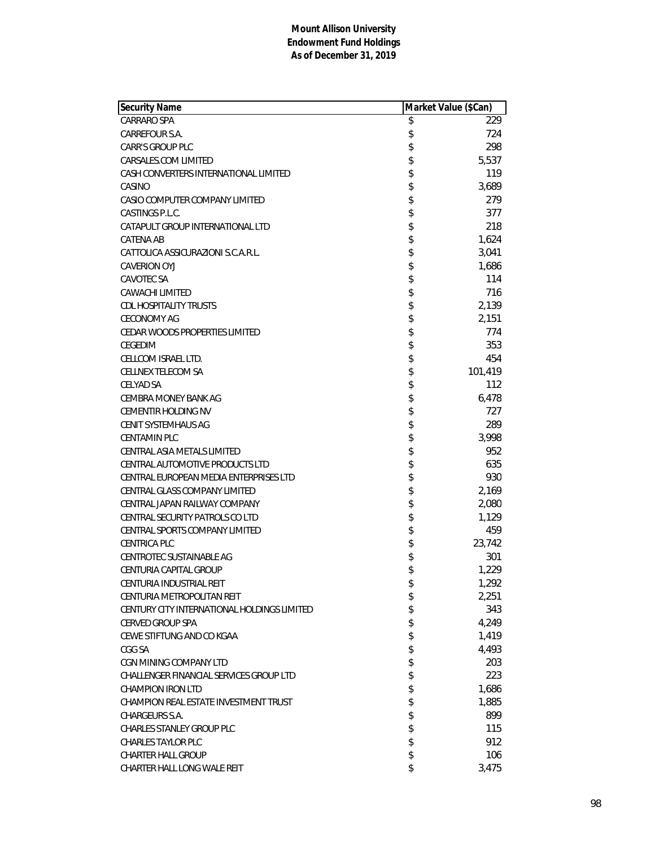| Security Name                               | Market Value (\$Can) |         |
|---------------------------------------------|----------------------|---------|
| <b>CARRARO SPA</b>                          | \$                   | 229     |
| CARREFOUR S.A.                              | \$                   | 724     |
| <b>CARR'S GROUP PLC</b>                     | \$                   | 298     |
| CARSALES.COM LIMITED                        | \$                   | 5,537   |
| CASH CONVERTERS INTERNATIONAL LIMITED       | \$                   | 119     |
| CASINO                                      | \$                   | 3,689   |
| CASIO COMPUTER COMPANY LIMITED              | \$                   | 279     |
| CASTINGS P.L.C.                             | \$<br>\$             | 377     |
| CATAPULT GROUP INTERNATIONAL LTD            |                      | 218     |
| CATENA AB                                   | \$                   | 1,624   |
| CATTOLICA ASSICURAZIONI S.C.A.R.L.          | \$                   | 3,041   |
| <b>CAVERION OYJ</b>                         | \$                   | 1,686   |
| <b>CAVOTEC SA</b>                           | \$                   | 114     |
| <b>CAWACHI LIMITED</b>                      | \$                   | 716     |
| <b>CDL HOSPITALITY TRUSTS</b>               | \$                   | 2,139   |
| <b>CECONOMY AG</b>                          |                      | 2,151   |
| CEDAR WOODS PROPERTIES LIMITED              | \$                   | 774     |
| <b>CEGEDIM</b>                              | \$                   | 353     |
| CELLCOM ISRAEL LTD.                         | \$                   | 454     |
| CELLNEX TELECOM SA                          | \$                   | 101,419 |
| <b>CELYAD SA</b>                            | \$                   | 112     |
| <b>CEMBRA MONEY BANK AG</b>                 | \$                   | 6,478   |
| <b>CEMENTIR HOLDING NV</b>                  | \$                   | 727     |
| <b>CENIT SYSTEMHAUS AG</b>                  |                      | 289     |
| <b>CENTAMIN PLC</b>                         | \$\$                 | 3,998   |
| CENTRAL ASIA METALS LIMITED                 |                      | 952     |
| CENTRAL AUTOMOTIVE PRODUCTS LTD             | \$                   | 635     |
| CENTRAL EUROPEAN MEDIA ENTERPRISES LTD      | \$                   | 930     |
| CENTRAL GLASS COMPANY LIMITED               | \$                   | 2,169   |
| CENTRAL JAPAN RAILWAY COMPANY               | \$                   | 2,080   |
| CENTRAL SECURITY PATROLS CO LTD             | \$                   | 1,129   |
| CENTRAL SPORTS COMPANY LIMITED              | \$                   | 459     |
| <b>CENTRICA PLC</b>                         | \$                   | 23,742  |
| <b>CENTROTEC SUSTAINABLE AG</b>             | \$                   | 301     |
| <b>CENTURIA CAPITAL GROUP</b>               | \$                   | 1,229   |
| CENTURIA INDUSTRIAL REIT                    | \$                   | 1,292   |
| CENTURIA METROPOLITAN REIT                  | \$                   | 2,251   |
| CENTURY CITY INTERNATIONAL HOLDINGS LIMITED | \$                   | 343     |
| <b>CERVED GROUP SPA</b>                     | \$                   | 4,249   |
| CEWE STIFTUNG AND CO KGAA                   | \$                   | 1,419   |
| CGG SA                                      | \$                   | 4,493   |
| CGN MINING COMPANY LTD                      | \$                   | 203     |
| CHALLENGER FINANCIAL SERVICES GROUP LTD     | \$                   | 223     |
| <b>CHAMPION IRON LTD</b>                    | \$                   | 1,686   |
| CHAMPION REAL ESTATE INVESTMENT TRUST       | \$                   | 1,885   |
| CHARGEURS S.A.                              | \$                   | 899     |
| <b>CHARLES STANLEY GROUP PLC</b>            | \$                   | 115     |
| <b>CHARLES TAYLOR PLC</b>                   | \$                   | 912     |
| <b>CHARTER HALL GROUP</b>                   | \$                   | 106     |
| CHARTER HALL LONG WALE REIT                 | \$                   | 3,475   |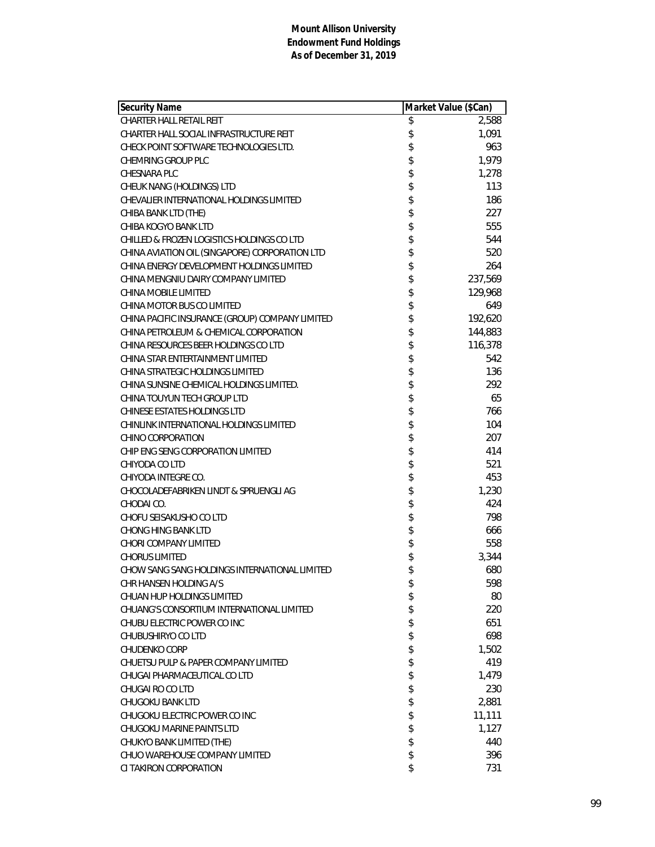| <b>Security Name</b>                            | Market Value (\$Can) |         |
|-------------------------------------------------|----------------------|---------|
| CHARTER HALL RETAIL REIT                        | \$                   | 2,588   |
| CHARTER HALL SOCIAL INFRASTRUCTURE REIT         | \$                   | 1,091   |
| CHECK POINT SOFTWARE TECHNOLOGIES LTD.          | \$                   | 963     |
| CHEMRING GROUP PLC                              | \$                   | 1,979   |
| CHESNARA PLC                                    | \$                   | 1,278   |
| CHEUK NANG (HOLDINGS) LTD                       | \$                   | 113     |
| CHEVALIER INTERNATIONAL HOLDINGS LIMITED        | \$                   | 186     |
| CHIBA BANK LTD (THE)                            | \$                   | 227     |
| CHIBA KOGYO BANK LTD                            | \$                   | 555     |
| CHILLED & FROZEN LOGISTICS HOLDINGS CO LTD      | \$                   | 544     |
| CHINA AVIATION OIL (SINGAPORE) CORPORATION LTD  | \$                   | 520     |
| CHINA ENERGY DEVELOPMENT HOLDINGS LIMITED       | \$                   | 264     |
| CHINA MENGNIU DAIRY COMPANY LIMITED             | \$                   | 237,569 |
| CHINA MOBILE LIMITED                            | \$                   | 129,968 |
| CHINA MOTOR BUS CO LIMITED                      | \$                   | 649     |
| CHINA PACIFIC INSURANCE (GROUP) COMPANY LIMITED | \$                   | 192,620 |
| CHINA PETROLEUM & CHEMICAL CORPORATION          | \$                   | 144,883 |
| CHINA RESOURCES BEER HOLDINGS CO LTD            | \$                   | 116,378 |
| CHINA STAR ENTERTAINMENT LIMITED                | \$                   | 542     |
| CHINA STRATEGIC HOLDINGS LIMITED                | \$                   | 136     |
| CHINA SUNSINE CHEMICAL HOLDINGS LIMITED.        | \$                   | 292     |
| CHINA TOUYUN TECH GROUP LTD                     | \$                   | 65      |
| <b>CHINESE ESTATES HOLDINGS LTD</b>             | \$                   | 766     |
| CHINLINK INTERNATIONAL HOLDINGS LIMITED         | \$                   | 104     |
| CHINO CORPORATION                               | \$                   | 207     |
| CHIP ENG SENG CORPORATION LIMITED               | \$                   | 414     |
| CHIYODA CO LTD                                  | \$                   | 521     |
| CHIYODA INTEGRE CO.                             | \$                   | 453     |
| CHOCOLADEFABRIKEN LINDT & SPRUENGLI AG          |                      | 1,230   |
| CHODAI CO.                                      | \$\$\$\$\$           | 424     |
| CHOFU SEISAKUSHO CO LTD                         |                      | 798     |
| <b>CHONG HING BANK LTD</b>                      |                      | 666     |
| CHORI COMPANY LIMITED                           |                      | 558     |
| <b>CHORUS LIMITED</b>                           | \$                   | 3,344   |
| CHOW SANG SANG HOLDINGS INTERNATIONAL LIMITED   | \$                   | 680     |
| CHR HANSEN HOLDING A/S                          | \$                   | 598     |
| <b>CHUAN HUP HOLDINGS LIMITED</b>               | \$                   | 80      |
| CHUANG'S CONSORTIUM INTERNATIONAL LIMITED       | \$                   | 220     |
| CHUBU ELECTRIC POWER CO INC                     | \$                   | 651     |
| CHUBUSHIRYO CO LTD                              | \$                   | 698     |
| CHUDENKO CORP                                   | \$                   | 1,502   |
| CHUETSU PULP & PAPER COMPANY LIMITED            | \$                   | 419     |
| CHUGAI PHARMACEUTICAL CO LTD                    | \$                   | 1,479   |
| CHUGAI RO CO LTD                                | \$                   | 230     |
| CHUGOKU BANK LTD                                | \$                   | 2,881   |
| CHUGOKU ELECTRIC POWER CO INC                   | \$                   | 11,111  |
| CHUGOKU MARINE PAINTS LTD                       | \$                   | 1,127   |
| CHUKYO BANK LIMITED (THE)                       | \$                   | 440     |
| CHUO WAREHOUSE COMPANY LIMITED                  | \$                   | 396     |
| CI TAKIRON CORPORATION                          | \$                   | 731     |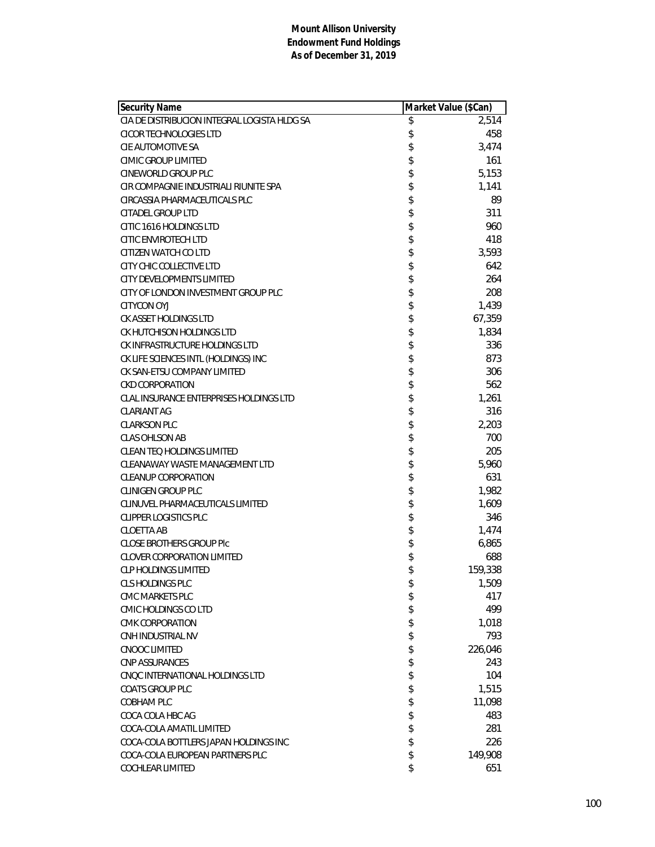| <b>Security Name</b>                         | Market Value (\$Can) |         |
|----------------------------------------------|----------------------|---------|
| CIA DE DISTRIBUCION INTEGRAL LOGISTA HLDG SA | \$                   | 2,514   |
| CICOR TECHNOLOGIES LTD                       | \$                   | 458     |
| CIE AUTOMOTIVE SA                            | \$                   | 3,474   |
| CIMIC GROUP LIMITED                          | \$                   | 161     |
| CINEWORLD GROUP PLC                          | \$                   | 5,153   |
| CIR COMPAGNIE INDUSTRIALI RIUNITE SPA        | \$                   | 1,141   |
| CIRCASSIA PHARMACEUTICALS PLC                | \$                   | 89      |
| CITADEL GROUP LTD                            | \$                   | 311     |
| CITIC 1616 HOLDINGS LTD                      | \$                   | 960     |
| CITIC ENVIROTECH LTD                         | \$                   | 418     |
| CITIZEN WATCH CO LTD                         | \$                   | 3,593   |
| CITY CHIC COLLECTIVE LTD                     | \$                   | 642     |
| CITY DEVELOPMENTS LIMITED                    | \$                   | 264     |
| CITY OF LONDON INVESTMENT GROUP PLC          | \$                   | 208     |
| CITYCON OYJ                                  | \$                   | 1,439   |
| CK ASSET HOLDINGS LTD                        | \$                   | 67,359  |
| CK HUTCHISON HOLDINGS LTD                    | \$                   | 1,834   |
| CK INFRASTRUCTURE HOLDINGS LTD               | \$                   | 336     |
| CK LIFE SCIENCES INTL (HOLDINGS) INC         | \$                   | 873     |
| CK SAN-ETSU COMPANY LIMITED                  | \$                   | 306     |
| <b>CKD CORPORATION</b>                       | \$                   | 562     |
| CLAL INSURANCE ENTERPRISES HOLDINGS LTD      | \$                   | 1,261   |
| <b>CLARIANT AG</b>                           | \$                   | 316     |
| <b>CLARKSON PLC</b>                          | \$                   | 2,203   |
| <b>CLAS OHLSON AB</b>                        | \$                   | 700     |
| CLEAN TEQ HOLDINGS LIMITED                   | \$                   | 205     |
| CLEANAWAY WASTE MANAGEMENT LTD               | \$                   | 5,960   |
| <b>CLEANUP CORPORATION</b>                   | \$                   | 631     |
| <b>CLINIGEN GROUP PLC</b>                    | \$                   | 1,982   |
| CLINUVEL PHARMACEUTICALS LIMITED             | \$                   | 1,609   |
| <b>CLIPPER LOGISTICS PLC</b>                 | \$                   | 346     |
| <b>CLOETTA AB</b>                            | \$                   | 1,474   |
| <b>CLOSE BROTHERS GROUP PIC</b>              | \$                   | 6,865   |
| <b>CLOVER CORPORATION LIMITED</b>            | \$                   | 688     |
| <b>CLP HOLDINGS LIMITED</b>                  | \$                   | 159,338 |
| CLS HOLDINGS PLC                             | \$                   | 1,509   |
| CMC MARKETS PLC                              | \$                   | 417     |
| CMIC HOLDINGS CO LTD                         | \$                   | 499     |
| CMK CORPORATION                              | \$                   | 1,018   |
| CNH INDUSTRIAL NV                            | \$                   | 793     |
| CNOOC LIMITED                                | \$                   | 226,046 |
| <b>CNP ASSURANCES</b>                        | \$                   | 243     |
| CNOC INTERNATIONAL HOLDINGS LTD              | \$                   | 104     |
| <b>COATS GROUP PLC</b>                       | \$                   | 1,515   |
| COBHAM PLC                                   | \$                   | 11,098  |
| COCA COLA HBC AG                             | \$                   | 483     |
| COCA-COLA AMATIL LIMITED                     | \$                   | 281     |
| COCA-COLA BOTTLERS JAPAN HOLDINGS INC        | \$                   | 226     |
| COCA-COLA EUROPEAN PARTNERS PLC              | \$                   | 149,908 |
| COCHLEAR LIMITED                             | \$                   | 651     |
|                                              |                      |         |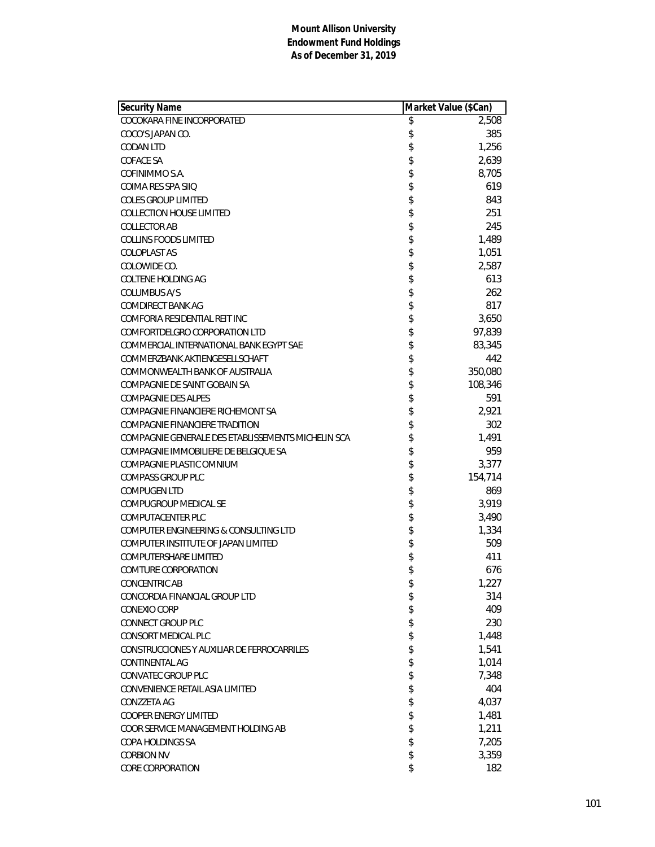| Security Name                                      | Market Value (\$Can) |         |
|----------------------------------------------------|----------------------|---------|
| COCOKARA FINE INCORPORATED                         | \$                   | 2,508   |
| COCO'S JAPAN CO.                                   | \$                   | 385     |
| <b>CODAN LTD</b>                                   | \$                   | 1,256   |
| COFACE SA                                          | \$                   | 2,639   |
| COFINIMMO S.A.                                     | \$                   | 8,705   |
| COIMA RES SPA SIIO                                 | \$                   | 619     |
| <b>COLES GROUP LIMITED</b>                         | \$                   | 843     |
| <b>COLLECTION HOUSE LIMITED</b>                    | \$                   | 251     |
| <b>COLLECTOR AB</b>                                | \$                   | 245     |
| <b>COLLINS FOODS LIMITED</b>                       | \$                   | 1,489   |
| COLOPLAST AS                                       | \$                   | 1,051   |
| COLOWIDE CO.                                       | \$                   | 2,587   |
| COLTENE HOLDING AG                                 | \$                   | 613     |
| COLUMBUS A/S                                       | \$                   | 262     |
| <b>COMDIRECT BANK AG</b>                           | \$                   | 817     |
| COMFORIA RESIDENTIAL REIT INC                      | \$                   | 3,650   |
| COMFORTDELGRO CORPORATION LTD                      | \$                   | 97,839  |
| COMMERCIAL INTERNATIONAL BANK EGYPT SAE            | \$                   | 83,345  |
| COMMERZBANK AKTIENGESELLSCHAFT                     | \$                   | 442     |
| COMMONWEALTH BANK OF AUSTRALIA                     | \$                   | 350,080 |
| COMPAGNIE DE SAINT GOBAIN SA                       | \$                   | 108,346 |
| <b>COMPAGNIE DES ALPES</b>                         | \$                   | 591     |
| COMPAGNIE FINANCIERE RICHEMONT SA                  | \$                   | 2,921   |
| <b>COMPAGNIE FINANCIERE TRADITION</b>              | \$                   | 302     |
| COMPAGNIE GENERALE DES ETABLISSEMENTS MICHELIN SCA | \$                   | 1,491   |
| COMPAGNIE IMMOBILIERE DE BELGIQUE SA               | \$                   | 959     |
| COMPAGNIE PLASTIC OMNIUM                           | \$                   | 3,377   |
| <b>COMPASS GROUP PLC</b>                           | \$                   | 154,714 |
| <b>COMPUGEN LTD</b>                                | \$                   | 869     |
| COMPUGROUP MEDICAL SE                              | \$                   | 3,919   |
| <b>COMPUTACENTER PLC</b>                           | \$                   | 3,490   |
| COMPUTER ENGINEERING & CONSULTING LTD              | \$                   | 1,334   |
| COMPUTER INSTITUTE OF JAPAN LIMITED                | \$                   | 509     |
| COMPUTERSHARE LIMITED                              | \$                   | 411     |
| <b>COMTURE CORPORATION</b>                         | \$                   | 676     |
| <b>CONCENTRIC AB</b>                               | \$                   | 1,227   |
| CONCORDIA FINANCIAL GROUP LTD                      | \$                   | 314     |
| CONEXIO CORP                                       | \$                   | 409     |
| <b>CONNECT GROUP PLC</b>                           | \$                   | 230     |
| CONSORT MEDICAL PLC                                | \$                   | 1,448   |
| CONSTRUCCIONES Y AUXILIAR DE FERROCARRILES         | \$                   | 1,541   |
| <b>CONTINENTAL AG</b>                              | \$                   | 1,014   |
| <b>CONVATEC GROUP PLC</b>                          | \$                   | 7,348   |
| CONVENIENCE RETAIL ASIA LIMITED                    | \$                   | 404     |
| CONZZETA AG                                        | \$                   | 4,037   |
| <b>COOPER ENERGY LIMITED</b>                       | \$                   | 1,481   |
| COOR SERVICE MANAGEMENT HOLDING AB                 | \$                   | 1,211   |
| COPA HOLDINGS SA                                   | \$                   | 7,205   |
| <b>CORBION NV</b>                                  | \$                   | 3,359   |
| CORE CORPORATION                                   | \$                   | 182     |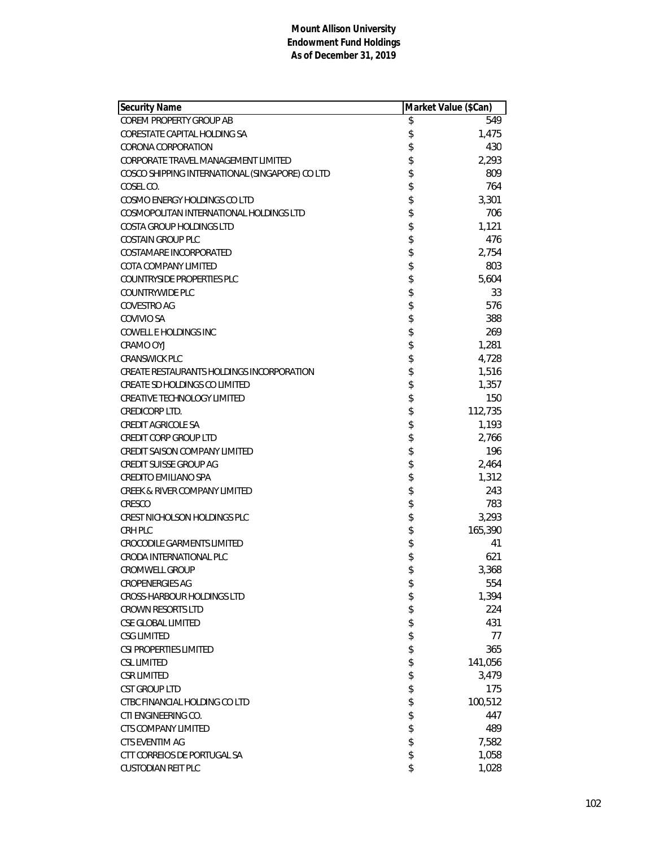| Security Name                                   | Market Value (\$Can) |         |
|-------------------------------------------------|----------------------|---------|
| COREM PROPERTY GROUP AB                         | \$                   | 549     |
| CORESTATE CAPITAL HOLDING SA                    | \$                   | 1,475   |
| CORONA CORPORATION                              | \$                   | 430     |
| CORPORATE TRAVEL MANAGEMENT LIMITED             | \$                   | 2,293   |
| COSCO SHIPPING INTERNATIONAL (SINGAPORE) CO LTD | \$                   | 809     |
| COSEL CO.                                       | \$                   | 764     |
| COSMO ENERGY HOLDINGS CO LTD                    | \$                   | 3,301   |
| COSMOPOLITAN INTERNATIONAL HOLDINGS LTD         | \$                   | 706     |
| COSTA GROUP HOLDINGS LTD                        | \$                   | 1,121   |
| <b>COSTAIN GROUP PLC</b>                        | \$                   | 476     |
| COSTAMARE INCORPORATED                          | \$                   | 2,754   |
| COTA COMPANY LIMITED                            | \$                   | 803     |
| <b>COUNTRYSIDE PROPERTIES PLC</b>               | \$                   | 5,604   |
| <b>COUNTRYWIDE PLC</b>                          | \$                   | 33      |
| <b>COVESTRO AG</b>                              | \$                   | 576     |
| COVIVIO SA                                      | \$                   | 388     |
| <b>COWELL E HOLDINGS INC</b>                    | \$                   | 269     |
| <b>CRAMO OYJ</b>                                | \$                   | 1,281   |
| <b>CRANSWICK PLC</b>                            | \$                   | 4,728   |
| CREATE RESTAURANTS HOLDINGS INCORPORATION       | \$                   | 1,516   |
| CREATE SD HOLDINGS CO LIMITED                   | \$                   | 1,357   |
| <b>CREATIVE TECHNOLOGY LIMITED</b>              | \$                   | 150     |
| CREDICORP LTD.                                  |                      | 112,735 |
| CREDIT AGRICOLE SA                              | \$                   | 1,193   |
| <b>CREDIT CORP GROUP LTD</b>                    | \$                   | 2,766   |
| <b>CREDIT SAISON COMPANY LIMITED</b>            | \$                   | 196     |
| CREDIT SUISSE GROUP AG                          | \$                   | 2,464   |
| <b>CREDITO EMILIANO SPA</b>                     | \$                   | 1,312   |
| <b>CREEK &amp; RIVER COMPANY LIMITED</b>        | \$                   | 243     |
| CRESCO                                          | \$                   | 783     |
| CREST NICHOLSON HOLDINGS PLC                    | \$                   | 3,293   |
| CRH PLC                                         | \$                   | 165,390 |
| <b>CROCODILE GARMENTS LIMITED</b>               | \$                   | 41      |
| CRODA INTERNATIONAL PLC                         | \$                   | 621     |
| CROMWELL GROUP                                  | \$                   | 3,368   |
| <b>CROPENERGIES AG</b>                          | \$                   | 554     |
| <b>CROSS-HARBOUR HOLDINGS LTD</b>               | \$                   | 1,394   |
| <b>CROWN RESORTS LTD</b>                        |                      | 224     |
| CSE GLOBAL LIMITED                              | \$\$                 | 431     |
| <b>CSG LIMITED</b>                              |                      | 77      |
| CSI PROPERTIES LIMITED                          | \$                   | 365     |
| <b>CSL LIMITED</b>                              | \$                   | 141,056 |
| <b>CSR LIMITED</b>                              | \$                   | 3,479   |
| <b>CST GROUP LTD</b>                            | \$                   | 175     |
| CTBC FINANCIAL HOLDING CO LTD                   | \$                   | 100,512 |
| CTI ENGINEERING CO.                             | \$                   | 447     |
| <b>CTS COMPANY LIMITED</b>                      | \$                   | 489     |
| <b>CTS EVENTIM AG</b>                           |                      | 7,582   |
| CTT CORREIOS DE PORTUGAL SA                     | \$                   | 1,058   |
| <b>CUSTODIAN REIT PLC</b>                       | \$                   | 1,028   |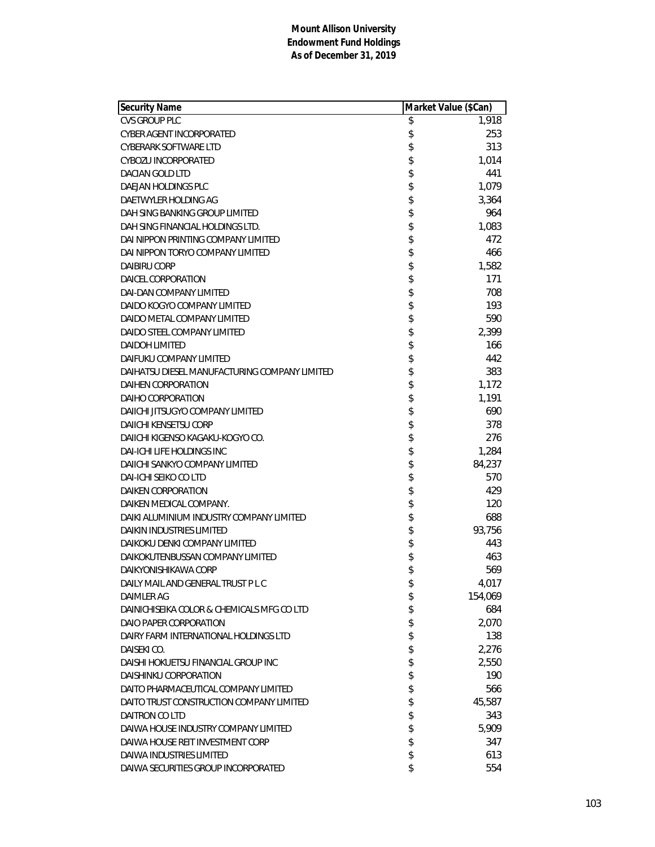| <b>Security Name</b>                          | Market Value (\$Can) |         |
|-----------------------------------------------|----------------------|---------|
| <b>CVS GROUP PLC</b>                          | \$                   | 1,918   |
| CYBER AGENT INCORPORATED                      | \$                   | 253     |
| <b>CYBERARK SOFTWARE LTD</b>                  | \$                   | 313     |
| CYBOZU INCORPORATED                           | \$                   | 1,014   |
| DACIAN GOLD LTD                               | \$                   | 441     |
| DAEJAN HOLDINGS PLC                           | \$                   | 1,079   |
| DAETWYLER HOLDING AG                          | \$                   | 3,364   |
| DAH SING BANKING GROUP LIMITED                | \$                   | 964     |
| DAH SING FINANCIAL HOLDINGS LTD.              | \$                   | 1,083   |
| DAI NIPPON PRINTING COMPANY LIMITED           | \$                   | 472     |
| DAI NIPPON TORYO COMPANY LIMITED              | \$                   | 466     |
| <b>DAIBIRU CORP</b>                           | \$                   | 1,582   |
| DAICEL CORPORATION                            | \$                   | 171     |
| <b>DAI-DAN COMPANY LIMITED</b>                | \$                   | 708     |
| DAIDO KOGYO COMPANY LIMITED                   | \$                   | 193     |
| DAIDO METAL COMPANY LIMITED                   | \$                   | 590     |
| DAIDO STEEL COMPANY LIMITED                   | \$                   | 2,399   |
| <b>DAIDOH LIMITED</b>                         | \$                   | 166     |
| DAIFUKU COMPANY LIMITED                       | \$                   | 442     |
| DAIHATSU DIESEL MANUFACTURING COMPANY LIMITED | \$                   | 383     |
| DAIHEN CORPORATION                            | \$                   | 1,172   |
| DAIHO CORPORATION                             | \$                   | 1,191   |
| DAIICHI JITSUGYO COMPANY LIMITED              | \$                   | 690     |
| <b>DAIICHI KENSETSU CORP</b>                  | \$                   | 378     |
| DAIICHI KIGENSO KAGAKU-KOGYO CO.              | \$                   | 276     |
| <b>DAI-ICHI LIFE HOLDINGS INC</b>             | \$                   | 1,284   |
| DAIICHI SANKYO COMPANY LIMITED                | \$                   | 84,237  |
| DAI-ICHI SEIKO CO LTD                         | \$                   | 570     |
| <b>DAIKEN CORPORATION</b>                     | \$                   | 429     |
| DAIKEN MEDICAL COMPANY.                       | \$                   | 120     |
| DAIKI ALUMINIUM INDUSTRY COMPANY LIMITED      | \$                   | 688     |
| <b>DAIKIN INDUSTRIES LIMITED</b>              | \$                   | 93,756  |
| DAIKOKU DENKI COMPANY LIMITED                 | \$                   | 443     |
| DAIKOKUTENBUSSAN COMPANY LIMITED              | \$                   | 463     |
| DAIKYONISHIKAWA CORP                          | \$                   | 569     |
| DAILY MAIL AND GENERAL TRUST P L C            | \$                   | 4,017   |
| DAIMLER AG                                    | \$                   | 154,069 |
| DAINICHISEIKA COLOR & CHEMICALS MFG CO LTD    | \$                   | 684     |
| DAIO PAPER CORPORATION                        | \$                   | 2,070   |
| DAIRY FARM INTERNATIONAL HOLDINGS LTD         | \$                   | 138     |
| DAISEKI CO.                                   | \$                   | 2,276   |
| DAISHI HOKUETSU FINANCIAL GROUP INC           | \$                   | 2,550   |
| DAISHINKU CORPORATION                         | \$                   | 190     |
| DAITO PHARMACEUTICAL COMPANY LIMITED          | \$                   | 566     |
| DAITO TRUST CONSTRUCTION COMPANY LIMITED      | \$                   | 45,587  |
| <b>DAITRON CO LTD</b>                         | \$                   | 343     |
| DAIWA HOUSE INDUSTRY COMPANY LIMITED          | \$                   | 5,909   |
| DAIWA HOUSE REIT INVESTMENT CORP              | \$                   | 347     |
| <b>DAIWA INDUSTRIES LIMITED</b>               | \$                   | 613     |
| DAIWA SECURITIES GROUP INCORPORATED           | \$                   | 554     |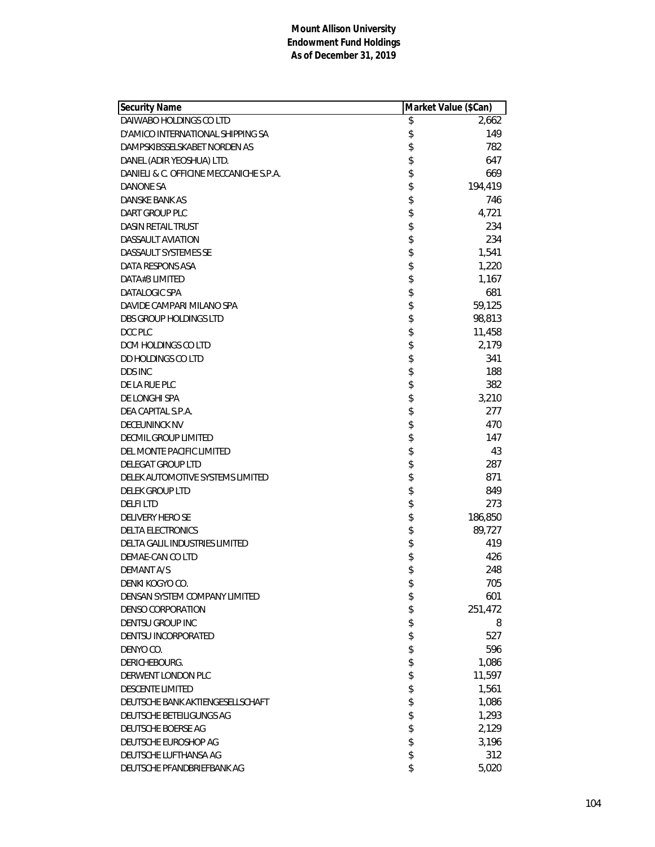| <b>Security Name</b>                    | Market Value (\$Can) |         |
|-----------------------------------------|----------------------|---------|
| DAIWABO HOLDINGS CO LTD                 | \$                   | 2,662   |
| D'AMICO INTERNATIONAL SHIPPING SA       | \$                   | 149     |
| DAMPSKIBSSELSKABET NORDEN AS            | \$                   | 782     |
| DANEL (ADIR YEOSHUA) LTD.               | \$                   | 647     |
| DANIELI & C. OFFICINE MECCANICHE S.P.A. | \$                   | 669     |
| DANONE SA                               | \$                   | 194,419 |
| DANSKE BANK AS                          | \$                   | 746     |
| DART GROUP PLC                          | \$                   | 4,721   |
| <b>DASIN RETAIL TRUST</b>               | \$                   | 234     |
| <b>DASSAULT AVIATION</b>                | \$                   | 234     |
| DASSAULT SYSTEMES SE                    | \$                   | 1,541   |
| DATA RESPONS ASA                        | \$                   | 1,220   |
| DATA#3 LIMITED                          | \$                   | 1,167   |
| DATALOGIC SPA                           | \$                   | 681     |
| DAVIDE CAMPARI MILANO SPA               | \$                   | 59,125  |
| <b>DBS GROUP HOLDINGS LTD</b>           | \$                   | 98,813  |
| DCC PLC                                 | \$                   | 11,458  |
| DCM HOLDINGS CO LTD                     | \$                   | 2,179   |
| <b>DD HOLDINGS CO LTD</b>               | \$                   | 341     |
| <b>DDS INC</b>                          | \$                   | 188     |
| DE LA RUE PLC                           | \$                   | 382     |
| DE LONGHI SPA                           | \$                   | 3,210   |
| DEA CAPITAL S.P.A.                      | \$                   | 277     |
| DECEUNINCK NV                           | \$                   | 470     |
| DECMIL GROUP LIMITED                    | \$                   | 147     |
| DEL MONTE PACIFIC LIMITED               | \$                   | 43      |
| DELEGAT GROUP LTD                       | \$                   | 287     |
| DELEK AUTOMOTIVE SYSTEMS LIMITED        | \$                   | 871     |
| <b>DELEK GROUP LTD</b>                  | \$                   | 849     |
| <b>DELFILTD</b>                         | \$                   | 273     |
| <b>DELIVERY HERO SE</b>                 | \$                   | 186,850 |
| <b>DELTA ELECTRONICS</b>                | \$                   | 89,727  |
| DELTA GALIL INDUSTRIES LIMITED          | \$                   | 419     |
| DEMAE-CAN CO LTD                        | \$                   | 426     |
| <b>DEMANT A/S</b>                       | \$                   | 248     |
| DENKI KOGYO CO.                         | \$                   | 705     |
| DENSAN SYSTEM COMPANY LIMITED           | \$                   | 601     |
| DENSO CORPORATION                       | \$                   | 251,472 |
| DENTSU GROUP INC                        | \$                   | 8       |
| DENTSU INCORPORATED                     | \$                   | 527     |
| DENYO CO.                               | \$                   | 596     |
| DERICHEBOURG.                           | \$                   | 1,086   |
| DERWENT LONDON PLC                      | \$                   | 11,597  |
| <b>DESCENTE LIMITED</b>                 | \$                   | 1,561   |
| DEUTSCHE BANK AKTIENGESELLSCHAFT        | \$                   | 1,086   |
| DEUTSCHE BETEILIGUNGS AG                | \$                   | 1,293   |
| DEUTSCHE BOERSE AG                      | \$                   | 2,129   |
| DEUTSCHE EUROSHOP AG                    | \$                   | 3,196   |
| DEUTSCHE LUFTHANSA AG                   | \$                   | 312     |
| DEUTSCHE PFANDBRIEFBANK AG              | \$                   | 5,020   |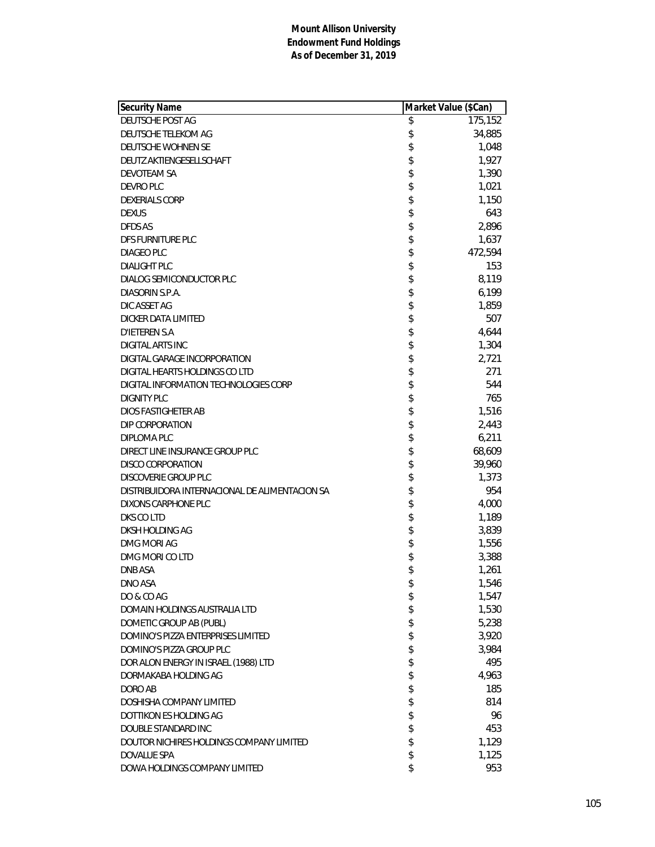| Security Name                                  | Market Value (\$Can) |         |
|------------------------------------------------|----------------------|---------|
| DEUTSCHE POST AG                               | \$                   | 175,152 |
| DEUTSCHE TELEKOM AG                            | \$                   | 34,885  |
| DEUTSCHE WOHNEN SE                             | \$                   | 1,048   |
| DEUTZ AKTIENGESELLSCHAFT                       | \$                   | 1,927   |
| DEVOTEAM SA                                    | \$                   | 1,390   |
| DEVRO PLC                                      | \$                   | 1,021   |
| <b>DEXERIALS CORP</b>                          | \$                   | 1,150   |
| <b>DEXUS</b>                                   | \$                   | 643     |
| DFDS AS                                        | \$                   | 2,896   |
| DFS FURNITURE PLC                              | \$                   | 1,637   |
| DIAGEO PLC                                     | \$                   | 472,594 |
| <b>DIALIGHT PLC</b>                            | \$                   | 153     |
| DIALOG SEMICONDUCTOR PLC                       | \$                   | 8,119   |
| DIASORIN S.P.A.                                | \$                   | 6,199   |
| DIC ASSET AG                                   | \$                   | 1,859   |
| <b>DICKER DATA LIMITED</b>                     | \$                   | 507     |
| <b>D'IETEREN S.A</b>                           | \$                   | 4,644   |
| <b>DIGITAL ARTS INC</b>                        | \$                   | 1,304   |
| DIGITAL GARAGE INCORPORATION                   | \$                   | 2,721   |
| DIGITAL HEARTS HOLDINGS CO LTD                 | \$                   | 271     |
| DIGITAL INFORMATION TECHNOLOGIES CORP          | \$                   | 544     |
| <b>DIGNITY PLC</b>                             | \$                   | 765     |
| DIOS FASTIGHETER AB                            | \$                   | 1,516   |
| DIP CORPORATION                                | \$                   | 2,443   |
| DIPLOMA PLC                                    | \$                   | 6,211   |
| DIRECT LINE INSURANCE GROUP PLC                | \$                   | 68,609  |
| DISCO CORPORATION                              | \$                   | 39,960  |
| DISCOVERIE GROUP PLC                           | \$                   | 1,373   |
| DISTRIBUIDORA INTERNACIONAL DE ALIMENTACION SA | \$                   | 954     |
| DIXONS CARPHONE PLC                            | \$                   | 4,000   |
| DKS CO LTD                                     | \$                   | 1,189   |
| DKSH HOLDING AG                                | \$                   | 3,839   |
| DMG MORI AG                                    | \$                   | 1,556   |
| DMG MORI CO LTD                                | \$                   | 3,388   |
| <b>DNB ASA</b>                                 | \$                   | 1,261   |
| DNO ASA                                        | \$                   | 1,546   |
| DO & CO AG                                     | \$                   | 1,547   |
| DOMAIN HOLDINGS AUSTRALIA LTD                  | \$                   | 1,530   |
| DOMETIC GROUP AB (PUBL)                        | \$                   | 5,238   |
| DOMINO'S PIZZA ENTERPRISES LIMITED             | \$                   | 3,920   |
| DOMINO'S PIZZA GROUP PLC                       | \$                   | 3,984   |
| DOR ALON ENERGY IN ISRAEL (1988) LTD           | \$                   | 495     |
| DORMAKABA HOLDING AG                           | \$                   | 4,963   |
| DORO AB                                        | \$                   | 185     |
| DOSHISHA COMPANY LIMITED                       | \$                   | 814     |
| DOTTIKON ES HOLDING AG                         | \$                   | 96      |
| DOUBLE STANDARD INC                            | \$                   | 453     |
| DOUTOR NICHIRES HOLDINGS COMPANY LIMITED       | \$                   | 1,129   |
| DOVALUE SPA                                    | \$                   | 1,125   |
| DOWA HOLDINGS COMPANY LIMITED                  | \$                   | 953     |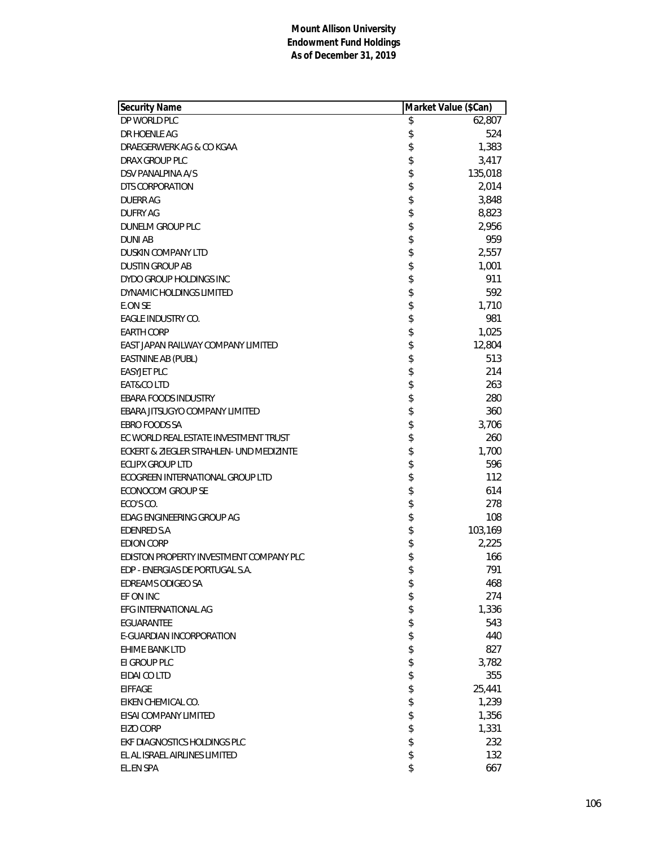| Security Name                            | Market Value (\$Can) |         |
|------------------------------------------|----------------------|---------|
| DP WORLD PLC                             | \$                   | 62,807  |
| DR HOENLE AG                             | \$                   | 524     |
| DRAEGERWERK AG & CO KGAA                 | \$                   | 1,383   |
| DRAX GROUP PLC                           | \$                   | 3,417   |
| DSV PANALPINA A/S                        | \$                   | 135,018 |
| DTS CORPORATION                          | \$                   | 2,014   |
| <b>DUERR AG</b>                          | \$                   | 3,848   |
| <b>DUFRY AG</b>                          | \$                   | 8,823   |
| DUNELM GROUP PLC                         | \$                   | 2,956   |
| <b>DUNI AB</b>                           | \$                   | 959     |
| DUSKIN COMPANY LTD                       | \$                   | 2,557   |
| <b>DUSTIN GROUP AB</b>                   | \$                   | 1,001   |
| DYDO GROUP HOLDINGS INC                  | \$                   | 911     |
| DYNAMIC HOLDINGS LIMITED                 | \$                   | 592     |
| E.ON SE                                  | \$                   | 1,710   |
| <b>EAGLE INDUSTRY CO.</b>                | \$                   | 981     |
| <b>EARTH CORP</b>                        | \$                   | 1,025   |
| EAST JAPAN RAILWAY COMPANY LIMITED       | \$                   | 12,804  |
| EASTNINE AB (PUBL)                       | \$                   | 513     |
| <b>EASYJET PLC</b>                       | \$                   | 214     |
| EAT&CO LTD                               | \$                   | 263     |
| EBARA FOODS INDUSTRY                     | \$                   | 280     |
| EBARA JITSUGYO COMPANY LIMITED           | \$                   | 360     |
| <b>EBRO FOODS SA</b>                     | \$                   | 3,706   |
| EC WORLD REAL ESTATE INVESTMENT TRUST    | \$                   | 260     |
| ECKERT & ZIEGLER STRAHLEN- UND MEDIZINTE | \$                   | 1,700   |
| <b>ECLIPX GROUP LTD</b>                  | \$                   | 596     |
| ECOGREEN INTERNATIONAL GROUP LTD         | \$                   | 112     |
| ECONOCOM GROUP SE                        | \$                   | 614     |
| ECO'S CO.                                | \$                   | 278     |
| EDAG ENGINEERING GROUP AG                | \$                   | 108     |
| <b>EDENRED S.A</b>                       | \$                   | 103,169 |
| <b>EDION CORP</b>                        | \$                   | 2,225   |
| EDISTON PROPERTY INVESTMENT COMPANY PLC  | \$                   | 166     |
| EDP - ENERGIAS DE PORTUGAL S.A.          | \$                   | 791     |
| EDREAMS ODIGEO SA                        | \$                   | 468     |
| EF ON INC                                | \$                   | 274     |
| EFG INTERNATIONAL AG                     | \$                   | 1,336   |
| EGUARANTEE                               | \$                   | 543     |
| E-GUARDIAN INCORPORATION                 | \$                   | 440     |
| EHIME BANK LTD                           | \$                   | 827     |
| EI GROUP PLC                             | \$                   | 3,782   |
| EIDAI CO LTD                             | \$                   | 355     |
| <b>EIFFAGE</b>                           | \$                   | 25,441  |
| EIKEN CHEMICAL CO.                       | \$                   | 1,239   |
| EISAI COMPANY LIMITED                    | \$                   | 1,356   |
| <b>EIZO CORP</b>                         | \$                   | 1,331   |
| EKF DIAGNOSTICS HOLDINGS PLC             | \$                   | 232     |
| EL AL ISRAEL AIRLINES LIMITED            | \$                   | 132     |
| EL.EN SPA                                | \$                   | 667     |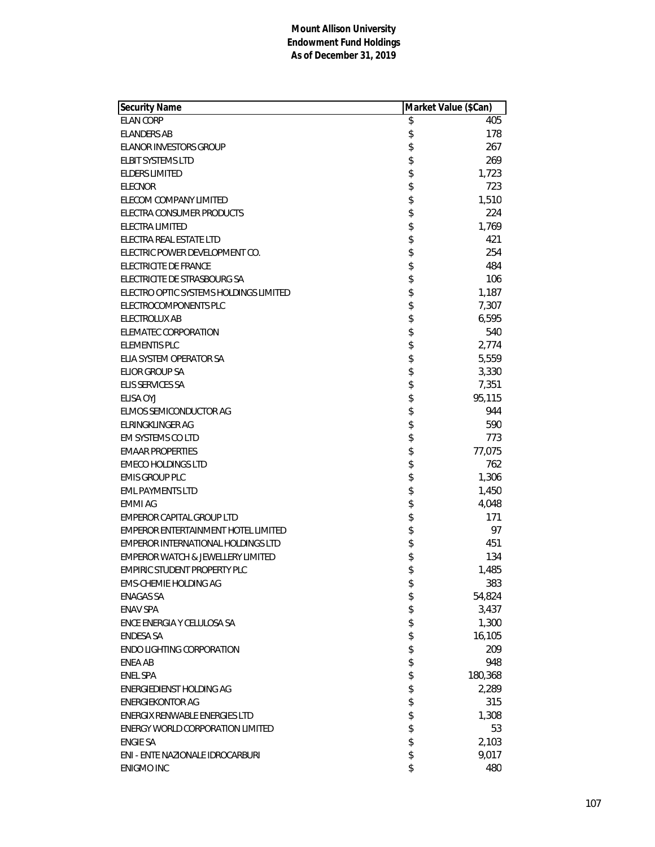| <b>Security Name</b>                         | Market Value (\$Can) |         |
|----------------------------------------------|----------------------|---------|
| <b>ELAN CORP</b>                             | \$                   | 405     |
| <b>ELANDERS AB</b>                           | \$                   | 178     |
| ELANOR INVESTORS GROUP                       | \$                   | 267     |
| <b>ELBIT SYSTEMS LTD</b>                     | \$                   | 269     |
| <b>ELDERS LIMITED</b>                        | \$                   | 1,723   |
| <b>ELECNOR</b>                               | \$                   | 723     |
| ELECOM COMPANY LIMITED                       | \$                   | 1,510   |
| ELECTRA CONSUMER PRODUCTS                    | \$                   | 224     |
| ELECTRA LIMITED                              | \$                   | 1,769   |
| ELECTRA REAL ESTATE LTD                      | \$                   | 421     |
| ELECTRIC POWER DEVELOPMENT CO.               | \$                   | 254     |
| <b>ELECTRICITE DE FRANCE</b>                 | \$                   | 484     |
| ELECTRICITE DE STRASBOURG SA                 | \$                   | 106     |
| ELECTRO OPTIC SYSTEMS HOLDINGS LIMITED       | \$                   | 1,187   |
| ELECTROCOMPONENTS PLC                        | \$                   | 7,307   |
| <b>ELECTROLUX AB</b>                         | \$                   | 6,595   |
| <b>ELEMATEC CORPORATION</b>                  | \$                   | 540     |
| <b>ELEMENTIS PLC</b>                         | \$                   | 2,774   |
| ELIA SYSTEM OPERATOR SA                      | \$                   | 5,559   |
| <b>ELIOR GROUP SA</b>                        | \$                   | 3,330   |
| <b>ELIS SERVICES SA</b>                      | \$                   | 7,351   |
| ELISA OYJ                                    | \$                   | 95,115  |
| ELMOS SEMICONDUCTOR AG                       | \$                   | 944     |
| <b>ELRINGKLINGER AG</b>                      | \$                   | 590     |
| EM SYSTEMS CO LTD                            | \$                   | 773     |
| <b>EMAAR PROPERTIES</b>                      | \$                   | 77,075  |
| <b>EMECO HOLDINGS LTD</b>                    | \$                   | 762     |
| <b>EMIS GROUP PLC</b>                        | \$                   | 1,306   |
| <b>EML PAYMENTS LTD</b>                      | \$                   | 1,450   |
| <b>EMMI AG</b>                               | \$                   | 4,048   |
| EMPEROR CAPITAL GROUP LTD                    | \$                   | 171     |
| EMPEROR ENTERTAINMENT HOTEL LIMITED          | \$                   | 97      |
| <b>EMPEROR INTERNATIONAL HOLDINGS LTD</b>    | \$                   | 451     |
| <b>EMPEROR WATCH &amp; JEWELLERY LIMITED</b> | \$                   | 134     |
| <b>EMPIRIC STUDENT PROPERTY PLC</b>          | \$                   | 1,485   |
| <b>EMS-CHEMIE HOLDING AG</b>                 | \$                   | 383     |
| <b>ENAGAS SA</b>                             | \$                   | 54,824  |
| <b>ENAV SPA</b>                              | \$                   | 3,437   |
| ENCE ENERGIA Y CELULOSA SA                   | \$                   | 1,300   |
| <b>ENDESA SA</b>                             | \$                   | 16,105  |
| <b>ENDO LIGHTING CORPORATION</b>             | \$                   | 209     |
| <b>ENEA AB</b>                               | \$                   | 948     |
| <b>ENEL SPA</b>                              | \$                   | 180,368 |
| ENERGIEDIENST HOLDING AG                     | \$                   | 2,289   |
| <b>ENERGIEKONTOR AG</b>                      | \$                   | 315     |
| ENERGIX RENWABLE ENERGIES LTD                | \$                   | 1,308   |
| ENERGY WORLD CORPORATION LIMITED             | \$                   | 53      |
| <b>ENGIE SA</b>                              | \$                   | 2,103   |
| ENI - ENTE NAZIONALE IDROCARBURI             | \$                   | 9,017   |
| <b>ENIGMO INC</b>                            | \$                   | 480     |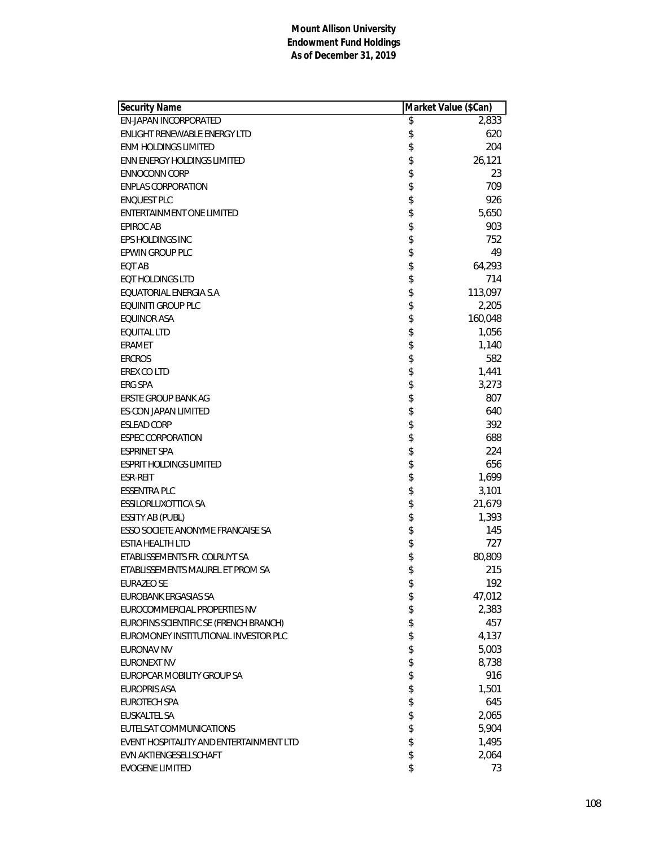| <b>EN-JAPAN INCORPORATED</b><br>\$<br>2,833<br>\$<br>620<br>ENLIGHT RENEWABLE ENERGY LTD<br>\$<br>204<br><b>ENM HOLDINGS LIMITED</b><br>\$<br>26,121<br>ENN ENERGY HOLDINGS LIMITED<br>\$<br>23<br><b>ENNOCONN CORP</b><br>\$<br>709<br><b>ENPLAS CORPORATION</b><br>\$<br>926<br><b>ENQUEST PLC</b><br>\$<br>5,650<br>ENTERTAINMENT ONE LIMITED<br>\$<br>903<br><b>EPIROC AB</b><br>\$<br>752<br>EPS HOLDINGS INC<br>\$<br><b>EPWIN GROUP PLC</b><br>49<br>\$<br>64,293<br>EQT AB<br>\$<br>714<br><b>EQT HOLDINGS LTD</b><br>\$<br>113,097<br>EQUATORIAL ENERGIA S.A<br>\$<br><b>EQUINITI GROUP PLC</b><br>2,205<br>\$<br><b>EQUINOR ASA</b><br>160,048<br>\$<br><b>EQUITAL LTD</b><br>1,056<br>\$<br>1,140<br>ERAMET<br>\$<br>582<br><b>ERCROS</b><br>\$<br>1,441<br>EREX CO LTD<br>\$<br><b>ERG SPA</b><br>3,273<br>\$<br>807<br>ERSTE GROUP BANK AG<br>\$<br>640<br>ES-CON JAPAN LIMITED<br>\$<br>392<br><b>ESLEAD CORP</b><br>\$<br>688<br><b>ESPEC CORPORATION</b><br>\$<br>224<br><b>ESPRINET SPA</b><br>\$<br>656<br><b>ESPRIT HOLDINGS LIMITED</b><br>\$<br>1,699<br><b>ESR-REIT</b><br>\$<br>3,101<br><b>ESSENTRA PLC</b><br>\$<br>21,679<br>ESSILORLUXOTTICA SA<br>\$<br>1,393<br>ESSITY AB (PUBL)<br>\$<br>ESSO SOCIETE ANONYME FRANCAISE SA<br>145<br>\$<br><b>ESTIA HEALTH LTD</b><br>727<br>\$<br>ETABLISSEMENTS FR. COLRUYT SA<br>80,809<br>\$<br>215<br>ETABLISSEMENTS MAUREL ET PROM SA<br>192<br><b>EURAZEO SE</b><br>\$<br>\$<br>EUROBANK ERGASIAS SA<br>47,012<br>\$<br>2,383<br>EUROCOMMERCIAL PROPERTIES NV<br>\$<br>EUROFINS SCIENTIFIC SE (FRENCH BRANCH)<br>457<br>\$<br>EUROMONEY INSTITUTIONAL INVESTOR PLC<br>4,137<br>\$<br>5,003<br><b>EURONAV NV</b><br>\$<br><b>EURONEXT NV</b><br>8,738<br>\$<br>916<br>EUROPCAR MOBILITY GROUP SA<br>\$<br><b>EUROPRIS ASA</b><br>1,501<br>\$<br>645<br><b>EUROTECH SPA</b><br>\$<br><b>EUSKALTEL SA</b><br>2,065<br>\$<br>5,904<br>EUTELSAT COMMUNICATIONS<br>\$<br>1,495<br>EVENT HOSPITALITY AND ENTERTAINMENT LTD<br>\$<br>EVN AKTIENGESELLSCHAFT<br>2,064<br>\$<br><b>EVOGENE LIMITED</b><br>73 | Security Name | Market Value (\$Can) |  |
|-------------------------------------------------------------------------------------------------------------------------------------------------------------------------------------------------------------------------------------------------------------------------------------------------------------------------------------------------------------------------------------------------------------------------------------------------------------------------------------------------------------------------------------------------------------------------------------------------------------------------------------------------------------------------------------------------------------------------------------------------------------------------------------------------------------------------------------------------------------------------------------------------------------------------------------------------------------------------------------------------------------------------------------------------------------------------------------------------------------------------------------------------------------------------------------------------------------------------------------------------------------------------------------------------------------------------------------------------------------------------------------------------------------------------------------------------------------------------------------------------------------------------------------------------------------------------------------------------------------------------------------------------------------------------------------------------------------------------------------------------------------------------------------------------------------------------------------------------------------------------------------------------------------------------------------------------------------------------------------------------------------------------------------------------------------------------|---------------|----------------------|--|
|                                                                                                                                                                                                                                                                                                                                                                                                                                                                                                                                                                                                                                                                                                                                                                                                                                                                                                                                                                                                                                                                                                                                                                                                                                                                                                                                                                                                                                                                                                                                                                                                                                                                                                                                                                                                                                                                                                                                                                                                                                                                         |               |                      |  |
|                                                                                                                                                                                                                                                                                                                                                                                                                                                                                                                                                                                                                                                                                                                                                                                                                                                                                                                                                                                                                                                                                                                                                                                                                                                                                                                                                                                                                                                                                                                                                                                                                                                                                                                                                                                                                                                                                                                                                                                                                                                                         |               |                      |  |
|                                                                                                                                                                                                                                                                                                                                                                                                                                                                                                                                                                                                                                                                                                                                                                                                                                                                                                                                                                                                                                                                                                                                                                                                                                                                                                                                                                                                                                                                                                                                                                                                                                                                                                                                                                                                                                                                                                                                                                                                                                                                         |               |                      |  |
|                                                                                                                                                                                                                                                                                                                                                                                                                                                                                                                                                                                                                                                                                                                                                                                                                                                                                                                                                                                                                                                                                                                                                                                                                                                                                                                                                                                                                                                                                                                                                                                                                                                                                                                                                                                                                                                                                                                                                                                                                                                                         |               |                      |  |
|                                                                                                                                                                                                                                                                                                                                                                                                                                                                                                                                                                                                                                                                                                                                                                                                                                                                                                                                                                                                                                                                                                                                                                                                                                                                                                                                                                                                                                                                                                                                                                                                                                                                                                                                                                                                                                                                                                                                                                                                                                                                         |               |                      |  |
|                                                                                                                                                                                                                                                                                                                                                                                                                                                                                                                                                                                                                                                                                                                                                                                                                                                                                                                                                                                                                                                                                                                                                                                                                                                                                                                                                                                                                                                                                                                                                                                                                                                                                                                                                                                                                                                                                                                                                                                                                                                                         |               |                      |  |
|                                                                                                                                                                                                                                                                                                                                                                                                                                                                                                                                                                                                                                                                                                                                                                                                                                                                                                                                                                                                                                                                                                                                                                                                                                                                                                                                                                                                                                                                                                                                                                                                                                                                                                                                                                                                                                                                                                                                                                                                                                                                         |               |                      |  |
|                                                                                                                                                                                                                                                                                                                                                                                                                                                                                                                                                                                                                                                                                                                                                                                                                                                                                                                                                                                                                                                                                                                                                                                                                                                                                                                                                                                                                                                                                                                                                                                                                                                                                                                                                                                                                                                                                                                                                                                                                                                                         |               |                      |  |
|                                                                                                                                                                                                                                                                                                                                                                                                                                                                                                                                                                                                                                                                                                                                                                                                                                                                                                                                                                                                                                                                                                                                                                                                                                                                                                                                                                                                                                                                                                                                                                                                                                                                                                                                                                                                                                                                                                                                                                                                                                                                         |               |                      |  |
|                                                                                                                                                                                                                                                                                                                                                                                                                                                                                                                                                                                                                                                                                                                                                                                                                                                                                                                                                                                                                                                                                                                                                                                                                                                                                                                                                                                                                                                                                                                                                                                                                                                                                                                                                                                                                                                                                                                                                                                                                                                                         |               |                      |  |
|                                                                                                                                                                                                                                                                                                                                                                                                                                                                                                                                                                                                                                                                                                                                                                                                                                                                                                                                                                                                                                                                                                                                                                                                                                                                                                                                                                                                                                                                                                                                                                                                                                                                                                                                                                                                                                                                                                                                                                                                                                                                         |               |                      |  |
|                                                                                                                                                                                                                                                                                                                                                                                                                                                                                                                                                                                                                                                                                                                                                                                                                                                                                                                                                                                                                                                                                                                                                                                                                                                                                                                                                                                                                                                                                                                                                                                                                                                                                                                                                                                                                                                                                                                                                                                                                                                                         |               |                      |  |
|                                                                                                                                                                                                                                                                                                                                                                                                                                                                                                                                                                                                                                                                                                                                                                                                                                                                                                                                                                                                                                                                                                                                                                                                                                                                                                                                                                                                                                                                                                                                                                                                                                                                                                                                                                                                                                                                                                                                                                                                                                                                         |               |                      |  |
|                                                                                                                                                                                                                                                                                                                                                                                                                                                                                                                                                                                                                                                                                                                                                                                                                                                                                                                                                                                                                                                                                                                                                                                                                                                                                                                                                                                                                                                                                                                                                                                                                                                                                                                                                                                                                                                                                                                                                                                                                                                                         |               |                      |  |
|                                                                                                                                                                                                                                                                                                                                                                                                                                                                                                                                                                                                                                                                                                                                                                                                                                                                                                                                                                                                                                                                                                                                                                                                                                                                                                                                                                                                                                                                                                                                                                                                                                                                                                                                                                                                                                                                                                                                                                                                                                                                         |               |                      |  |
|                                                                                                                                                                                                                                                                                                                                                                                                                                                                                                                                                                                                                                                                                                                                                                                                                                                                                                                                                                                                                                                                                                                                                                                                                                                                                                                                                                                                                                                                                                                                                                                                                                                                                                                                                                                                                                                                                                                                                                                                                                                                         |               |                      |  |
|                                                                                                                                                                                                                                                                                                                                                                                                                                                                                                                                                                                                                                                                                                                                                                                                                                                                                                                                                                                                                                                                                                                                                                                                                                                                                                                                                                                                                                                                                                                                                                                                                                                                                                                                                                                                                                                                                                                                                                                                                                                                         |               |                      |  |
|                                                                                                                                                                                                                                                                                                                                                                                                                                                                                                                                                                                                                                                                                                                                                                                                                                                                                                                                                                                                                                                                                                                                                                                                                                                                                                                                                                                                                                                                                                                                                                                                                                                                                                                                                                                                                                                                                                                                                                                                                                                                         |               |                      |  |
|                                                                                                                                                                                                                                                                                                                                                                                                                                                                                                                                                                                                                                                                                                                                                                                                                                                                                                                                                                                                                                                                                                                                                                                                                                                                                                                                                                                                                                                                                                                                                                                                                                                                                                                                                                                                                                                                                                                                                                                                                                                                         |               |                      |  |
|                                                                                                                                                                                                                                                                                                                                                                                                                                                                                                                                                                                                                                                                                                                                                                                                                                                                                                                                                                                                                                                                                                                                                                                                                                                                                                                                                                                                                                                                                                                                                                                                                                                                                                                                                                                                                                                                                                                                                                                                                                                                         |               |                      |  |
|                                                                                                                                                                                                                                                                                                                                                                                                                                                                                                                                                                                                                                                                                                                                                                                                                                                                                                                                                                                                                                                                                                                                                                                                                                                                                                                                                                                                                                                                                                                                                                                                                                                                                                                                                                                                                                                                                                                                                                                                                                                                         |               |                      |  |
|                                                                                                                                                                                                                                                                                                                                                                                                                                                                                                                                                                                                                                                                                                                                                                                                                                                                                                                                                                                                                                                                                                                                                                                                                                                                                                                                                                                                                                                                                                                                                                                                                                                                                                                                                                                                                                                                                                                                                                                                                                                                         |               |                      |  |
|                                                                                                                                                                                                                                                                                                                                                                                                                                                                                                                                                                                                                                                                                                                                                                                                                                                                                                                                                                                                                                                                                                                                                                                                                                                                                                                                                                                                                                                                                                                                                                                                                                                                                                                                                                                                                                                                                                                                                                                                                                                                         |               |                      |  |
|                                                                                                                                                                                                                                                                                                                                                                                                                                                                                                                                                                                                                                                                                                                                                                                                                                                                                                                                                                                                                                                                                                                                                                                                                                                                                                                                                                                                                                                                                                                                                                                                                                                                                                                                                                                                                                                                                                                                                                                                                                                                         |               |                      |  |
|                                                                                                                                                                                                                                                                                                                                                                                                                                                                                                                                                                                                                                                                                                                                                                                                                                                                                                                                                                                                                                                                                                                                                                                                                                                                                                                                                                                                                                                                                                                                                                                                                                                                                                                                                                                                                                                                                                                                                                                                                                                                         |               |                      |  |
|                                                                                                                                                                                                                                                                                                                                                                                                                                                                                                                                                                                                                                                                                                                                                                                                                                                                                                                                                                                                                                                                                                                                                                                                                                                                                                                                                                                                                                                                                                                                                                                                                                                                                                                                                                                                                                                                                                                                                                                                                                                                         |               |                      |  |
|                                                                                                                                                                                                                                                                                                                                                                                                                                                                                                                                                                                                                                                                                                                                                                                                                                                                                                                                                                                                                                                                                                                                                                                                                                                                                                                                                                                                                                                                                                                                                                                                                                                                                                                                                                                                                                                                                                                                                                                                                                                                         |               |                      |  |
|                                                                                                                                                                                                                                                                                                                                                                                                                                                                                                                                                                                                                                                                                                                                                                                                                                                                                                                                                                                                                                                                                                                                                                                                                                                                                                                                                                                                                                                                                                                                                                                                                                                                                                                                                                                                                                                                                                                                                                                                                                                                         |               |                      |  |
|                                                                                                                                                                                                                                                                                                                                                                                                                                                                                                                                                                                                                                                                                                                                                                                                                                                                                                                                                                                                                                                                                                                                                                                                                                                                                                                                                                                                                                                                                                                                                                                                                                                                                                                                                                                                                                                                                                                                                                                                                                                                         |               |                      |  |
|                                                                                                                                                                                                                                                                                                                                                                                                                                                                                                                                                                                                                                                                                                                                                                                                                                                                                                                                                                                                                                                                                                                                                                                                                                                                                                                                                                                                                                                                                                                                                                                                                                                                                                                                                                                                                                                                                                                                                                                                                                                                         |               |                      |  |
|                                                                                                                                                                                                                                                                                                                                                                                                                                                                                                                                                                                                                                                                                                                                                                                                                                                                                                                                                                                                                                                                                                                                                                                                                                                                                                                                                                                                                                                                                                                                                                                                                                                                                                                                                                                                                                                                                                                                                                                                                                                                         |               |                      |  |
|                                                                                                                                                                                                                                                                                                                                                                                                                                                                                                                                                                                                                                                                                                                                                                                                                                                                                                                                                                                                                                                                                                                                                                                                                                                                                                                                                                                                                                                                                                                                                                                                                                                                                                                                                                                                                                                                                                                                                                                                                                                                         |               |                      |  |
|                                                                                                                                                                                                                                                                                                                                                                                                                                                                                                                                                                                                                                                                                                                                                                                                                                                                                                                                                                                                                                                                                                                                                                                                                                                                                                                                                                                                                                                                                                                                                                                                                                                                                                                                                                                                                                                                                                                                                                                                                                                                         |               |                      |  |
|                                                                                                                                                                                                                                                                                                                                                                                                                                                                                                                                                                                                                                                                                                                                                                                                                                                                                                                                                                                                                                                                                                                                                                                                                                                                                                                                                                                                                                                                                                                                                                                                                                                                                                                                                                                                                                                                                                                                                                                                                                                                         |               |                      |  |
|                                                                                                                                                                                                                                                                                                                                                                                                                                                                                                                                                                                                                                                                                                                                                                                                                                                                                                                                                                                                                                                                                                                                                                                                                                                                                                                                                                                                                                                                                                                                                                                                                                                                                                                                                                                                                                                                                                                                                                                                                                                                         |               |                      |  |
|                                                                                                                                                                                                                                                                                                                                                                                                                                                                                                                                                                                                                                                                                                                                                                                                                                                                                                                                                                                                                                                                                                                                                                                                                                                                                                                                                                                                                                                                                                                                                                                                                                                                                                                                                                                                                                                                                                                                                                                                                                                                         |               |                      |  |
|                                                                                                                                                                                                                                                                                                                                                                                                                                                                                                                                                                                                                                                                                                                                                                                                                                                                                                                                                                                                                                                                                                                                                                                                                                                                                                                                                                                                                                                                                                                                                                                                                                                                                                                                                                                                                                                                                                                                                                                                                                                                         |               |                      |  |
|                                                                                                                                                                                                                                                                                                                                                                                                                                                                                                                                                                                                                                                                                                                                                                                                                                                                                                                                                                                                                                                                                                                                                                                                                                                                                                                                                                                                                                                                                                                                                                                                                                                                                                                                                                                                                                                                                                                                                                                                                                                                         |               |                      |  |
|                                                                                                                                                                                                                                                                                                                                                                                                                                                                                                                                                                                                                                                                                                                                                                                                                                                                                                                                                                                                                                                                                                                                                                                                                                                                                                                                                                                                                                                                                                                                                                                                                                                                                                                                                                                                                                                                                                                                                                                                                                                                         |               |                      |  |
|                                                                                                                                                                                                                                                                                                                                                                                                                                                                                                                                                                                                                                                                                                                                                                                                                                                                                                                                                                                                                                                                                                                                                                                                                                                                                                                                                                                                                                                                                                                                                                                                                                                                                                                                                                                                                                                                                                                                                                                                                                                                         |               |                      |  |
|                                                                                                                                                                                                                                                                                                                                                                                                                                                                                                                                                                                                                                                                                                                                                                                                                                                                                                                                                                                                                                                                                                                                                                                                                                                                                                                                                                                                                                                                                                                                                                                                                                                                                                                                                                                                                                                                                                                                                                                                                                                                         |               |                      |  |
|                                                                                                                                                                                                                                                                                                                                                                                                                                                                                                                                                                                                                                                                                                                                                                                                                                                                                                                                                                                                                                                                                                                                                                                                                                                                                                                                                                                                                                                                                                                                                                                                                                                                                                                                                                                                                                                                                                                                                                                                                                                                         |               |                      |  |
|                                                                                                                                                                                                                                                                                                                                                                                                                                                                                                                                                                                                                                                                                                                                                                                                                                                                                                                                                                                                                                                                                                                                                                                                                                                                                                                                                                                                                                                                                                                                                                                                                                                                                                                                                                                                                                                                                                                                                                                                                                                                         |               |                      |  |
|                                                                                                                                                                                                                                                                                                                                                                                                                                                                                                                                                                                                                                                                                                                                                                                                                                                                                                                                                                                                                                                                                                                                                                                                                                                                                                                                                                                                                                                                                                                                                                                                                                                                                                                                                                                                                                                                                                                                                                                                                                                                         |               |                      |  |
|                                                                                                                                                                                                                                                                                                                                                                                                                                                                                                                                                                                                                                                                                                                                                                                                                                                                                                                                                                                                                                                                                                                                                                                                                                                                                                                                                                                                                                                                                                                                                                                                                                                                                                                                                                                                                                                                                                                                                                                                                                                                         |               |                      |  |
|                                                                                                                                                                                                                                                                                                                                                                                                                                                                                                                                                                                                                                                                                                                                                                                                                                                                                                                                                                                                                                                                                                                                                                                                                                                                                                                                                                                                                                                                                                                                                                                                                                                                                                                                                                                                                                                                                                                                                                                                                                                                         |               |                      |  |
|                                                                                                                                                                                                                                                                                                                                                                                                                                                                                                                                                                                                                                                                                                                                                                                                                                                                                                                                                                                                                                                                                                                                                                                                                                                                                                                                                                                                                                                                                                                                                                                                                                                                                                                                                                                                                                                                                                                                                                                                                                                                         |               |                      |  |
|                                                                                                                                                                                                                                                                                                                                                                                                                                                                                                                                                                                                                                                                                                                                                                                                                                                                                                                                                                                                                                                                                                                                                                                                                                                                                                                                                                                                                                                                                                                                                                                                                                                                                                                                                                                                                                                                                                                                                                                                                                                                         |               |                      |  |
|                                                                                                                                                                                                                                                                                                                                                                                                                                                                                                                                                                                                                                                                                                                                                                                                                                                                                                                                                                                                                                                                                                                                                                                                                                                                                                                                                                                                                                                                                                                                                                                                                                                                                                                                                                                                                                                                                                                                                                                                                                                                         |               |                      |  |
|                                                                                                                                                                                                                                                                                                                                                                                                                                                                                                                                                                                                                                                                                                                                                                                                                                                                                                                                                                                                                                                                                                                                                                                                                                                                                                                                                                                                                                                                                                                                                                                                                                                                                                                                                                                                                                                                                                                                                                                                                                                                         |               |                      |  |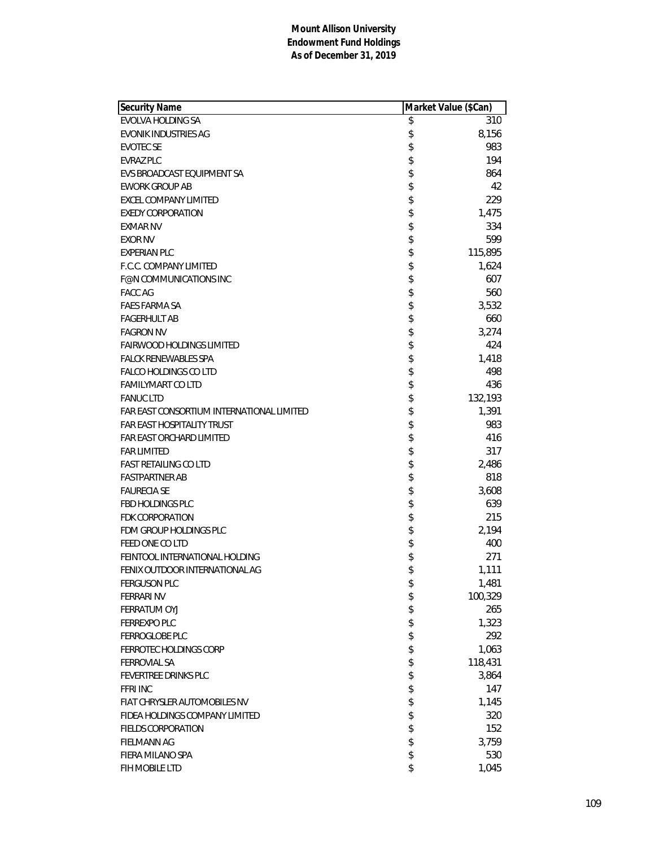| Security Name                             | Market Value (\$Can) |         |
|-------------------------------------------|----------------------|---------|
| EVOLVA HOLDING SA                         | \$                   | 310     |
| EVONIK INDUSTRIES AG                      | \$                   | 8,156   |
| <b>EVOTEC SE</b>                          | \$                   | 983     |
| EVRAZ PLC                                 | \$                   | 194     |
| EVS BROADCAST EQUIPMENT SA                | \$                   | 864     |
| <b>EWORK GROUP AB</b>                     | \$                   | 42      |
| EXCEL COMPANY LIMITED                     | \$                   | 229     |
| <b>EXEDY CORPORATION</b>                  | \$                   | 1,475   |
| <b>EXMAR NV</b>                           | \$                   | 334     |
| <b>EXOR NV</b>                            | \$                   | 599     |
| <b>EXPERIAN PLC</b>                       | \$                   | 115,895 |
| F.C.C. COMPANY LIMITED                    | \$                   | 1,624   |
| <b>F@N COMMUNICATIONS INC</b>             | \$                   | 607     |
| <b>FACC AG</b>                            | \$                   | 560     |
| <b>FAES FARMA SA</b>                      | \$                   | 3,532   |
| <b>FAGERHULT AB</b>                       | \$                   | 660     |
| <b>FAGRON NV</b>                          | \$                   | 3,274   |
| FAIRWOOD HOLDINGS LIMITED                 | \$                   | 424     |
| FALCK RENEWABLES SPA                      | \$                   | 1,418   |
| FALCO HOLDINGS CO LTD                     | \$                   | 498     |
| FAMILYMART CO LTD                         | \$                   | 436     |
| <b>FANUC LTD</b>                          | \$                   | 132,193 |
| FAR EAST CONSORTIUM INTERNATIONAL LIMITED | \$                   | 1,391   |
| <b>FAR EAST HOSPITALITY TRUST</b>         | \$                   | 983     |
| FAR EAST ORCHARD LIMITED                  | \$                   | 416     |
| <b>FAR LIMITED</b>                        | \$                   | 317     |
| <b>FAST RETAILING CO LTD</b>              | \$                   | 2,486   |
| <b>FASTPARTNER AB</b>                     | \$                   | 818     |
| <b>FAURECIA SE</b>                        | \$                   | 3,608   |
| FBD HOLDINGS PLC                          | \$                   | 639     |
| FDK CORPORATION                           | \$                   | 215     |
| FDM GROUP HOLDINGS PLC                    | \$                   | 2,194   |
| FEED ONE CO LTD                           | \$                   | 400     |
| FEINTOOL INTERNATIONAL HOLDING            | \$                   | 271     |
| FENIX OUTDOOR INTERNATIONAL AG            | \$                   | 1,111   |
| <b>FERGUSON PLC</b>                       | \$                   | 1,481   |
| <b>FERRARI NV</b>                         | \$                   | 100,329 |
| FERRATUM OYJ                              | \$                   | 265     |
| FERREXPO PLC                              | \$                   | 1,323   |
| FERROGLOBE PLC                            | \$                   | 292     |
| FERROTEC HOLDINGS CORP                    | \$                   | 1,063   |
| <b>FERROVIAL SA</b>                       | \$                   | 118,431 |
| FEVERTREE DRINKS PLC                      | \$                   | 3,864   |
| <b>FFRI INC</b>                           | \$                   | 147     |
| FIAT CHRYSLER AUTOMOBILES NV              | \$                   | 1,145   |
| FIDEA HOLDINGS COMPANY LIMITED            | \$                   | 320     |
| <b>FIELDS CORPORATION</b>                 | \$                   | 152     |
| <b>FIELMANN AG</b>                        | \$                   | 3,759   |
| FIERA MILANO SPA                          | \$                   | 530     |
| FIH MOBILE LTD                            | \$                   | 1,045   |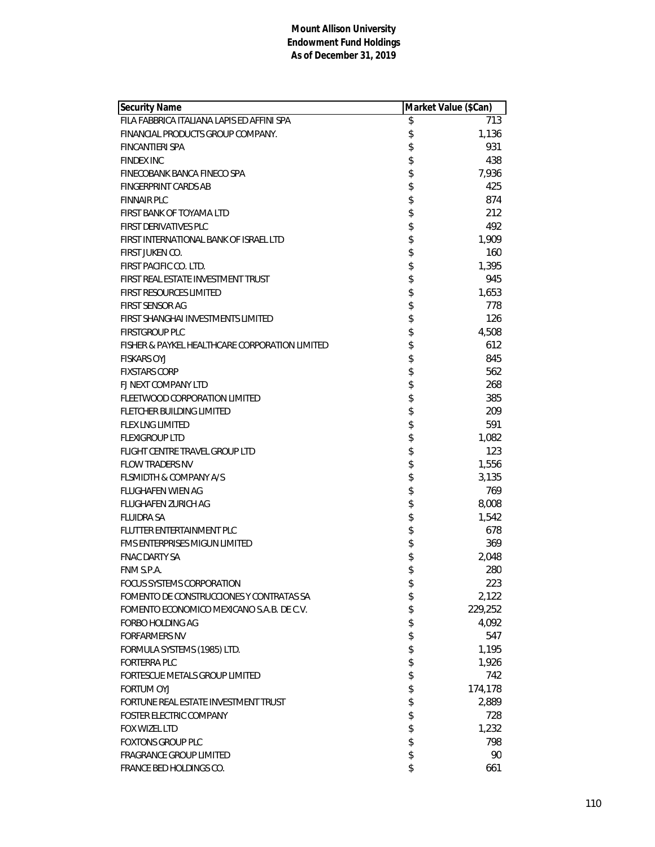| <b>Security Name</b>                           | Market Value (\$Can) |
|------------------------------------------------|----------------------|
| FILA FABBRICA ITALIANA LAPIS ED AFFINI SPA     | \$<br>713            |
| FINANCIAL PRODUCTS GROUP COMPANY.              | \$<br>1,136          |
| <b>FINCANTIERI SPA</b>                         | \$<br>931            |
| <b>FINDEX INC</b>                              | \$<br>438            |
| FINECOBANK BANCA FINECO SPA                    | \$<br>7,936          |
| <b>FINGERPRINT CARDS AB</b>                    | \$<br>425            |
| <b>FINNAIR PLC</b>                             | \$<br>874            |
| FIRST BANK OF TOYAMA LTD                       | \$<br>212            |
| FIRST DERIVATIVES PLC                          | \$<br>492            |
| FIRST INTERNATIONAL BANK OF ISRAEL LTD         | \$<br>1,909          |
| FIRST JUKEN CO.                                | \$<br>160            |
| FIRST PACIFIC CO. LTD.                         | \$<br>1,395          |
| FIRST REAL ESTATE INVESTMENT TRUST             | \$<br>945            |
| <b>FIRST RESOURCES LIMITED</b>                 | \$<br>1,653          |
| <b>FIRST SENSOR AG</b>                         | \$<br>778            |
| FIRST SHANGHAI INVESTMENTS LIMITED             | \$<br>126            |
| <b>FIRSTGROUP PLC</b>                          | \$<br>4,508          |
| FISHER & PAYKEL HEALTHCARE CORPORATION LIMITED | \$<br>612            |
| <b>FISKARS OYJ</b>                             | \$<br>845            |
| <b>FIXSTARS CORP</b>                           | \$<br>562            |
| FJ NEXT COMPANY LTD                            | \$<br>268            |
| FLEETWOOD CORPORATION LIMITED                  | \$<br>385            |
| <b>FLETCHER BUILDING LIMITED</b>               | \$<br>209            |
| <b>FLEX LNG LIMITED</b>                        | \$<br>591            |
| <b>FLEXIGROUP LTD</b>                          | \$<br>1,082          |
| FLIGHT CENTRE TRAVEL GROUP LTD                 | \$<br>123            |
| <b>FLOW TRADERS NV</b>                         | \$<br>1,556          |
| <b>FLSMIDTH &amp; COMPANY A/S</b>              | \$<br>3,135          |
| <b>FLUGHAFEN WIEN AG</b>                       | \$<br>769            |
| <b>FLUGHAFEN ZURICH AG</b>                     | \$<br>8,008          |
| <b>FLUIDRA SA</b>                              | \$<br>1,542          |
| <b>FLUTTER ENTERTAINMENT PLC</b>               | \$<br>678            |
| <b>FMS ENTERPRISES MIGUN LIMITED</b>           | \$<br>369            |
| <b>FNAC DARTY SA</b>                           | \$<br>2,048          |
| FNM S.P.A.                                     | \$<br>280            |
| <b>FOCUS SYSTEMS CORPORATION</b>               | \$<br>223            |
| FOMENTO DE CONSTRUCCIONES Y CONTRATAS SA       | \$<br>2,122          |
| FOMENTO ECONOMICO MEXICANO S.A.B. DE C.V.      | \$<br>229,252        |
| <b>FORBO HOLDING AG</b>                        | \$<br>4,092          |
| <b>FORFARMERS NV</b>                           | \$<br>547            |
| FORMULA SYSTEMS (1985) LTD.                    | \$<br>1,195          |
| <b>FORTERRA PLC</b>                            | \$<br>1,926          |
| FORTESCUE METALS GROUP LIMITED                 | \$<br>742            |
| <b>FORTUM OYJ</b>                              | \$<br>174,178        |
| FORTUNE REAL ESTATE INVESTMENT TRUST           | \$<br>2,889          |
| FOSTER ELECTRIC COMPANY                        | \$<br>728            |
| FOX WIZEL LTD                                  | \$<br>1,232          |
| <b>FOXTONS GROUP PLC</b>                       | \$<br>798            |
| <b>FRAGRANCE GROUP LIMITED</b>                 | \$<br>90             |
| FRANCE BED HOLDINGS CO.                        | \$<br>661            |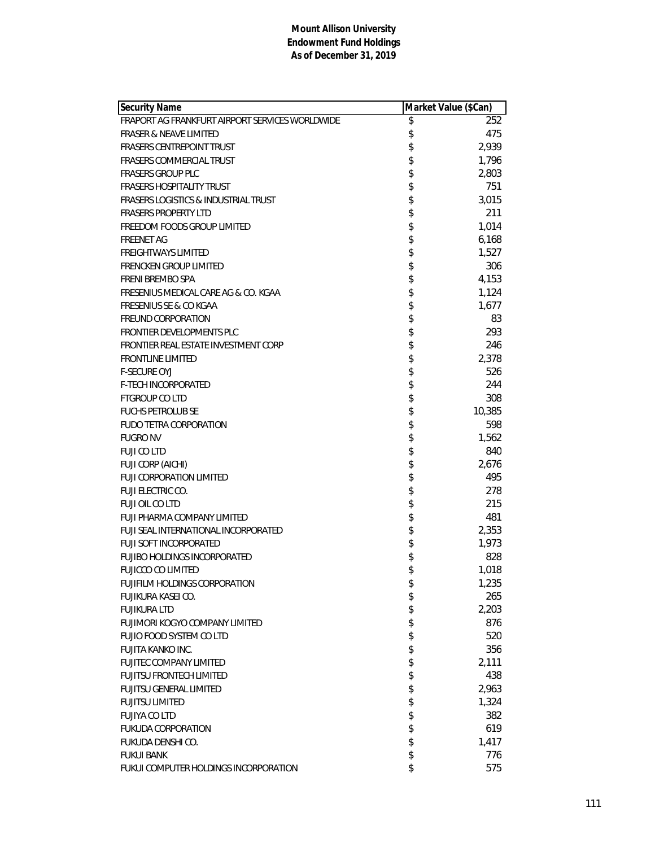| Security Name                                   | Market Value (\$Can) |
|-------------------------------------------------|----------------------|
| FRAPORT AG FRANKFURT AIRPORT SERVICES WORLDWIDE | \$<br>252            |
| <b>FRASER &amp; NEAVE LIMITED</b>               | \$<br>475            |
| <b>FRASERS CENTREPOINT TRUST</b>                | \$<br>2,939          |
| FRASERS COMMERCIAL TRUST                        | \$<br>1,796          |
| <b>FRASERS GROUP PLC</b>                        | \$<br>2,803          |
| <b>FRASERS HOSPITALITY TRUST</b>                | \$<br>751            |
| <b>FRASERS LOGISTICS &amp; INDUSTRIAL TRUST</b> | \$<br>3,015          |
| <b>FRASERS PROPERTY LTD</b>                     | \$<br>211            |
| FREEDOM FOODS GROUP LIMITED                     | \$<br>1,014          |
| <b>FREENET AG</b>                               | \$<br>6,168          |
| <b>FREIGHTWAYS LIMITED</b>                      | \$<br>1,527          |
| <b>FRENCKEN GROUP LIMITED</b>                   | \$<br>306            |
| FRENI BREMBO SPA                                | \$<br>4,153          |
| FRESENIUS MEDICAL CARE AG & CO. KGAA            | \$<br>1,124          |
| <b>FRESENIUS SE &amp; CO KGAA</b>               | \$<br>1,677          |
| <b>FREUND CORPORATION</b>                       | \$<br>83             |
| FRONTIER DEVELOPMENTS PLC                       | \$<br>293            |
| FRONTIER REAL ESTATE INVESTMENT CORP            | \$<br>246            |
| <b>FRONTLINE LIMITED</b>                        | \$<br>2,378          |
| <b>F-SECURE OYJ</b>                             | \$<br>526            |
| <b>F-TECH INCORPORATED</b>                      | \$<br>244            |
| <b>FTGROUP COLTD</b>                            | \$<br>308            |
| <b>FUCHS PETROLUB SE</b>                        | \$<br>10,385         |
| <b>FUDO TETRA CORPORATION</b>                   | \$<br>598            |
| <b>FUGRO NV</b>                                 | \$<br>1,562          |
| <b>FUJI CO LTD</b>                              | \$<br>840            |
| FUJI CORP (AICHI)                               | \$<br>2,676          |
| <b>FUJI CORPORATION LIMITED</b>                 | \$<br>495            |
| FUJI ELECTRIC CO.                               | \$<br>278            |
| FUJI OIL CO LTD                                 | \$<br>215            |
| FUJI PHARMA COMPANY LIMITED                     | \$<br>481            |
| FUJI SEAL INTERNATIONAL INCORPORATED            | \$<br>2,353          |
| <b>FUJI SOFT INCORPORATED</b>                   | \$<br>1,973          |
| <b>FUJIBO HOLDINGS INCORPORATED</b>             | \$<br>828            |
| <b>FUJICCO CO LIMITED</b>                       | \$<br>1,018          |
| <b>FUJIFILM HOLDINGS CORPORATION</b>            | \$<br>1,235          |
| FUJIKURA KASEI CO.                              | \$<br>265            |
| <b>FUJIKURA LTD</b>                             | \$<br>2,203          |
| FUJIMORI KOGYO COMPANY LIMITED                  | \$<br>876            |
| <b>FUJIO FOOD SYSTEM CO LTD</b>                 | \$<br>520            |
| <b>FUJITA KANKO INC.</b>                        | \$<br>356            |
| <b>FUJITEC COMPANY LIMITED</b>                  | \$<br>2,111          |
| <b>FUJITSU FRONTECH LIMITED</b>                 | \$<br>438            |
| <b>FUJITSU GENERAL LIMITED</b>                  | \$<br>2,963          |
| <b>FUJITSU LIMITED</b>                          | \$<br>1,324          |
| <b>FUJIYA CO LTD</b>                            | \$<br>382            |
| <b>FUKUDA CORPORATION</b>                       | \$<br>619            |
| FUKUDA DENSHI CO.                               | \$<br>1,417          |
| <b>FUKUI BANK</b>                               | \$<br>776            |
| FUKUI COMPUTER HOLDINGS INCORPORATION           | \$<br>575            |
|                                                 |                      |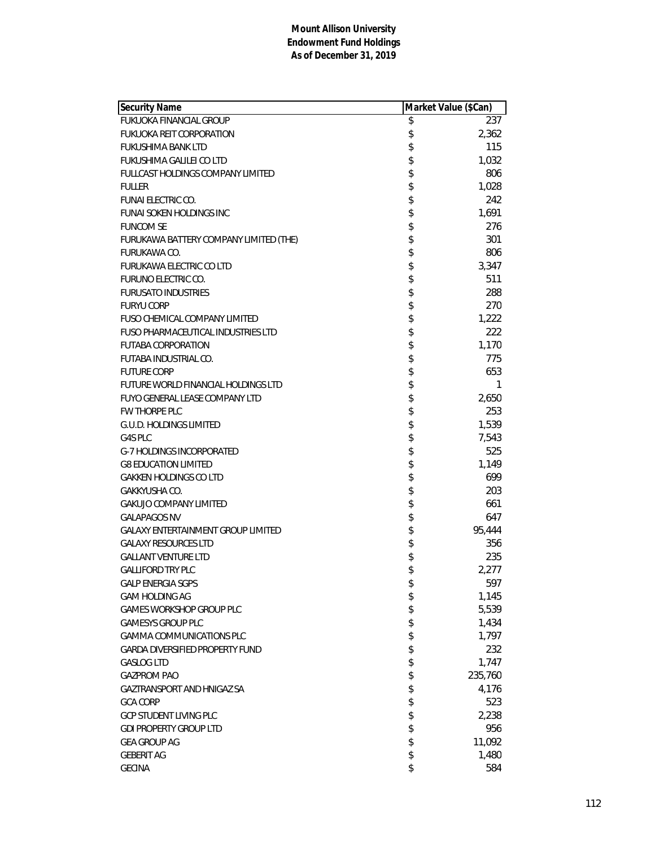| Security Name                             | Market Value (\$Can) |
|-------------------------------------------|----------------------|
| <b>FUKUOKA FINANCIAL GROUP</b>            | \$<br>237            |
| <b>FUKUOKA REIT CORPORATION</b>           | \$<br>2,362          |
| FUKUSHIMA BANK LTD                        | \$<br>115            |
| FUKUSHIMA GALILEI CO LTD                  | \$<br>1,032          |
| <b>FULLCAST HOLDINGS COMPANY LIMITED</b>  | \$<br>806            |
| <b>FULLER</b>                             | \$<br>1,028          |
| <b>FUNAI ELECTRIC CO.</b>                 | \$<br>242            |
| <b>FUNAI SOKEN HOLDINGS INC</b>           | \$<br>1,691          |
| <b>FUNCOM SE</b>                          | \$<br>276            |
| FURUKAWA BATTERY COMPANY LIMITED (THE)    | \$<br>301            |
| FURUKAWA CO.                              | \$<br>806            |
| FURUKAWA ELECTRIC CO LTD                  | \$<br>3,347          |
| <b>FURUNO ELECTRIC CO.</b>                | \$<br>511            |
| <b>FURUSATO INDUSTRIES</b>                | \$<br>288            |
| <b>FURYU CORP</b>                         | \$<br>270            |
| <b>FUSO CHEMICAL COMPANY LIMITED</b>      | \$<br>1,222          |
| <b>FUSO PHARMACEUTICAL INDUSTRIES LTD</b> | \$<br>222            |
| <b>FUTABA CORPORATION</b>                 | \$<br>1,170          |
| FUTABA INDUSTRIAL CO.                     | \$<br>775            |
| <b>FUTURE CORP</b>                        | \$<br>653            |
| FUTURE WORLD FINANCIAL HOLDINGS LTD       | \$<br>1              |
| <b>FUYO GENERAL LEASE COMPANY LTD</b>     | \$<br>2,650          |
| FW THORPE PLC                             | \$<br>253            |
| <b>G.U.D. HOLDINGS LIMITED</b>            | \$<br>1,539          |
| G4S PLC                                   | \$<br>7,543          |
| <b>G-7 HOLDINGS INCORPORATED</b>          | \$<br>525            |
| <b>G8 EDUCATION LIMITED</b>               | \$<br>1,149          |
| <b>GAKKEN HOLDINGS CO LTD</b>             | \$<br>699            |
| GAKKYUSHA CO.                             | \$<br>203            |
| <b>GAKUJO COMPANY LIMITED</b>             | \$<br>661            |
| <b>GALAPAGOS NV</b>                       | \$<br>647            |
| <b>GALAXY ENTERTAINMENT GROUP LIMITED</b> | \$<br>95,444         |
| <b>GALAXY RESOURCES LTD</b>               | \$<br>356            |
| <b>GALLANT VENTURE LTD</b>                | \$<br>235            |
| <b>GALLIFORD TRY PLC</b>                  | \$<br>2,277          |
| <b>GALP ENERGIA SGPS</b>                  | \$<br>597            |
| <b>GAM HOLDING AG</b>                     | \$<br>1,145          |
| GAMES WORKSHOP GROUP PLC                  | \$<br>5,539          |
| <b>GAMESYS GROUP PLC</b>                  | \$<br>1,434          |
| <b>GAMMA COMMUNICATIONS PLC</b>           | \$<br>1,797          |
| <b>GARDA DIVERSIFIED PROPERTY FUND</b>    | \$<br>232            |
| <b>GASLOG LTD</b>                         | \$<br>1,747          |
| <b>GAZPROM PAO</b>                        | \$<br>235,760        |
| GAZTRANSPORT AND HNIGAZ SA                | \$<br>4,176          |
| <b>GCA CORP</b>                           | \$<br>523            |
| <b>GCP STUDENT LIVING PLC</b>             | \$<br>2,238          |
| <b>GDI PROPERTY GROUP LTD</b>             | \$<br>956            |
| <b>GEA GROUP AG</b>                       | \$<br>11,092         |
| <b>GEBERIT AG</b>                         | \$<br>1,480          |
| <b>GECINA</b>                             | \$<br>584            |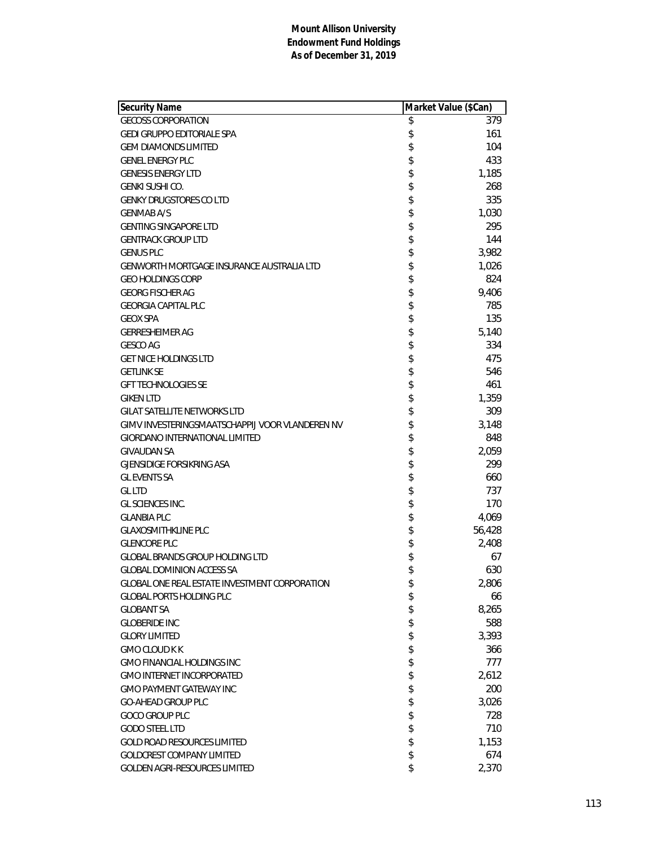| Security Name                                   | Market Value (\$Can) |
|-------------------------------------------------|----------------------|
| <b>GECOSS CORPORATION</b>                       | \$<br>379            |
| <b>GEDI GRUPPO EDITORIALE SPA</b>               | \$<br>161            |
| <b>GEM DIAMONDS LIMITED</b>                     | \$<br>104            |
| <b>GENEL ENERGY PLC</b>                         | \$<br>433            |
| <b>GENESIS ENERGY LTD</b>                       | \$<br>1,185          |
| GENKI SUSHI CO.                                 | \$<br>268            |
| <b>GENKY DRUGSTORES CO LTD</b>                  | \$<br>335            |
| <b>GENMAB A/S</b>                               | \$<br>1,030          |
| <b>GENTING SINGAPORE LTD</b>                    | \$<br>295            |
| <b>GENTRACK GROUP LTD</b>                       | \$<br>144            |
| <b>GENUS PLC</b>                                | \$<br>3,982          |
| GENWORTH MORTGAGE INSURANCE AUSTRALIA LTD       | \$<br>1,026          |
| <b>GEO HOLDINGS CORP</b>                        | \$<br>824            |
| <b>GEORG FISCHER AG</b>                         | \$<br>9,406          |
| <b>GEORGIA CAPITAL PLC</b>                      | \$<br>785            |
| <b>GEOX SPA</b>                                 | \$<br>135            |
| <b>GERRESHEIMER AG</b>                          | \$<br>5,140          |
| <b>GESCO AG</b>                                 | \$<br>334            |
| <b>GET NICE HOLDINGS LTD</b>                    | \$<br>475            |
| <b>GETLINK SE</b>                               | \$<br>546            |
| <b>GFT TECHNOLOGIES SE</b>                      | \$<br>461            |
| <b>GIKEN LTD</b>                                | \$<br>1,359          |
| <b>GILAT SATELLITE NETWORKS LTD</b>             | \$<br>309            |
| GIMV INVESTERINGSMAATSCHAPPIJ VOOR VLANDEREN NV | \$<br>3,148          |
| <b>GIORDANO INTERNATIONAL LIMITED</b>           | \$<br>848            |
| <b>GIVAUDAN SA</b>                              | \$<br>2,059          |
| <b>GJENSIDIGE FORSIKRING ASA</b>                | \$<br>299            |
| <b>GL EVENTS SA</b>                             | \$<br>660            |
| <b>GL LTD</b>                                   | \$<br>737            |
| GL SCIENCES INC.                                | \$<br>170            |
| <b>GLANBIA PLC</b>                              | \$<br>4,069          |
| <b>GLAXOSMITHKLINE PLC</b>                      | \$<br>56,428         |
| <b>GLENCORE PLC</b>                             | \$<br>2,408          |
| <b>GLOBAL BRANDS GROUP HOLDING LTD</b>          | \$<br>67             |
| <b>GLOBAL DOMINION ACCESS SA</b>                | \$<br>630            |
| GLOBAL ONE REAL ESTATE INVESTMENT CORPORATION   | \$<br>2,806          |
| <b>GLOBAL PORTS HOLDING PLC</b>                 | \$<br>66             |
| <b>GLOBANT SA</b>                               | \$<br>8,265          |
| <b>GLOBERIDE INC</b>                            | \$<br>588            |
| <b>GLORY LIMITED</b>                            | \$<br>3,393          |
| <b>GMO CLOUD K K</b>                            | \$<br>366            |
| <b>GMO FINANCIAL HOLDINGS INC</b>               | \$<br>777            |
| <b>GMO INTERNET INCORPORATED</b>                | \$<br>2,612          |
| <b>GMO PAYMENT GATEWAY INC</b>                  | \$<br>200            |
| <b>GO-AHEAD GROUP PLC</b>                       | \$<br>3,026          |
| <b>GOCO GROUP PLC</b>                           | \$<br>728            |
| <b>GODO STEEL LTD</b>                           | \$<br>710            |
| <b>GOLD ROAD RESOURCES LIMITED</b>              | \$<br>1,153          |
| <b>GOLDCREST COMPANY LIMITED</b>                | \$<br>674            |
| GOLDEN AGRI-RESOURCES LIMITED                   | \$<br>2,370          |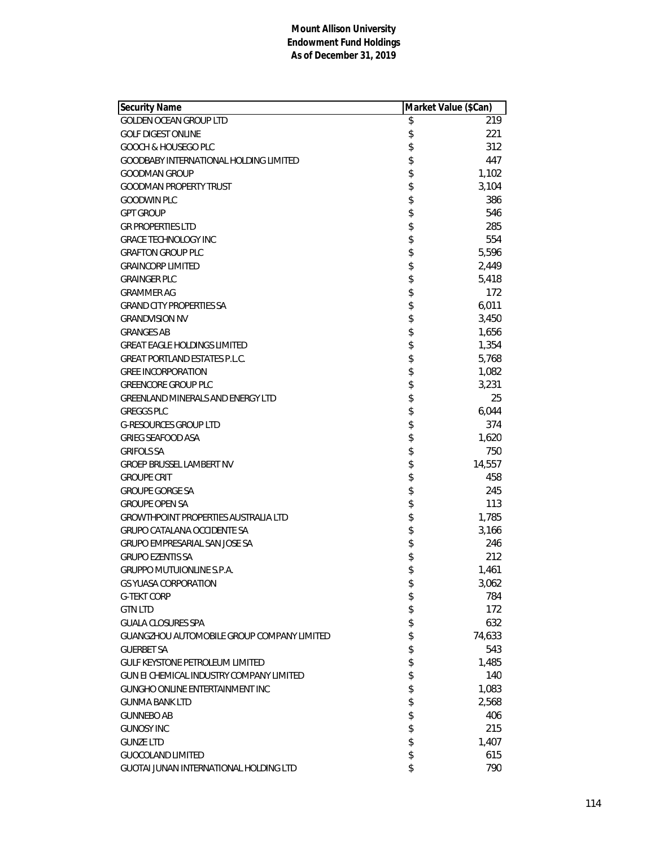| Security Name                                   | Market Value (\$Can) |        |
|-------------------------------------------------|----------------------|--------|
| <b>GOLDEN OCEAN GROUP LTD</b>                   | \$                   | 219    |
| <b>GOLF DIGEST ONLINE</b>                       | \$                   | 221    |
| GOOCH & HOUSEGO PLC                             | \$                   | 312    |
| GOODBABY INTERNATIONAL HOLDING LIMITED          | \$                   | 447    |
| <b>GOODMAN GROUP</b>                            | \$                   | 1,102  |
| <b>GOODMAN PROPERTY TRUST</b>                   | \$                   | 3,104  |
| <b>GOODWIN PLC</b>                              | \$                   | 386    |
| <b>GPT GROUP</b>                                | \$                   | 546    |
| <b>GR PROPERTIES LTD</b>                        | \$                   | 285    |
| <b>GRACE TECHNOLOGY INC</b>                     | \$                   | 554    |
| <b>GRAFTON GROUP PLC</b>                        | \$                   | 5,596  |
| <b>GRAINCORP LIMITED</b>                        | \$                   | 2,449  |
| <b>GRAINGER PLC</b>                             | \$                   | 5,418  |
| <b>GRAMMER AG</b>                               | \$                   | 172    |
| <b>GRAND CITY PROPERTIES SA</b>                 | \$                   | 6,011  |
| <b>GRANDVISION NV</b>                           | \$                   | 3,450  |
| <b>GRANGES AB</b>                               | \$                   | 1,656  |
| <b>GREAT EAGLE HOLDINGS LIMITED</b>             | \$                   | 1,354  |
| <b>GREAT PORTLAND ESTATES P.L.C.</b>            | \$                   | 5,768  |
| <b>GREE INCORPORATION</b>                       | \$                   | 1,082  |
| <b>GREENCORE GROUP PLC</b>                      | \$                   | 3,231  |
| GREENLAND MINERALS AND ENERGY LTD               | \$                   | 25     |
| <b>GREGGS PLC</b>                               | \$                   | 6,044  |
| <b>G-RESOURCES GROUP LTD</b>                    | \$                   | 374    |
| <b>GRIEG SEAFOOD ASA</b>                        | \$                   | 1,620  |
| <b>GRIFOLS SA</b>                               | \$                   | 750    |
| <b>GROEP BRUSSEL LAMBERT NV</b>                 | \$                   | 14,557 |
| <b>GROUPE CRIT</b>                              | \$                   | 458    |
| <b>GROUPE GORGE SA</b>                          | \$                   | 245    |
| <b>GROUPE OPEN SA</b>                           | \$                   | 113    |
| <b>GROWTHPOINT PROPERTIES AUSTRALIA LTD</b>     | \$                   | 1,785  |
| <b>GRUPO CATALANA OCCIDENTE SA</b>              | \$                   | 3,166  |
| <b>GRUPO EMPRESARIAL SAN JOSE SA</b>            | \$                   | 246    |
| <b>GRUPO EZENTIS SA</b>                         | \$                   | 212    |
| <b>GRUPPO MUTUIONLINE S.P.A.</b>                | \$                   | 1,461  |
| <b>GS YUASA CORPORATION</b>                     | \$                   | 3,062  |
| <b>G-TEKT CORP</b>                              | \$                   | 784    |
| <b>GTN LTD</b>                                  | \$                   | 172    |
| <b>GUALA CLOSURES SPA</b>                       | \$                   | 632    |
| GUANGZHOU AUTOMOBILE GROUP COMPANY LIMITED      | \$                   | 74,633 |
| <b>GUERBET SA</b>                               | \$                   | 543    |
| <b>GULF KEYSTONE PETROLEUM LIMITED</b>          | \$                   | 1,485  |
| <b>GUN EI CHEMICAL INDUSTRY COMPANY LIMITED</b> | \$                   | 140    |
| GUNGHO ONLINE ENTERTAINMENT INC                 | \$                   | 1,083  |
| <b>GUNMA BANK LTD</b>                           | \$                   | 2,568  |
| <b>GUNNEBO AB</b>                               | \$                   | 406    |
| <b>GUNOSY INC</b>                               | \$                   | 215    |
| <b>GUNZE LTD</b>                                | \$                   | 1,407  |
| <b>GUOCOLAND LIMITED</b>                        | \$                   | 615    |
| GUOTAI JUNAN INTERNATIONAL HOLDING LTD          | \$                   | 790    |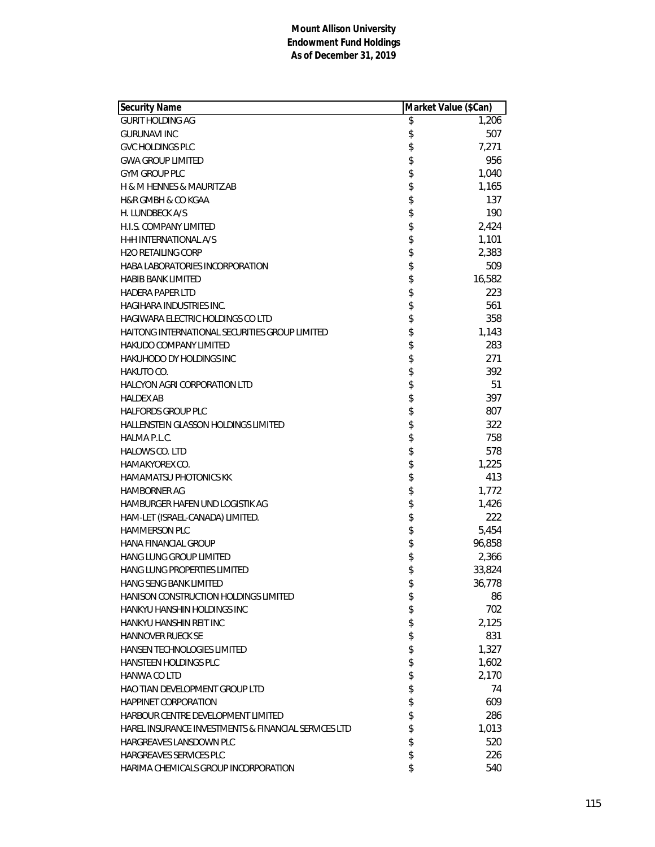| <b>GURIT HOLDING AG</b><br>\$<br>1,206<br>\$<br>507<br><b>GURUNAVI INC</b><br>\$<br>7,271<br><b>GVC HOLDINGS PLC</b><br>\$<br>956<br><b>GWA GROUP LIMITED</b><br>\$<br><b>GYM GROUP PLC</b><br>1,040<br>\$<br>1,165<br>H & M HENNES & MAURITZ AB<br>\$<br>137<br><b>H&amp;R GMBH &amp; CO KGAA</b><br>\$<br>190<br>H. LUNDBECK A/S<br>\$<br>2,424<br>H.I.S. COMPANY LIMITED<br>\$<br>1,101<br>H+H INTERNATIONAL A/S<br>\$<br>2,383<br><b>H2O RETAILING CORP</b><br>\$<br>509<br>HABA LABORATORIES INCORPORATION<br>\$<br>16,582<br><b>HABIB BANK LIMITED</b><br>\$<br>223<br><b>HADERA PAPER LTD</b><br>\$<br><b>HAGIHARA INDUSTRIES INC.</b><br>561<br>\$<br>HAGIWARA ELECTRIC HOLDINGS CO LTD<br>358<br>\$<br>HAITONG INTERNATIONAL SECURITIES GROUP LIMITED<br>1,143<br>\$<br><b>HAKUDO COMPANY LIMITED</b><br>283<br>\$<br>271<br><b>HAKUHODO DY HOLDINGS INC</b><br>\$<br>392<br>HAKUTO CO.<br>\$<br>51<br><b>HALCYON AGRI CORPORATION LTD</b><br>\$<br>397<br><b>HALDEX AB</b><br>\$<br>807<br><b>HALFORDS GROUP PLC</b><br>\$<br>322<br><b>HALLENSTEIN GLASSON HOLDINGS LIMITED</b><br>\$<br>758<br>HALMA P.L.C.<br>\$<br><b>HALOWS CO. LTD</b><br>578<br>\$<br>1,225<br>HAMAKYOREX CO.<br>\$<br>413<br><b>HAMAMATSU PHOTONICS KK</b><br>\$<br>1,772<br><b>HAMBORNER AG</b><br>\$<br>1,426<br>HAMBURGER HAFEN UND LOGISTIK AG<br>\$<br>222<br>HAM-LET (ISRAEL-CANADA) LIMITED.<br>\$<br>5,454<br><b>HAMMERSON PLC</b><br>\$<br>96,858<br><b>HANA FINANCIAL GROUP</b><br>\$<br>HANG LUNG GROUP LIMITED<br>2,366<br>\$<br>HANG LUNG PROPERTIES LIMITED<br>33,824<br><b>HANG SENG BANK LIMITED</b><br>\$<br>36,778<br>\$<br>HANISON CONSTRUCTION HOLDINGS LIMITED<br>86<br>\$<br>702<br>HANKYU HANSHIN HOLDINGS INC<br>\$<br>2,125<br>HANKYU HANSHIN REIT INC<br>\$<br>831<br><b>HANNOVER RUECK SE</b><br>\$<br>1,327<br>HANSEN TECHNOLOGIES LIMITED<br>\$<br>1,602<br><b>HANSTEEN HOLDINGS PLC</b><br>\$<br>2,170<br><b>HANWA CO LTD</b><br>\$<br>74<br><b>HAO TIAN DEVELOPMENT GROUP LTD</b><br>\$<br><b>HAPPINET CORPORATION</b><br>609<br>\$<br>HARBOUR CENTRE DEVELOPMENT LIMITED<br>286<br>\$<br>1,013<br>HAREL INSURANCE INVESTMENTS & FINANCIAL SERVICES LTD<br>\$<br>HARGREAVES LANSDOWN PLC<br>520<br>\$<br>HARGREAVES SERVICES PLC<br>226<br>\$<br>HARIMA CHEMICALS GROUP INCORPORATION<br>540 | Security Name | Market Value (\$Can) |
|---------------------------------------------------------------------------------------------------------------------------------------------------------------------------------------------------------------------------------------------------------------------------------------------------------------------------------------------------------------------------------------------------------------------------------------------------------------------------------------------------------------------------------------------------------------------------------------------------------------------------------------------------------------------------------------------------------------------------------------------------------------------------------------------------------------------------------------------------------------------------------------------------------------------------------------------------------------------------------------------------------------------------------------------------------------------------------------------------------------------------------------------------------------------------------------------------------------------------------------------------------------------------------------------------------------------------------------------------------------------------------------------------------------------------------------------------------------------------------------------------------------------------------------------------------------------------------------------------------------------------------------------------------------------------------------------------------------------------------------------------------------------------------------------------------------------------------------------------------------------------------------------------------------------------------------------------------------------------------------------------------------------------------------------------------------------------------------------------------------------------------------------------------------------------------------------------------------------------------------------------------------------------------------------------------------|---------------|----------------------|
|                                                                                                                                                                                                                                                                                                                                                                                                                                                                                                                                                                                                                                                                                                                                                                                                                                                                                                                                                                                                                                                                                                                                                                                                                                                                                                                                                                                                                                                                                                                                                                                                                                                                                                                                                                                                                                                                                                                                                                                                                                                                                                                                                                                                                                                                                                               |               |                      |
|                                                                                                                                                                                                                                                                                                                                                                                                                                                                                                                                                                                                                                                                                                                                                                                                                                                                                                                                                                                                                                                                                                                                                                                                                                                                                                                                                                                                                                                                                                                                                                                                                                                                                                                                                                                                                                                                                                                                                                                                                                                                                                                                                                                                                                                                                                               |               |                      |
|                                                                                                                                                                                                                                                                                                                                                                                                                                                                                                                                                                                                                                                                                                                                                                                                                                                                                                                                                                                                                                                                                                                                                                                                                                                                                                                                                                                                                                                                                                                                                                                                                                                                                                                                                                                                                                                                                                                                                                                                                                                                                                                                                                                                                                                                                                               |               |                      |
|                                                                                                                                                                                                                                                                                                                                                                                                                                                                                                                                                                                                                                                                                                                                                                                                                                                                                                                                                                                                                                                                                                                                                                                                                                                                                                                                                                                                                                                                                                                                                                                                                                                                                                                                                                                                                                                                                                                                                                                                                                                                                                                                                                                                                                                                                                               |               |                      |
|                                                                                                                                                                                                                                                                                                                                                                                                                                                                                                                                                                                                                                                                                                                                                                                                                                                                                                                                                                                                                                                                                                                                                                                                                                                                                                                                                                                                                                                                                                                                                                                                                                                                                                                                                                                                                                                                                                                                                                                                                                                                                                                                                                                                                                                                                                               |               |                      |
|                                                                                                                                                                                                                                                                                                                                                                                                                                                                                                                                                                                                                                                                                                                                                                                                                                                                                                                                                                                                                                                                                                                                                                                                                                                                                                                                                                                                                                                                                                                                                                                                                                                                                                                                                                                                                                                                                                                                                                                                                                                                                                                                                                                                                                                                                                               |               |                      |
|                                                                                                                                                                                                                                                                                                                                                                                                                                                                                                                                                                                                                                                                                                                                                                                                                                                                                                                                                                                                                                                                                                                                                                                                                                                                                                                                                                                                                                                                                                                                                                                                                                                                                                                                                                                                                                                                                                                                                                                                                                                                                                                                                                                                                                                                                                               |               |                      |
|                                                                                                                                                                                                                                                                                                                                                                                                                                                                                                                                                                                                                                                                                                                                                                                                                                                                                                                                                                                                                                                                                                                                                                                                                                                                                                                                                                                                                                                                                                                                                                                                                                                                                                                                                                                                                                                                                                                                                                                                                                                                                                                                                                                                                                                                                                               |               |                      |
|                                                                                                                                                                                                                                                                                                                                                                                                                                                                                                                                                                                                                                                                                                                                                                                                                                                                                                                                                                                                                                                                                                                                                                                                                                                                                                                                                                                                                                                                                                                                                                                                                                                                                                                                                                                                                                                                                                                                                                                                                                                                                                                                                                                                                                                                                                               |               |                      |
|                                                                                                                                                                                                                                                                                                                                                                                                                                                                                                                                                                                                                                                                                                                                                                                                                                                                                                                                                                                                                                                                                                                                                                                                                                                                                                                                                                                                                                                                                                                                                                                                                                                                                                                                                                                                                                                                                                                                                                                                                                                                                                                                                                                                                                                                                                               |               |                      |
|                                                                                                                                                                                                                                                                                                                                                                                                                                                                                                                                                                                                                                                                                                                                                                                                                                                                                                                                                                                                                                                                                                                                                                                                                                                                                                                                                                                                                                                                                                                                                                                                                                                                                                                                                                                                                                                                                                                                                                                                                                                                                                                                                                                                                                                                                                               |               |                      |
|                                                                                                                                                                                                                                                                                                                                                                                                                                                                                                                                                                                                                                                                                                                                                                                                                                                                                                                                                                                                                                                                                                                                                                                                                                                                                                                                                                                                                                                                                                                                                                                                                                                                                                                                                                                                                                                                                                                                                                                                                                                                                                                                                                                                                                                                                                               |               |                      |
|                                                                                                                                                                                                                                                                                                                                                                                                                                                                                                                                                                                                                                                                                                                                                                                                                                                                                                                                                                                                                                                                                                                                                                                                                                                                                                                                                                                                                                                                                                                                                                                                                                                                                                                                                                                                                                                                                                                                                                                                                                                                                                                                                                                                                                                                                                               |               |                      |
|                                                                                                                                                                                                                                                                                                                                                                                                                                                                                                                                                                                                                                                                                                                                                                                                                                                                                                                                                                                                                                                                                                                                                                                                                                                                                                                                                                                                                                                                                                                                                                                                                                                                                                                                                                                                                                                                                                                                                                                                                                                                                                                                                                                                                                                                                                               |               |                      |
|                                                                                                                                                                                                                                                                                                                                                                                                                                                                                                                                                                                                                                                                                                                                                                                                                                                                                                                                                                                                                                                                                                                                                                                                                                                                                                                                                                                                                                                                                                                                                                                                                                                                                                                                                                                                                                                                                                                                                                                                                                                                                                                                                                                                                                                                                                               |               |                      |
|                                                                                                                                                                                                                                                                                                                                                                                                                                                                                                                                                                                                                                                                                                                                                                                                                                                                                                                                                                                                                                                                                                                                                                                                                                                                                                                                                                                                                                                                                                                                                                                                                                                                                                                                                                                                                                                                                                                                                                                                                                                                                                                                                                                                                                                                                                               |               |                      |
|                                                                                                                                                                                                                                                                                                                                                                                                                                                                                                                                                                                                                                                                                                                                                                                                                                                                                                                                                                                                                                                                                                                                                                                                                                                                                                                                                                                                                                                                                                                                                                                                                                                                                                                                                                                                                                                                                                                                                                                                                                                                                                                                                                                                                                                                                                               |               |                      |
|                                                                                                                                                                                                                                                                                                                                                                                                                                                                                                                                                                                                                                                                                                                                                                                                                                                                                                                                                                                                                                                                                                                                                                                                                                                                                                                                                                                                                                                                                                                                                                                                                                                                                                                                                                                                                                                                                                                                                                                                                                                                                                                                                                                                                                                                                                               |               |                      |
|                                                                                                                                                                                                                                                                                                                                                                                                                                                                                                                                                                                                                                                                                                                                                                                                                                                                                                                                                                                                                                                                                                                                                                                                                                                                                                                                                                                                                                                                                                                                                                                                                                                                                                                                                                                                                                                                                                                                                                                                                                                                                                                                                                                                                                                                                                               |               |                      |
|                                                                                                                                                                                                                                                                                                                                                                                                                                                                                                                                                                                                                                                                                                                                                                                                                                                                                                                                                                                                                                                                                                                                                                                                                                                                                                                                                                                                                                                                                                                                                                                                                                                                                                                                                                                                                                                                                                                                                                                                                                                                                                                                                                                                                                                                                                               |               |                      |
|                                                                                                                                                                                                                                                                                                                                                                                                                                                                                                                                                                                                                                                                                                                                                                                                                                                                                                                                                                                                                                                                                                                                                                                                                                                                                                                                                                                                                                                                                                                                                                                                                                                                                                                                                                                                                                                                                                                                                                                                                                                                                                                                                                                                                                                                                                               |               |                      |
|                                                                                                                                                                                                                                                                                                                                                                                                                                                                                                                                                                                                                                                                                                                                                                                                                                                                                                                                                                                                                                                                                                                                                                                                                                                                                                                                                                                                                                                                                                                                                                                                                                                                                                                                                                                                                                                                                                                                                                                                                                                                                                                                                                                                                                                                                                               |               |                      |
|                                                                                                                                                                                                                                                                                                                                                                                                                                                                                                                                                                                                                                                                                                                                                                                                                                                                                                                                                                                                                                                                                                                                                                                                                                                                                                                                                                                                                                                                                                                                                                                                                                                                                                                                                                                                                                                                                                                                                                                                                                                                                                                                                                                                                                                                                                               |               |                      |
|                                                                                                                                                                                                                                                                                                                                                                                                                                                                                                                                                                                                                                                                                                                                                                                                                                                                                                                                                                                                                                                                                                                                                                                                                                                                                                                                                                                                                                                                                                                                                                                                                                                                                                                                                                                                                                                                                                                                                                                                                                                                                                                                                                                                                                                                                                               |               |                      |
|                                                                                                                                                                                                                                                                                                                                                                                                                                                                                                                                                                                                                                                                                                                                                                                                                                                                                                                                                                                                                                                                                                                                                                                                                                                                                                                                                                                                                                                                                                                                                                                                                                                                                                                                                                                                                                                                                                                                                                                                                                                                                                                                                                                                                                                                                                               |               |                      |
|                                                                                                                                                                                                                                                                                                                                                                                                                                                                                                                                                                                                                                                                                                                                                                                                                                                                                                                                                                                                                                                                                                                                                                                                                                                                                                                                                                                                                                                                                                                                                                                                                                                                                                                                                                                                                                                                                                                                                                                                                                                                                                                                                                                                                                                                                                               |               |                      |
|                                                                                                                                                                                                                                                                                                                                                                                                                                                                                                                                                                                                                                                                                                                                                                                                                                                                                                                                                                                                                                                                                                                                                                                                                                                                                                                                                                                                                                                                                                                                                                                                                                                                                                                                                                                                                                                                                                                                                                                                                                                                                                                                                                                                                                                                                                               |               |                      |
|                                                                                                                                                                                                                                                                                                                                                                                                                                                                                                                                                                                                                                                                                                                                                                                                                                                                                                                                                                                                                                                                                                                                                                                                                                                                                                                                                                                                                                                                                                                                                                                                                                                                                                                                                                                                                                                                                                                                                                                                                                                                                                                                                                                                                                                                                                               |               |                      |
|                                                                                                                                                                                                                                                                                                                                                                                                                                                                                                                                                                                                                                                                                                                                                                                                                                                                                                                                                                                                                                                                                                                                                                                                                                                                                                                                                                                                                                                                                                                                                                                                                                                                                                                                                                                                                                                                                                                                                                                                                                                                                                                                                                                                                                                                                                               |               |                      |
|                                                                                                                                                                                                                                                                                                                                                                                                                                                                                                                                                                                                                                                                                                                                                                                                                                                                                                                                                                                                                                                                                                                                                                                                                                                                                                                                                                                                                                                                                                                                                                                                                                                                                                                                                                                                                                                                                                                                                                                                                                                                                                                                                                                                                                                                                                               |               |                      |
|                                                                                                                                                                                                                                                                                                                                                                                                                                                                                                                                                                                                                                                                                                                                                                                                                                                                                                                                                                                                                                                                                                                                                                                                                                                                                                                                                                                                                                                                                                                                                                                                                                                                                                                                                                                                                                                                                                                                                                                                                                                                                                                                                                                                                                                                                                               |               |                      |
|                                                                                                                                                                                                                                                                                                                                                                                                                                                                                                                                                                                                                                                                                                                                                                                                                                                                                                                                                                                                                                                                                                                                                                                                                                                                                                                                                                                                                                                                                                                                                                                                                                                                                                                                                                                                                                                                                                                                                                                                                                                                                                                                                                                                                                                                                                               |               |                      |
|                                                                                                                                                                                                                                                                                                                                                                                                                                                                                                                                                                                                                                                                                                                                                                                                                                                                                                                                                                                                                                                                                                                                                                                                                                                                                                                                                                                                                                                                                                                                                                                                                                                                                                                                                                                                                                                                                                                                                                                                                                                                                                                                                                                                                                                                                                               |               |                      |
|                                                                                                                                                                                                                                                                                                                                                                                                                                                                                                                                                                                                                                                                                                                                                                                                                                                                                                                                                                                                                                                                                                                                                                                                                                                                                                                                                                                                                                                                                                                                                                                                                                                                                                                                                                                                                                                                                                                                                                                                                                                                                                                                                                                                                                                                                                               |               |                      |
|                                                                                                                                                                                                                                                                                                                                                                                                                                                                                                                                                                                                                                                                                                                                                                                                                                                                                                                                                                                                                                                                                                                                                                                                                                                                                                                                                                                                                                                                                                                                                                                                                                                                                                                                                                                                                                                                                                                                                                                                                                                                                                                                                                                                                                                                                                               |               |                      |
|                                                                                                                                                                                                                                                                                                                                                                                                                                                                                                                                                                                                                                                                                                                                                                                                                                                                                                                                                                                                                                                                                                                                                                                                                                                                                                                                                                                                                                                                                                                                                                                                                                                                                                                                                                                                                                                                                                                                                                                                                                                                                                                                                                                                                                                                                                               |               |                      |
|                                                                                                                                                                                                                                                                                                                                                                                                                                                                                                                                                                                                                                                                                                                                                                                                                                                                                                                                                                                                                                                                                                                                                                                                                                                                                                                                                                                                                                                                                                                                                                                                                                                                                                                                                                                                                                                                                                                                                                                                                                                                                                                                                                                                                                                                                                               |               |                      |
|                                                                                                                                                                                                                                                                                                                                                                                                                                                                                                                                                                                                                                                                                                                                                                                                                                                                                                                                                                                                                                                                                                                                                                                                                                                                                                                                                                                                                                                                                                                                                                                                                                                                                                                                                                                                                                                                                                                                                                                                                                                                                                                                                                                                                                                                                                               |               |                      |
|                                                                                                                                                                                                                                                                                                                                                                                                                                                                                                                                                                                                                                                                                                                                                                                                                                                                                                                                                                                                                                                                                                                                                                                                                                                                                                                                                                                                                                                                                                                                                                                                                                                                                                                                                                                                                                                                                                                                                                                                                                                                                                                                                                                                                                                                                                               |               |                      |
|                                                                                                                                                                                                                                                                                                                                                                                                                                                                                                                                                                                                                                                                                                                                                                                                                                                                                                                                                                                                                                                                                                                                                                                                                                                                                                                                                                                                                                                                                                                                                                                                                                                                                                                                                                                                                                                                                                                                                                                                                                                                                                                                                                                                                                                                                                               |               |                      |
|                                                                                                                                                                                                                                                                                                                                                                                                                                                                                                                                                                                                                                                                                                                                                                                                                                                                                                                                                                                                                                                                                                                                                                                                                                                                                                                                                                                                                                                                                                                                                                                                                                                                                                                                                                                                                                                                                                                                                                                                                                                                                                                                                                                                                                                                                                               |               |                      |
|                                                                                                                                                                                                                                                                                                                                                                                                                                                                                                                                                                                                                                                                                                                                                                                                                                                                                                                                                                                                                                                                                                                                                                                                                                                                                                                                                                                                                                                                                                                                                                                                                                                                                                                                                                                                                                                                                                                                                                                                                                                                                                                                                                                                                                                                                                               |               |                      |
|                                                                                                                                                                                                                                                                                                                                                                                                                                                                                                                                                                                                                                                                                                                                                                                                                                                                                                                                                                                                                                                                                                                                                                                                                                                                                                                                                                                                                                                                                                                                                                                                                                                                                                                                                                                                                                                                                                                                                                                                                                                                                                                                                                                                                                                                                                               |               |                      |
|                                                                                                                                                                                                                                                                                                                                                                                                                                                                                                                                                                                                                                                                                                                                                                                                                                                                                                                                                                                                                                                                                                                                                                                                                                                                                                                                                                                                                                                                                                                                                                                                                                                                                                                                                                                                                                                                                                                                                                                                                                                                                                                                                                                                                                                                                                               |               |                      |
|                                                                                                                                                                                                                                                                                                                                                                                                                                                                                                                                                                                                                                                                                                                                                                                                                                                                                                                                                                                                                                                                                                                                                                                                                                                                                                                                                                                                                                                                                                                                                                                                                                                                                                                                                                                                                                                                                                                                                                                                                                                                                                                                                                                                                                                                                                               |               |                      |
|                                                                                                                                                                                                                                                                                                                                                                                                                                                                                                                                                                                                                                                                                                                                                                                                                                                                                                                                                                                                                                                                                                                                                                                                                                                                                                                                                                                                                                                                                                                                                                                                                                                                                                                                                                                                                                                                                                                                                                                                                                                                                                                                                                                                                                                                                                               |               |                      |
|                                                                                                                                                                                                                                                                                                                                                                                                                                                                                                                                                                                                                                                                                                                                                                                                                                                                                                                                                                                                                                                                                                                                                                                                                                                                                                                                                                                                                                                                                                                                                                                                                                                                                                                                                                                                                                                                                                                                                                                                                                                                                                                                                                                                                                                                                                               |               |                      |
|                                                                                                                                                                                                                                                                                                                                                                                                                                                                                                                                                                                                                                                                                                                                                                                                                                                                                                                                                                                                                                                                                                                                                                                                                                                                                                                                                                                                                                                                                                                                                                                                                                                                                                                                                                                                                                                                                                                                                                                                                                                                                                                                                                                                                                                                                                               |               |                      |
|                                                                                                                                                                                                                                                                                                                                                                                                                                                                                                                                                                                                                                                                                                                                                                                                                                                                                                                                                                                                                                                                                                                                                                                                                                                                                                                                                                                                                                                                                                                                                                                                                                                                                                                                                                                                                                                                                                                                                                                                                                                                                                                                                                                                                                                                                                               |               |                      |
|                                                                                                                                                                                                                                                                                                                                                                                                                                                                                                                                                                                                                                                                                                                                                                                                                                                                                                                                                                                                                                                                                                                                                                                                                                                                                                                                                                                                                                                                                                                                                                                                                                                                                                                                                                                                                                                                                                                                                                                                                                                                                                                                                                                                                                                                                                               |               |                      |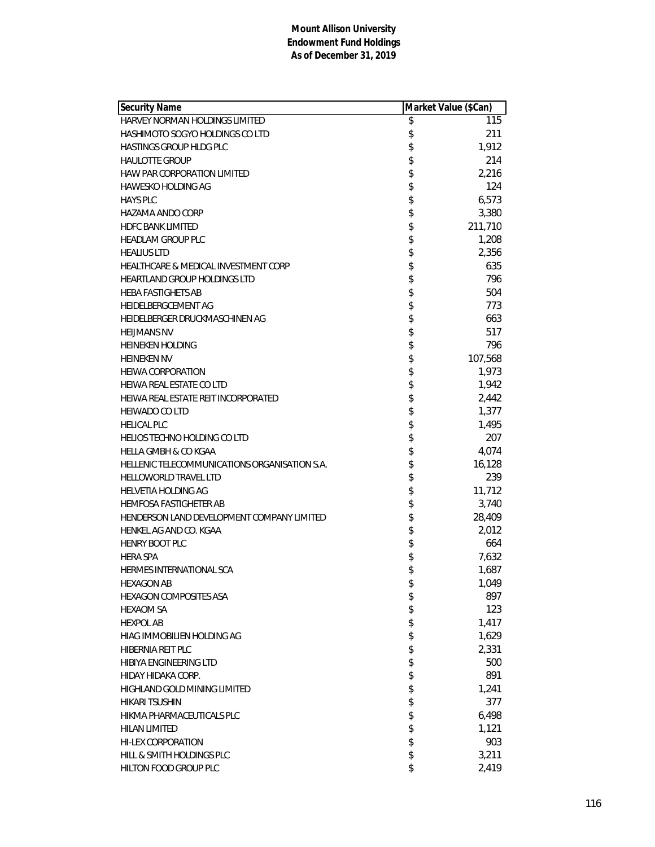| Security Name                                 | Market Value (\$Can) |
|-----------------------------------------------|----------------------|
| HARVEY NORMAN HOLDINGS LIMITED                | \$<br>115            |
| <b>HASHIMOTO SOGYO HOLDINGS CO LTD</b>        | \$<br>211            |
| <b>HASTINGS GROUP HLDG PLC</b>                | \$<br>1,912          |
| <b>HAULOTTE GROUP</b>                         | \$<br>214            |
| <b>HAW PAR CORPORATION LIMITED</b>            | \$<br>2,216          |
| <b>HAWESKO HOLDING AG</b>                     | \$<br>124            |
| <b>HAYS PLC</b>                               | \$<br>6,573          |
| HAZAMA ANDO CORP                              | \$<br>3,380          |
| <b>HDFC BANK LIMITED</b>                      | \$<br>211,710        |
| <b>HEADLAM GROUP PLC</b>                      | \$<br>1,208          |
| <b>HEALIUS LTD</b>                            | \$<br>2,356          |
| HEALTHCARE & MEDICAL INVESTMENT CORP          | \$<br>635            |
| <b>HEARTLAND GROUP HOLDINGS LTD</b>           | \$<br>796            |
| <b>HEBA FASTIGHETS AB</b>                     | \$<br>504            |
| HEIDELBERGCEMENT AG                           | \$<br>773            |
| HEIDELBERGER DRUCKMASCHINEN AG                | \$<br>663            |
| <b>HEIJMANS NV</b>                            | \$<br>517            |
| <b>HEINEKEN HOLDING</b>                       | \$<br>796            |
| <b>HEINEKEN NV</b>                            | \$<br>107,568        |
| <b>HEIWA CORPORATION</b>                      | \$<br>1,973          |
| HEIWA REAL ESTATE CO LTD                      | \$<br>1,942          |
| HEIWA REAL ESTATE REIT INCORPORATED           | \$<br>2,442          |
| <b>HEIWADO CO LTD</b>                         | \$<br>1,377          |
| <b>HELICAL PLC</b>                            | \$<br>1,495          |
| <b>HELIOS TECHNO HOLDING CO LTD</b>           | \$<br>207            |
| <b>HELLA GMBH &amp; CO KGAA</b>               | \$<br>4,074          |
| HELLENIC TELECOMMUNICATIONS ORGANISATION S.A. | \$<br>16,128         |
| <b>HELLOWORLD TRAVEL LTD</b>                  | \$<br>239            |
| <b>HELVETIA HOLDING AG</b>                    | \$<br>11,712         |
| <b>HEMFOSA FASTIGHETER AB</b>                 | \$<br>3,740          |
| HENDERSON LAND DEVELOPMENT COMPANY LIMITED    | \$<br>28,409         |
| HENKEL AG AND CO. KGAA                        | \$<br>2,012          |
| <b>HENRY BOOT PLC</b>                         | \$<br>664            |
| <b>HERA SPA</b>                               | \$<br>7,632          |
| <b>HERMES INTERNATIONAL SCA</b>               | \$<br>1,687          |
| <b>HEXAGON AB</b>                             | \$<br>1,049          |
| <b>HEXAGON COMPOSITES ASA</b>                 | \$<br>897            |
| <b>HEXAOM SA</b>                              | \$<br>123            |
| <b>HEXPOL AB</b>                              | \$<br>1,417          |
| HIAG IMMOBILIEN HOLDING AG                    | \$<br>1,629          |
| <b>HIBERNIA REIT PLC</b>                      | \$<br>2,331          |
| HIBIYA ENGINEERING LTD                        | \$<br>500            |
| HIDAY HIDAKA CORP.                            | \$<br>891            |
| HIGHLAND GOLD MINING LIMITED                  | \$<br>1,241          |
| <b>HIKARI TSUSHIN</b>                         | \$<br>377            |
| HIKMA PHARMACEUTICALS PLC                     | \$<br>6,498          |
| <b>HILAN LIMITED</b>                          | \$<br>1,121          |
| <b>HI-LEX CORPORATION</b>                     | \$<br>903            |
| HILL & SMITH HOLDINGS PLC                     | \$<br>3,211          |
| HILTON FOOD GROUP PLC                         | \$<br>2,419          |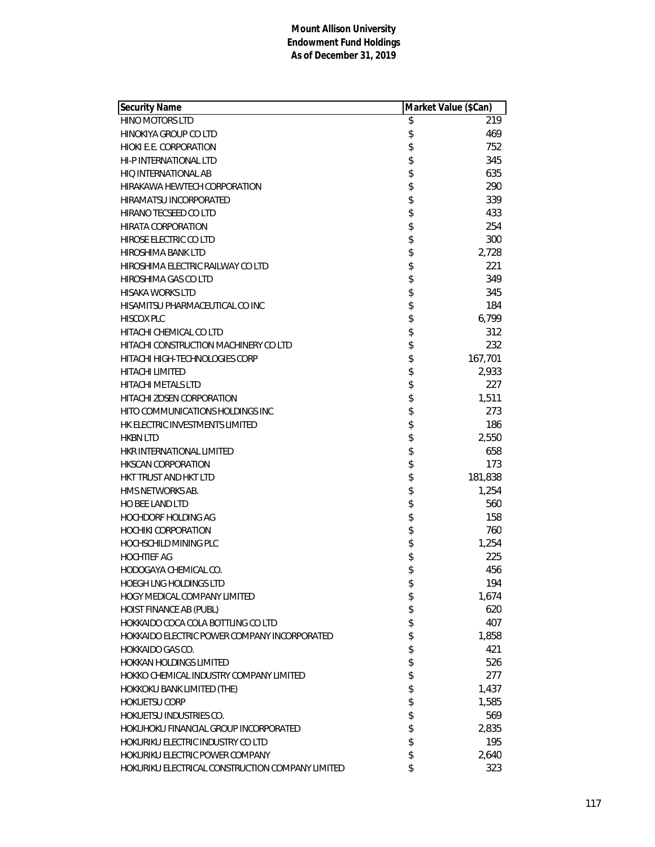| Security Name                                    | Market Value (\$Can) |         |
|--------------------------------------------------|----------------------|---------|
| <b>HINO MOTORS LTD</b>                           | \$                   | 219     |
| HINOKIYA GROUP CO LTD                            | \$                   | 469     |
| HIOKI E.E. CORPORATION                           | \$                   | 752     |
| <b>HI-P INTERNATIONAL LTD</b>                    | \$                   | 345     |
| HIO INTERNATIONAL AB                             | \$                   | 635     |
| HIRAKAWA HEWTECH CORPORATION                     | \$                   | 290     |
| HIRAMATSU INCORPORATED                           | \$                   | 339     |
| HIRANO TECSEED CO LTD                            | \$                   | 433     |
| <b>HIRATA CORPORATION</b>                        | \$                   | 254     |
| HIROSE ELECTRIC CO LTD                           | \$                   | 300     |
| HIROSHIMA BANK LTD                               | \$                   | 2,728   |
| HIROSHIMA ELECTRIC RAILWAY CO LTD                | \$                   | 221     |
| HIROSHIMA GAS CO LTD                             | \$                   | 349     |
| <b>HISAKA WORKS LTD</b>                          | \$                   | 345     |
| HISAMITSU PHARMACEUTICAL CO INC                  | \$                   | 184     |
| <b>HISCOX PLC</b>                                | \$                   | 6,799   |
| HITACHI CHEMICAL CO LTD                          | \$                   | 312     |
| HITACHI CONSTRUCTION MACHINERY CO LTD            | \$                   | 232     |
| <b>HITACHI HIGH-TECHNOLOGIES CORP</b>            | \$                   | 167,701 |
| <b>HITACHI LIMITED</b>                           | \$                   | 2,933   |
| <b>HITACHI METALS LTD</b>                        | \$                   | 227     |
| HITACHI ZOSEN CORPORATION                        | \$                   | 1,511   |
| HITO COMMUNICATIONS HOLDINGS INC                 | \$                   | 273     |
| HK ELECTRIC INVESTMENTS LIMITED                  | \$                   | 186     |
| <b>HKBN LTD</b>                                  | \$                   | 2,550   |
| HKR INTERNATIONAL LIMITED                        | \$                   | 658     |
| <b>HKSCAN CORPORATION</b>                        | \$                   | 173     |
| HKT TRUST AND HKT LTD                            | \$                   | 181,838 |
| HMS NETWORKS AB.                                 | \$                   | 1,254   |
| <b>HO BEE LAND LTD</b>                           | \$                   | 560     |
| <b>HOCHDORF HOLDING AG</b>                       | \$                   | 158     |
| <b>HOCHIKI CORPORATION</b>                       | \$                   | 760     |
| <b>HOCHSCHILD MINING PLC</b>                     | \$                   | 1,254   |
| <b>HOCHTIEF AG</b>                               | \$                   | 225     |
| HODOGAYA CHEMICAL CO.                            | \$                   | 456     |
| <b>HOEGH LNG HOLDINGS LTD</b>                    | \$                   | 194     |
| HOGY MEDICAL COMPANY LIMITED                     | \$                   | 1,674   |
| HOIST FINANCE AB (PUBL)                          | \$                   | 620     |
| HOKKAIDO COCA COLA BOTTLING CO LTD               | \$                   | 407     |
| HOKKAIDO ELECTRIC POWER COMPANY INCORPORATED     | \$                   | 1,858   |
| HOKKAIDO GAS CO.                                 | \$                   | 421     |
| HOKKAN HOLDINGS LIMITED                          | \$                   | 526     |
| HOKKO CHEMICAL INDUSTRY COMPANY LIMITED          | \$                   | 277     |
| HOKKOKU BANK LIMITED (THE)                       | \$                   | 1,437   |
| <b>HOKUETSU CORP</b>                             | \$                   | 1,585   |
| HOKUETSU INDUSTRIES CO.                          | \$                   | 569     |
| HOKUHOKU FINANCIAL GROUP INCORPORATED            | \$                   | 2,835   |
| HOKURIKU ELECTRIC INDUSTRY CO LTD                | \$                   | 195     |
| HOKURIKU ELECTRIC POWER COMPANY                  | \$                   | 2,640   |
| HOKURIKU ELECTRICAL CONSTRUCTION COMPANY LIMITED | \$                   | 323     |
|                                                  |                      |         |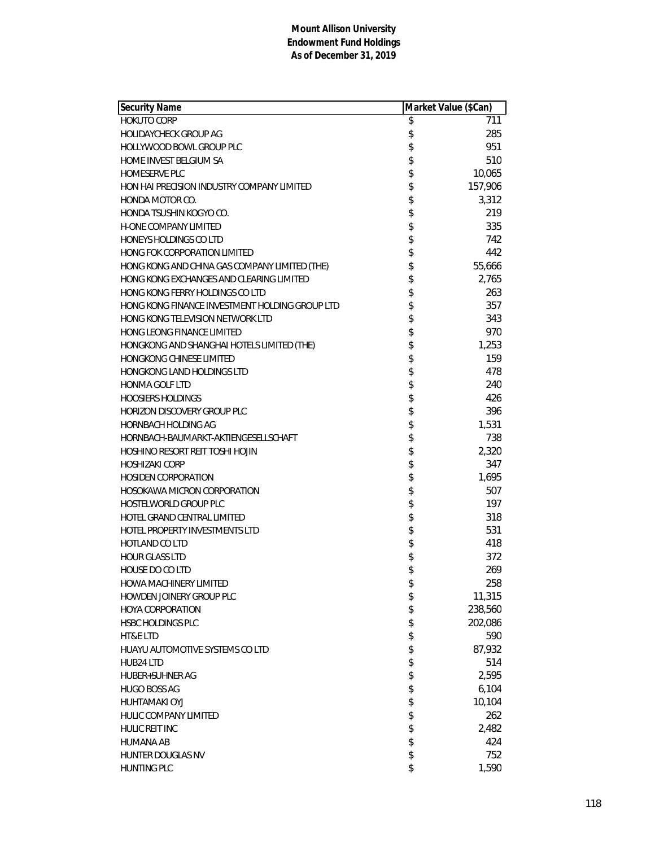| <b>Security Name</b>                           | Market Value (\$Can) |         |
|------------------------------------------------|----------------------|---------|
| <b>HOKUTO CORP</b>                             | \$                   | 711     |
| <b>HOLIDAYCHECK GROUP AG</b>                   | \$                   | 285     |
| HOLLYWOOD BOWL GROUP PLC                       | \$                   | 951     |
| <b>HOME INVEST BELGIUM SA</b>                  | \$                   | 510     |
| <b>HOMESERVE PLC</b>                           | \$                   | 10,065  |
| HON HAI PRECISION INDUSTRY COMPANY LIMITED     | \$                   | 157,906 |
| HONDA MOTOR CO.                                | \$                   | 3,312   |
| HONDA TSUSHIN KOGYO CO.                        | \$                   | 219     |
| <b>H-ONE COMPANY LIMITED</b>                   | \$                   | 335     |
| HONEYS HOLDINGS CO LTD                         | \$                   | 742     |
| HONG FOK CORPORATION LIMITED                   | \$                   | 442     |
| HONG KONG AND CHINA GAS COMPANY LIMITED (THE)  | \$                   | 55,666  |
| HONG KONG EXCHANGES AND CLEARING LIMITED       |                      | 2,765   |
| HONG KONG FERRY HOLDINGS CO LTD                | \$                   | 263     |
| HONG KONG FINANCE INVESTMENT HOLDING GROUP LTD | \$                   | 357     |
| HONG KONG TELEVISION NETWORK LTD               | \$                   | 343     |
| HONG LEONG FINANCE LIMITED                     | \$                   | 970     |
| HONGKONG AND SHANGHAI HOTELS LIMITED (THE)     | \$                   | 1,253   |
| HONGKONG CHINESE LIMITED                       | \$                   | 159     |
| <b>HONGKONG LAND HOLDINGS LTD</b>              | \$                   | 478     |
| <b>HONMA GOLF LTD</b>                          | \$                   | 240     |
| <b>HOOSIERS HOLDINGS</b>                       | \$                   | 426     |
| <b>HORIZON DISCOVERY GROUP PLC</b>             | \$                   | 396     |
| <b>HORNBACH HOLDING AG</b>                     | \$                   | 1,531   |
| HORNBACH-BAUMARKT-AKTIENGESELLSCHAFT           | \$                   | 738     |
| HOSHINO RESORT REIT TOSHI HOJIN                | \$                   | 2,320   |
| <b>HOSHIZAKI CORP</b>                          | \$                   | 347     |
| <b>HOSIDEN CORPORATION</b>                     | \$                   | 1,695   |
| <b>HOSOKAWA MICRON CORPORATION</b>             | \$                   | 507     |
| <b>HOSTELWORLD GROUP PLC</b>                   | \$                   | 197     |
| HOTEL GRAND CENTRAL LIMITED                    | \$                   | 318     |
| HOTEL PROPERTY INVESTMENTS LTD                 | \$                   | 531     |
| <b>HOTLAND CO LTD</b>                          | \$                   | 418     |
| <b>HOUR GLASS LTD</b>                          | \$                   | 372     |
| HOUSE DO CO LTD                                | \$                   | 269     |
| <b>HOWA MACHINERY LIMITED</b>                  | \$                   | 258     |
| HOWDEN JOINERY GROUP PLC                       | \$                   | 11,315  |
| <b>HOYA CORPORATION</b>                        | \$                   | 238,560 |
| HSBC HOLDINGS PLC                              | \$                   | 202,086 |
| HT&E LTD                                       | \$                   | 590     |
| HUAYU AUTOMOTIVE SYSTEMS CO LTD                | \$                   | 87,932  |
| HUB24 LTD                                      | \$                   | 514     |
| <b>HUBER+SUHNER AG</b>                         | \$                   | 2,595   |
| <b>HUGO BOSS AG</b>                            | \$                   | 6,104   |
| <b>HUHTAMAKI OYJ</b>                           | \$                   | 10,104  |
| HULIC COMPANY LIMITED                          | \$                   | 262     |
| <b>HULIC REIT INC</b>                          | \$                   | 2,482   |
| <b>HUMANA AB</b>                               | \$                   | 424     |
| HUNTER DOUGLAS NV                              | \$                   | 752     |
| <b>HUNTING PLC</b>                             | \$                   | 1,590   |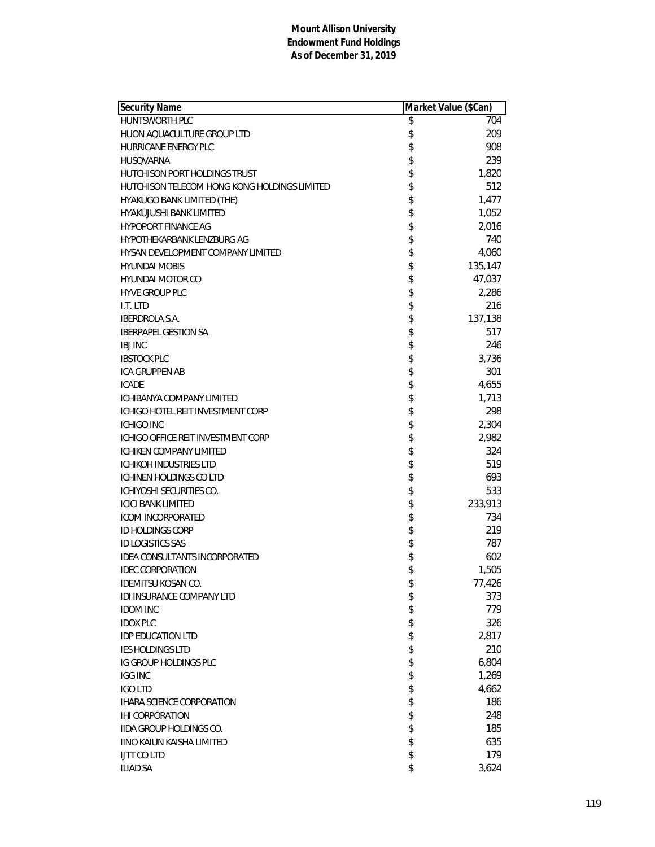| <b>Security Name</b>                         | Market Value (\$Can) |         |
|----------------------------------------------|----------------------|---------|
| <b>HUNTSWORTH PLC</b>                        | \$                   | 704     |
| HUON AQUACULTURE GROUP LTD                   | \$                   | 209     |
| <b>HURRICANE ENERGY PLC</b>                  | \$                   | 908     |
| <b>HUSOVARNA</b>                             | \$                   | 239     |
| HUTCHISON PORT HOLDINGS TRUST                | \$                   | 1,820   |
| HUTCHISON TELECOM HONG KONG HOLDINGS LIMITED | \$                   | 512     |
| HYAKUGO BANK LIMITED (THE)                   | \$                   | 1,477   |
| <b>HYAKUJUSHI BANK LIMITED</b>               | \$                   | 1,052   |
| <b>HYPOPORT FINANCE AG</b>                   | \$                   | 2,016   |
| HYPOTHEKARBANK LENZBURG AG                   | \$                   | 740     |
| HYSAN DEVELOPMENT COMPANY LIMITED            | \$                   | 4,060   |
| <b>HYUNDAI MOBIS</b>                         | \$                   | 135,147 |
| HYUNDAI MOTOR CO                             | \$                   | 47,037  |
| <b>HYVE GROUP PLC</b>                        | \$                   | 2,286   |
| I.T. LTD                                     | \$                   | 216     |
| <b>IBERDROLA S.A.</b>                        | \$                   | 137,138 |
| <b>IBERPAPEL GESTION SA</b>                  | \$                   | 517     |
| <b>IBJ INC</b>                               | \$                   | 246     |
| <b>IBSTOCK PLC</b>                           | \$                   | 3,736   |
| <b>ICA GRUPPEN AB</b>                        | \$                   | 301     |
| <b>ICADE</b>                                 | \$                   | 4,655   |
| ICHIBANYA COMPANY LIMITED                    | \$                   | 1,713   |
| ICHIGO HOTEL REIT INVESTMENT CORP            | \$                   | 298     |
| <b>ICHIGO INC</b>                            | \$                   | 2,304   |
| ICHIGO OFFICE REIT INVESTMENT CORP           | \$                   | 2,982   |
| ICHIKEN COMPANY LIMITED                      | \$                   | 324     |
| <b>ICHIKOH INDUSTRIES LTD</b>                | \$                   | 519     |
| ICHINEN HOLDINGS CO LTD                      | \$                   | 693     |
| ICHIYOSHI SECURITIES CO.                     | \$                   | 533     |
| <b>ICICI BANK LIMITED</b>                    | \$                   | 233,913 |
| <b>ICOM INCORPORATED</b>                     | \$                   | 734     |
| <b>ID HOLDINGS CORP</b>                      | \$                   | 219     |
| <b>ID LOGISTICS SAS</b>                      | \$                   | 787     |
| IDEA CONSULTANTS INCORPORATED                | \$                   | 602     |
| <b>IDEC CORPORATION</b>                      | \$                   | 1,505   |
| <b>IDEMITSU KOSAN CO.</b>                    | \$                   | 77,426  |
| <b>IDI INSURANCE COMPANY LTD</b>             | \$                   | 373     |
| <b>IDOM INC</b>                              | \$                   | 779     |
| <b>IDOX PLC</b>                              | \$                   | 326     |
| <b>IDP EDUCATION LTD</b>                     | \$                   | 2,817   |
| <b>IES HOLDINGS LTD</b>                      | \$                   | 210     |
| IG GROUP HOLDINGS PLC                        | \$                   | 6,804   |
| <b>IGG INC</b>                               | \$                   | 1,269   |
| <b>IGO LTD</b>                               | \$                   | 4,662   |
| <b>IHARA SCIENCE CORPORATION</b>             | \$                   | 186     |
| <b>IHI CORPORATION</b>                       | \$                   | 248     |
| <b>IIDA GROUP HOLDINGS CO.</b>               | \$                   | 185     |
| <b>IINO KAIUN KAISHA LIMITED</b>             | \$                   | 635     |
| <b>IJTT CO LTD</b>                           | \$                   | 179     |
| <b>ILIAD SA</b>                              | \$                   | 3,624   |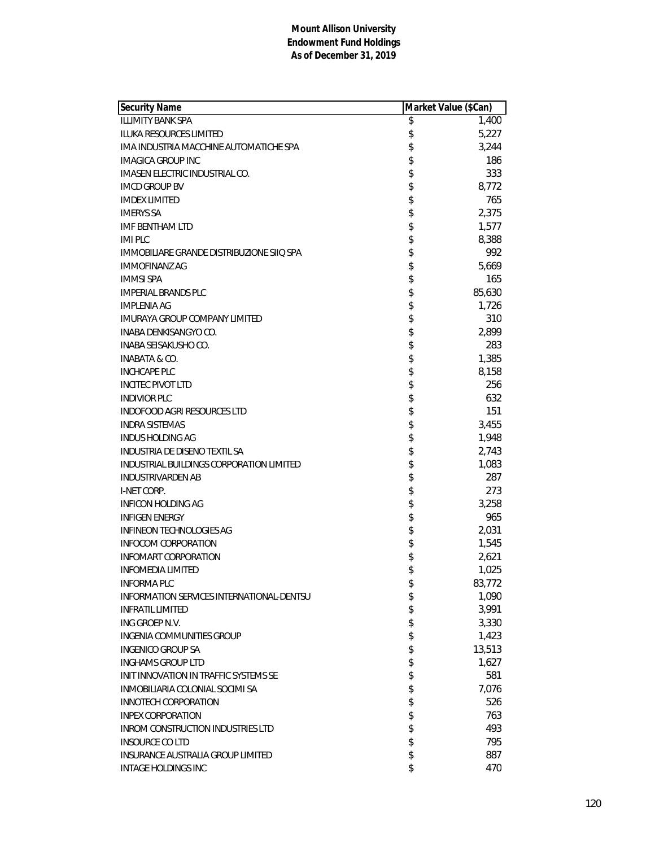| <b>Security Name</b>                      | Market Value (\$Can) |        |
|-------------------------------------------|----------------------|--------|
| <b>ILLIMITY BANK SPA</b>                  | \$                   | 1,400  |
| <b>ILUKA RESOURCES LIMITED</b>            | \$                   | 5,227  |
| IMA INDUSTRIA MACCHINE AUTOMATICHE SPA    | \$                   | 3,244  |
| <b>IMAGICA GROUP INC</b>                  | \$                   | 186    |
| IMASEN ELECTRIC INDUSTRIAL CO.            | \$                   | 333    |
| <b>IMCD GROUP BV</b>                      | \$                   | 8,772  |
| <b>IMDEX LIMITED</b>                      | \$                   | 765    |
| <b>IMERYS SA</b>                          | \$                   | 2,375  |
| <b>IMF BENTHAM LTD</b>                    | \$                   | 1,577  |
| <b>IMI PLC</b>                            | \$                   | 8,388  |
| IMMOBILIARE GRANDE DISTRIBUZIONE SIIQ SPA | \$                   | 992    |
| <b>IMMOFINANZ AG</b>                      | \$                   | 5,669  |
| <b>IMMSI SPA</b>                          | \$                   | 165    |
| <b>IMPERIAL BRANDS PLC</b>                | \$                   | 85,630 |
| <b>IMPLENIA AG</b>                        | \$                   | 1,726  |
| <b>IMURAYA GROUP COMPANY LIMITED</b>      | \$                   | 310    |
| <b>INABA DENKISANGYO CO.</b>              | \$                   | 2,899  |
| <b>INABA SEISAKUSHO CO.</b>               | \$                   | 283    |
| <b>INABATA &amp; CO.</b>                  | \$                   | 1,385  |
| <b>INCHCAPE PLC</b>                       | \$                   | 8,158  |
| <b>INCITEC PIVOT LTD</b>                  | \$                   | 256    |
| <b>INDIVIOR PLC</b>                       | \$                   | 632    |
| <b>INDOFOOD AGRI RESOURCES LTD</b>        | \$                   | 151    |
| <b>INDRA SISTEMAS</b>                     | \$                   | 3,455  |
| <b>INDUS HOLDING AG</b>                   | \$                   | 1,948  |
| INDUSTRIA DE DISENO TEXTIL SA             | \$                   | 2,743  |
| INDUSTRIAL BUILDINGS CORPORATION LIMITED  | \$                   | 1,083  |
| <b>INDUSTRIVARDEN AB</b>                  | \$                   | 287    |
| I-NET CORP.                               | \$                   | 273    |
| INFICON HOLDING AG                        | \$                   | 3,258  |
| <b>INFIGEN ENERGY</b>                     | \$                   | 965    |
| <b>INFINEON TECHNOLOGIES AG</b>           | \$                   | 2,031  |
| <b>INFOCOM CORPORATION</b>                | \$                   | 1,545  |
| <b>INFOMART CORPORATION</b>               | \$                   | 2,621  |
| <b>INFOMEDIA LIMITED</b>                  | \$                   | 1,025  |
| <b>INFORMA PLC</b>                        | \$                   | 83,772 |
| INFORMATION SERVICES INTERNATIONAL-DENTSU | \$                   | 1,090  |
| <b>INFRATIL LIMITED</b>                   | \$                   | 3,991  |
| ING GROEP N.V.                            | \$                   | 3,330  |
| <b>INGENIA COMMUNITIES GROUP</b>          | \$                   | 1,423  |
| <b>INGENICO GROUP SA</b>                  | \$                   | 13,513 |
| <b>INGHAMS GROUP LTD</b>                  | \$                   | 1,627  |
| INIT INNOVATION IN TRAFFIC SYSTEMS SE     | \$                   | 581    |
| INMOBILIARIA COLONIAL SOCIMI SA           | \$                   | 7,076  |
| <b>INNOTECH CORPORATION</b>               | \$                   | 526    |
| <b>INPEX CORPORATION</b>                  | \$                   | 763    |
| <b>INROM CONSTRUCTION INDUSTRIES LTD</b>  | \$                   | 493    |
| <b>INSOURCE CO LTD</b>                    | \$                   | 795    |
| <b>INSURANCE AUSTRALIA GROUP LIMITED</b>  | \$                   | 887    |
| <b>INTAGE HOLDINGS INC</b>                | \$                   | 470    |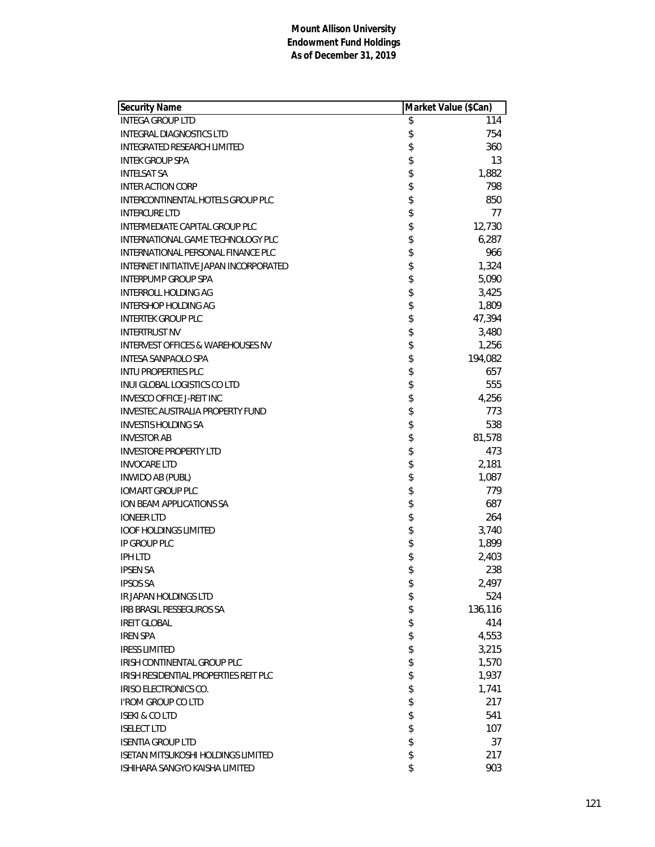| <b>Security Name</b>                         | Market Value (\$Can) |
|----------------------------------------------|----------------------|
| <b>INTEGA GROUP LTD</b>                      | \$<br>114            |
| <b>INTEGRAL DIAGNOSTICS LTD</b>              | \$<br>754            |
| INTEGRATED RESEARCH LIMITED                  | \$<br>360            |
| <b>INTEK GROUP SPA</b>                       | \$<br>13             |
| <b>INTELSAT SA</b>                           | \$<br>1,882          |
| <b>INTER ACTION CORP</b>                     | \$<br>798            |
| INTERCONTINENTAL HOTELS GROUP PLC            | \$<br>850            |
| <b>INTERCURE LTD</b>                         | \$<br>77             |
| INTERMEDIATE CAPITAL GROUP PLC               | \$<br>12,730         |
| INTERNATIONAL GAME TECHNOLOGY PLC            | \$<br>6,287          |
| INTERNATIONAL PERSONAL FINANCE PLC           | \$<br>966            |
| INTERNET INITIATIVE JAPAN INCORPORATED       | \$<br>1,324          |
| <b>INTERPUMP GROUP SPA</b>                   | \$<br>5,090          |
| INTERROLL HOLDING AG                         | \$<br>3,425          |
| INTERSHOP HOLDING AG                         | \$<br>1,809          |
| <b>INTERTEK GROUP PLC</b>                    | \$<br>47,394         |
| <b>INTERTRUST NV</b>                         | \$<br>3,480          |
| <b>INTERVEST OFFICES &amp; WAREHOUSES NV</b> | \$<br>1,256          |
| <b>INTESA SANPAOLO SPA</b>                   | \$<br>194,082        |
| <b>INTU PROPERTIES PLC</b>                   | \$<br>657            |
| INUI GLOBAL LOGISTICS CO LTD                 | \$<br>555            |
| <b>INVESCO OFFICE J-REIT INC</b>             | \$<br>4,256          |
| <b>INVESTEC AUSTRALIA PROPERTY FUND</b>      | \$<br>773            |
| <b>INVESTIS HOLDING SA</b>                   | \$<br>538            |
| <b>INVESTOR AB</b>                           | \$<br>81,578         |
| <b>INVESTORE PROPERTY LTD</b>                | \$<br>473            |
| <b>INVOCARE LTD</b>                          | \$<br>2,181          |
| <b>INWIDO AB (PUBL)</b>                      | \$<br>1,087          |
| <b>IOMART GROUP PLC</b>                      | \$<br>779            |
| ION BEAM APPLICATIONS SA                     | \$<br>687            |
| <b>IONEER LTD</b>                            | \$<br>264            |
| <b>IOOF HOLDINGS LIMITED</b>                 | \$<br>3,740          |
| IP GROUP PLC                                 | \$<br>1,899          |
| <b>IPH LTD</b>                               | \$<br>2,403          |
| <b>IPSEN SA</b>                              | \$<br>238            |
| <b>IPSOS SA</b>                              | \$<br>2,497          |
| IR JAPAN HOLDINGS LTD                        | \$<br>524            |
| IRB BRASIL RESSEGUROS SA                     | \$<br>136,116        |
| <b>IREIT GLOBAL</b>                          | \$<br>414            |
| <b>IREN SPA</b>                              | \$<br>4,553          |
| <b>IRESS LIMITED</b>                         | \$<br>3,215          |
| IRISH CONTINENTAL GROUP PLC                  | \$<br>1,570          |
| IRISH RESIDENTIAL PROPERTIES REIT PLC        | \$<br>1,937          |
| IRISO ELECTRONICS CO.                        | \$<br>1,741          |
| <b>I'ROM GROUP CO LTD</b>                    | \$<br>217            |
| <b>ISEKI &amp; CO LTD</b>                    | \$<br>541            |
| <b>ISELECT LTD</b>                           | \$<br>107            |
| <b>ISENTIA GROUP LTD</b>                     | \$<br>37             |
| <b>ISETAN MITSUKOSHI HOLDINGS LIMITED</b>    | \$<br>217            |
| ISHIHARA SANGYO KAISHA LIMITED               | \$<br>903            |
|                                              |                      |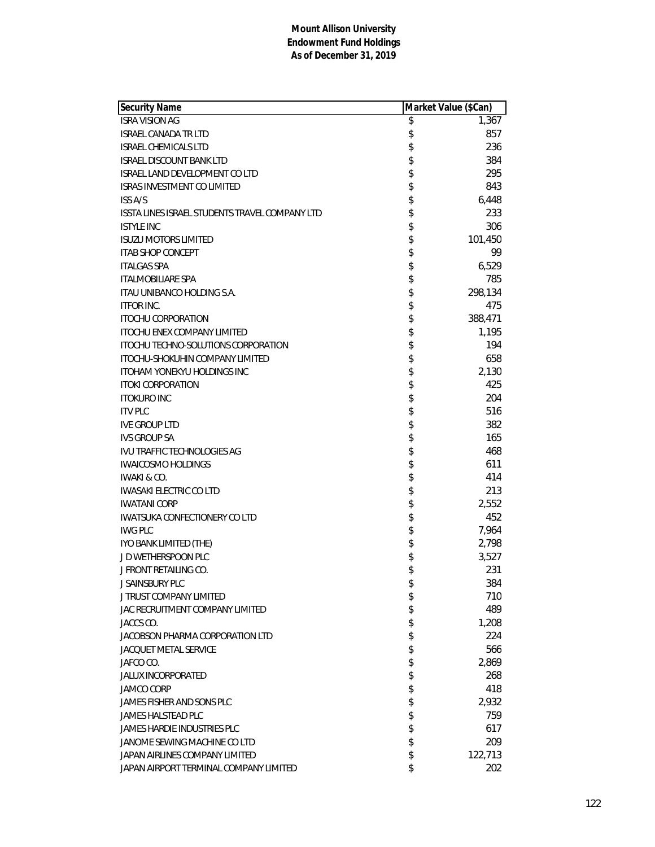| Security Name                                  | Market Value (\$Can) |         |
|------------------------------------------------|----------------------|---------|
| <b>ISRA VISION AG</b>                          | \$                   | 1,367   |
| <b>ISRAEL CANADA TR LTD</b>                    | \$                   | 857     |
| <b>ISRAEL CHEMICALS LTD</b>                    | \$                   | 236     |
| <b>ISRAEL DISCOUNT BANK LTD</b>                | \$                   | 384     |
| <b>ISRAEL LAND DEVELOPMENT CO LTD</b>          | \$                   | 295     |
| <b>ISRAS INVESTMENT CO LIMITED</b>             | \$                   | 843     |
| <b>ISS A/S</b>                                 | \$                   | 6,448   |
| ISSTA LINES ISRAEL STUDENTS TRAVEL COMPANY LTD | \$                   | 233     |
| <b>ISTYLE INC</b>                              | \$                   | 306     |
| <b>ISUZU MOTORS LIMITED</b>                    | \$                   | 101,450 |
| <b>ITAB SHOP CONCEPT</b>                       | \$                   | 99      |
| <b>ITALGAS SPA</b>                             | \$                   | 6,529   |
| <b>ITALMOBILIARE SPA</b>                       | \$                   | 785     |
| ITAU UNIBANCO HOLDING S.A.                     | \$                   | 298,134 |
| <b>ITFOR INC.</b>                              | \$                   | 475     |
| <b>ITOCHU CORPORATION</b>                      | \$                   | 388,471 |
| <b>ITOCHU ENEX COMPANY LIMITED</b>             | \$                   | 1,195   |
| <b>ITOCHU TECHNO-SOLUTIONS CORPORATION</b>     | \$                   | 194     |
| ITOCHU-SHOKUHIN COMPANY LIMITED                | \$                   | 658     |
| <b>ITOHAM YONEKYU HOLDINGS INC</b>             | \$                   | 2,130   |
| <b>ITOKI CORPORATION</b>                       | \$                   | 425     |
| <b>ITOKURO INC</b>                             | \$                   | 204     |
| <b>ITV PLC</b>                                 | \$                   | 516     |
| <b>IVE GROUP LTD</b>                           | \$                   | 382     |
| <b>IVS GROUP SA</b>                            | \$                   | 165     |
| <b>IVU TRAFFIC TECHNOLOGIES AG</b>             | \$                   | 468     |
| <b>IWAICOSMO HOLDINGS</b>                      | \$                   | 611     |
| <b>IWAKI &amp; CO.</b>                         | \$                   | 414     |
| <b>IWASAKI ELECTRIC CO LTD</b>                 | \$                   | 213     |
| <b>IWATANI CORP</b>                            | \$                   | 2,552   |
| <b>IWATSUKA CONFECTIONERY CO LTD</b>           | \$                   | 452     |
| <b>IWG PLC</b>                                 | \$                   | 7,964   |
| IYO BANK LIMITED (THE)                         | \$                   | 2,798   |
| J D WETHERSPOON PLC                            | \$                   | 3,527   |
| J FRONT RETAILING CO.                          | \$                   | 231     |
| J SAINSBURY PLC                                | \$                   | 384     |
| J TRUST COMPANY LIMITED                        | \$                   | 710     |
| JAC RECRUITMENT COMPANY LIMITED                | \$                   | 489     |
| JACCS CO.                                      | \$                   | 1,208   |
| JACOBSON PHARMA CORPORATION LTD                | \$                   | 224     |
| <b>JACQUET METAL SERVICE</b>                   | \$                   | 566     |
| JAFCO CO.                                      | \$                   | 2,869   |
| <b>JALUX INCORPORATED</b>                      | \$                   | 268     |
| <b>JAMCO CORP</b>                              | \$                   | 418     |
| JAMES FISHER AND SONS PLC                      | \$                   | 2,932   |
| <b>JAMES HALSTEAD PLC</b>                      | \$                   | 759     |
| <b>JAMES HARDIE INDUSTRIES PLC</b>             | \$                   | 617     |
| JANOME SEWING MACHINE CO LTD                   | \$                   | 209     |
| JAPAN AIRLINES COMPANY LIMITED                 | \$                   | 122,713 |
| JAPAN AIRPORT TERMINAL COMPANY LIMITED         | \$                   | 202     |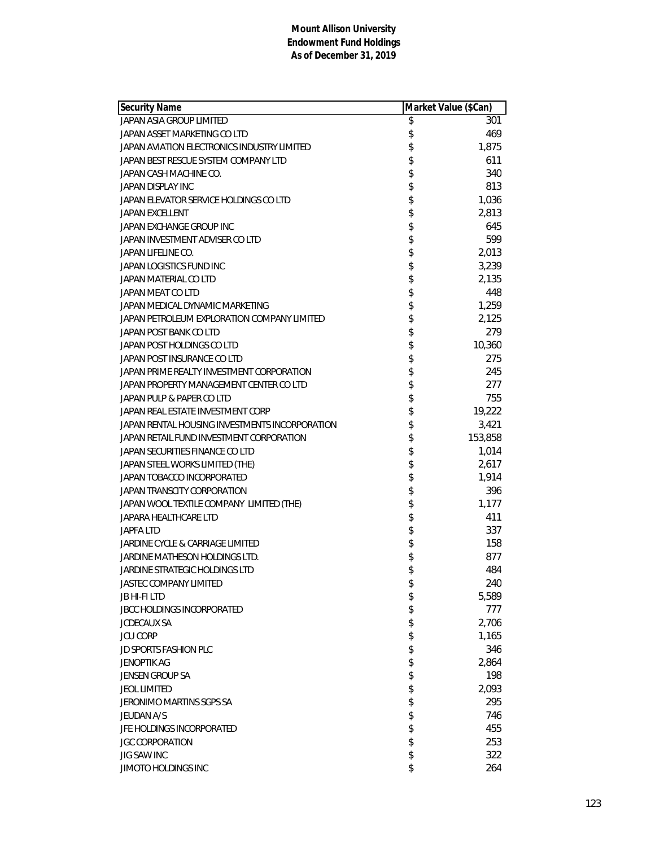| Security Name                                  | Market Value (\$Can) |         |
|------------------------------------------------|----------------------|---------|
| JAPAN ASIA GROUP LIMITED                       | \$                   | 301     |
| JAPAN ASSET MARKETING CO LTD                   | \$                   | 469     |
| JAPAN AVIATION ELECTRONICS INDUSTRY LIMITED    | \$                   | 1,875   |
| JAPAN BEST RESCUE SYSTEM COMPANY LTD           | \$                   | 611     |
| JAPAN CASH MACHINE CO.                         | \$                   | 340     |
| JAPAN DISPLAY INC                              | \$                   | 813     |
| JAPAN ELEVATOR SERVICE HOLDINGS CO LTD         | \$                   | 1,036   |
| <b>JAPAN EXCELLENT</b>                         | \$                   | 2,813   |
| JAPAN EXCHANGE GROUP INC                       | \$                   | 645     |
| JAPAN INVESTMENT ADVISER CO LTD                | \$                   | 599     |
| JAPAN LIFELINE CO.                             | \$                   | 2,013   |
| JAPAN LOGISTICS FUND INC                       | \$                   | 3,239   |
| JAPAN MATERIAL CO LTD                          | \$                   | 2,135   |
| JAPAN MEAT CO LTD                              | \$                   | 448     |
| JAPAN MEDICAL DYNAMIC MARKETING                | \$                   | 1,259   |
| JAPAN PETROLEUM EXPLORATION COMPANY LIMITED    | \$                   | 2,125   |
| JAPAN POST BANK CO LTD                         | \$                   | 279     |
| JAPAN POST HOLDINGS CO LTD                     | \$                   | 10,360  |
| JAPAN POST INSURANCE CO LTD                    | \$                   | 275     |
| JAPAN PRIME REALTY INVESTMENT CORPORATION      | \$                   | 245     |
| JAPAN PROPERTY MANAGEMENT CENTER CO LTD        | \$                   | 277     |
| JAPAN PULP & PAPER CO LTD                      | \$                   | 755     |
| JAPAN REAL ESTATE INVESTMENT CORP              | \$                   | 19,222  |
| JAPAN RENTAL HOUSING INVESTMENTS INCORPORATION |                      | 3,421   |
| JAPAN RETAIL FUND INVESTMENT CORPORATION       | \$<br>\$             | 153,858 |
| JAPAN SECURITIES FINANCE CO LTD                | \$                   | 1,014   |
| JAPAN STEEL WORKS LIMITED (THE)                | \$                   | 2,617   |
| JAPAN TOBACCO INCORPORATED                     | \$                   | 1,914   |
| JAPAN TRANSCITY CORPORATION                    | \$                   | 396     |
| JAPAN WOOL TEXTILE COMPANY LIMITED (THE)       | \$                   | 1,177   |
| JAPARA HEALTHCARE LTD                          | \$                   | 411     |
| <b>JAPFA LTD</b>                               | \$                   | 337     |
| JARDINE CYCLE & CARRIAGE LIMITED               | \$                   | 158     |
| JARDINE MATHESON HOLDINGS LTD.                 | \$                   | 877     |
| JARDINE STRATEGIC HOLDINGS LTD                 | \$                   | 484     |
| <b>JASTEC COMPANY LIMITED</b>                  | \$                   | 240     |
| <b>JB HI-FILTD</b>                             | \$                   | 5,589   |
| JBCC HOLDINGS INCORPORATED                     | \$                   | 777     |
| <b>JCDECAUX SA</b>                             | \$                   | 2,706   |
| <b>JCU CORP</b>                                | \$                   | 1,165   |
| <b>JD SPORTS FASHION PLC</b>                   | \$                   | 346     |
| JENOPTIK AG                                    | \$                   | 2,864   |
| JENSEN GROUP SA                                | \$                   | 198     |
| <b>JEOL LIMITED</b>                            | \$                   | 2,093   |
| <b>JERONIMO MARTINS SGPS SA</b>                | \$                   | 295     |
| <b>JEUDAN A/S</b>                              | \$                   | 746     |
| JFE HOLDINGS INCORPORATED                      | \$                   | 455     |
| <b>JGC CORPORATION</b>                         | \$                   | 253     |
| <b>JIG SAW INC</b>                             | \$                   | 322     |
| JIMOTO HOLDINGS INC                            | \$                   | 264     |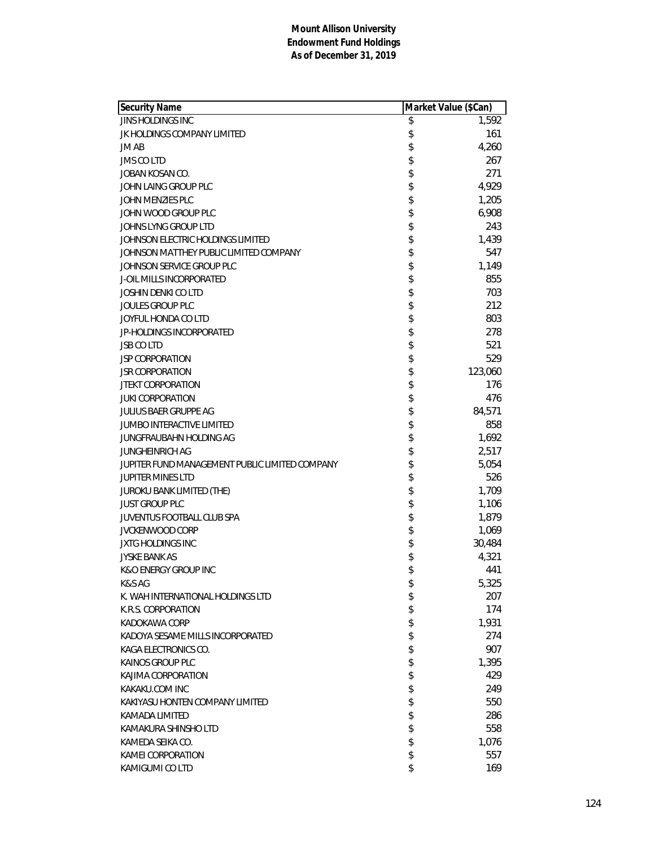| <b>JINS HOLDINGS INC</b><br>\$<br>1,592<br>\$<br>161<br>JK HOLDINGS COMPANY LIMITED<br>\$<br>4,260<br>JM AB<br>\$<br>267<br><b>JMS CO LTD</b><br>\$<br>271<br>JOBAN KOSAN CO.<br>\$<br>4,929<br>JOHN LAING GROUP PLC<br>\$<br>1,205<br>JOHN MENZIES PLC<br>\$<br>6,908<br>JOHN WOOD GROUP PLC<br>\$<br>243<br>JOHNS LYNG GROUP LTD<br>\$<br>1,439<br>JOHNSON ELECTRIC HOLDINGS LIMITED<br>\$<br>547<br>JOHNSON MATTHEY PUBLIC LIMITED COMPANY<br>\$<br>1,149<br>JOHNSON SERVICE GROUP PLC<br>\$<br>855<br><b>J-OIL MILLS INCORPORATED</b><br>\$<br>703<br>JOSHIN DENKI CO LTD<br>\$<br>212<br><b>JOULES GROUP PLC</b><br>\$<br>JOYFUL HONDA CO LTD<br>803<br>\$<br>278<br>JP-HOLDINGS INCORPORATED<br>\$<br>521<br><b>JSB CO LTD</b><br>\$<br>529<br>JSP CORPORATION<br>\$<br>123,060<br><b>JSR CORPORATION</b><br>\$<br>176<br><b>JTEKT CORPORATION</b><br>\$<br>476<br><b>JUKI CORPORATION</b><br>\$<br><b>JULIUS BAER GRUPPE AG</b><br>84,571<br>\$<br>858<br><b>JUMBO INTERACTIVE LIMITED</b><br>\$<br>1,692<br>JUNGFRAUBAHN HOLDING AG<br>\$<br>2,517<br><b>JUNGHEINRICH AG</b><br>\$<br>5,054<br>JUPITER FUND MANAGEMENT PUBLIC LIMITED COMPANY<br>\$<br>526<br><b>JUPITER MINES LTD</b><br>\$<br>1,709<br>JUROKU BANK LIMITED (THE)<br>\$<br>1,106<br><b>JUST GROUP PLC</b><br>\$<br>1,879<br>JUVENTUS FOOTBALL CLUB SPA<br>\$<br><b>JVCKENWOOD CORP</b><br>1,069<br>\$<br><b>JXTG HOLDINGS INC</b><br>30,484<br>\$<br>4,321<br><b>JYSKE BANK AS</b><br>\$<br>441<br><b>K&amp;O ENERGY GROUP INC</b><br>5,325<br>K&S AG<br>\$<br>\$<br>207<br>K. WAH INTERNATIONAL HOLDINGS LTD<br>\$<br>174<br>K.R.S. CORPORATION<br>\$<br>1,931<br>KADOKAWA CORP<br>\$<br>274<br>KADOYA SESAME MILLS INCORPORATED<br>\$<br>KAGA ELECTRONICS CO.<br>907<br>\$<br><b>KAINOS GROUP PLC</b><br>1,395<br>\$<br>429<br>KAJIMA CORPORATION<br>\$<br>KAKAKU.COM INC<br>249<br>\$<br>550<br>KAKIYASU HONTEN COMPANY LIMITED<br>\$<br>286<br>KAMADA LIMITED<br>\$<br>558<br>KAMAKURA SHINSHO LTD<br>\$<br>KAMEDA SEIKA CO.<br>1,076 | Security Name | Market Value (\$Can) |
|--------------------------------------------------------------------------------------------------------------------------------------------------------------------------------------------------------------------------------------------------------------------------------------------------------------------------------------------------------------------------------------------------------------------------------------------------------------------------------------------------------------------------------------------------------------------------------------------------------------------------------------------------------------------------------------------------------------------------------------------------------------------------------------------------------------------------------------------------------------------------------------------------------------------------------------------------------------------------------------------------------------------------------------------------------------------------------------------------------------------------------------------------------------------------------------------------------------------------------------------------------------------------------------------------------------------------------------------------------------------------------------------------------------------------------------------------------------------------------------------------------------------------------------------------------------------------------------------------------------------------------------------------------------------------------------------------------------------------------------------------------------------------------------------------------------------------------------------------------------------------------------------------------------------------------------------------------------------------------------------------------------------|---------------|----------------------|
|                                                                                                                                                                                                                                                                                                                                                                                                                                                                                                                                                                                                                                                                                                                                                                                                                                                                                                                                                                                                                                                                                                                                                                                                                                                                                                                                                                                                                                                                                                                                                                                                                                                                                                                                                                                                                                                                                                                                                                                                                    |               |                      |
|                                                                                                                                                                                                                                                                                                                                                                                                                                                                                                                                                                                                                                                                                                                                                                                                                                                                                                                                                                                                                                                                                                                                                                                                                                                                                                                                                                                                                                                                                                                                                                                                                                                                                                                                                                                                                                                                                                                                                                                                                    |               |                      |
|                                                                                                                                                                                                                                                                                                                                                                                                                                                                                                                                                                                                                                                                                                                                                                                                                                                                                                                                                                                                                                                                                                                                                                                                                                                                                                                                                                                                                                                                                                                                                                                                                                                                                                                                                                                                                                                                                                                                                                                                                    |               |                      |
|                                                                                                                                                                                                                                                                                                                                                                                                                                                                                                                                                                                                                                                                                                                                                                                                                                                                                                                                                                                                                                                                                                                                                                                                                                                                                                                                                                                                                                                                                                                                                                                                                                                                                                                                                                                                                                                                                                                                                                                                                    |               |                      |
|                                                                                                                                                                                                                                                                                                                                                                                                                                                                                                                                                                                                                                                                                                                                                                                                                                                                                                                                                                                                                                                                                                                                                                                                                                                                                                                                                                                                                                                                                                                                                                                                                                                                                                                                                                                                                                                                                                                                                                                                                    |               |                      |
|                                                                                                                                                                                                                                                                                                                                                                                                                                                                                                                                                                                                                                                                                                                                                                                                                                                                                                                                                                                                                                                                                                                                                                                                                                                                                                                                                                                                                                                                                                                                                                                                                                                                                                                                                                                                                                                                                                                                                                                                                    |               |                      |
|                                                                                                                                                                                                                                                                                                                                                                                                                                                                                                                                                                                                                                                                                                                                                                                                                                                                                                                                                                                                                                                                                                                                                                                                                                                                                                                                                                                                                                                                                                                                                                                                                                                                                                                                                                                                                                                                                                                                                                                                                    |               |                      |
|                                                                                                                                                                                                                                                                                                                                                                                                                                                                                                                                                                                                                                                                                                                                                                                                                                                                                                                                                                                                                                                                                                                                                                                                                                                                                                                                                                                                                                                                                                                                                                                                                                                                                                                                                                                                                                                                                                                                                                                                                    |               |                      |
|                                                                                                                                                                                                                                                                                                                                                                                                                                                                                                                                                                                                                                                                                                                                                                                                                                                                                                                                                                                                                                                                                                                                                                                                                                                                                                                                                                                                                                                                                                                                                                                                                                                                                                                                                                                                                                                                                                                                                                                                                    |               |                      |
|                                                                                                                                                                                                                                                                                                                                                                                                                                                                                                                                                                                                                                                                                                                                                                                                                                                                                                                                                                                                                                                                                                                                                                                                                                                                                                                                                                                                                                                                                                                                                                                                                                                                                                                                                                                                                                                                                                                                                                                                                    |               |                      |
|                                                                                                                                                                                                                                                                                                                                                                                                                                                                                                                                                                                                                                                                                                                                                                                                                                                                                                                                                                                                                                                                                                                                                                                                                                                                                                                                                                                                                                                                                                                                                                                                                                                                                                                                                                                                                                                                                                                                                                                                                    |               |                      |
|                                                                                                                                                                                                                                                                                                                                                                                                                                                                                                                                                                                                                                                                                                                                                                                                                                                                                                                                                                                                                                                                                                                                                                                                                                                                                                                                                                                                                                                                                                                                                                                                                                                                                                                                                                                                                                                                                                                                                                                                                    |               |                      |
|                                                                                                                                                                                                                                                                                                                                                                                                                                                                                                                                                                                                                                                                                                                                                                                                                                                                                                                                                                                                                                                                                                                                                                                                                                                                                                                                                                                                                                                                                                                                                                                                                                                                                                                                                                                                                                                                                                                                                                                                                    |               |                      |
|                                                                                                                                                                                                                                                                                                                                                                                                                                                                                                                                                                                                                                                                                                                                                                                                                                                                                                                                                                                                                                                                                                                                                                                                                                                                                                                                                                                                                                                                                                                                                                                                                                                                                                                                                                                                                                                                                                                                                                                                                    |               |                      |
|                                                                                                                                                                                                                                                                                                                                                                                                                                                                                                                                                                                                                                                                                                                                                                                                                                                                                                                                                                                                                                                                                                                                                                                                                                                                                                                                                                                                                                                                                                                                                                                                                                                                                                                                                                                                                                                                                                                                                                                                                    |               |                      |
|                                                                                                                                                                                                                                                                                                                                                                                                                                                                                                                                                                                                                                                                                                                                                                                                                                                                                                                                                                                                                                                                                                                                                                                                                                                                                                                                                                                                                                                                                                                                                                                                                                                                                                                                                                                                                                                                                                                                                                                                                    |               |                      |
|                                                                                                                                                                                                                                                                                                                                                                                                                                                                                                                                                                                                                                                                                                                                                                                                                                                                                                                                                                                                                                                                                                                                                                                                                                                                                                                                                                                                                                                                                                                                                                                                                                                                                                                                                                                                                                                                                                                                                                                                                    |               |                      |
|                                                                                                                                                                                                                                                                                                                                                                                                                                                                                                                                                                                                                                                                                                                                                                                                                                                                                                                                                                                                                                                                                                                                                                                                                                                                                                                                                                                                                                                                                                                                                                                                                                                                                                                                                                                                                                                                                                                                                                                                                    |               |                      |
|                                                                                                                                                                                                                                                                                                                                                                                                                                                                                                                                                                                                                                                                                                                                                                                                                                                                                                                                                                                                                                                                                                                                                                                                                                                                                                                                                                                                                                                                                                                                                                                                                                                                                                                                                                                                                                                                                                                                                                                                                    |               |                      |
|                                                                                                                                                                                                                                                                                                                                                                                                                                                                                                                                                                                                                                                                                                                                                                                                                                                                                                                                                                                                                                                                                                                                                                                                                                                                                                                                                                                                                                                                                                                                                                                                                                                                                                                                                                                                                                                                                                                                                                                                                    |               |                      |
|                                                                                                                                                                                                                                                                                                                                                                                                                                                                                                                                                                                                                                                                                                                                                                                                                                                                                                                                                                                                                                                                                                                                                                                                                                                                                                                                                                                                                                                                                                                                                                                                                                                                                                                                                                                                                                                                                                                                                                                                                    |               |                      |
|                                                                                                                                                                                                                                                                                                                                                                                                                                                                                                                                                                                                                                                                                                                                                                                                                                                                                                                                                                                                                                                                                                                                                                                                                                                                                                                                                                                                                                                                                                                                                                                                                                                                                                                                                                                                                                                                                                                                                                                                                    |               |                      |
|                                                                                                                                                                                                                                                                                                                                                                                                                                                                                                                                                                                                                                                                                                                                                                                                                                                                                                                                                                                                                                                                                                                                                                                                                                                                                                                                                                                                                                                                                                                                                                                                                                                                                                                                                                                                                                                                                                                                                                                                                    |               |                      |
|                                                                                                                                                                                                                                                                                                                                                                                                                                                                                                                                                                                                                                                                                                                                                                                                                                                                                                                                                                                                                                                                                                                                                                                                                                                                                                                                                                                                                                                                                                                                                                                                                                                                                                                                                                                                                                                                                                                                                                                                                    |               |                      |
|                                                                                                                                                                                                                                                                                                                                                                                                                                                                                                                                                                                                                                                                                                                                                                                                                                                                                                                                                                                                                                                                                                                                                                                                                                                                                                                                                                                                                                                                                                                                                                                                                                                                                                                                                                                                                                                                                                                                                                                                                    |               |                      |
|                                                                                                                                                                                                                                                                                                                                                                                                                                                                                                                                                                                                                                                                                                                                                                                                                                                                                                                                                                                                                                                                                                                                                                                                                                                                                                                                                                                                                                                                                                                                                                                                                                                                                                                                                                                                                                                                                                                                                                                                                    |               |                      |
|                                                                                                                                                                                                                                                                                                                                                                                                                                                                                                                                                                                                                                                                                                                                                                                                                                                                                                                                                                                                                                                                                                                                                                                                                                                                                                                                                                                                                                                                                                                                                                                                                                                                                                                                                                                                                                                                                                                                                                                                                    |               |                      |
|                                                                                                                                                                                                                                                                                                                                                                                                                                                                                                                                                                                                                                                                                                                                                                                                                                                                                                                                                                                                                                                                                                                                                                                                                                                                                                                                                                                                                                                                                                                                                                                                                                                                                                                                                                                                                                                                                                                                                                                                                    |               |                      |
|                                                                                                                                                                                                                                                                                                                                                                                                                                                                                                                                                                                                                                                                                                                                                                                                                                                                                                                                                                                                                                                                                                                                                                                                                                                                                                                                                                                                                                                                                                                                                                                                                                                                                                                                                                                                                                                                                                                                                                                                                    |               |                      |
|                                                                                                                                                                                                                                                                                                                                                                                                                                                                                                                                                                                                                                                                                                                                                                                                                                                                                                                                                                                                                                                                                                                                                                                                                                                                                                                                                                                                                                                                                                                                                                                                                                                                                                                                                                                                                                                                                                                                                                                                                    |               |                      |
|                                                                                                                                                                                                                                                                                                                                                                                                                                                                                                                                                                                                                                                                                                                                                                                                                                                                                                                                                                                                                                                                                                                                                                                                                                                                                                                                                                                                                                                                                                                                                                                                                                                                                                                                                                                                                                                                                                                                                                                                                    |               |                      |
|                                                                                                                                                                                                                                                                                                                                                                                                                                                                                                                                                                                                                                                                                                                                                                                                                                                                                                                                                                                                                                                                                                                                                                                                                                                                                                                                                                                                                                                                                                                                                                                                                                                                                                                                                                                                                                                                                                                                                                                                                    |               |                      |
|                                                                                                                                                                                                                                                                                                                                                                                                                                                                                                                                                                                                                                                                                                                                                                                                                                                                                                                                                                                                                                                                                                                                                                                                                                                                                                                                                                                                                                                                                                                                                                                                                                                                                                                                                                                                                                                                                                                                                                                                                    |               |                      |
|                                                                                                                                                                                                                                                                                                                                                                                                                                                                                                                                                                                                                                                                                                                                                                                                                                                                                                                                                                                                                                                                                                                                                                                                                                                                                                                                                                                                                                                                                                                                                                                                                                                                                                                                                                                                                                                                                                                                                                                                                    |               |                      |
|                                                                                                                                                                                                                                                                                                                                                                                                                                                                                                                                                                                                                                                                                                                                                                                                                                                                                                                                                                                                                                                                                                                                                                                                                                                                                                                                                                                                                                                                                                                                                                                                                                                                                                                                                                                                                                                                                                                                                                                                                    |               |                      |
|                                                                                                                                                                                                                                                                                                                                                                                                                                                                                                                                                                                                                                                                                                                                                                                                                                                                                                                                                                                                                                                                                                                                                                                                                                                                                                                                                                                                                                                                                                                                                                                                                                                                                                                                                                                                                                                                                                                                                                                                                    |               |                      |
|                                                                                                                                                                                                                                                                                                                                                                                                                                                                                                                                                                                                                                                                                                                                                                                                                                                                                                                                                                                                                                                                                                                                                                                                                                                                                                                                                                                                                                                                                                                                                                                                                                                                                                                                                                                                                                                                                                                                                                                                                    |               |                      |
|                                                                                                                                                                                                                                                                                                                                                                                                                                                                                                                                                                                                                                                                                                                                                                                                                                                                                                                                                                                                                                                                                                                                                                                                                                                                                                                                                                                                                                                                                                                                                                                                                                                                                                                                                                                                                                                                                                                                                                                                                    |               |                      |
|                                                                                                                                                                                                                                                                                                                                                                                                                                                                                                                                                                                                                                                                                                                                                                                                                                                                                                                                                                                                                                                                                                                                                                                                                                                                                                                                                                                                                                                                                                                                                                                                                                                                                                                                                                                                                                                                                                                                                                                                                    |               |                      |
|                                                                                                                                                                                                                                                                                                                                                                                                                                                                                                                                                                                                                                                                                                                                                                                                                                                                                                                                                                                                                                                                                                                                                                                                                                                                                                                                                                                                                                                                                                                                                                                                                                                                                                                                                                                                                                                                                                                                                                                                                    |               |                      |
|                                                                                                                                                                                                                                                                                                                                                                                                                                                                                                                                                                                                                                                                                                                                                                                                                                                                                                                                                                                                                                                                                                                                                                                                                                                                                                                                                                                                                                                                                                                                                                                                                                                                                                                                                                                                                                                                                                                                                                                                                    |               |                      |
|                                                                                                                                                                                                                                                                                                                                                                                                                                                                                                                                                                                                                                                                                                                                                                                                                                                                                                                                                                                                                                                                                                                                                                                                                                                                                                                                                                                                                                                                                                                                                                                                                                                                                                                                                                                                                                                                                                                                                                                                                    |               |                      |
|                                                                                                                                                                                                                                                                                                                                                                                                                                                                                                                                                                                                                                                                                                                                                                                                                                                                                                                                                                                                                                                                                                                                                                                                                                                                                                                                                                                                                                                                                                                                                                                                                                                                                                                                                                                                                                                                                                                                                                                                                    |               |                      |
|                                                                                                                                                                                                                                                                                                                                                                                                                                                                                                                                                                                                                                                                                                                                                                                                                                                                                                                                                                                                                                                                                                                                                                                                                                                                                                                                                                                                                                                                                                                                                                                                                                                                                                                                                                                                                                                                                                                                                                                                                    |               |                      |
|                                                                                                                                                                                                                                                                                                                                                                                                                                                                                                                                                                                                                                                                                                                                                                                                                                                                                                                                                                                                                                                                                                                                                                                                                                                                                                                                                                                                                                                                                                                                                                                                                                                                                                                                                                                                                                                                                                                                                                                                                    |               |                      |
|                                                                                                                                                                                                                                                                                                                                                                                                                                                                                                                                                                                                                                                                                                                                                                                                                                                                                                                                                                                                                                                                                                                                                                                                                                                                                                                                                                                                                                                                                                                                                                                                                                                                                                                                                                                                                                                                                                                                                                                                                    |               |                      |
|                                                                                                                                                                                                                                                                                                                                                                                                                                                                                                                                                                                                                                                                                                                                                                                                                                                                                                                                                                                                                                                                                                                                                                                                                                                                                                                                                                                                                                                                                                                                                                                                                                                                                                                                                                                                                                                                                                                                                                                                                    |               |                      |
|                                                                                                                                                                                                                                                                                                                                                                                                                                                                                                                                                                                                                                                                                                                                                                                                                                                                                                                                                                                                                                                                                                                                                                                                                                                                                                                                                                                                                                                                                                                                                                                                                                                                                                                                                                                                                                                                                                                                                                                                                    |               |                      |
| \$<br>557<br>KAMEI CORPORATION                                                                                                                                                                                                                                                                                                                                                                                                                                                                                                                                                                                                                                                                                                                                                                                                                                                                                                                                                                                                                                                                                                                                                                                                                                                                                                                                                                                                                                                                                                                                                                                                                                                                                                                                                                                                                                                                                                                                                                                     |               |                      |
| \$<br>KAMIGUMI CO LTD<br>169                                                                                                                                                                                                                                                                                                                                                                                                                                                                                                                                                                                                                                                                                                                                                                                                                                                                                                                                                                                                                                                                                                                                                                                                                                                                                                                                                                                                                                                                                                                                                                                                                                                                                                                                                                                                                                                                                                                                                                                       |               |                      |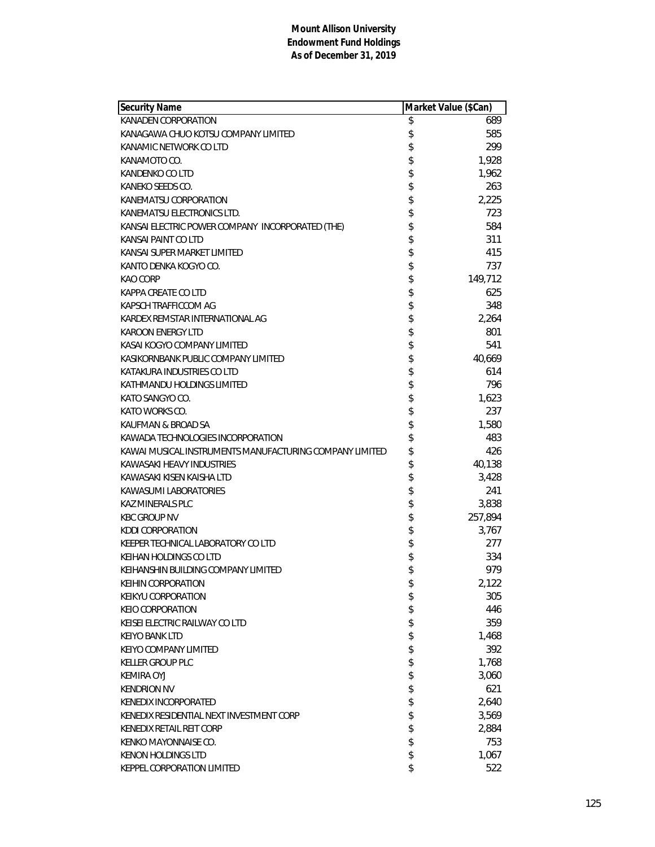| Security Name                                           |          | Market Value (\$Can) |
|---------------------------------------------------------|----------|----------------------|
| KANADEN CORPORATION                                     | \$       | 689                  |
| KANAGAWA CHUO KOTSU COMPANY LIMITED                     | \$       | 585                  |
| KANAMIC NETWORK CO LTD                                  | \$       | 299                  |
| KANAMOTO CO.                                            | \$       | 1,928                |
| <b>KANDENKO CO LTD</b>                                  | \$       | 1,962                |
| KANEKO SEEDS CO.                                        |          | 263                  |
| KANEMATSU CORPORATION                                   | \$\$     | 2,225                |
| KANEMATSU ELECTRONICS LTD.                              |          | 723                  |
| KANSAI ELECTRIC POWER COMPANY INCORPORATED (THE)        | \$       | 584                  |
| KANSAI PAINT CO LTD                                     | \$       | 311                  |
| KANSAI SUPER MARKET LIMITED                             | \$       | 415                  |
| KANTO DENKA KOGYO CO.                                   | \$       | 737                  |
| KAO CORP                                                | \$       | 149,712              |
| KAPPA CREATE CO LTD                                     | \$       | 625                  |
| KAPSCH TRAFFICCOM AG                                    | \$       | 348                  |
| KARDEX REMSTAR INTERNATIONAL AG                         | \$       | 2,264                |
| <b>KAROON ENERGY LTD</b>                                | \$       | 801                  |
| KASAI KOGYO COMPANY LIMITED                             | \$       | 541                  |
| KASIKORNBANK PUBLIC COMPANY LIMITED                     | \$       | 40,669               |
| KATAKURA INDUSTRIES CO LTD                              | \$       | 614                  |
| KATHMANDU HOLDINGS LIMITED                              | \$       | 796                  |
| KATO SANGYO CO.                                         | \$       | 1,623                |
| KATO WORKS CO.                                          | \$<br>\$ | 237                  |
| KAUFMAN & BROAD SA                                      |          | 1,580                |
| KAWADA TECHNOLOGIES INCORPORATION                       | \$       | 483                  |
| KAWAI MUSICAL INSTRUMENTS MANUFACTURING COMPANY LIMITED | \$       | 426                  |
| KAWASAKI HEAVY INDUSTRIES                               | \$       | 40,138               |
| KAWASAKI KISEN KAISHA LTD                               | \$       | 3,428                |
| KAWASUMI LABORATORIES                                   | \$       | 241                  |
| <b>KAZ MINERALS PLC</b>                                 | \$       | 3,838                |
| <b>KBC GROUP NV</b>                                     | \$       | 257,894              |
| KDDI CORPORATION                                        | \$       | 3,767                |
| KEEPER TECHNICAL LABORATORY CO LTD                      | \$       | 277                  |
| KEIHAN HOLDINGS CO LTD                                  | \$       | 334                  |
| KEIHANSHIN BUILDING COMPANY LIMITED                     | \$       | 979                  |
| <b>KEIHIN CORPORATION</b>                               | \$       | 2,122                |
| KEIKYU CORPORATION                                      | \$       | 305                  |
| KEIO CORPORATION                                        | \$       | 446                  |
| KEISEI ELECTRIC RAILWAY CO LTD                          | \$       | 359                  |
| <b>KEIYO BANK LTD</b>                                   | \$       | 1,468                |
| <b>KEIYO COMPANY LIMITED</b>                            | \$       | 392                  |
| <b>KELLER GROUP PLC</b>                                 | \$       | 1,768                |
| <b>KEMIRA OYJ</b>                                       | \$       | 3,060                |
| <b>KENDRION NV</b>                                      | \$       | 621                  |
| KENEDIX INCORPORATED                                    | \$       | 2,640                |
| KENEDIX RESIDENTIAL NEXT INVESTMENT CORP                | \$       | 3,569                |
| KENEDIX RETAIL REIT CORP                                | \$       | 2,884                |
| KENKO MAYONNAISE CO.                                    | \$       | 753                  |
| <b>KENON HOLDINGS LTD</b>                               |          | 1,067                |
| KEPPEL CORPORATION LIMITED                              | \$       | 522                  |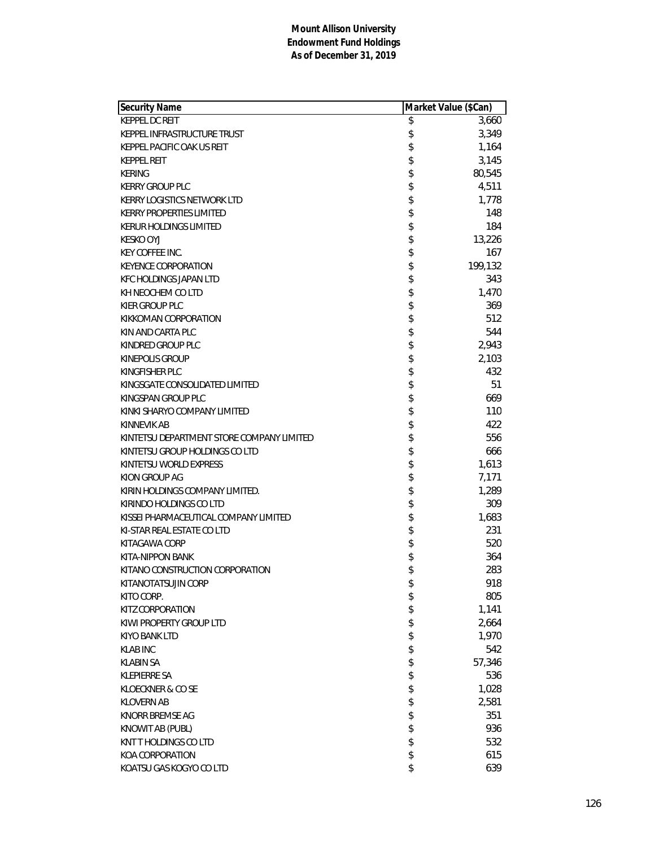| Security Name                             | Market Value (\$Can) |
|-------------------------------------------|----------------------|
| <b>KEPPEL DC REIT</b>                     | \$<br>3,660          |
| KEPPEL INFRASTRUCTURE TRUST               | \$<br>3,349          |
| KEPPEL PACIFIC OAK US REIT                | \$<br>1,164          |
| <b>KEPPEL REIT</b>                        | \$<br>3,145          |
| <b>KERING</b>                             | \$<br>80,545         |
| <b>KERRY GROUP PLC</b>                    | \$<br>4,511          |
| KERRY LOGISTICS NETWORK LTD               | \$<br>1,778          |
| <b>KERRY PROPERTIES LIMITED</b>           | \$<br>148            |
| <b>KERUR HOLDINGS LIMITED</b>             | \$<br>184            |
| <b>KESKO OYJ</b>                          | \$<br>13,226         |
| <b>KEY COFFEE INC.</b>                    | \$<br>167            |
| <b>KEYENCE CORPORATION</b>                | \$<br>199,132        |
| KFC HOLDINGS JAPAN LTD                    | \$<br>343            |
| KH NEOCHEM CO LTD                         | \$<br>1,470          |
| KIER GROUP PLC                            | \$<br>369            |
| KIKKOMAN CORPORATION                      | \$<br>512            |
| KIN AND CARTA PLC                         | \$<br>544            |
| KINDRED GROUP PLC                         | \$<br>2,943          |
| <b>KINEPOLIS GROUP</b>                    | \$<br>2,103          |
| KINGFISHER PLC                            | \$<br>432            |
| KINGSGATE CONSOLIDATED LIMITED            | \$<br>51             |
| KINGSPAN GROUP PLC                        | \$<br>669            |
| KINKI SHARYO COMPANY LIMITED              | \$<br>110            |
| KINNEVIK AB                               | \$<br>422            |
| KINTETSU DEPARTMENT STORE COMPANY LIMITED | \$<br>556            |
| KINTETSU GROUP HOLDINGS CO LTD            | \$<br>666            |
| KINTETSU WORLD EXPRESS                    | \$<br>1,613          |
| KION GROUP AG                             | \$<br>7,171          |
| KIRIN HOLDINGS COMPANY LIMITED.           | \$<br>1,289          |
| KIRINDO HOLDINGS CO LTD                   | \$<br>309            |
| KISSEI PHARMACEUTICAL COMPANY LIMITED     | \$<br>1,683          |
| KI-STAR REAL ESTATE CO LTD                | \$<br>231            |
| KITAGAWA CORP                             | \$<br>520            |
| KITA-NIPPON BANK                          | \$<br>364            |
| KITANO CONSTRUCTION CORPORATION           | \$<br>283            |
| KITANOTATSUJIN CORP                       | \$<br>918            |
| KITO CORP.                                | \$<br>805            |
| KITZ CORPORATION                          | \$<br>1,141          |
| KIWI PROPERTY GROUP LTD                   | \$<br>2,664          |
| KIYO BANK LTD                             | \$<br>1,970          |
| <b>KLAB INC</b>                           | \$<br>542            |
| <b>KLABIN SA</b>                          | \$<br>57,346         |
| <b>KLEPIERRE SA</b>                       | \$<br>536            |
| KLOECKNER & CO SE                         | \$<br>1,028          |
| <b>KLOVERN AB</b>                         | \$<br>2,581          |
| KNORR BREMSE AG                           | \$<br>351            |
| KNOWIT AB (PUBL)                          | \$<br>936            |
| KNT THOLDINGS CO LTD                      | \$<br>532            |
| KOA CORPORATION                           | \$<br>615            |
| KOATSU GAS KOGYO CO LTD                   | \$<br>639            |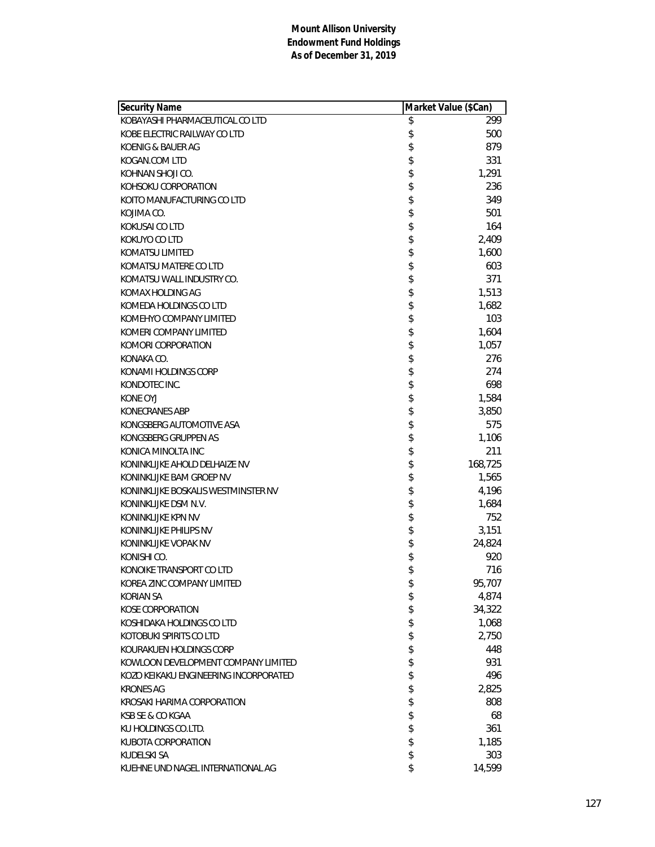| Security Name                         | Market Value (\$Can) |         |
|---------------------------------------|----------------------|---------|
| KOBAYASHI PHARMACEUTICAL CO LTD       | \$                   | 299     |
| KOBE ELECTRIC RAILWAY CO LTD          | \$                   | 500     |
| KOENIG & BAUER AG                     | \$                   | 879     |
| KOGAN.COM LTD                         | \$                   | 331     |
| KOHNAN SHOJI CO.                      | \$                   | 1,291   |
| KOHSOKU CORPORATION                   | \$                   | 236     |
| KOITO MANUFACTURING CO LTD            | \$                   | 349     |
| KOJIMA CO.                            | \$                   | 501     |
| KOKUSAI CO LTD                        | \$                   | 164     |
| KOKUYO CO LTD                         | \$                   | 2,409   |
| KOMATSU LIMITED                       | \$                   | 1,600   |
| KOMATSU MATERE CO LTD                 | \$                   | 603     |
| KOMATSU WALL INDUSTRY CO.             | \$                   | 371     |
| KOMAX HOLDING AG                      | \$                   | 1,513   |
| KOMEDA HOLDINGS CO LTD                | \$                   | 1,682   |
| KOMEHYO COMPANY LIMITED               | \$                   | 103     |
| KOMERI COMPANY LIMITED                | \$                   | 1,604   |
| KOMORI CORPORATION                    | \$                   | 1,057   |
| KONAKA CO.                            | \$                   | 276     |
| KONAMI HOLDINGS CORP                  | \$                   | 274     |
| KONDOTEC INC.                         | \$                   | 698     |
| KONE OYJ                              | \$                   | 1,584   |
| <b>KONECRANES ABP</b>                 | \$                   | 3,850   |
| KONGSBERG AUTOMOTIVE ASA              | \$                   | 575     |
| KONGSBERG GRUPPEN AS                  | \$                   | 1,106   |
| KONICA MINOLTA INC                    | \$                   | 211     |
| KONINKLIJKE AHOLD DELHAIZE NV         | \$                   | 168,725 |
| KONINKLIJKE BAM GROEP NV              | \$                   | 1,565   |
| KONINKLIJKE BOSKALIS WESTMINSTER NV   | \$                   | 4,196   |
| KONINKLIJKE DSM N.V.                  | \$                   | 1,684   |
| KONINKLIJKE KPN NV                    | \$                   | 752     |
| KONINKLIJKE PHILIPS NV                | \$                   | 3,151   |
| KONINKLIJKE VOPAK NV                  | \$                   | 24,824  |
| KONISHI CO.                           | \$                   | 920     |
| KONOIKE TRANSPORT CO LTD              | \$                   | 716     |
| KOREA ZINC COMPANY LIMITED            | \$                   | 95,707  |
| KORIAN SA                             | \$                   | 4,874   |
| <b>KOSE CORPORATION</b>               | \$                   | 34,322  |
| KOSHIDAKA HOLDINGS CO LTD             | \$                   | 1,068   |
| KOTOBUKI SPIRITS CO LTD               | \$                   | 2,750   |
| KOURAKUEN HOLDINGS CORP               | \$                   | 448     |
| KOWLOON DEVELOPMENT COMPANY LIMITED   | \$                   | 931     |
| KOZO KEIKAKU ENGINEERING INCORPORATED | \$                   | 496     |
| <b>KRONES AG</b>                      | \$                   | 2,825   |
| KROSAKI HARIMA CORPORATION            | \$                   | 808     |
| KSB SE & CO KGAA                      | \$                   | 68      |
| KU HOLDINGS CO.LTD.                   | \$                   | 361     |
| KUBOTA CORPORATION                    | \$                   | 1,185   |
| KUDELSKI SA                           | \$                   | 303     |
| KUEHNE UND NAGEL INTERNATIONAL AG     | \$                   | 14,599  |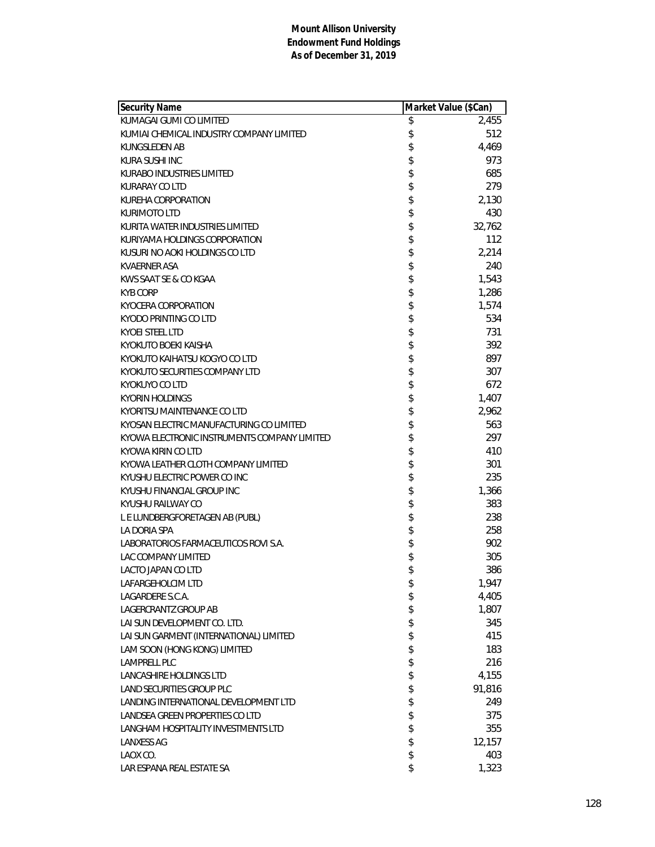| Security Name                                | Market Value (\$Can) |
|----------------------------------------------|----------------------|
| KUMAGAI GUMI CO LIMITED                      | \$<br>2,455          |
| KUMIAI CHEMICAL INDUSTRY COMPANY LIMITED     | \$<br>512            |
| KUNGSLEDEN AB                                | \$<br>4,469          |
| KURA SUSHI INC                               | \$<br>973            |
| KURABO INDUSTRIES LIMITED                    | \$<br>685            |
| KURARAY CO LTD                               | \$<br>279            |
| KUREHA CORPORATION                           | 2,130                |
| <b>KURIMOTO LTD</b>                          | \$<br>430            |
| KURITA WATER INDUSTRIES LIMITED              | \$<br>32,762         |
| KURIYAMA HOLDINGS CORPORATION                | \$<br>112            |
| KUSURI NO AOKI HOLDINGS CO LTD               | \$<br>2,214          |
| KVAERNER ASA                                 | \$<br>240            |
| KWS SAAT SE & CO KGAA                        | \$<br>1,543          |
| <b>KYB CORP</b>                              | \$<br>1,286          |
| KYOCERA CORPORATION                          | 1,574                |
| KYODO PRINTING CO LTD                        | \$<br>534            |
| <b>KYOEI STEEL LTD</b>                       | \$<br>731            |
| KYOKUTO BOEKI KAISHA                         | \$<br>392            |
| KYOKUTO KAIHATSU KOGYO CO LTD                | \$<br>897            |
| KYOKUTO SECURITIES COMPANY LTD               | \$<br>307            |
| <b>KYOKUYO CO LTD</b>                        | \$<br>672            |
| KYORIN HOLDINGS                              | \$<br>1,407          |
| KYORITSU MAINTENANCE CO LTD                  | 2,962                |
| KYOSAN ELECTRIC MANUFACTURING CO LIMITED     | \$<br>563            |
| KYOWA ELECTRONIC INSTRUMENTS COMPANY LIMITED | \$<br>297            |
| KYOWA KIRIN CO LTD                           | \$<br>410            |
| KYOWA LEATHER CLOTH COMPANY LIMITED          | \$<br>301            |
| KYUSHU ELECTRIC POWER CO INC                 | \$<br>235            |
| KYUSHU FINANCIAL GROUP INC                   | \$<br>1,366          |
| KYUSHU RAILWAY CO                            | \$<br>383            |
| L E LUNDBERGFORETAGEN AB (PUBL)              | \$<br>238            |
| LA DORIA SPA                                 | 258                  |
| LABORATORIOS FARMACEUTICOS ROVI S.A.         | \$<br>902            |
| LAC COMPANY LIMITED                          | \$<br>305            |
| LACTO JAPAN CO LTD                           | \$<br>386            |
| LAFARGEHOLCIM LTD                            | \$<br>1,947          |
| LAGARDERE S.C.A.                             | \$<br>4,405          |
| LAGERCRANTZ GROUP AB                         | \$<br>1,807          |
| LAI SUN DEVELOPMENT CO. LTD.                 | \$<br>345            |
| LAI SUN GARMENT (INTERNATIONAL) LIMITED      | \$<br>415            |
| LAM SOON (HONG KONG) LIMITED                 | \$<br>183            |
| LAMPRELL PLC                                 | \$<br>216            |
| LANCASHIRE HOLDINGS LTD                      | \$<br>4,155          |
| LAND SECURITIES GROUP PLC                    | \$<br>91,816         |
| LANDING INTERNATIONAL DEVELOPMENT LTD        | \$<br>249            |
| LANDSEA GREEN PROPERTIES CO LTD              | \$<br>375            |
| LANGHAM HOSPITALITY INVESTMENTS LTD          | \$<br>355            |
| <b>LANXESS AG</b>                            | \$<br>12,157         |
| LAOX CO.                                     | \$<br>403            |
| LAR ESPANA REAL ESTATE SA                    | \$<br>1,323          |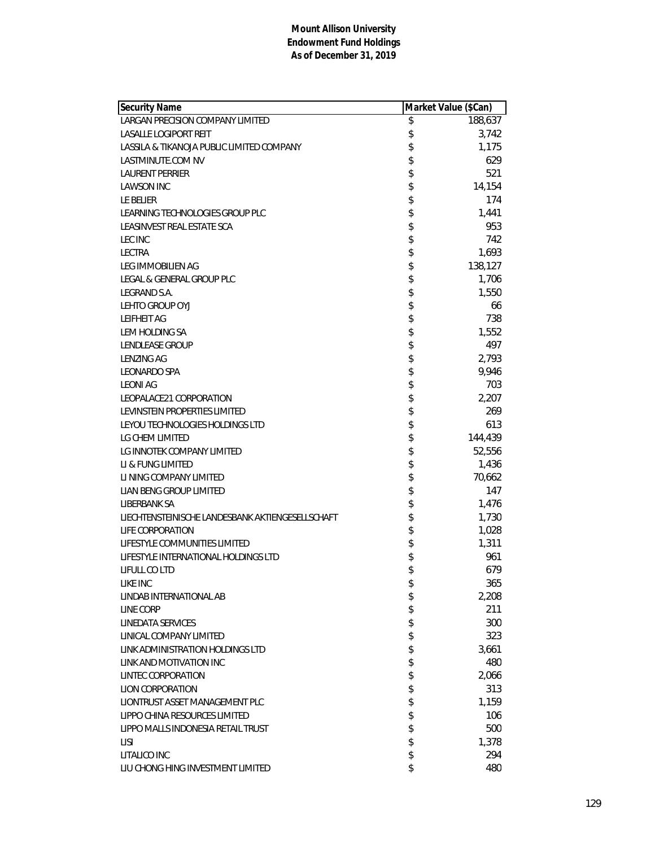| Security Name                                    | Market Value (\$Can) |
|--------------------------------------------------|----------------------|
| LARGAN PRECISION COMPANY LIMITED                 | \$<br>188,637        |
| <b>LASALLE LOGIPORT REIT</b>                     | \$<br>3,742          |
| LASSILA & TIKANOJA PUBLIC LIMITED COMPANY        | \$<br>1,175          |
| LASTMINUTE.COM NV                                | \$<br>629            |
| LAURENT PERRIER                                  | \$<br>521            |
| <b>LAWSON INC</b>                                | \$<br>14,154         |
| LE BELIER                                        | \$<br>174            |
| LEARNING TECHNOLOGIES GROUP PLC                  | \$<br>1,441          |
| LEASINVEST REAL ESTATE SCA                       | \$<br>953            |
| <b>LEC INC</b>                                   | \$<br>742            |
| <b>LECTRA</b>                                    | \$<br>1,693          |
| LEG IMMOBILIEN AG                                | \$<br>138,127        |
| LEGAL & GENERAL GROUP PLC                        | \$<br>1,706          |
| LEGRAND S.A.                                     | \$<br>1,550          |
| LEHTO GROUP OYJ                                  | \$<br>66             |
| <b>LEIFHEIT AG</b>                               | \$<br>738            |
| LEM HOLDING SA                                   | \$<br>1,552          |
| <b>LENDLEASE GROUP</b>                           | \$<br>497            |
| <b>LENZING AG</b>                                | \$<br>2,793          |
| <b>LEONARDO SPA</b>                              | \$<br>9,946          |
| <b>LEONI AG</b>                                  | \$<br>703            |
| LEOPALACE21 CORPORATION                          | \$<br>2,207          |
| LEVINSTEIN PROPERTIES LIMITED                    | \$<br>269            |
| LEYOU TECHNOLOGIES HOLDINGS LTD                  | \$<br>613            |
| LG CHEM LIMITED                                  | \$<br>144,439        |
| LG INNOTEK COMPANY LIMITED                       | \$<br>52,556         |
| LI & FUNG LIMITED                                | \$<br>1,436          |
| LI NING COMPANY LIMITED                          | \$<br>70,662         |
| LIAN BENG GROUP LIMITED                          | \$<br>147            |
| LIBERBANK SA                                     | \$<br>1,476          |
| LIECHTENSTEINISCHE LANDESBANK AKTIENGESELLSCHAFT | \$<br>1,730          |
| <b>LIFE CORPORATION</b>                          | \$<br>1,028          |
| LIFESTYLE COMMUNITIES LIMITED                    | \$<br>1,311          |
| LIFESTYLE INTERNATIONAL HOLDINGS LTD             | \$<br>961            |
| LIFULL CO LTD                                    | \$<br>679            |
| LIKE INC                                         | \$<br>365            |
| LINDAB INTERNATIONAL AB                          | \$<br>2,208          |
| LINE CORP                                        | \$<br>211            |
| LINEDATA SERVICES                                | \$<br>300            |
| LINICAL COMPANY LIMITED                          | \$<br>323            |
| LINK ADMINISTRATION HOLDINGS LTD                 | \$<br>3,661          |
| LINK AND MOTIVATION INC                          | \$<br>480            |
| <b>LINTEC CORPORATION</b>                        | \$<br>2,066          |
| <b>LION CORPORATION</b>                          | \$<br>313            |
| LIONTRUST ASSET MANAGEMENT PLC                   | \$<br>1,159          |
| LIPPO CHINA RESOURCES LIMITED                    | \$<br>106            |
| LIPPO MALLS INDONESIA RETAIL TRUST               | \$<br>500            |
| LISI                                             | \$<br>1,378          |
| LITALICO INC                                     | \$<br>294            |
| LIU CHONG HING INVESTMENT LIMITED                | \$<br>480            |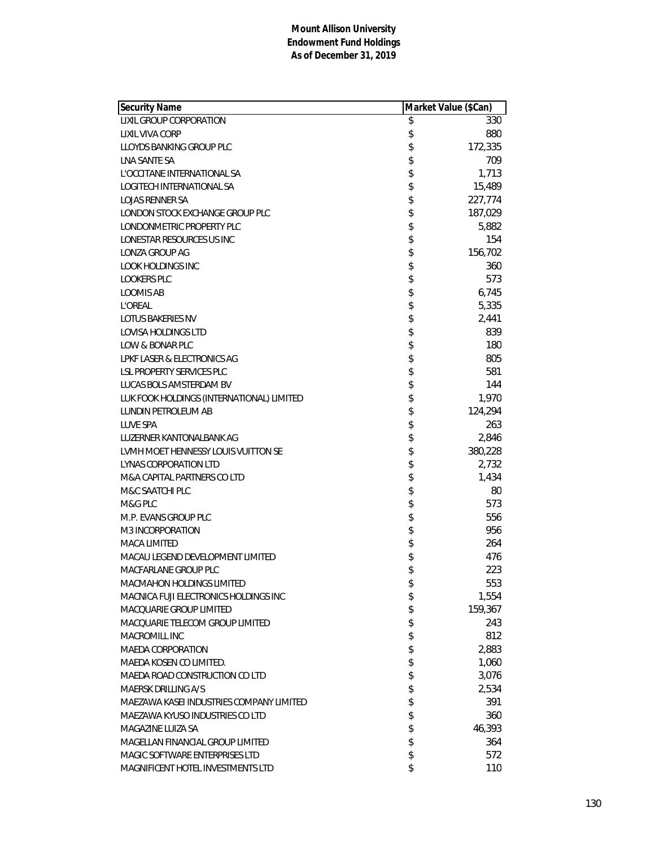| Security Name                             | Market Value (\$Can) |
|-------------------------------------------|----------------------|
| <b>LIXIL GROUP CORPORATION</b>            | \$<br>330            |
| LIXIL VIVA CORP                           | \$<br>880            |
| LLOYDS BANKING GROUP PLC                  | \$<br>172,335        |
| LNA SANTE SA                              | \$<br>709            |
| L'OCCITANE INTERNATIONAL SA               | \$<br>1,713          |
| LOGITECH INTERNATIONAL SA                 | \$<br>15,489         |
| <b>LOJAS RENNER SA</b>                    | \$<br>227,774        |
| LONDON STOCK EXCHANGE GROUP PLC           | \$<br>187,029        |
| LONDONMETRIC PROPERTY PLC                 | \$<br>5,882          |
| LONESTAR RESOURCES US INC                 | \$<br>154            |
| LONZA GROUP AG                            | \$<br>156,702        |
| <b>LOOK HOLDINGS INC</b>                  | \$<br>360            |
| <b>LOOKERS PLC</b>                        | \$<br>573            |
| <b>LOOMIS AB</b>                          | \$<br>6,745          |
| <b>L'OREAL</b>                            | \$<br>5,335          |
| LOTUS BAKERIES NV                         | \$<br>2,441          |
| <b>LOVISA HOLDINGS LTD</b>                | \$<br>839            |
| LOW & BONAR PLC                           | \$<br>180            |
| LPKF LASER & ELECTRONICS AG               | \$<br>805            |
| LSL PROPERTY SERVICES PLC                 | \$<br>581            |
| LUCAS BOLS AMSTERDAM BV                   | \$<br>144            |
| LUK FOOK HOLDINGS (INTERNATIONAL) LIMITED | \$<br>1,970          |
| LUNDIN PETROLEUM AB                       | \$<br>124,294        |
| <b>LUVE SPA</b>                           | \$<br>263            |
| LUZERNER KANTONALBANK AG                  | \$<br>2,846          |
| LVMH MOET HENNESSY LOUIS VUITTON SE       | \$<br>380,228        |
| LYNAS CORPORATION LTD                     | \$<br>2,732          |
| M&A CAPITAL PARTNERS CO LTD               | \$<br>1,434          |
| M&C SAATCHI PLC                           | \$<br>80             |
| M&G PLC                                   | \$<br>573            |
| M.P. EVANS GROUP PLC                      | \$<br>556            |
| M3 INCORPORATION                          | \$<br>956            |
| <b>MACA LIMITED</b>                       | \$<br>264            |
| MACAU LEGEND DEVELOPMENT LIMITED          | \$<br>476            |
| MACFARLANE GROUP PLC                      | \$<br>223            |
| MACMAHON HOLDINGS LIMITED                 | \$<br>553            |
| MACNICA FUJI ELECTRONICS HOLDINGS INC     | \$<br>1,554          |
| MACQUARIE GROUP LIMITED                   | \$<br>159,367        |
| MACQUARIE TELECOM GROUP LIMITED           | \$<br>243            |
| MACROMILL INC                             | \$<br>812            |
| <b>MAEDA CORPORATION</b>                  | \$<br>2,883          |
| MAEDA KOSEN CO LIMITED.                   | \$<br>1,060          |
| MAEDA ROAD CONSTRUCTION CO LTD            | \$<br>3,076          |
| MAERSK DRILLING A/S                       | \$<br>2,534          |
| MAEZAWA KASEI INDUSTRIES COMPANY LIMITED  | \$<br>391            |
| MAEZAWA KYUSO INDUSTRIES CO LTD           | \$<br>360            |
| MAGAZINE LUIZA SA                         | \$<br>46,393         |
| MAGELLAN FINANCIAL GROUP LIMITED          | \$<br>364            |
| MAGIC SOFTWARE ENTERPRISES LTD            | \$<br>572            |
| MAGNIFICENT HOTEL INVESTMENTS LTD         | \$<br>110            |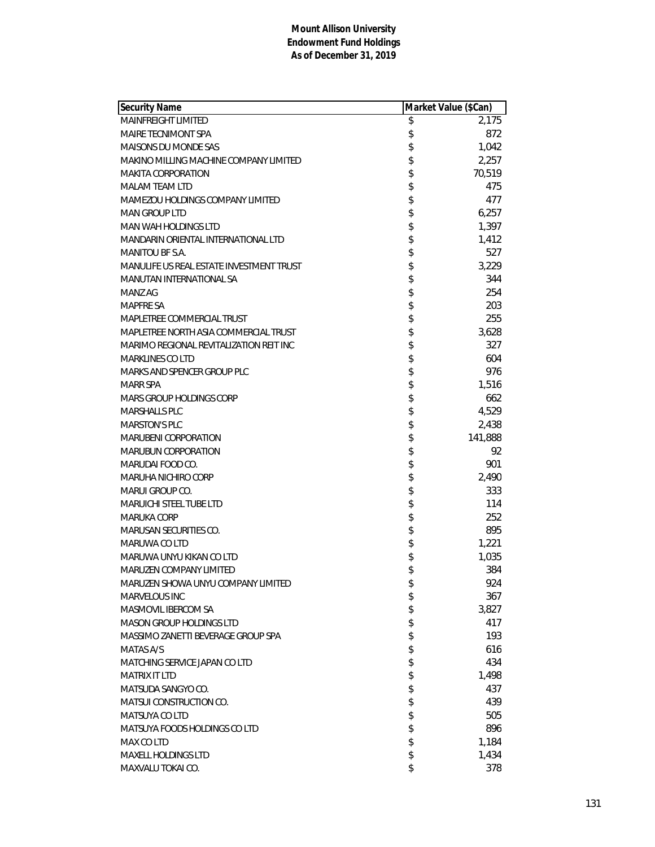| Security Name                            | Market Value (\$Can) |
|------------------------------------------|----------------------|
| <b>MAINFREIGHT LIMITED</b>               | \$<br>2,175          |
| <b>MAIRE TECNIMONT SPA</b>               | \$<br>872            |
| MAISONS DU MONDE SAS                     | \$<br>1,042          |
| MAKINO MILLING MACHINE COMPANY LIMITED   | \$<br>2,257          |
| <b>MAKITA CORPORATION</b>                | \$<br>70,519         |
| MALAM TEAM LTD                           | \$<br>475            |
| MAMEZOU HOLDINGS COMPANY LIMITED         | \$<br>477            |
| <b>MAN GROUP LTD</b>                     | \$<br>6,257          |
| <b>MAN WAH HOLDINGS LTD</b>              | \$<br>1,397          |
| MANDARIN ORIENTAL INTERNATIONAL LTD      | \$<br>1,412          |
| <b>MANITOU BF S.A.</b>                   | \$<br>527            |
| MANULIFE US REAL ESTATE INVESTMENT TRUST | \$<br>3,229          |
| MANUTAN INTERNATIONAL SA                 | \$<br>344            |
| MANZ AG                                  | \$<br>254            |
| <b>MAPFRE SA</b>                         | \$<br>203            |
| MAPLETREE COMMERCIAL TRUST               | \$<br>255            |
| MAPLETREE NORTH ASIA COMMERCIAL TRUST    | \$<br>3,628          |
| MARIMO REGIONAL REVITALIZATION REIT INC  | \$<br>327            |
| <b>MARKLINES CO LTD</b>                  | \$<br>604            |
| MARKS AND SPENCER GROUP PLC              | \$<br>976            |
| <b>MARR SPA</b>                          | \$<br>1,516          |
| MARS GROUP HOLDINGS CORP                 | \$<br>662            |
| <b>MARSHALLS PLC</b>                     | \$<br>4,529          |
| <b>MARSTON'S PLC</b>                     | \$<br>2,438          |
| <b>MARUBENI CORPORATION</b>              | \$<br>141,888        |
| <b>MARUBUN CORPORATION</b>               | \$<br>92             |
| MARUDAI FOOD CO.                         | \$<br>901            |
| MARUHA NICHIRO CORP                      | \$<br>2,490          |
| MARUI GROUP CO.                          | \$<br>333            |
| MARUICHI STEEL TUBE LTD                  | \$<br>114            |
| MARUKA CORP                              | \$<br>252            |
| <b>MARUSAN SECURITIES CO.</b>            | \$<br>895            |
| MARUWA CO LTD                            | \$<br>1,221          |
| MARUWA UNYU KIKAN CO LTD                 | \$<br>1,035          |
| <b>MARUZEN COMPANY LIMITED</b>           | \$<br>384            |
| MARUZEN SHOWA UNYU COMPANY LIMITED       | \$<br>924            |
| MARVELOUS INC                            | \$<br>367            |
| MASMOVIL IBERCOM SA                      | \$<br>3,827          |
| <b>MASON GROUP HOLDINGS LTD</b>          | \$<br>417            |
| MASSIMO ZANETTI BEVERAGE GROUP SPA       | \$<br>193            |
| MATAS A/S                                | \$<br>616            |
| MATCHING SERVICE JAPAN CO LTD            | \$<br>434            |
| <b>MATRIX IT LTD</b>                     | \$<br>1,498          |
| MATSUDA SANGYO CO.                       | \$<br>437            |
| <b>MATSUI CONSTRUCTION CO.</b>           | \$<br>439            |
| MATSUYA CO LTD                           | \$<br>505            |
| MATSUYA FOODS HOLDINGS CO LTD            | \$<br>896            |
| MAX CO LTD                               | \$<br>1,184          |
| <b>MAXELL HOLDINGS LTD</b>               | \$<br>1,434          |
| MAXVALU TOKAI CO.                        | \$<br>378            |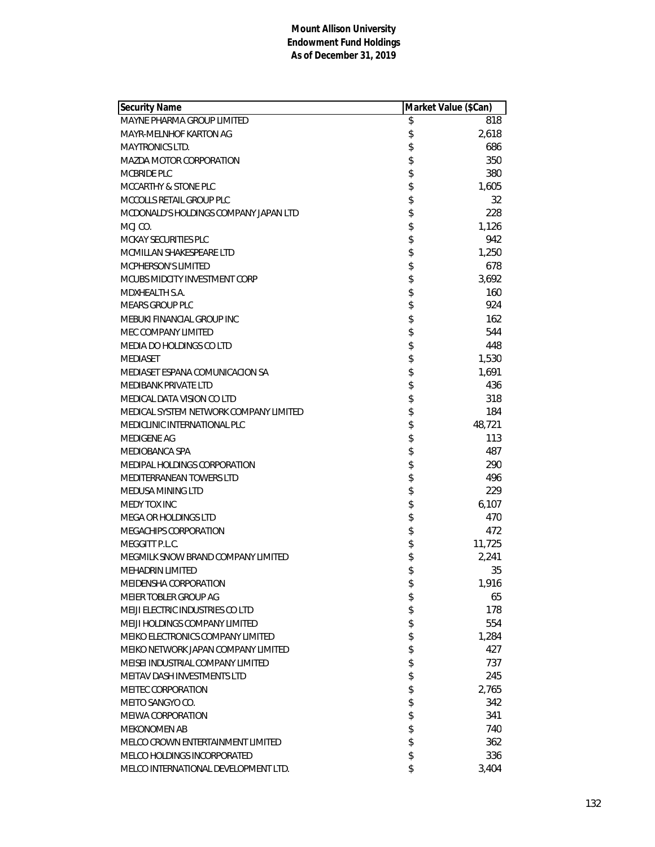| Security Name                          | Market Value (\$Can) |        |
|----------------------------------------|----------------------|--------|
| MAYNE PHARMA GROUP LIMITED             | \$                   | 818    |
| MAYR-MELNHOF KARTON AG                 | \$                   | 2,618  |
| <b>MAYTRONICS LTD.</b>                 | \$                   | 686    |
| <b>MAZDA MOTOR CORPORATION</b>         | \$                   | 350    |
| MCBRIDE PLC                            | \$                   | 380    |
| MCCARTHY & STONE PLC                   | \$                   | 1,605  |
| MCCOLLS RETAIL GROUP PLC               | \$                   | 32     |
| MCDONALD'S HOLDINGS COMPANY JAPAN LTD  | \$                   | 228    |
| MCJ CO.                                | \$                   | 1,126  |
| <b>MCKAY SECURITIES PLC</b>            | \$                   | 942    |
| MCMILLAN SHAKESPEARE LTD               | \$                   | 1,250  |
| <b>MCPHERSON'S LIMITED</b>             | \$                   | 678    |
| MCUBS MIDCITY INVESTMENT CORP          | \$                   | 3,692  |
| MDXHEALTH S.A.                         | \$                   | 160    |
| <b>MEARS GROUP PLC</b>                 | \$                   | 924    |
| MEBUKI FINANCIAL GROUP INC             | \$                   | 162    |
| MEC COMPANY LIMITED                    | \$                   | 544    |
| MEDIA DO HOLDINGS CO LTD               | \$                   | 448    |
| <b>MEDIASET</b>                        | \$                   | 1,530  |
| MEDIASET ESPANA COMUNICACION SA        | \$                   | 1,691  |
| <b>MEDIBANK PRIVATE LTD</b>            | \$                   | 436    |
| MEDICAL DATA VISION CO LTD             | \$                   | 318    |
| MEDICAL SYSTEM NETWORK COMPANY LIMITED | \$                   | 184    |
| MEDICLINIC INTERNATIONAL PLC           | \$                   | 48,721 |
| <b>MEDIGENE AG</b>                     | \$                   | 113    |
| MEDIOBANCA SPA                         | \$                   | 487    |
| MEDIPAL HOLDINGS CORPORATION           | \$                   | 290    |
| <b>MEDITERRANEAN TOWERS LTD</b>        | \$                   | 496    |
| MEDUSA MINING LTD                      | \$                   | 229    |
| MEDY TOX INC                           | \$                   | 6,107  |
| MEGA OR HOLDINGS LTD                   | \$                   | 470    |
| <b>MEGACHIPS CORPORATION</b>           | \$                   | 472    |
| MEGGITT P.L.C.                         | \$                   | 11,725 |
| MEGMILK SNOW BRAND COMPANY LIMITED     | \$                   | 2,241  |
| <b>MEHADRIN LIMITED</b>                | \$                   | 35     |
| MEIDENSHA CORPORATION                  | \$                   | 1,916  |
| MEIER TOBLER GROUP AG                  | \$                   | 65     |
| MELII ELECTRIC INDUSTRIES CO LTD       | \$                   | 178    |
| MELII HOLDINGS COMPANY LIMITED         | \$                   | 554    |
| MEIKO ELECTRONICS COMPANY LIMITED      | \$                   | 1,284  |
| MEIKO NETWORK JAPAN COMPANY LIMITED    | \$                   | 427    |
| MEISEI INDUSTRIAL COMPANY LIMITED      | \$                   | 737    |
| MEITAV DASH INVESTMENTS LTD            | \$                   | 245    |
| <b>MEITEC CORPORATION</b>              | \$                   | 2,765  |
| MEITO SANGYO CO.                       | \$                   | 342    |
| MEIWA CORPORATION                      | \$                   | 341    |
| <b>MEKONOMEN AB</b>                    | \$                   | 740    |
| MELCO CROWN ENTERTAINMENT LIMITED      | \$                   | 362    |
| MELCO HOLDINGS INCORPORATED            |                      | 336    |
| MELCO INTERNATIONAL DEVELOPMENT LTD.   | \$                   | 3,404  |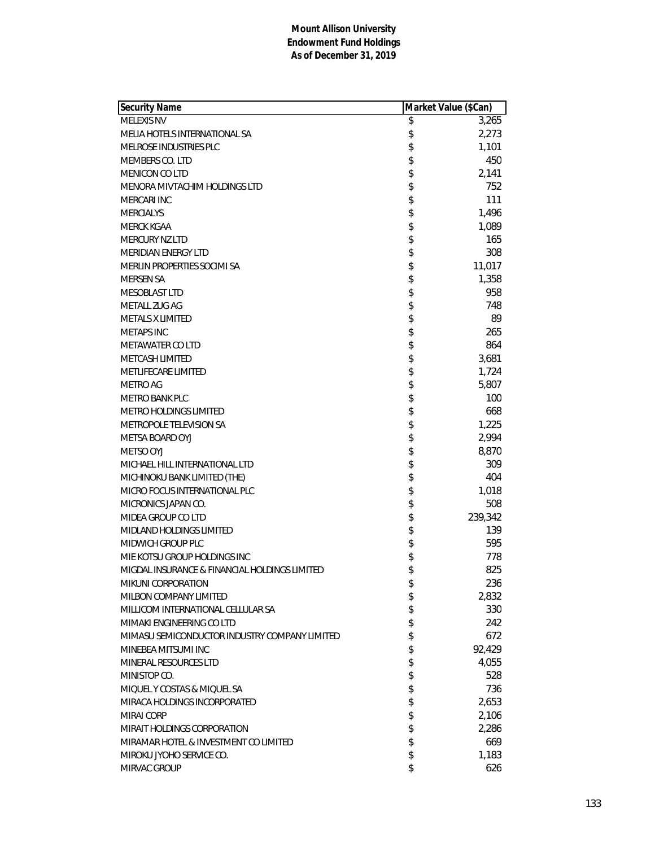| Security Name                                 | Market Value (\$Can) |
|-----------------------------------------------|----------------------|
| <b>MELEXIS NV</b>                             | \$<br>3,265          |
| MELIA HOTELS INTERNATIONAL SA                 | \$<br>2,273          |
| MELROSE INDUSTRIES PLC                        | \$<br>1,101          |
| MEMBERS CO. LTD                               | \$<br>450            |
| <b>MENICON CO LTD</b>                         | \$<br>2,141          |
| MENORA MIVTACHIM HOLDINGS LTD                 | \$<br>752            |
| MERCARI INC                                   | \$<br>111            |
| <b>MERCIALYS</b>                              | \$<br>1,496          |
| <b>MERCK KGAA</b>                             | \$<br>1,089          |
| <b>MERCURY NZ LTD</b>                         | \$<br>165            |
| <b>MERIDIAN ENERGY LTD</b>                    | \$<br>308            |
| MERLIN PROPERTIES SOCIMI SA                   | \$<br>11,017         |
| <b>MERSEN SA</b>                              | \$<br>1,358          |
| <b>MESOBLAST LTD</b>                          | \$<br>958            |
| METALL ZUG AG                                 | \$<br>748            |
| <b>METALS X LIMITED</b>                       | \$<br>89             |
| <b>METAPS INC</b>                             | \$<br>265            |
| <b>METAWATER CO LTD</b>                       | \$<br>864            |
| <b>METCASH LIMITED</b>                        | \$<br>3,681          |
| METLIFECARE LIMITED                           | \$<br>1,724          |
| <b>METRO AG</b>                               | \$<br>5,807          |
| <b>METRO BANK PLC</b>                         | \$<br>100            |
| METRO HOLDINGS LIMITED                        | \$<br>668            |
| METROPOLE TELEVISION SA                       | \$<br>1,225          |
| METSA BOARD OYJ                               | \$<br>2,994          |
| <b>METSO OYJ</b>                              | \$<br>8,870          |
| MICHAEL HILL INTERNATIONAL LTD                | \$<br>309            |
| MICHINOKU BANK LIMITED (THE)                  | \$<br>404            |
| MICRO FOCUS INTERNATIONAL PLC                 | \$<br>1,018          |
| MICRONICS JAPAN CO.                           | \$<br>508            |
| MIDEA GROUP CO LTD                            | \$<br>239,342        |
| MIDLAND HOLDINGS LIMITED                      | \$<br>139            |
| <b>MIDWICH GROUP PLC</b>                      | \$<br>595            |
| MIE KOTSU GROUP HOLDINGS INC                  | \$<br>778            |
| MIGDAL INSURANCE & FINANCIAL HOLDINGS LIMITED | \$<br>825            |
| MIKUNI CORPORATION                            | \$<br>236            |
| MILBON COMPANY LIMITED                        | \$<br>2,832          |
| MILLICOM INTERNATIONAL CELLULAR SA            | \$<br>330            |
| MIMAKI ENGINEERING CO LTD                     | \$<br>242            |
| MIMASU SEMICONDUCTOR INDUSTRY COMPANY LIMITED | \$<br>672            |
| MINEBEA MITSUMI INC                           | \$<br>92,429         |
| MINERAL RESOURCES LTD                         | \$<br>4,055          |
| MINISTOP CO.                                  | \$<br>528            |
| MIQUEL Y COSTAS & MIQUEL SA                   | \$<br>736            |
| MIRACA HOLDINGS INCORPORATED                  | \$<br>2,653          |
| MIRAI CORP                                    | \$<br>2,106          |
| MIRAIT HOLDINGS CORPORATION                   | \$<br>2,286          |
| MIRAMAR HOTEL & INVESTMENT CO LIMITED         | \$<br>669            |
| MIROKU JYOHO SERVICE CO.                      | \$<br>1,183          |
| MIRVAC GROUP                                  | \$<br>626            |
|                                               |                      |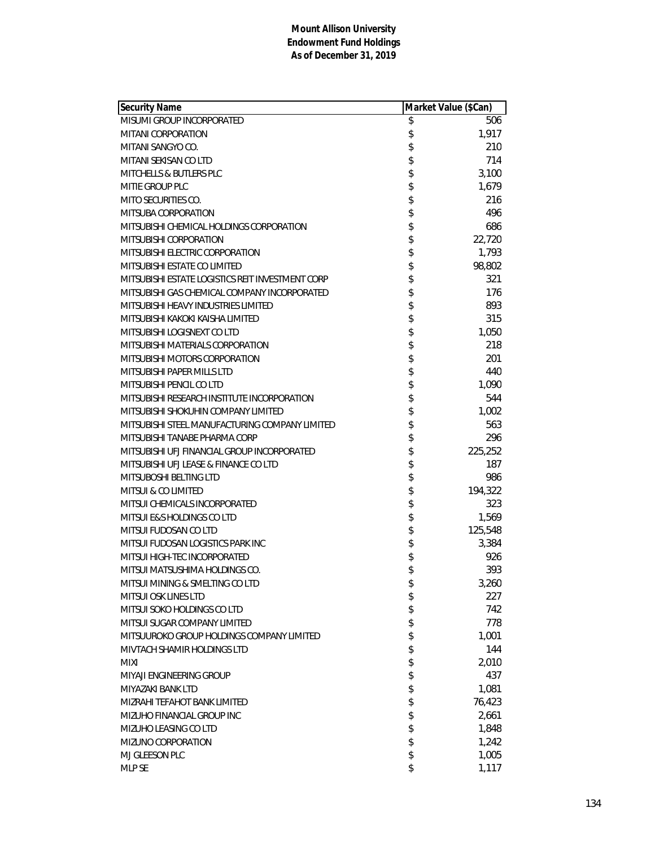| <b>Security Name</b>                             | Market Value (\$Can) |         |
|--------------------------------------------------|----------------------|---------|
| MISUMI GROUP INCORPORATED                        | \$                   | 506     |
| MITANI CORPORATION                               | \$                   | 1,917   |
| MITANI SANGYO CO.                                | \$                   | 210     |
| MITANI SEKISAN CO LTD                            | \$                   | 714     |
| <b>MITCHELLS &amp; BUTLERS PLC</b>               | \$                   | 3,100   |
| MITIE GROUP PLC                                  | \$                   | 1,679   |
| MITO SECURITIES CO.                              | \$                   | 216     |
| MITSUBA CORPORATION                              | \$                   | 496     |
| MITSUBISHI CHEMICAL HOLDINGS CORPORATION         | \$                   | 686     |
| MITSUBISHI CORPORATION                           | \$                   | 22,720  |
| MITSUBISHI ELECTRIC CORPORATION                  | \$                   | 1,793   |
| MITSUBISHI ESTATE CO LIMITED                     | \$                   | 98,802  |
| MITSUBISHI ESTATE LOGISTICS REIT INVESTMENT CORP | \$                   | 321     |
| MITSUBISHI GAS CHEMICAL COMPANY INCORPORATED     | \$                   | 176     |
| MITSUBISHI HEAVY INDUSTRIES LIMITED              | \$                   | 893     |
| MITSUBISHI KAKOKI KAISHA LIMITED                 | \$                   | 315     |
| MITSUBISHI LOGISNEXT CO LTD                      | \$                   | 1,050   |
| MITSUBISHI MATERIALS CORPORATION                 | \$                   | 218     |
| MITSUBISHI MOTORS CORPORATION                    | \$                   | 201     |
| MITSUBISHI PAPER MILLS LTD                       | \$                   | 440     |
| MITSUBISHI PENCIL CO LTD                         | \$                   | 1,090   |
| MITSUBISHI RESEARCH INSTITUTE INCORPORATION      | \$                   | 544     |
| MITSUBISHI SHOKUHIN COMPANY LIMITED              | \$                   | 1,002   |
| MITSUBISHI STEEL MANUFACTURING COMPANY LIMITED   | \$                   | 563     |
| MITSUBISHI TANABE PHARMA CORP                    | \$                   | 296     |
| MITSUBISHI UFJ FINANCIAL GROUP INCORPORATED      | \$                   | 225,252 |
| MITSUBISHI UFJ LEASE & FINANCE CO LTD            | \$                   | 187     |
| MITSUBOSHI BELTING LTD                           | \$                   | 986     |
| MITSUI & CO LIMITED                              | \$                   | 194,322 |
| MITSUI CHEMICALS INCORPORATED                    | \$                   | 323     |
| MITSUI E&S HOLDINGS CO LTD                       | \$                   | 1,569   |
| MITSUI FUDOSAN CO LTD                            | \$                   | 125,548 |
| MITSUI FUDOSAN LOGISTICS PARK INC                | \$                   | 3,384   |
| MITSUI HIGH-TEC INCORPORATED                     | \$                   | 926     |
| MITSUI MATSUSHIMA HOLDINGS CO.                   | \$                   | 393     |
| MITSUI MINING & SMELTING CO LTD                  | \$                   | 3,260   |
| MITSUI OSK LINES LTD                             | \$                   | 227     |
| MITSUI SOKO HOLDINGS CO LTD                      | \$                   | 742     |
| MITSUI SUGAR COMPANY LIMITED                     | \$                   | 778     |
| MITSUUROKO GROUP HOLDINGS COMPANY LIMITED        | \$                   | 1,001   |
| MIVTACH SHAMIR HOLDINGS LTD                      | \$                   | 144     |
| <b>MIXI</b>                                      | \$                   | 2,010   |
| MIYAJI ENGINEERING GROUP                         | \$                   | 437     |
| MIYAZAKI BANK LTD                                | \$                   | 1,081   |
| MIZRAHI TEFAHOT BANK LIMITED                     | \$                   | 76,423  |
| MIZUHO FINANCIAL GROUP INC                       | \$                   | 2,661   |
| MIZUHO LEASING CO LTD                            | \$                   | 1,848   |
| MIZUNO CORPORATION                               | \$                   | 1,242   |
| MJ GLEESON PLC                                   | \$                   | 1,005   |
| MLP SE                                           | \$                   | 1,117   |
|                                                  |                      |         |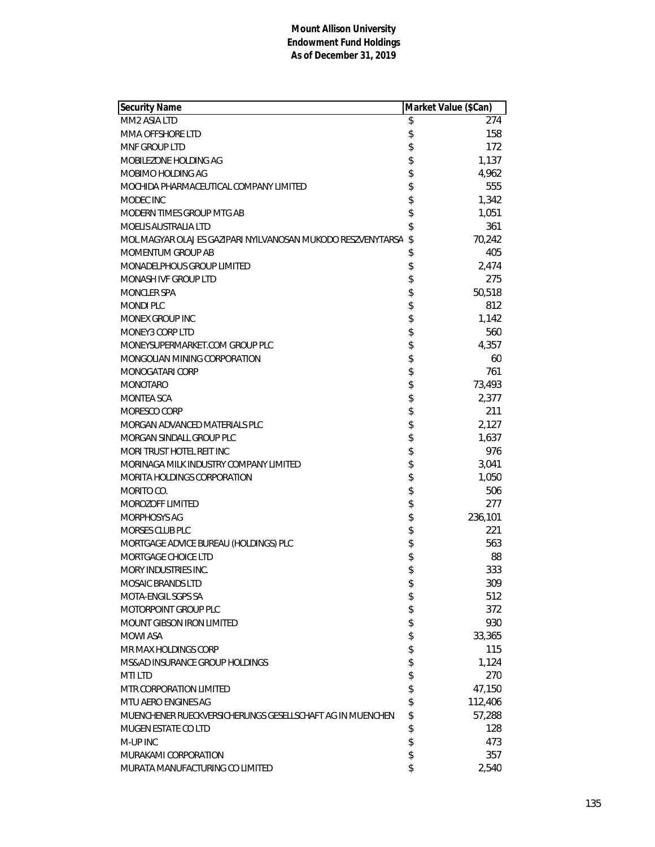| <b>Security Name</b>                                         | Market Value (\$Can) |
|--------------------------------------------------------------|----------------------|
| MM2 ASIA LTD                                                 | \$<br>274            |
| MMA OFFSHORE LTD                                             | \$<br>158            |
| MNF GROUP LTD                                                | \$<br>172            |
| MOBILEZONE HOLDING AG                                        | \$<br>1,137          |
| MOBIMO HOLDING AG                                            | \$<br>4,962          |
| MOCHIDA PHARMACEUTICAL COMPANY LIMITED                       | \$<br>555            |
| MODEC INC                                                    | \$<br>1,342          |
| MODERN TIMES GROUP MTG AB                                    | \$<br>1,051          |
| <b>MOELIS AUSTRALIA LTD</b>                                  | \$<br>361            |
| MOL MAGYAR OLAJ ES GAZIPARI NYILVANOSAN MUKODO RESZVENYTARSA | \$<br>70,242         |
| MOMENTUM GROUP AB                                            | \$<br>405            |
| <b>MONADELPHOUS GROUP LIMITED</b>                            | \$<br>2,474          |
| <b>MONASH IVF GROUP LTD</b>                                  | \$<br>275            |
| <b>MONCLER SPA</b>                                           | \$<br>50,518         |
| <b>MONDI PLC</b>                                             | \$<br>812            |
| <b>MONEX GROUP INC</b>                                       | \$<br>1,142          |
| <b>MONEY3 CORP LTD</b>                                       | \$<br>560            |
| MONEYSUPERMARKET.COM GROUP PLC                               | \$<br>4,357          |
| MONGOLIAN MINING CORPORATION                                 | \$<br>60             |
| MONOGATARI CORP                                              | \$<br>761            |
| <b>MONOTARO</b>                                              | \$<br>73,493         |
| MONTEA SCA                                                   | \$<br>2,377          |
| MORESCO CORP                                                 | \$<br>211            |
| MORGAN ADVANCED MATERIALS PLC                                | \$<br>2,127          |
| MORGAN SINDALL GROUP PLC                                     | \$<br>1,637          |
| MORI TRUST HOTEL REIT INC                                    | \$<br>976            |
| MORINAGA MILK INDUSTRY COMPANY LIMITED                       | \$<br>3,041          |
| MORITA HOLDINGS CORPORATION                                  | \$<br>1,050          |
| MORITO CO.                                                   | \$<br>506            |
| <b>MOROZOFF LIMITED</b>                                      | \$<br>277            |
| MORPHOSYS AG                                                 | \$<br>236,101        |
| MORSES CLUB PLC                                              | \$<br>221            |
| MORTGAGE ADVICE BUREAU (HOLDINGS) PLC                        | \$<br>563            |
| MORTGAGE CHOICE LTD                                          | \$<br>88             |
| MORY INDUSTRIES INC.                                         | \$<br>333            |
| <b>MOSAIC BRANDS LTD</b>                                     | \$<br>309            |
| MOTA-ENGIL SGPS SA                                           | \$<br>512            |
| MOTORPOINT GROUP PLC                                         | \$<br>372            |
| MOUNT GIBSON IRON LIMITED                                    | \$<br>930            |
| <b>MOWI ASA</b>                                              | \$<br>33,365         |
| MR MAX HOLDINGS CORP                                         | \$<br>115            |
| MS&AD INSURANCE GROUP HOLDINGS                               | \$<br>1,124          |
| <b>MTILTD</b>                                                | \$<br>270            |
| MTR CORPORATION LIMITED                                      | \$<br>47,150         |
| MTU AERO ENGINES AG                                          | \$<br>112,406        |
| MUENCHENER RUECKVERSICHERUNGS GESELLSCHAFT AG IN MUENCHEN    | \$<br>57,288         |
| MUGEN ESTATE CO LTD                                          | \$<br>128            |
| M-UP INC                                                     | \$<br>473            |
| MURAKAMI CORPORATION                                         | \$<br>357            |
| MURATA MANUFACTURING CO LIMITED                              | \$<br>2,540          |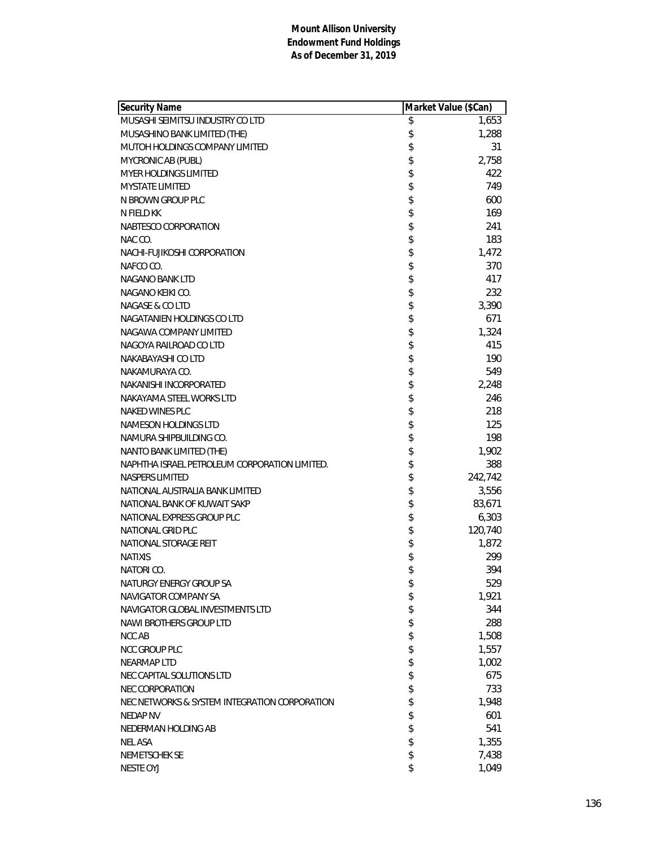| <b>Security Name</b>                          | Market Value (\$Can) |         |
|-----------------------------------------------|----------------------|---------|
| MUSASHI SEIMITSU INDUSTRY CO LTD              | \$                   | 1,653   |
| MUSASHINO BANK LIMITED (THE)                  | \$                   | 1,288   |
| MUTOH HOLDINGS COMPANY LIMITED                | \$                   | 31      |
| MYCRONIC AB (PUBL)                            | \$                   | 2,758   |
| <b>MYER HOLDINGS LIMITED</b>                  | \$                   | 422     |
| <b>MYSTATE LIMITED</b>                        | \$                   | 749     |
| N BROWN GROUP PLC                             | \$                   | 600     |
| N FIELD KK                                    | \$                   | 169     |
| NABTESCO CORPORATION                          | \$                   | 241     |
| NAC CO.                                       | \$                   | 183     |
| NACHI-FUJIKOSHI CORPORATION                   | \$                   | 1,472   |
| NAFCO CO.                                     | \$                   | 370     |
| NAGANO BANK LTD                               | \$                   | 417     |
| NAGANO KEIKI CO.                              | \$                   | 232     |
| <b>NAGASE &amp; CO LTD</b>                    | \$                   | 3,390   |
| NAGATANIEN HOLDINGS CO LTD                    | \$                   | 671     |
| NAGAWA COMPANY LIMITED                        | \$                   | 1,324   |
| NAGOYA RAILROAD CO LTD                        | \$                   | 415     |
| NAKABAYASHI CO LTD                            | \$                   | 190     |
| NAKAMURAYA CO.                                | \$                   | 549     |
| NAKANISHI INCORPORATED                        | \$                   | 2,248   |
| NAKAYAMA STEEL WORKS LTD                      | \$                   | 246     |
| NAKED WINES PLC                               | \$                   | 218     |
| NAMESON HOLDINGS LTD                          | \$                   | 125     |
| NAMURA SHIPBUILDING CO.                       | \$                   | 198     |
| NANTO BANK LIMITED (THE)                      | \$                   | 1,902   |
| NAPHTHA ISRAEL PETROLEUM CORPORATION LIMITED. | \$                   | 388     |
| <b>NASPERS LIMITED</b>                        | \$                   | 242,742 |
| NATIONAL AUSTRALIA BANK LIMITED               | \$                   | 3,556   |
| NATIONAL BANK OF KUWAIT SAKP                  | \$                   | 83,671  |
| NATIONAL EXPRESS GROUP PLC                    | \$                   | 6,303   |
| NATIONAL GRID PLC                             | \$                   | 120,740 |
| NATIONAL STORAGE REIT                         | \$                   | 1,872   |
| <b>NATIXIS</b>                                | \$                   | 299     |
| NATORI CO.                                    | \$                   | 394     |
| NATURGY ENERGY GROUP SA                       | \$                   | 529     |
| NAVIGATOR COMPANY SA                          | \$                   | 1,921   |
| NAVIGATOR GLOBAL INVESTMENTS LTD              | \$                   | 344     |
| NAWI BROTHERS GROUP LTD                       | \$                   | 288     |
| <b>NCC AB</b>                                 | \$                   | 1,508   |
| NCC GROUP PLC                                 | \$                   | 1,557   |
| <b>NEARMAP LTD</b>                            | \$                   | 1,002   |
| NEC CAPITAL SOLUTIONS LTD                     | \$                   | 675     |
| <b>NEC CORPORATION</b>                        | \$                   | 733     |
| NEC NETWORKS & SYSTEM INTEGRATION CORPORATION | \$                   | 1,948   |
| NEDAP NV                                      | \$                   | 601     |
| NEDERMAN HOLDING AB                           | \$                   | 541     |
| <b>NEL ASA</b>                                | \$                   | 1,355   |
| NEMETSCHEK SE                                 | \$                   | 7,438   |
| NESTE OYJ                                     | \$                   | 1,049   |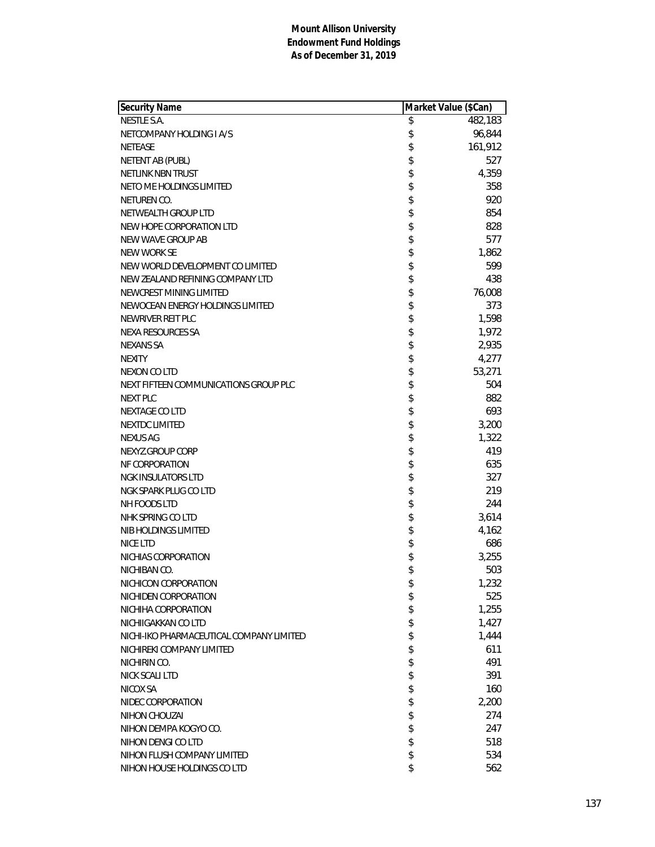| Security Name                            | Market Value (\$Can) |
|------------------------------------------|----------------------|
| <b>NESTLE S.A.</b>                       | \$<br>482,183        |
| NETCOMPANY HOLDING I A/S                 | \$<br>96,844         |
| <b>NETEASE</b>                           | \$<br>161,912        |
| NETENT AB (PUBL)                         | \$<br>527            |
| NETLINK NBN TRUST                        | \$<br>4,359          |
| NETO ME HOLDINGS LIMITED                 | \$<br>358            |
| NETUREN CO.                              | \$<br>920            |
| NETWEALTH GROUP LTD                      | \$<br>854            |
| NEW HOPE CORPORATION LTD                 | \$<br>828            |
| NEW WAVE GROUP AB                        | \$<br>577            |
| NEW WORK SE                              | \$<br>1,862          |
| NEW WORLD DEVELOPMENT CO LIMITED         | \$<br>599            |
| NEW ZEALAND REFINING COMPANY LTD         | \$<br>438            |
| NEWCREST MINING LIMITED                  | \$<br>76,008         |
| NEWOCEAN ENERGY HOLDINGS LIMITED         | \$<br>373            |
| NEWRIVER REIT PLC                        | \$<br>1,598          |
| NEXA RESOURCES SA                        | \$<br>1,972          |
| <b>NEXANS SA</b>                         | \$<br>2,935          |
| <b>NEXITY</b>                            | \$<br>4,277          |
| <b>NEXON CO LTD</b>                      | \$<br>53,271         |
| NEXT FIFTEEN COMMUNICATIONS GROUP PLC    | \$<br>504            |
| <b>NEXT PLC</b>                          | \$<br>882            |
| <b>NEXTAGE COLTD</b>                     | \$<br>693            |
| <b>NEXTDC LIMITED</b>                    | \$<br>3,200          |
| <b>NEXUS AG</b>                          | \$<br>1,322          |
| NEXYZ.GROUP CORP                         | \$<br>419            |
| NF CORPORATION                           | \$<br>635            |
| <b>NGK INSULATORS LTD</b>                | \$<br>327            |
| NGK SPARK PLUG CO LTD                    | \$<br>219            |
| NH FOODS LTD                             | \$<br>244            |
| NHK SPRING CO LTD                        | \$<br>3,614          |
| NIB HOLDINGS LIMITED                     | \$<br>4,162          |
| <b>NICE LTD</b>                          | \$<br>686            |
| NICHIAS CORPORATION                      | \$<br>3,255          |
| NICHIBAN CO.                             | \$<br>503            |
| NICHICON CORPORATION                     | \$<br>1,232          |
| NICHIDEN CORPORATION                     | \$<br>525            |
| NICHIHA CORPORATION                      | \$<br>1,255          |
| NICHIIGAKKAN CO LTD                      | \$<br>1,427          |
| NICHI-IKO PHARMACEUTICAL COMPANY LIMITED | \$<br>1,444          |
| NICHIREKI COMPANY LIMITED                | \$<br>611            |
| NICHIRIN CO.                             | \$<br>491            |
| <b>NICK SCALI LTD</b>                    | \$<br>391            |
| NICOX SA                                 | \$<br>160            |
| NIDEC CORPORATION                        | \$<br>2,200          |
| NIHON CHOUZAI                            | \$<br>274            |
| NIHON DEMPA KOGYO CO.                    | \$<br>247            |
| NIHON DENGI CO LTD                       | \$<br>518            |
| NIHON FLUSH COMPANY LIMITED              | \$<br>534            |
| NIHON HOUSE HOLDINGS CO LTD              | \$<br>562            |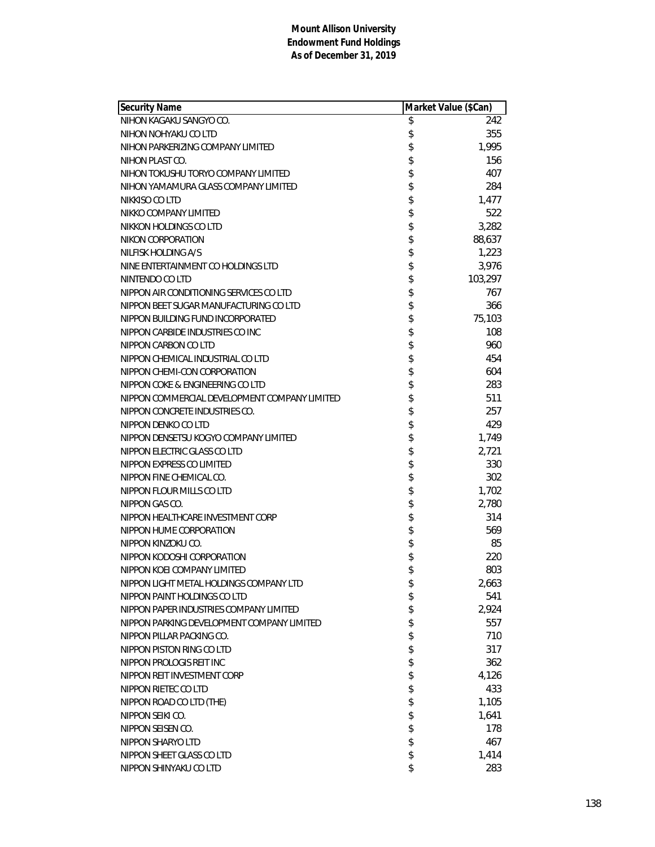| Security Name                                 | Market Value (\$Can) |         |
|-----------------------------------------------|----------------------|---------|
| NIHON KAGAKU SANGYO CO.                       | \$                   | 242     |
| NIHON NOHYAKU CO LTD                          | \$                   | 355     |
| NIHON PARKERIZING COMPANY LIMITED             | \$                   | 1,995   |
| NIHON PLAST CO.                               | \$                   | 156     |
| NIHON TOKUSHU TORYO COMPANY LIMITED           | \$                   | 407     |
| NIHON YAMAMURA GLASS COMPANY LIMITED          | \$                   | 284     |
| NIKKISO CO LTD                                | \$                   | 1,477   |
| NIKKO COMPANY LIMITED                         | \$                   | 522     |
| NIKKON HOLDINGS CO LTD                        | \$                   | 3,282   |
| NIKON CORPORATION                             | \$                   | 88,637  |
| NILFISK HOLDING A/S                           | \$                   | 1,223   |
| NINE ENTERTAINMENT CO HOLDINGS LTD            | \$                   | 3,976   |
| NINTENDO CO LTD                               | \$                   | 103,297 |
| NIPPON AIR CONDITIONING SERVICES CO LTD       | \$                   | 767     |
| NIPPON BEET SUGAR MANUFACTURING CO LTD        | \$                   | 366     |
| NIPPON BUILDING FUND INCORPORATED             | \$                   | 75,103  |
| NIPPON CARBIDE INDUSTRIES CO INC              | \$                   | 108     |
| NIPPON CARBON CO LTD                          | \$                   | 960     |
| NIPPON CHEMICAL INDUSTRIAL CO LTD             | \$                   | 454     |
| NIPPON CHEMI-CON CORPORATION                  | \$                   | 604     |
| NIPPON COKE & ENGINEERING CO LTD              | \$                   | 283     |
| NIPPON COMMERCIAL DEVELOPMENT COMPANY LIMITED | \$                   | 511     |
| NIPPON CONCRETE INDUSTRIES CO.                | \$                   | 257     |
| NIPPON DENKO CO LTD                           | \$                   | 429     |
| NIPPON DENSETSU KOGYO COMPANY LIMITED         | \$                   | 1,749   |
| NIPPON ELECTRIC GLASS CO LTD                  | \$                   | 2,721   |
| NIPPON EXPRESS CO LIMITED                     | \$                   | 330     |
| NIPPON FINE CHEMICAL CO.                      | \$                   | 302     |
| NIPPON FLOUR MILLS CO LTD                     | \$                   | 1,702   |
| NIPPON GAS CO.                                | \$                   | 2,780   |
| NIPPON HEALTHCARE INVESTMENT CORP             | \$                   | 314     |
| NIPPON HUME CORPORATION                       | \$                   | 569     |
| NIPPON KINZOKU CO.                            | \$                   | 85      |
| NIPPON KODOSHI CORPORATION                    | \$                   | 220     |
| NIPPON KOEI COMPANY LIMITED                   | \$                   | 803     |
| NIPPON LIGHT METAL HOLDINGS COMPANY LTD       | \$                   | 2,663   |
| NIPPON PAINT HOLDINGS CO LTD                  | \$                   | 541     |
| NIPPON PAPER INDUSTRIES COMPANY LIMITED       | \$                   | 2,924   |
| NIPPON PARKING DEVELOPMENT COMPANY LIMITED    | \$                   | 557     |
| NIPPON PILLAR PACKING CO.                     | \$                   | 710     |
| NIPPON PISTON RING CO LTD                     | \$                   | 317     |
| NIPPON PROLOGIS REIT INC                      | \$                   | 362     |
| NIPPON REIT INVESTMENT CORP                   | \$                   | 4,126   |
| NIPPON RIETEC CO LTD                          | \$                   | 433     |
| NIPPON ROAD CO LTD (THE)                      | \$                   | 1,105   |
| NIPPON SEIKI CO.                              | \$                   | 1,641   |
| NIPPON SEISEN CO.                             | \$                   | 178     |
| NIPPON SHARYO LTD                             | \$                   | 467     |
| NIPPON SHEET GLASS CO LTD                     | \$                   | 1,414   |
| NIPPON SHINYAKU CO LTD                        | \$                   | 283     |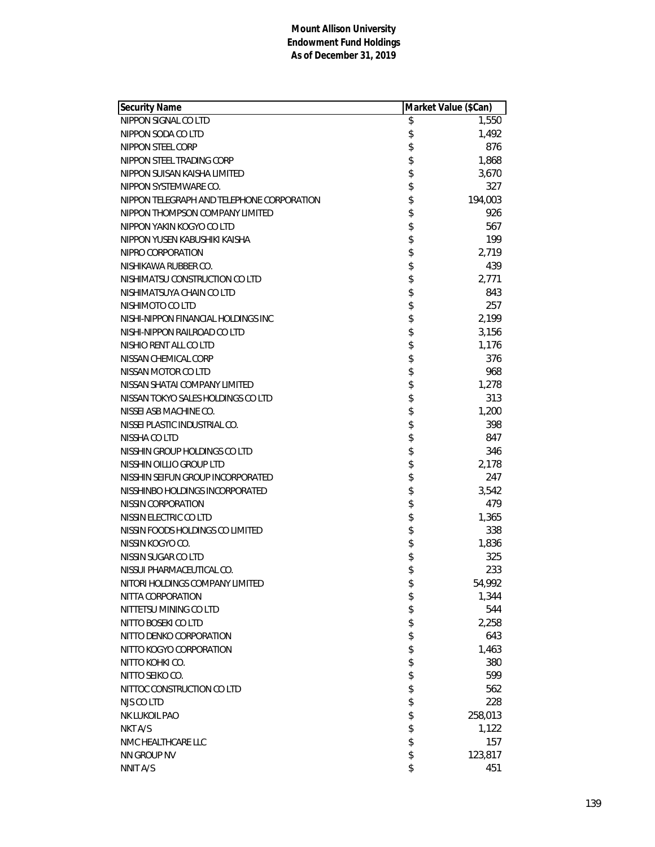| Security Name                              | Market Value (\$Can) |         |
|--------------------------------------------|----------------------|---------|
| NIPPON SIGNAL CO LTD                       | \$                   | 1,550   |
| NIPPON SODA CO LTD                         | \$                   | 1,492   |
| NIPPON STEEL CORP                          | \$                   | 876     |
| NIPPON STEEL TRADING CORP                  | \$                   | 1,868   |
| NIPPON SUISAN KAISHA LIMITED               | \$                   | 3,670   |
| NIPPON SYSTEMWARE CO.                      | \$                   | 327     |
| NIPPON TELEGRAPH AND TELEPHONE CORPORATION | \$                   | 194,003 |
| NIPPON THOMPSON COMPANY LIMITED            | \$                   | 926     |
| NIPPON YAKIN KOGYO CO LTD                  | \$                   | 567     |
| NIPPON YUSEN KABUSHIKI KAISHA              | \$                   | 199     |
| NIPRO CORPORATION                          | \$                   | 2,719   |
| NISHIKAWA RUBBER CO.                       | \$                   | 439     |
| NISHIMATSU CONSTRUCTION CO LTD             | \$                   | 2,771   |
| NISHIMATSUYA CHAIN CO LTD                  | \$                   | 843     |
| NISHIMOTO CO LTD                           | \$                   | 257     |
| NISHI-NIPPON FINANCIAL HOLDINGS INC        | \$                   | 2,199   |
| NISHI-NIPPON RAILROAD CO LTD               | \$                   | 3,156   |
| NISHIO RENT ALL CO LTD                     | \$                   | 1,176   |
| NISSAN CHEMICAL CORP                       | \$                   | 376     |
| NISSAN MOTOR CO LTD                        | \$                   | 968     |
| NISSAN SHATAI COMPANY LIMITED              | \$                   | 1,278   |
| NISSAN TOKYO SALES HOLDINGS CO LTD         | \$                   | 313     |
| NISSEI ASB MACHINE CO.                     | \$                   | 1,200   |
| NISSEI PLASTIC INDUSTRIAL CO.              | \$                   | 398     |
| NISSHA CO LTD                              | \$                   | 847     |
| NISSHIN GROUP HOLDINGS CO LTD              | \$                   | 346     |
| NISSHIN OILLIO GROUP LTD                   | \$                   | 2,178   |
| NISSHIN SEIFUN GROUP INCORPORATED          | \$                   | 247     |
| NISSHINBO HOLDINGS INCORPORATED            | \$                   | 3,542   |
| NISSIN CORPORATION                         | \$                   | 479     |
| NISSIN ELECTRIC CO LTD                     | \$                   | 1,365   |
| NISSIN FOODS HOLDINGS CO LIMITED           | \$                   | 338     |
| NISSIN KOGYO CO.                           | \$                   | 1,836   |
| NISSIN SUGAR CO LTD                        | \$                   | 325     |
| NISSUI PHARMACEUTICAL CO.                  | \$                   | 233     |
| NITORI HOLDINGS COMPANY LIMITED            | \$                   | 54,992  |
| NITTA CORPORATION                          | \$                   | 1,344   |
| NITTETSU MINING CO LTD                     | \$                   | 544     |
| NITTO BOSEKI CO LTD                        | \$                   | 2,258   |
| NITTO DENKO CORPORATION                    | \$                   | 643     |
| NITTO KOGYO CORPORATION                    | \$                   | 1,463   |
| NITTO KOHKI CO.                            | \$                   | 380     |
| NITTO SEIKO CO.                            | \$                   | 599     |
| NITTOC CONSTRUCTION CO LTD                 | \$                   | 562     |
| NJS CO LTD                                 | \$                   | 228     |
| NK LUKOIL PAO                              | \$                   | 258,013 |
| NKT A/S                                    | \$                   | 1,122   |
| NMC HEALTHCARE LLC                         | \$                   | 157     |
| NN GROUP NV                                | \$                   | 123,817 |
| <b>NNIT A/S</b>                            | \$                   | 451     |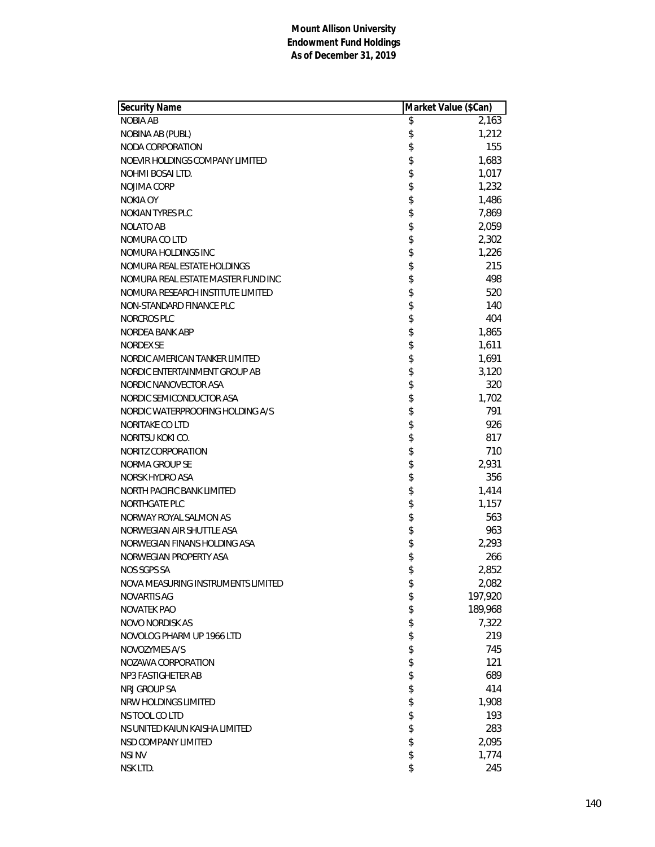| Security Name                      | Market Value (\$Can) |
|------------------------------------|----------------------|
| <b>NOBIA AB</b>                    | \$<br>2,163          |
| NOBINA AB (PUBL)                   | \$<br>1,212          |
| NODA CORPORATION                   | \$<br>155            |
| NOEVIR HOLDINGS COMPANY LIMITED    | \$<br>1,683          |
| NOHMI BOSAI LTD.                   | \$<br>1,017          |
| NOJIMA CORP                        | \$<br>1,232          |
| NOKIA OY                           | \$<br>1,486          |
| <b>NOKIAN TYRES PLC</b>            | \$<br>7,869          |
| <b>NOLATO AB</b>                   | \$<br>2,059          |
| NOMURA CO LTD                      | \$<br>2,302          |
| NOMURA HOLDINGS INC                | \$<br>1,226          |
| NOMURA REAL ESTATE HOLDINGS        | \$<br>215            |
| NOMURA REAL ESTATE MASTER FUND INC | \$<br>498            |
| NOMURA RESEARCH INSTITUTE LIMITED  | \$<br>520            |
| NON-STANDARD FINANCE PLC           | \$<br>140            |
| NORCROS PLC                        | \$<br>404            |
| NORDEA BANK ABP                    | \$<br>1,865          |
| <b>NORDEX SE</b>                   | \$<br>1,611          |
| NORDIC AMERICAN TANKER LIMITED     | \$<br>1,691          |
| NORDIC ENTERTAINMENT GROUP AB      | \$<br>3,120          |
| NORDIC NANOVECTOR ASA              | \$<br>320            |
| NORDIC SEMICONDUCTOR ASA           | \$<br>1,702          |
| NORDIC WATERPROOFING HOLDING A/S   | \$<br>791            |
| NORITAKE CO LTD                    | \$<br>926            |
| NORITSU KOKI CO.                   | \$<br>817            |
| NORITZ CORPORATION                 | \$<br>710            |
| NORMA GROUP SE                     | \$<br>2,931          |
| NORSK HYDRO ASA                    | \$<br>356            |
| NORTH PACIFIC BANK LIMITED         | \$<br>1,414          |
| <b>NORTHGATE PLC</b>               | \$<br>1,157          |
| NORWAY ROYAL SALMON AS             | \$<br>563            |
| NORWEGIAN AIR SHUTTLE ASA          | \$<br>963            |
| NORWEGIAN FINANS HOLDING ASA       | \$<br>2,293          |
| NORWEGIAN PROPERTY ASA             | \$<br>266            |
| NOS SGPS SA                        | \$<br>2,852          |
| NOVA MEASURING INSTRUMENTS LIMITED | \$<br>2,082          |
| <b>NOVARTIS AG</b>                 | \$<br>197,920        |
| <b>NOVATEK PAO</b>                 | \$<br>189,968        |
| NOVO NORDISK AS                    | \$<br>7,322          |
| NOVOLOG PHARM UP 1966 LTD          | \$<br>219            |
| NOVOZYMES A/S                      | \$<br>745            |
| NOZAWA CORPORATION                 | \$<br>121            |
| NP3 FASTIGHETER AB                 | \$<br>689            |
| NRJ GROUP SA                       | \$<br>414            |
| NRW HOLDINGS LIMITED               | \$<br>1,908          |
| NS TOOL CO LTD                     | \$<br>193            |
| NS UNITED KAIUN KAISHA LIMITED     | \$<br>283            |
| NSD COMPANY LIMITED                | \$<br>2,095          |
| <b>NSI NV</b>                      | \$<br>1,774          |
| NSK LTD.                           | \$<br>245            |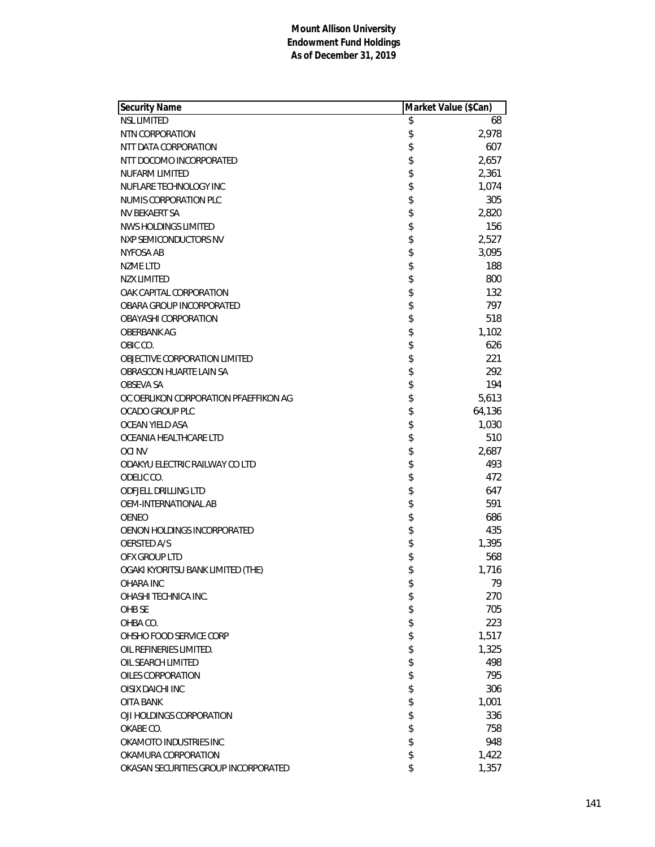| Security Name<br>Market Value (\$Can) |    |        |
|---------------------------------------|----|--------|
| <b>NSL LIMITED</b>                    | \$ | 68     |
| NTN CORPORATION                       | \$ | 2,978  |
| NTT DATA CORPORATION                  | \$ | 607    |
| NTT DOCOMO INCORPORATED               | \$ | 2,657  |
| <b>NUFARM LIMITED</b>                 | \$ | 2,361  |
| NUFLARE TECHNOLOGY INC                | \$ | 1,074  |
| NUMIS CORPORATION PLC                 | \$ | 305    |
| NV BEKAERT SA                         | \$ | 2,820  |
| NWS HOLDINGS LIMITED                  | \$ | 156    |
| NXP SEMICONDUCTORS NV                 | \$ | 2,527  |
| NYFOSA AB                             | \$ | 3,095  |
| <b>NZME LTD</b>                       | \$ | 188    |
| <b>NZX LIMITED</b>                    | \$ | 800    |
| OAK CAPITAL CORPORATION               | \$ | 132    |
| OBARA GROUP INCORPORATED              | \$ | 797    |
| <b>OBAYASHI CORPORATION</b>           | \$ | 518    |
| <b>OBERBANK AG</b>                    | \$ | 1,102  |
| OBIC CO.                              | \$ | 626    |
| <b>OBJECTIVE CORPORATION LIMITED</b>  | \$ | 221    |
| OBRASCON HUARTE LAIN SA               | \$ | 292    |
| OBSEVA SA                             | \$ | 194    |
| OC OERLIKON CORPORATION PFAEFFIKON AG | \$ | 5,613  |
| OCADO GROUP PLC                       | \$ | 64,136 |
| OCEAN YIELD ASA                       | \$ | 1,030  |
| OCEANIA HEALTHCARE LTD                | \$ | 510    |
| <b>OCI NV</b>                         | \$ | 2,687  |
| ODAKYU ELECTRIC RAILWAY CO LTD        | \$ | 493    |
| ODELIC CO.                            | \$ | 472    |
| <b>ODFJELL DRILLING LTD</b>           | \$ | 647    |
| OEM-INTERNATIONAL AB                  | \$ | 591    |
| OENEO                                 | \$ | 686    |
| OENON HOLDINGS INCORPORATED           | \$ | 435    |
| OERSTED A/S                           | \$ | 1,395  |
| OFX GROUP LTD                         | \$ | 568    |
| OGAKI KYORITSU BANK LIMITED (THE)     | \$ | 1,716  |
| OHARA INC                             | \$ | 79     |
| OHASHI TECHNICA INC.                  | \$ | 270    |
| OHB SE                                | \$ | 705    |
| OHBA CO.                              | \$ | 223    |
| OHSHO FOOD SERVICE CORP               | \$ | 1,517  |
| OIL REFINERIES LIMITED.               | \$ | 1,325  |
| OIL SEARCH LIMITED                    | \$ | 498    |
| OILES CORPORATION                     | \$ | 795    |
| <b>OISIX DAICHI INC</b>               | \$ | 306    |
| OITA BANK                             | \$ | 1,001  |
| OJI HOLDINGS CORPORATION              | \$ | 336    |
| OKABE CO.                             | \$ | 758    |
| OKAMOTO INDUSTRIES INC                | \$ | 948    |
| OKAMURA CORPORATION                   | \$ | 1,422  |
| OKASAN SECURITIES GROUP INCORPORATED  | \$ | 1,357  |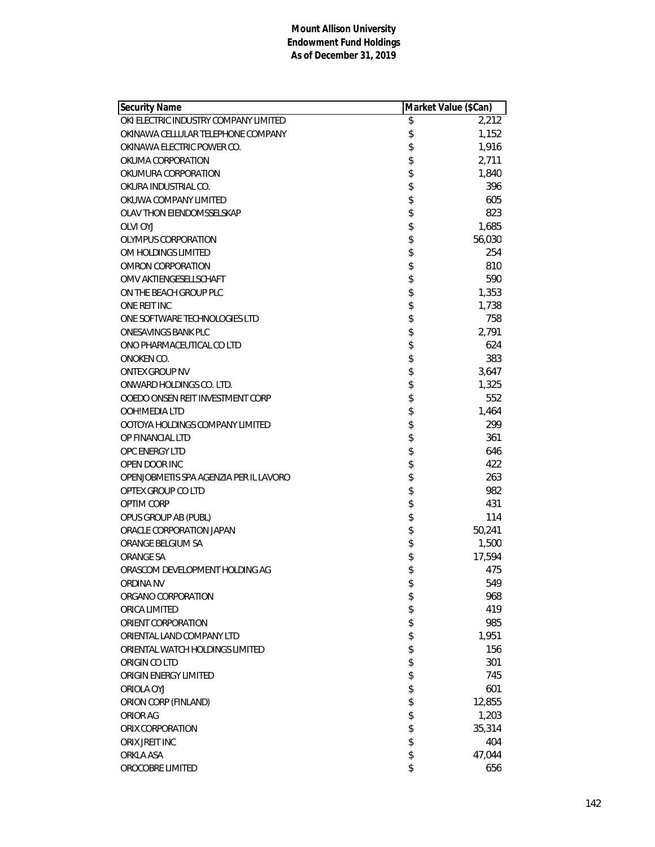| <b>Security Name</b>                   |          | Market Value (\$Can) |
|----------------------------------------|----------|----------------------|
| OKI ELECTRIC INDUSTRY COMPANY LIMITED  | \$       | 2,212                |
| OKINAWA CELLULAR TELEPHONE COMPANY     | \$       | 1,152                |
| OKINAWA ELECTRIC POWER CO.             | \$       | 1,916                |
| OKUMA CORPORATION                      | \$       | 2,711                |
| OKUMURA CORPORATION                    | \$       | 1,840                |
| OKURA INDUSTRIAL CO.                   | \$       | 396                  |
| OKUWA COMPANY LIMITED                  |          | 605                  |
| OLAV THON EIENDOMSSELSKAP              | \$       | 823                  |
| <b>OLVI OYJ</b>                        | \$       | 1,685                |
| OLYMPUS CORPORATION                    | \$       | 56,030               |
| OM HOLDINGS LIMITED                    | \$       | 254                  |
| <b>OMRON CORPORATION</b>               | \$       | 810                  |
| OMV AKTIENGESELLSCHAFT                 |          | 590                  |
| ON THE BEACH GROUP PLC                 | \$<br>\$ | 1,353                |
| ONE REIT INC                           |          | 1,738                |
| ONE SOFTWARE TECHNOLOGIES LTD          | \$       | 758                  |
| <b>ONESAVINGS BANK PLC</b>             | \$       | 2,791                |
| ONO PHARMACEUTICAL CO LTD              | \$       | 624                  |
| ONOKEN CO.                             | \$       | 383                  |
| <b>ONTEX GROUP NV</b>                  | \$       | 3,647                |
| ONWARD HOLDINGS CO. LTD.               |          | 1,325                |
| OOEDO ONSEN REIT INVESTMENT CORP       | \$\$     | 552                  |
| OOH!MEDIA LTD                          |          | 1,464                |
| OOTOYA HOLDINGS COMPANY LIMITED        | \$       | 299                  |
| OP FINANCIAL LTD                       | \$       | 361                  |
| OPC ENERGY LTD                         | \$       | 646                  |
| OPEN DOOR INC                          | \$       | 422                  |
| OPENJOBMETIS SPA AGENZIA PER IL LAVORO | \$       | 263                  |
| OPTEX GROUP CO LTD                     | \$       | 982                  |
| OPTIM CORP                             |          | 431                  |
| OPUS GROUP AB (PUBL)                   | \$\$\$\$ | 114                  |
| ORACLE CORPORATION JAPAN               |          | 50,241               |
| ORANGE BELGIUM SA                      |          | 1,500                |
| ORANGE SA                              | \$       | 17,594               |
| ORASCOM DEVELOPMENT HOLDING AG         | \$       | 475                  |
| ORDINA NV                              | \$       | 549                  |
| ORGANO CORPORATION                     | \$       | 968                  |
| ORICA LIMITED                          | \$       | 419                  |
| ORIENT CORPORATION                     | \$       | 985                  |
| ORIENTAL LAND COMPANY LTD              | \$       | 1,951                |
| ORIENTAL WATCH HOLDINGS LIMITED        | \$       | 156                  |
| ORIGIN CO LTD                          | \$       | 301                  |
| ORIGIN ENERGY LIMITED                  | \$       | 745                  |
| ORIOLA OYJ                             | \$       | 601                  |
| ORION CORP (FINLAND)                   | \$       | 12,855               |
| ORIOR AG                               | \$       | 1,203                |
| ORIX CORPORATION                       | \$       | 35,314               |
| ORIX JREIT INC                         | \$       | 404                  |
| <b>ORKLA ASA</b>                       | \$       | 47,044               |
| OROCOBRE LIMITED                       | \$       | 656                  |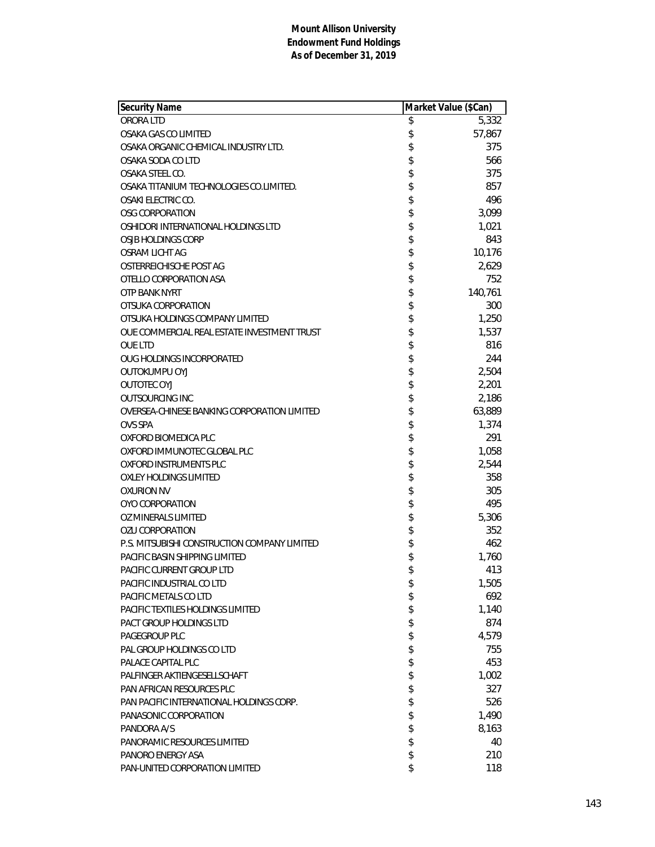| <b>Security Name</b>                         | Market Value (\$Can) |         |
|----------------------------------------------|----------------------|---------|
| ORORA LTD                                    | \$                   | 5,332   |
| OSAKA GAS CO LIMITED                         | \$                   | 57,867  |
| OSAKA ORGANIC CHEMICAL INDUSTRY LTD.         | \$                   | 375     |
| OSAKA SODA CO LTD                            | \$                   | 566     |
| OSAKA STEEL CO.                              | \$                   | 375     |
| OSAKA TITANIUM TECHNOLOGIES CO.LIMITED.      | \$                   | 857     |
| OSAKI ELECTRIC CO.                           | \$                   | 496     |
| OSG CORPORATION                              | \$                   | 3,099   |
| OSHIDORI INTERNATIONAL HOLDINGS LTD          | \$                   | 1,021   |
| OSJB HOLDINGS CORP                           | \$                   | 843     |
| OSRAM LICHT AG                               | \$                   | 10,176  |
| OSTERREICHISCHE POST AG                      | \$                   | 2,629   |
| OTELLO CORPORATION ASA                       | \$                   | 752     |
| <b>OTP BANK NYRT</b>                         | \$                   | 140,761 |
| OTSUKA CORPORATION                           | \$                   | 300     |
| OTSUKA HOLDINGS COMPANY LIMITED              | \$                   | 1,250   |
| OUE COMMERCIAL REAL ESTATE INVESTMENT TRUST  | \$                   | 1,537   |
| <b>OUE LTD</b>                               | \$                   | 816     |
| OUG HOLDINGS INCORPORATED                    | \$                   | 244     |
| <b>OUTOKUMPU OYJ</b>                         | \$                   | 2,504   |
| <b>OUTOTEC OYJ</b>                           | \$                   | 2,201   |
| <b>OUTSOURCING INC</b>                       | \$                   | 2,186   |
| OVERSEA-CHINESE BANKING CORPORATION LIMITED  | \$                   | 63,889  |
| <b>OVS SPA</b>                               | \$                   | 1,374   |
| OXFORD BIOMEDICA PLC                         | \$                   | 291     |
| OXFORD IMMUNOTEC GLOBAL PLC                  | \$                   | 1,058   |
| OXFORD INSTRUMENTS PLC                       | \$                   | 2,544   |
| OXLEY HOLDINGS LIMITED                       | \$                   | 358     |
| <b>OXURION NV</b>                            | \$                   | 305     |
| OYO CORPORATION                              | \$                   | 495     |
| OZ MINERALS LIMITED                          | \$                   | 5,306   |
| <b>OZU CORPORATION</b>                       | \$                   | 352     |
| P.S. MITSUBISHI CONSTRUCTION COMPANY LIMITED | \$                   | 462     |
| <b>PACIFIC BASIN SHIPPING LIMITED</b>        | \$                   | 1,760   |
| PACIFIC CURRENT GROUP LTD                    | \$                   | 413     |
| PACIFIC INDUSTRIAL CO LTD                    | \$                   | 1,505   |
| PACIFIC METALS CO LTD                        | \$                   | 692     |
| PACIFIC TEXTILES HOLDINGS LIMITED            | \$                   | 1,140   |
| PACT GROUP HOLDINGS LTD                      | \$                   | 874     |
| PAGEGROUP PLC                                | \$                   | 4,579   |
| PAL GROUP HOLDINGS CO LTD                    | \$                   | 755     |
| PALACE CAPITAL PLC                           | \$                   | 453     |
| PALFINGER AKTIENGESELLSCHAFT                 | \$                   | 1,002   |
| PAN AFRICAN RESOURCES PLC                    | \$                   | 327     |
| PAN PACIFIC INTERNATIONAL HOLDINGS CORP.     | \$                   | 526     |
| PANASONIC CORPORATION                        | \$                   | 1,490   |
| PANDORA A/S                                  | \$                   | 8,163   |
| PANORAMIC RESOURCES LIMITED                  |                      | 40      |
| PANORO ENERGY ASA                            | \$<br>\$             | 210     |
| PAN-UNITED CORPORATION LIMITED               | \$                   | 118     |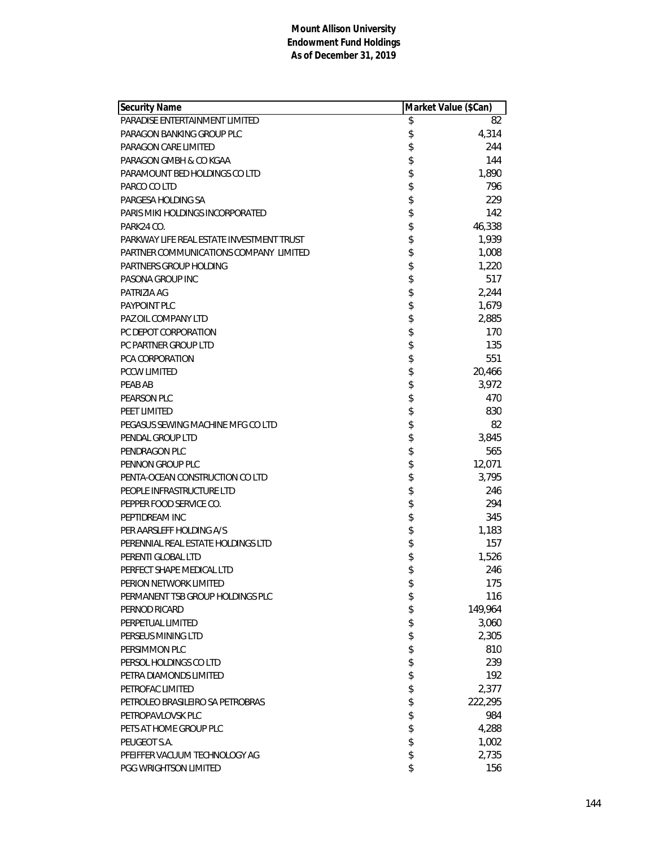| Security Name                             | Market Value (\$Can) |
|-------------------------------------------|----------------------|
| PARADISE ENTERTAINMENT LIMITED            | \$<br>82             |
| PARAGON BANKING GROUP PLC                 | \$<br>4,314          |
| PARAGON CARE LIMITED                      | \$<br>244            |
| PARAGON GMBH & CO KGAA                    | \$<br>144            |
| PARAMOUNT BED HOLDINGS CO LTD             | \$<br>1,890          |
| PARCO CO LTD                              | \$<br>796            |
| PARGESA HOLDING SA                        | \$<br>229            |
| PARIS MIKI HOLDINGS INCORPORATED          | \$<br>142            |
| PARK24 CO.                                | \$<br>46,338         |
| PARKWAY LIFE REAL ESTATE INVESTMENT TRUST | \$<br>1,939          |
| PARTNER COMMUNICATIONS COMPANY LIMITED    | \$<br>1,008          |
| PARTNERS GROUP HOLDING                    | \$<br>1,220          |
| PASONA GROUP INC                          | \$<br>517            |
| PATRIZIA AG                               | \$<br>2,244          |
| PAYPOINT PLC                              | \$<br>1,679          |
| PAZ OIL COMPANY LTD                       | \$<br>2,885          |
| PC DEPOT CORPORATION                      | \$<br>170            |
| PC PARTNER GROUP LTD                      | \$<br>135            |
| <b>PCA CORPORATION</b>                    | \$<br>551            |
| <b>PCCW LIMITED</b>                       | \$<br>20,466         |
| PEAB AB                                   | \$<br>3,972          |
| PEARSON PLC                               | \$<br>470            |
| PEET LIMITED                              | \$<br>830            |
| PEGASUS SEWING MACHINE MFG CO LTD         | \$<br>82             |
| PENDAL GROUP LTD                          | \$<br>3,845          |
| PENDRAGON PLC                             | \$<br>565            |
| PENNON GROUP PLC                          | \$<br>12,071         |
| PENTA-OCEAN CONSTRUCTION CO LTD           | \$<br>3,795          |
| PEOPLE INFRASTRUCTURE LTD                 | \$<br>246            |
| PEPPER FOOD SERVICE CO.                   | \$<br>294            |
| PEPTIDREAM INC                            | \$<br>345            |
| PER AARSLEFF HOLDING A/S                  | \$<br>1,183          |
| PERENNIAL REAL ESTATE HOLDINGS LTD        | \$<br>157            |
| PERENTI GLOBAL LTD                        | \$<br>1,526          |
| PERFECT SHAPE MEDICAL LTD                 | \$<br>246            |
| PERION NETWORK LIMITED                    | \$<br>175            |
| PERMANENT TSB GROUP HOLDINGS PLC          | \$<br>116            |
| PERNOD RICARD                             | \$<br>149,964        |
| PERPETUAL LIMITED                         | \$<br>3,060          |
| PERSEUS MINING LTD                        | \$<br>2,305          |
| PERSIMMON PLC                             | \$<br>810            |
| PERSOL HOLDINGS CO LTD                    | \$<br>239            |
| PETRA DIAMONDS LIMITED                    | \$<br>192            |
| PETROFAC LIMITED                          | \$<br>2,377          |
| PETROLEO BRASILEIRO SA PETROBRAS          | \$<br>222,295        |
| PETROPAVLOVSK PLC                         | \$<br>984            |
| PETS AT HOME GROUP PLC                    | \$<br>4,288          |
| PEUGEOT S.A.                              | \$<br>1,002          |
| PFEIFFER VACUUM TECHNOLOGY AG             | \$<br>2,735          |
| PGG WRIGHTSON LIMITED                     | \$<br>156            |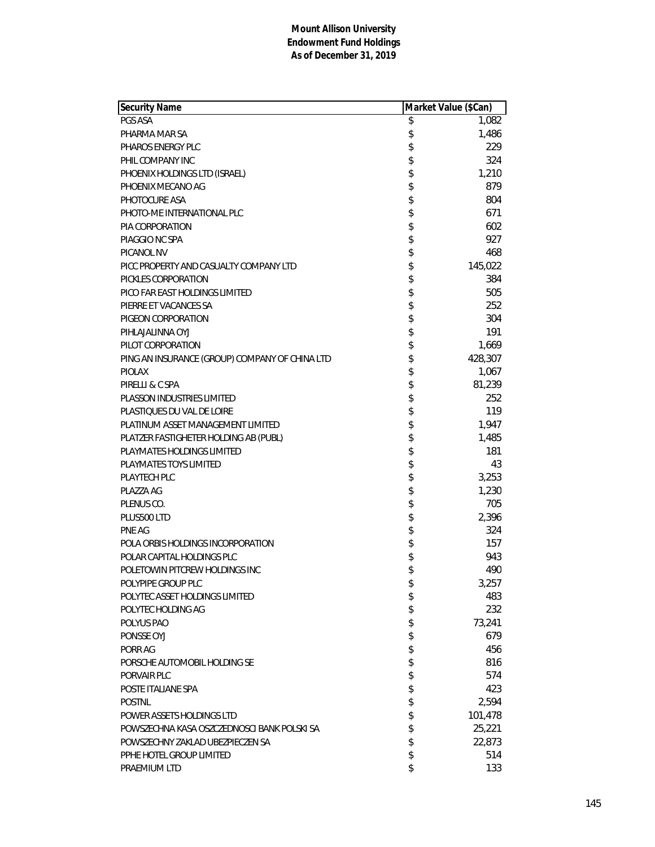| Security Name                                  | Market Value (\$Can) |
|------------------------------------------------|----------------------|
| PGS ASA                                        | \$<br>1,082          |
| PHARMA MAR SA                                  | \$<br>1,486          |
| PHAROS ENERGY PLC                              | \$<br>229            |
| PHIL COMPANY INC                               | \$<br>324            |
| PHOENIX HOLDINGS LTD (ISRAEL)                  | \$<br>1,210          |
| PHOENIX MECANO AG                              | \$<br>879            |
| PHOTOCURE ASA                                  | \$<br>804            |
| PHOTO-ME INTERNATIONAL PLC                     | \$<br>671            |
| PIA CORPORATION                                | \$<br>602            |
| PIAGGIO NC SPA                                 | \$<br>927            |
| PICANOL NV                                     | \$<br>468            |
| PICC PROPERTY AND CASUALTY COMPANY LTD         | \$<br>145,022        |
| PICKLES CORPORATION                            | \$<br>384            |
| PICO FAR EAST HOLDINGS LIMITED                 | \$<br>505            |
| PIERRE ET VACANCES SA                          | \$<br>252            |
| PIGEON CORPORATION                             | \$<br>304            |
| PIHLAJALINNA OYJ                               | \$<br>191            |
| PILOT CORPORATION                              | \$<br>1,669          |
| PING AN INSURANCE (GROUP) COMPANY OF CHINA LTD | \$<br>428,307        |
| <b>PIOLAX</b>                                  | \$<br>1,067          |
| PIRELLI & C SPA                                | \$<br>81,239         |
| <b>PLASSON INDUSTRIES LIMITED</b>              | \$<br>252            |
| PLASTIQUES DU VAL DE LOIRE                     | \$<br>119            |
| PLATINUM ASSET MANAGEMENT LIMITED              | \$<br>1,947          |
| PLATZER FASTIGHETER HOLDING AB (PUBL)          | \$<br>1,485          |
| PLAYMATES HOLDINGS LIMITED                     | \$<br>181            |
| PLAYMATES TOYS LIMITED                         | \$<br>43             |
| <b>PLAYTECH PLC</b>                            | \$<br>3,253          |
| PLAZZA AG                                      | \$<br>1,230          |
| PLENUS CO.                                     | \$<br>705            |
| PLUS500 LTD                                    | \$<br>2,396          |
| PNE AG                                         | \$<br>324            |
| POLA ORBIS HOLDINGS INCORPORATION              | \$<br>157            |
| POLAR CAPITAL HOLDINGS PLC                     | \$<br>943            |
| POLETOWIN PITCREW HOLDINGS INC                 | \$<br>490            |
| POLYPIPE GROUP PLC                             | \$<br>3,257          |
| POLYTEC ASSET HOLDINGS LIMITED                 | \$<br>483            |
| POLYTEC HOLDING AG                             | \$<br>232            |
| POLYUS PAO                                     | \$<br>73,241         |
| PONSSE OYJ                                     | \$<br>679            |
| PORR AG                                        | \$<br>456            |
| PORSCHE AUTOMOBIL HOLDING SE                   | \$<br>816            |
| PORVAIR PLC                                    | \$<br>574            |
| POSTE ITALIANE SPA                             | \$<br>423            |
| <b>POSTNL</b>                                  | \$<br>2,594          |
| POWER ASSETS HOLDINGS LTD                      | \$<br>101,478        |
| POWSZECHNA KASA OSZCZEDNOSCI BANK POLSKI SA    | \$<br>25,221         |
| POWSZECHNY ZAKLAD UBEZPIECZEN SA               | \$<br>22,873         |
| PPHE HOTEL GROUP LIMITED                       | \$<br>514            |
| PRAEMIUM LTD                                   | \$<br>133            |
|                                                |                      |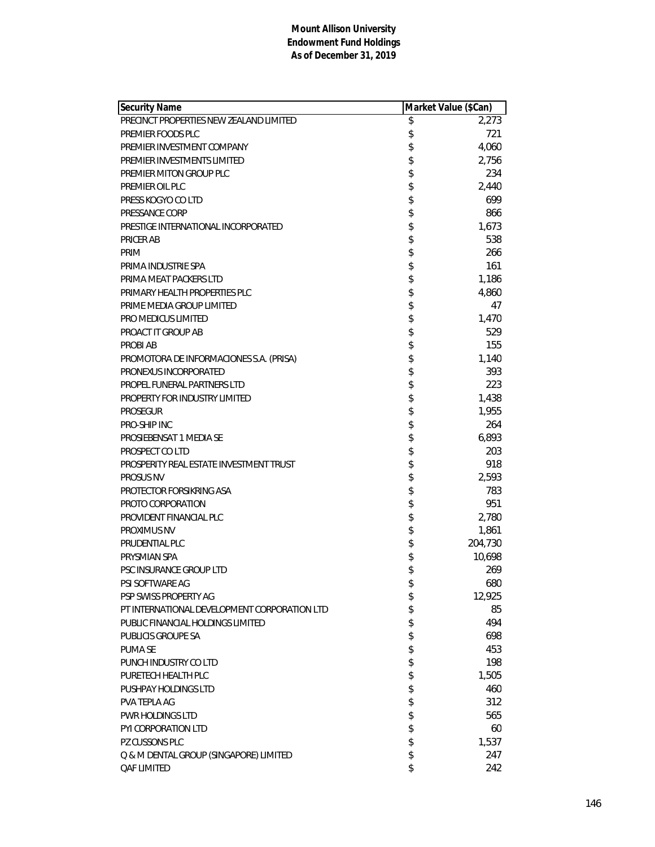| Security Name                                | Market Value (\$Can) |         |
|----------------------------------------------|----------------------|---------|
| PRECINCT PROPERTIES NEW ZEALAND LIMITED      | \$                   | 2,273   |
| PREMIER FOODS PLC                            | \$                   | 721     |
| PREMIER INVESTMENT COMPANY                   | \$                   | 4,060   |
| PREMIER INVESTMENTS LIMITED                  | \$                   | 2,756   |
| PREMIER MITON GROUP PLC                      | \$                   | 234     |
| PREMIER OIL PLC                              | \$                   | 2,440   |
| PRESS KOGYO CO LTD                           | \$                   | 699     |
| PRESSANCE CORP                               | \$                   | 866     |
| PRESTIGE INTERNATIONAL INCORPORATED          | \$                   | 1,673   |
| PRICER AB                                    | \$                   | 538     |
| PRIM                                         | \$                   | 266     |
| PRIMA INDUSTRIE SPA                          | \$                   | 161     |
| PRIMA MEAT PACKERS LTD                       | \$                   | 1,186   |
| PRIMARY HEALTH PROPERTIES PLC                | \$                   | 4,860   |
| PRIME MEDIA GROUP LIMITED                    | \$                   | 47      |
| PRO MEDICUS LIMITED                          | \$                   | 1,470   |
| PROACT IT GROUP AB                           | \$                   | 529     |
| <b>PROBI AB</b>                              | \$                   | 155     |
| PROMOTORA DE INFORMACIONES S.A. (PRISA)      | \$                   | 1,140   |
| PRONEXUS INCORPORATED                        | \$                   | 393     |
| PROPEL FUNERAL PARTNERS LTD                  | \$                   | 223     |
| PROPERTY FOR INDUSTRY LIMITED                | \$                   | 1,438   |
| <b>PROSEGUR</b>                              | \$                   | 1,955   |
| <b>PRO-SHIP INC</b>                          | \$                   | 264     |
| PROSIEBENSAT 1 MEDIA SE                      | \$                   | 6,893   |
| PROSPECT CO LTD                              | \$                   | 203     |
| PROSPERITY REAL ESTATE INVESTMENT TRUST      | \$                   | 918     |
| <b>PROSUS NV</b>                             | \$                   | 2,593   |
| PROTECTOR FORSIKRING ASA                     | \$                   | 783     |
| PROTO CORPORATION                            | \$                   | 951     |
| PROVIDENT FINANCIAL PLC                      | \$                   | 2,780   |
| PROXIMUS NV                                  | \$                   | 1,861   |
| PRUDENTIAL PLC                               | \$                   | 204,730 |
| PRYSMIAN SPA                                 | \$                   | 10,698  |
| PSC INSURANCE GROUP LTD                      | \$                   | 269     |
| PSI SOFTWARE AG                              | \$                   | 680     |
| PSP SWISS PROPERTY AG                        | \$                   | 12,925  |
| PT INTERNATIONAL DEVELOPMENT CORPORATION LTD | \$                   | 85      |
| PUBLIC FINANCIAL HOLDINGS LIMITED            | \$                   | 494     |
| PUBLICIS GROUPE SA                           | \$                   | 698     |
| <b>PUMA SE</b>                               | \$                   | 453     |
| PUNCH INDUSTRY CO LTD                        | \$                   | 198     |
| PURETECH HEALTH PLC                          | \$                   | 1,505   |
| PUSHPAY HOLDINGS LTD                         | \$                   | 460     |
| PVA TEPLA AG                                 | \$                   | 312     |
| <b>PWR HOLDINGS LTD</b>                      | \$                   | 565     |
| PYI CORPORATION LTD                          | \$                   | 60      |
| PZ CUSSONS PLC                               | \$                   | 1,537   |
| Q & M DENTAL GROUP (SINGAPORE) LIMITED       | \$                   | 247     |
| <b>QAF LIMITED</b>                           | \$                   | 242     |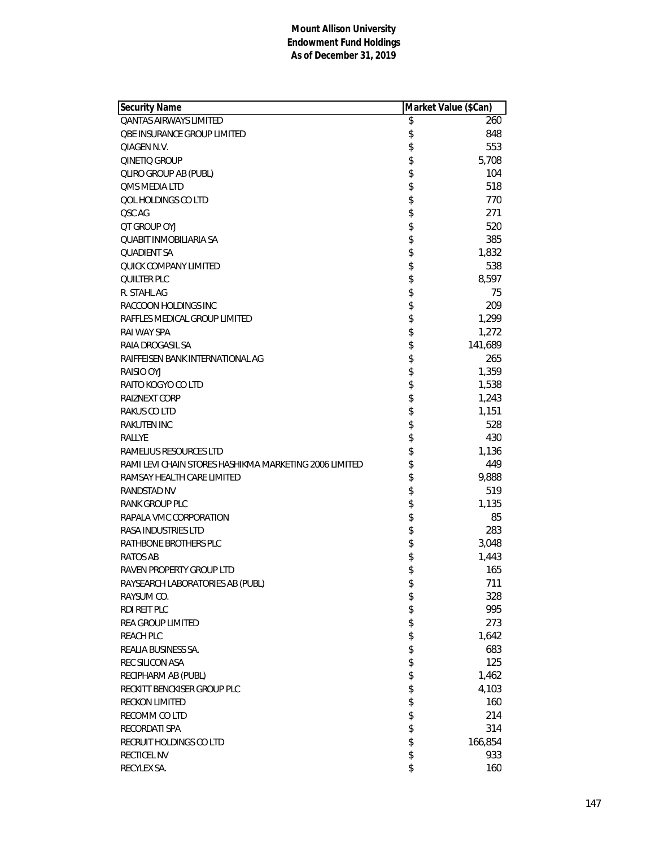| <b>Security Name</b>                                   | Market Value (\$Can) |
|--------------------------------------------------------|----------------------|
| <b>OANTAS AIRWAYS LIMITED</b>                          | \$<br>260            |
| <b>QBE INSURANCE GROUP LIMITED</b>                     | \$<br>848            |
| QIAGEN N.V.                                            | \$<br>553            |
| QINETIQ GROUP                                          | \$<br>5,708          |
| <b>QLIRO GROUP AB (PUBL)</b>                           | \$<br>104            |
| <b>QMS MEDIA LTD</b>                                   | \$<br>518            |
| QOL HOLDINGS CO LTD                                    | \$<br>770            |
| QSC AG                                                 | \$<br>271            |
| OT GROUP OYJ                                           | \$<br>520            |
| <b>QUABIT INMOBILIARIA SA</b>                          | \$<br>385            |
| <b>QUADIENT SA</b>                                     | \$<br>1,832          |
| QUICK COMPANY LIMITED                                  | \$<br>538            |
| <b>QUILTER PLC</b>                                     | \$<br>8,597          |
| R. STAHL AG                                            | \$<br>75             |
| RACCOON HOLDINGS INC                                   | \$<br>209            |
| RAFFLES MEDICAL GROUP LIMITED                          | \$<br>1,299          |
| RAI WAY SPA                                            | \$<br>1,272          |
| RAIA DROGASIL SA                                       | \$<br>141,689        |
| RAIFFEISEN BANK INTERNATIONAL AG                       | \$<br>265            |
| RAISIO OYJ                                             | \$<br>1,359          |
| RAITO KOGYO CO LTD                                     | \$<br>1,538          |
| RAIZNEXT CORP                                          | \$<br>1,243          |
| RAKUS CO LTD                                           | \$<br>1,151          |
| <b>RAKUTEN INC</b>                                     | \$<br>528            |
| RALLYE                                                 | \$<br>430            |
| RAMELIUS RESOURCES LTD                                 | \$<br>1,136          |
| RAMI LEVI CHAIN STORES HASHIKMA MARKETING 2006 LIMITED | \$<br>449            |
| RAMSAY HEALTH CARE LIMITED                             | \$<br>9,888          |
| <b>RANDSTAD NV</b>                                     | \$<br>519            |
| RANK GROUP PLC                                         | \$<br>1,135          |
| RAPALA VMC CORPORATION                                 | \$<br>85             |
| <b>RASA INDUSTRIES LTD</b>                             | \$<br>283            |
| RATHBONE BROTHERS PLC                                  | \$<br>3,048          |
| RATOS AB                                               | \$<br>1,443          |
| <b>RAVEN PROPERTY GROUP LTD</b>                        | \$<br>165            |
| RAYSEARCH LABORATORIES AB (PUBL)                       | \$<br>711            |
| RAYSUM CO.                                             | \$<br>328            |
| RDI REIT PLC                                           | \$<br>995            |
| REA GROUP LIMITED                                      | \$<br>273            |
| <b>REACH PLC</b>                                       | \$<br>1,642          |
| REALIA BUSINESS SA.                                    | \$<br>683            |
| REC SILICON ASA                                        | \$<br>125            |
| RECIPHARM AB (PUBL)                                    | \$<br>1,462          |
| RECKITT BENCKISER GROUP PLC                            | \$<br>4,103          |
| <b>RECKON LIMITED</b>                                  | \$<br>160            |
| RECOMM CO LTD                                          | \$<br>214            |
| RECORDATI SPA                                          | \$<br>314            |
| RECRUIT HOLDINGS CO LTD                                | \$<br>166,854        |
| RECTICEL NV                                            | \$<br>933            |
| RECYLEX SA.                                            | \$<br>160            |
|                                                        |                      |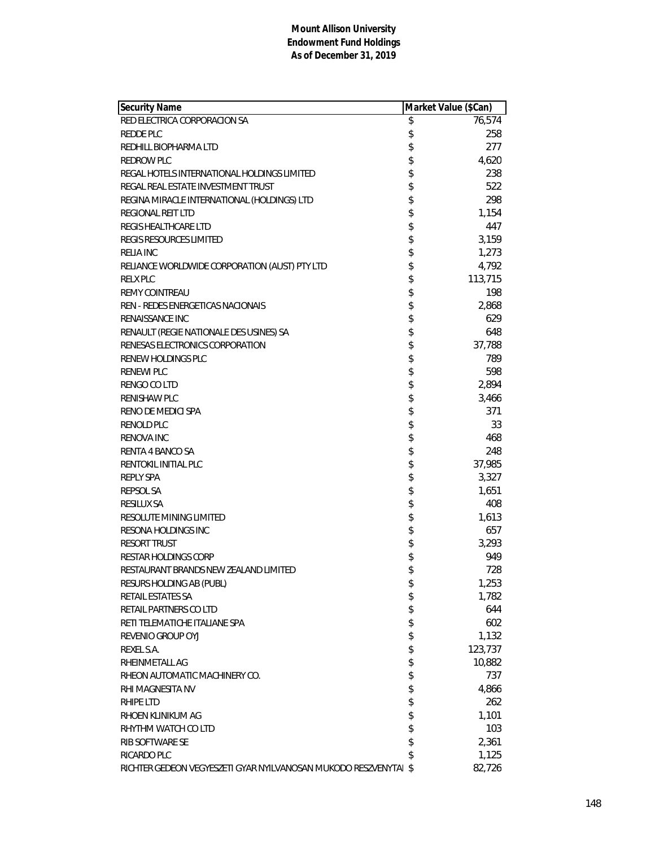| Security Name                                                    | Market Value (\$Can) |
|------------------------------------------------------------------|----------------------|
| RED ELECTRICA CORPORACION SA                                     | \$<br>76,574         |
| REDDE PLC                                                        | \$<br>258            |
| REDHILL BIOPHARMA LTD                                            | \$<br>277            |
| <b>REDROW PLC</b>                                                | \$<br>4,620          |
| REGAL HOTELS INTERNATIONAL HOLDINGS LIMITED                      | \$<br>238            |
| REGAL REAL ESTATE INVESTMENT TRUST                               | \$<br>522            |
| REGINA MIRACLE INTERNATIONAL (HOLDINGS) LTD                      | 298                  |
| REGIONAL REIT LTD                                                | \$<br>1,154          |
| REGIS HEALTHCARE LTD                                             | \$<br>447            |
| <b>REGIS RESOURCES LIMITED</b>                                   | \$<br>3,159          |
| <b>RELIA INC</b>                                                 | \$<br>1,273          |
| RELIANCE WORLDWIDE CORPORATION (AUST) PTY LTD                    | \$<br>4,792          |
| <b>RELX PLC</b>                                                  | \$<br>113,715        |
| <b>REMY COINTREAU</b>                                            | \$<br>198            |
| REN - REDES ENERGETICAS NACIONAIS                                | \$<br>2,868          |
| RENAISSANCE INC                                                  | \$<br>629            |
| RENAULT (REGIE NATIONALE DES USINES) SA                          | \$<br>648            |
| RENESAS ELECTRONICS CORPORATION                                  | \$<br>37,788         |
| RENEW HOLDINGS PLC                                               | \$<br>789            |
| <b>RENEWI PLC</b>                                                | \$<br>598            |
| RENGO CO LTD                                                     | \$<br>2,894          |
| <b>RENISHAW PLC</b>                                              | \$<br>3,466          |
| RENO DE MEDICI SPA                                               | 371                  |
| <b>RENOLD PLC</b>                                                | \$<br>33             |
| <b>RENOVA INC</b>                                                | \$<br>468            |
| RENTA 4 BANCO SA                                                 | \$<br>248            |
| RENTOKIL INITIAL PLC                                             | \$<br>37,985         |
| <b>REPLY SPA</b>                                                 | \$<br>3,327          |
| <b>REPSOL SA</b>                                                 | \$<br>1,651          |
| RESILUX SA                                                       | \$<br>408            |
| RESOLUTE MINING LIMITED                                          | \$<br>1,613          |
| RESONA HOLDINGS INC                                              | 657                  |
| <b>RESORT TRUST</b>                                              | \$<br>3,293          |
| <b>RESTAR HOLDINGS CORP</b>                                      | \$<br>949            |
| RESTAURANT BRANDS NEW ZEALAND LIMITED                            | \$<br>728            |
| RESURS HOLDING AB (PUBL)                                         | \$<br>1,253          |
| RETAIL ESTATES SA                                                | \$<br>1,782          |
| RETAIL PARTNERS CO LTD                                           | \$<br>644            |
| RETI TELEMATICHE ITALIANE SPA                                    | \$<br>602            |
| REVENIO GROUP OYJ                                                | \$<br>1,132          |
| REXEL S.A.                                                       | \$<br>123,737        |
| RHEINMETALL AG                                                   | \$<br>10,882         |
| RHEON AUTOMATIC MACHINERY CO.                                    | \$<br>737            |
| RHI MAGNESITA NV                                                 | \$<br>4,866          |
| RHIPE LTD                                                        | \$<br>262            |
| RHOEN KLINIKUM AG                                                | \$<br>1,101          |
| RHYTHM WATCH CO LTD                                              | \$<br>103            |
| RIB SOFTWARE SE                                                  | \$<br>2,361          |
| RICARDO PLC                                                      | \$<br>1,125          |
| RICHTER GEDEON VEGYESZETI GYAR NYILVANOSAN MUKODO RESZVENYTAI \$ | 82,726               |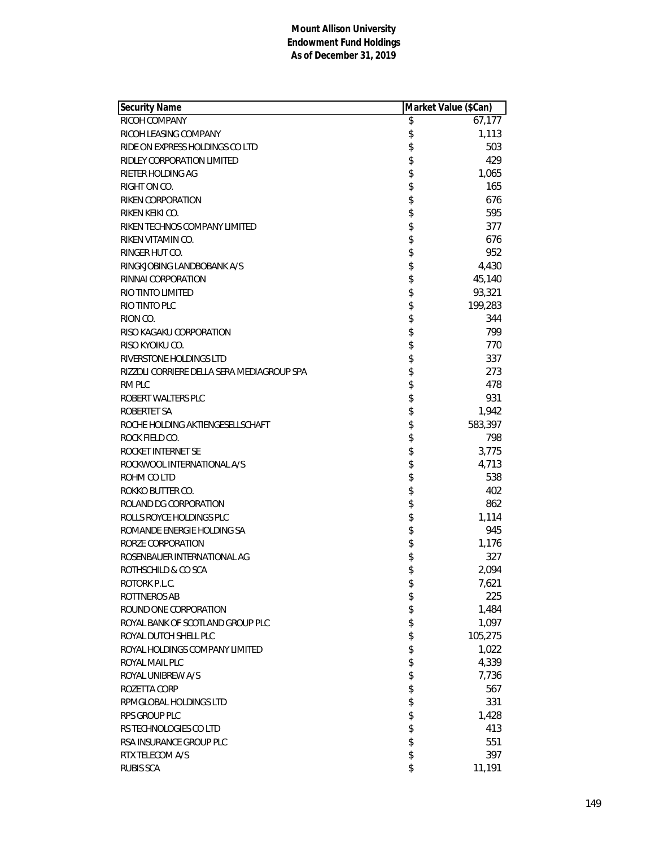| Security Name                              | Market Value (\$Can) |
|--------------------------------------------|----------------------|
| RICOH COMPANY                              | \$<br>67,177         |
| RICOH LEASING COMPANY                      | \$<br>1,113          |
| RIDE ON EXPRESS HOLDINGS CO LTD            | \$<br>503            |
| RIDLEY CORPORATION LIMITED                 | \$<br>429            |
| RIETER HOLDING AG                          | \$<br>1,065          |
| RIGHT ON CO.                               | \$<br>165            |
| RIKEN CORPORATION                          | \$<br>676            |
| RIKEN KEIKI CO.                            | \$<br>595            |
| RIKEN TECHNOS COMPANY LIMITED              | \$<br>377            |
| RIKEN VITAMIN CO.                          | \$<br>676            |
| RINGER HUT CO.                             | \$<br>952            |
| RINGKJOBING LANDBOBANK A/S                 | \$<br>4,430          |
| RINNAI CORPORATION                         | \$<br>45,140         |
| RIO TINTO LIMITED                          | \$<br>93,321         |
| RIO TINTO PLC                              | \$<br>199,283        |
| RION CO.                                   | \$<br>344            |
| RISO KAGAKU CORPORATION                    | \$<br>799            |
| RISO KYOIKU CO.                            | \$<br>770            |
| RIVERSTONE HOLDINGS LTD                    | \$<br>337            |
| RIZZOLI CORRIERE DELLA SERA MEDIAGROUP SPA | \$<br>273            |
| RM PLC                                     | \$<br>478            |
| ROBERT WALTERS PLC                         | \$<br>931            |
| ROBERTET SA                                | \$<br>1,942          |
| ROCHE HOLDING AKTIENGESELLSCHAFT           | \$<br>583,397        |
| ROCK FIELD CO.                             | \$<br>798            |
| ROCKET INTERNET SE                         | \$<br>3,775          |
| ROCKWOOL INTERNATIONAL A/S                 | \$<br>4,713          |
| ROHM CO LTD                                | \$<br>538            |
| ROKKO BUTTER CO.                           | \$<br>402            |
| ROLAND DG CORPORATION                      | \$<br>862            |
| ROLLS ROYCE HOLDINGS PLC                   | \$<br>1,114          |
| ROMANDE ENERGIE HOLDING SA                 | \$<br>945            |
| RORZE CORPORATION                          | \$<br>1,176          |
| ROSENBAUER INTERNATIONAL AG                | \$<br>327            |
| ROTHSCHILD & CO SCA                        | \$<br>2,094          |
| ROTORK P.L.C.                              | \$<br>7,621          |
| ROTTNEROS AB                               | \$<br>225            |
| ROUND ONE CORPORATION                      | \$<br>1,484          |
| ROYAL BANK OF SCOTLAND GROUP PLC           | \$<br>1,097          |
| ROYAL DUTCH SHELL PLC                      | \$<br>105,275        |
| ROYAL HOLDINGS COMPANY LIMITED             | \$<br>1,022          |
| ROYAL MAIL PLC                             | \$<br>4,339          |
| ROYAL UNIBREW A/S                          | \$                   |
| ROZETTA CORP                               | \$<br>7,736<br>567   |
|                                            |                      |
| RPMGLOBAL HOLDINGS LTD                     | \$<br>331            |
| RPS GROUP PLC                              | \$<br>1,428          |
| RS TECHNOLOGIES CO LTD                     | \$<br>413            |
| RSA INSURANCE GROUP PLC                    | \$<br>551            |
| RTX TELECOM A/S                            | \$<br>397            |
| <b>RUBIS SCA</b>                           | \$<br>11,191         |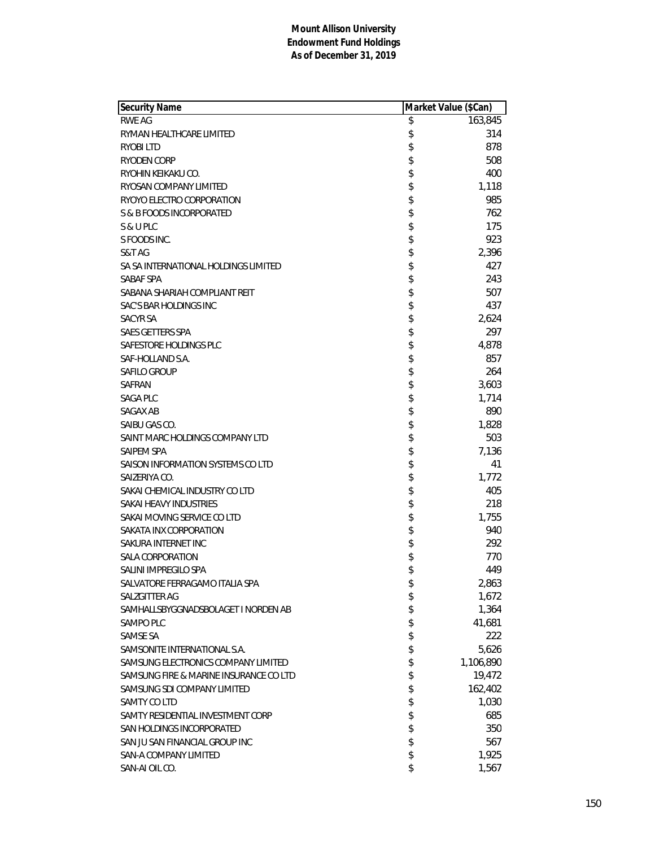| Security Name                          |          | Market Value (\$Can) |
|----------------------------------------|----------|----------------------|
| <b>RWE AG</b>                          | \$       | 163,845              |
| RYMAN HEALTHCARE LIMITED               | \$       | 314                  |
| RYOBI LTD                              | \$       | 878                  |
| RYODEN CORP                            | \$       | 508                  |
| RYOHIN KEIKAKU CO.                     | \$       | 400                  |
| RYOSAN COMPANY LIMITED                 | \$       | 1,118                |
| RYOYO ELECTRO CORPORATION              | \$       | 985                  |
| S & B FOODS INCORPORATED               | \$       | 762                  |
| S & U PLC                              | \$       | 175                  |
| S FOODS INC.                           | \$       | 923                  |
| S&T AG                                 | \$       | 2,396                |
| SA SA INTERNATIONAL HOLDINGS LIMITED   | \$       | 427                  |
| SABAF SPA                              | \$       | 243                  |
| SABANA SHARIAH COMPLIANT REIT          | \$       | 507                  |
| SAC'S BAR HOLDINGS INC                 | \$       | 437                  |
| SACYR SA                               | \$       | 2,624                |
| SAES GETTERS SPA                       | \$       | 297                  |
| SAFESTORE HOLDINGS PLC                 | \$       | 4,878                |
| SAF-HOLLAND S.A.                       | \$       | 857                  |
| <b>SAFILO GROUP</b>                    | \$       | 264                  |
| SAFRAN                                 | \$       | 3,603                |
| SAGA PLC                               | \$       | 1,714                |
| SAGAX AB                               | \$       | 890                  |
| SAIBU GAS CO.                          | \$       | 1,828                |
| SAINT MARC HOLDINGS COMPANY LTD        | \$       | 503                  |
| SAIPEM SPA                             | \$       | 7,136                |
| SAISON INFORMATION SYSTEMS CO LTD      | \$       | 41                   |
| SAIZERIYA CO.                          | \$       | 1,772                |
| SAKAI CHEMICAL INDUSTRY CO LTD         | \$       | 405                  |
| SAKAI HEAVY INDUSTRIES                 | \$       | 218                  |
| SAKAI MOVING SERVICE CO LTD            | \$       | 1,755                |
| SAKATA INX CORPORATION                 |          | 940                  |
| SAKURA INTERNET INC                    | \$<br>\$ | 292                  |
| <b>SALA CORPORATION</b>                | \$       | 770                  |
| SALINI IMPREGILO SPA                   | \$       | 449                  |
| SALVATORE FERRAGAMO ITALIA SPA         | \$       | 2,863                |
| SALZGITTER AG                          | \$       | 1,672                |
| SAMHALLSBYGGNADSBOLAGET I NORDEN AB    | \$       | 1,364                |
| SAMPO PLC                              | \$       | 41,681               |
| <b>SAMSE SA</b>                        | \$       | 222                  |
| SAMSONITE INTERNATIONAL S.A.           | \$       | 5,626                |
| SAMSUNG ELECTRONICS COMPANY LIMITED    | \$       | 1,106,890            |
| SAMSUNG FIRE & MARINE INSURANCE CO LTD | \$       | 19,472               |
| SAMSUNG SDI COMPANY LIMITED            | \$       | 162,402              |
| SAMTY CO LTD                           | \$       | 1,030                |
| SAMTY RESIDENTIAL INVESTMENT CORP      | \$       | 685                  |
| SAN HOLDINGS INCORPORATED              | \$       | 350                  |
| SAN JU SAN FINANCIAL GROUP INC         | \$       | 567                  |
| SAN-A COMPANY LIMITED                  | \$       | 1,925                |
| SAN-AI OIL CO.                         | \$       | 1,567                |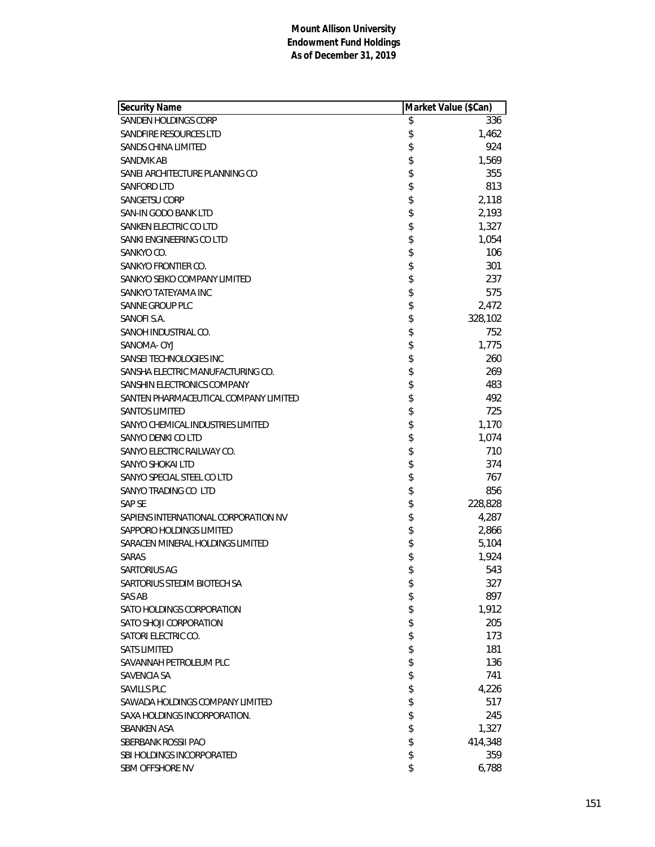| Security Name                         | Market Value (\$Can) |
|---------------------------------------|----------------------|
| <b>SANDEN HOLDINGS CORP</b>           | \$<br>336            |
| SANDFIRE RESOURCES LTD                | \$<br>1,462          |
| SANDS CHINA LIMITED                   | \$<br>924            |
| SANDVIK AB                            | \$<br>1,569          |
| SANEI ARCHITECTURE PLANNING CO        | \$<br>355            |
| <b>SANFORD LTD</b>                    | \$<br>813            |
| SANGETSU CORP                         | \$<br>2,118          |
| SAN-IN GODO BANK LTD                  | \$<br>2,193          |
| SANKEN ELECTRIC CO LTD                | \$<br>1,327          |
| SANKI ENGINEERING CO LTD              | \$<br>1,054          |
| SANKYO CO.                            | \$<br>106            |
| SANKYO FRONTIER CO.                   | \$<br>301            |
| SANKYO SEIKO COMPANY LIMITED          | \$<br>237            |
| SANKYO TATEYAMA INC                   | \$<br>575            |
| <b>SANNE GROUP PLC</b>                | \$<br>2,472          |
| SANOFI S.A.                           | \$<br>328,102        |
| SANOH INDUSTRIAL CO.                  | \$<br>752            |
| SANOMA- OYJ                           | \$<br>1,775          |
| SANSEI TECHNOLOGIES INC               | \$<br>260            |
| SANSHA ELECTRIC MANUFACTURING CO.     | \$<br>269            |
| SANSHIN ELECTRONICS COMPANY           | \$<br>483            |
| SANTEN PHARMACEUTICAL COMPANY LIMITED | \$<br>492            |
| <b>SANTOS LIMITED</b>                 | \$<br>725            |
| SANYO CHEMICAL INDUSTRIES LIMITED     | \$<br>1,170          |
| SANYO DENKI CO LTD                    | \$<br>1,074          |
| SANYO ELECTRIC RAILWAY CO.            | \$<br>710            |
| SANYO SHOKAI LTD                      | \$<br>374            |
| SANYO SPECIAL STEEL CO LTD            | \$<br>767            |
| SANYO TRADING CO LTD                  | \$<br>856            |
| <b>SAP SE</b>                         | \$<br>228,828        |
| SAPIENS INTERNATIONAL CORPORATION NV  | \$<br>4,287          |
| SAPPORO HOLDINGS LIMITED              | \$<br>2,866          |
| SARACEN MINERAL HOLDINGS LIMITED      | \$<br>5,104          |
| <b>SARAS</b>                          | \$<br>1,924          |
| SARTORIUS AG                          | \$<br>543            |
| SARTORIUS STEDIM BIOTECH SA           | \$<br>327            |
| SAS AB                                | \$<br>897            |
| SATO HOLDINGS CORPORATION             | \$<br>1,912          |
| SATO SHOJI CORPORATION                | \$<br>205            |
| SATORI ELECTRIC CO.                   | \$<br>173            |
| <b>SATS LIMITED</b>                   | \$<br>181            |
| SAVANNAH PETROLEUM PLC                | \$<br>136            |
| SAVENCIA SA                           | \$<br>741            |
| <b>SAVILLS PLC</b>                    | \$<br>4,226          |
| SAWADA HOLDINGS COMPANY LIMITED       | \$<br>517            |
| SAXA HOLDINGS INCORPORATION.          | \$<br>245            |
| <b>SBANKEN ASA</b>                    | \$<br>1,327          |
| SBERBANK ROSSII PAO                   | \$<br>414,348        |
| SBI HOLDINGS INCORPORATED             | \$<br>359            |
| SBM OFFSHORE NV                       | \$<br>6,788          |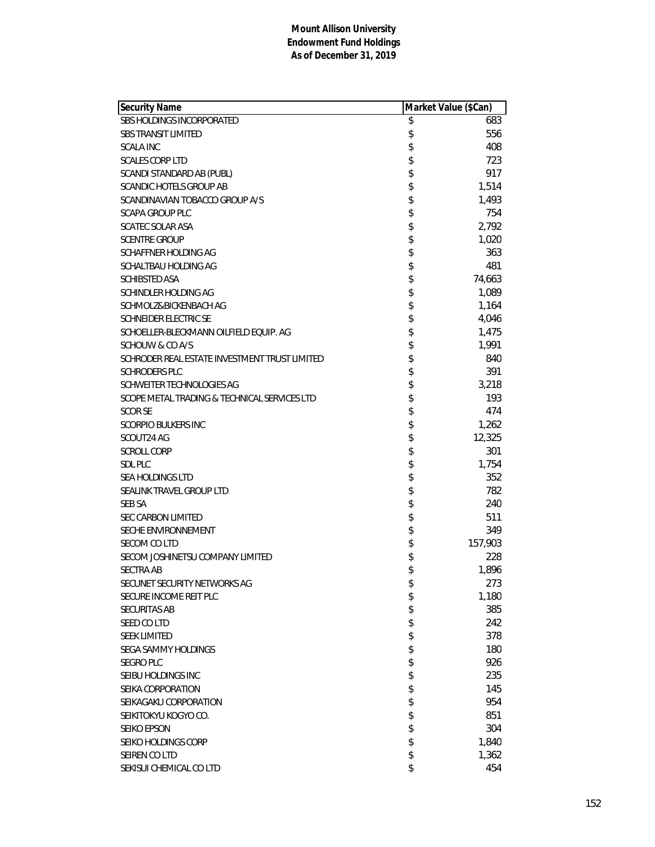| Security Name                                 | Market Value (\$Can) |
|-----------------------------------------------|----------------------|
| SBS HOLDINGS INCORPORATED                     | \$<br>683            |
| <b>SBS TRANSIT LIMITED</b>                    | \$<br>556            |
| <b>SCALA INC</b>                              | \$<br>408            |
| <b>SCALES CORP LTD</b>                        | \$<br>723            |
| SCANDI STANDARD AB (PUBL)                     | \$<br>917            |
| SCANDIC HOTELS GROUP AB                       | \$<br>1,514          |
| SCANDINAVIAN TOBACCO GROUP A/S                | \$<br>1,493          |
| <b>SCAPA GROUP PLC</b>                        | \$<br>754            |
| <b>SCATEC SOLAR ASA</b>                       | \$<br>2,792          |
| <b>SCENTRE GROUP</b>                          | \$<br>1,020          |
| SCHAFFNER HOLDING AG                          | \$<br>363            |
| SCHALTBAU HOLDING AG                          | \$<br>481            |
| <b>SCHIBSTED ASA</b>                          | \$<br>74,663         |
| SCHINDLER HOLDING AG                          | \$<br>1,089          |
| SCHMOLZ&BICKENBACH AG                         | \$<br>1,164          |
| <b>SCHNEIDER ELECTRIC SE</b>                  | \$<br>4,046          |
| SCHOELLER-BLECKMANN OILFIELD EQUIP. AG        | \$<br>1,475          |
| SCHOUW & CO A/S                               | \$<br>1,991          |
| SCHRODER REAL ESTATE INVESTMENT TRUST LIMITED | \$<br>840            |
| <b>SCHRODERS PLC</b>                          | \$<br>391            |
| SCHWEITER TECHNOLOGIES AG                     | \$<br>3,218          |
| SCOPE METAL TRADING & TECHNICAL SERVICES LTD  | \$<br>193            |
| SCOR SE                                       | \$<br>474            |
| <b>SCORPIO BULKERS INC</b>                    | \$<br>1,262          |
| SCOUT24 AG                                    | \$<br>12,325         |
| <b>SCROLL CORP</b>                            | \$<br>301            |
| <b>SDL PLC</b>                                | \$<br>1,754          |
| SEA HOLDINGS LTD                              | \$<br>352            |
| SEALINK TRAVEL GROUP LTD                      | \$<br>782            |
| <b>SEB SA</b>                                 | \$<br>240            |
| <b>SEC CARBON LIMITED</b>                     | \$<br>511            |
| SECHE ENVIRONNEMENT                           | \$<br>349            |
| SECOM CO LTD                                  | \$<br>157,903        |
| SECOM JOSHINETSU COMPANY LIMITED              | \$<br>228            |
| <b>SECTRA AB</b>                              | \$<br>1,896          |
| SECUNET SECURITY NETWORKS AG                  | \$<br>273            |
| SECURE INCOME REIT PLC                        | \$<br>1,180          |
| SECURITAS AB                                  | \$<br>385            |
| SEED CO LTD                                   | \$<br>242            |
| <b>SEEK LIMITED</b>                           | \$<br>378            |
| SEGA SAMMY HOLDINGS                           | \$<br>180            |
| <b>SEGRO PLC</b>                              | \$<br>926            |
| SEIBU HOLDINGS INC                            | \$<br>235            |
| SEIKA CORPORATION                             | \$<br>145            |
| SEIKAGAKU CORPORATION                         | \$<br>954            |
| SEIKITOKYU KOGYO CO.                          | \$<br>851            |
| <b>SEIKO EPSON</b>                            | \$<br>304            |
| SEIKO HOLDINGS CORP                           | \$<br>1,840          |
| SEIREN CO LTD                                 | \$<br>1,362          |
| SEKISUI CHEMICAL CO LTD                       | \$<br>454            |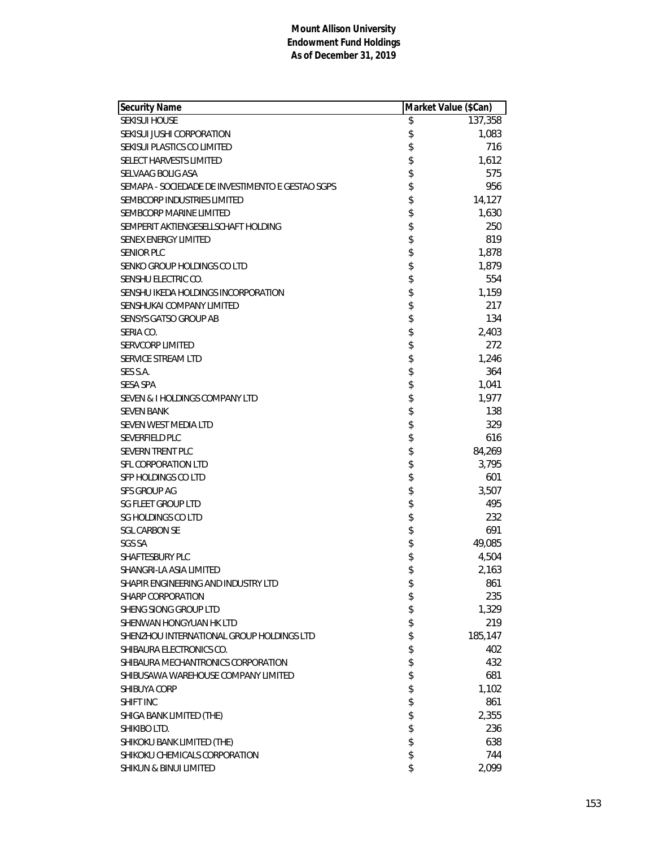| <b>Security Name</b>                             | Market Value (\$Can) |
|--------------------------------------------------|----------------------|
| <b>SEKISUI HOUSE</b>                             | \$<br>137,358        |
| SEKISUI JUSHI CORPORATION                        | \$<br>1,083          |
| SEKISUI PLASTICS CO LIMITED                      | \$<br>716            |
| <b>SELECT HARVESTS LIMITED</b>                   | \$<br>1,612          |
| SELVAAG BOLIG ASA                                | \$<br>575            |
| SEMAPA - SOCIEDADE DE INVESTIMENTO E GESTAO SGPS | \$<br>956            |
| SEMBCORP INDUSTRIES LIMITED                      | \$<br>14,127         |
| SEMBCORP MARINE LIMITED                          | \$<br>1,630          |
| SEMPERIT AKTIENGESELLSCHAFT HOLDING              | \$<br>250            |
| <b>SENEX ENERGY LIMITED</b>                      | \$<br>819            |
| <b>SENIOR PLC</b>                                | \$<br>1,878          |
| SENKO GROUP HOLDINGS CO LTD                      | \$<br>1,879          |
| SENSHU ELECTRIC CO.                              | 554                  |
| SENSHU IKEDA HOLDINGS INCORPORATION              | \$<br>1,159          |
| SENSHUKAI COMPANY LIMITED                        | \$<br>217            |
| <b>SENSYS GATSO GROUP AB</b>                     | \$<br>134            |
| SERIA CO.                                        | \$<br>2,403          |
| <b>SERVCORP LIMITED</b>                          | \$<br>272            |
| SERVICE STREAM LTD                               | \$<br>1,246          |
| SES S.A.                                         | \$<br>364            |
| <b>SESA SPA</b>                                  | \$<br>1,041          |
| SEVEN & I HOLDINGS COMPANY LTD                   | \$<br>1,977          |
| <b>SEVEN BANK</b>                                | \$<br>138            |
| SEVEN WEST MEDIA LTD                             | \$<br>329            |
| SEVERFIELD PLC                                   | \$<br>616            |
| SEVERN TRENT PLC                                 | \$<br>84,269         |
| SFL CORPORATION LTD                              | \$<br>3,795          |
| SFP HOLDINGS CO LTD                              | \$<br>601            |
| SFS GROUP AG                                     | \$<br>3,507          |
| <b>SG FLEET GROUP LTD</b>                        | 495                  |
| <b>SG HOLDINGS CO LTD</b>                        | \$<br>232            |
| <b>SGL CARBON SE</b>                             | \$<br>691            |
| <b>SGS SA</b>                                    | \$<br>49,085         |
| SHAFTESBURY PLC                                  | \$<br>4,504          |
| SHANGRI-LA ASIA LIMITED                          | \$<br>2,163          |
| SHAPIR ENGINEERING AND INDUSTRY LTD              | \$<br>861            |
| <b>SHARP CORPORATION</b>                         | \$<br>235            |
| SHENG SIONG GROUP LTD                            | \$<br>1,329          |
| SHENWAN HONGYUAN HK LTD                          | \$<br>219            |
| SHENZHOU INTERNATIONAL GROUP HOLDINGS LTD        | \$<br>185,147        |
| SHIBAURA ELECTRONICS CO.                         | \$<br>402            |
| SHIBAURA MECHANTRONICS CORPORATION               | \$<br>432            |
| SHIBUSAWA WAREHOUSE COMPANY LIMITED              | \$<br>681            |
| SHIBUYA CORP                                     | \$<br>1,102          |
| SHIFT INC                                        | \$<br>861            |
| SHIGA BANK LIMITED (THE)                         | \$<br>2,355          |
| SHIKIBO LTD.                                     | \$<br>236            |
| SHIKOKU BANK LIMITED (THE)                       | \$<br>638            |
| SHIKOKU CHEMICALS CORPORATION                    | \$<br>744            |
| SHIKUN & BINUI LIMITED                           | \$<br>2,099          |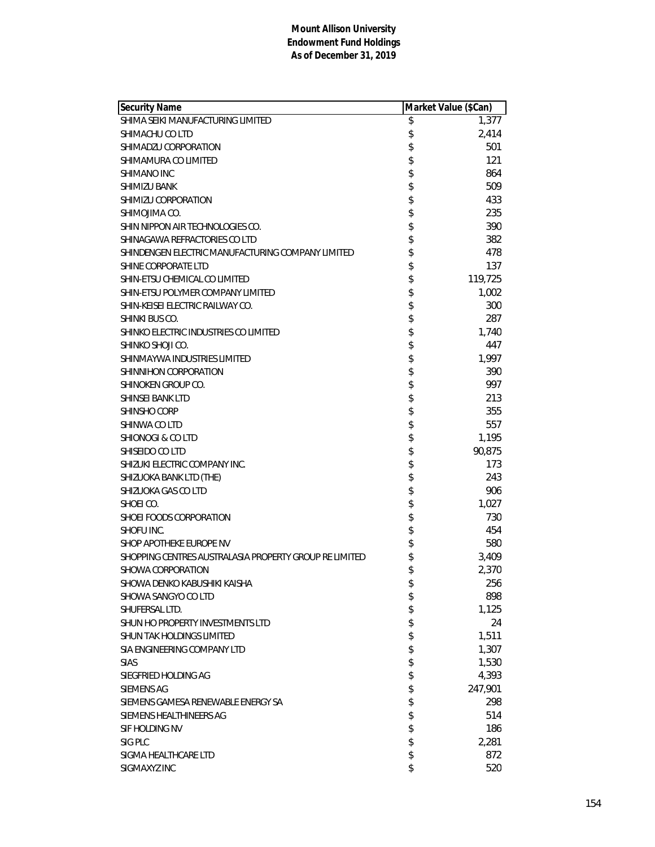| Security Name                                          | Market Value (\$Can) |
|--------------------------------------------------------|----------------------|
| SHIMA SEIKI MANUFACTURING LIMITED                      | \$<br>1,377          |
| SHIMACHU CO LTD                                        | \$<br>2,414          |
| SHIMADZU CORPORATION                                   | \$<br>501            |
| SHIMAMURA CO LIMITED                                   | \$<br>121            |
| SHIMANO INC                                            | \$<br>864            |
| <b>SHIMIZU BANK</b>                                    | \$<br>509            |
| SHIMIZU CORPORATION                                    | \$<br>433            |
| SHIMOJIMA CO.                                          | \$<br>235            |
| SHIN NIPPON AIR TECHNOLOGIES CO.                       | \$<br>390            |
| SHINAGAWA REFRACTORIES CO LTD                          | \$<br>382            |
| SHINDENGEN ELECTRIC MANUFACTURING COMPANY LIMITED      | \$<br>478            |
| SHINE CORPORATE LTD                                    | \$<br>137            |
| SHIN-ETSU CHEMICAL CO LIMITED                          | \$<br>119,725        |
| SHIN-ETSU POLYMER COMPANY LIMITED                      | \$<br>1,002          |
| SHIN-KEISEI ELECTRIC RAILWAY CO.                       | \$<br>300            |
| SHINKI BUS CO.                                         | \$<br>287            |
| SHINKO ELECTRIC INDUSTRIES CO LIMITED                  | \$<br>1,740          |
| SHINKO SHOJI CO.                                       | \$<br>447            |
| SHINMAYWA INDUSTRIES LIMITED                           | \$<br>1,997          |
| SHINNIHON CORPORATION                                  | \$<br>390            |
| SHINOKEN GROUP CO.                                     | \$<br>997            |
| SHINSEI BANK LTD                                       | \$<br>213            |
| <b>SHINSHO CORP</b>                                    | \$<br>355            |
| SHINWA CO LTD                                          | \$<br>557            |
| <b>SHIONOGI &amp; CO LTD</b>                           | \$<br>1,195          |
| SHISEIDO CO LTD                                        | \$<br>90,875         |
| SHIZUKI ELECTRIC COMPANY INC.                          | \$<br>173            |
| SHIZUOKA BANK LTD (THE)                                | \$<br>243            |
| SHIZUOKA GAS CO LTD                                    | \$<br>906            |
| SHOEI CO.                                              | \$<br>1,027          |
| SHOEI FOODS CORPORATION                                | \$<br>730            |
| SHOFU INC.                                             | \$<br>454            |
| SHOP APOTHEKE EUROPE NV                                | \$<br>580            |
| SHOPPING CENTRES AUSTRALASIA PROPERTY GROUP RE LIMITED | \$<br>3,409          |
| SHOWA CORPORATION                                      | \$<br>2,370          |
| SHOWA DENKO KABUSHIKI KAISHA                           | \$<br>256            |
| SHOWA SANGYO CO LTD                                    | \$<br>898            |
| SHUFERSAL LTD.                                         | \$<br>1,125          |
| SHUN HO PROPERTY INVESTMENTS LTD                       | \$<br>24             |
| SHUN TAK HOLDINGS LIMITED                              | \$<br>1,511          |
| SIA ENGINEERING COMPANY LTD                            | \$<br>1,307          |
| <b>SIAS</b>                                            | \$<br>1,530          |
| SIEGFRIED HOLDING AG                                   | \$<br>4,393          |
| <b>SIEMENS AG</b>                                      | \$<br>247,901        |
| SIEMENS GAMESA RENEWABLE ENERGY SA                     | \$<br>298            |
| SIEMENS HEALTHINEERS AG                                | \$<br>514            |
| SIF HOLDING NV                                         | \$<br>186            |
| SIG PLC                                                | \$<br>2,281          |
| SIGMA HEALTHCARE LTD                                   | \$<br>872            |
| SIGMAXYZ INC                                           | \$<br>520            |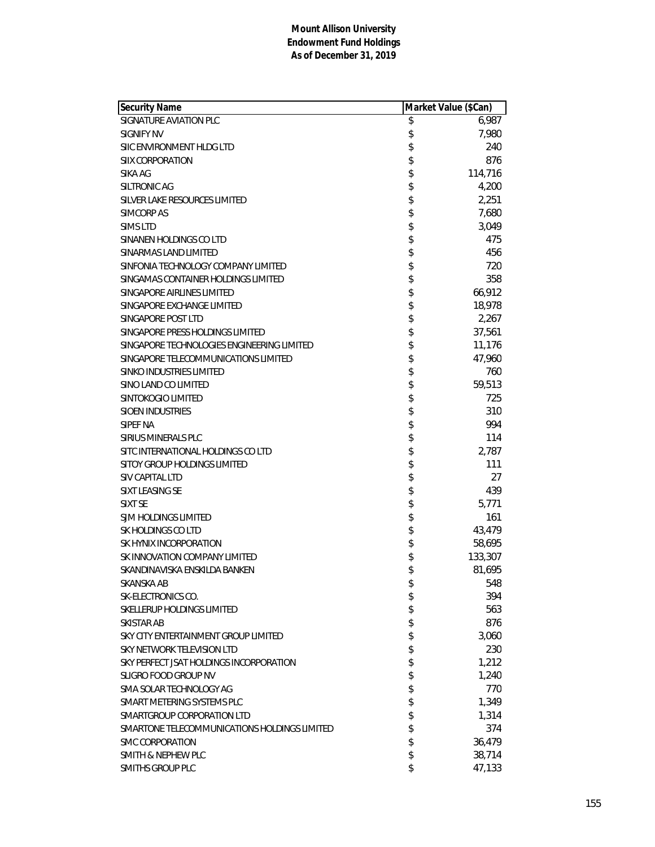| Security Name                                | Market Value (\$Can) |
|----------------------------------------------|----------------------|
| SIGNATURE AVIATION PLC                       | \$<br>6,987          |
| SIGNIFY NV                                   | \$<br>7,980          |
| SIIC ENVIRONMENT HLDG LTD                    | \$<br>240            |
| <b>SIIX CORPORATION</b>                      | \$<br>876            |
| SIKA AG                                      | \$<br>114,716        |
| SILTRONIC AG                                 | \$<br>4,200          |
| SILVER LAKE RESOURCES LIMITED                | \$<br>2,251          |
| SIMCORP AS                                   | \$<br>7,680          |
| SIMS LTD                                     | \$<br>3,049          |
| SINANEN HOLDINGS CO LTD                      | \$<br>475            |
| SINARMAS LAND LIMITED                        | \$<br>456            |
| SINFONIA TECHNOLOGY COMPANY LIMITED          | \$<br>720            |
| SINGAMAS CONTAINER HOLDINGS LIMITED          | \$<br>358            |
| SINGAPORE AIRLINES LIMITED                   | \$<br>66,912         |
| SINGAPORE EXCHANGE LIMITED                   | \$<br>18,978         |
| SINGAPORE POST LTD                           | \$<br>2,267          |
| SINGAPORE PRESS HOLDINGS LIMITED             | \$<br>37,561         |
| SINGAPORE TECHNOLOGIES ENGINEERING LIMITED   | \$<br>11,176         |
| SINGAPORE TELECOMMUNICATIONS LIMITED         | \$<br>47,960         |
| SINKO INDUSTRIES LIMITED                     | \$<br>760            |
| SINO LAND CO LIMITED                         | \$<br>59,513         |
| SINTOKOGIO LIMITED                           | \$<br>725            |
| <b>SIOEN INDUSTRIES</b>                      | \$<br>310            |
| SIPEF NA                                     | \$<br>994            |
| SIRIUS MINERALS PLC                          | \$<br>114            |
| SITC INTERNATIONAL HOLDINGS CO LTD           | \$<br>2,787          |
| SITOY GROUP HOLDINGS LIMITED                 | \$<br>111            |
| SIV CAPITAL LTD                              | \$<br>27             |
| SIXT LEASING SE                              | \$<br>439            |
| SIXT SE                                      | \$<br>5,771          |
| SJM HOLDINGS LIMITED                         | \$<br>161            |
| SK HOLDINGS CO LTD                           | \$<br>43,479         |
| SK HYNIX INCORPORATION                       | \$<br>58,695         |
| SK INNOVATION COMPANY LIMITED                | \$<br>133,307        |
| SKANDINAVISKA ENSKILDA BANKEN                | \$<br>81,695         |
| SKANSKA AB                                   | \$<br>548            |
| SK-ELECTRONICS CO.                           | \$<br>394            |
| SKELLERUP HOLDINGS LIMITED                   | \$<br>563            |
| SKISTAR AB                                   | \$<br>876            |
| SKY CITY ENTERTAINMENT GROUP LIMITED         | \$<br>3,060          |
| SKY NETWORK TELEVISION LTD                   | \$<br>230            |
| SKY PERFECT JSAT HOLDINGS INCORPORATION      | \$<br>1,212          |
| <b>SLIGRO FOOD GROUP NV</b>                  | \$<br>1,240          |
| SMA SOLAR TECHNOLOGY AG                      | \$<br>770            |
| SMART METERING SYSTEMS PLC                   | \$<br>1,349          |
| SMARTGROUP CORPORATION LTD                   | \$<br>1,314          |
| SMARTONE TELECOMMUNICATIONS HOLDINGS LIMITED | \$<br>374            |
| SMC CORPORATION                              | \$<br>36,479         |
| <b>SMITH &amp; NEPHEW PLC</b>                | \$<br>38,714         |
| <b>SMITHS GROUP PLC</b>                      | \$<br>47,133         |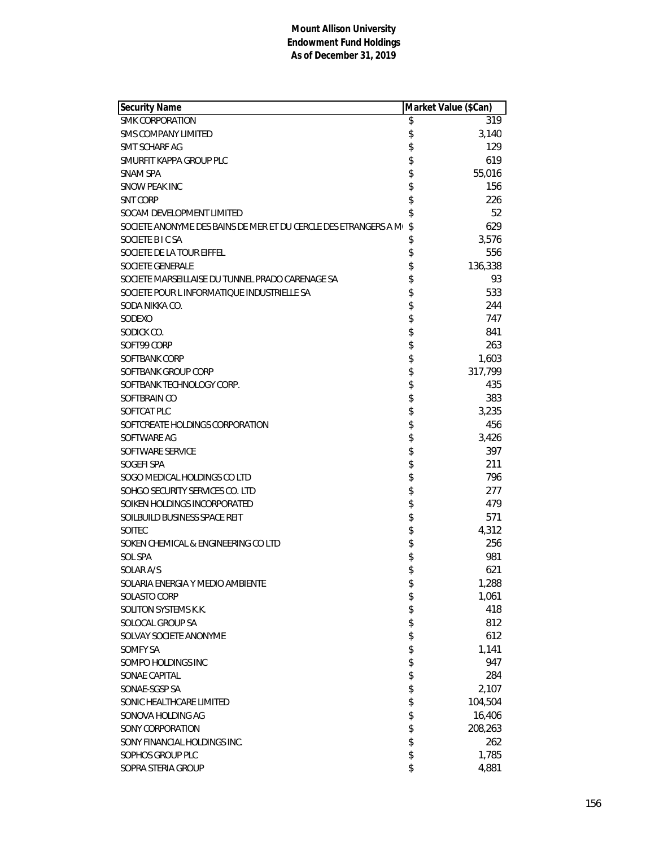| Security Name                                                    |          | Market Value (\$Can) |
|------------------------------------------------------------------|----------|----------------------|
| <b>SMK CORPORATION</b>                                           | \$       | 319                  |
| <b>SMS COMPANY LIMITED</b>                                       | \$       | 3,140                |
| SMT SCHARF AG                                                    | \$       | 129                  |
| SMURFIT KAPPA GROUP PLC                                          | \$       | 619                  |
| <b>SNAM SPA</b>                                                  | \$       | 55,016               |
| SNOW PEAK INC                                                    | \$       | 156                  |
| <b>SNT CORP</b>                                                  | \$       | 226                  |
| SOCAM DEVELOPMENT LIMITED                                        | \$       | 52                   |
| SOCIETE ANONYME DES BAINS DE MER ET DU CERCLE DES ETRANGERS A M( | \$       | 629                  |
| SOCIETE BICSA                                                    | \$       | 3,576                |
| SOCIETE DE LA TOUR EIFFEL                                        | \$       | 556                  |
| <b>SOCIETE GENERALE</b>                                          | \$       | 136,338              |
| SOCIETE MARSEILLAISE DU TUNNEL PRADO CARENAGE SA                 | \$       | 93                   |
| SOCIETE POUR L INFORMATIQUE INDUSTRIELLE SA                      | \$       | 533                  |
| SODA NIKKA CO.                                                   | \$       | 244                  |
| SODEXO                                                           | \$       | 747                  |
| SODICK CO.                                                       | \$       | 841                  |
| SOFT99 CORP                                                      | \$       | 263                  |
| SOFTBANK CORP                                                    | \$       | 1,603                |
| SOFTBANK GROUP CORP                                              | \$       | 317,799              |
| SOFTBANK TECHNOLOGY CORP.                                        | \$       | 435                  |
| SOFTBRAIN CO                                                     | \$       | 383                  |
| SOFTCAT PLC                                                      | \$       | 3,235                |
| SOFTCREATE HOLDINGS CORPORATION                                  | \$       | 456                  |
| SOFTWARE AG                                                      | \$       | 3,426                |
| SOFTWARE SERVICE                                                 | \$       | 397                  |
| SOGEFI SPA                                                       | \$       | 211                  |
| SOGO MEDICAL HOLDINGS CO LTD                                     | \$       | 796                  |
| SOHGO SECURITY SERVICES CO. LTD                                  | \$       | 277                  |
| SOIKEN HOLDINGS INCORPORATED                                     | \$       | 479                  |
| SOILBUILD BUSINESS SPACE REIT                                    | \$       | 571                  |
| <b>SOITEC</b>                                                    | \$<br>\$ | 4,312                |
| SOKEN CHEMICAL & ENGINEERING CO LTD                              |          | 256                  |
| SOL SPA                                                          | \$       | 981                  |
| SOLAR A/S                                                        | \$       | 621                  |
| SOLARIA ENERGIA Y MEDIO AMBIENTE                                 | \$       | 1,288                |
| SOLASTO CORP                                                     | \$       | 1,061                |
| SOLITON SYSTEMS K.K.                                             | \$       | 418                  |
| SOLOCAL GROUP SA                                                 | \$       | 812                  |
| SOLVAY SOCIETE ANONYME                                           | \$       | 612                  |
| <b>SOMFY SA</b>                                                  | \$       | 1,141                |
| SOMPO HOLDINGS INC                                               | \$       | 947                  |
| SONAE CAPITAL                                                    | \$       | 284                  |
| SONAE-SGSP SA                                                    | \$       | 2,107                |
| SONIC HEALTHCARE LIMITED                                         | \$       | 104,504              |
| SONOVA HOLDING AG                                                | \$       | 16,406               |
| SONY CORPORATION                                                 | \$       | 208,263              |
| SONY FINANCIAL HOLDINGS INC.                                     | \$       | 262                  |
| SOPHOS GROUP PLC                                                 |          | 1,785                |
| SOPRA STERIA GROUP                                               | \$       | 4,881                |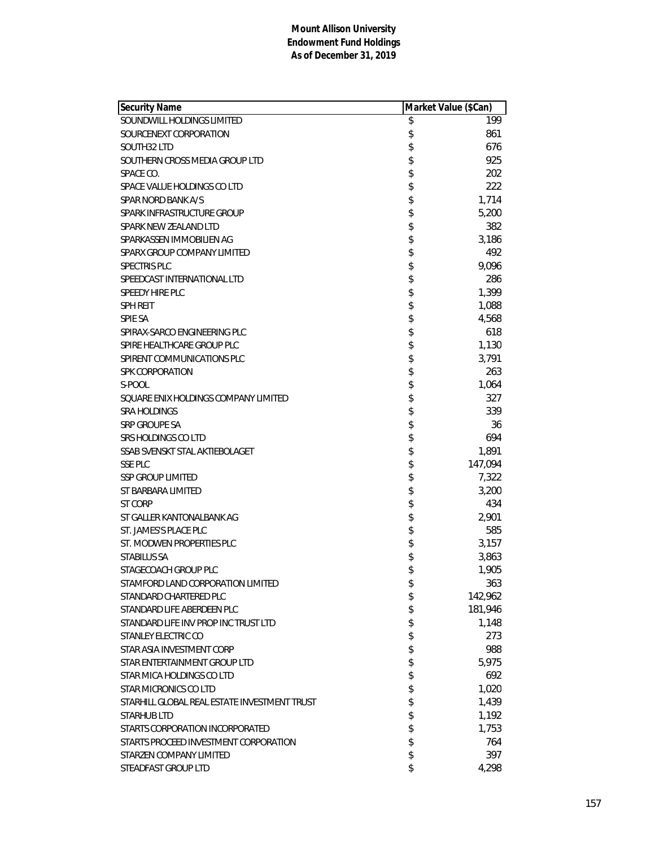| Security Name                                | Market Value (\$Can) |
|----------------------------------------------|----------------------|
| SOUNDWILL HOLDINGS LIMITED                   | \$<br>199            |
| SOURCENEXT CORPORATION                       | \$<br>861            |
| SOUTH32 LTD                                  | \$<br>676            |
| SOUTHERN CROSS MEDIA GROUP LTD               | \$<br>925            |
| SPACE CO.                                    | \$<br>202            |
| SPACE VALUE HOLDINGS CO LTD                  | \$<br>222            |
| SPAR NORD BANK A/S                           | \$<br>1,714          |
| SPARK INFRASTRUCTURE GROUP                   | \$<br>5,200          |
| SPARK NEW ZEALAND LTD                        | \$<br>382            |
| SPARKASSEN IMMOBILIEN AG                     | \$<br>3,186          |
| SPARX GROUP COMPANY LIMITED                  | \$<br>492            |
| SPECTRIS PLC                                 | \$<br>9,096          |
| SPEEDCAST INTERNATIONAL LTD                  | \$<br>286            |
| SPEEDY HIRE PLC                              | \$<br>1,399          |
| <b>SPH REIT</b>                              | \$<br>1,088          |
| <b>SPIE SA</b>                               | \$<br>4,568          |
| SPIRAX-SARCO ENGINEERING PLC                 | \$<br>618            |
| SPIRE HEALTHCARE GROUP PLC                   | \$<br>1,130          |
| SPIRENT COMMUNICATIONS PLC                   | \$<br>3,791          |
| SPK CORPORATION                              | \$<br>263            |
| S-POOL                                       | \$<br>1,064          |
| SQUARE ENIX HOLDINGS COMPANY LIMITED         | \$<br>327            |
| <b>SRA HOLDINGS</b>                          | \$<br>339            |
| SRP GROUPE SA                                | \$<br>36             |
| SRS HOLDINGS CO LTD                          | \$<br>694            |
| SSAB SVENSKT STAL AKTIEBOLAGET               | \$<br>1,891          |
| <b>SSE PLC</b>                               | \$<br>147,094        |
| <b>SSP GROUP LIMITED</b>                     | \$<br>7,322          |
| ST BARBARA LIMITED                           | \$<br>3,200          |
| ST CORP                                      | \$<br>434            |
| ST GALLER KANTONALBANK AG                    | \$<br>2,901          |
| ST. JAMES'S PLACE PLC                        | \$<br>585            |
| ST. MODWEN PROPERTIES PLC                    | \$<br>3,157          |
| <b>STABILUS SA</b>                           | \$<br>3,863          |
| STAGECOACH GROUP PLC                         | \$<br>1,905          |
| STAMFORD LAND CORPORATION LIMITED            | \$<br>363            |
| STANDARD CHARTERED PLC                       | \$<br>142,962        |
| STANDARD LIFE ABERDEEN PLC                   | \$<br>181,946        |
| STANDARD LIFE INV PROP INC TRUST LTD         | \$<br>1,148          |
| STANLEY ELECTRIC CO                          | \$<br>273            |
| STAR ASIA INVESTMENT CORP                    | \$<br>988            |
| STAR ENTERTAINMENT GROUP LTD                 | \$<br>5,975          |
| STAR MICA HOLDINGS CO LTD                    | \$<br>692            |
| STAR MICRONICS CO LTD                        | \$<br>1,020          |
| STARHILL GLOBAL REAL ESTATE INVESTMENT TRUST | \$<br>1,439          |
| <b>STARHUB LTD</b>                           | \$<br>1,192          |
| STARTS CORPORATION INCORPORATED              | \$<br>1,753          |
| STARTS PROCEED INVESTMENT CORPORATION        | \$<br>764            |
| STARZEN COMPANY LIMITED                      | \$<br>397            |
| STEADFAST GROUP LTD                          | \$<br>4,298          |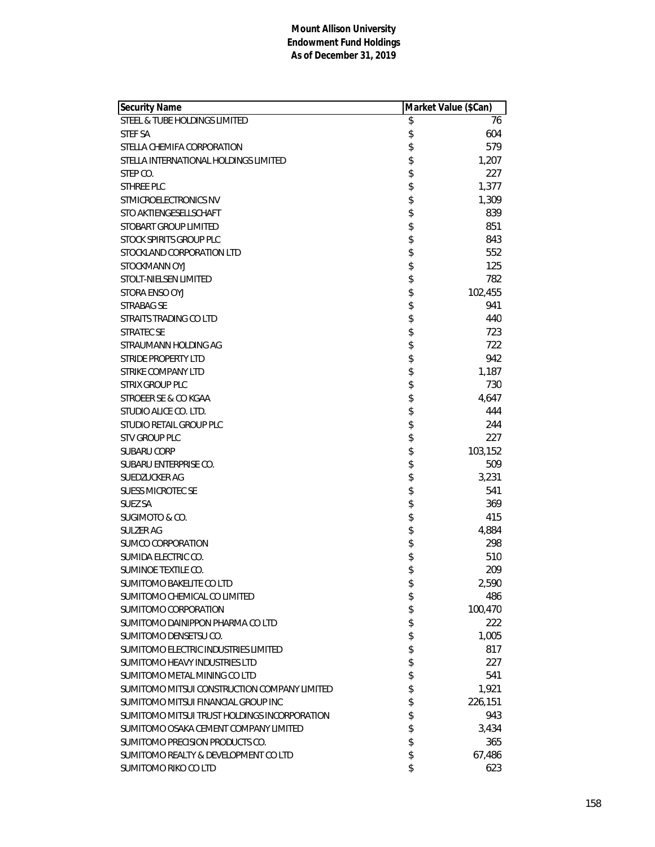| Security Name                                | Market Value (\$Can) |
|----------------------------------------------|----------------------|
| STEEL & TUBE HOLDINGS LIMITED                | \$<br>76             |
| STEF SA                                      | \$<br>604            |
| STELLA CHEMIFA CORPORATION                   | \$<br>579            |
| STELLA INTERNATIONAL HOLDINGS LIMITED        | \$<br>1,207          |
| STEP CO.                                     | \$<br>227            |
| STHREE PLC                                   | \$<br>1,377          |
| STMICROELECTRONICS NV                        | \$<br>1,309          |
| STO AKTIENGESELLSCHAFT                       | \$<br>839            |
| STOBART GROUP LIMITED                        | \$<br>851            |
| STOCK SPIRITS GROUP PLC                      | \$<br>843            |
| STOCKLAND CORPORATION LTD                    | \$<br>552            |
| STOCKMANN OYJ                                | \$<br>125            |
| STOLT-NIELSEN LIMITED                        | \$<br>782            |
| STORA ENSO OYJ                               | \$<br>102,455        |
| STRABAG SE                                   | \$<br>941            |
| STRAITS TRADING CO LTD                       | \$<br>440            |
| <b>STRATEC SE</b>                            | \$<br>723            |
| STRAUMANN HOLDING AG                         | \$<br>722            |
| <b>STRIDE PROPERTY LTD</b>                   | \$<br>942            |
| <b>STRIKE COMPANY LTD</b>                    | \$<br>1,187          |
| <b>STRIX GROUP PLC</b>                       | \$<br>730            |
| STROEER SE & CO KGAA                         | \$<br>4,647          |
| STUDIO ALICE CO. LTD.                        | \$<br>444            |
| <b>STUDIO RETAIL GROUP PLC</b>               | \$<br>244            |
| <b>STV GROUP PLC</b>                         | \$<br>227            |
| <b>SUBARU CORP</b>                           | \$<br>103,152        |
| SUBARU ENTERPRISE CO.                        | \$<br>509            |
| SUEDZUCKER AG                                | \$<br>3,231          |
| <b>SUESS MICROTEC SE</b>                     | \$<br>541            |
| SUEZ SA                                      | \$<br>369            |
| SUGIMOTO & CO.                               | \$<br>415            |
| SULZER AG                                    | \$<br>4,884          |
| SUMCO CORPORATION                            | \$<br>298            |
| SUMIDA ELECTRIC CO.                          | \$<br>510            |
| SUMINOE TEXTILE CO.                          | \$<br>209            |
| SUMITOMO BAKELITE CO LTD                     | \$<br>2,590          |
| SUMITOMO CHEMICAL CO LIMITED                 | \$<br>486            |
| SUMITOMO CORPORATION                         | \$<br>100,470        |
| SUMITOMO DAINIPPON PHARMA CO LTD             | \$<br>222            |
| SUMITOMO DENSETSU CO.                        | \$<br>1,005          |
| SUMITOMO ELECTRIC INDUSTRIES LIMITED         | \$<br>817            |
| SUMITOMO HEAVY INDUSTRIES LTD                | \$<br>227            |
| SUMITOMO METAL MINING CO LTD                 | \$<br>541            |
| SUMITOMO MITSUI CONSTRUCTION COMPANY LIMITED | \$<br>1,921          |
| SUMITOMO MITSUI FINANCIAL GROUP INC          | \$<br>226,151        |
| SUMITOMO MITSUI TRUST HOLDINGS INCORPORATION | \$<br>943            |
| SUMITOMO OSAKA CEMENT COMPANY LIMITED        | \$<br>3,434          |
| SUMITOMO PRECISION PRODUCTS CO.              | \$<br>365            |
| SUMITOMO REALTY & DEVELOPMENT CO LTD         | \$<br>67,486         |
| SUMITOMO RIKO CO LTD                         | \$<br>623            |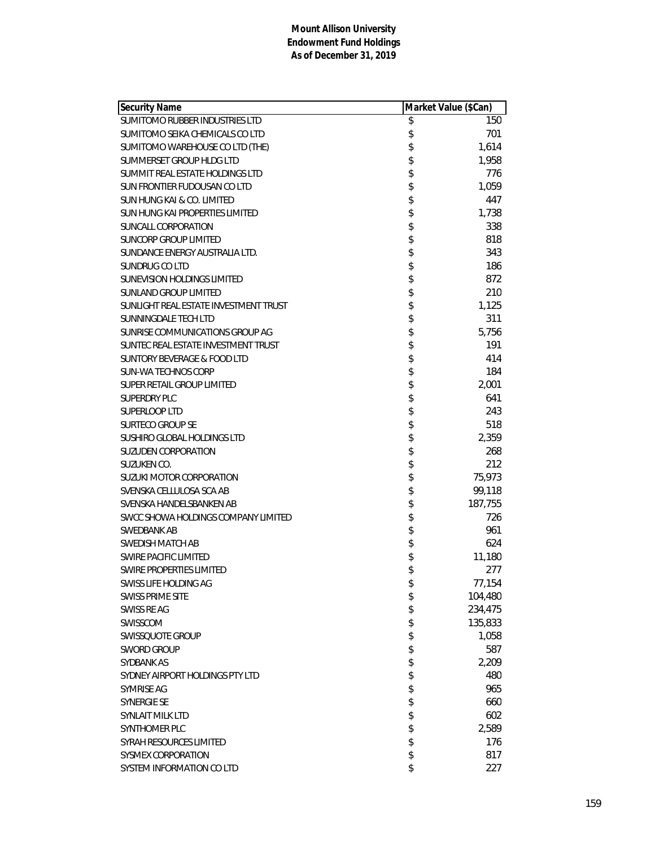| Security Name                          | Market Value (\$Can) |
|----------------------------------------|----------------------|
| SUMITOMO RUBBER INDUSTRIES LTD         | \$<br>150            |
| SUMITOMO SEIKA CHEMICALS CO LTD        | \$<br>701            |
| SUMITOMO WAREHOUSE CO LTD (THE)        | \$<br>1,614          |
| SUMMERSET GROUP HLDG LTD               | \$<br>1,958          |
| SUMMIT REAL ESTATE HOLDINGS LTD        | \$<br>776            |
| SUN FRONTIER FUDOUSAN CO LTD           | \$<br>1,059          |
| SUN HUNG KAI & CO. LIMITED             | \$<br>447            |
| SUN HUNG KAI PROPERTIES LIMITED        | \$<br>1,738          |
| <b>SUNCALL CORPORATION</b>             | \$<br>338            |
| SUNCORP GROUP LIMITED                  | \$<br>818            |
| SUNDANCE ENERGY AUSTRALIA LTD.         | \$<br>343            |
| SUNDRUG CO LTD                         | \$<br>186            |
| SUNEVISION HOLDINGS LIMITED            | \$<br>872            |
| <b>SUNLAND GROUP LIMITED</b>           | \$<br>210            |
| SUNLIGHT REAL ESTATE INVESTMENT TRUST  | \$<br>1,125          |
| SUNNINGDALE TECH LTD                   | \$<br>311            |
| SUNRISE COMMUNICATIONS GROUP AG        | \$<br>5,756          |
| SUNTEC REAL ESTATE INVESTMENT TRUST    | \$<br>191            |
| <b>SUNTORY BEVERAGE &amp; FOOD LTD</b> | \$<br>414            |
| <b>SUN-WA TECHNOS CORP</b>             | \$<br>184            |
| SUPER RETAIL GROUP LIMITED             | \$<br>2,001          |
| <b>SUPERDRY PLC</b>                    | \$<br>641            |
| SUPERLOOP LTD                          | \$<br>243            |
| <b>SURTECO GROUP SE</b>                | \$<br>518            |
| SUSHIRO GLOBAL HOLDINGS LTD            | \$<br>2,359          |
| <b>SUZUDEN CORPORATION</b>             | \$<br>268            |
| SUZUKEN CO.                            | \$<br>212            |
| <b>SUZUKI MOTOR CORPORATION</b>        | \$<br>75,973         |
| SVENSKA CELLULOSA SCA AB               | \$<br>99,118         |
| SVENSKA HANDELSBANKEN AB               | \$<br>187,755        |
| SWCC SHOWA HOLDINGS COMPANY LIMITED    | \$<br>726            |
| SWEDBANK AB                            | \$<br>961            |
| SWEDISH MATCH AB                       | \$<br>624            |
| <b>SWIRE PACIFIC LIMITED</b>           | \$<br>11,180         |
| SWIRE PROPERTIES LIMITED               | \$<br>277            |
| SWISS LIFE HOLDING AG                  | \$<br>77,154         |
| <b>SWISS PRIME SITE</b>                | \$<br>104,480        |
| SWISS RE AG                            | \$<br>234,475        |
| SWISSCOM                               | \$<br>135,833        |
| SWISSQUOTE GROUP                       | \$<br>1,058          |
| <b>SWORD GROUP</b>                     | \$<br>587            |
| SYDBANK AS                             | \$<br>2,209          |
| SYDNEY AIRPORT HOLDINGS PTY LTD        | \$<br>480            |
| SYMRISE AG                             | \$<br>965            |
| <b>SYNERGIE SE</b>                     | \$<br>660            |
| SYNLAIT MILK LTD                       | \$<br>602            |
| SYNTHOMER PLC                          | \$<br>2,589          |
| SYRAH RESOURCES LIMITED                | \$<br>176            |
| SYSMEX CORPORATION                     | \$<br>817            |
| SYSTEM INFORMATION CO LTD              | \$<br>227            |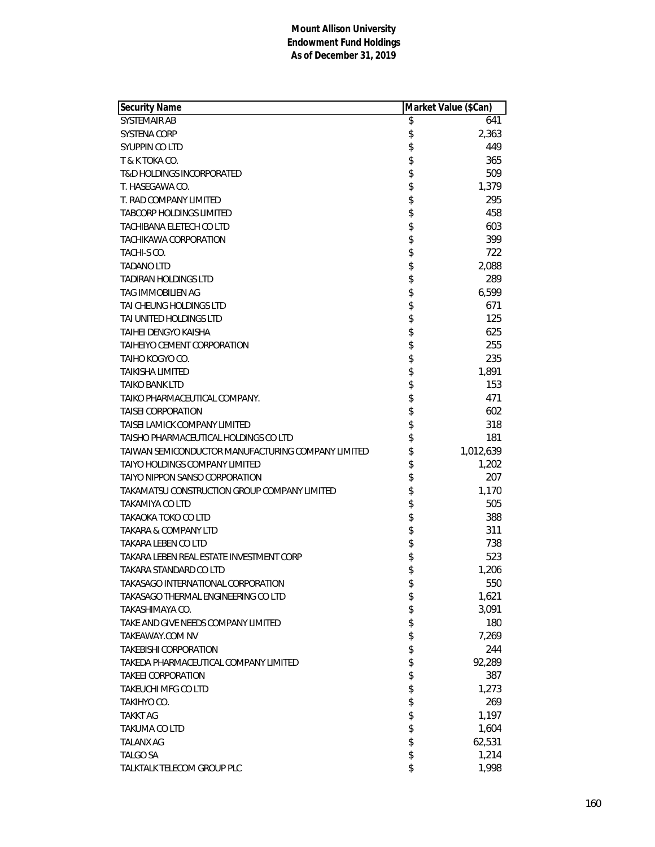| Security Name                                      | Market Value (\$Can) |           |
|----------------------------------------------------|----------------------|-----------|
| <b>SYSTEMAIR AB</b>                                | \$                   | 641       |
| SYSTENA CORP                                       | \$                   | 2,363     |
| SYUPPIN CO LTD                                     | \$                   | 449       |
| T & K TOKA CO.                                     | \$                   | 365       |
| <b>T&amp;D HOLDINGS INCORPORATED</b>               | \$                   | 509       |
| T. HASEGAWA CO.                                    | \$                   | 1,379     |
| T. RAD COMPANY LIMITED                             | \$                   | 295       |
| <b>TABCORP HOLDINGS LIMITED</b>                    | \$                   | 458       |
| TACHIBANA ELETECH CO LTD                           | \$                   | 603       |
| <b>TACHIKAWA CORPORATION</b>                       | \$                   | 399       |
| TACHI-S CO.                                        | \$                   | 722       |
| <b>TADANO LTD</b>                                  | \$                   | 2,088     |
| <b>TADIRAN HOLDINGS LTD</b>                        | \$                   | 289       |
| TAG IMMOBILIEN AG                                  | \$                   | 6,599     |
| TAI CHEUNG HOLDINGS LTD                            | \$                   | 671       |
| TAI UNITED HOLDINGS LTD                            | \$                   | 125       |
| TAIHEI DENGYO KAISHA                               | \$                   | 625       |
| TAIHEIYO CEMENT CORPORATION                        | \$                   | 255       |
| TAIHO KOGYO CO.                                    | \$                   | 235       |
| <b>TAIKISHA LIMITED</b>                            | \$                   | 1,891     |
| <b>TAIKO BANK LTD</b>                              | \$                   | 153       |
| TAIKO PHARMACEUTICAL COMPANY.                      | \$                   | 471       |
| <b>TAISEI CORPORATION</b>                          | \$                   | 602       |
| TAISEI LAMICK COMPANY LIMITED                      | \$                   | 318       |
| TAISHO PHARMACEUTICAL HOLDINGS CO LTD              | \$                   | 181       |
| TAIWAN SEMICONDUCTOR MANUFACTURING COMPANY LIMITED | \$                   | 1,012,639 |
| TAIYO HOLDINGS COMPANY LIMITED                     | \$                   | 1,202     |
| TAIYO NIPPON SANSO CORPORATION                     | \$                   | 207       |
| TAKAMATSU CONSTRUCTION GROUP COMPANY LIMITED       | \$                   | 1,170     |
| TAKAMIYA CO LTD                                    | \$                   | 505       |
| TAKAOKA TOKO CO LTD                                | \$                   | 388       |
| TAKARA & COMPANY LTD                               | \$                   | 311       |
| TAKARA LEBEN CO LTD                                | \$                   | 738       |
| TAKARA LEBEN REAL ESTATE INVESTMENT CORP           | \$                   | 523       |
| TAKARA STANDARD CO LTD                             | \$                   | 1,206     |
| TAKASAGO INTERNATIONAL CORPORATION                 | \$                   | 550       |
| TAKASAGO THERMAL ENGINEERING CO LTD                | \$                   | 1,621     |
| TAKASHIMAYA CO.                                    | \$                   | 3,091     |
| TAKE AND GIVE NEEDS COMPANY LIMITED                | \$                   | 180       |
| TAKEAWAY.COM NV                                    | \$                   | 7,269     |
| <b>TAKEBISHI CORPORATION</b>                       | \$                   | 244       |
| TAKEDA PHARMACEUTICAL COMPANY LIMITED              | \$                   | 92,289    |
| <b>TAKEEI CORPORATION</b>                          | \$                   | 387       |
| TAKEUCHI MFG CO LTD                                | \$                   | 1,273     |
| TAKIHYO CO.                                        | \$                   | 269       |
| <b>TAKKT AG</b>                                    | \$                   | 1,197     |
| TAKUMA CO LTD                                      | \$                   | 1,604     |
| <b>TALANX AG</b>                                   | \$                   | 62,531    |
| TALGO SA                                           | \$                   | 1,214     |
| TALKTALK TELECOM GROUP PLC                         | \$                   | 1,998     |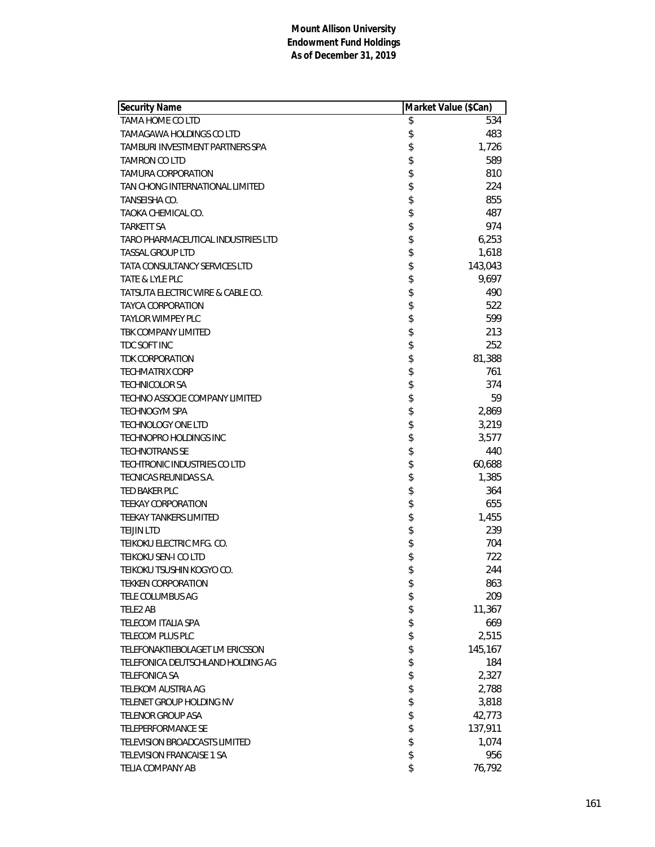| Security Name                        | Market Value (\$Can) |         |
|--------------------------------------|----------------------|---------|
| <b>TAMA HOME CO LTD</b>              | \$                   | 534     |
| TAMAGAWA HOLDINGS CO LTD             | \$                   | 483     |
| TAMBURI INVESTMENT PARTNERS SPA      | \$                   | 1,726   |
| <b>TAMRON CO LTD</b>                 | \$                   | 589     |
| <b>TAMURA CORPORATION</b>            | \$                   | 810     |
| TAN CHONG INTERNATIONAL LIMITED      | \$                   | 224     |
| TANSEISHA CO.                        | \$                   | 855     |
| TAOKA CHEMICAL CO.                   | \$                   | 487     |
| <b>TARKETT SA</b>                    | \$                   | 974     |
| TARO PHARMACEUTICAL INDUSTRIES LTD   | \$                   | 6,253   |
| <b>TASSAL GROUP LTD</b>              | \$                   | 1,618   |
| <b>TATA CONSULTANCY SERVICES LTD</b> | \$                   | 143,043 |
| TATE & LYLE PLC                      | \$                   | 9,697   |
| TATSUTA ELECTRIC WIRE & CABLE CO.    | \$                   | 490     |
| TAYCA CORPORATION                    | \$                   | 522     |
| <b>TAYLOR WIMPEY PLC</b>             | \$                   | 599     |
| TBK COMPANY LIMITED                  | \$                   | 213     |
| TDC SOFT INC                         | \$                   | 252     |
| <b>TDK CORPORATION</b>               | \$                   | 81,388  |
| <b>TECHMATRIX CORP</b>               | \$                   | 761     |
| <b>TECHNICOLOR SA</b>                | \$                   | 374     |
| TECHNO ASSOCIE COMPANY LIMITED       | \$                   | 59      |
| <b>TECHNOGYM SPA</b>                 | \$                   | 2,869   |
| <b>TECHNOLOGY ONE LTD</b>            | \$                   | 3,219   |
| TECHNOPRO HOLDINGS INC               | \$                   | 3,577   |
| <b>TECHNOTRANS SE</b>                | \$                   | 440     |
| TECHTRONIC INDUSTRIES CO LTD         | \$                   | 60,688  |
| TECNICAS REUNIDAS S.A.               | \$                   | 1,385   |
| TED BAKER PLC                        | \$                   | 364     |
| <b>TEEKAY CORPORATION</b>            | \$                   | 655     |
| <b>TEEKAY TANKERS LIMITED</b>        | \$                   | 1,455   |
| <b>TEIJIN LTD</b>                    | \$                   | 239     |
| TEIKOKU ELECTRIC MFG. CO.            | \$                   | 704     |
| <b>TEIKOKU SEN-I CO LTD</b>          | \$                   | 722     |
| TEIKOKU TSUSHIN KOGYO CO.            | \$                   | 244     |
| <b>TEKKEN CORPORATION</b>            | \$                   | 863     |
| TELE COLUMBUS AG                     | \$                   | 209     |
| TELE2 AB                             | \$                   | 11,367  |
| <b>TELECOM ITALIA SPA</b>            | \$                   | 669     |
| TELECOM PLUS PLC                     | \$                   | 2,515   |
| TELEFONAKTIEBOLAGET LM ERICSSON      | \$                   | 145,167 |
| TELEFONICA DEUTSCHLAND HOLDING AG    | \$                   | 184     |
| <b>TELEFONICA SA</b>                 | \$                   | 2,327   |
| <b>TELEKOM AUSTRIA AG</b>            | \$                   | 2,788   |
| TELENET GROUP HOLDING NV             | \$                   | 3,818   |
| <b>TELENOR GROUP ASA</b>             | \$                   | 42,773  |
| <b>TELEPERFORMANCE SE</b>            | \$                   | 137,911 |
| TELEVISION BROADCASTS LIMITED        | \$                   | 1,074   |
| <b>TELEVISION FRANCAISE 1 SA</b>     | \$                   | 956     |
| TELIA COMPANY AB                     | \$                   | 76,792  |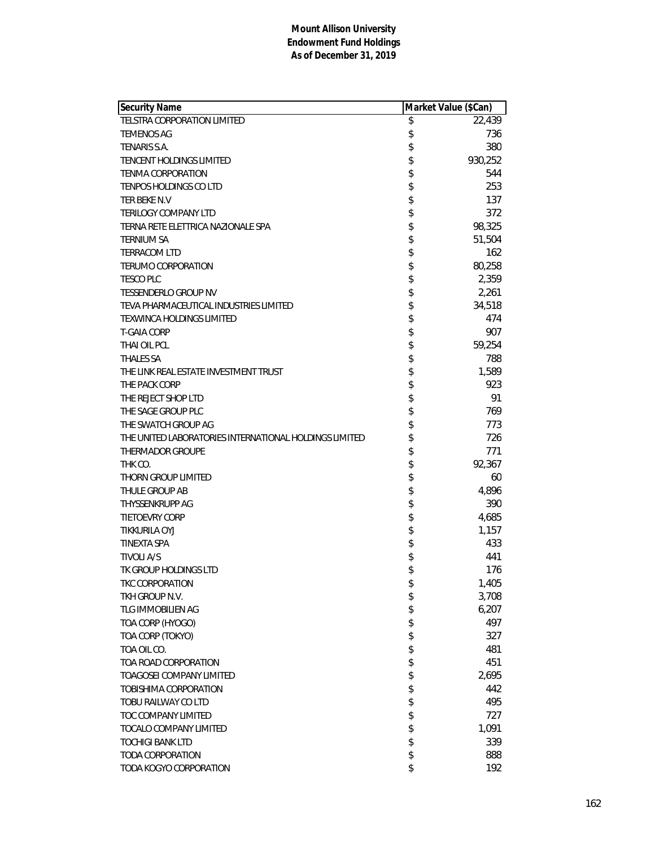| Security Name                                          | Market Value (\$Can) |         |
|--------------------------------------------------------|----------------------|---------|
| TELSTRA CORPORATION LIMITED                            | \$                   | 22,439  |
| <b>TEMENOS AG</b>                                      | \$                   | 736     |
| TENARIS S.A.                                           | \$                   | 380     |
| <b>TENCENT HOLDINGS LIMITED</b>                        | \$                   | 930,252 |
| <b>TENMA CORPORATION</b>                               | \$                   | 544     |
| TENPOS HOLDINGS CO LTD                                 | \$                   | 253     |
| TER BEKE N.V                                           |                      | 137     |
| <b>TERILOGY COMPANY LTD</b>                            | \$\$                 | 372     |
| TERNA RETE ELETTRICA NAZIONALE SPA                     |                      | 98,325  |
| <b>TERNIUM SA</b>                                      | \$                   | 51,504  |
| <b>TERRACOM LTD</b>                                    | \$                   | 162     |
| <b>TERUMO CORPORATION</b>                              | \$                   | 80,258  |
| <b>TESCO PLC</b>                                       | \$                   | 2,359   |
| TESSENDERLO GROUP NV                                   | \$                   | 2,261   |
| TEVA PHARMACEUTICAL INDUSTRIES LIMITED                 | \$                   | 34,518  |
| <b>TEXWINCA HOLDINGS LIMITED</b>                       | \$                   | 474     |
| <b>T-GAIA CORP</b>                                     | \$                   | 907     |
| THAI OIL PCL                                           | \$                   | 59,254  |
| <b>THALES SA</b>                                       | \$                   | 788     |
| THE LINK REAL ESTATE INVESTMENT TRUST                  | \$                   | 1,589   |
| THE PACK CORP                                          | \$                   | 923     |
| THE REJECT SHOP LTD                                    | \$                   | 91      |
| THE SAGE GROUP PLC                                     | \$\$                 | 769     |
| THE SWATCH GROUP AG                                    |                      | 773     |
| THE UNITED LABORATORIES INTERNATIONAL HOLDINGS LIMITED |                      | 726     |
| <b>THERMADOR GROUPE</b>                                | \$                   | 771     |
| THK CO.                                                | \$                   | 92,367  |
| THORN GROUP LIMITED                                    | \$                   | 60      |
| THULE GROUP AB                                         | \$                   | 4,896   |
| <b>THYSSENKRUPP AG</b>                                 | \$                   | 390     |
| <b>TIETOEVRY CORP</b>                                  | \$                   | 4,685   |
| <b>TIKKURILA OYJ</b>                                   | \$\$\$               | 1,157   |
| <b>TINEXTA SPA</b>                                     |                      | 433     |
| <b>TIVOLI A/S</b>                                      |                      | 441     |
| TK GROUP HOLDINGS LTD                                  | \$                   | 176     |
| TKC CORPORATION                                        | \$                   | 1,405   |
| TKH GROUP N.V.                                         | \$                   | 3,708   |
| TLG IMMOBILIEN AG                                      | \$                   | 6,207   |
| TOA CORP (HYOGO)                                       | \$                   | 497     |
| TOA CORP (TOKYO)                                       | \$                   | 327     |
| TOA OIL CO.                                            | \$                   | 481     |
| TOA ROAD CORPORATION                                   |                      | 451     |
| <b>TOAGOSEI COMPANY LIMITED</b>                        | \$                   | 2,695   |
| TOBISHIMA CORPORATION                                  | \$                   | 442     |
| TOBU RAILWAY CO LTD                                    | \$                   | 495     |
| TOC COMPANY LIMITED                                    | \$                   | 727     |
| <b>TOCALO COMPANY LIMITED</b>                          | \$                   | 1,091   |
| <b>TOCHIGI BANK LTD</b>                                | \$                   | 339     |
| <b>TODA CORPORATION</b>                                |                      | 888     |
| TODA KOGYO CORPORATION                                 | \$                   | 192     |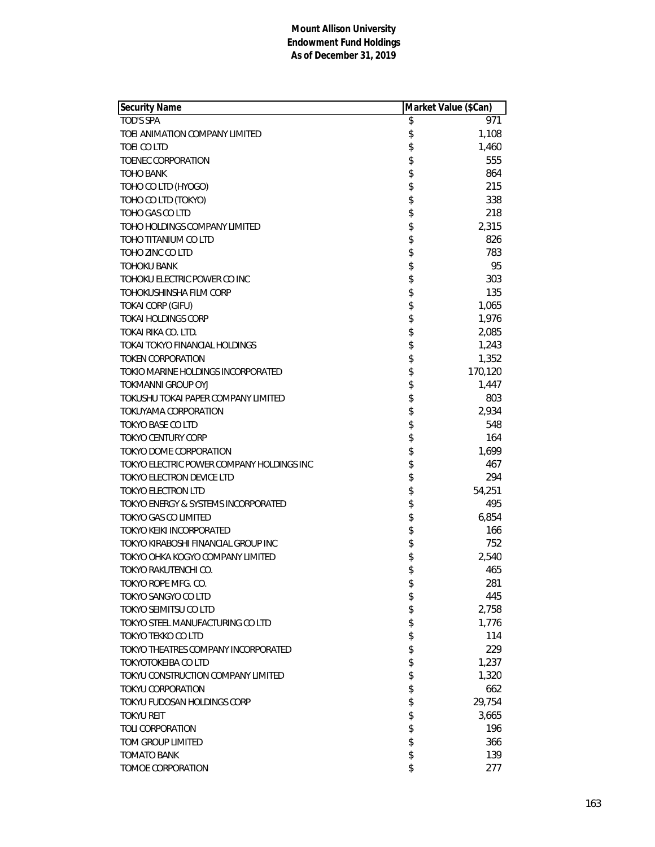| Security Name                             | Market Value (\$Can) |         |
|-------------------------------------------|----------------------|---------|
| <b>TOD'S SPA</b>                          | \$                   | 971     |
| TOEI ANIMATION COMPANY LIMITED            | \$                   | 1,108   |
| TOEI CO LTD                               | \$                   | 1,460   |
| TOENEC CORPORATION                        | \$                   | 555     |
| <b>TOHO BANK</b>                          | \$                   | 864     |
| TOHO CO LTD (HYOGO)                       | \$                   | 215     |
| TOHO CO LTD (TOKYO)                       | \$                   | 338     |
| TOHO GAS CO LTD                           | \$                   | 218     |
| TOHO HOLDINGS COMPANY LIMITED             | \$                   | 2,315   |
| TOHO TITANIUM CO LTD                      | \$                   | 826     |
| TOHO ZINC CO LTD                          | \$                   | 783     |
| <b>TOHOKU BANK</b>                        | \$                   | 95      |
| TOHOKU ELECTRIC POWER CO INC              | \$                   | 303     |
| TOHOKUSHINSHA FILM CORP                   | \$                   | 135     |
| <b>TOKAI CORP (GIFU)</b>                  | \$                   | 1,065   |
| <b>TOKAI HOLDINGS CORP</b>                | \$                   | 1,976   |
| TOKAI RIKA CO. LTD.                       | \$                   | 2,085   |
| <b>TOKAI TOKYO FINANCIAL HOLDINGS</b>     | \$                   | 1,243   |
| <b>TOKEN CORPORATION</b>                  | \$                   | 1,352   |
| TOKIO MARINE HOLDINGS INCORPORATED        | \$                   | 170,120 |
| TOKMANNI GROUP OYJ                        | \$                   | 1,447   |
| TOKUSHU TOKAI PAPER COMPANY LIMITED       | \$                   | 803     |
| TOKUYAMA CORPORATION                      | \$                   | 2,934   |
| <b>TOKYO BASE CO LTD</b>                  | \$                   | 548     |
| <b>TOKYO CENTURY CORP</b>                 | \$                   | 164     |
| TOKYO DOME CORPORATION                    | \$                   | 1,699   |
| TOKYO ELECTRIC POWER COMPANY HOLDINGS INC | \$                   | 467     |
| TOKYO ELECTRON DEVICE LTD                 | \$                   | 294     |
| TOKYO ELECTRON LTD                        | \$                   | 54,251  |
| TOKYO ENERGY & SYSTEMS INCORPORATED       | \$                   | 495     |
| TOKYO GAS CO LIMITED                      | \$                   | 6,854   |
| TOKYO KEIKI INCORPORATED                  | \$                   | 166     |
| TOKYO KIRABOSHI FINANCIAL GROUP INC       | \$                   | 752     |
| TOKYO OHKA KOGYO COMPANY LIMITED          | \$                   | 2,540   |
| TOKYO RAKUTENCHI CO.                      | \$                   | 465     |
| TOKYO ROPE MFG. CO.                       | \$                   | 281     |
| TOKYO SANGYO CO LTD                       | \$                   | 445     |
| TOKYO SEIMITSU CO LTD                     | \$                   | 2,758   |
| TOKYO STEEL MANUFACTURING CO LTD          | \$                   | 1,776   |
| <b>TOKYO TEKKO CO LTD</b>                 | \$                   | 114     |
| TOKYO THEATRES COMPANY INCORPORATED       | \$                   | 229     |
| <b>TOKYOTOKEIBA CO LTD</b>                | \$                   | 1,237   |
| TOKYU CONSTRUCTION COMPANY LIMITED        | \$                   | 1,320   |
| TOKYU CORPORATION                         | \$                   | 662     |
| TOKYU FUDOSAN HOLDINGS CORP               | \$                   | 29,754  |
| <b>TOKYU REIT</b>                         | \$                   | 3,665   |
| <b>TOLI CORPORATION</b>                   | \$                   | 196     |
| TOM GROUP LIMITED                         | \$                   | 366     |
| <b>TOMATO BANK</b>                        | \$                   | 139     |
| TOMOE CORPORATION                         | \$                   | 277     |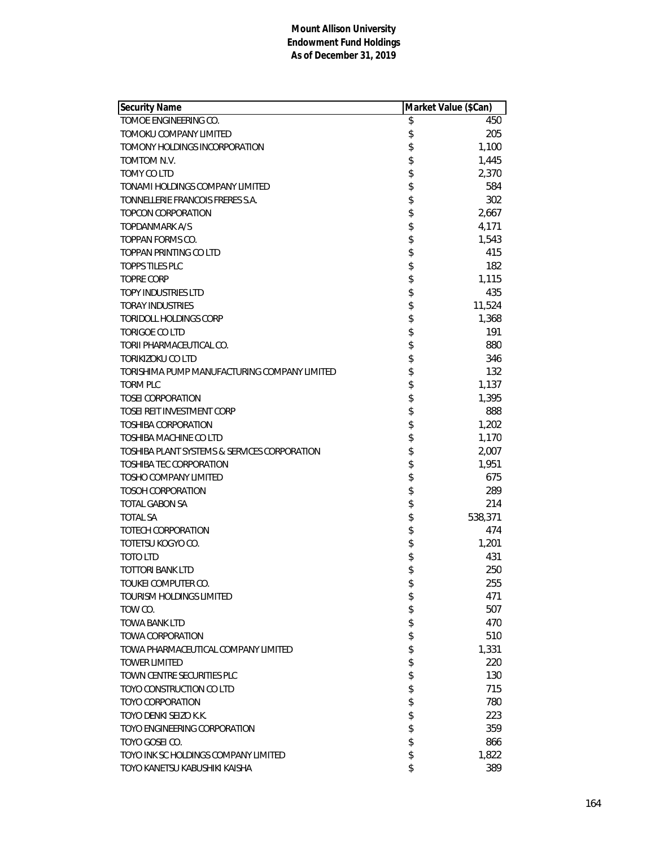| Security Name                                | Market Value (\$Can) |
|----------------------------------------------|----------------------|
| TOMOE ENGINEERING CO.                        | \$<br>450            |
| TOMOKU COMPANY LIMITED                       | \$<br>205            |
| TOMONY HOLDINGS INCORPORATION                | \$<br>1,100          |
| TOMTOM N.V.                                  | \$<br>1,445          |
| TOMY CO LTD                                  | \$<br>2,370          |
| TONAMI HOLDINGS COMPANY LIMITED              | \$<br>584            |
| TONNELLERIE FRANCOIS FRERES S.A.             | \$<br>302            |
| TOPCON CORPORATION                           | \$<br>2,667          |
| TOPDANMARK A/S                               | \$<br>4,171          |
| TOPPAN FORMS CO.                             | \$<br>1,543          |
| TOPPAN PRINTING CO LTD                       | \$<br>415            |
| <b>TOPPS TILES PLC</b>                       | \$<br>182            |
| <b>TOPRE CORP</b>                            | \$<br>1,115          |
| <b>TOPY INDUSTRIES LTD</b>                   | \$<br>435            |
| <b>TORAY INDUSTRIES</b>                      | \$<br>11,524         |
| <b>TORIDOLL HOLDINGS CORP</b>                | \$<br>1,368          |
| <b>TORIGOE CO LTD</b>                        | \$<br>191            |
| TORII PHARMACEUTICAL CO.                     | \$<br>880            |
| <b>TORIKIZOKU CO LTD</b>                     | \$<br>346            |
| TORISHIMA PUMP MANUFACTURING COMPANY LIMITED | \$<br>132            |
| <b>TORM PLC</b>                              | \$<br>1,137          |
| <b>TOSEI CORPORATION</b>                     | \$<br>1,395          |
| <b>TOSEI REIT INVESTMENT CORP</b>            | \$<br>888            |
| <b>TOSHIBA CORPORATION</b>                   | \$<br>1,202          |
| TOSHIBA MACHINE CO LTD                       | \$<br>1,170          |
| TOSHIBA PLANT SYSTEMS & SERVICES CORPORATION | \$<br>2,007          |
| TOSHIBA TEC CORPORATION                      | \$<br>1,951          |
| <b>TOSHO COMPANY LIMITED</b>                 | \$<br>675            |
| <b>TOSOH CORPORATION</b>                     | \$<br>289            |
| <b>TOTAL GABON SA</b>                        | \$<br>214            |
|                                              |                      |
| <b>TOTAL SA</b><br>TOTECH CORPORATION        | \$<br>538,371<br>474 |
|                                              | \$                   |
| TOTETSU KOGYO CO.                            | \$<br>1,201          |
| <b>TOTO LTD</b>                              | \$<br>431            |
| <b>TOTTORI BANK LTD</b>                      | \$<br>250            |
| TOUKEI COMPUTER CO.                          | \$<br>255            |
| <b>TOURISM HOLDINGS LIMITED</b>              | \$<br>471            |
| TOW CO.                                      | \$<br>507            |
| <b>TOWA BANK LTD</b>                         | \$<br>470            |
| <b>TOWA CORPORATION</b>                      | \$<br>510            |
| TOWA PHARMACEUTICAL COMPANY LIMITED          | \$<br>1,331          |
| <b>TOWER LIMITED</b>                         | \$<br>220            |
| TOWN CENTRE SECURITIES PLC                   | \$<br>130            |
| TOYO CONSTRUCTION CO LTD                     | \$<br>715            |
| <b>TOYO CORPORATION</b>                      | \$<br>780            |
| TOYO DENKI SEIZO K.K.                        | \$<br>223            |
| TOYO ENGINEERING CORPORATION                 | \$<br>359            |
| TOYO GOSEI CO.                               | \$<br>866            |
| TOYO INK SC HOLDINGS COMPANY LIMITED         | \$<br>1,822          |
| TOYO KANETSU KABUSHIKI KAISHA                | \$<br>389            |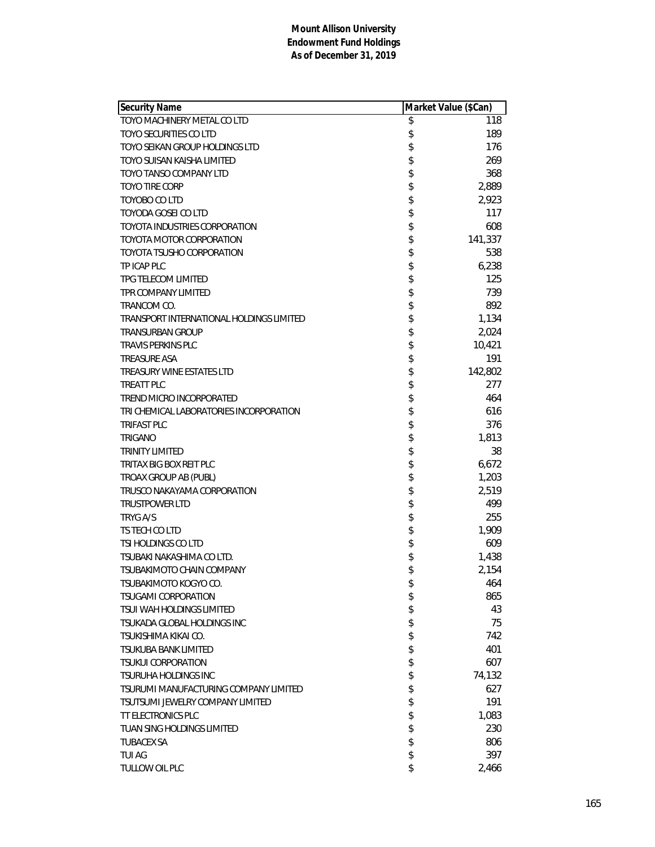| Security Name                            | Market Value (\$Can) |
|------------------------------------------|----------------------|
| TOYO MACHINERY METAL CO LTD              | \$<br>118            |
| <b>TOYO SECURITIES CO LTD</b>            | \$<br>189            |
| TOYO SEIKAN GROUP HOLDINGS LTD           | \$<br>176            |
| TOYO SUISAN KAISHA LIMITED               | \$<br>269            |
| TOYO TANSO COMPANY LTD                   | \$<br>368            |
| TOYO TIRE CORP                           | \$<br>2,889          |
| TOYOBO CO LTD                            | \$<br>2,923          |
| <b>TOYODA GOSEI CO LTD</b>               | \$<br>117            |
| TOYOTA INDUSTRIES CORPORATION            | \$<br>608            |
| TOYOTA MOTOR CORPORATION                 | \$<br>141,337        |
| TOYOTA TSUSHO CORPORATION                | \$<br>538            |
| TP ICAP PLC                              | \$<br>6,238          |
| TPG TELECOM LIMITED                      | \$<br>125            |
| TPR COMPANY LIMITED                      | \$<br>739            |
| TRANCOM CO.                              | \$<br>892            |
| TRANSPORT INTERNATIONAL HOLDINGS LIMITED | \$<br>1,134          |
| <b>TRANSURBAN GROUP</b>                  | \$<br>2,024          |
| <b>TRAVIS PERKINS PLC</b>                | \$<br>10,421         |
| <b>TREASURE ASA</b>                      | \$<br>191            |
| TREASURY WINE ESTATES LTD                | \$<br>142,802        |
| <b>TREATT PLC</b>                        | \$<br>277            |
| TREND MICRO INCORPORATED                 | \$<br>464            |
| TRI CHEMICAL LABORATORIES INCORPORATION  | \$<br>616            |
| <b>TRIFAST PLC</b>                       | \$<br>376            |
| <b>TRIGANO</b>                           | \$<br>1,813          |
| <b>TRINITY LIMITED</b>                   | \$<br>38             |
| TRITAX BIG BOX REIT PLC                  | \$<br>6,672          |
| TROAX GROUP AB (PUBL)                    | \$<br>1,203          |
| TRUSCO NAKAYAMA CORPORATION              | \$<br>2,519          |
| <b>TRUSTPOWER LTD</b>                    | \$<br>499            |
| TRYG A/S                                 | \$<br>255            |
| TS TECH CO LTD                           | \$<br>1,909          |
| TSI HOLDINGS CO LTD                      | \$<br>609            |
| TSUBAKI NAKASHIMA CO LTD.                | \$<br>1,438          |
| TSUBAKIMOTO CHAIN COMPANY                | \$<br>2,154          |
| TSUBAKIMOTO KOGYO CO.                    | \$<br>464            |
| <b>TSUGAMI CORPORATION</b>               | \$<br>865            |
| TSUI WAH HOLDINGS LIMITED                | \$<br>43             |
| TSUKADA GLOBAL HOLDINGS INC              | \$<br>75             |
| TSUKISHIMA KIKAI CO.                     | \$<br>742            |
| TSUKUBA BANK LIMITED                     | \$<br>401            |
| <b>TSUKUI CORPORATION</b>                | \$<br>607            |
| <b>TSURUHA HOLDINGS INC</b>              | \$<br>74,132         |
| TSURUMI MANUFACTURING COMPANY LIMITED    | \$<br>627            |
| TSUTSUMI JEWELRY COMPANY LIMITED         | \$<br>191            |
| <b>TT ELECTRONICS PLC</b>                | \$<br>1,083          |
| TUAN SING HOLDINGS LIMITED               | \$<br>230            |
| <b>TUBACEX SA</b>                        | \$<br>806            |
| <b>TUI AG</b>                            | \$<br>397            |
| TULLOW OIL PLC                           | \$<br>2,466          |
|                                          |                      |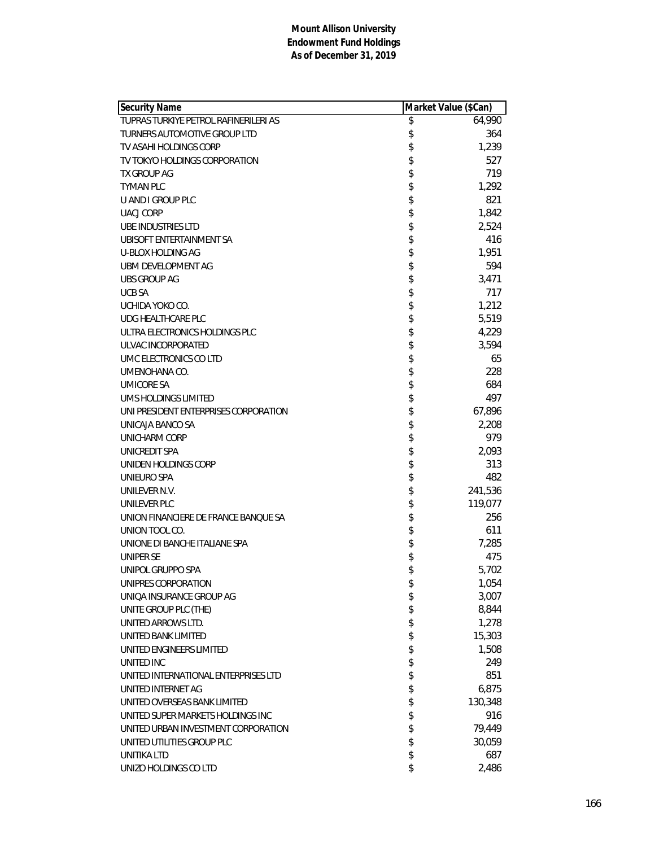| <b>Security Name</b>                  | Market Value (\$Can) |         |
|---------------------------------------|----------------------|---------|
| TUPRAS TURKIYE PETROL RAFINERILERI AS | \$                   | 64,990  |
| TURNERS AUTOMOTIVE GROUP LTD          | \$                   | 364     |
| TV ASAHI HOLDINGS CORP                | \$                   | 1,239   |
| TV TOKYO HOLDINGS CORPORATION         | \$                   | 527     |
| TX GROUP AG                           | \$                   | 719     |
| <b>TYMAN PLC</b>                      | \$                   | 1,292   |
| U AND I GROUP PLC                     | \$                   | 821     |
| <b>UACJ CORP</b>                      | \$                   | 1,842   |
| <b>UBE INDUSTRIES LTD</b>             | \$                   | 2,524   |
| UBISOFT ENTERTAINMENT SA              | \$                   | 416     |
| U-BLOX HOLDING AG                     | \$                   | 1,951   |
| UBM DEVELOPMENT AG                    | \$                   | 594     |
| UBS GROUP AG                          | \$                   | 3,471   |
| <b>UCB SA</b>                         | \$                   | 717     |
| UCHIDA YOKO CO.                       | \$                   | 1,212   |
| <b>UDG HEALTHCARE PLC</b>             | \$                   | 5,519   |
| ULTRA ELECTRONICS HOLDINGS PLC        | \$                   | 4,229   |
| ULVAC INCORPORATED                    | \$                   | 3,594   |
| UMC ELECTRONICS CO LTD                | \$                   | 65      |
| UMENOHANA CO.                         | \$                   | 228     |
| <b>UMICORE SA</b>                     | \$                   | 684     |
| UMS HOLDINGS LIMITED                  | \$                   | 497     |
| UNI PRESIDENT ENTERPRISES CORPORATION | \$                   | 67,896  |
| UNICAJA BANCO SA                      | \$                   | 2,208   |
| UNICHARM CORP                         | \$                   | 979     |
| UNICREDIT SPA                         | \$                   | 2,093   |
| UNIDEN HOLDINGS CORP                  | \$                   | 313     |
| UNIEURO SPA                           | \$                   | 482     |
| UNILEVER N.V.                         | \$                   | 241,536 |
| UNILEVER PLC                          | \$                   | 119,077 |
| UNION FINANCIERE DE FRANCE BANQUE SA  | \$                   | 256     |
| UNION TOOL CO.                        | \$                   | 611     |
| UNIONE DI BANCHE ITALIANE SPA         | \$                   | 7,285   |
| UNIPER SE                             | \$                   | 475     |
| UNIPOL GRUPPO SPA                     | \$                   | 5,702   |
| UNIPRES CORPORATION                   | \$                   | 1,054   |
| UNIOA INSURANCE GROUP AG              | \$                   | 3,007   |
| UNITE GROUP PLC (THE)                 | \$                   | 8,844   |
| UNITED ARROWS LTD.                    | \$                   | 1,278   |
| UNITED BANK LIMITED                   | \$                   | 15,303  |
| UNITED ENGINEERS LIMITED              | \$                   | 1,508   |
| UNITED INC                            | \$                   | 249     |
| UNITED INTERNATIONAL ENTERPRISES LTD  | \$                   | 851     |
| UNITED INTERNET AG                    | \$                   | 6,875   |
| UNITED OVERSEAS BANK LIMITED          | \$                   | 130,348 |
| UNITED SUPER MARKETS HOLDINGS INC     | \$                   | 916     |
| UNITED URBAN INVESTMENT CORPORATION   | \$                   | 79,449  |
| UNITED UTILITIES GROUP PLC            | \$                   | 30,059  |
| <b>UNITIKA LTD</b>                    | \$                   | 687     |
| UNIZO HOLDINGS CO LTD                 | \$                   | 2,486   |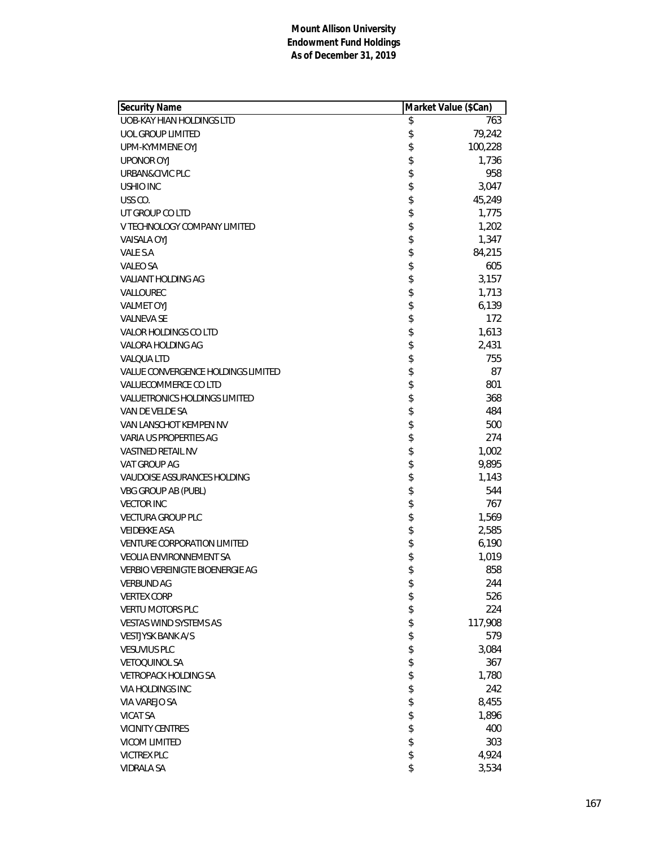| Security Name                      | Market Value (\$Can) |         |
|------------------------------------|----------------------|---------|
| <b>UOB-KAY HIAN HOLDINGS LTD</b>   | \$                   | 763     |
| UOL GROUP LIMITED                  | \$                   | 79,242  |
| UPM-KYMMENE OYJ                    | \$                   | 100,228 |
| <b>UPONOR OYJ</b>                  | \$                   | 1,736   |
| URBAN&CIVIC PLC                    | \$                   | 958     |
| USHIO INC                          | \$                   | 3,047   |
| USS CO.                            | \$                   | 45,249  |
| UT GROUP CO LTD                    | \$                   | 1,775   |
| V TECHNOLOGY COMPANY LIMITED       | \$                   | 1,202   |
| <b>VAISALA OYJ</b>                 | \$                   | 1,347   |
| VALE S.A                           | \$                   | 84,215  |
| <b>VALEO SA</b>                    | \$                   | 605     |
| VALIANT HOLDING AG                 | \$                   | 3,157   |
| VALLOUREC                          | \$                   | 1,713   |
| <b>VALMET OYJ</b>                  | \$                   | 6,139   |
| <b>VALNEVA SE</b>                  | \$                   | 172     |
| VALOR HOLDINGS CO LTD              | \$                   | 1,613   |
| VALORA HOLDING AG                  | \$                   | 2,431   |
| <b>VALQUA LTD</b>                  | \$                   | 755     |
| VALUE CONVERGENCE HOLDINGS LIMITED | \$                   | 87      |
| VALUECOMMERCE CO LTD               | \$                   | 801     |
| VALUETRONICS HOLDINGS LIMITED      | \$                   | 368     |
| VAN DE VELDE SA                    | \$                   | 484     |
| VAN LANSCHOT KEMPEN NV             | \$                   | 500     |
| VARIA US PROPERTIES AG             | \$                   | 274     |
| <b>VASTNED RETAIL NV</b>           | \$                   | 1,002   |
| VAT GROUP AG                       | \$                   | 9,895   |
| VAUDOISE ASSURANCES HOLDING        | \$                   | 1,143   |
| VBG GROUP AB (PUBL)                | \$                   | 544     |
| <b>VECTOR INC</b>                  | \$                   | 767     |
| <b>VECTURA GROUP PLC</b>           | \$                   | 1,569   |
| <b>VEIDEKKE ASA</b>                | \$                   | 2,585   |
| <b>VENTURE CORPORATION LIMITED</b> | \$                   | 6,190   |
| <b>VEOLIA ENVIRONNEMENT SA</b>     | \$                   | 1,019   |
| VERBIO VEREINIGTE BIOENERGIE AG    | \$                   | 858     |
| <b>VERBUND AG</b>                  | \$                   | 244     |
| <b>VERTEX CORP</b>                 | \$                   | 526     |
| VERTU MOTORS PLC                   | \$                   | 224     |
| <b>VESTAS WIND SYSTEMS AS</b>      | \$                   | 117,908 |
| <b>VESTJYSK BANK A/S</b>           | \$                   | 579     |
| <b>VESUVIUS PLC</b>                | \$                   | 3,084   |
| VETOQUINOL SA                      | \$                   | 367     |
| <b>VETROPACK HOLDING SA</b>        | \$                   | 1,780   |
| <b>VIA HOLDINGS INC</b>            | \$                   | 242     |
| VIA VAREJO SA                      | \$                   | 8,455   |
| <b>VICAT SA</b>                    | \$                   | 1,896   |
| <b>VICINITY CENTRES</b>            | \$                   | 400     |
| <b>VICOM LIMITED</b>               | \$                   | 303     |
| <b>VICTREX PLC</b>                 | \$                   | 4,924   |
| <b>VIDRALA SA</b>                  | \$                   | 3,534   |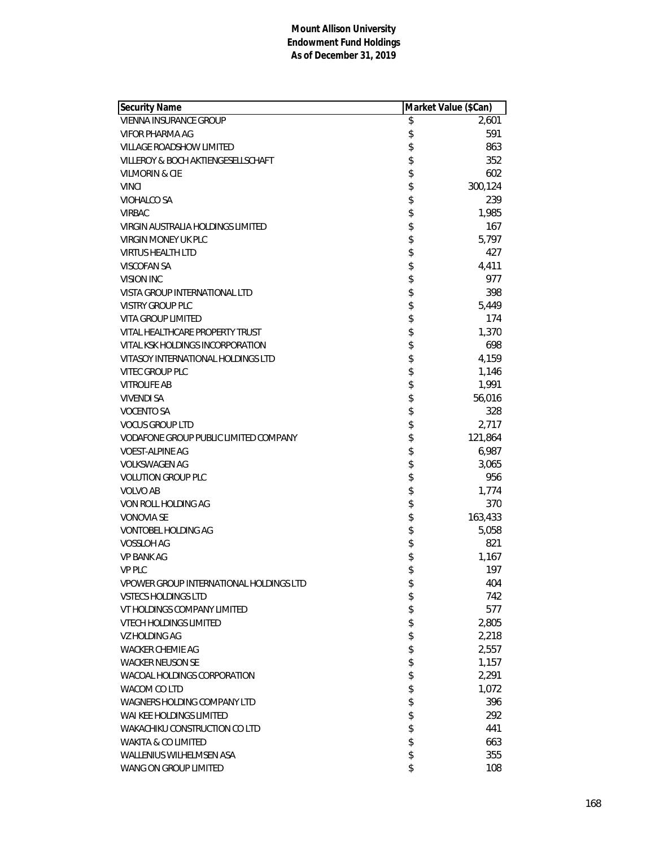| Security Name                           | Market Value (\$Can) |
|-----------------------------------------|----------------------|
| <b>VIENNA INSURANCE GROUP</b>           | \$<br>2,601          |
| VIFOR PHARMA AG                         | \$<br>591            |
| <b>VILLAGE ROADSHOW LIMITED</b>         | \$<br>863            |
| VILLEROY & BOCH AKTIENGESELLSCHAFT      | \$<br>352            |
| VILMORIN & CIE                          | \$<br>602            |
| <b>VINCI</b>                            | \$<br>300,124        |
| VIOHALCO SA                             | \$<br>239            |
| <b>VIRBAC</b>                           | \$<br>1,985          |
| VIRGIN AUSTRALIA HOLDINGS LIMITED       | \$<br>167            |
| VIRGIN MONEY UK PLC                     | \$<br>5,797          |
| <b>VIRTUS HEALTH LTD</b>                | \$<br>427            |
| VISCOFAN SA                             | \$<br>4,411          |
| VISION INC                              | \$<br>977            |
| VISTA GROUP INTERNATIONAL LTD           | \$<br>398            |
| <b>VISTRY GROUP PLC</b>                 | \$<br>5,449          |
| <b>VITA GROUP LIMITED</b>               | \$<br>174            |
| VITAL HEALTHCARE PROPERTY TRUST         | \$<br>1,370          |
| VITAL KSK HOLDINGS INCORPORATION        | \$<br>698            |
| VITASOY INTERNATIONAL HOLDINGS LTD      | \$<br>4,159          |
| <b>VITEC GROUP PLC</b>                  | \$<br>1,146          |
| <b>VITROLIFE AB</b>                     | \$<br>1,991          |
| <b>VIVENDI SA</b>                       | \$<br>56,016         |
| <b>VOCENTO SA</b>                       | \$<br>328            |
| <b>VOCUS GROUP LTD</b>                  | \$<br>2,717          |
| VODAFONE GROUP PUBLIC LIMITED COMPANY   | \$<br>121,864        |
| <b>VOEST-ALPINE AG</b>                  | \$<br>6,987          |
| <b>VOLKSWAGEN AG</b>                    | \$<br>3,065          |
| <b>VOLUTION GROUP PLC</b>               | \$<br>956            |
| <b>VOLVO AB</b>                         | \$<br>1,774          |
| VON ROLL HOLDING AG                     | \$<br>370            |
| <b>VONOVIA SE</b>                       | \$<br>163,433        |
| <b>VONTOBEL HOLDING AG</b>              | \$<br>5,058          |
| <b>VOSSLOH AG</b>                       | \$<br>821            |
| <b>VP BANK AG</b>                       | \$<br>1,167          |
| <b>VP PLC</b>                           | \$<br>197            |
| VPOWER GROUP INTERNATIONAL HOLDINGS LTD | \$<br>404            |
| <b>VSTECS HOLDINGS LTD</b>              | \$<br>742            |
| VT HOLDINGS COMPANY LIMITED             | \$<br>577            |
| <b>VTECH HOLDINGS LIMITED</b>           | \$<br>2,805          |
| VZ HOLDING AG                           | \$<br>2,218          |
| <b>WACKER CHEMIE AG</b>                 | \$<br>2,557          |
| <b>WACKER NEUSON SE</b>                 | \$<br>1,157          |
| WACOAL HOLDINGS CORPORATION             | \$<br>2,291          |
| WACOM CO LTD                            | \$                   |
|                                         | \$<br>1,072          |
| WAGNERS HOLDING COMPANY LTD             | 396                  |
| WAI KEE HOLDINGS LIMITED                | \$<br>292            |
| WAKACHIKU CONSTRUCTION CO LTD           | \$<br>441            |
| WAKITA & CO LIMITED                     | \$<br>663            |
| <b>WALLENIUS WILHELMSEN ASA</b>         | \$<br>355            |
| WANG ON GROUP LIMITED                   | \$<br>108            |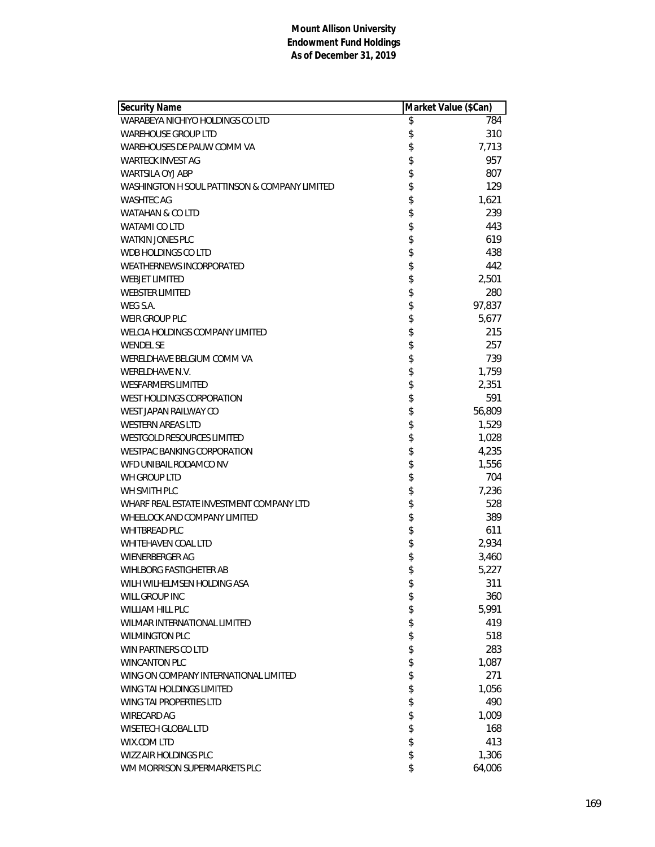| Security Name                                 | Market Value (\$Can) |
|-----------------------------------------------|----------------------|
| WARABEYA NICHIYO HOLDINGS CO LTD              | \$<br>784            |
| <b>WAREHOUSE GROUP LTD</b>                    | \$<br>310            |
| WAREHOUSES DE PAUW COMM VA                    | \$<br>7,713          |
| <b>WARTECK INVEST AG</b>                      | \$<br>957            |
| <b>WARTSILA OYJ ABP</b>                       | \$<br>807            |
| WASHINGTON H SOUL PATTINSON & COMPANY LIMITED | \$<br>129            |
| <b>WASHTEC AG</b>                             | 1,621                |
| <b>WATAHAN &amp; CO LTD</b>                   | \$<br>239            |
| WATAMI CO LTD                                 | \$<br>443            |
| <b>WATKIN JONES PLC</b>                       | \$<br>619            |
| WDB HOLDINGS CO LTD                           | \$<br>438            |
| <b>WEATHERNEWS INCORPORATED</b>               | \$<br>442            |
| <b>WEBJET LIMITED</b>                         | \$<br>2,501          |
| <b>WEBSTER LIMITED</b>                        | \$<br>280            |
| WEG S.A.                                      | \$<br>97,837         |
| <b>WEIR GROUP PLC</b>                         | \$<br>5,677          |
| WELCIA HOLDINGS COMPANY LIMITED               | \$<br>215            |
| <b>WENDEL SE</b>                              | \$<br>257            |
| WERELDHAVE BELGIUM COMM VA                    | \$<br>739            |
| WERELDHAVE N.V.                               | \$<br>1,759          |
| <b>WESFARMERS LIMITED</b>                     | \$<br>2,351          |
| WEST HOLDINGS CORPORATION                     | \$<br>591            |
| WEST JAPAN RAILWAY CO                         | \$<br>56,809         |
| <b>WESTERN AREAS LTD</b>                      | \$<br>1,529          |
| <b>WESTGOLD RESOURCES LIMITED</b>             | \$<br>1,028          |
| <b>WESTPAC BANKING CORPORATION</b>            | \$<br>4,235          |
| WFD UNIBAIL RODAMCO NV                        | \$<br>1,556          |
| WH GROUP LTD                                  | \$<br>704            |
| WH SMITH PLC                                  | \$<br>7,236          |
| WHARF REAL ESTATE INVESTMENT COMPANY LTD      | \$<br>528            |
| WHEELOCK AND COMPANY LIMITED                  | \$<br>389            |
| <b>WHITBREAD PLC</b>                          | \$<br>611            |
| <b>WHITEHAVEN COAL LTD</b>                    | \$<br>2,934          |
| <b>WIENERBERGER AG</b>                        | \$<br>3,460          |
| <b>WIHLBORG FASTIGHETER AB</b>                | \$<br>5,227          |
| WILH WILHELMSEN HOLDING ASA                   | \$<br>311            |
| WILL GROUP INC                                | \$<br>360            |
| WILLIAM HILL PLC                              | \$<br>5,991          |
| WILMAR INTERNATIONAL LIMITED                  | \$<br>419            |
| <b>WILMINGTON PLC</b>                         | \$<br>518            |
| WIN PARTNERS CO LTD                           | \$<br>283            |
| <b>WINCANTON PLC</b>                          | \$<br>1,087          |
| WING ON COMPANY INTERNATIONAL LIMITED         | \$<br>271            |
| WING TAI HOLDINGS LIMITED                     | \$<br>1,056          |
| WING TAI PROPERTIES LTD                       | \$<br>490            |
| WIRECARD AG                                   | \$<br>1,009          |
| <b>WISETECH GLOBAL LTD</b>                    | \$<br>168            |
| WIX.COM LTD                                   | \$<br>413            |
| <b>WIZZ AIR HOLDINGS PLC</b>                  | \$<br>1,306          |
| WM MORRISON SUPERMARKETS PLC                  | \$<br>64,006         |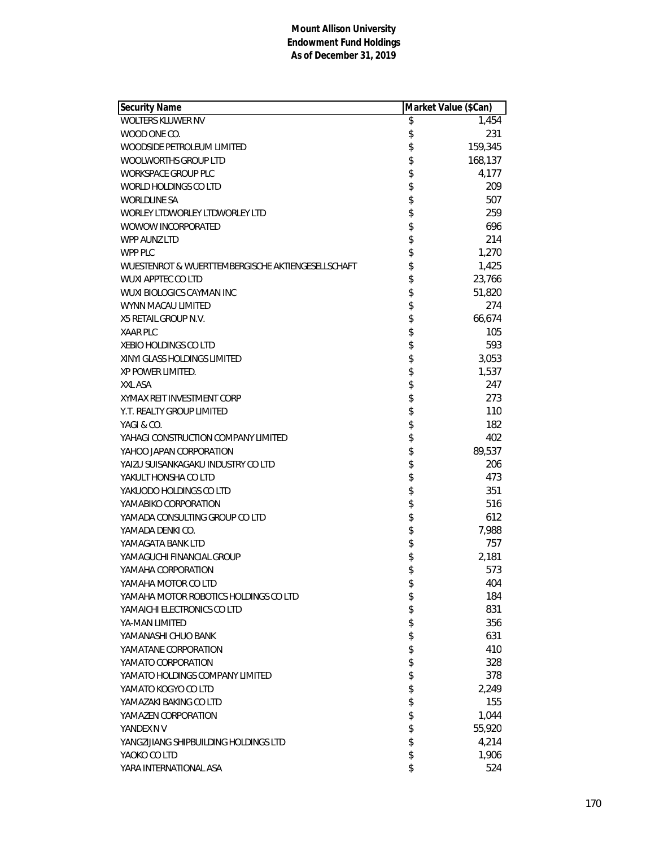| Security Name                                     |          | Market Value (\$Can) |
|---------------------------------------------------|----------|----------------------|
| WOLTERS KLUWER NV                                 | \$       | 1,454                |
| WOOD ONE CO.                                      | \$       | 231                  |
| WOODSIDE PETROLEUM LIMITED                        | \$       | 159,345              |
| WOOLWORTHS GROUP LTD                              | \$       | 168,137              |
| <b>WORKSPACE GROUP PLC</b>                        |          | 4,177                |
| WORLD HOLDINGS CO LTD                             | \$       | 209                  |
| <b>WORLDLINE SA</b>                               | \$       | 507                  |
| WORLEY LTDWORLEY LTDWORLEY LTD                    | \$       | 259                  |
| WOWOW INCORPORATED                                | \$       | 696                  |
| WPP AUNZ LTD                                      | \$       | 214                  |
| WPP PLC                                           | \$       | 1,270                |
| WUESTENROT & WUERTTEMBERGISCHE AKTIENGESELLSCHAFT | \$       | 1,425                |
| <b>WUXI APPTEC CO LTD</b>                         | \$       | 23,766               |
| <b>WUXI BIOLOGICS CAYMAN INC</b>                  | \$       | 51,820               |
| WYNN MACAU LIMITED                                | \$       | 274                  |
| X5 RETAIL GROUP N.V.                              | \$       | 66,674               |
| <b>XAAR PLC</b>                                   | \$       | 105                  |
| <b>XEBIO HOLDINGS CO LTD</b>                      | \$       | 593                  |
| XINYI GLASS HOLDINGS LIMITED                      | \$       | 3,053                |
| XP POWER LIMITED.                                 | \$       | 1,537                |
| XXL ASA                                           | \$       | 247                  |
| XYMAX REIT INVESTMENT CORP                        |          | 273                  |
| Y.T. REALTY GROUP LIMITED                         | \$       | 110                  |
| YAGI & CO.                                        | \$       | 182                  |
| YAHAGI CONSTRUCTION COMPANY LIMITED               | \$       | 402                  |
| YAHOO JAPAN CORPORATION                           | \$       | 89,537               |
| YAIZU SUISANKAGAKU INDUSTRY CO LTD                | \$       | 206                  |
| YAKULT HONSHA CO LTD                              | \$       | 473                  |
| YAKUODO HOLDINGS CO LTD                           | \$       | 351                  |
| YAMABIKO CORPORATION                              | \$<br>\$ | 516                  |
| YAMADA CONSULTING GROUP CO LTD                    |          | 612                  |
| YAMADA DENKI CO.                                  | \$       | 7,988                |
| YAMAGATA BANK LTD                                 | \$       | 757                  |
| YAMAGUCHI FINANCIAL GROUP                         | \$       | 2,181                |
| YAMAHA CORPORATION                                | \$       | 573                  |
| YAMAHA MOTOR CO LTD                               | \$       | 404                  |
| YAMAHA MOTOR ROBOTICS HOLDINGS CO LTD             | \$       | 184                  |
| YAMAICHI ELECTRONICS CO LTD                       | \$       | 831                  |
| YA-MAN LIMITED                                    | \$       | 356                  |
| YAMANASHI CHUO BANK                               | \$       | 631                  |
| YAMATANE CORPORATION                              | \$       | 410                  |
| YAMATO CORPORATION                                | \$       | 328                  |
| YAMATO HOLDINGS COMPANY LIMITED                   | \$       | 378                  |
| YAMATO KOGYO CO LTD                               | \$       | 2,249                |
| YAMAZAKI BAKING CO LTD                            | \$       | 155                  |
| YAMAZEN CORPORATION                               | \$       | 1,044                |
| YANDEX N V                                        | \$       | 55,920               |
| YANGZIJIANG SHIPBUILDING HOLDINGS LTD             | \$       | 4,214                |
| YAOKO CO LTD                                      | \$       | 1,906                |
| YARA INTERNATIONAL ASA                            | \$       | 524                  |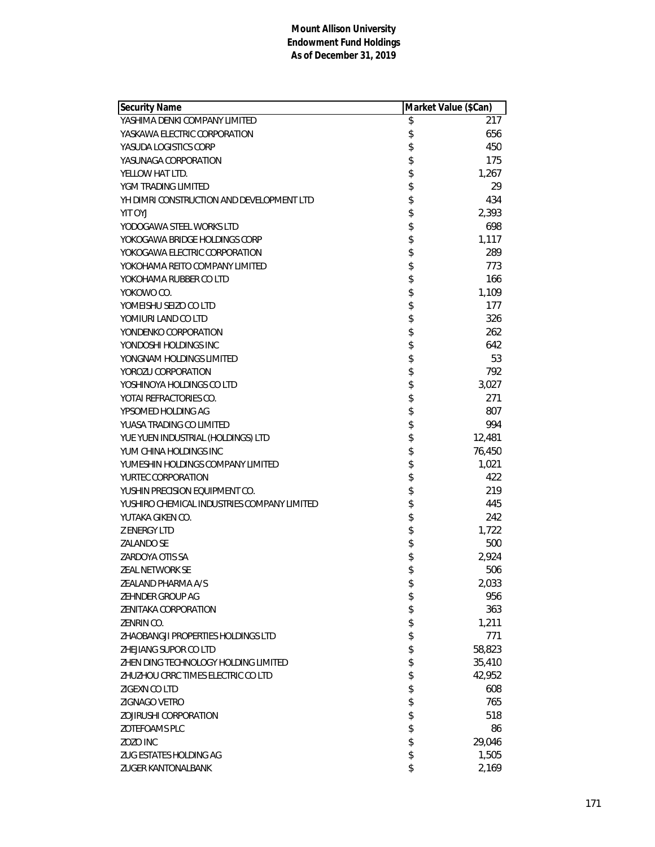| <b>Security Name</b>                        | Market Value (\$Can) |
|---------------------------------------------|----------------------|
| YASHIMA DENKI COMPANY LIMITED               | \$<br>217            |
| YASKAWA ELECTRIC CORPORATION                | \$<br>656            |
| YASUDA LOGISTICS CORP                       | \$<br>450            |
| YASUNAGA CORPORATION                        | \$<br>175            |
| YELLOW HAT LTD.                             | \$<br>1,267          |
| YGM TRADING LIMITED                         | \$<br>29             |
| YH DIMRI CONSTRUCTION AND DEVELOPMENT LTD   | \$<br>434            |
| YIT OYJ                                     | \$<br>2,393          |
| YODOGAWA STEEL WORKS LTD                    | \$<br>698            |
| YOKOGAWA BRIDGE HOLDINGS CORP               | \$<br>1,117          |
| YOKOGAWA ELECTRIC CORPORATION               | \$<br>289            |
| YOKOHAMA REITO COMPANY LIMITED              | \$<br>773            |
| YOKOHAMA RUBBER CO LTD                      | \$<br>166            |
| YOKOWO CO.                                  | \$<br>1,109          |
| YOMEISHU SEIZO CO LTD                       | \$<br>177            |
| YOMIURI LAND CO LTD                         | \$<br>326            |
| YONDENKO CORPORATION                        | \$<br>262            |
| YONDOSHI HOLDINGS INC                       | \$<br>642            |
| YONGNAM HOLDINGS LIMITED                    | \$<br>53             |
| YOROZU CORPORATION                          | \$<br>792            |
| YOSHINOYA HOLDINGS CO LTD                   | \$<br>3,027          |
| YOTAI REFRACTORIES CO.                      | \$<br>271            |
| YPSOMED HOLDING AG                          | \$<br>807            |
| YUASA TRADING CO LIMITED                    | \$<br>994            |
| YUE YUEN INDUSTRIAL (HOLDINGS) LTD          | \$<br>12,481         |
| YUM CHINA HOLDINGS INC                      | \$<br>76,450         |
| YUMESHIN HOLDINGS COMPANY LIMITED           | \$<br>1,021          |
| YURTEC CORPORATION                          | \$<br>422            |
| YUSHIN PRECISION EQUIPMENT CO.              | \$<br>219            |
| YUSHIRO CHEMICAL INDUSTRIES COMPANY LIMITED | \$<br>445            |
| YUTAKA GIKEN CO.                            | \$<br>242            |
| <b>Z ENERGY LTD</b>                         | \$<br>1,722          |
| <b>ZALANDO SE</b>                           | \$<br>500            |
| ZARDOYA OTIS SA                             | \$<br>2,924          |
| ZEAL NETWORK SE                             | \$<br>506            |
| ZEALAND PHARMA A/S                          | \$<br>2,033          |
| ZEHNDER GROUP AG                            | \$<br>956            |
| <b>ZENITAKA CORPORATION</b>                 | \$<br>363            |
| ZENRIN CO.                                  | \$<br>1,211          |
| ZHAOBANGJI PROPERTIES HOLDINGS LTD          | \$<br>771            |
| ZHEJIANG SUPOR CO LTD                       | \$<br>58,823         |
| ZHEN DING TECHNOLOGY HOLDING LIMITED        | \$<br>35,410         |
| ZHUZHOU CRRC TIMES ELECTRIC CO LTD          | \$<br>42,952         |
| ZIGEXN CO LTD                               | \$<br>608            |
| ZIGNAGO VETRO                               | \$<br>765            |
| <b>ZOJIRUSHI CORPORATION</b>                | \$<br>518            |
| ZOTEFOAMS PLC                               | \$<br>86             |
| ZOZO INC                                    | \$<br>29,046         |
| ZUG ESTATES HOLDING AG                      | \$<br>1,505          |
| <b>ZUGER KANTONALBANK</b>                   | \$<br>2,169          |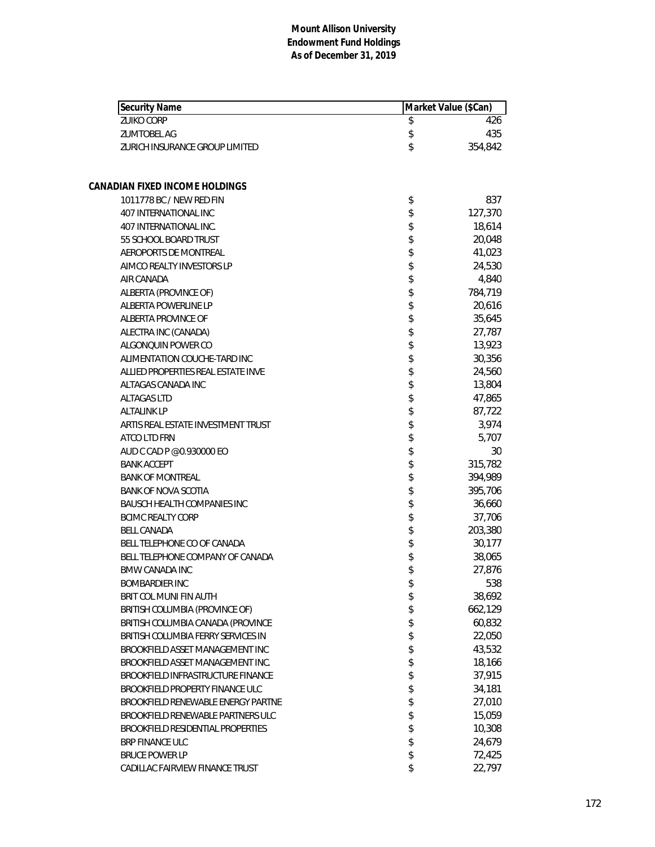| Security Name                      | Market Value (\$Can) |
|------------------------------------|----------------------|
| <b>ZUIKO CORP</b>                  | \$<br>426            |
| <b>ZUMTOBEL AG</b>                 | \$<br>435            |
| ZURICH INSURANCE GROUP LIMITED     | \$<br>354,842        |
| CANADIAN FIXED INCOME HOLDINGS     |                      |
| 1011778 BC / NEW RED FIN           | \$<br>837            |
| 407 INTERNATIONAL INC              | \$<br>127,370        |
| 407 INTERNATIONAL INC.             | \$<br>18,614         |
| 55 SCHOOL BOARD TRUST              | \$<br>20,048         |
| AEROPORTS DE MONTREAL              | \$<br>41,023         |
| AIMCO REALTY INVESTORS LP          | \$<br>24,530         |
| AIR CANADA                         | \$<br>4,840          |
| ALBERTA (PROVINCE OF)              | \$<br>784,719        |
| ALBERTA POWERLINE LP               | \$<br>20,616         |
| ALBERTA PROVINCE OF                | \$<br>35,645         |
| ALECTRA INC (CANADA)               | \$<br>27,787         |
| ALGONQUIN POWER CO                 | \$<br>13,923         |
| ALIMENTATION COUCHE-TARD INC       | \$<br>30,356         |
| ALLIED PROPERTIES REAL ESTATE INVE | \$<br>24,560         |
| ALTAGAS CANADA INC                 | \$<br>13,804         |
| <b>ALTAGAS LTD</b>                 | \$<br>47,865         |
| <b>ALTALINK LP</b>                 | \$<br>87,722         |
| ARTIS REAL ESTATE INVESTMENT TRUST | \$<br>3,974          |
| ATCO LTD FRN                       | \$<br>5,707          |
| AUD C CAD P @0.930000 EO           | \$<br>30             |
| <b>BANK ACCEPT</b>                 | \$<br>315,782        |
| <b>BANK OF MONTREAL</b>            | \$<br>394,989        |
| <b>BANK OF NOVA SCOTIA</b>         | \$<br>395,706        |
| <b>BAUSCH HEALTH COMPANIES INC</b> | \$<br>36,660         |
| <b>BCIMC REALTY CORP</b>           | \$<br>37,706         |
| <b>BELL CANADA</b>                 | \$<br>203,380        |
| BELL TELEPHONE CO OF CANADA        | \$<br>30,177         |
| BELL TELEPHONE COMPANY OF CANADA   | \$<br>38,065         |
| <b>BMW CANADA INC</b>              | \$<br>27,876         |
| <b>BOMBARDIER INC</b>              | \$<br>538            |
| BRIT COL MUNI FIN AUTH             | \$<br>38,692         |
| BRITISH COLUMBIA (PROVINCE OF)     | \$<br>662,129        |
| BRITISH COLUMBIA CANADA (PROVINCE  | \$<br>60,832         |
| BRITISH COLUMBIA FERRY SERVICES IN | \$<br>22,050         |
| BROOKFIELD ASSET MANAGEMENT INC    | \$<br>43,532         |
| BROOKFIELD ASSET MANAGEMENT INC.   | \$<br>18,166         |
| BROOKFIELD INFRASTRUCTURE FINANCE  | \$<br>37,915         |
| BROOKFIELD PROPERTY FINANCE ULC    | \$<br>34,181         |
| BROOKFIELD RENEWABLE ENERGY PARTNE | \$<br>27,010         |
| BROOKFIELD RENEWABLE PARTNERS ULC  | \$<br>15,059         |
| BROOKFIELD RESIDENTIAL PROPERTIES  | \$<br>10,308         |
| BRP FINANCE ULC                    | \$<br>24,679         |
| <b>BRUCE POWER LP</b>              | \$<br>72,425         |
| CADILLAC FAIRVIEW FINANCE TRUST    | \$<br>22,797         |
|                                    |                      |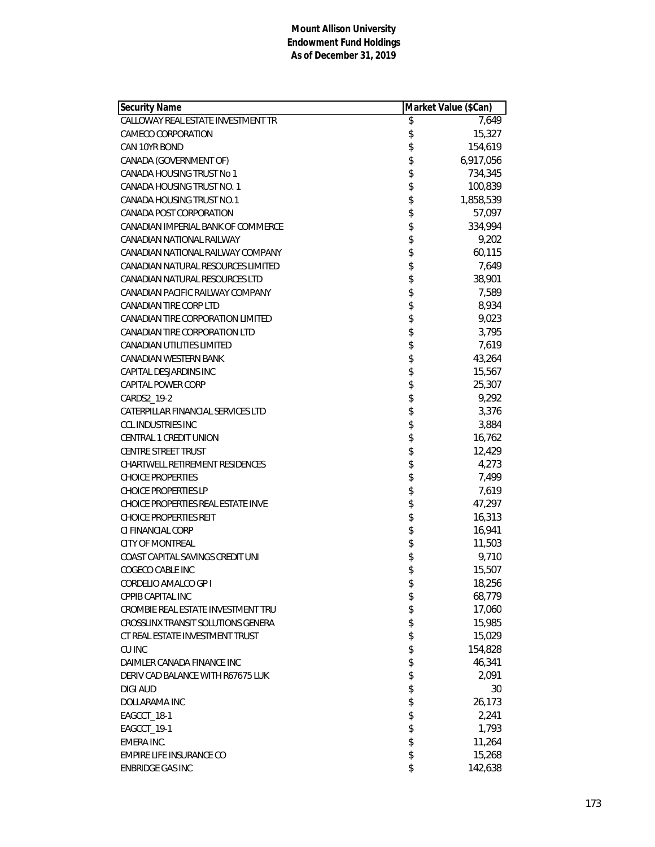| Security Name                      |              | Market Value (\$Can) |
|------------------------------------|--------------|----------------------|
| CALLOWAY REAL ESTATE INVESTMENT TR | \$           | 7,649                |
| CAMECO CORPORATION                 | \$           | 15,327               |
| CAN 10YR BOND                      | \$           | 154,619              |
| CANADA (GOVERNMENT OF)             | \$           | 6,917,056            |
| CANADA HOUSING TRUST No 1          | \$           | 734,345              |
| CANADA HOUSING TRUST NO. 1         | \$           | 100,839              |
| CANADA HOUSING TRUST NO.1          | \$           | 1,858,539            |
| CANADA POST CORPORATION            | \$           | 57,097               |
| CANADIAN IMPERIAL BANK OF COMMERCE | \$           | 334,994              |
| CANADIAN NATIONAL RAILWAY          | \$           | 9,202                |
| CANADIAN NATIONAL RAILWAY COMPANY  | \$           | 60,115               |
| CANADIAN NATURAL RESOURCES LIMITED | \$           | 7,649                |
| CANADIAN NATURAL RESOURCES LTD     |              | 38,901               |
| CANADIAN PACIFIC RAILWAY COMPANY   |              | 7,589                |
| <b>CANADIAN TIRE CORP LTD</b>      |              | 8,934                |
| CANADIAN TIRE CORPORATION LIMITED  | \$\$\$\$     | 9,023                |
| CANADIAN TIRE CORPORATION LTD      | \$           | 3,795                |
| <b>CANADIAN UTILITIES LIMITED</b>  | \$           | 7,619                |
| CANADIAN WESTERN BANK              | \$           | 43,264               |
| CAPITAL DESJARDINS INC             |              | 15,567               |
| CAPITAL POWER CORP                 |              | 25,307               |
| CARDS2_19-2                        | \$\$\$\$\$\$ | 9,292                |
| CATERPILLAR FINANCIAL SERVICES LTD |              | 3,376                |
| <b>CCL INDUSTRIES INC</b>          |              | 3,884                |
| CENTRAL 1 CREDIT UNION             |              | 16,762               |
| <b>CENTRE STREET TRUST</b>         | \$           | 12,429               |
| CHARTWELL RETIREMENT RESIDENCES    | \$           | 4,273                |
| <b>CHOICE PROPERTIES</b>           | \$           | 7,499                |
| <b>CHOICE PROPERTIES LP</b>        | \$           | 7,619                |
| CHOICE PROPERTIES REAL ESTATE INVE | \$\$\$       | 47,297               |
| <b>CHOICE PROPERTIES REIT</b>      |              | 16,313               |
| CI FINANCIAL CORP                  |              | 16,941               |
| <b>CITY OF MONTREAL</b>            |              | 11,503               |
| COAST CAPITAL SAVINGS CREDIT UNI   | \$           | 9,710                |
| COGECO CABLE INC                   | \$           | 15,507               |
| CORDELIO AMALCO GP I               | \$           | 18,256               |
| CPPIB CAPITAL INC                  | \$           | 68,779               |
| CROMBIE REAL ESTATE INVESTMENT TRU | \$           | 17,060               |
| CROSSLINX TRANSIT SOLUTIONS GENERA | \$           | 15,985               |
| CT REAL ESTATE INVESTMENT TRUST    | \$           | 15,029               |
| CU INC                             | \$           | 154,828              |
| DAIMLER CANADA FINANCE INC         | \$           | 46,341               |
| DERIV CAD BALANCE WITH R67675 LUK  | \$           | 2,091                |
| <b>DIGI AUD</b>                    | \$           | 30                   |
| DOLLARAMA INC                      | \$           | 26,173               |
| EAGCCT_18-1                        | \$           | 2,241                |
| EAGCCT_19-1                        | \$           | 1,793                |
| EMERA INC.                         | \$           | 11,264               |
| EMPIRE LIFE INSURANCE CO           | \$           | 15,268               |
| <b>ENBRIDGE GAS INC</b>            | \$           | 142,638              |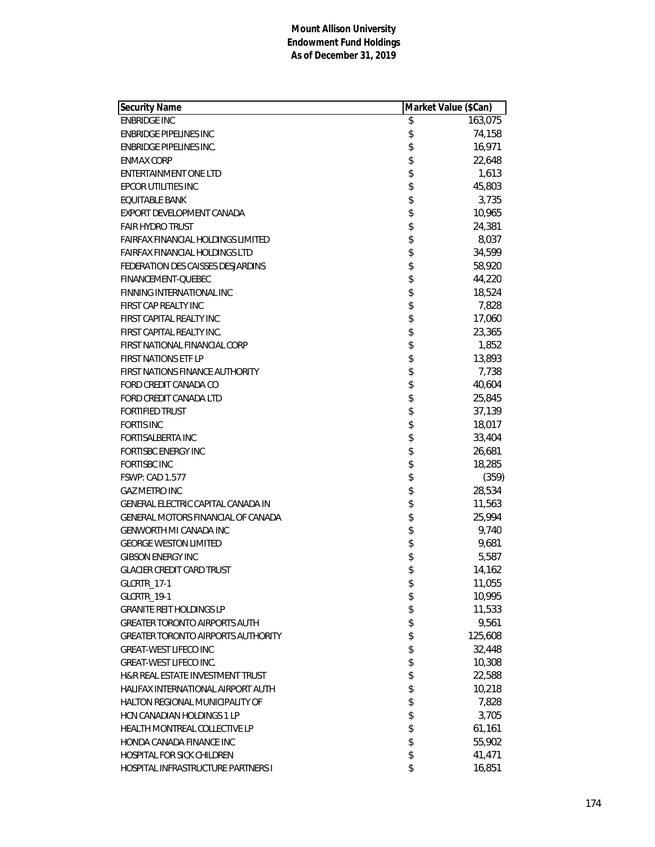| <b>Security Name</b>                      | Market Value (\$Can) |
|-------------------------------------------|----------------------|
| <b>ENBRIDGE INC</b>                       | \$<br>163,075        |
| <b>ENBRIDGE PIPELINES INC</b>             | \$<br>74,158         |
| <b>ENBRIDGE PIPELINES INC.</b>            | \$<br>16,971         |
| <b>ENMAX CORP</b>                         | \$<br>22,648         |
| ENTERTAINMENT ONE LTD                     | \$<br>1,613          |
| EPCOR UTILITIES INC                       | \$<br>45,803         |
| EQUITABLE BANK                            | \$<br>3,735          |
| EXPORT DEVELOPMENT CANADA                 | \$<br>10,965         |
| <b>FAIR HYDRO TRUST</b>                   | \$<br>24,381         |
| FAIRFAX FINANCIAL HOLDINGS LIMITED        | \$<br>8,037          |
| <b>FAIRFAX FINANCIAL HOLDINGS LTD</b>     | \$<br>34,599         |
| FEDERATION DES CAISSES DESJARDINS         | \$<br>58,920         |
| FINANCEMENT-QUEBEC                        | \$<br>44,220         |
| FINNING INTERNATIONAL INC                 | \$<br>18,524         |
| FIRST CAP REALTY INC                      | \$<br>7,828          |
| FIRST CAPITAL REALTY INC                  | \$<br>17,060         |
| FIRST CAPITAL REALTY INC.                 | \$<br>23,365         |
| FIRST NATIONAL FINANCIAL CORP             | \$<br>1,852          |
| <b>FIRST NATIONS ETF LP</b>               | \$<br>13,893         |
| <b>FIRST NATIONS FINANCE AUTHORITY</b>    | \$<br>7,738          |
| FORD CREDIT CANADA CO                     | \$<br>40,604         |
| FORD CREDIT CANADA LTD                    | \$<br>25,845         |
| <b>FORTIFIED TRUST</b>                    | \$<br>37,139         |
| <b>FORTIS INC</b>                         | \$<br>18,017         |
| <b>FORTISALBERTA INC</b>                  | \$<br>33,404         |
| <b>FORTISBC ENERGY INC</b>                | \$<br>26,681         |
| <b>FORTISBC INC</b>                       | \$<br>18,285         |
| <b>FSWP: CAD 1.577</b>                    | \$<br>(359)          |
| <b>GAZ METRO INC</b>                      | \$<br>28,534         |
| GENERAL ELECTRIC CAPITAL CANADA IN        | \$<br>11,563         |
| <b>GENERAL MOTORS FINANCIAL OF CANADA</b> | \$<br>25,994         |
| GENWORTH MI CANADA INC                    | \$<br>9,740          |
| <b>GEORGE WESTON LIMITED</b>              | \$<br>9,681          |
| <b>GIBSON ENERGY INC</b>                  | \$<br>5,587          |
| <b>GLACIER CREDIT CARD TRUST</b>          | \$<br>14,162         |
| GLCRTR_17-1                               | \$<br>11,055         |
| GLCRTR_19-1                               | \$<br>10,995         |
| <b>GRANITE REIT HOLDINGS LP</b>           | \$<br>11,533         |
| <b>GREATER TORONTO AIRPORTS AUTH</b>      | \$<br>9,561          |
| <b>GREATER TORONTO AIRPORTS AUTHORITY</b> | \$<br>125,608        |
| <b>GREAT-WEST LIFECO INC</b>              | \$<br>32,448         |
| GREAT-WEST LIFECO INC.                    | \$<br>10,308         |
| H&R REAL ESTATE INVESTMENT TRUST          | \$<br>22,588         |
| HALIFAX INTERNATIONAL AIRPORT AUTH        | \$<br>10,218         |
| <b>HALTON REGIONAL MUNICIPALITY OF</b>    | \$<br>7,828          |
| HCN CANADIAN HOLDINGS 1 LP                | \$<br>3,705          |
| HEALTH MONTREAL COLLECTIVE LP             | \$<br>61,161         |
| HONDA CANADA FINANCE INC                  | \$<br>55,902         |
| HOSPITAL FOR SICK CHILDREN                | \$<br>41,471         |
| HOSPITAL INFRASTRUCTURE PARTNERS I        | \$<br>16,851         |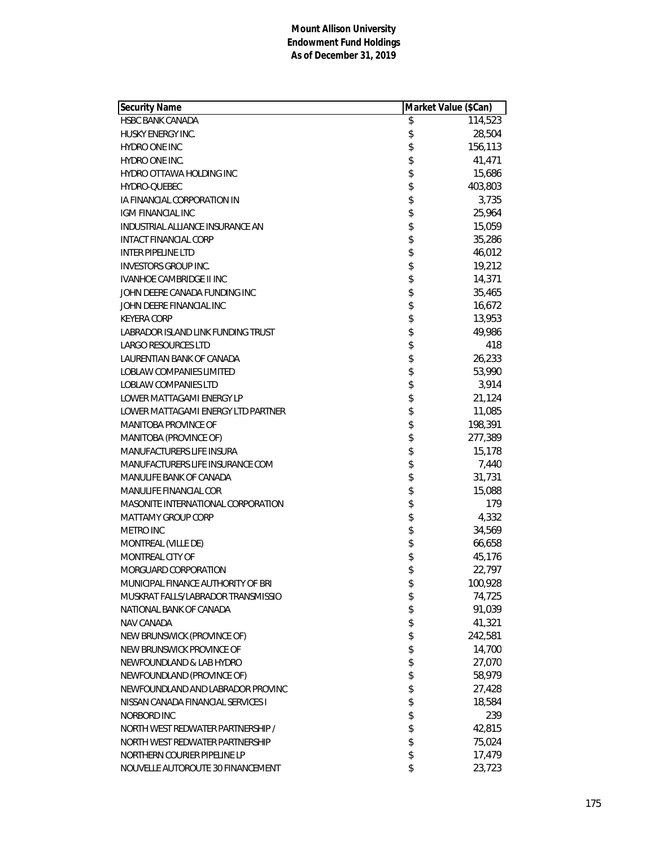| <b>Security Name</b>               | Market Value (\$Can) |
|------------------------------------|----------------------|
| <b>HSBC BANK CANADA</b>            | \$<br>114,523        |
| <b>HUSKY ENERGY INC.</b>           | \$<br>28,504         |
| HYDRO ONE INC                      | \$<br>156,113        |
| HYDRO ONE INC.                     | \$<br>41,471         |
| <b>HYDRO OTTAWA HOLDING INC</b>    | \$<br>15,686         |
| HYDRO-QUEBEC                       | \$<br>403,803        |
| IA FINANCIAL CORPORATION IN        | \$<br>3,735          |
| IGM FINANCIAL INC                  | \$<br>25,964         |
| INDUSTRIAL ALLIANCE INSURANCE AN   | \$<br>15,059         |
| <b>INTACT FINANCIAL CORP</b>       | \$<br>35,286         |
| <b>INTER PIPELINE LTD</b>          | \$<br>46,012         |
| <b>INVESTORS GROUP INC.</b>        | \$<br>19,212         |
| <b>IVANHOE CAMBRIDGE II INC</b>    | \$<br>14,371         |
| JOHN DEERE CANADA FUNDING INC      | \$<br>35,465         |
| JOHN DEERE FINANCIAL INC           | \$<br>16,672         |
| <b>KEYERA CORP</b>                 | \$<br>13,953         |
| LABRADOR ISLAND LINK FUNDING TRUST | \$<br>49,986         |
| <b>LARGO RESOURCES LTD</b>         | \$<br>418            |
| LAURENTIAN BANK OF CANADA          | \$<br>26,233         |
| <b>LOBLAW COMPANIES LIMITED</b>    | \$<br>53,990         |
| LOBLAW COMPANIES LTD               | \$<br>3,914          |
| LOWER MATTAGAMI ENERGY LP          | \$<br>21,124         |
| LOWER MATTAGAMI ENERGY LTD PARTNER | \$<br>11,085         |
| MANITOBA PROVINCE OF               | \$<br>198,391        |
| MANITOBA (PROVINCE OF)             | \$<br>277,389        |
| MANUFACTURERS LIFE INSURA          | \$<br>15,178         |
| MANUFACTURERS LIFE INSURANCE COM   | \$<br>7,440          |
| MANULIFE BANK OF CANADA            | \$<br>31,731         |
| MANULIFE FINANCIAL COR             | \$<br>15,088         |
| MASONITE INTERNATIONAL CORPORATION | \$<br>179            |
| <b>MATTAMY GROUP CORP</b>          | \$<br>4,332          |
| METRO INC                          | \$<br>34,569         |
| MONTREAL (VILLE DE)                | \$<br>66,658         |
| MONTREAL CITY OF                   | \$<br>45,176         |
| MORGUARD CORPORATION               | \$<br>22,797         |
| MUNICIPAL FINANCE AUTHORITY OF BRI | \$<br>100,928        |
| MUSKRAT FALLS/LABRADOR TRANSMISSIO | \$<br>74,725         |
| NATIONAL BANK OF CANADA            | \$<br>91,039         |
| NAV CANADA                         | \$<br>41,321         |
| NEW BRUNSWICK (PROVINCE OF)        | \$<br>242,581        |
| NEW BRUNSWICK PROVINCE OF          | \$<br>14,700         |
| NEWFOUNDLAND & LAB HYDRO           | \$<br>27,070         |
| NEWFOUNDLAND (PROVINCE OF)         | \$<br>58,979         |
| NEWFOUNDLAND AND LABRADOR PROVINC  | \$<br>27,428         |
| NISSAN CANADA FINANCIAL SERVICES I | \$<br>18,584         |
| NORBORD INC                        | \$<br>239            |
| NORTH WEST REDWATER PARTNERSHIP /  | \$<br>42,815         |
| NORTH WEST REDWATER PARTNERSHIP    | \$<br>75,024         |
| NORTHERN COURIER PIPELINE LP       | \$<br>17,479         |
| NOUVELLE AUTOROUTE 30 FINANCEMENT  | \$<br>23,723         |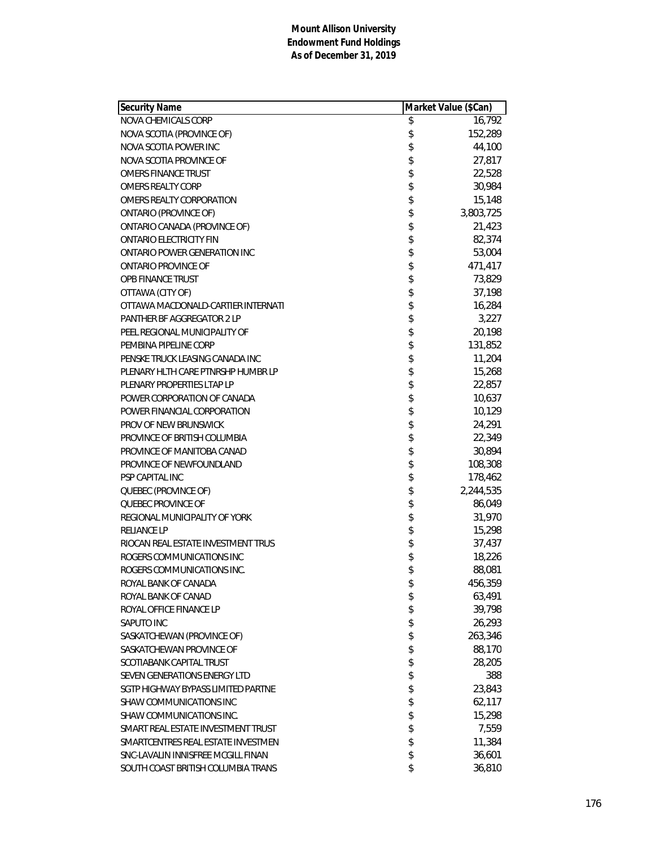| Security Name                      | Market Value (\$Can) |
|------------------------------------|----------------------|
| NOVA CHEMICALS CORP                | \$<br>16,792         |
| NOVA SCOTIA (PROVINCE OF)          | \$<br>152,289        |
| NOVA SCOTIA POWER INC              | \$<br>44,100         |
| NOVA SCOTIA PROVINCE OF            | \$<br>27,817         |
| <b>OMERS FINANCE TRUST</b>         | \$<br>22,528         |
| <b>OMERS REALTY CORP</b>           | \$<br>30,984         |
| OMERS REALTY CORPORATION           | \$<br>15,148         |
| ONTARIO (PROVINCE OF)              | \$<br>3,803,725      |
| ONTARIO CANADA (PROVINCE OF)       | \$<br>21,423         |
| <b>ONTARIO ELECTRICITY FIN</b>     | \$<br>82,374         |
| ONTARIO POWER GENERATION INC       | \$<br>53,004         |
| ONTARIO PROVINCE OF                | \$<br>471,417        |
| OPB FINANCE TRUST                  | \$<br>73,829         |
| OTTAWA (CITY OF)                   | \$<br>37,198         |
| OTTAWA MACDONALD-CARTIER INTERNATI | \$<br>16,284         |
| <b>PANTHER BF AGGREGATOR 2 LP</b>  | 3,227                |
| PEEL REGIONAL MUNICIPALITY OF      | \$<br>20,198         |
| PEMBINA PIPELINE CORP              | \$<br>131,852        |
| PENSKE TRUCK LEASING CANADA INC    | \$<br>11,204         |
| PLENARY HLTH CARE PTNRSHP HUMBR LP | \$<br>15,268         |
| PLENARY PROPERTIES LTAP LP         | \$<br>22,857         |
| POWER CORPORATION OF CANADA        | \$<br>10,637         |
| POWER FINANCIAL CORPORATION        | \$<br>10,129         |
| <b>PROV OF NEW BRUNSWICK</b>       | \$<br>24,291         |
| PROVINCE OF BRITISH COLUMBIA       | \$<br>22,349         |
| PROVINCE OF MANITOBA CANAD         | \$<br>30,894         |
| PROVINCE OF NEWFOUNDLAND           | \$<br>108,308        |
| PSP CAPITAL INC                    | \$<br>178,462        |
| QUEBEC (PROVINCE OF)               | \$<br>2,244,535      |
| QUEBEC PROVINCE OF                 | \$<br>86,049         |
| REGIONAL MUNICIPALITY OF YORK      | \$<br>31,970         |
| <b>RELIANCE LP</b>                 | \$<br>15,298         |
| RIOCAN REAL ESTATE INVESTMENT TRUS | 37,437               |
| ROGERS COMMUNICATIONS INC          | \$<br>18,226         |
| ROGERS COMMUNICATIONS INC.         | \$<br>88,081         |
| ROYAL BANK OF CANADA               | \$<br>456,359        |
| ROYAL BANK OF CANAD                | \$<br>63,491         |
| ROYAL OFFICE FINANCE LP            | \$<br>39,798         |
| SAPUTO INC                         | \$<br>26,293         |
| SASKATCHEWAN (PROVINCE OF)         | \$<br>263,346        |
| SASKATCHEWAN PROVINCE OF           | \$<br>88,170         |
| SCOTIABANK CAPITAL TRUST           | \$<br>28,205         |
| SEVEN GENERATIONS ENERGY LTD       | \$<br>388            |
| SGTP HIGHWAY BYPASS LIMITED PARTNE | \$<br>23,843         |
| SHAW COMMUNICATIONS INC            | \$<br>62,117         |
| SHAW COMMUNICATIONS INC.           | \$<br>15,298         |
| SMART REAL ESTATE INVESTMENT TRUST | \$<br>7,559          |
| SMARTCENTRES REAL ESTATE INVESTMEN | \$<br>11,384         |
| SNC-LAVALIN INNISFREE MCGILL FINAN | \$<br>36,601         |
| SOUTH COAST BRITISH COLUMBIA TRANS | \$<br>36,810         |